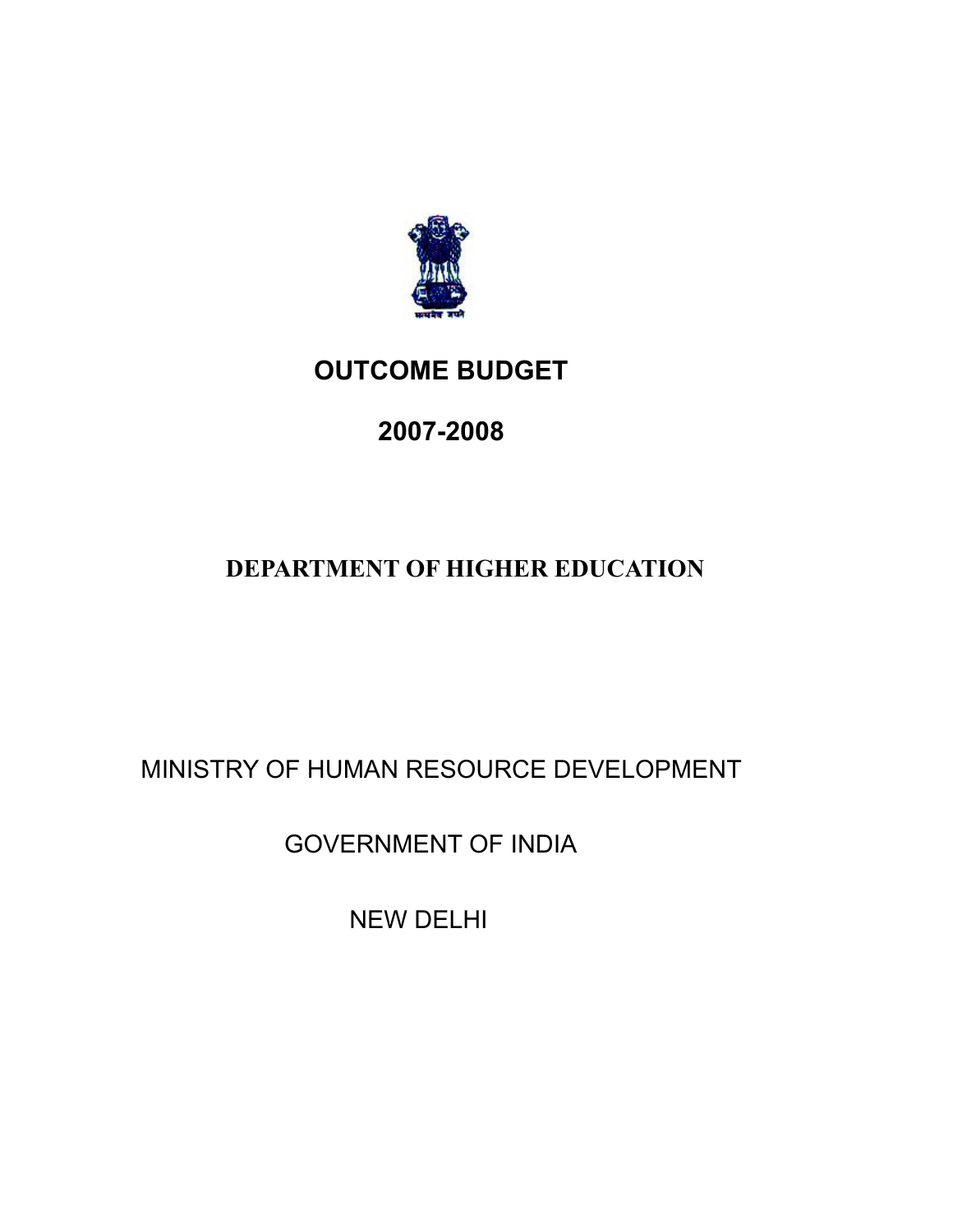

## **OUTCOME BUDGET**

# **2007-2008**

### **DEPARTMENT OF HIGHER EDUCATION**

MINISTRY OF HUMAN RESOURCE DEVELOPMENT

GOVERNMENT OF INDIA

NEW DELHI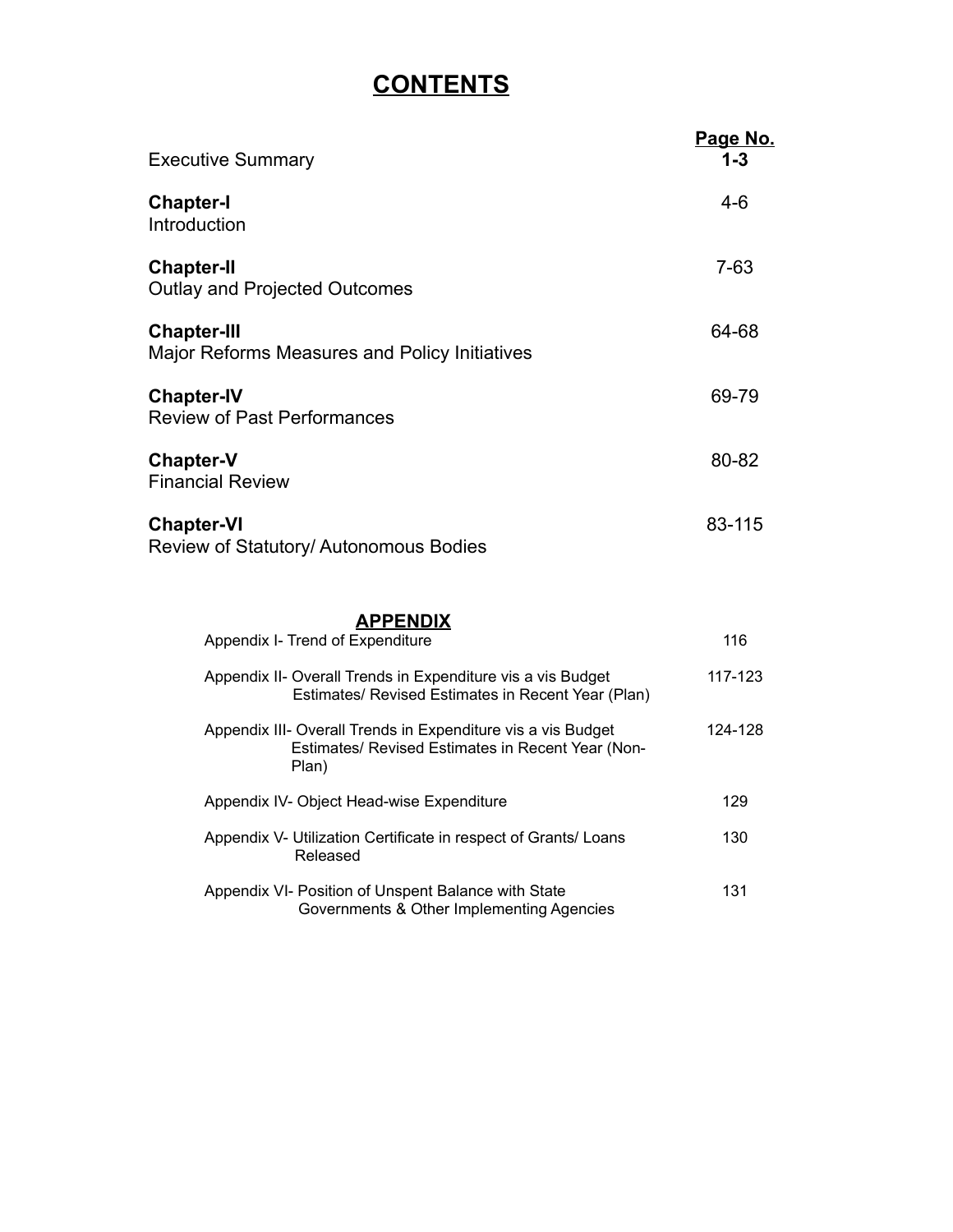### **CONTENTS**

| <b>Executive Summary</b>                                            | <u>Page No.</u><br>$1 - 3$ |
|---------------------------------------------------------------------|----------------------------|
| <b>Chapter-I</b><br>Introduction                                    | $4-6$                      |
| <b>Chapter-II</b><br><b>Outlay and Projected Outcomes</b>           | $7 - 63$                   |
| <b>Chapter-III</b><br>Major Reforms Measures and Policy Initiatives | 64-68                      |
| <b>Chapter-IV</b><br><b>Review of Past Performances</b>             | 69-79                      |
| <b>Chapter-V</b><br><b>Financial Review</b>                         | 80-82                      |
| <b>Chapter-VI</b><br>Review of Statutory/ Autonomous Bodies         | 83-115                     |
| <b>APPENDIX</b><br>Appendix I- Trend of Expenditure                 | 116                        |

| Appendix II- Overall Trends in Expenditure vis a vis Budget<br>Estimates/ Revised Estimates in Recent Year (Plan)          | 117-123 |
|----------------------------------------------------------------------------------------------------------------------------|---------|
| Appendix III- Overall Trends in Expenditure vis a vis Budget<br>Estimates/ Revised Estimates in Recent Year (Non-<br>Plan) | 124-128 |
| Appendix IV- Object Head-wise Expenditure                                                                                  | 129     |
| Appendix V- Utilization Certificate in respect of Grants/ Loans<br>Released                                                | 130     |
| Appendix VI- Position of Unspent Balance with State<br>Governments & Other Implementing Agencies                           | 131     |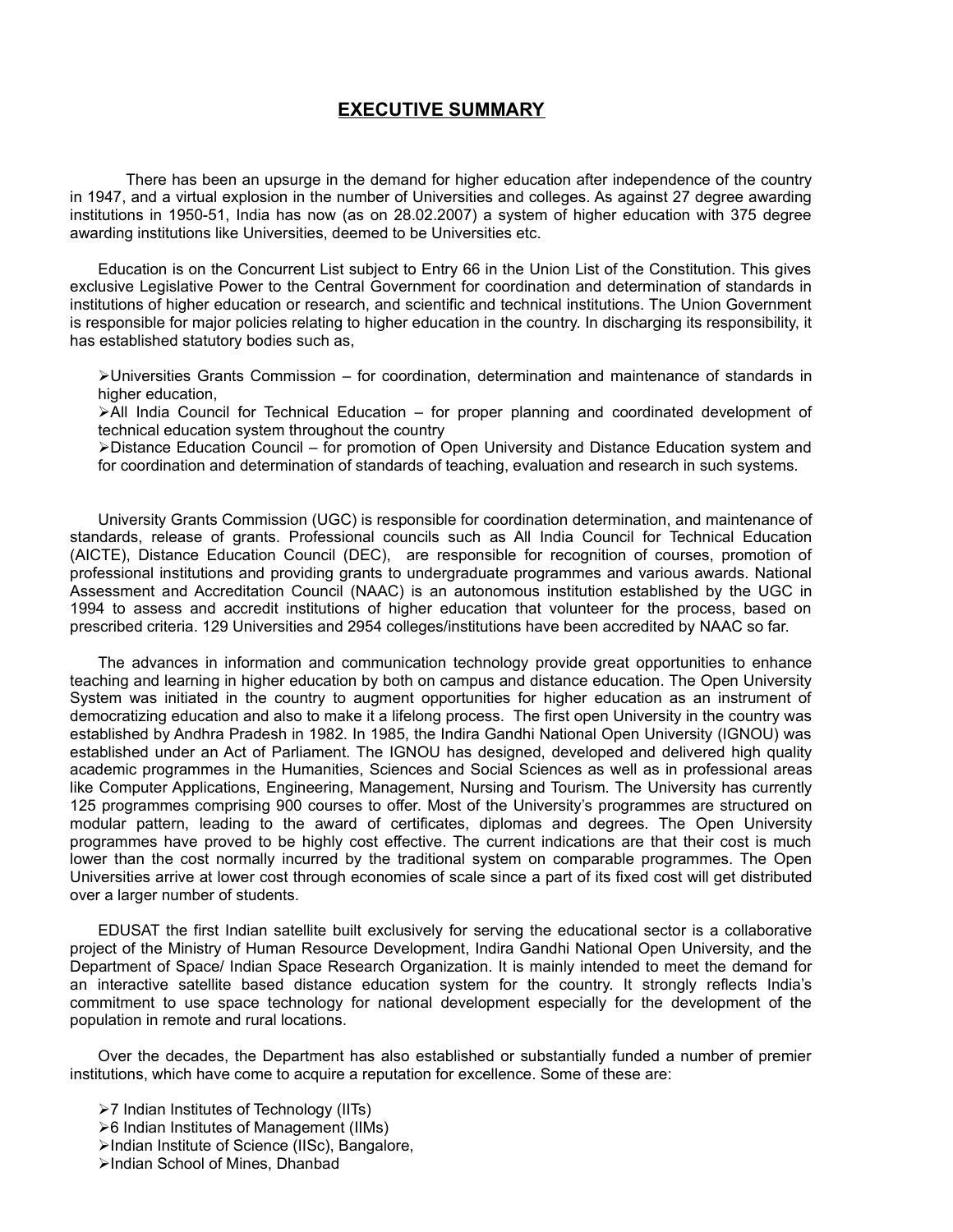#### **EXECUTIVE SUMMARY**

There has been an upsurge in the demand for higher education after independence of the country in 1947, and a virtual explosion in the number of Universities and colleges. As against 27 degree awarding institutions in 1950-51, India has now (as on 28.02.2007) a system of higher education with 375 degree awarding institutions like Universities, deemed to be Universities etc.

Education is on the Concurrent List subject to Entry 66 in the Union List of the Constitution. This gives exclusive Legislative Power to the Central Government for coordination and determination of standards in institutions of higher education or research, and scientific and technical institutions. The Union Government is responsible for major policies relating to higher education in the country. In discharging its responsibility, it has established statutory bodies such as,

Universities Grants Commission – for coordination, determination and maintenance of standards in higher education,

All India Council for Technical Education – for proper planning and coordinated development of technical education system throughout the country

Distance Education Council – for promotion of Open University and Distance Education system and for coordination and determination of standards of teaching, evaluation and research in such systems.

University Grants Commission (UGC) is responsible for coordination determination, and maintenance of standards, release of grants. Professional councils such as All India Council for Technical Education (AICTE), Distance Education Council (DEC), are responsible for recognition of courses, promotion of professional institutions and providing grants to undergraduate programmes and various awards. National Assessment and Accreditation Council (NAAC) is an autonomous institution established by the UGC in 1994 to assess and accredit institutions of higher education that volunteer for the process, based on prescribed criteria. 129 Universities and 2954 colleges/institutions have been accredited by NAAC so far.

The advances in information and communication technology provide great opportunities to enhance teaching and learning in higher education by both on campus and distance education. The Open University System was initiated in the country to augment opportunities for higher education as an instrument of democratizing education and also to make it a lifelong process. The first open University in the country was established by Andhra Pradesh in 1982. In 1985, the Indira Gandhi National Open University (IGNOU) was established under an Act of Parliament. The IGNOU has designed, developed and delivered high quality academic programmes in the Humanities, Sciences and Social Sciences as well as in professional areas like Computer Applications, Engineering, Management, Nursing and Tourism. The University has currently 125 programmes comprising 900 courses to offer. Most of the University's programmes are structured on modular pattern, leading to the award of certificates, diplomas and degrees. The Open University programmes have proved to be highly cost effective. The current indications are that their cost is much lower than the cost normally incurred by the traditional system on comparable programmes. The Open Universities arrive at lower cost through economies of scale since a part of its fixed cost will get distributed over a larger number of students.

EDUSAT the first Indian satellite built exclusively for serving the educational sector is a collaborative project of the Ministry of Human Resource Development, Indira Gandhi National Open University, and the Department of Space/ Indian Space Research Organization. It is mainly intended to meet the demand for an interactive satellite based distance education system for the country. It strongly reflects India's commitment to use space technology for national development especially for the development of the population in remote and rural locations.

Over the decades, the Department has also established or substantially funded a number of premier institutions, which have come to acquire a reputation for excellence. Some of these are:

- 7 Indian Institutes of Technology (IITs)
- 6 Indian Institutes of Management (IIMs)
- Indian Institute of Science (IISc), Bangalore,
- >Indian School of Mines, Dhanbad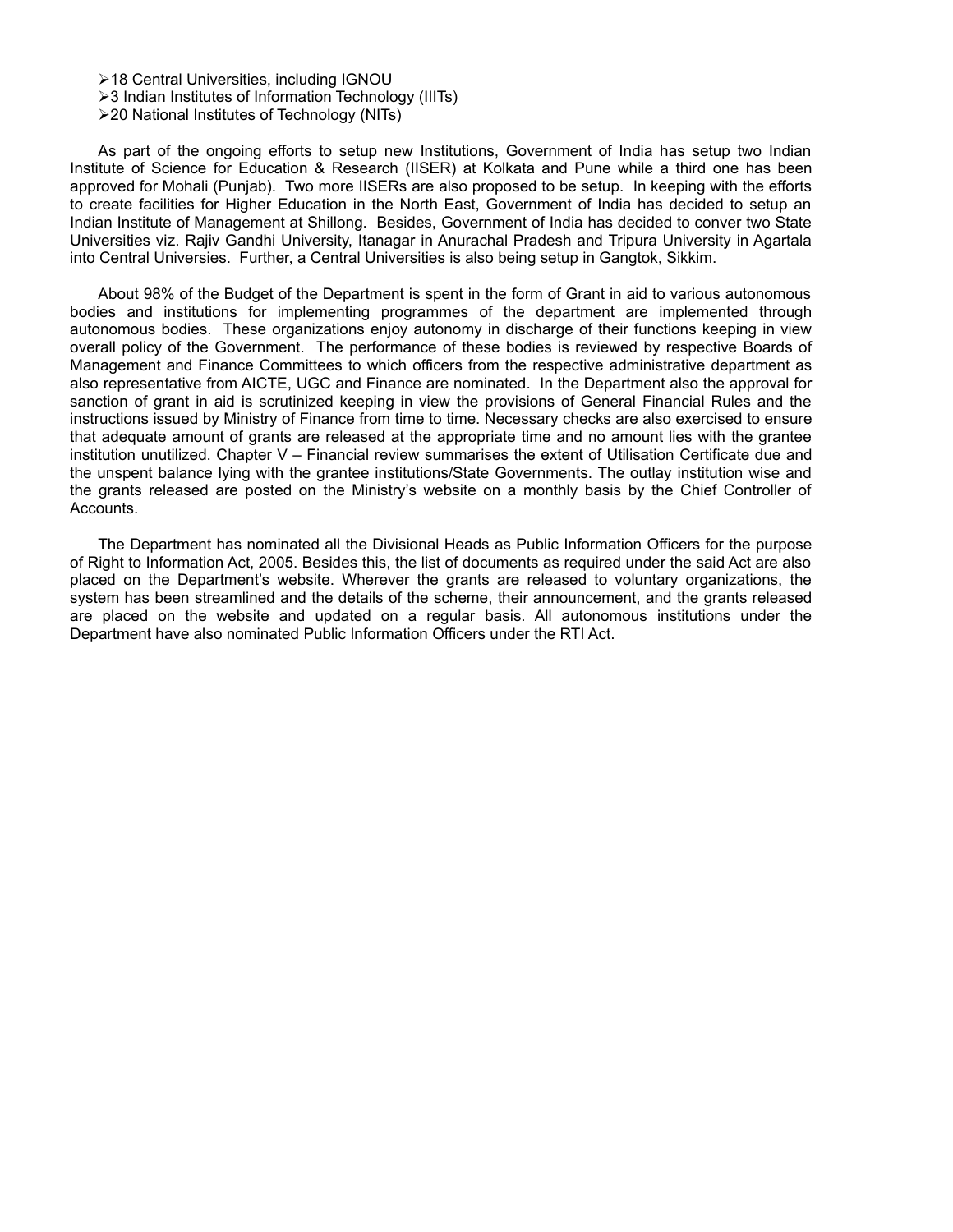18 Central Universities, including IGNOU

>3 Indian Institutes of Information Technology (IIITs)

20 National Institutes of Technology (NITs)

As part of the ongoing efforts to setup new Institutions, Government of India has setup two Indian Institute of Science for Education & Research (IISER) at Kolkata and Pune while a third one has been approved for Mohali (Punjab). Two more IISERs are also proposed to be setup. In keeping with the efforts to create facilities for Higher Education in the North East, Government of India has decided to setup an Indian Institute of Management at Shillong. Besides, Government of India has decided to conver two State Universities viz. Rajiv Gandhi University, Itanagar in Anurachal Pradesh and Tripura University in Agartala into Central Universies. Further, a Central Universities is also being setup in Gangtok, Sikkim.

About 98% of the Budget of the Department is spent in the form of Grant in aid to various autonomous bodies and institutions for implementing programmes of the department are implemented through autonomous bodies. These organizations enjoy autonomy in discharge of their functions keeping in view overall policy of the Government. The performance of these bodies is reviewed by respective Boards of Management and Finance Committees to which officers from the respective administrative department as also representative from AICTE, UGC and Finance are nominated. In the Department also the approval for sanction of grant in aid is scrutinized keeping in view the provisions of General Financial Rules and the instructions issued by Ministry of Finance from time to time. Necessary checks are also exercised to ensure that adequate amount of grants are released at the appropriate time and no amount lies with the grantee institution unutilized. Chapter V – Financial review summarises the extent of Utilisation Certificate due and the unspent balance lying with the grantee institutions/State Governments. The outlay institution wise and the grants released are posted on the Ministry's website on a monthly basis by the Chief Controller of Accounts.

The Department has nominated all the Divisional Heads as Public Information Officers for the purpose of Right to Information Act, 2005. Besides this, the list of documents as required under the said Act are also placed on the Department's website. Wherever the grants are released to voluntary organizations, the system has been streamlined and the details of the scheme, their announcement, and the grants released are placed on the website and updated on a regular basis. All autonomous institutions under the Department have also nominated Public Information Officers under the RTI Act.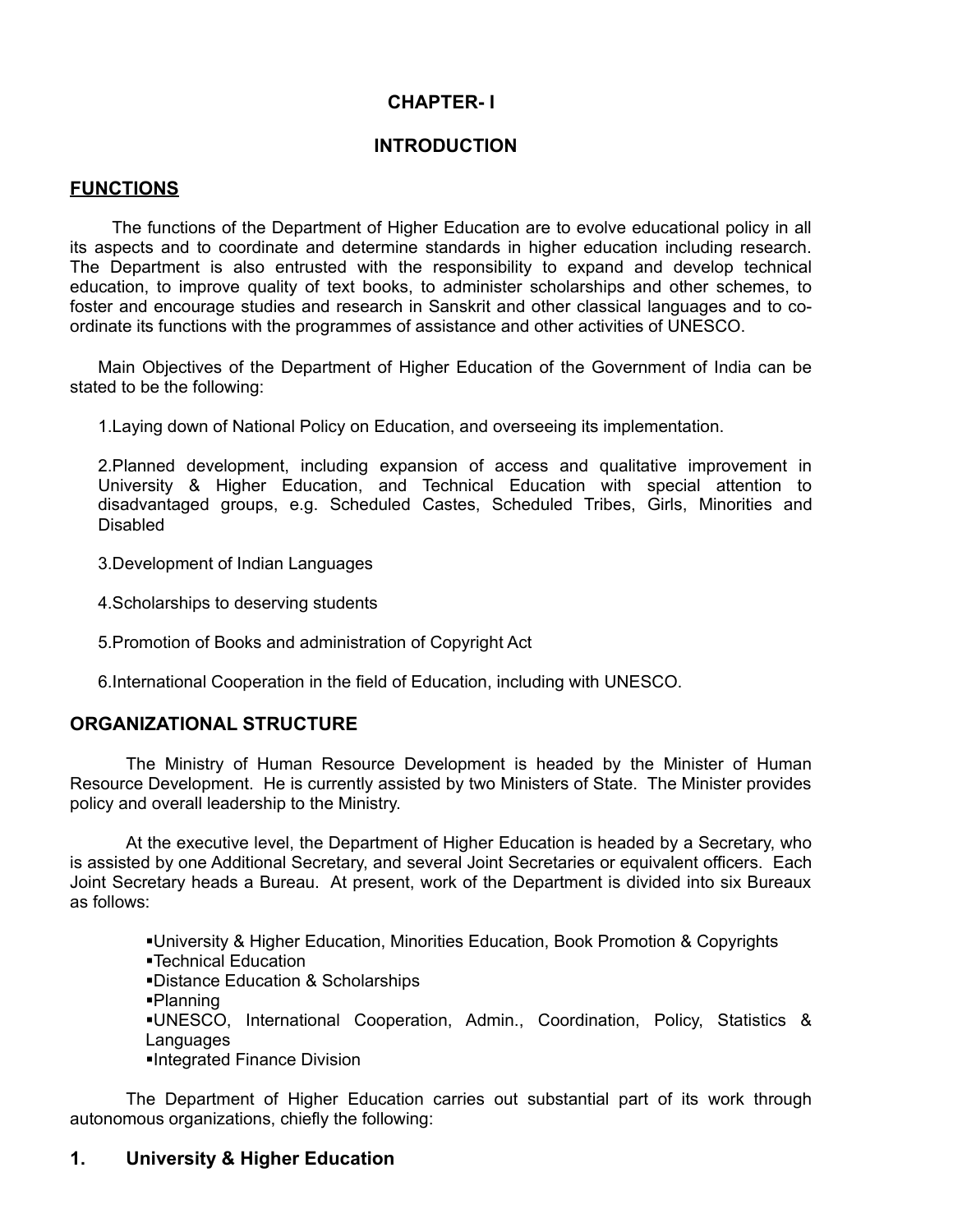#### **CHAPTER- I**

#### **INTRODUCTION**

#### **FUNCTIONS**

The functions of the Department of Higher Education are to evolve educational policy in all its aspects and to coordinate and determine standards in higher education including research. The Department is also entrusted with the responsibility to expand and develop technical education, to improve quality of text books, to administer scholarships and other schemes, to foster and encourage studies and research in Sanskrit and other classical languages and to coordinate its functions with the programmes of assistance and other activities of UNESCO.

Main Objectives of the Department of Higher Education of the Government of India can be stated to be the following:

1.Laying down of National Policy on Education, and overseeing its implementation.

2.Planned development, including expansion of access and qualitative improvement in University & Higher Education, and Technical Education with special attention to disadvantaged groups, e.g. Scheduled Castes, Scheduled Tribes, Girls, Minorities and Disabled

3.Development of Indian Languages

4.Scholarships to deserving students

5.Promotion of Books and administration of Copyright Act

6.International Cooperation in the field of Education, including with UNESCO.

#### **ORGANIZATIONAL STRUCTURE**

The Ministry of Human Resource Development is headed by the Minister of Human Resource Development. He is currently assisted by two Ministers of State. The Minister provides policy and overall leadership to the Ministry.

At the executive level, the Department of Higher Education is headed by a Secretary, who is assisted by one Additional Secretary, and several Joint Secretaries or equivalent officers. Each Joint Secretary heads a Bureau. At present, work of the Department is divided into six Bureaux as follows:

> University & Higher Education, Minorities Education, Book Promotion & Copyrights Technical Education Distance Education & Scholarships Planning

- UNESCO, International Cooperation, Admin., Coordination, Policy, Statistics & **Languages**
- Integrated Finance Division

The Department of Higher Education carries out substantial part of its work through autonomous organizations, chiefly the following:

#### **1. University & Higher Education**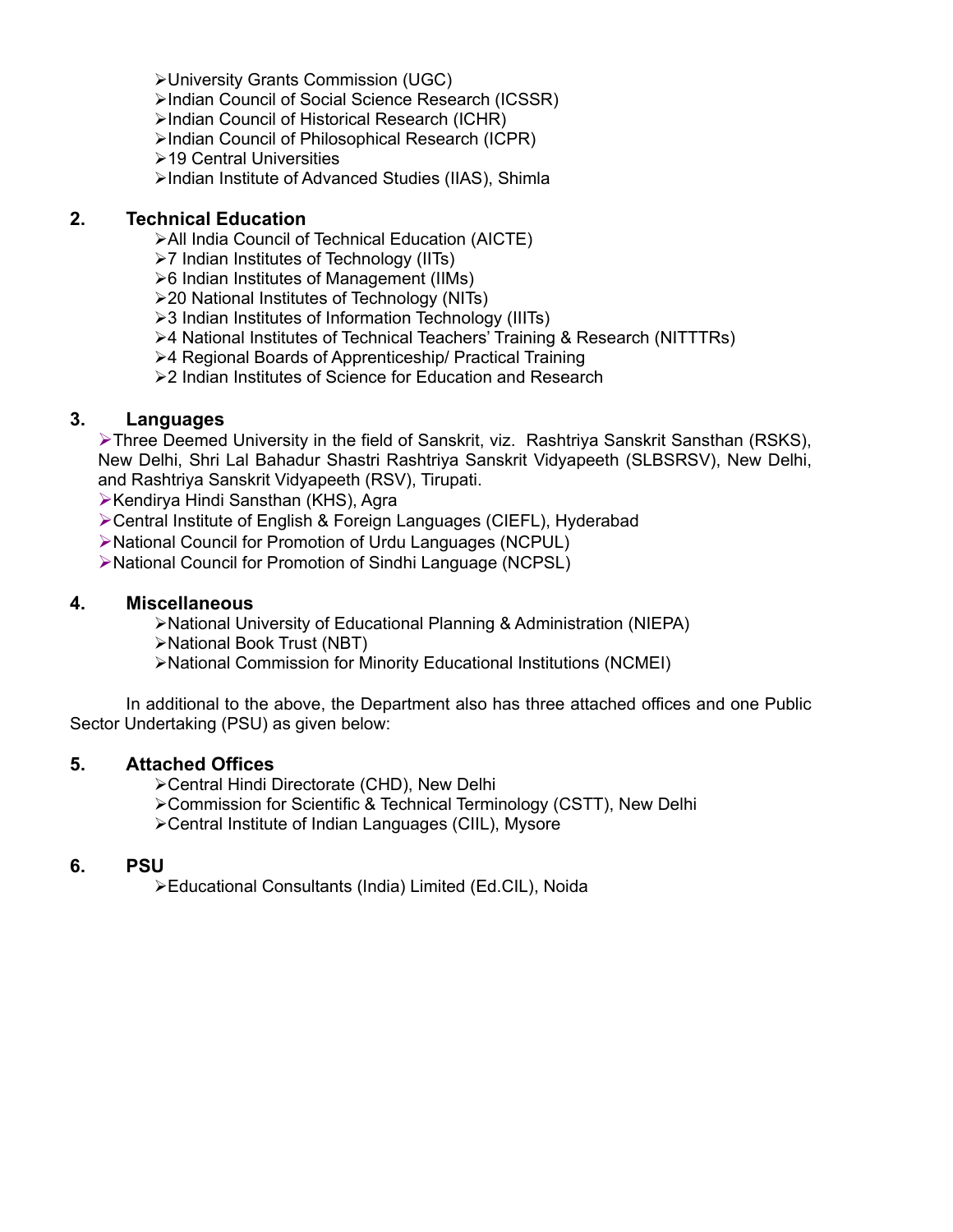- University Grants Commission (UGC)
- Indian Council of Social Science Research (ICSSR)
- Indian Council of Historical Research (ICHR)
- Indian Council of Philosophical Research (ICPR)
- **≻19 Central Universities**
- Indian Institute of Advanced Studies (IIAS), Shimla

#### **2. Technical Education**

- All India Council of Technical Education (AICTE)
- 7 Indian Institutes of Technology (IITs)
- 6 Indian Institutes of Management (IIMs)
- 20 National Institutes of Technology (NITs)
- 3 Indian Institutes of Information Technology (IIITs)
- 4 National Institutes of Technical Teachers' Training & Research (NITTTRs)
- 4 Regional Boards of Apprenticeship/ Practical Training
- ▶ 2 Indian Institutes of Science for Education and Research

#### **3. Languages**

Three Deemed University in the field of Sanskrit, viz. Rashtriya Sanskrit Sansthan (RSKS), New Delhi, Shri Lal Bahadur Shastri Rashtriya Sanskrit Vidyapeeth (SLBSRSV), New Delhi, and Rashtriya Sanskrit Vidyapeeth (RSV), Tirupati.

≻Kendirya Hindi Sansthan (KHS), Agra

Central Institute of English & Foreign Languages (CIEFL), Hyderabad

National Council for Promotion of Urdu Languages (NCPUL)

National Council for Promotion of Sindhi Language (NCPSL)

#### **4. Miscellaneous**

National University of Educational Planning & Administration (NIEPA)

National Book Trust (NBT)

National Commission for Minority Educational Institutions (NCMEI)

In additional to the above, the Department also has three attached offices and one Public Sector Undertaking (PSU) as given below:

#### **5. Attached Offices**

Central Hindi Directorate (CHD), New Delhi

Commission for Scientific & Technical Terminology (CSTT), New Delhi

Central Institute of Indian Languages (CIIL), Mysore

#### **6. PSU**

Educational Consultants (India) Limited (Ed.CIL), Noida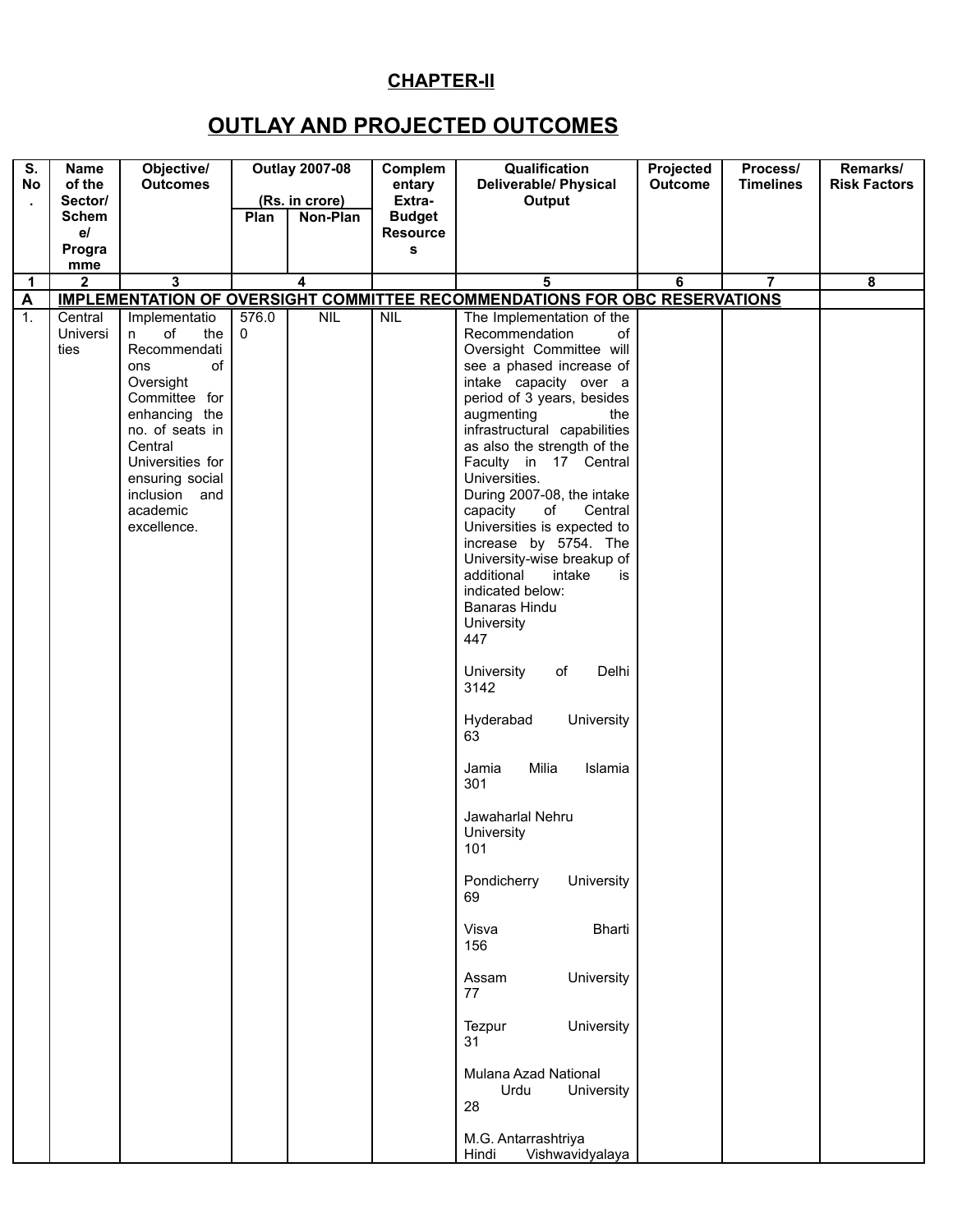### **CHAPTER-II**

### **OUTLAY AND PROJECTED OUTCOMES**

| Remarks/<br><b>Risk Factors</b> |
|---------------------------------|
|                                 |
|                                 |
|                                 |
| 8                               |
|                                 |
|                                 |
|                                 |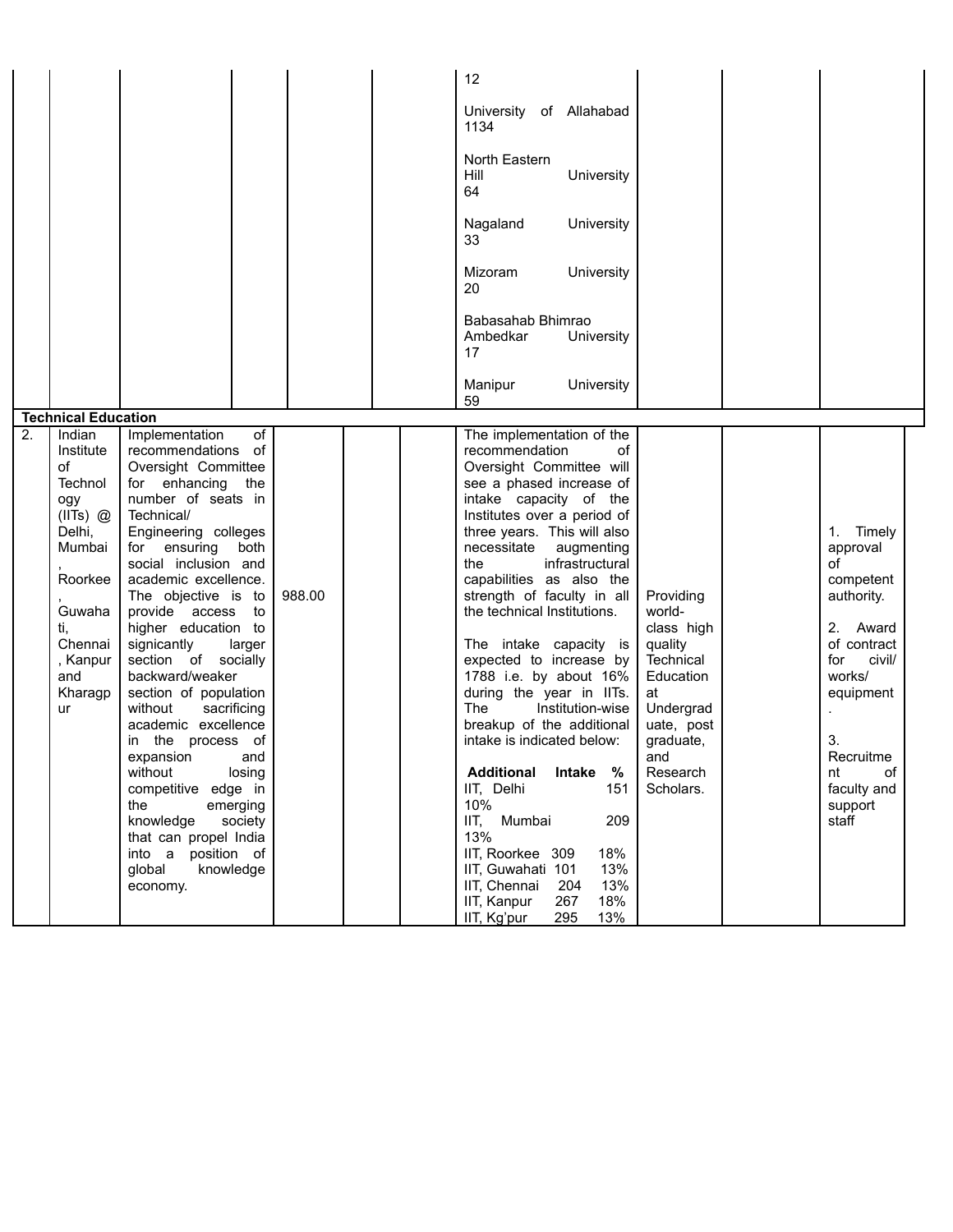|                                                                                                                                                                  |                                                                                                                                                                                                                                                                                                                                                                                                                                                                                                                                                                                                                                                                 |        | 12                                                                                                                                                                                                                                                                                                                                                                                                                                                                                                                                                                                                                                                                                                                                                                                             |                                                                                                                                                      |                                                                                                                                                                                             |
|------------------------------------------------------------------------------------------------------------------------------------------------------------------|-----------------------------------------------------------------------------------------------------------------------------------------------------------------------------------------------------------------------------------------------------------------------------------------------------------------------------------------------------------------------------------------------------------------------------------------------------------------------------------------------------------------------------------------------------------------------------------------------------------------------------------------------------------------|--------|------------------------------------------------------------------------------------------------------------------------------------------------------------------------------------------------------------------------------------------------------------------------------------------------------------------------------------------------------------------------------------------------------------------------------------------------------------------------------------------------------------------------------------------------------------------------------------------------------------------------------------------------------------------------------------------------------------------------------------------------------------------------------------------------|------------------------------------------------------------------------------------------------------------------------------------------------------|---------------------------------------------------------------------------------------------------------------------------------------------------------------------------------------------|
|                                                                                                                                                                  |                                                                                                                                                                                                                                                                                                                                                                                                                                                                                                                                                                                                                                                                 |        | University of Allahabad<br>1134                                                                                                                                                                                                                                                                                                                                                                                                                                                                                                                                                                                                                                                                                                                                                                |                                                                                                                                                      |                                                                                                                                                                                             |
|                                                                                                                                                                  |                                                                                                                                                                                                                                                                                                                                                                                                                                                                                                                                                                                                                                                                 |        | North Eastern<br>Hill<br>University<br>64                                                                                                                                                                                                                                                                                                                                                                                                                                                                                                                                                                                                                                                                                                                                                      |                                                                                                                                                      |                                                                                                                                                                                             |
|                                                                                                                                                                  |                                                                                                                                                                                                                                                                                                                                                                                                                                                                                                                                                                                                                                                                 |        | Nagaland<br>University<br>33                                                                                                                                                                                                                                                                                                                                                                                                                                                                                                                                                                                                                                                                                                                                                                   |                                                                                                                                                      |                                                                                                                                                                                             |
|                                                                                                                                                                  |                                                                                                                                                                                                                                                                                                                                                                                                                                                                                                                                                                                                                                                                 |        | <b>Mizoram</b><br>University<br>20                                                                                                                                                                                                                                                                                                                                                                                                                                                                                                                                                                                                                                                                                                                                                             |                                                                                                                                                      |                                                                                                                                                                                             |
|                                                                                                                                                                  |                                                                                                                                                                                                                                                                                                                                                                                                                                                                                                                                                                                                                                                                 |        | Babasahab Bhimrao<br>Ambedkar<br>University<br>17                                                                                                                                                                                                                                                                                                                                                                                                                                                                                                                                                                                                                                                                                                                                              |                                                                                                                                                      |                                                                                                                                                                                             |
|                                                                                                                                                                  |                                                                                                                                                                                                                                                                                                                                                                                                                                                                                                                                                                                                                                                                 |        | Manipur<br>University<br>59                                                                                                                                                                                                                                                                                                                                                                                                                                                                                                                                                                                                                                                                                                                                                                    |                                                                                                                                                      |                                                                                                                                                                                             |
| <b>Technical Education</b>                                                                                                                                       |                                                                                                                                                                                                                                                                                                                                                                                                                                                                                                                                                                                                                                                                 |        |                                                                                                                                                                                                                                                                                                                                                                                                                                                                                                                                                                                                                                                                                                                                                                                                |                                                                                                                                                      |                                                                                                                                                                                             |
| 2.<br>Indian<br>Institute<br>of<br>Technol<br>ogy<br>$(IIIs)$ $@$<br>Delhi,<br>Mumbai<br>Roorkee<br>Guwaha<br>ti,<br>Chennai<br>, Kanpur<br>and<br>Kharagp<br>ur | Implementation<br>of<br>recommendations of<br>Oversight Committee<br>for enhancing<br>the<br>number of seats in<br>Technical/<br>Engineering colleges<br>for ensuring<br>both<br>social inclusion and<br>academic excellence.<br>The objective is to<br>provide access to<br>higher education to<br>signicantly<br>larger<br>section of socially<br>backward/weaker<br>section of population<br>without<br>sacrificing<br>academic excellence<br>in the process of<br>expansion<br>and<br>without<br>losing<br>competitive edge in<br>the<br>emerging<br>knowledge<br>society<br>that can propel India<br>into a position of<br>global<br>knowledge<br>economy. | 988.00 | The implementation of the<br>recommendation<br>of<br>Oversight Committee will<br>see a phased increase of<br>intake capacity of the<br>Institutes over a period of<br>three years. This will also<br>necessitate<br>augmenting<br>the<br>infrastructural<br>capabilities as also the<br>strength of faculty in all<br>the technical Institutions.<br>The intake capacity is<br>expected to increase by<br>1788 i.e. by about 16%<br>during the year in IITs.<br>Institution-wise<br>The<br>breakup of the additional<br>intake is indicated below:<br><b>Additional</b><br>%<br>Intake<br>IIT, Delhi<br>151<br>10%<br>IIT, Mumbai<br>209<br>13%<br>IIT, Roorkee 309<br>18%<br>13%<br>IIT, Guwahati 101<br>IIT, Chennai<br>13%<br>204<br>18%<br>IIT, Kanpur<br>267<br>13%<br>IIT, Kg'pur<br>295 | Providing<br>world-<br>class high<br>quality<br>Technical<br>Education<br>at<br>Undergrad<br>uate, post<br>graduate,<br>and<br>Research<br>Scholars. | 1. Timely<br>approval<br>οf<br>competent<br>authority.<br>2. Award<br>of contract<br>for<br>civil/<br>works/<br>equipment<br>3.<br>Recruitme<br>nt<br>οf<br>faculty and<br>support<br>staff |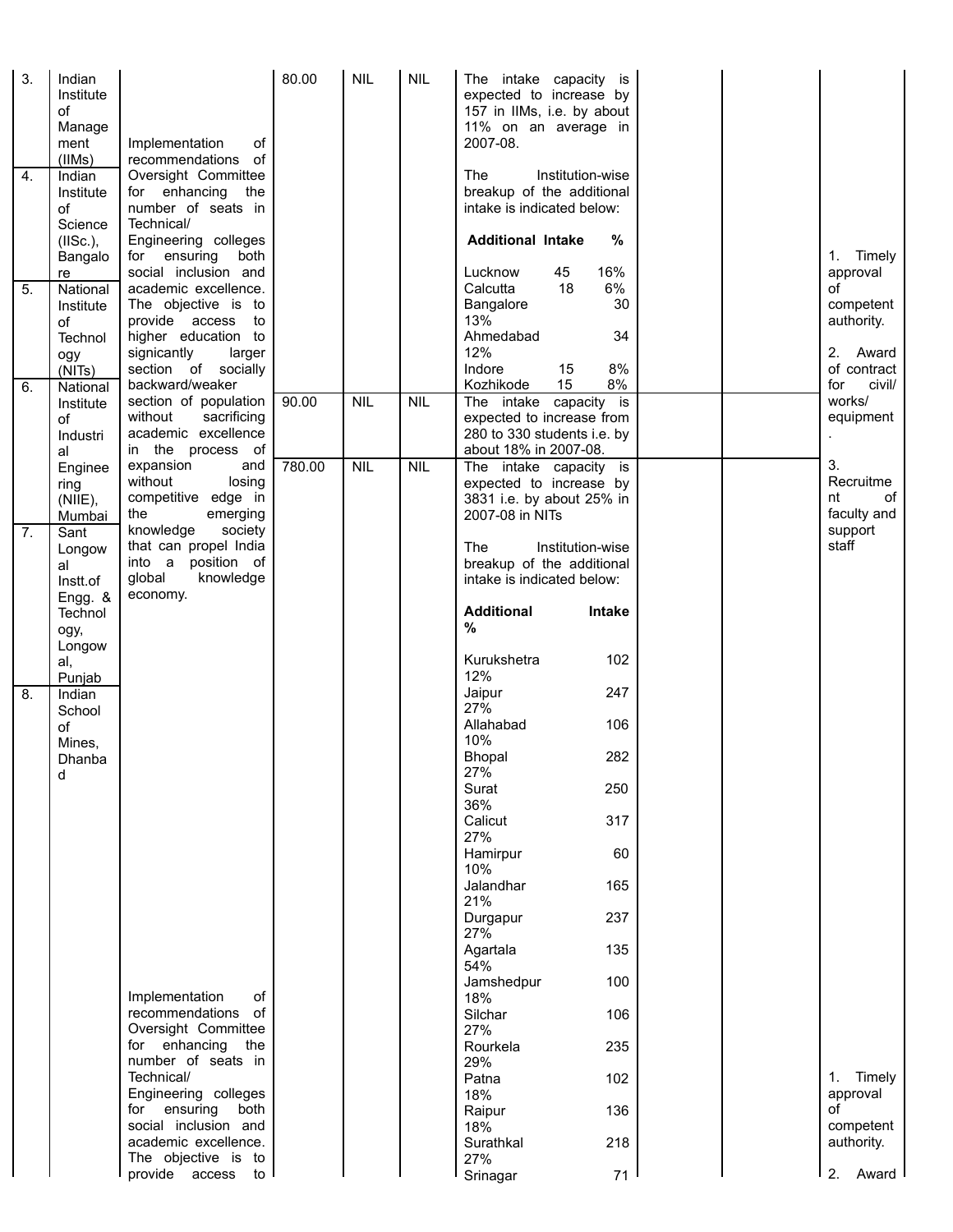| 3.<br>4.<br>5.   | Indian<br>Institute<br>of<br>Manage<br>ment<br>(IIMs)<br>Indian<br>Institute<br>of<br>Science<br>(IISc.),<br>Bangalo<br>re<br>National<br>Institute | Implementation<br>of<br>recommendations of<br>Oversight Committee<br>for enhancing<br>the<br>number of seats in<br>Technical/<br>Engineering colleges<br>both<br>for ensuring<br>social inclusion and<br>academic excellence.<br>The objective is to | 80.00  | <b>NIL</b> | <b>NIL</b> | The intake capacity is<br>expected to increase by<br>157 in IIMs, i.e. by about<br>11% on an average in<br>2007-08.<br><b>The</b><br>Institution-wise<br>breakup of the additional<br>intake is indicated below:<br><b>Additional Intake</b><br>%<br>16%<br>45<br>Lucknow<br>6%<br>18<br>Calcutta<br>30<br>Bangalore |  | Timely<br>1.<br>approval<br>of<br>competent               |
|------------------|-----------------------------------------------------------------------------------------------------------------------------------------------------|------------------------------------------------------------------------------------------------------------------------------------------------------------------------------------------------------------------------------------------------------|--------|------------|------------|----------------------------------------------------------------------------------------------------------------------------------------------------------------------------------------------------------------------------------------------------------------------------------------------------------------------|--|-----------------------------------------------------------|
| 6.               | of<br>Technol<br>ogy<br>(NITs)<br>National                                                                                                          | provide access to<br>higher education to<br>signicantly<br>larger<br>section of socially<br>backward/weaker                                                                                                                                          |        |            |            | 13%<br>Ahmedabad<br>34<br>12%<br>Indore<br>8%<br>15<br>15<br>8%<br>Kozhikode                                                                                                                                                                                                                                         |  | authority.<br>2.<br>Award<br>of contract<br>civil/<br>for |
|                  | Institute<br>of<br>Industri<br>al                                                                                                                   | section of population<br>sacrificing<br>without<br>academic excellence<br>in the process of<br>expansion                                                                                                                                             | 90.00  | <b>NIL</b> | <b>NIL</b> | The intake capacity is<br>expected to increase from<br>280 to 330 students i.e. by<br>about 18% in 2007-08.                                                                                                                                                                                                          |  | works/<br>equipment<br>3.                                 |
| $\overline{7}$ . | Enginee<br>ring<br>(NIIE),<br>Mumbai<br>Sant                                                                                                        | and<br>without<br>losing<br>competitive edge in<br>the<br>emerging<br>knowledge<br>society                                                                                                                                                           | 780.00 | NIL        | NIL        | The intake capacity is<br>expected to increase by<br>3831 i.e. by about 25% in<br>2007-08 in NITs                                                                                                                                                                                                                    |  | Recruitme<br>of<br>nt<br>faculty and<br>support           |
|                  | Longow<br>al<br>Instt.of<br>Engg. &<br>Technol                                                                                                      | that can propel India<br>into a position of<br>global<br>knowledge<br>economy.                                                                                                                                                                       |        |            |            | Institution-wise<br>The<br>breakup of the additional<br>intake is indicated below:<br><b>Additional</b><br>Intake                                                                                                                                                                                                    |  | staff                                                     |
|                  | ogy,<br>Longow<br>al,<br>Punjab                                                                                                                     |                                                                                                                                                                                                                                                      |        |            |            | $\%$<br>102<br>Kurukshetra<br>12%                                                                                                                                                                                                                                                                                    |  |                                                           |
| 8.               | Indian<br>School<br>of<br>Mines,                                                                                                                    |                                                                                                                                                                                                                                                      |        |            |            | Jaipur<br>247<br>27%<br>Allahabad<br>106<br>10%                                                                                                                                                                                                                                                                      |  |                                                           |
|                  | Dhanba<br>d                                                                                                                                         |                                                                                                                                                                                                                                                      |        |            |            | 282<br>Bhopal<br>27%<br>Surat<br>250<br>36%                                                                                                                                                                                                                                                                          |  |                                                           |
|                  |                                                                                                                                                     |                                                                                                                                                                                                                                                      |        |            |            | 317<br>Calicut<br>27%<br>60                                                                                                                                                                                                                                                                                          |  |                                                           |
|                  |                                                                                                                                                     |                                                                                                                                                                                                                                                      |        |            |            | Hamirpur<br>10%<br>Jalandhar<br>165                                                                                                                                                                                                                                                                                  |  |                                                           |
|                  |                                                                                                                                                     |                                                                                                                                                                                                                                                      |        |            |            | 21%<br>237<br>Durgapur<br>27%                                                                                                                                                                                                                                                                                        |  |                                                           |
|                  |                                                                                                                                                     |                                                                                                                                                                                                                                                      |        |            |            | Agartala<br>135<br>54%<br>Jamshedpur<br>100                                                                                                                                                                                                                                                                          |  |                                                           |
|                  |                                                                                                                                                     | Implementation<br>of<br>recommendations of<br>Oversight Committee                                                                                                                                                                                    |        |            |            | 18%<br>Silchar<br>106<br>27%                                                                                                                                                                                                                                                                                         |  |                                                           |
|                  |                                                                                                                                                     | for enhancing<br>the<br>number of seats in<br>Technical/                                                                                                                                                                                             |        |            |            | Rourkela<br>235<br>29%                                                                                                                                                                                                                                                                                               |  | Timely<br>1.                                              |
|                  |                                                                                                                                                     | Engineering colleges<br>for ensuring<br>both                                                                                                                                                                                                         |        |            |            | Patna<br>102<br>18%<br>136<br>Raipur                                                                                                                                                                                                                                                                                 |  | approval<br>οf                                            |
|                  |                                                                                                                                                     | social inclusion and<br>academic excellence.<br>The objective is to                                                                                                                                                                                  |        |            |            | 18%<br>218<br>Surathkal<br>27%                                                                                                                                                                                                                                                                                       |  | competent<br>authority.                                   |
|                  |                                                                                                                                                     | provide access to                                                                                                                                                                                                                                    |        |            |            | 71<br>Srinagar                                                                                                                                                                                                                                                                                                       |  | Award<br>2.                                               |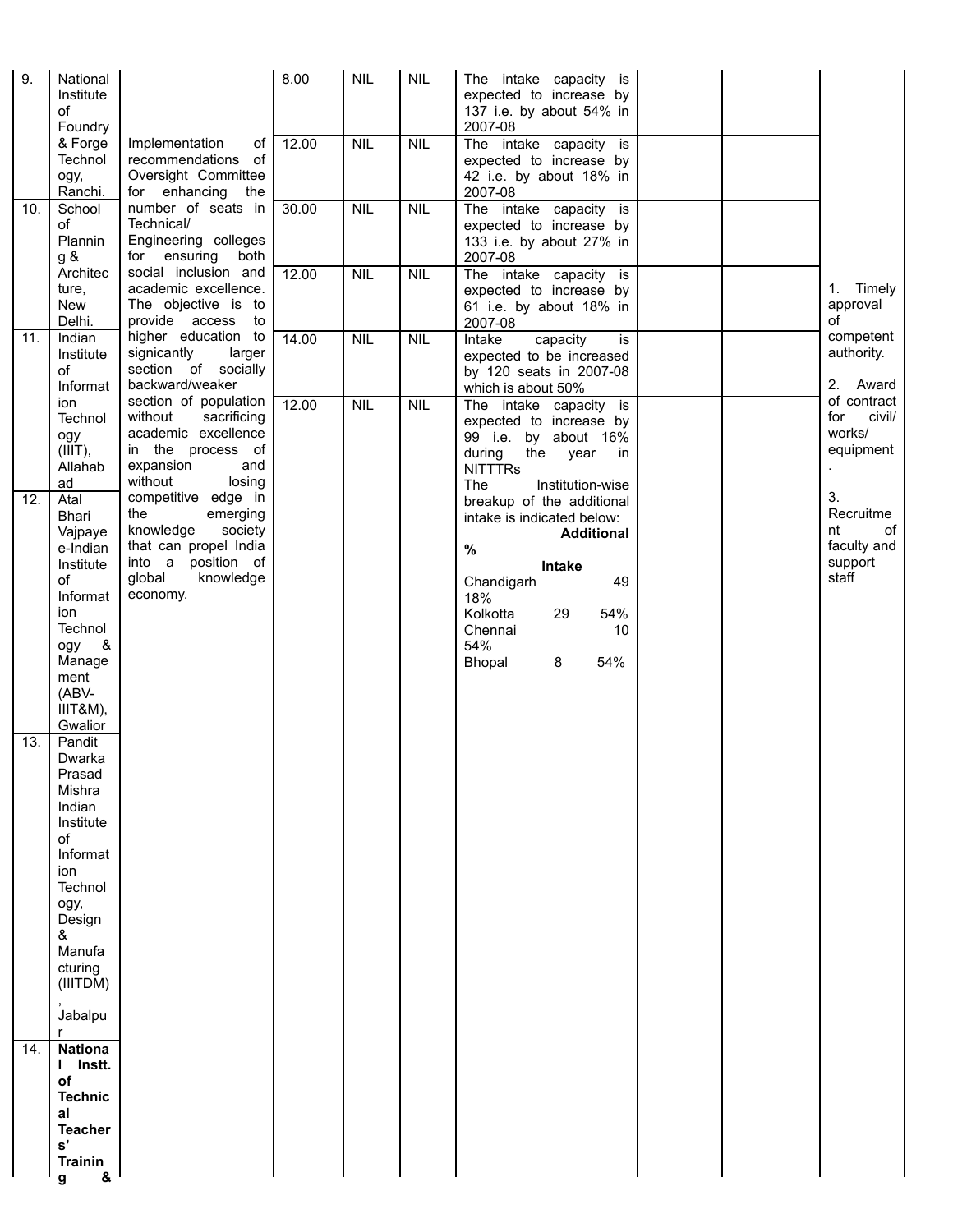| 9.  | National<br>Institute<br>of<br>Foundry                                                                                                                                   |                                                                                                                                                  | 8.00  | <b>NIL</b> | <b>NIL</b> | The intake capacity is<br>expected to increase by<br>137 i.e. by about 54% in<br>2007-08                                                                                                         |                                                                |
|-----|--------------------------------------------------------------------------------------------------------------------------------------------------------------------------|--------------------------------------------------------------------------------------------------------------------------------------------------|-------|------------|------------|--------------------------------------------------------------------------------------------------------------------------------------------------------------------------------------------------|----------------------------------------------------------------|
|     | & Forge<br>Technol<br>ogy,<br>Ranchi.                                                                                                                                    | Implementation<br>οf<br>recommendations of<br>Oversight Committee<br>for enhancing<br>the                                                        | 12.00 | <b>NIL</b> | <b>NIL</b> | The intake capacity is<br>expected to increase by<br>42 i.e. by about 18% in<br>2007-08                                                                                                          |                                                                |
| 10. | School<br>of<br>Plannin<br>g &                                                                                                                                           | number of seats in<br>Technical/<br>Engineering colleges<br>for ensuring<br>both                                                                 | 30.00 | NIL        | <b>NIL</b> | The intake capacity is<br>expected to increase by<br>133 i.e. by about 27% in<br>2007-08                                                                                                         |                                                                |
|     | Architec<br>ture,<br>New<br>Delhi.                                                                                                                                       | social inclusion and<br>academic excellence.<br>The objective is to<br>provide access<br>to                                                      | 12.00 | <b>NIL</b> | <b>NIL</b> | The intake capacity is<br>expected to increase by<br>61 i.e. by about 18% in<br>2007-08                                                                                                          | Timely<br>1.<br>approval<br>of                                 |
| 11. | Indian<br>Institute<br>of<br>Informat                                                                                                                                    | higher education to<br>larger<br>signicantly<br>section of socially<br>backward/weaker                                                           | 14.00 | NIL        | <b>NIL</b> | Intake<br>capacity<br>is<br>expected to be increased<br>by 120 seats in 2007-08<br>which is about 50%                                                                                            | competent<br>authority.<br>2. Award                            |
|     | ion<br>Technol<br>ogy<br>$(III)$ ,<br>Allahab<br>ad                                                                                                                      | section of population<br>without<br>sacrificing<br>academic excellence<br>in the process of<br>expansion<br>and<br>without<br>losing             | 12.00 | <b>NIL</b> | <b>NIL</b> | The intake capacity is<br>expected to increase by<br>99 i.e. by about 16%<br>during<br>the year<br>in<br><b>NITTTRS</b><br><b>The</b><br>Institution-wise                                        | of contract<br>civil/<br>for<br>works/<br>equipment            |
| 12. | Atal<br>Bhari<br>Vajpaye<br>e-Indian<br>Institute<br>of<br>Informat<br>ion<br>Technol<br>ogy &<br>Manage<br>ment<br>(ABV-<br>IIIT&M),<br>Gwalior                         | competitive edge in<br>the<br>emerging<br>knowledge<br>society<br>that can propel India<br>into a position of<br>global<br>knowledge<br>economy. |       |            |            | breakup of the additional<br>intake is indicated below:<br><b>Additional</b><br>$\%$<br>Intake<br>Chandigarh<br>49<br>18%<br>Kolkotta<br>54%<br>29<br>Chennai<br>10<br>54%<br>54%<br>8<br>Bhopal | 3.<br>Recruitme<br>of<br>nt<br>faculty and<br>support<br>staff |
| 13. | Pandit<br>Dwarka<br>Prasad<br>Mishra<br>Indian<br>Institute<br>of<br>Informat<br>ion<br>Technol<br>ogy,<br>Design<br>&<br>Manufa<br>cturing<br>(IIITDM)<br>Jabalpu<br>r. |                                                                                                                                                  |       |            |            |                                                                                                                                                                                                  |                                                                |
| 14. | <b>Nationa</b><br>I Instt.<br>of<br><b>Technic</b><br>al<br><b>Teacher</b>                                                                                               |                                                                                                                                                  |       |            |            |                                                                                                                                                                                                  |                                                                |
|     | $\mathbf{s}'$<br><b>Trainin</b><br>&<br>g                                                                                                                                |                                                                                                                                                  |       |            |            |                                                                                                                                                                                                  |                                                                |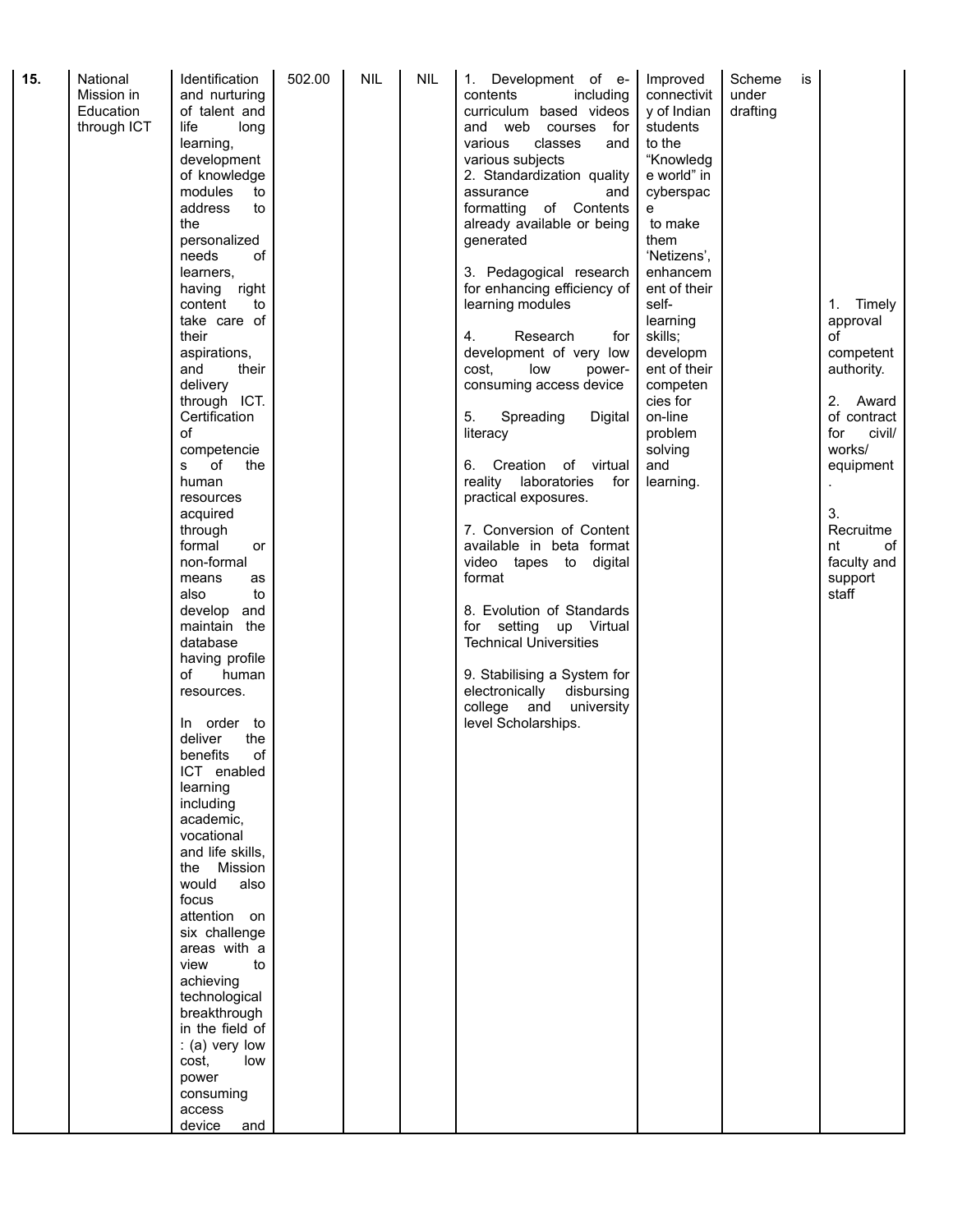|  | Education<br>through ICT | of talent and<br>life<br>long<br>learning,<br>development<br>of knowledge<br>modules<br>to<br>address<br>to<br>the<br>personalized<br>of<br>needs<br>learners,<br>having right<br>content<br>to<br>take care of<br>their<br>aspirations,<br>their<br>and<br>delivery<br>through ICT.<br>Certification<br>of<br>competencie<br>of<br>s<br>the<br>human<br>resources<br>acquired<br>through<br>formal<br>or<br>non-formal<br>means<br>as<br>also<br>to<br>develop and<br>maintain the<br>database<br>having profile<br>of<br>human<br>resources.<br>order to<br>In<br>deliver<br>the<br>of<br>benefits<br>ICT enabled<br>learning<br>including<br>academic,<br>vocational<br>and life skills,<br>Mission<br>the<br>would<br>also<br>focus<br>attention on<br>six challenge<br>areas with a<br>view<br>to<br>achieving<br>technological<br>breakthrough<br>in the field of<br>$($ a) very low<br>cost,<br>low<br>power<br>consuming<br>access |  |  |  | curriculum based videos<br>and web<br>courses<br>for<br>various<br>classes<br>and<br>various subjects<br>2. Standardization quality<br>assurance<br>and<br>formatting of Contents<br>already available or being<br>generated<br>3. Pedagogical research<br>for enhancing efficiency of<br>learning modules<br>4.<br>Research<br>for<br>development of very low<br>cost.<br>low<br>power-<br>consuming access device<br>5.<br>Spreading<br>Digital<br>literacy<br>6. Creation of virtual<br>reality laboratories<br>for<br>practical exposures.<br>7. Conversion of Content<br>available in beta format<br>video tapes to digital<br>format<br>8. Evolution of Standards<br>for setting up Virtual<br><b>Technical Universities</b><br>9. Stabilising a System for<br>electronically<br>disbursing<br>college and<br>university<br>level Scholarships. | y of Indian<br>students<br>to the<br>"Knowledg<br>e world" in<br>cyberspac<br>e<br>to make<br>them<br>'Netizens',<br>enhancem<br>ent of their<br>self-<br>learning<br>skills;<br>developm<br>ent of their<br>competen<br>cies for<br>on-line<br>problem<br>solving<br>and<br>learning. | drafting |  | Timely<br>1.<br>approval<br>of<br>competent<br>authority.<br>2. Award<br>of contract<br>civil/<br>for<br>works/<br>equipment<br>3.<br>Recruitme<br>of<br>nt<br>faculty and<br>support<br>staff |
|--|--------------------------|--------------------------------------------------------------------------------------------------------------------------------------------------------------------------------------------------------------------------------------------------------------------------------------------------------------------------------------------------------------------------------------------------------------------------------------------------------------------------------------------------------------------------------------------------------------------------------------------------------------------------------------------------------------------------------------------------------------------------------------------------------------------------------------------------------------------------------------------------------------------------------------------------------------------------------------------|--|--|--|-------------------------------------------------------------------------------------------------------------------------------------------------------------------------------------------------------------------------------------------------------------------------------------------------------------------------------------------------------------------------------------------------------------------------------------------------------------------------------------------------------------------------------------------------------------------------------------------------------------------------------------------------------------------------------------------------------------------------------------------------------------------------------------------------------------------------------------------------------|----------------------------------------------------------------------------------------------------------------------------------------------------------------------------------------------------------------------------------------------------------------------------------------|----------|--|------------------------------------------------------------------------------------------------------------------------------------------------------------------------------------------------|
|--|--------------------------|--------------------------------------------------------------------------------------------------------------------------------------------------------------------------------------------------------------------------------------------------------------------------------------------------------------------------------------------------------------------------------------------------------------------------------------------------------------------------------------------------------------------------------------------------------------------------------------------------------------------------------------------------------------------------------------------------------------------------------------------------------------------------------------------------------------------------------------------------------------------------------------------------------------------------------------------|--|--|--|-------------------------------------------------------------------------------------------------------------------------------------------------------------------------------------------------------------------------------------------------------------------------------------------------------------------------------------------------------------------------------------------------------------------------------------------------------------------------------------------------------------------------------------------------------------------------------------------------------------------------------------------------------------------------------------------------------------------------------------------------------------------------------------------------------------------------------------------------------|----------------------------------------------------------------------------------------------------------------------------------------------------------------------------------------------------------------------------------------------------------------------------------------|----------|--|------------------------------------------------------------------------------------------------------------------------------------------------------------------------------------------------|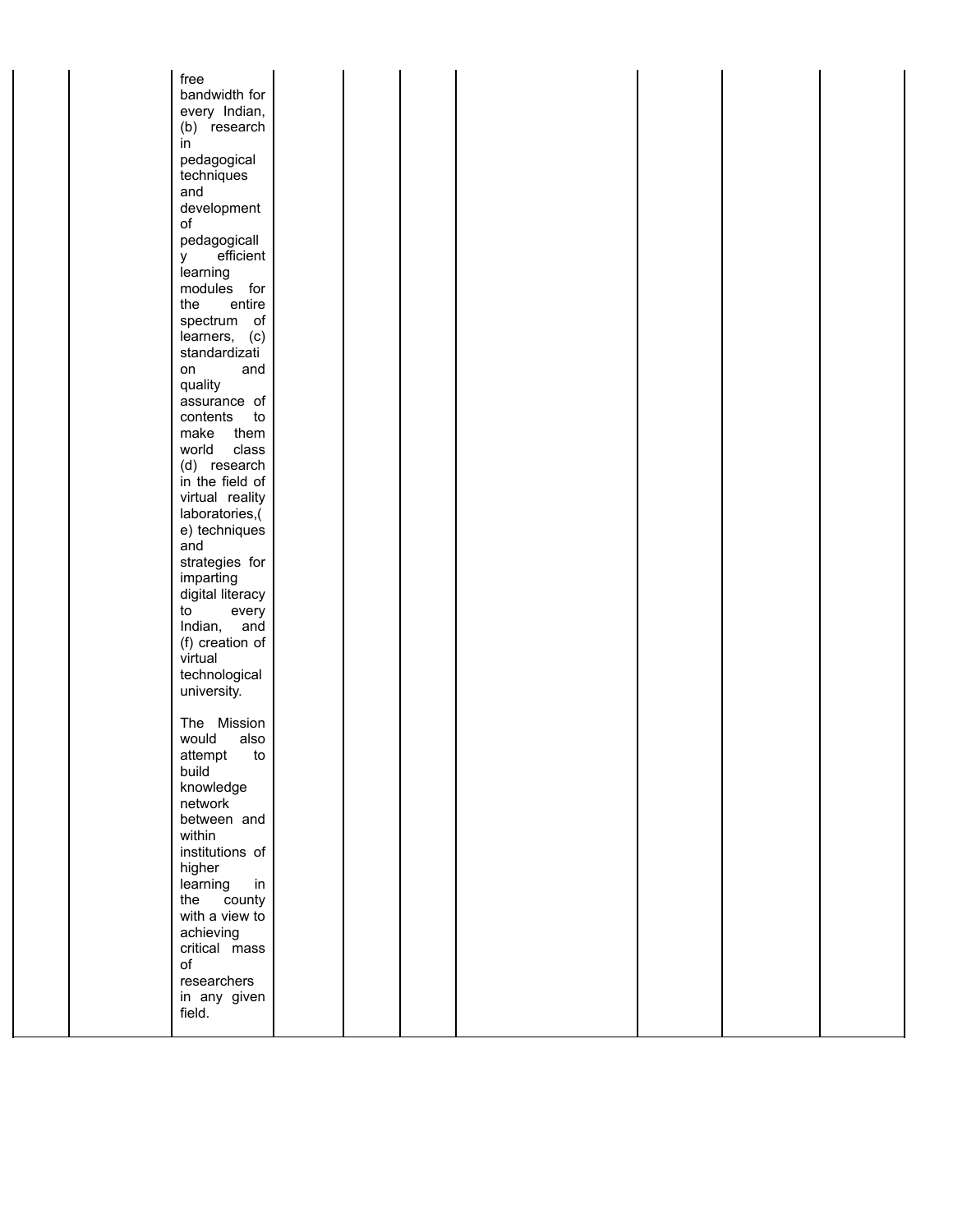| free<br>bandwidth for           |  |  |  |  |
|---------------------------------|--|--|--|--|
| every Indian,<br>(b) research   |  |  |  |  |
| in                              |  |  |  |  |
| pedagogical<br>techniques       |  |  |  |  |
| and                             |  |  |  |  |
| development<br>of               |  |  |  |  |
| pedagogicall<br>efficient<br>у  |  |  |  |  |
| learning<br>modules for         |  |  |  |  |
| entire<br>the                   |  |  |  |  |
| spectrum of                     |  |  |  |  |
| learners, (c)<br>standardizati  |  |  |  |  |
| on<br>and<br>quality            |  |  |  |  |
| assurance of                    |  |  |  |  |
| contents<br>to<br>make<br>them  |  |  |  |  |
| world<br>class                  |  |  |  |  |
| (d) research<br>in the field of |  |  |  |  |
| virtual reality                 |  |  |  |  |
| laboratories,(<br>e) techniques |  |  |  |  |
| and                             |  |  |  |  |
| strategies for<br>imparting     |  |  |  |  |
| digital literacy                |  |  |  |  |
| to<br>every<br>Indian,<br>and   |  |  |  |  |
| (f) creation of<br>virtual      |  |  |  |  |
| technological                   |  |  |  |  |
| university.                     |  |  |  |  |
| The Mission                     |  |  |  |  |
| would<br>also<br>attempt<br>to  |  |  |  |  |
| build<br>knowledge              |  |  |  |  |
| network                         |  |  |  |  |
| between and<br>within           |  |  |  |  |
| institutions of                 |  |  |  |  |
| higher<br>learning<br>in        |  |  |  |  |
| county<br>the                   |  |  |  |  |
| with a view to<br>achieving     |  |  |  |  |
| critical mass<br>of             |  |  |  |  |
| researchers                     |  |  |  |  |
| in any given<br>field.          |  |  |  |  |
|                                 |  |  |  |  |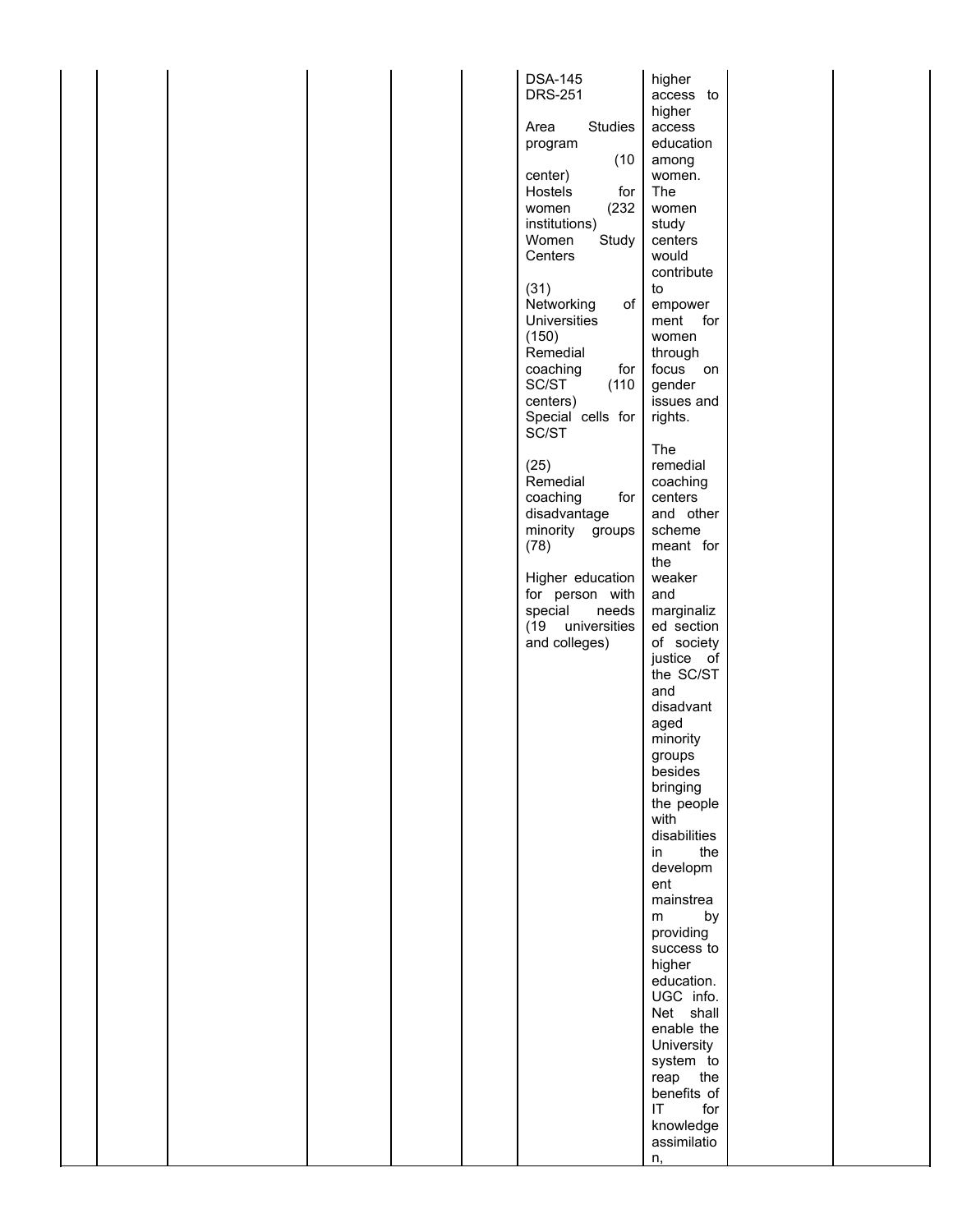|  |  |  | <b>DSA-145</b>                          | higher                                       |  |
|--|--|--|-----------------------------------------|----------------------------------------------|--|
|  |  |  | <b>DRS-251</b>                          | access to<br>higher                          |  |
|  |  |  | <b>Studies</b><br>Area                  | access                                       |  |
|  |  |  | program                                 | education                                    |  |
|  |  |  | (10)                                    | among                                        |  |
|  |  |  | center)<br>Hostels<br>for               | women.<br>The                                |  |
|  |  |  | women<br>(232)                          | women                                        |  |
|  |  |  | institutions)                           | study                                        |  |
|  |  |  | Women<br>Study<br>Centers               | centers<br>would                             |  |
|  |  |  |                                         | contribute                                   |  |
|  |  |  | (31)                                    | to                                           |  |
|  |  |  | Networking<br>of<br><b>Universities</b> | empower<br>ment for                          |  |
|  |  |  | (150)                                   | women                                        |  |
|  |  |  | Remedial                                | through                                      |  |
|  |  |  | coaching<br>for                         | focus on                                     |  |
|  |  |  | SC/ST<br>(110)<br>centers)              | gender<br>issues and                         |  |
|  |  |  | Special cells for                       | rights.                                      |  |
|  |  |  | SC/ST                                   |                                              |  |
|  |  |  | (25)                                    | The<br>remedial                              |  |
|  |  |  | Remedial                                | coaching                                     |  |
|  |  |  | coaching<br>for                         | centers                                      |  |
|  |  |  | disadvantage<br>minority groups         | and other<br>scheme                          |  |
|  |  |  | (78)                                    | meant for                                    |  |
|  |  |  |                                         | the                                          |  |
|  |  |  | Higher education<br>for person with     | weaker<br>and                                |  |
|  |  |  | special<br>needs                        | marginaliz                                   |  |
|  |  |  | (19 universities                        | ed section                                   |  |
|  |  |  | and colleges)                           | of society<br>justice of                     |  |
|  |  |  |                                         | the SC/ST                                    |  |
|  |  |  |                                         | and                                          |  |
|  |  |  |                                         | disadvant<br>aged                            |  |
|  |  |  |                                         | minority                                     |  |
|  |  |  |                                         | groups                                       |  |
|  |  |  |                                         | besides<br>bringing                          |  |
|  |  |  |                                         | the people                                   |  |
|  |  |  |                                         | with                                         |  |
|  |  |  |                                         | disabilities<br>the<br>in                    |  |
|  |  |  |                                         | developm                                     |  |
|  |  |  |                                         | ent                                          |  |
|  |  |  |                                         | mainstrea<br>by<br>m                         |  |
|  |  |  |                                         | providing                                    |  |
|  |  |  |                                         | success to                                   |  |
|  |  |  |                                         | higher<br>education.                         |  |
|  |  |  |                                         | UGC info.                                    |  |
|  |  |  |                                         | Net shall                                    |  |
|  |  |  |                                         | enable the<br>University                     |  |
|  |  |  |                                         | system to                                    |  |
|  |  |  |                                         | reap the                                     |  |
|  |  |  |                                         | benefits of<br>$\mathsf{I}\mathsf{T}$<br>for |  |
|  |  |  |                                         | knowledge                                    |  |
|  |  |  |                                         | assimilatio                                  |  |
|  |  |  |                                         | n,                                           |  |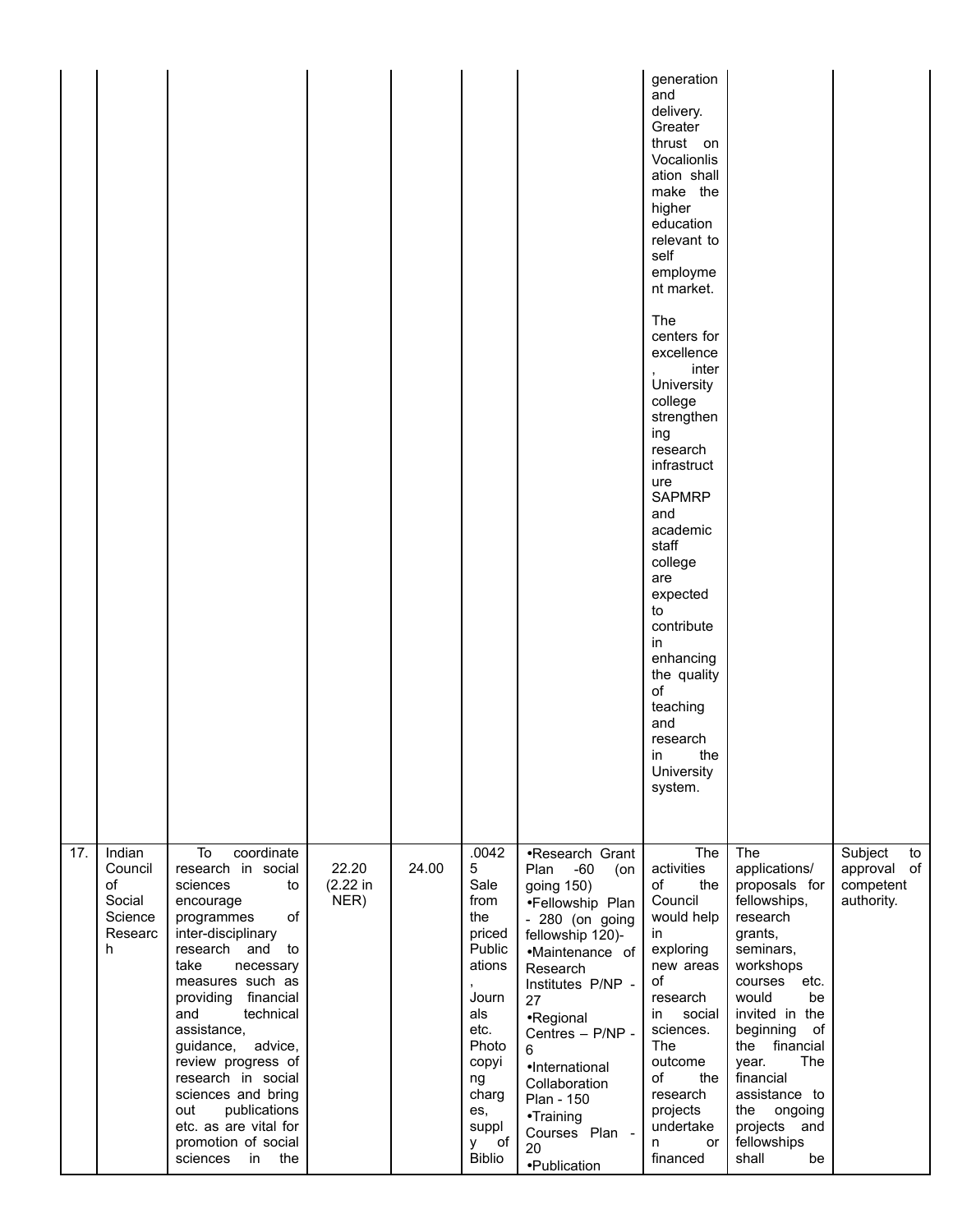|     |                                                              |                                                                                                                                                                                                                                                                                                                                                                                                                                    |                           |       |                                                                                                                                                               |                                                                                                                                                                                                                                                                                                                        | generation<br>and<br>delivery.<br>Greater<br>thrust on<br>Vocalionlis<br>ation shall<br>make the<br>higher<br>education<br>relevant to<br>self<br>employme<br>nt market.<br>The<br>centers for<br>excellence<br>inter<br>University<br>college<br>strengthen<br>ing<br>research<br>infrastruct<br>ure<br><b>SAPMRP</b><br>and<br>academic<br>staff<br>college<br>are<br>expected<br>to<br>contribute<br>in<br>enhancing<br>the quality<br>of<br>teaching<br>and<br>research<br>the<br>in<br>University<br>system. |                                                                                                                                                                                                                                                                                                                    |                                                         |
|-----|--------------------------------------------------------------|------------------------------------------------------------------------------------------------------------------------------------------------------------------------------------------------------------------------------------------------------------------------------------------------------------------------------------------------------------------------------------------------------------------------------------|---------------------------|-------|---------------------------------------------------------------------------------------------------------------------------------------------------------------|------------------------------------------------------------------------------------------------------------------------------------------------------------------------------------------------------------------------------------------------------------------------------------------------------------------------|-------------------------------------------------------------------------------------------------------------------------------------------------------------------------------------------------------------------------------------------------------------------------------------------------------------------------------------------------------------------------------------------------------------------------------------------------------------------------------------------------------------------|--------------------------------------------------------------------------------------------------------------------------------------------------------------------------------------------------------------------------------------------------------------------------------------------------------------------|---------------------------------------------------------|
| 17. | Indian<br>Council<br>of<br>Social<br>Science<br>Researc<br>h | To<br>coordinate<br>research in social<br>sciences<br>to<br>encourage<br>of<br>programmes<br>inter-disciplinary<br>research and to<br>take<br>necessary<br>measures such as<br>financial<br>providing<br>and<br>technical<br>assistance.<br>guidance,<br>advice,<br>review progress of<br>research in social<br>sciences and bring<br>publications<br>out<br>etc. as are vital for<br>promotion of social<br>sciences<br>in<br>the | 22.20<br>(2.22 in<br>NER) | 24.00 | .0042<br>5<br>Sale<br>from<br>the<br>priced<br>Public<br>ations<br>Journ<br>als<br>etc.<br>Photo<br>copyi<br>ng<br>charg<br>es,<br>suppl<br>οf<br>v<br>Biblio | •Research Grant<br>Plan<br>$-60$<br>(on<br>going 150)<br>·Fellowship Plan<br>- 280 (on going<br>fellowship 120)-<br>•Maintenance of<br>Research<br>Institutes P/NP -<br>27<br>•Regional<br>Centres - P/NP -<br>6<br>•International<br>Collaboration<br>Plan - 150<br>•Training<br>Courses Plan -<br>20<br>·Publication | The<br>activities<br>of<br>the<br>Council<br>would help<br>in<br>exploring<br>new areas<br>of<br>research<br>in<br>social<br>sciences.<br>The<br>outcome<br>of<br>the<br>research<br>projects<br>undertake<br>or<br>n<br>financed                                                                                                                                                                                                                                                                                 | The<br>applications/<br>proposals for<br>fellowships,<br>research<br>grants,<br>seminars,<br>workshops<br>courses<br>etc.<br>would<br>be<br>invited in the<br>beginning<br>of<br>financial<br>the<br>The<br>year.<br>financial<br>assistance to<br>the<br>ongoing<br>projects<br>and<br>fellowships<br>shall<br>be | Subject<br>to<br>approval of<br>competent<br>authority. |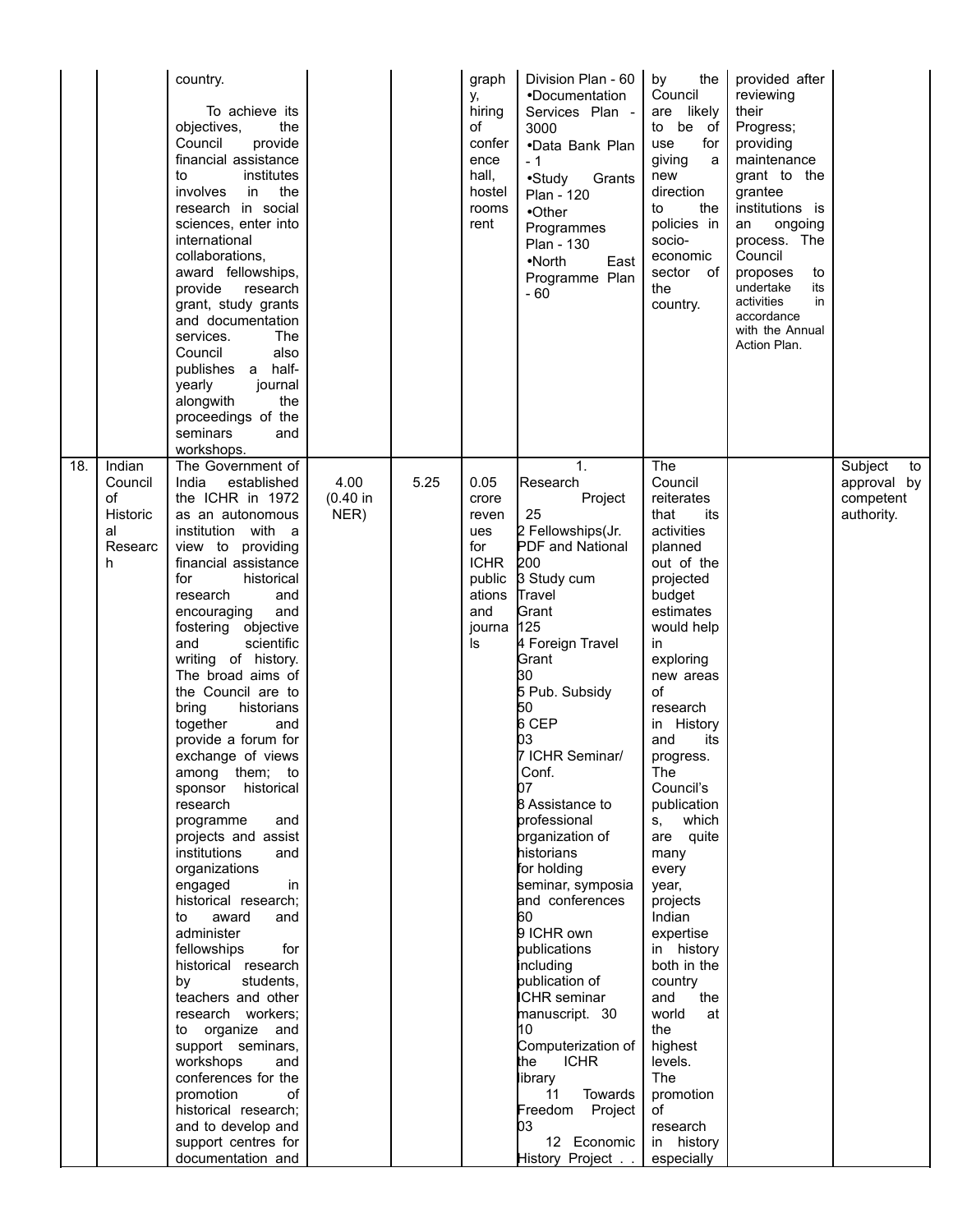|     |                                                            | country.<br>To achieve its<br>the<br>objectives,<br>Council<br>provide<br>financial assistance<br>institutes<br>to<br>involves<br>the<br>in.<br>research in social<br>sciences, enter into<br>international<br>collaborations,<br>award fellowships,<br>provide<br>research<br>grant, study grants<br>and documentation<br>services.<br>The<br>also<br>Council<br>publishes a half-<br>yearly<br>journal<br>the<br>alongwith<br>proceedings of the<br>seminars<br>and<br>workshops.                                                                                                                                                                                                                                                                                                                                                                                                                                                                            |                          |      | graph<br>у,<br>hiring<br>of<br>confer<br>ence<br>hall,<br>hostel<br>rooms<br>rent              | Division Plan - 60<br>•Documentation<br>Services Plan -<br>3000<br>•Data Bank Plan<br>$-1$<br>$\bullet$ Study<br>Grants<br>Plan - 120<br>$\bullet$ Other<br>Programmes<br>Plan - 130<br>$\bullet$ North<br>East<br>Programme Plan<br>$-60$                                                                                                                                                                                                                                                                                                                                                                                       | the<br>by<br>Council<br>are likely<br>to be of<br>use<br>for<br>giving<br>a<br>new<br>direction<br>the<br>to<br>policies in<br>socio-<br>economic<br>sector of<br>the<br>country.                                                                                                                                                                                                                                                                                                                                             | provided after<br>reviewing<br>their<br>Progress;<br>providing<br>maintenance<br>grant to the<br>grantee<br>institutions is<br>ongoing<br>an<br>process. The<br>Council<br>proposes<br>to<br>undertake<br>its<br>activities<br>in<br>accordance<br>with the Annual<br>Action Plan. |                                                         |
|-----|------------------------------------------------------------|----------------------------------------------------------------------------------------------------------------------------------------------------------------------------------------------------------------------------------------------------------------------------------------------------------------------------------------------------------------------------------------------------------------------------------------------------------------------------------------------------------------------------------------------------------------------------------------------------------------------------------------------------------------------------------------------------------------------------------------------------------------------------------------------------------------------------------------------------------------------------------------------------------------------------------------------------------------|--------------------------|------|------------------------------------------------------------------------------------------------|----------------------------------------------------------------------------------------------------------------------------------------------------------------------------------------------------------------------------------------------------------------------------------------------------------------------------------------------------------------------------------------------------------------------------------------------------------------------------------------------------------------------------------------------------------------------------------------------------------------------------------|-------------------------------------------------------------------------------------------------------------------------------------------------------------------------------------------------------------------------------------------------------------------------------------------------------------------------------------------------------------------------------------------------------------------------------------------------------------------------------------------------------------------------------|------------------------------------------------------------------------------------------------------------------------------------------------------------------------------------------------------------------------------------------------------------------------------------|---------------------------------------------------------|
| 18. | Indian<br>Council<br>of<br>Historic<br>al<br>Researc<br>h. | The Government of<br>India<br>established<br>the ICHR in 1972<br>as an autonomous<br>institution with a<br>view to providing<br>financial assistance<br>for<br>historical<br>research<br>and<br>encouraging<br>and<br>fostering objective<br>and<br>scientific<br>writing of history.<br>The broad aims of<br>the Council are to<br>bring<br>historians<br>together<br>and<br>provide a forum for<br>exchange of views<br>among them; to<br>sponsor<br>historical<br>research<br>programme<br>and<br>projects and assist<br>institutions<br>and<br>organizations<br>engaged<br>in<br>historical research;<br>award<br>to<br>and<br>administer<br>fellowships<br>for<br>historical research<br>by<br>students,<br>teachers and other<br>research workers;<br>organize<br>to<br>and<br>support seminars,<br>workshops<br>and<br>conferences for the<br>promotion<br>οf<br>historical research;<br>and to develop and<br>support centres for<br>documentation and | 4.00<br>(0.40 in<br>NER) | 5.25 | 0.05<br>crore<br>reven<br>ues<br>for<br><b>ICHR</b><br>public<br>ations<br>and<br>journa<br>ls | 1 <sub>1</sub><br>Research<br>Project<br>25<br>2 Fellowships(Jr.<br>PDF and National<br>200<br>3 Study cum<br>Travel<br>Grant<br>125<br>4 Foreign Travel<br>Grant<br>30<br>5 Pub. Subsidy<br>50<br>6 CEP<br>03<br>7 ICHR Seminar/<br>Conf.<br>07<br>8 Assistance to<br>professional<br>prganization of<br>historians<br>for holding<br>seminar, symposia<br>and conferences<br>60<br>9 ICHR own<br>publications<br>including<br>publication of<br><b>ICHR</b> seminar<br>manuscript. 30<br>10<br>Computerization of<br><b>ICHR</b><br>the<br>library<br>11<br>Towards<br>Freedom Project<br>bз<br>12 Economic<br>History Project | The<br>Council<br>reiterates<br>that<br>its<br>activities<br>planned<br>out of the<br>projected<br>budget<br>estimates<br>would help<br>in.<br>exploring<br>new areas<br>of<br>research<br>in History<br>and<br>its<br>progress.<br>The<br>Council's<br>publication<br>s, which<br>are quite<br>many<br>every<br>year,<br>projects<br>Indian<br>expertise<br>in history<br>both in the<br>country<br>and<br>the<br>world<br>at<br>the<br>highest<br>levels.<br>The<br>promotion<br>of<br>research<br>in history<br>especially |                                                                                                                                                                                                                                                                                    | Subject<br>to<br>approval by<br>competent<br>authority. |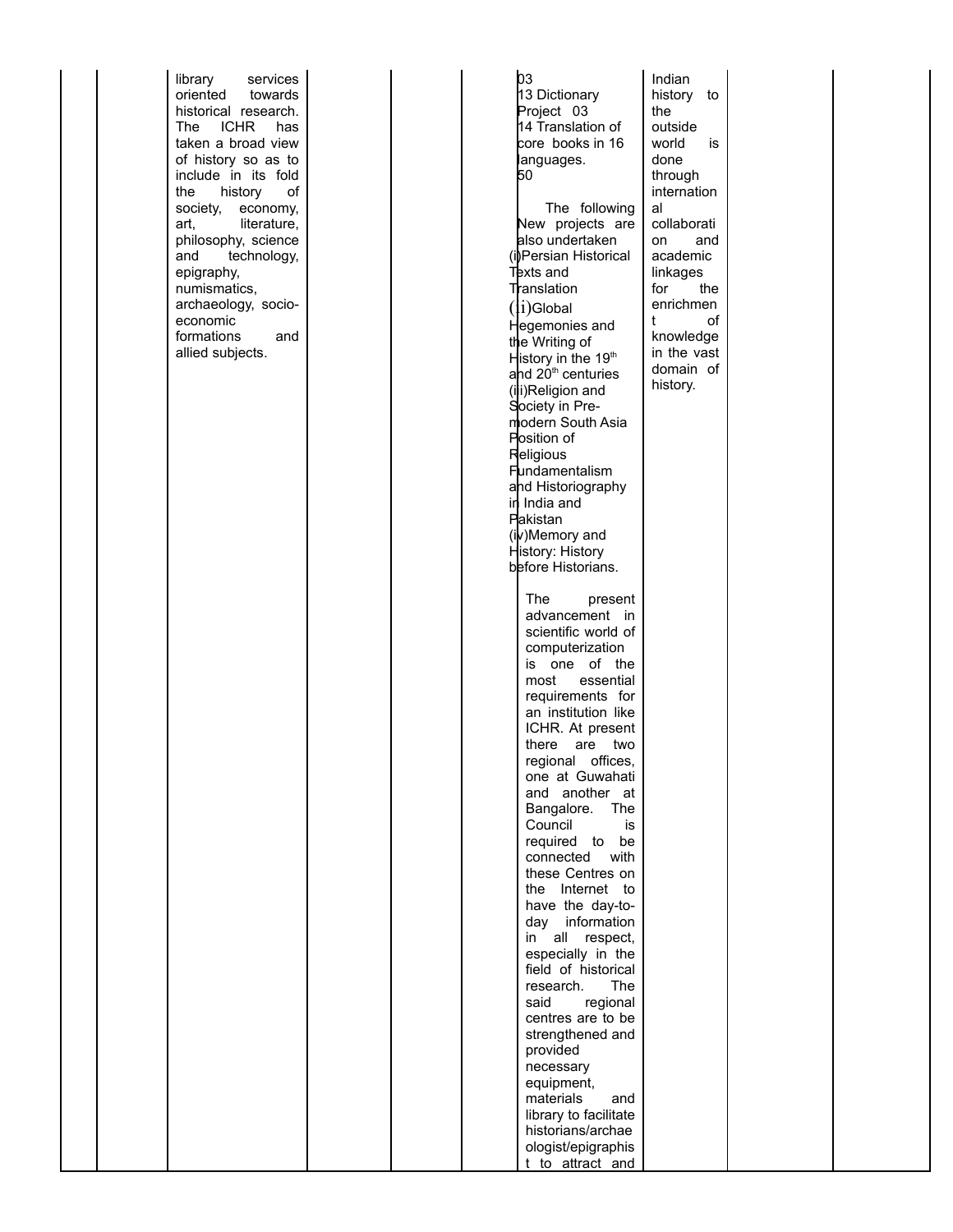library service s orie nte d toward s historical rese arch. **The ICHR** h a s taken a broad view o f history so a s to inclu d e in its fold th e history o f society, economy, art, literature, philosophy, science a n d tech n olo g y , epigraphy, n umismatics, archaeology, socioeco n omic formatio n s a n d allie d su bjects.

0 3 1 3 Dictio n ary Project 0 3 14 Translation of core books in 16 languages. 5 0 Th e followin g Ne w projects are also u n d ertake n (i)Persia n Historical Texts and ranslation (i i )Glo b al He g emo nies a n d th e Writin g o f History in the 19<sup>th</sup> ahd 20<sup>th</sup> centuries (ili)Religion and Society in Pre modern South Asia Position of Religious Fundamentalism ahd Historiography in India and Pakista n (iv)Memory and History: History before Historians. Th e prese n t a dva nceme n t in scie ntific world o f comp uterizatio n is one of the most essential requirements for a n institutio n like ICHR. At present th ere are two re gio n al o ffices, one at Guwahati and another at Bangalore. The Co u ncil is required to be co n n ecte d with these Centres on the Internet to have the day-tod a y informatio n in all resp ect, esp ecially in th e field of historical rese arch. Th The said gional ce ntre s are to b e strengthened and provid e d n ecessary e q uipme nt, materials a n d library to facilitate historians/archae ologist/epigraphis t to attract and al t

In dia n history to th e o utsid e world is done through intern atio n colla b orati o n a n d aca d emic linka g e s fo r th e e nrichme n o f kn owle d g e in th e vast d omain o f history.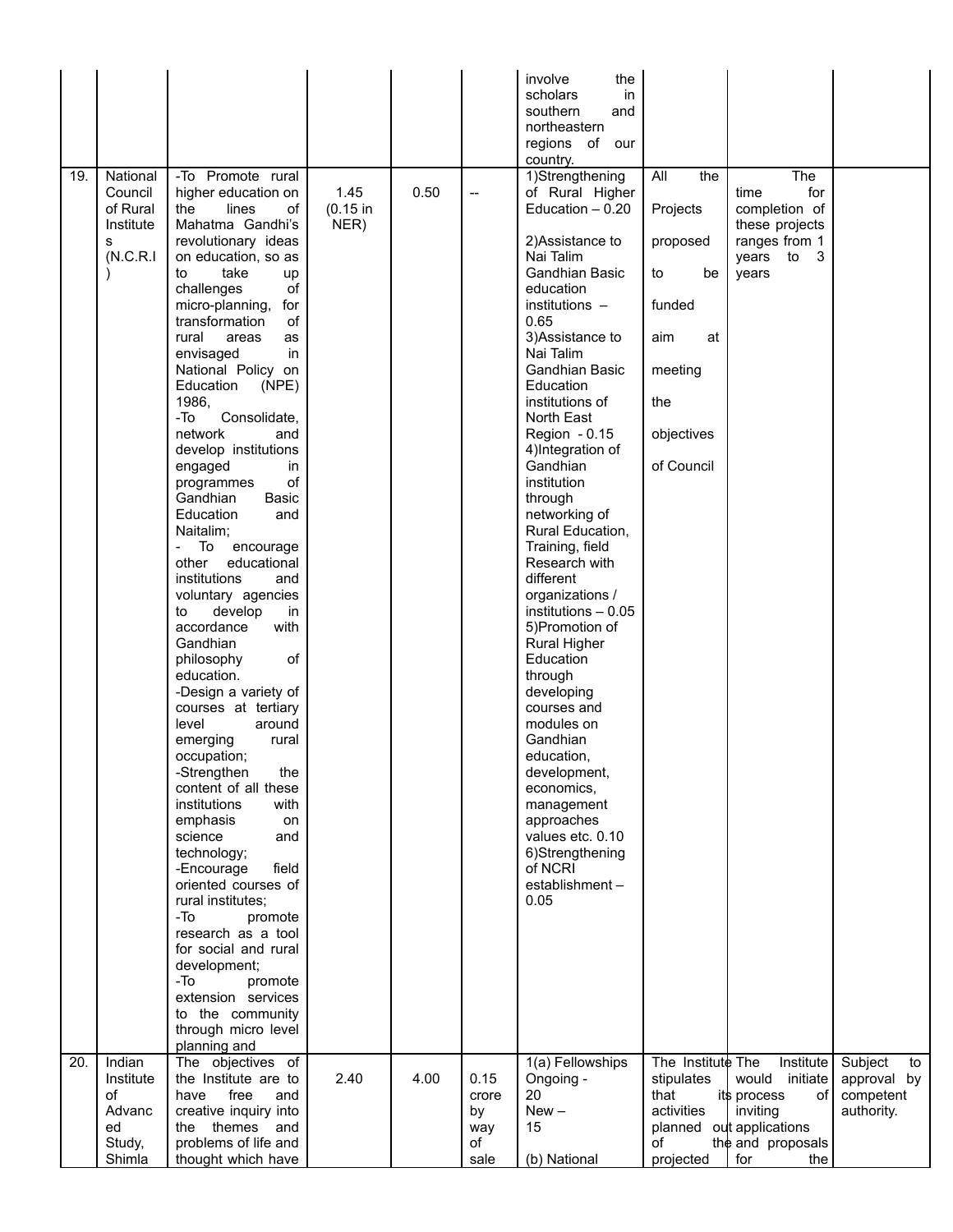| 19. | National<br>Council<br>of Rural<br>Institute<br>s<br>(N.C.R.1) | -To Promote rural<br>higher education on<br>lines<br>the<br>οf<br>Mahatma Gandhi's<br>revolutionary ideas<br>on education, so as<br>to<br>take<br>up<br>challenges<br>of<br>micro-planning,<br>for<br>transformation<br>οf<br>rural<br>areas<br>as<br>in<br>envisaged<br>National Policy on<br>Education<br>(NPE)<br>1986,<br>-To<br>Consolidate,<br>network<br>and<br>develop institutions<br>engaged<br>in<br>οf<br>programmes<br>Gandhian<br>Basic<br>Education<br>and<br>Naitalim;<br>To<br>encourage<br>other<br>educational<br>institutions<br>and<br>voluntary agencies<br>develop<br>to<br>in<br>accordance<br>with<br>Gandhian<br>οf<br>philosophy<br>education.<br>-Design a variety of<br>courses at tertiary<br>level<br>around<br>emerging<br>rural<br>occupation;<br>the<br>-Strengthen<br>content of all these<br>institutions<br>with<br>emphasis<br>on<br>science<br>and<br>technology;<br>-Encourage<br>field<br>oriented courses of<br>rural institutes;<br>-To<br>promote<br>research as a tool<br>for social and rural<br>development;<br>-To<br>promote<br>extension services | 1.45<br>(0.15 in<br>NER) | 0.50 | $\qquad \qquad \qquad -$                 | involve<br>the<br>scholars<br>in<br>southern<br>and<br>northeastern<br>regions of our<br>country.<br>1)Strengthening<br>of Rural Higher<br>Education - 0.20<br>2) Assistance to<br>Nai Talim<br>Gandhian Basic<br>education<br>$institutions -$<br>0.65<br>3) Assistance to<br>Nai Talim<br><b>Gandhian Basic</b><br>Education<br>institutions of<br>North East<br>Region - 0.15<br>4) Integration of<br>Gandhian<br>institution<br>through<br>networking of<br>Rural Education,<br>Training, field<br>Research with<br>different<br>organizations /<br>institutions - 0.05<br>5) Promotion of<br><b>Rural Higher</b><br>Education<br>through<br>developing<br>courses and<br>modules on<br>Gandhian<br>education,<br>development,<br>economics,<br>management<br>approaches<br>values etc. 0.10<br>6)Strengthening<br>of NCRI<br>establishment-<br>0.05 | All<br>the<br>Projects<br>proposed<br>to<br>be<br>funded<br>at<br>aim<br>meeting<br>the<br>objectives<br>of Council | The<br>for<br>time<br>completion of<br>these projects<br>ranges from 1<br>years to<br>3<br>years                               |                                                         |
|-----|----------------------------------------------------------------|-----------------------------------------------------------------------------------------------------------------------------------------------------------------------------------------------------------------------------------------------------------------------------------------------------------------------------------------------------------------------------------------------------------------------------------------------------------------------------------------------------------------------------------------------------------------------------------------------------------------------------------------------------------------------------------------------------------------------------------------------------------------------------------------------------------------------------------------------------------------------------------------------------------------------------------------------------------------------------------------------------------------------------------------------------------------------------------------------------|--------------------------|------|------------------------------------------|----------------------------------------------------------------------------------------------------------------------------------------------------------------------------------------------------------------------------------------------------------------------------------------------------------------------------------------------------------------------------------------------------------------------------------------------------------------------------------------------------------------------------------------------------------------------------------------------------------------------------------------------------------------------------------------------------------------------------------------------------------------------------------------------------------------------------------------------------------|---------------------------------------------------------------------------------------------------------------------|--------------------------------------------------------------------------------------------------------------------------------|---------------------------------------------------------|
|     |                                                                | to the community<br>through micro level<br>planning and                                                                                                                                                                                                                                                                                                                                                                                                                                                                                                                                                                                                                                                                                                                                                                                                                                                                                                                                                                                                                                             |                          |      |                                          |                                                                                                                                                                                                                                                                                                                                                                                                                                                                                                                                                                                                                                                                                                                                                                                                                                                          |                                                                                                                     |                                                                                                                                |                                                         |
| 20. | Indian<br>Institute<br>of<br>Advanc<br>ed<br>Study,<br>Shimla  | The objectives of<br>the Institute are to<br>free<br>have<br>and<br>creative inquiry into<br>themes<br>the<br>and<br>problems of life and<br>thought which have                                                                                                                                                                                                                                                                                                                                                                                                                                                                                                                                                                                                                                                                                                                                                                                                                                                                                                                                     | 2.40                     | 4.00 | 0.15<br>crore<br>by<br>way<br>οf<br>sale | 1(a) Fellowships<br>Ongoing -<br>20<br>$New -$<br>15<br>(b) National                                                                                                                                                                                                                                                                                                                                                                                                                                                                                                                                                                                                                                                                                                                                                                                     | The Institute The<br>stipulates<br>that<br>activities<br>of<br>projected                                            | Institute<br>would<br>initiate<br>its process<br>of<br>inviting<br>planned out applications<br>the and proposals<br>for<br>the | Subject<br>to<br>approval by<br>competent<br>authority. |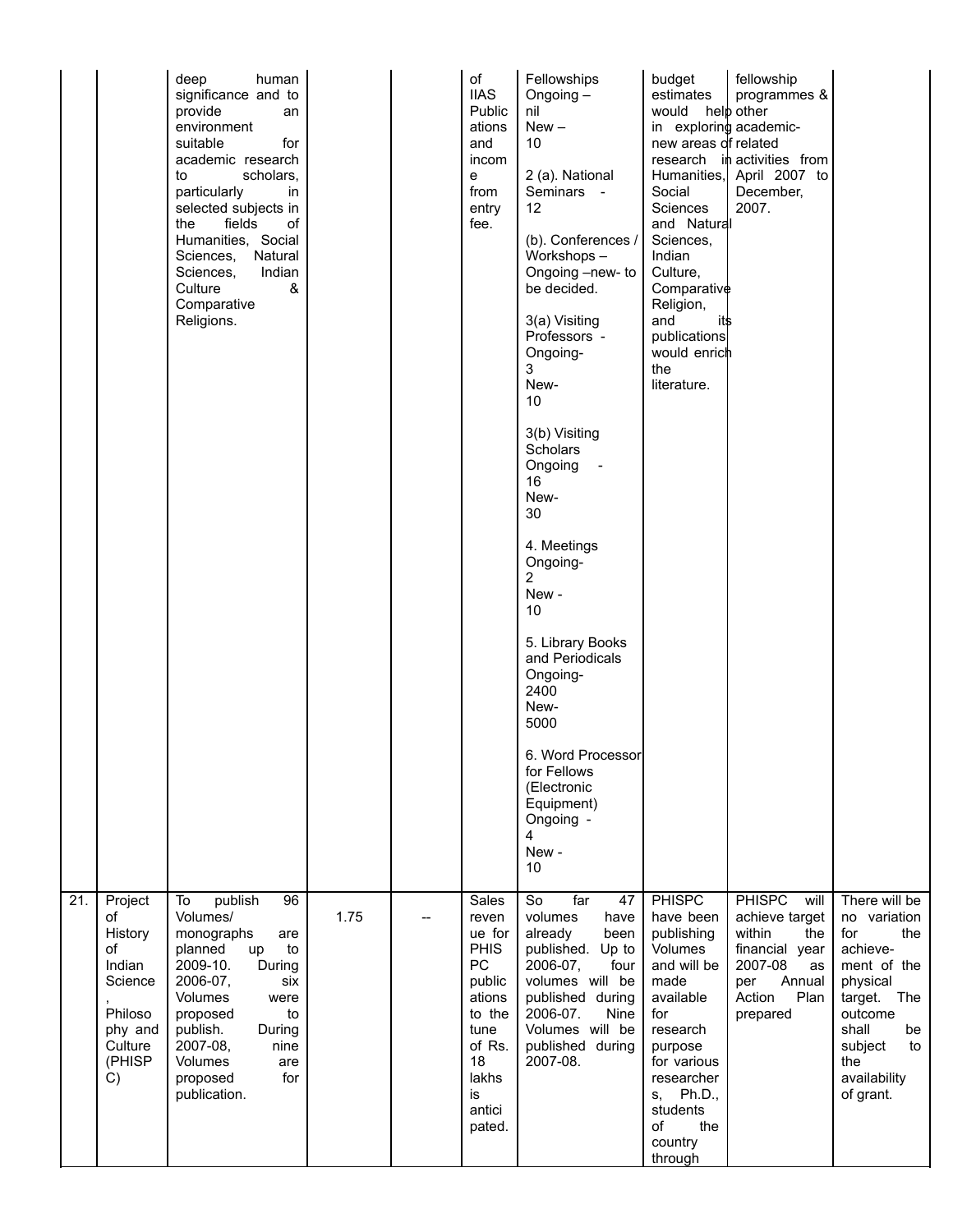|                 |                                                                                                      | deep<br>human<br>significance and to<br>provide<br>an<br>environment<br>for<br>suitable<br>academic research<br>scholars,<br>to<br>particularly<br>in<br>selected subjects in<br>fields<br>the<br>οf<br>Humanities, Social<br>Sciences, Natural<br>Sciences,<br>Indian<br>&<br>Culture<br>Comparative<br>Religions. |      |    | of<br><b>IIAS</b><br>Public<br>ations<br>and<br>incom<br>е<br>from<br>entry<br>fee.                                                    | Fellowships<br>Ongoing-<br>nil<br>$New -$<br>10<br>2 (a). National<br>Seminars -<br>12<br>(b). Conferences /<br>Workshops-<br>Ongoing -new- to<br>be decided.<br>3(a) Visiting<br>Professors -<br>Ongoing-<br>3<br>New-<br>10<br>3(b) Visiting<br>Scholars<br>Ongoing<br>16<br>New-<br>30<br>4. Meetings<br>Ongoing-<br>2<br>New-<br>10<br>5. Library Books<br>and Periodicals<br>Ongoing-<br>2400<br>New-<br>5000<br>6. Word Processor<br>for Fellows<br>(Electronic<br>Equipment)<br>Ongoing -<br>4<br>New-<br>10 | budget<br>estimates<br>would<br>in exploring academic-<br>new areas of related<br>Social<br>Sciences<br>and Natural<br>Sciences,<br>Indian<br>Culture,<br>Comparative<br>Religion,<br>and<br>it\$<br>publications<br>would enrich<br>the<br>literature. | fellowship<br>programmes &<br>help other<br>research in activities from<br>Humanities, April 2007 to<br>December,<br>2007.                 |                                                                                                                                                                                     |
|-----------------|------------------------------------------------------------------------------------------------------|---------------------------------------------------------------------------------------------------------------------------------------------------------------------------------------------------------------------------------------------------------------------------------------------------------------------|------|----|----------------------------------------------------------------------------------------------------------------------------------------|---------------------------------------------------------------------------------------------------------------------------------------------------------------------------------------------------------------------------------------------------------------------------------------------------------------------------------------------------------------------------------------------------------------------------------------------------------------------------------------------------------------------|---------------------------------------------------------------------------------------------------------------------------------------------------------------------------------------------------------------------------------------------------------|--------------------------------------------------------------------------------------------------------------------------------------------|-------------------------------------------------------------------------------------------------------------------------------------------------------------------------------------|
| $\overline{21}$ | Project<br>of<br>History<br>οf<br>Indian<br>Science<br>Philoso<br>phy and<br>Culture<br>(PHISP<br>C) | publish<br>To<br>96<br>Volumes/<br>monographs<br>are<br>planned<br>to<br>up<br>2009-10.<br>During<br>2006-07,<br>six<br>Volumes<br>were<br>to<br>proposed<br>publish.<br>During<br>2007-08,<br>nine<br>Volumes<br>are<br>for<br>proposed<br>publication.                                                            | 1.75 | -- | Sales<br>reven<br>ue for<br><b>PHIS</b><br>PC<br>public<br>ations<br>to the<br>tune<br>of Rs.<br>18<br>lakhs<br>is<br>antici<br>pated. | So<br>far<br>47<br>volumes<br>have<br>already<br>been<br>published. Up to<br>2006-07,<br>four<br>volumes will be<br>published during<br>2006-07.<br>Nine<br>Volumes will be<br>published during<br>2007-08.                                                                                                                                                                                                                                                                                                         | <b>PHISPC</b><br>have been<br>publishing<br>Volumes<br>and will be<br>made<br>available<br>for<br>research<br>purpose<br>for various<br>researcher<br>Ph.D.,<br>S,<br>students<br>the<br>of<br>country<br>through                                       | <b>PHISPC</b><br>will<br>achieve target<br>within<br>the<br>financial year<br>2007-08<br>as<br>Annual<br>per<br>Plan<br>Action<br>prepared | There will be<br>no variation<br>for<br>the<br>achieve-<br>ment of the<br>physical<br>target.<br>The<br>outcome<br>shall<br>be<br>subject<br>to<br>the<br>availability<br>of grant. |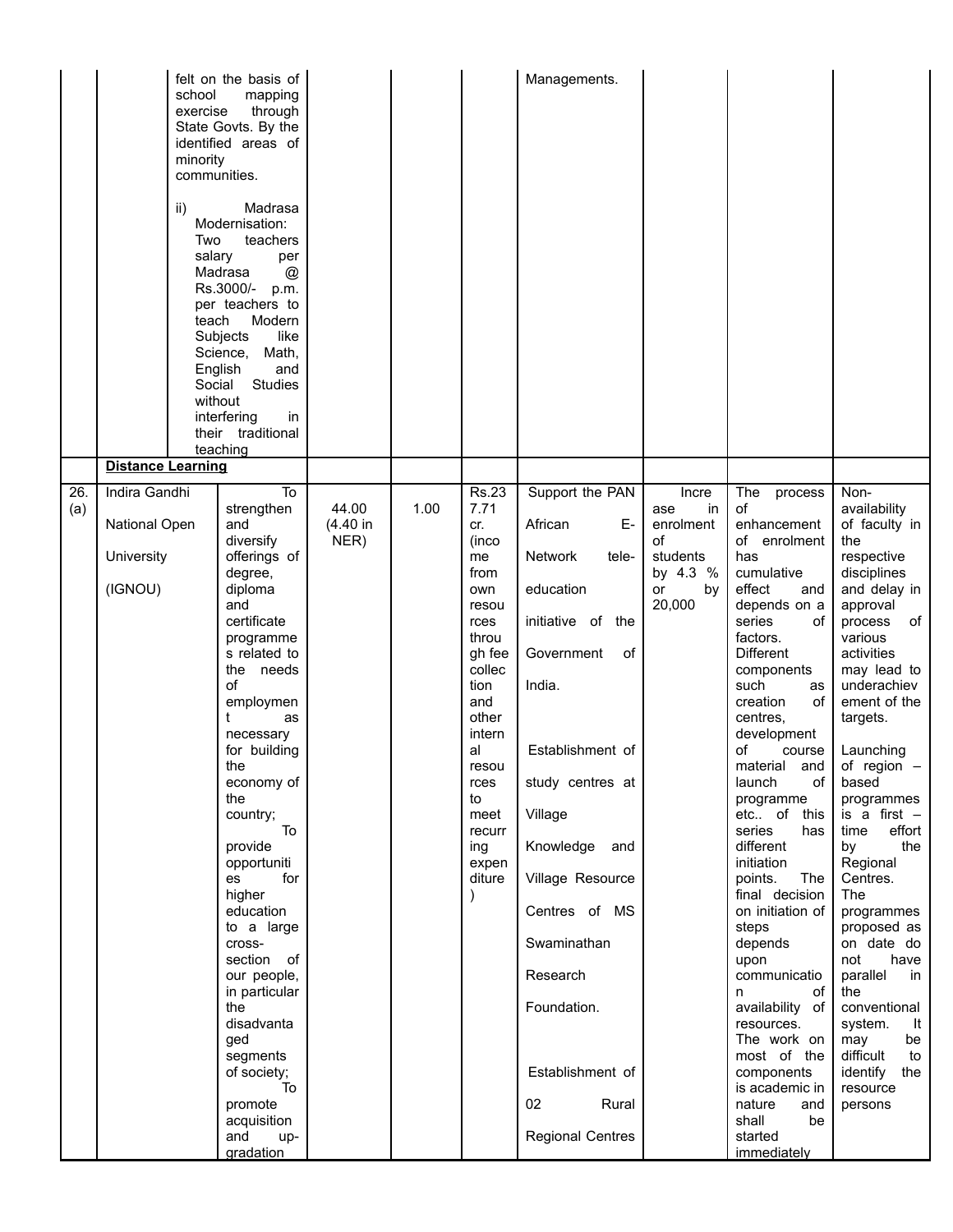|            | school<br>exercise<br>minority<br>communities.<br>ii)<br>Two<br>salary<br>teach<br>Social | felt on the basis of<br>mapping<br>through<br>State Govts. By the<br>identified areas of<br>Madrasa<br>Modernisation:<br>teachers<br>per<br>Madrasa<br>$^{\circledR}$<br>Rs.3000/-<br>p.m.<br>per teachers to<br>Modern<br>Subjects<br>like<br>Science,<br>Math,<br>English<br>and<br><b>Studies</b><br>without<br>interfering<br>in<br>their traditional<br>teaching                                                                                                         |                           |      |                                                                                                                                                                                                                    | Managements.                                                                                                                                                                                                                                                                                                  |                                                                                     |                                                                                                                                                                                                                                                                                                                                                                                                                                                                                                                                                                                                            |                                                                                                                                                                                                                                                                                                                                                                                                                                                                                                                                            |
|------------|-------------------------------------------------------------------------------------------|-------------------------------------------------------------------------------------------------------------------------------------------------------------------------------------------------------------------------------------------------------------------------------------------------------------------------------------------------------------------------------------------------------------------------------------------------------------------------------|---------------------------|------|--------------------------------------------------------------------------------------------------------------------------------------------------------------------------------------------------------------------|---------------------------------------------------------------------------------------------------------------------------------------------------------------------------------------------------------------------------------------------------------------------------------------------------------------|-------------------------------------------------------------------------------------|------------------------------------------------------------------------------------------------------------------------------------------------------------------------------------------------------------------------------------------------------------------------------------------------------------------------------------------------------------------------------------------------------------------------------------------------------------------------------------------------------------------------------------------------------------------------------------------------------------|--------------------------------------------------------------------------------------------------------------------------------------------------------------------------------------------------------------------------------------------------------------------------------------------------------------------------------------------------------------------------------------------------------------------------------------------------------------------------------------------------------------------------------------------|
| 26.<br>(a) | <b>Distance Learning</b><br>Indira Gandhi<br>National Open<br>University<br>(IGNOU)       | To<br>strengthen<br>and<br>diversify<br>offerings of<br>degree,<br>diploma<br>and<br>certificate<br>programme<br>s related to<br>the needs<br>of<br>employmen<br>t<br>as<br>necessary<br>for building<br>me<br>economy of<br>the<br>country;<br>To<br>provide<br>opportuniti<br>for<br>es<br>higher<br>education<br>to a large<br>cross-<br>section of<br>our people,<br>in particular<br>the<br>disadvanta<br>ged<br>segments<br>of society;<br>To<br>promote<br>acquisition | 44.00<br>(4.40 in<br>NER) | 1.00 | <b>Rs.23</b><br>7.71<br>cr.<br>(inco<br>me<br>from<br>own<br>resou<br>rces<br>throu<br>gh fee<br>collec<br>tion<br>and<br>other<br>intern<br>al<br>resou<br>rces<br>to<br>meet<br>recurr<br>ing<br>expen<br>diture | Support the PAN<br>African<br>Е-<br>Network<br>tele-<br>education<br>initiative of the<br>Government<br>of<br>India.<br>Establishment of<br>study centres at<br>Village<br>Knowledge<br>and<br>Village Resource<br>Centres of MS<br>Swaminathan<br>Research<br>Foundation.<br>Establishment of<br>02<br>Rural | Incre<br>in<br>ase<br>enrolment<br>οf<br>students<br>by 4.3 %<br>or<br>by<br>20,000 | The process<br>of<br>enhancement<br>of enrolment<br>has<br>cumulative<br>effect<br>and<br>depends on a<br>series<br>οf<br>factors.<br><b>Different</b><br>components<br>such<br>as<br>creation<br>οf<br>centres,<br>development<br>οf<br>course<br>material<br>and<br>launch<br>of l<br>programme<br>etc of this<br>series<br>has<br>different<br>initiation<br>points.<br>The<br>final decision<br>on initiation of<br>steps<br>depends<br>upon<br>communicatio<br>οf<br>n<br>availability of<br>resources.<br>The work on<br>most of the<br>components<br>is academic in<br>nature<br>and<br>shall<br>be | Non-<br>availability<br>of faculty in<br>the<br>respective<br>disciplines<br>and delay in<br>approval<br>of<br>process<br>various<br>activities<br>may lead to<br>underachiev<br>ement of the<br>targets.<br>Launching<br>or region $-$<br>based<br>programmes<br>is a first $-$<br>effort<br>time<br>by<br>the<br>Regional<br>Centres.<br>The<br>programmes<br>proposed as<br>on date do<br>not<br>have<br>parallel<br>in.<br>the<br>conventional<br>system.<br>It<br>be<br>may<br>difficult<br>to<br>identify the<br>resource<br>persons |
|            |                                                                                           | and<br>up-<br>gradation                                                                                                                                                                                                                                                                                                                                                                                                                                                       |                           |      |                                                                                                                                                                                                                    | <b>Regional Centres</b>                                                                                                                                                                                                                                                                                       |                                                                                     | started<br>immediately                                                                                                                                                                                                                                                                                                                                                                                                                                                                                                                                                                                     |                                                                                                                                                                                                                                                                                                                                                                                                                                                                                                                                            |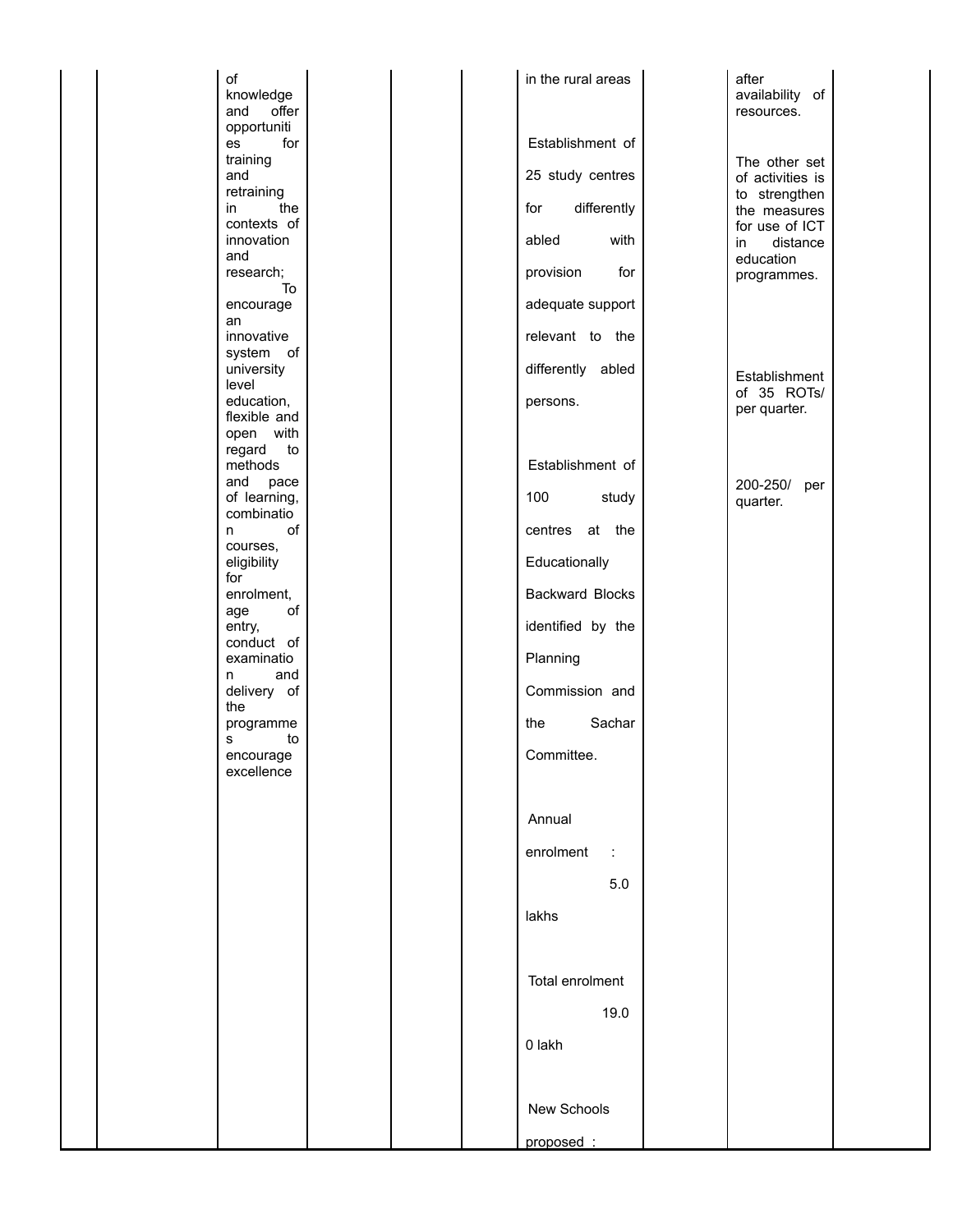| of<br>knowledge<br>and<br>offer                      |  | in the rural areas                      | after<br>availability of<br>resources.                            |  |
|------------------------------------------------------|--|-----------------------------------------|-------------------------------------------------------------------|--|
| opportuniti<br>for<br>es<br>training<br>and          |  | Establishment of<br>25 study centres    | The other set<br>of activities is                                 |  |
| retraining<br>the<br>in<br>contexts of<br>innovation |  | differently<br>for<br>abled<br>with     | to strengthen<br>the measures<br>for use of ICT<br>distance<br>in |  |
| and<br>research;<br>To<br>encourage                  |  | provision<br>for<br>adequate support    | education<br>programmes.                                          |  |
| an<br>innovative<br>system of                        |  | relevant to the                         |                                                                   |  |
| university<br>level<br>education,<br>flexible and    |  | differently abled<br>persons.           | Establishment<br>of 35 ROTs/<br>per quarter.                      |  |
| open with<br>regard<br>to<br>methods<br>and<br>pace  |  | Establishment of                        | 200-250/<br>per                                                   |  |
| of learning,<br>combinatio<br>of<br>n.<br>courses,   |  | 100<br>study<br>at the<br>centres       | quarter.                                                          |  |
| eligibility<br>for<br>enrolment,<br>of<br>age        |  | Educationally<br><b>Backward Blocks</b> |                                                                   |  |
| entry,<br>conduct of<br>examinatio                   |  | identified by the<br>Planning           |                                                                   |  |
| and<br>n<br>delivery of<br>the<br>programme          |  | Commission and<br>Sachar<br>the         |                                                                   |  |
| s<br>to<br>encourage<br>excellence                   |  | Committee.                              |                                                                   |  |
|                                                      |  | Annual                                  |                                                                   |  |
|                                                      |  | enrolment<br>$\mathcal{L}$<br>5.0       |                                                                   |  |
|                                                      |  | lakhs                                   |                                                                   |  |
|                                                      |  | Total enrolment<br>19.0                 |                                                                   |  |
|                                                      |  | 0 lakh                                  |                                                                   |  |
|                                                      |  | New Schools                             |                                                                   |  |
|                                                      |  | proposed:                               |                                                                   |  |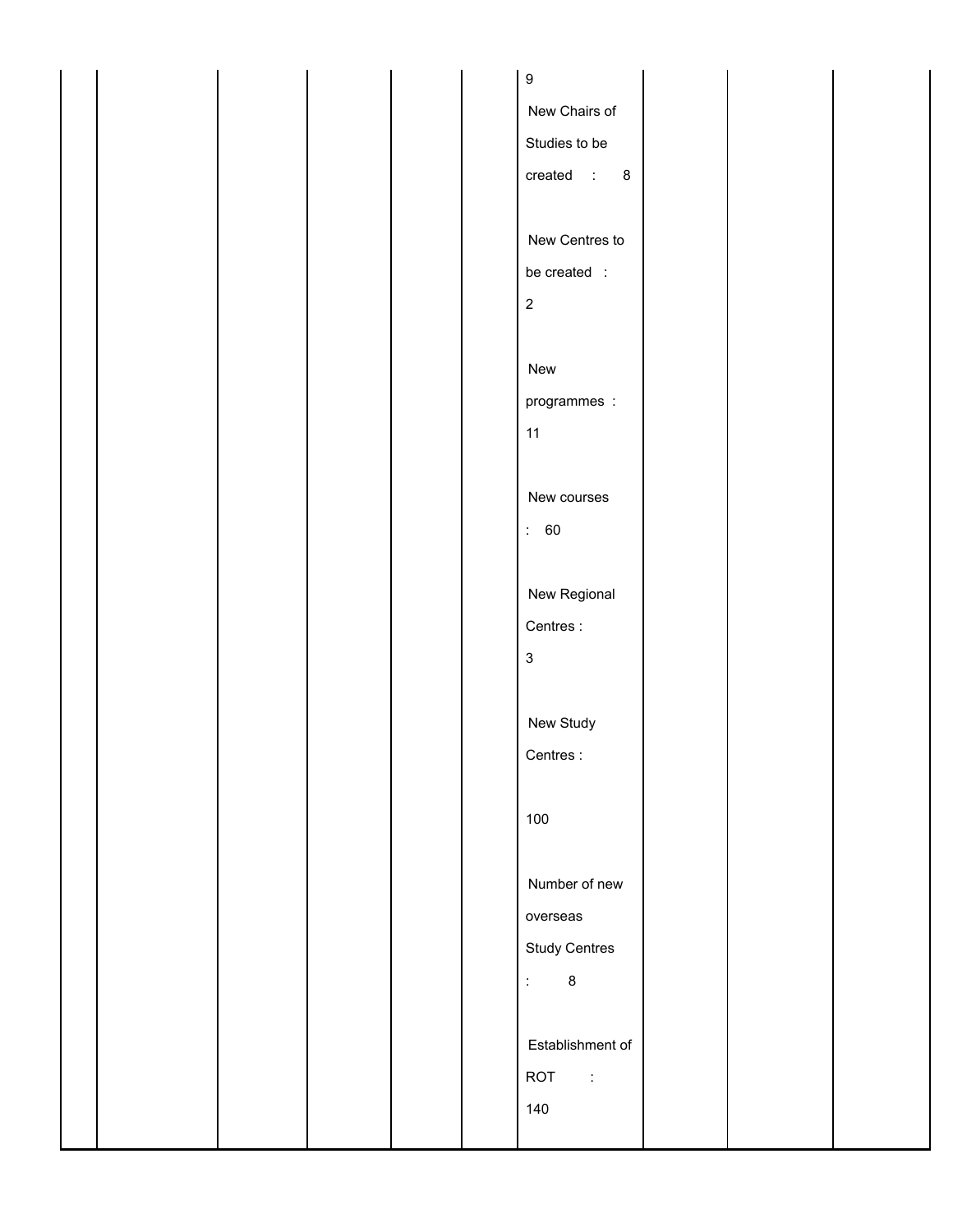|  |  |  | $\boldsymbol{9}$                                 |  |  |
|--|--|--|--------------------------------------------------|--|--|
|  |  |  | New Chairs of                                    |  |  |
|  |  |  | Studies to be                                    |  |  |
|  |  |  | created $: 8$                                    |  |  |
|  |  |  |                                                  |  |  |
|  |  |  | New Centres to                                   |  |  |
|  |  |  | be created :                                     |  |  |
|  |  |  | $\sqrt{2}$                                       |  |  |
|  |  |  |                                                  |  |  |
|  |  |  | New                                              |  |  |
|  |  |  |                                                  |  |  |
|  |  |  | programmes :                                     |  |  |
|  |  |  | 11                                               |  |  |
|  |  |  |                                                  |  |  |
|  |  |  | New courses                                      |  |  |
|  |  |  | $\therefore 60$                                  |  |  |
|  |  |  |                                                  |  |  |
|  |  |  | New Regional                                     |  |  |
|  |  |  | Centres:                                         |  |  |
|  |  |  | $\mathsf 3$                                      |  |  |
|  |  |  |                                                  |  |  |
|  |  |  | New Study                                        |  |  |
|  |  |  | Centres:                                         |  |  |
|  |  |  |                                                  |  |  |
|  |  |  | 100                                              |  |  |
|  |  |  |                                                  |  |  |
|  |  |  | Number of new                                    |  |  |
|  |  |  | overseas                                         |  |  |
|  |  |  | Study Centres                                    |  |  |
|  |  |  | $\ddot{\ddot{\psi}}$<br>$\overline{\phantom{0}}$ |  |  |
|  |  |  |                                                  |  |  |
|  |  |  | Establishment of                                 |  |  |
|  |  |  | ROT :                                            |  |  |
|  |  |  | 140                                              |  |  |
|  |  |  |                                                  |  |  |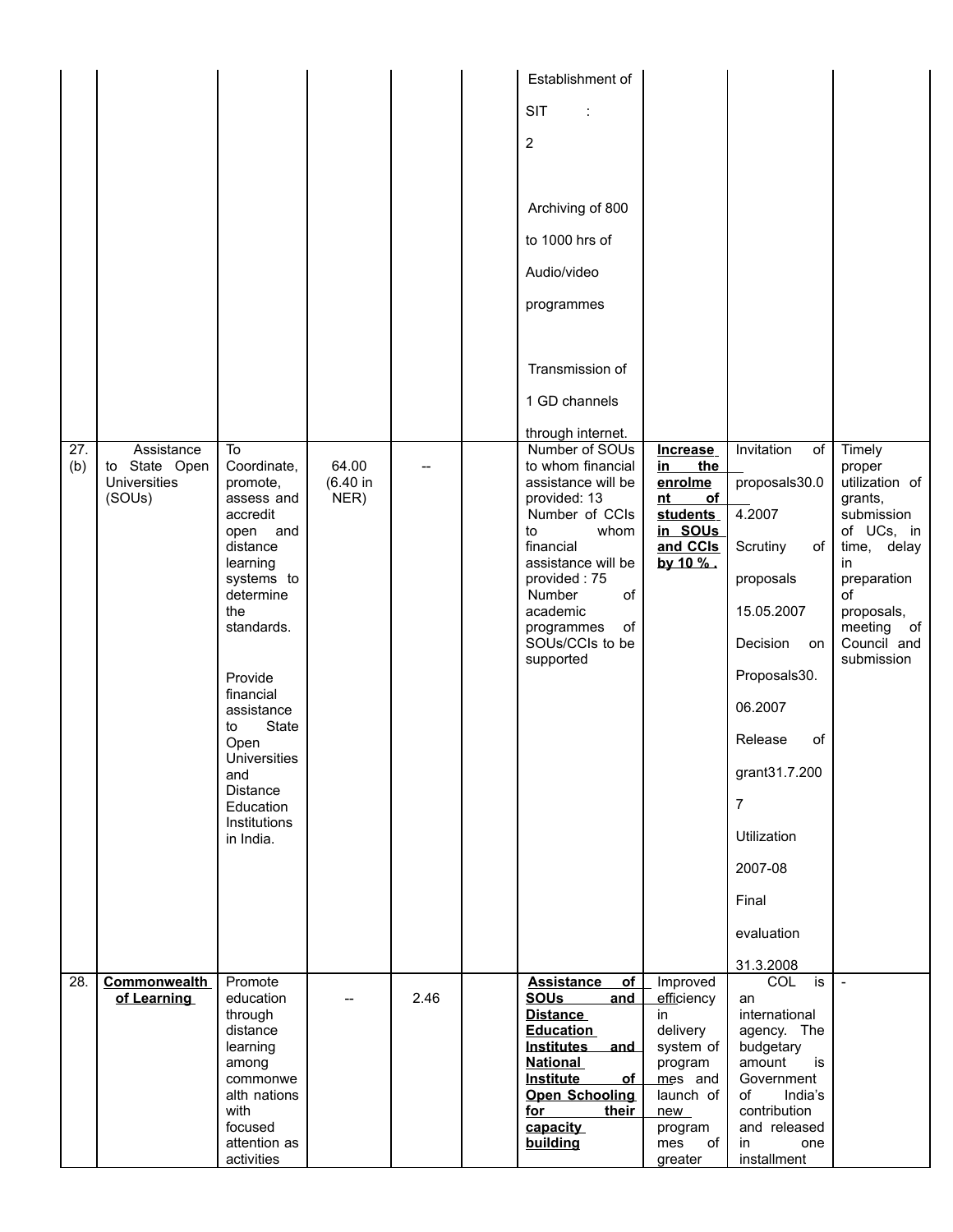|            |                                                              |                                                                                                                                                                                                                                                                                              |                           |      | Establishment of<br><b>SIT</b><br>$\overline{2}$<br>Archiving of 800<br>to 1000 hrs of<br>Audio/video<br>programmes<br>Transmission of<br>1 GD channels                                                                                                           |                                                                                                                                    |                                                                                                                                                                                                                                            |                                                                                                                                                                              |
|------------|--------------------------------------------------------------|----------------------------------------------------------------------------------------------------------------------------------------------------------------------------------------------------------------------------------------------------------------------------------------------|---------------------------|------|-------------------------------------------------------------------------------------------------------------------------------------------------------------------------------------------------------------------------------------------------------------------|------------------------------------------------------------------------------------------------------------------------------------|--------------------------------------------------------------------------------------------------------------------------------------------------------------------------------------------------------------------------------------------|------------------------------------------------------------------------------------------------------------------------------------------------------------------------------|
| 27.<br>(b) | Assistance<br>to State Open<br><b>Universities</b><br>(SOUs) | To<br>Coordinate,<br>promote,<br>assess and<br>accredit<br>open and<br>distance<br>learning<br>systems to<br>determine<br>the<br>standards.<br>Provide<br>financial<br>assistance<br>State<br>to<br>Open<br><b>Universities</b><br>and<br>Distance<br>Education<br>Institutions<br>in India. | 64.00<br>(6.40 in<br>NER) |      | through internet.<br>Number of SOUs<br>to whom financial<br>assistance will be<br>provided: 13<br>Number of CCIs<br>whom<br>to<br>financial<br>assistance will be<br>provided: 75<br>Number<br>of<br>academic<br>of<br>programmes<br>SOUs/CCIs to be<br>supported | Increase<br>the<br>in.<br>enrolme<br>of<br>nt<br>students<br>in SOUs<br>and CCIs<br>by 10 %.                                       | Invitation<br>of<br>proposals30.0<br>4.2007<br>Scrutiny<br>of<br>proposals<br>15.05.2007<br>Decision<br>on<br>Proposals30.<br>06.2007<br>Release<br>of<br>grant31.7.200<br>$\overline{7}$<br>Utilization<br>2007-08<br>Final<br>evaluation | Timely<br>proper<br>utilization of<br>grants,<br>submission<br>of UCs, in<br>time, delay<br>in<br>preparation<br>of<br>proposals,<br>meeting of<br>Council and<br>submission |
| 28.        | <b>Commonwealth</b><br>of Learning                           | Promote<br>education<br>through<br>distance<br>learning<br>among<br>commonwe<br>alth nations<br>with<br>focused<br>attention as<br>activities                                                                                                                                                |                           | 2.46 | of<br><b>Assistance</b><br><b>SOUs</b><br>and<br><b>Distance</b><br><b>Education</b><br>Institutes and<br><b>National</b><br><b>Institute</b><br>of<br><b>Open Schooling</b><br>for<br>their<br>capacity<br>building                                              | Improved<br>efficiency<br>in<br>delivery<br>system of<br>program<br>mes and<br>launch of<br>new<br>program<br>of<br>mes<br>greater | 31.3.2008<br><b>COL</b><br>is<br>an<br>international<br>agency. The<br>budgetary<br>amount<br>is<br>Government<br>of<br>India's<br>contribution<br>and released<br>in<br>one<br>installment                                                | $\blacksquare$                                                                                                                                                               |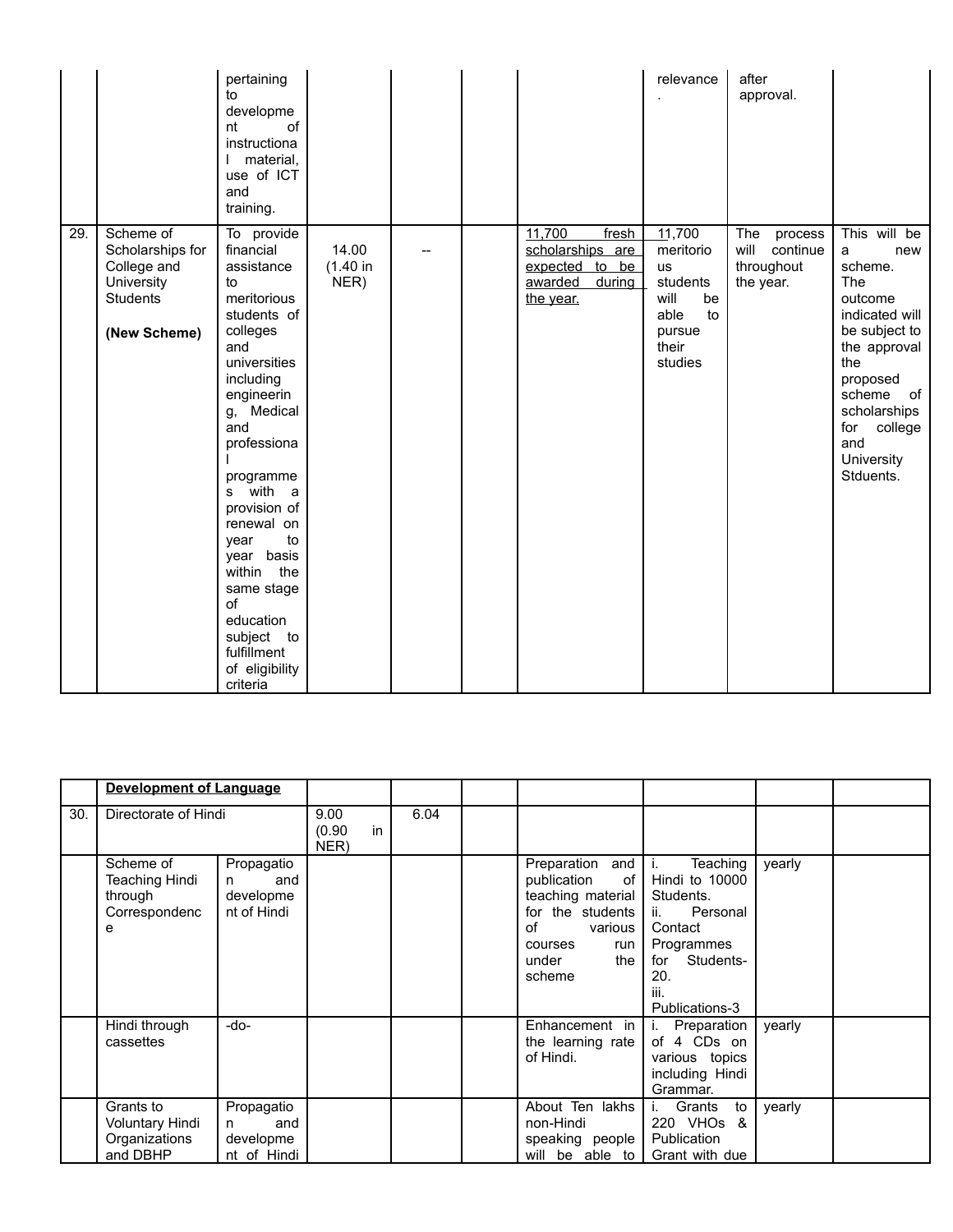|     |                                                                                               | pertaining<br>to<br>developme<br>of<br>nt<br>instructiona<br>material,<br>use of ICT<br>and<br>training.                                                                                                                                                                                                                                                                    |                           |  |                                                                                      | relevance                                                                                              | after<br>approval.                                            |                                                                                                                                                                                                              |
|-----|-----------------------------------------------------------------------------------------------|-----------------------------------------------------------------------------------------------------------------------------------------------------------------------------------------------------------------------------------------------------------------------------------------------------------------------------------------------------------------------------|---------------------------|--|--------------------------------------------------------------------------------------|--------------------------------------------------------------------------------------------------------|---------------------------------------------------------------|--------------------------------------------------------------------------------------------------------------------------------------------------------------------------------------------------------------|
| 29. | Scheme of<br>Scholarships for<br>College and<br>University<br><b>Students</b><br>(New Scheme) | To provide<br>financial<br>assistance<br>to<br>meritorious<br>students of<br>colleges<br>and<br>universities<br>including<br>engineerin<br>g, Medical<br>and<br>professiona<br>programme<br>s with a<br>provision of<br>renewal on<br>to<br>year<br>year basis<br>the<br>within<br>same stage<br>of<br>education<br>subject to<br>fulfillment<br>of eligibility<br>criteria | 14.00<br>(1.40 in<br>NER) |  | 11,700<br>fresh<br>scholarships are<br>expected to be<br>awarded during<br>the year. | 11,700<br>meritorio<br><b>us</b><br>students<br>will<br>be<br>to<br>able<br>pursue<br>their<br>studies | The<br>process<br>will<br>continue<br>throughout<br>the year. | This will be<br>new<br>a<br>scheme.<br>The<br>outcome<br>indicated will<br>be subject to<br>the approval<br>the<br>proposed<br>scheme of<br>scholarships<br>college<br>for<br>and<br>University<br>Stduents. |

|     | Development of Language                                             |                                                    |                              |      |                                                                                                                                            |                                                                                                                                                |        |  |
|-----|---------------------------------------------------------------------|----------------------------------------------------|------------------------------|------|--------------------------------------------------------------------------------------------------------------------------------------------|------------------------------------------------------------------------------------------------------------------------------------------------|--------|--|
| 30. | Directorate of Hindi                                                |                                                    | 9.00<br>in<br>(0.90)<br>NER) | 6.04 |                                                                                                                                            |                                                                                                                                                |        |  |
|     | Scheme of<br><b>Teaching Hindi</b><br>through<br>Correspondenc<br>e | Propagatio<br>and<br>n<br>developme<br>nt of Hindi |                              |      | Preparation and<br>publication<br>of<br>teaching material<br>for the students<br>Ωf<br>various<br>courses<br>run<br>under<br>the<br>scheme | Teaching<br>Τ.<br>Hindi to 10000<br>Students.<br>ii.<br>Personal<br>Contact<br>Programmes<br>for<br>Students-<br>20.<br>iii.<br>Publications-3 | yearly |  |
|     | Hindi through<br>cassettes                                          | -do-                                               |                              |      | Enhancement in<br>the learning rate<br>of Hindi.                                                                                           | i.<br>Preparation<br>of 4 CDs on<br>various topics<br>including Hindi<br>Grammar.                                                              | yearly |  |
|     | Grants to<br>Voluntary Hindi<br>Organizations<br>and DBHP           | Propagatio<br>and<br>n<br>developme<br>nt of Hindi |                              |      | About Ten lakhs<br>non-Hindi<br>speaking people<br>will be able to                                                                         | Grants<br>to<br>220 VHO <sub>s</sub> &<br>Publication<br>Grant with due                                                                        | yearly |  |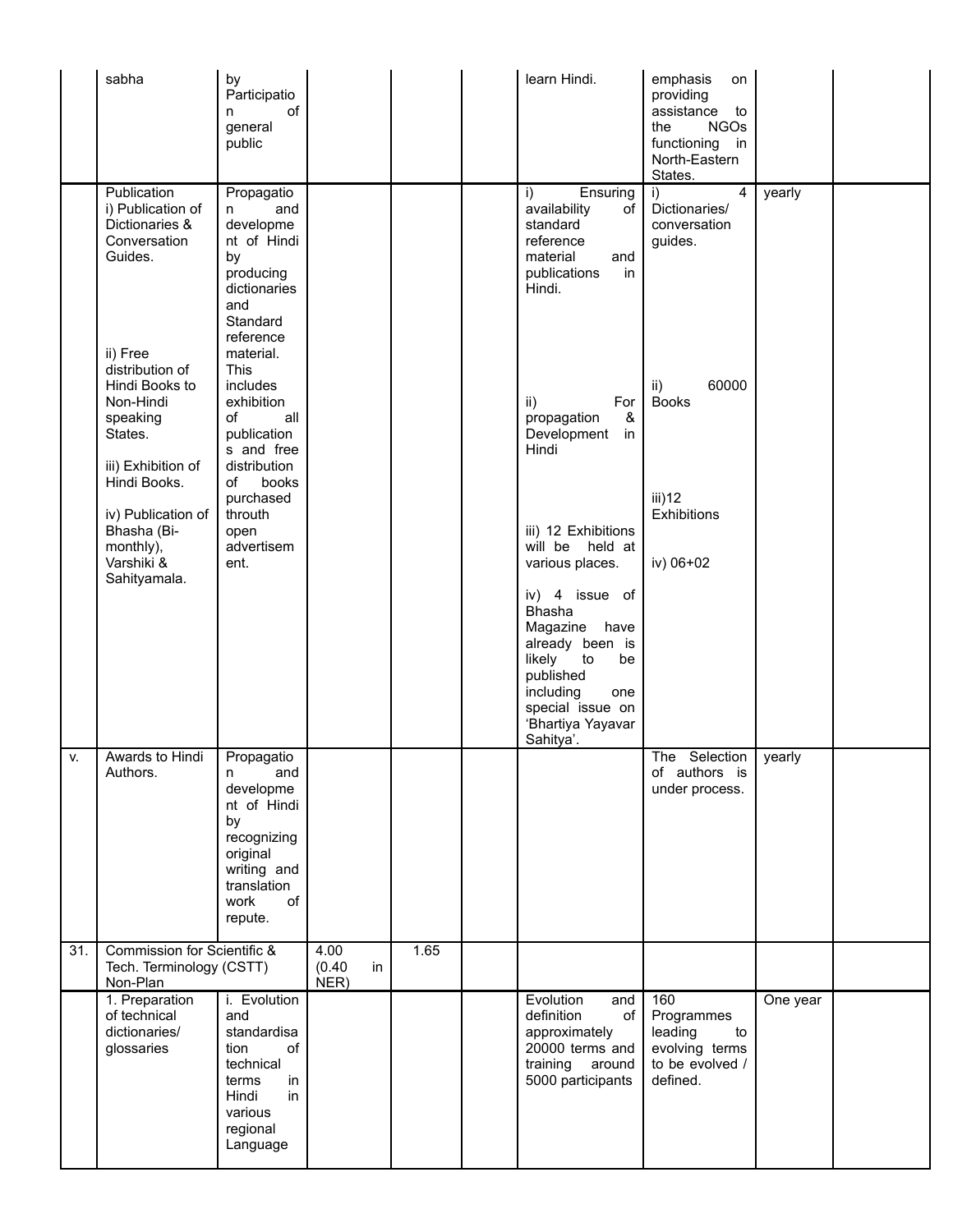|     | sabha                                                                                                       | by<br>Participatio<br>of<br>n<br>general<br>public                                                                                         |                        |    |      | learn Hindi.                                                                                                                                               | emphasis<br>on<br>providing<br>assistance<br>to<br><b>NGOs</b><br>the<br>functioning in<br>North-Eastern<br>States. |          |  |
|-----|-------------------------------------------------------------------------------------------------------------|--------------------------------------------------------------------------------------------------------------------------------------------|------------------------|----|------|------------------------------------------------------------------------------------------------------------------------------------------------------------|---------------------------------------------------------------------------------------------------------------------|----------|--|
|     | Publication<br>i) Publication of<br>Dictionaries &<br>Conversation<br>Guides.<br>ii) Free                   | Propagatio<br>and<br>n<br>developme<br>nt of Hindi<br>by<br>producing<br>dictionaries<br>and<br>Standard<br>reference<br>material.         |                        |    |      | Ensuring<br>i)<br>availability<br>of<br>standard<br>reference<br>material<br>and<br>publications<br>in<br>Hindi.                                           | $\overline{4}$<br>i)<br>Dictionaries/<br>conversation<br>guides.                                                    | yearly   |  |
|     | distribution of<br>Hindi Books to<br>Non-Hindi<br>speaking<br>States.<br>iii) Exhibition of<br>Hindi Books. | <b>This</b><br>includes<br>exhibition<br>of<br>all<br>publication<br>s and free<br>distribution<br>books<br>of<br>purchased                |                        |    |      | For<br>ii)<br>&<br>propagation<br>Development<br>in<br>Hindi                                                                                               | 60000<br>ii)<br><b>Books</b><br>iii)12                                                                              |          |  |
|     | iv) Publication of<br>Bhasha (Bi-<br>monthly),<br>Varshiki &<br>Sahityamala.                                | throuth<br>open<br>advertisem<br>ent.                                                                                                      |                        |    |      | iii) 12 Exhibitions<br>will be held at<br>various places.<br>iv) 4 issue of                                                                                | Exhibitions<br>iv) 06+02                                                                                            |          |  |
|     |                                                                                                             |                                                                                                                                            |                        |    |      | Bhasha<br>Magazine<br>have<br>already been is<br>likely<br>to<br>be<br>published<br>including<br>one<br>special issue on<br>'Bhartiya Yayavar<br>Sahitya'. |                                                                                                                     |          |  |
| V.  | Awards to Hindi<br>Authors.                                                                                 | Propagatio<br>and<br>n<br>developme<br>nt of Hindi<br>by<br>recognizing<br>original<br>writing and<br>translation<br>work<br>of<br>repute. |                        |    |      |                                                                                                                                                            | The<br>Selection<br>of authors is<br>under process.                                                                 | yearly   |  |
| 31. | Commission for Scientific &<br>Tech. Terminology (CSTT)<br>Non-Plan                                         |                                                                                                                                            | 4.00<br>(0.40)<br>NER) | in | 1.65 |                                                                                                                                                            |                                                                                                                     |          |  |
|     | 1. Preparation<br>of technical<br>dictionaries/<br>glossaries                                               | i. Evolution<br>and<br>standardisa<br>tion<br>of<br>technical<br>terms<br>in<br>Hindi<br>in<br>various<br>regional<br>Language             |                        |    |      | Evolution<br>and<br>definition<br>of<br>approximately<br>20000 terms and<br>training<br>around<br>5000 participants                                        | 160<br>Programmes<br>leading<br>to<br>evolving terms<br>to be evolved /<br>defined.                                 | One year |  |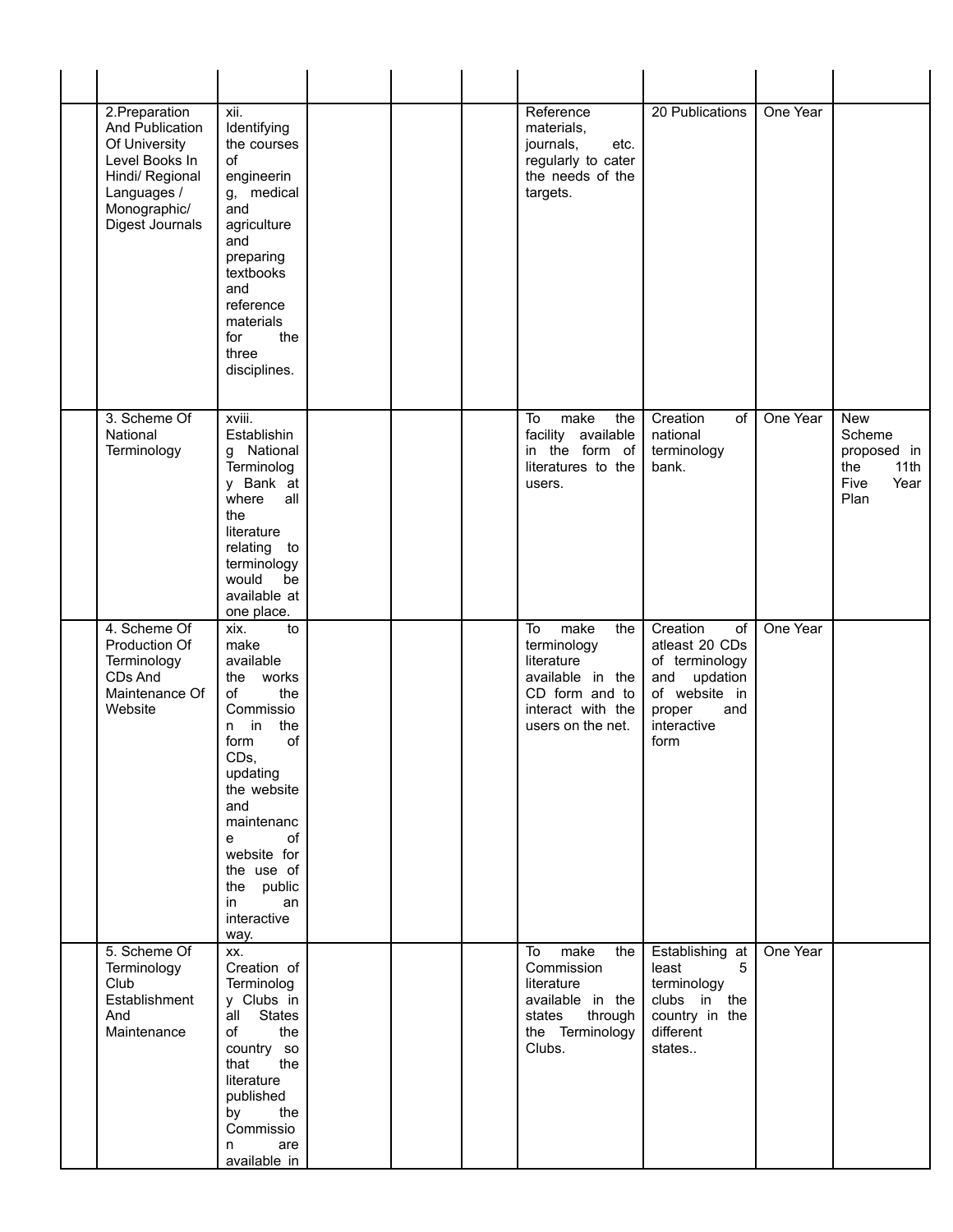| 2. Preparation<br>And Publication<br>Of University<br>Level Books In<br>Hindi/ Regional<br>Languages /<br>Monographic/<br>Digest Journals | xii.<br>Identifying<br>the courses<br>of<br>engineerin<br>g, medical<br>and<br>agriculture<br>and<br>preparing<br>textbooks<br>and<br>reference<br>materials<br>for<br>the<br>three<br>disciplines.                                                    |  | Reference<br>materials,<br>journals,<br>etc.<br>regularly to cater<br>the needs of the<br>targets.                             | 20 Publications                                                                                                                | One Year |                                                                            |
|-------------------------------------------------------------------------------------------------------------------------------------------|--------------------------------------------------------------------------------------------------------------------------------------------------------------------------------------------------------------------------------------------------------|--|--------------------------------------------------------------------------------------------------------------------------------|--------------------------------------------------------------------------------------------------------------------------------|----------|----------------------------------------------------------------------------|
| 3. Scheme Of<br>National<br>Terminology                                                                                                   | xviii.<br>Establishin<br>g National<br>Terminolog<br>y Bank at<br>where<br>all<br>the<br>literature<br>relating to<br>terminology<br>would<br>be<br>available at<br>one place.                                                                         |  | make<br>the<br>To<br>facility available<br>in the form of<br>literatures to the<br>users.                                      | Creation<br>οf<br>national<br>terminology<br>bank.                                                                             | One Year | <b>New</b><br>Scheme<br>proposed in<br>11th<br>the<br>Five<br>Year<br>Plan |
| 4. Scheme Of<br>Production Of<br>Terminology<br>CDs And<br>Maintenance Of<br>Website                                                      | xix.<br>to<br>make<br>available<br>the works<br>the<br>of<br>Commissio<br>$n$ in<br>the<br>of<br>form<br>CDs,<br>updating<br>the website<br>and<br>maintenanc<br>e<br>οf<br>website for<br>the use of<br>the public<br>an<br>in<br>interactive<br>way. |  | To<br>make<br>the<br>terminology<br>literature<br>available in the<br>CD form and to<br>interact with the<br>users on the net. | Creation<br>of<br>atleast 20 CDs<br>of terminology<br>updation<br>and<br>of website in<br>proper<br>and<br>interactive<br>form | One Year |                                                                            |
| 5. Scheme Of<br>Terminology<br>Club<br>Establishment<br>And<br>Maintenance                                                                | XX.<br>Creation of<br>Terminolog<br>y Clubs in<br>all States<br>of<br>the<br>country so<br>that<br>the<br>literature<br>published<br>by<br>the<br>Commissio<br>are<br>n<br>available in                                                                |  | make<br>To<br>the<br>Commission<br>literature<br>available in the<br>through<br>states<br>the Terminology<br>Clubs.            | Establishing at<br>least<br>5<br>terminology<br>clubs in the<br>country in the<br>different<br>states                          | One Year |                                                                            |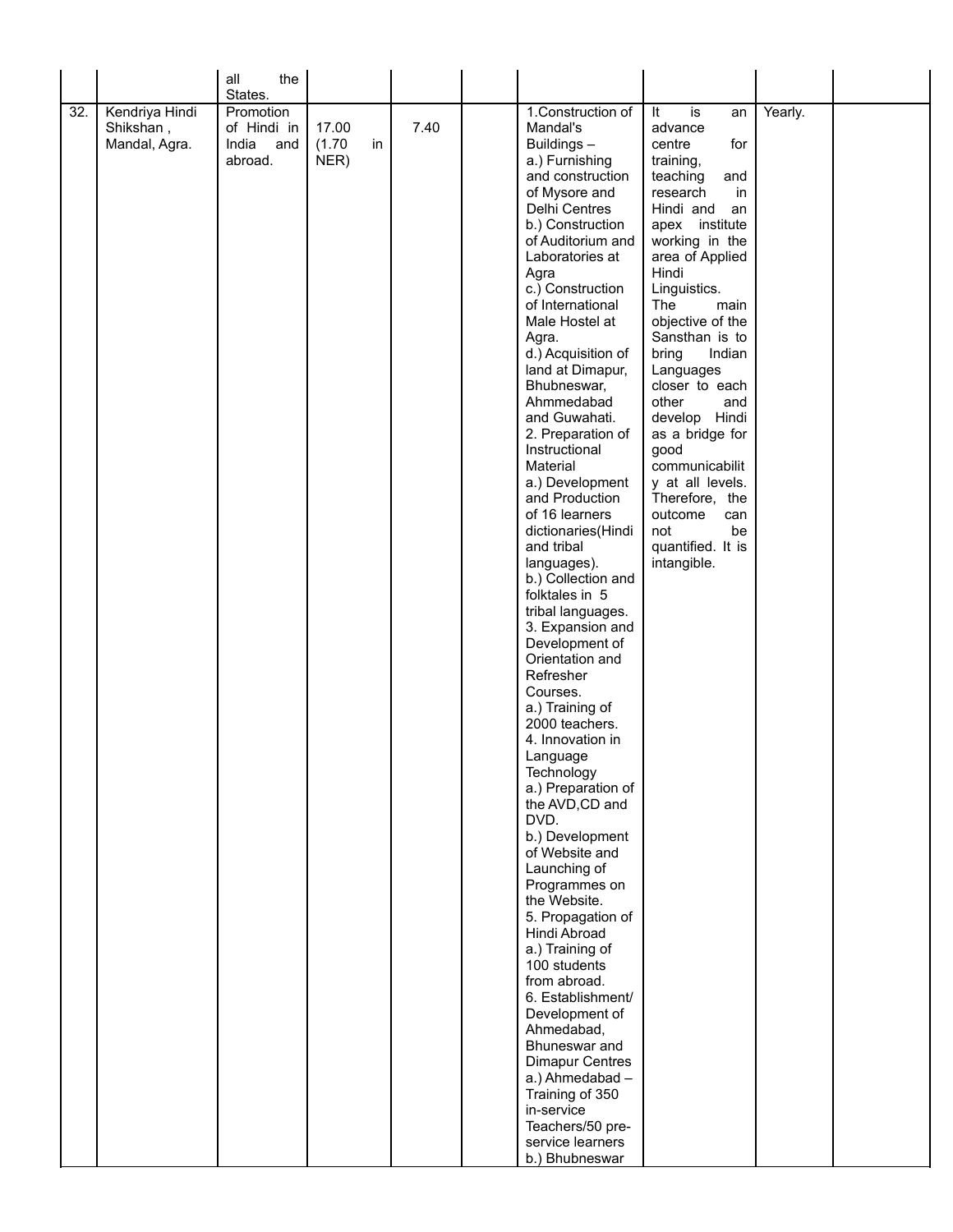|     |                            | the<br>all                  |                 |    |      |                                       |                                  |         |  |
|-----|----------------------------|-----------------------------|-----------------|----|------|---------------------------------------|----------------------------------|---------|--|
|     |                            | States.                     |                 |    |      |                                       |                                  |         |  |
| 32. | Kendriya Hindi             | Promotion                   |                 |    |      | 1. Construction of                    | It<br>is<br>an                   | Yearly. |  |
|     | Shikshan,<br>Mandal, Agra. | of Hindi in<br>India<br>and | 17.00<br>(1.70) | in | 7.40 | Mandal's<br>Buildings-                | advance<br>centre<br>for         |         |  |
|     |                            | abroad.                     | NER)            |    |      | a.) Furnishing                        | training,                        |         |  |
|     |                            |                             |                 |    |      | and construction                      | teaching<br>and                  |         |  |
|     |                            |                             |                 |    |      | of Mysore and                         | research<br>in                   |         |  |
|     |                            |                             |                 |    |      | Delhi Centres                         | Hindi and<br>an                  |         |  |
|     |                            |                             |                 |    |      | b.) Construction                      | apex institute                   |         |  |
|     |                            |                             |                 |    |      | of Auditorium and                     | working in the                   |         |  |
|     |                            |                             |                 |    |      | Laboratories at                       | area of Applied                  |         |  |
|     |                            |                             |                 |    |      | Agra<br>c.) Construction              | Hindi<br>Linguistics.            |         |  |
|     |                            |                             |                 |    |      | of International                      | The<br>main                      |         |  |
|     |                            |                             |                 |    |      | Male Hostel at                        | objective of the                 |         |  |
|     |                            |                             |                 |    |      | Agra.                                 | Sansthan is to                   |         |  |
|     |                            |                             |                 |    |      | d.) Acquisition of                    | bring<br>Indian                  |         |  |
|     |                            |                             |                 |    |      | land at Dimapur,                      | Languages                        |         |  |
|     |                            |                             |                 |    |      | Bhubneswar,<br>Ahmmedabad             | closer to each<br>other<br>and   |         |  |
|     |                            |                             |                 |    |      | and Guwahati.                         | develop Hindi                    |         |  |
|     |                            |                             |                 |    |      | 2. Preparation of                     | as a bridge for                  |         |  |
|     |                            |                             |                 |    |      | Instructional                         | good                             |         |  |
|     |                            |                             |                 |    |      | Material                              | communicabilit                   |         |  |
|     |                            |                             |                 |    |      | a.) Development<br>and Production     | y at all levels.                 |         |  |
|     |                            |                             |                 |    |      | of 16 learners                        | Therefore, the<br>outcome<br>can |         |  |
|     |                            |                             |                 |    |      | dictionaries(Hindi                    | not<br>be                        |         |  |
|     |                            |                             |                 |    |      | and tribal                            | quantified. It is                |         |  |
|     |                            |                             |                 |    |      | languages).                           | intangible.                      |         |  |
|     |                            |                             |                 |    |      | b.) Collection and                    |                                  |         |  |
|     |                            |                             |                 |    |      | folktales in 5                        |                                  |         |  |
|     |                            |                             |                 |    |      | tribal languages.<br>3. Expansion and |                                  |         |  |
|     |                            |                             |                 |    |      | Development of                        |                                  |         |  |
|     |                            |                             |                 |    |      | Orientation and                       |                                  |         |  |
|     |                            |                             |                 |    |      | Refresher                             |                                  |         |  |
|     |                            |                             |                 |    |      | Courses.                              |                                  |         |  |
|     |                            |                             |                 |    |      | a.) Training of                       |                                  |         |  |
|     |                            |                             |                 |    |      | 2000 teachers.<br>4. Innovation in    |                                  |         |  |
|     |                            |                             |                 |    |      | Language                              |                                  |         |  |
|     |                            |                             |                 |    |      | Technology                            |                                  |         |  |
|     |                            |                             |                 |    |      | a.) Preparation of                    |                                  |         |  |
|     |                            |                             |                 |    |      | the AVD, CD and                       |                                  |         |  |
|     |                            |                             |                 |    |      | DVD.                                  |                                  |         |  |
|     |                            |                             |                 |    |      | b.) Development<br>of Website and     |                                  |         |  |
|     |                            |                             |                 |    |      | Launching of                          |                                  |         |  |
|     |                            |                             |                 |    |      | Programmes on                         |                                  |         |  |
|     |                            |                             |                 |    |      | the Website.                          |                                  |         |  |
|     |                            |                             |                 |    |      | 5. Propagation of                     |                                  |         |  |
|     |                            |                             |                 |    |      | Hindi Abroad                          |                                  |         |  |
|     |                            |                             |                 |    |      | a.) Training of<br>100 students       |                                  |         |  |
|     |                            |                             |                 |    |      | from abroad.                          |                                  |         |  |
|     |                            |                             |                 |    |      | 6. Establishment/                     |                                  |         |  |
|     |                            |                             |                 |    |      | Development of                        |                                  |         |  |
|     |                            |                             |                 |    |      | Ahmedabad,                            |                                  |         |  |
|     |                            |                             |                 |    |      | Bhuneswar and                         |                                  |         |  |
|     |                            |                             |                 |    |      | <b>Dimapur Centres</b>                |                                  |         |  |
|     |                            |                             |                 |    |      | a.) Ahmedabad -<br>Training of 350    |                                  |         |  |
|     |                            |                             |                 |    |      | in-service                            |                                  |         |  |
|     |                            |                             |                 |    |      | Teachers/50 pre-                      |                                  |         |  |
|     |                            |                             |                 |    |      | service learners                      |                                  |         |  |
|     |                            |                             |                 |    |      | b.) Bhubneswar                        |                                  |         |  |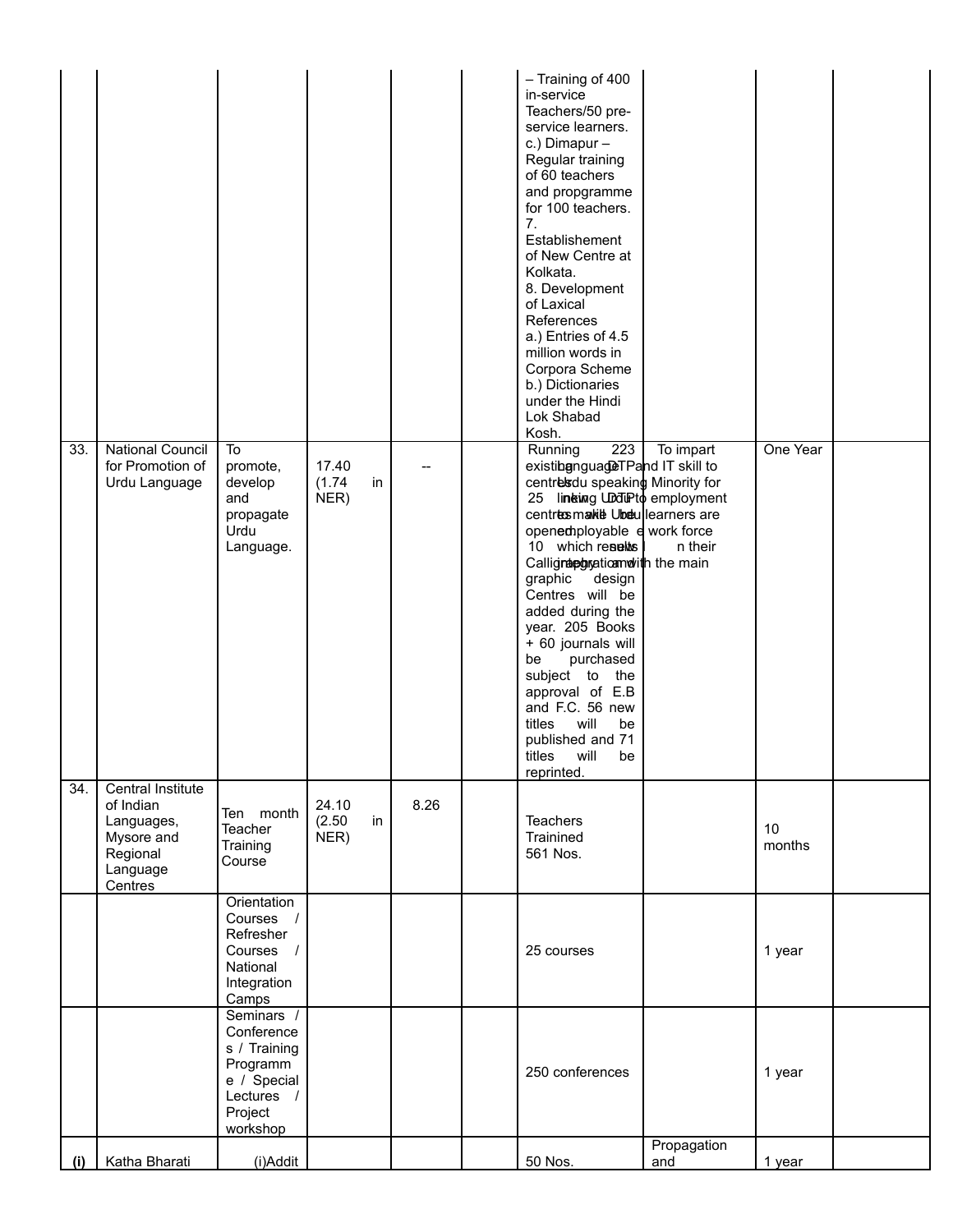|     |                                                                                               |                                                                                                          |                               |      | - Training of 400<br>in-service<br>Teachers/50 pre-<br>service learners.<br>c.) Dimapur -<br>Regular training<br>of 60 teachers<br>and propgramme<br>for 100 teachers.<br>7.<br>Establishement<br>of New Centre at<br>Kolkata.<br>8. Development<br>of Laxical<br>References<br>a.) Entries of 4.5<br>million words in<br>Corpora Scheme<br>b.) Dictionaries<br>under the Hindi<br>Lok Shabad<br>Kosh.                                                                                                        |                      |              |  |
|-----|-----------------------------------------------------------------------------------------------|----------------------------------------------------------------------------------------------------------|-------------------------------|------|---------------------------------------------------------------------------------------------------------------------------------------------------------------------------------------------------------------------------------------------------------------------------------------------------------------------------------------------------------------------------------------------------------------------------------------------------------------------------------------------------------------|----------------------|--------------|--|
| 33. | <b>National Council</b><br>for Promotion of<br>Urdu Language                                  | $\overline{10}$<br>promote,<br>develop<br>and<br>propagate<br>Urdu<br>Language.                          | 17.40<br>(1.74)<br>in<br>NER) |      | 223<br>Running<br>existibgnguageTPand IT skill to<br>centresdu speaking Minority for<br>25 lineting UDduPto employment<br>centres make Ubdullearners are<br>openemployable e work force<br>10 which results<br>Calligraphyaticamolith the main<br>graphic design<br>Centres will be<br>added during the<br>year. 205 Books<br>+ 60 journals will<br>purchased<br>be<br>subject to the<br>approval of E.B<br>and F.C. 56 new<br>titles<br>will<br>be<br>published and 71<br>will<br>titles<br>be<br>reprinted. | To impart<br>n their | One Year     |  |
| 34. | Central Institute<br>of Indian<br>Languages,<br>Mysore and<br>Regional<br>Language<br>Centres | Ten month<br>Teacher<br>Training<br>Course                                                               | 24.10<br>(2.50)<br>in<br>NER) | 8.26 | <b>Teachers</b><br>Trainined<br>561 Nos.                                                                                                                                                                                                                                                                                                                                                                                                                                                                      |                      | 10<br>months |  |
|     |                                                                                               | Orientation<br>Courses /<br>Refresher<br>Courses /<br>National<br>Integration<br>Camps                   |                               |      | 25 courses                                                                                                                                                                                                                                                                                                                                                                                                                                                                                                    |                      | 1 year       |  |
|     |                                                                                               | Seminars /<br>Conference<br>s / Training<br>Programm<br>e / Special<br>Lectures /<br>Project<br>workshop |                               |      | 250 conferences                                                                                                                                                                                                                                                                                                                                                                                                                                                                                               |                      | 1 year       |  |
| (i) | Katha Bharati                                                                                 | (i)Addit                                                                                                 |                               |      | 50 Nos.                                                                                                                                                                                                                                                                                                                                                                                                                                                                                                       | Propagation<br>and   | 1 year       |  |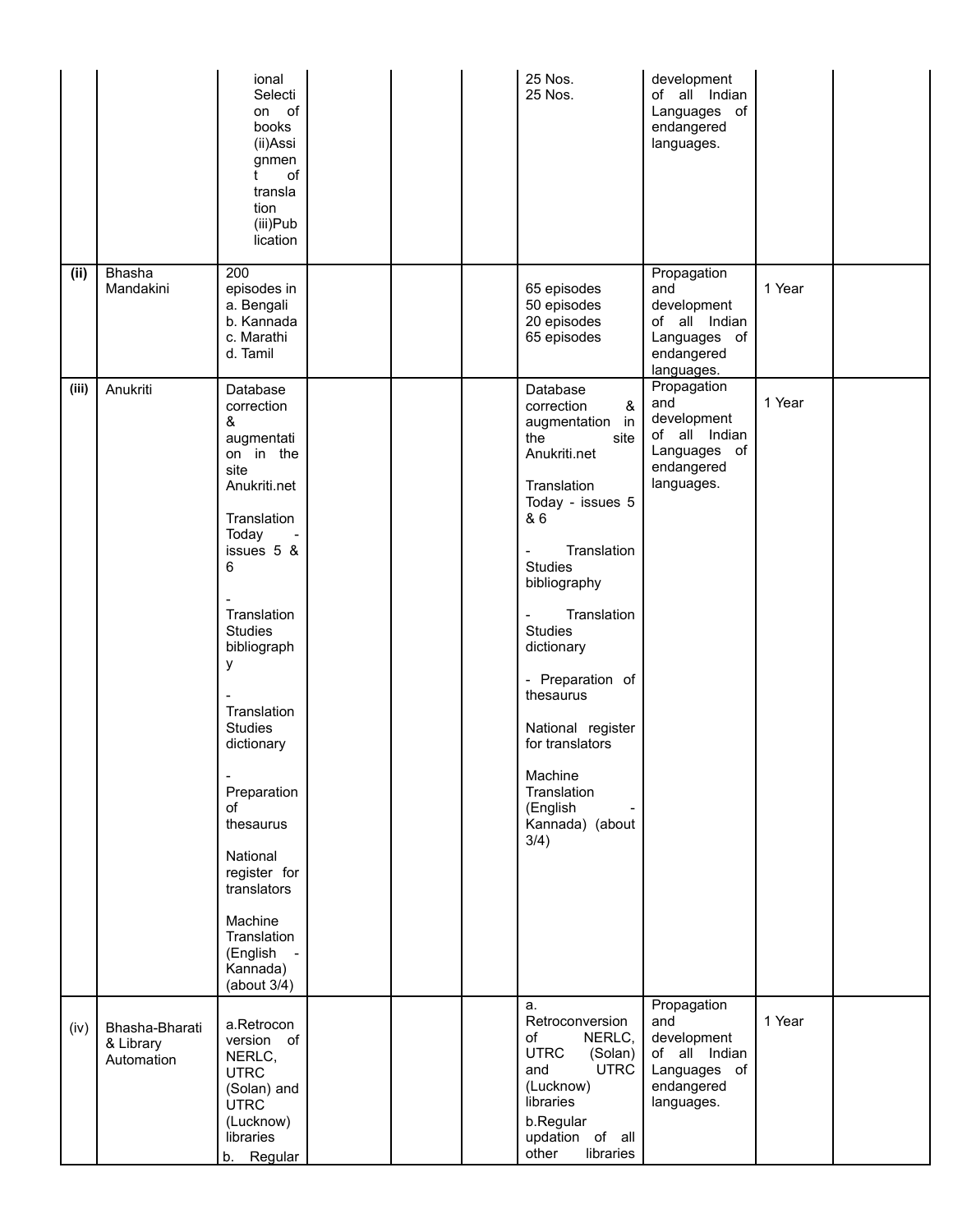|       |                                           | ional<br>Selecti<br>on of<br>books<br>(ii)Assi<br>gnmen<br>of<br>t<br>transla<br>tion<br>(iii)Pub<br>lication                                                                                                                                                                                                                                                                         |  | 25 Nos.<br>25 Nos.                                                                                                                                                                                                                                                                                                                                                                                 | development<br>of all Indian<br>Languages of<br>endangered<br>languages.                       |        |  |
|-------|-------------------------------------------|---------------------------------------------------------------------------------------------------------------------------------------------------------------------------------------------------------------------------------------------------------------------------------------------------------------------------------------------------------------------------------------|--|----------------------------------------------------------------------------------------------------------------------------------------------------------------------------------------------------------------------------------------------------------------------------------------------------------------------------------------------------------------------------------------------------|------------------------------------------------------------------------------------------------|--------|--|
| (ii)  | Bhasha<br>Mandakini                       | 200<br>episodes in<br>a. Bengali<br>b. Kannada<br>c. Marathi<br>d. Tamil                                                                                                                                                                                                                                                                                                              |  | 65 episodes<br>50 episodes<br>20 episodes<br>65 episodes                                                                                                                                                                                                                                                                                                                                           | Propagation<br>and<br>development<br>of all Indian<br>Languages of<br>endangered<br>languages. | 1 Year |  |
| (iii) | Anukriti                                  | Database<br>correction<br>&<br>augmentati<br>on in the<br>site<br>Anukriti.net<br>Translation<br>Today<br>issues 5 &<br>6<br>Translation<br><b>Studies</b><br>bibliograph<br>у<br>Translation<br><b>Studies</b><br>dictionary<br>Preparation<br>of<br>thesaurus<br>National<br>register for<br>translators<br>Machine<br>Translation<br>(English<br>$\sim$<br>Kannada)<br>(about 3/4) |  | Database<br>&<br>correction<br>augmentation in<br>the<br>site<br>Anukriti.net<br>Translation<br>Today - issues 5<br>& 6<br>Translation<br>-<br><b>Studies</b><br>bibliography<br>Translation<br>$\overline{\phantom{0}}$<br><b>Studies</b><br>dictionary<br>- Preparation of<br>thesaurus<br>National register<br>for translators<br>Machine<br>Translation<br>(English<br>Kannada) (about<br>3/4) | Propagation<br>and<br>development<br>of all Indian<br>Languages of<br>endangered<br>languages. | 1 Year |  |
| (iv)  | Bhasha-Bharati<br>& Library<br>Automation | a.Retrocon<br>version of<br>NERLC,<br><b>UTRC</b><br>(Solan) and<br><b>UTRC</b><br>(Lucknow)<br>libraries<br>b. Regular                                                                                                                                                                                                                                                               |  | a.<br>Retroconversion<br>NERLC,<br>of<br><b>UTRC</b><br>(Solan)<br><b>UTRC</b><br>and<br>(Lucknow)<br>libraries<br>b.Regular<br>updation of all<br>other<br>libraries                                                                                                                                                                                                                              | Propagation<br>and<br>development<br>of all Indian<br>Languages of<br>endangered<br>languages. | 1 Year |  |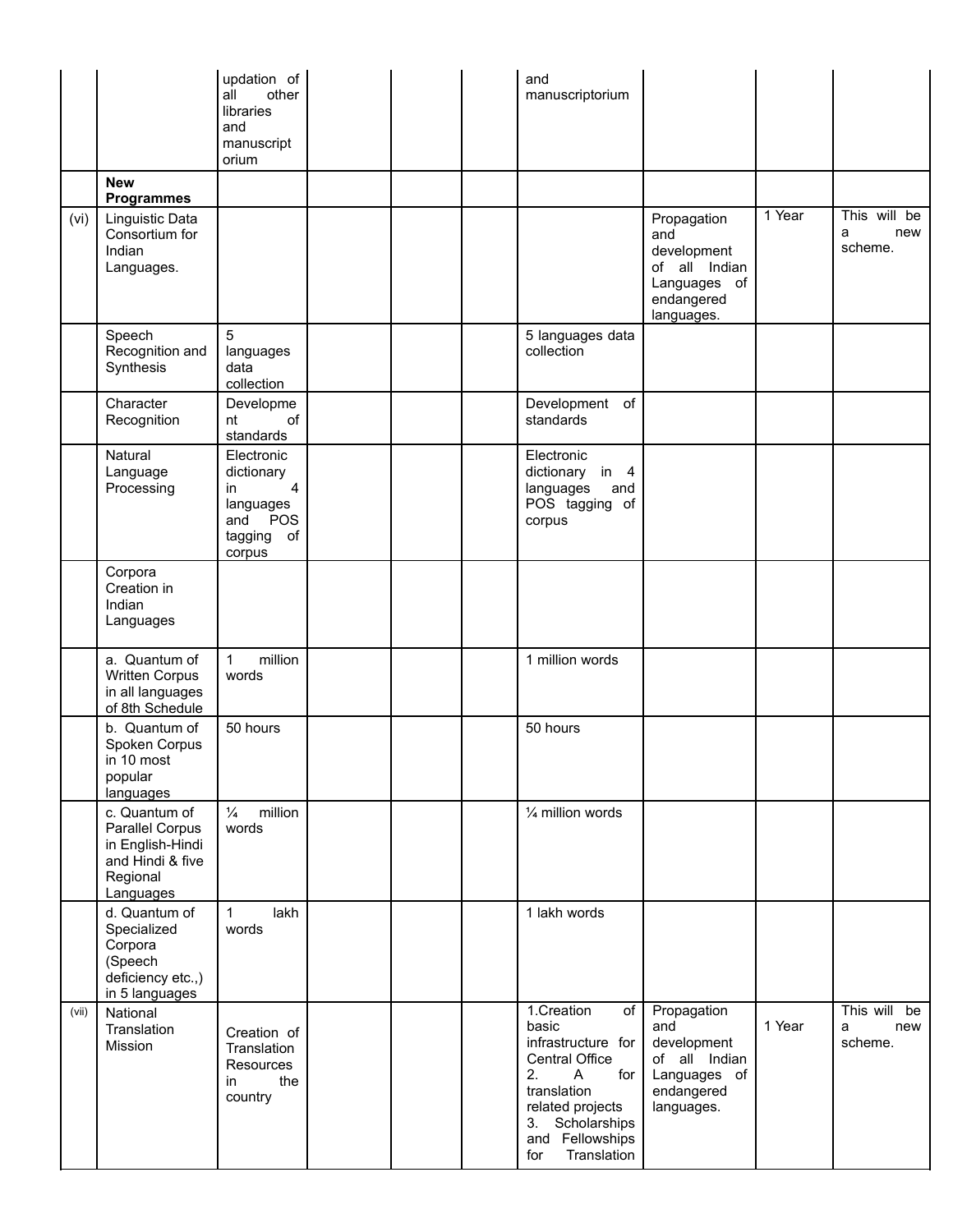|       |                                                                                                   | updation of<br>all<br>other<br>libraries<br>and<br>manuscript<br>orium                           |  | and<br>manuscriptorium                                                                                                                                                                           |                                                                                                |        |                                     |
|-------|---------------------------------------------------------------------------------------------------|--------------------------------------------------------------------------------------------------|--|--------------------------------------------------------------------------------------------------------------------------------------------------------------------------------------------------|------------------------------------------------------------------------------------------------|--------|-------------------------------------|
|       | <b>New</b><br><b>Programmes</b>                                                                   |                                                                                                  |  |                                                                                                                                                                                                  |                                                                                                |        |                                     |
| (vi)  | Linguistic Data<br>Consortium for<br>Indian<br>Languages.                                         |                                                                                                  |  |                                                                                                                                                                                                  | Propagation<br>and<br>development<br>of all Indian<br>Languages of<br>endangered<br>languages. | 1 Year | This will be<br>new<br>a<br>scheme. |
|       | Speech<br>Recognition and<br>Synthesis                                                            | 5<br>languages<br>data<br>collection                                                             |  | 5 languages data<br>collection                                                                                                                                                                   |                                                                                                |        |                                     |
|       | Character<br>Recognition                                                                          | Developme<br>of<br>nt<br>standards                                                               |  | Development of<br>standards                                                                                                                                                                      |                                                                                                |        |                                     |
|       | Natural<br>Language<br>Processing                                                                 | Electronic<br>dictionary<br>$\overline{4}$<br>in<br>languages<br>and POS<br>tagging of<br>corpus |  | Electronic<br>dictionary in 4<br>languages<br>and<br>POS tagging of<br>corpus                                                                                                                    |                                                                                                |        |                                     |
|       | Corpora<br>Creation in<br>Indian<br>Languages                                                     |                                                                                                  |  |                                                                                                                                                                                                  |                                                                                                |        |                                     |
|       | a. Quantum of<br><b>Written Corpus</b><br>in all languages<br>of 8th Schedule                     | million<br>$\mathbf{1}$<br>words                                                                 |  | 1 million words                                                                                                                                                                                  |                                                                                                |        |                                     |
|       | b. Quantum of<br>Spoken Corpus<br>in 10 most<br>popular<br>languages                              | 50 hours                                                                                         |  | 50 hours                                                                                                                                                                                         |                                                                                                |        |                                     |
|       | c. Quantum of<br>Parallel Corpus<br>in English-Hindi<br>and Hindi & five<br>Regional<br>Languages | $\frac{1}{4}$<br>million<br>words                                                                |  | 1/4 million words                                                                                                                                                                                |                                                                                                |        |                                     |
|       | d. Quantum of<br>Specialized<br>Corpora<br>(Speech<br>deficiency etc.,)<br>in 5 languages         | lakh<br>$\mathbf{1}$<br>words                                                                    |  | 1 lakh words                                                                                                                                                                                     |                                                                                                |        |                                     |
| (vii) | National<br>Translation<br>Mission                                                                | Creation of<br>Translation<br>Resources<br>the<br>in<br>country                                  |  | 1.Creation<br>of<br>basic<br>infrastructure for<br>Central Office<br>2.<br>$\mathsf{A}$<br>for<br>translation<br>related projects<br>Scholarships<br>3.<br>and Fellowships<br>Translation<br>for | Propagation<br>and<br>development<br>of all Indian<br>Languages of<br>endangered<br>languages. | 1 Year | This will be<br>a<br>new<br>scheme. |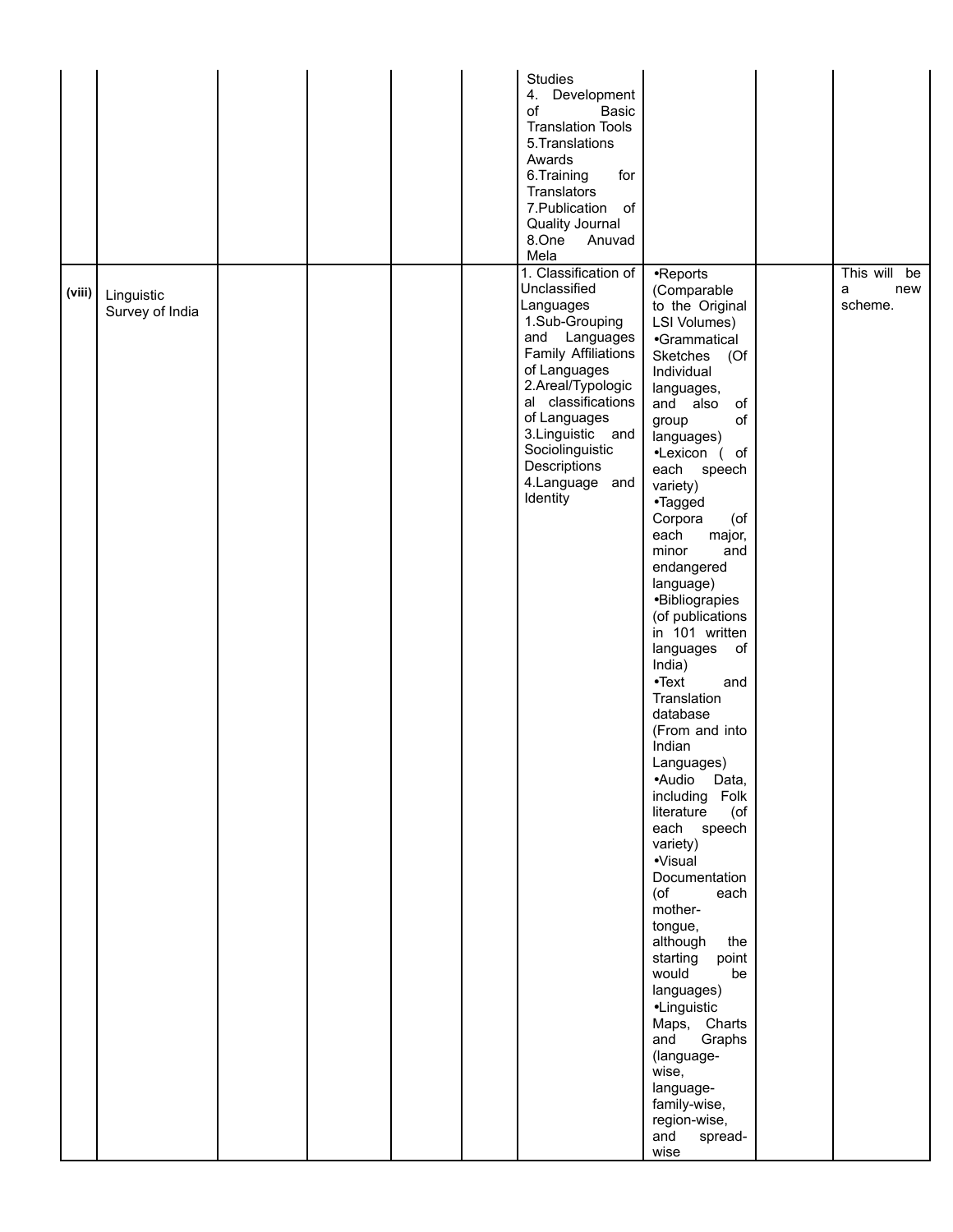|        |                               |  |  | <b>Studies</b><br>4. Development<br>of<br>Basic<br><b>Translation Tools</b><br>5. Translations<br>Awards<br>6.Training<br>for<br>Translators<br>7. Publication<br>of<br>Quality Journal<br>8.One<br>Anuvad<br>Mela                                                                  |                                                                                                                                                                                                                                                                                                                                                                                                                                                                                                                                                                                                                                                                                                                                                                                                                                                                     |                                        |
|--------|-------------------------------|--|--|-------------------------------------------------------------------------------------------------------------------------------------------------------------------------------------------------------------------------------------------------------------------------------------|---------------------------------------------------------------------------------------------------------------------------------------------------------------------------------------------------------------------------------------------------------------------------------------------------------------------------------------------------------------------------------------------------------------------------------------------------------------------------------------------------------------------------------------------------------------------------------------------------------------------------------------------------------------------------------------------------------------------------------------------------------------------------------------------------------------------------------------------------------------------|----------------------------------------|
| (viii) | Linguistic<br>Survey of India |  |  | 1. Classification of<br>Unclassified<br>Languages<br>1.Sub-Grouping<br>and Languages<br><b>Family Affiliations</b><br>of Languages<br>2.Areal/Typologic<br>al classifications<br>of Languages<br>3. Linguistic and<br>Sociolinguistic<br>Descriptions<br>4.Language and<br>Identity | •Reports<br>(Comparable<br>to the Original<br>LSI Volumes)<br>•Grammatical<br>Sketches<br>(Of<br>Individual<br>languages,<br>and also<br>of<br>of<br>group<br>languages)<br>•Lexicon (of<br>each speech<br>variety)<br>•Tagged<br>Corpora<br>(of<br>each<br>major,<br>and<br>minor<br>endangered<br>language)<br>·Bibliograpies<br>(of publications<br>in 101 written<br>languages<br>of<br>India)<br>$\bullet$ Text<br>and<br>Translation<br>database<br>(From and into<br>Indian<br>Languages)<br>·Audio Data,<br>including Folk<br>literature<br>(of<br>each speech<br>variety)<br>·Visual<br>Documentation<br>(of<br>each<br>mother-<br>tongue,<br>although the<br>starting<br>point<br>would<br>be<br>languages)<br>•Linguistic<br>Maps, Charts<br>Graphs<br>and<br>(language-<br>wise,<br>language-<br>family-wise,<br>region-wise,<br>and<br>spread-<br>wise | This will<br>be<br>a<br>new<br>scheme. |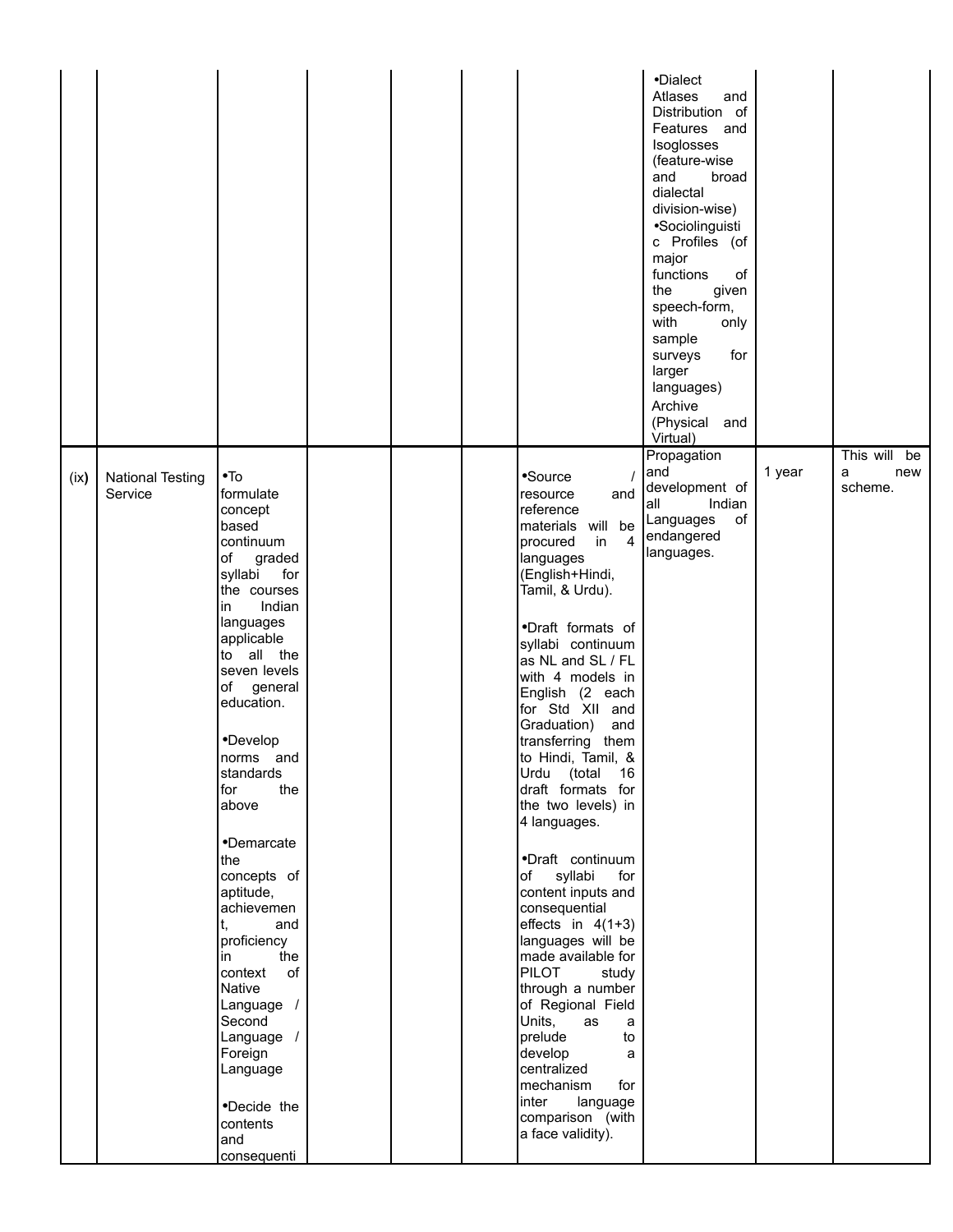|      |                                    |                                                                                                                                                                                                                                                                                                                                                                                                                                                                                                                                   |  |                                                                                                                                                                                                                                                                                                                                                                                                                                                                                                                                                                                                                                                                                                                                                                                                          | •Dialect<br>Atlases<br>and<br>Distribution of<br>Features and<br>Isoglosses<br>(feature-wise<br>and<br>broad<br>dialectal<br>division-wise)<br>•Sociolinguisti<br>c Profiles (of<br>major<br>functions<br>οf<br>the<br>given<br>speech-form,<br>with<br>only<br>sample<br>for<br>surveys<br>larger<br>languages)<br>Archive<br>(Physical and<br>Virtual) |        |                                     |
|------|------------------------------------|-----------------------------------------------------------------------------------------------------------------------------------------------------------------------------------------------------------------------------------------------------------------------------------------------------------------------------------------------------------------------------------------------------------------------------------------------------------------------------------------------------------------------------------|--|----------------------------------------------------------------------------------------------------------------------------------------------------------------------------------------------------------------------------------------------------------------------------------------------------------------------------------------------------------------------------------------------------------------------------------------------------------------------------------------------------------------------------------------------------------------------------------------------------------------------------------------------------------------------------------------------------------------------------------------------------------------------------------------------------------|----------------------------------------------------------------------------------------------------------------------------------------------------------------------------------------------------------------------------------------------------------------------------------------------------------------------------------------------------------|--------|-------------------------------------|
| (ix) | <b>National Testing</b><br>Service | $\bullet$ To<br>formulate<br>concept<br>based<br>continuum<br>graded<br>of<br>syllabi<br>for<br>the courses<br>Indian<br>in<br>languages<br>applicable<br>to all the<br>seven levels<br>general<br>of<br>education.<br>•Develop<br>norms and<br>standards<br>for<br>the<br>above<br>•Demarcate<br>the<br>concepts of<br>aptitude,<br>achievemen<br>t,<br>and<br>proficiency<br>the<br>in<br>of<br>context<br>Native<br>Language /<br>Second<br>Language /<br>Foreign<br>Language<br>•Decide the<br>contents<br>and<br>consequenti |  | •Source<br>and<br>resource<br>reference<br>materials will be<br>$\overline{4}$<br>in<br>procured<br>languages<br>(English+Hindi,<br>Tamil, & Urdu).<br>·Draft formats of<br>syllabi continuum<br>as NL and SL / FL<br>with 4 models in<br>English (2 each<br>for Std XII and<br>Graduation)<br>and<br>transferring them<br>to Hindi, Tamil, &<br>Urdu (total<br>16<br>draft formats for<br>the two levels) in<br>4 languages.<br>•Draft continuum<br>of syllabi<br>for<br>content inputs and<br>consequential<br>effects in $4(1+3)$<br>languages will be<br>made available for<br><b>PILOT</b><br>study<br>through a number<br>of Regional Field<br>Units,<br>as<br>a<br>prelude<br>to<br>develop<br>a<br>centralized<br>mechanism<br>for<br>inter<br>language<br>comparison (with<br>a face validity). | Propagation<br>and<br>development of<br>Indian<br>lall<br>of<br>Languages<br>endangered<br>languages.                                                                                                                                                                                                                                                    | 1 year | This will be<br>new<br>a<br>scheme. |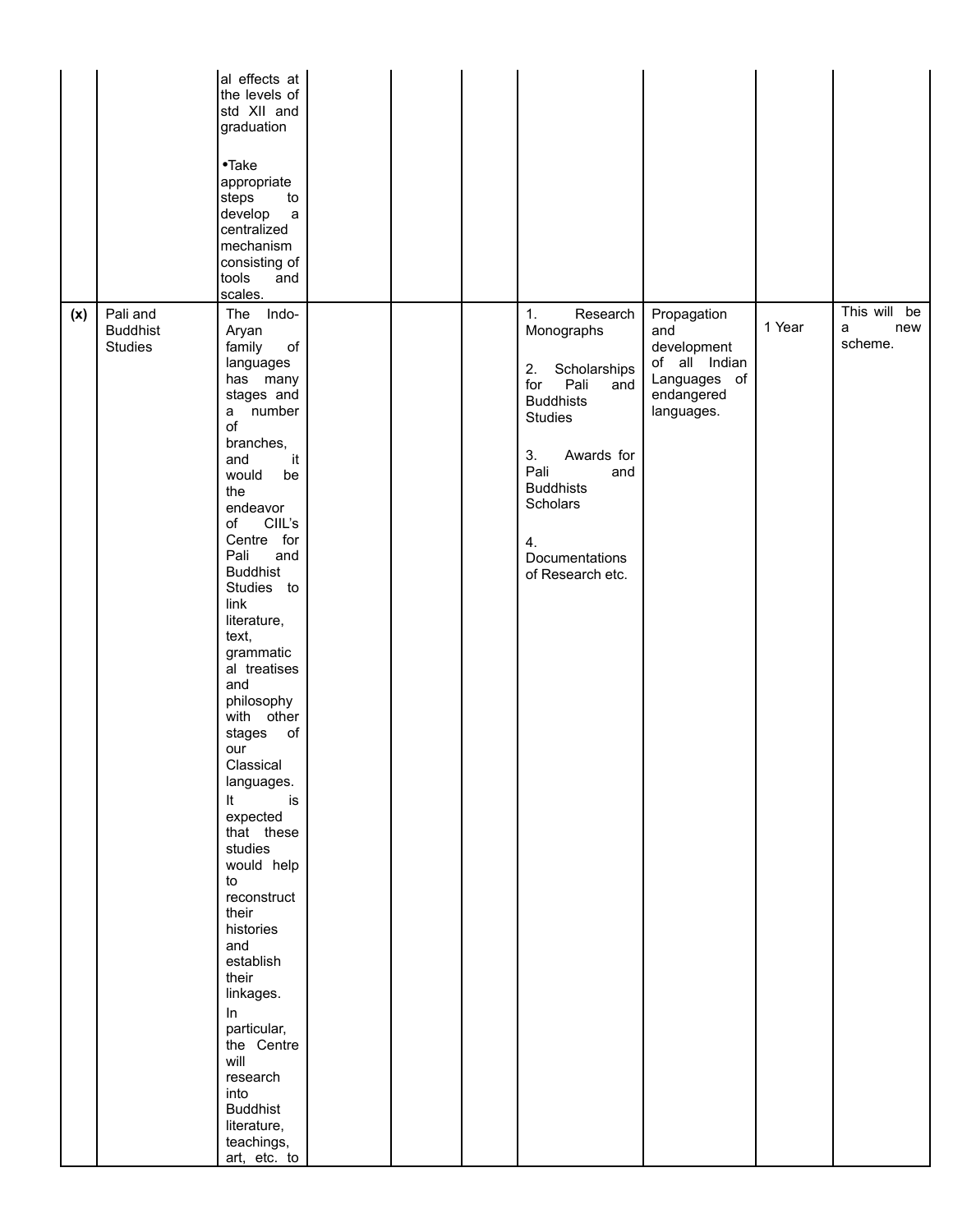|     |                                               | al effects at<br>the levels of<br>std XII and<br>graduation<br>$\bullet$ Take<br>appropriate<br>steps<br>to<br>develop<br>$\mathsf{a}$<br>centralized<br>mechanism<br>consisting of<br>tools<br>and<br>scales.                                                                                                                                                                                                                                                                                                                                                                                                                                                                    |  |                                                                                                                                                                                                                               |                                                                                                |        |                                     |
|-----|-----------------------------------------------|-----------------------------------------------------------------------------------------------------------------------------------------------------------------------------------------------------------------------------------------------------------------------------------------------------------------------------------------------------------------------------------------------------------------------------------------------------------------------------------------------------------------------------------------------------------------------------------------------------------------------------------------------------------------------------------|--|-------------------------------------------------------------------------------------------------------------------------------------------------------------------------------------------------------------------------------|------------------------------------------------------------------------------------------------|--------|-------------------------------------|
| (x) | Pali and<br><b>Buddhist</b><br><b>Studies</b> | The Indo-<br>Aryan<br>$\circ f$<br>family<br>languages<br>has many<br>stages and<br>a number<br>of<br>branches,<br>it<br>and<br>would<br>be<br>the<br>endeavor<br>CIIL's<br>of<br>Centre for<br>Pali<br>and<br><b>Buddhist</b><br>Studies to<br>link<br>literature,<br>text,<br>grammatic<br>al treatises<br>and<br>philosophy<br>with other<br>of<br>stages<br>our<br>Classical<br>languages.<br>It<br>is<br>expected<br>that these<br>studies<br>would help<br>to<br>reconstruct<br>their<br>histories<br>and<br>establish<br>their<br>linkages.<br>ln<br>particular,<br>the Centre<br>will<br>research<br>into<br><b>Buddhist</b><br>literature,<br>teachings,<br>art, etc. to |  | 1.<br>Research<br>Monographs<br>Scholarships<br>2.<br>for<br>Pali<br>and<br><b>Buddhists</b><br><b>Studies</b><br>3.<br>Awards for<br>Pali<br>and<br><b>Buddhists</b><br>Scholars<br>4.<br>Documentations<br>of Research etc. | Propagation<br>and<br>development<br>of all Indian<br>Languages of<br>endangered<br>languages. | 1 Year | This will be<br>a<br>new<br>scheme. |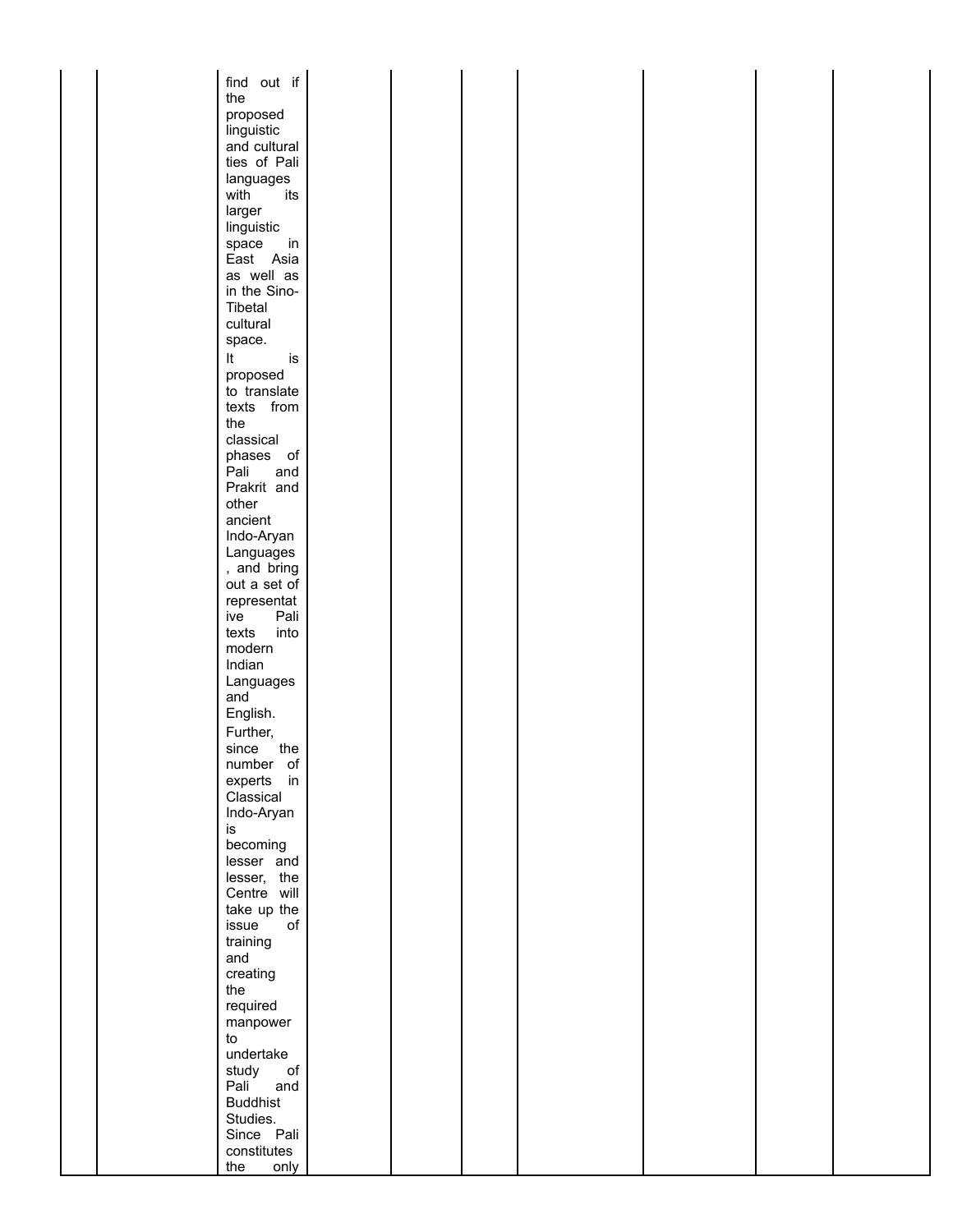| find out if            |  |  |  |  |
|------------------------|--|--|--|--|
| the                    |  |  |  |  |
|                        |  |  |  |  |
| proposed               |  |  |  |  |
| linguistic             |  |  |  |  |
| and cultural           |  |  |  |  |
| ties of Pali           |  |  |  |  |
| languages              |  |  |  |  |
| its<br>with            |  |  |  |  |
| larger                 |  |  |  |  |
| linguistic             |  |  |  |  |
| space<br>$\mathsf{in}$ |  |  |  |  |
| East Asia              |  |  |  |  |
| as well as             |  |  |  |  |
|                        |  |  |  |  |
| in the Sino-           |  |  |  |  |
| Tibetal                |  |  |  |  |
| cultural               |  |  |  |  |
| space.                 |  |  |  |  |
| is<br>It               |  |  |  |  |
| proposed               |  |  |  |  |
| to translate           |  |  |  |  |
| texts from             |  |  |  |  |
| the                    |  |  |  |  |
| classical              |  |  |  |  |
|                        |  |  |  |  |
| phases of              |  |  |  |  |
| Pali<br>and            |  |  |  |  |
| Prakrit and            |  |  |  |  |
| other                  |  |  |  |  |
| ancient                |  |  |  |  |
| Indo-Aryan             |  |  |  |  |
| Languages              |  |  |  |  |
| , and bring            |  |  |  |  |
| out a set of           |  |  |  |  |
| representat            |  |  |  |  |
| Pali<br>ive            |  |  |  |  |
| into<br>texts          |  |  |  |  |
| modern                 |  |  |  |  |
| Indian                 |  |  |  |  |
| Languages              |  |  |  |  |
| and                    |  |  |  |  |
|                        |  |  |  |  |
| English.               |  |  |  |  |
| Further,               |  |  |  |  |
| the<br>since           |  |  |  |  |
| number of              |  |  |  |  |
| experts in             |  |  |  |  |
| Classical              |  |  |  |  |
| Indo-Aryan             |  |  |  |  |
| is                     |  |  |  |  |
| becoming               |  |  |  |  |
| lesser and             |  |  |  |  |
| lesser, the            |  |  |  |  |
| Centre will            |  |  |  |  |
|                        |  |  |  |  |
| take up the            |  |  |  |  |
| issue<br>оf            |  |  |  |  |
| training               |  |  |  |  |
| and                    |  |  |  |  |
| creating               |  |  |  |  |
| the                    |  |  |  |  |
| required               |  |  |  |  |
| manpower               |  |  |  |  |
| to                     |  |  |  |  |
| undertake              |  |  |  |  |
| of<br>study            |  |  |  |  |
| Pali<br>and            |  |  |  |  |
| <b>Buddhist</b>        |  |  |  |  |
|                        |  |  |  |  |
| Studies.               |  |  |  |  |
| Since Pali             |  |  |  |  |
| constitutes            |  |  |  |  |
| only<br>the            |  |  |  |  |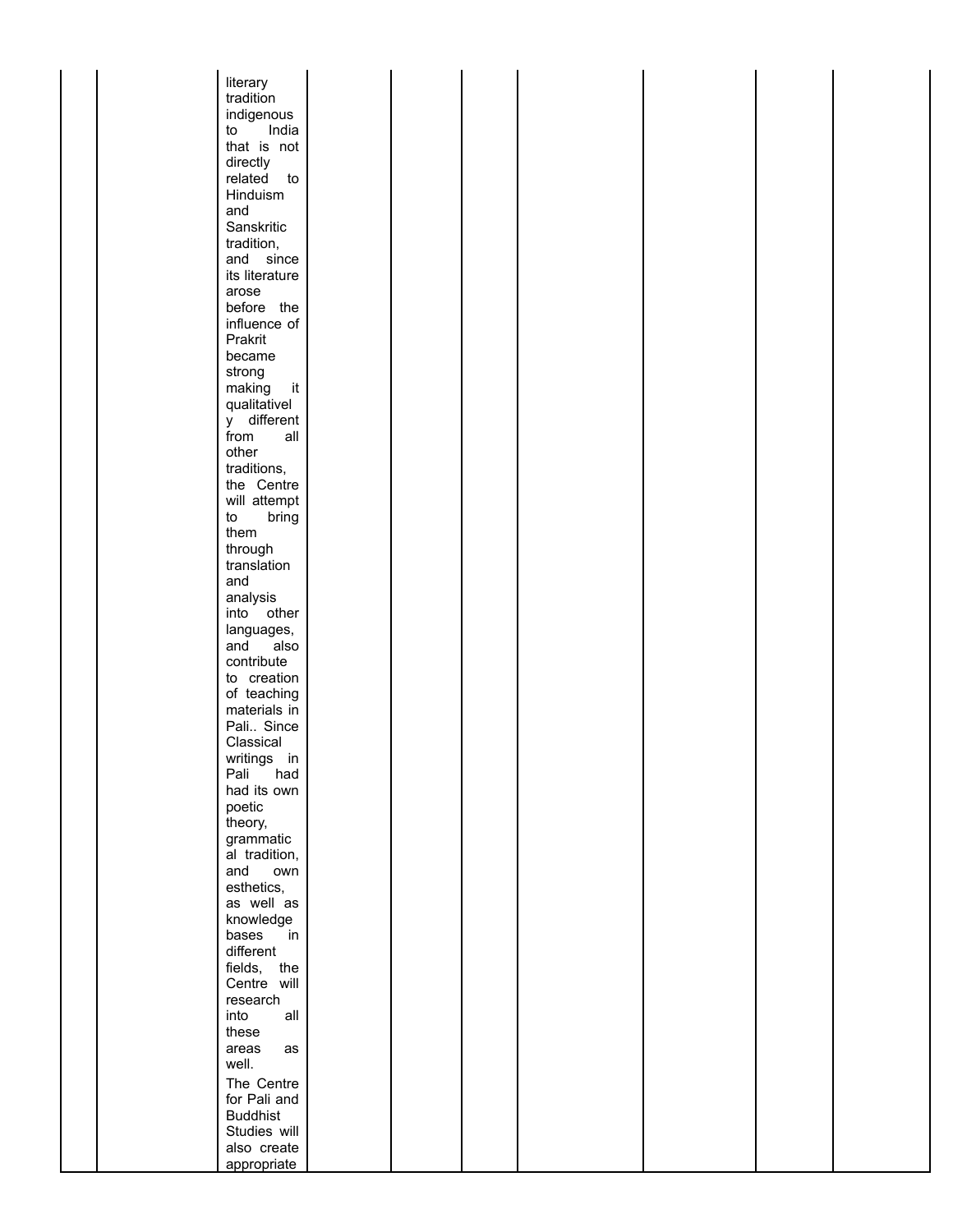| literary        |  |  |  |  |
|-----------------|--|--|--|--|
| tradition       |  |  |  |  |
|                 |  |  |  |  |
| indigenous      |  |  |  |  |
| India<br>to     |  |  |  |  |
| that is not     |  |  |  |  |
| directly        |  |  |  |  |
| related to      |  |  |  |  |
| Hinduism        |  |  |  |  |
| and             |  |  |  |  |
| Sanskritic      |  |  |  |  |
| tradition,      |  |  |  |  |
| and since       |  |  |  |  |
| its literature  |  |  |  |  |
| arose           |  |  |  |  |
| before the      |  |  |  |  |
| influence of    |  |  |  |  |
|                 |  |  |  |  |
| Prakrit         |  |  |  |  |
| became          |  |  |  |  |
| strong          |  |  |  |  |
| making<br>it    |  |  |  |  |
| qualitativel    |  |  |  |  |
| y different     |  |  |  |  |
| from<br>all     |  |  |  |  |
| other           |  |  |  |  |
| traditions,     |  |  |  |  |
| the Centre      |  |  |  |  |
| will attempt    |  |  |  |  |
| to<br>bring     |  |  |  |  |
| them            |  |  |  |  |
| through         |  |  |  |  |
| translation     |  |  |  |  |
|                 |  |  |  |  |
| and             |  |  |  |  |
| analysis        |  |  |  |  |
| into other      |  |  |  |  |
| languages,      |  |  |  |  |
| and<br>also     |  |  |  |  |
| contribute      |  |  |  |  |
| to creation     |  |  |  |  |
| of teaching     |  |  |  |  |
| materials in    |  |  |  |  |
| Pali Since      |  |  |  |  |
| Classical       |  |  |  |  |
| writings in     |  |  |  |  |
| Pali<br>had     |  |  |  |  |
| had its own     |  |  |  |  |
| poetic          |  |  |  |  |
| theory,         |  |  |  |  |
| grammatic       |  |  |  |  |
| al tradition,   |  |  |  |  |
|                 |  |  |  |  |
| and<br>own      |  |  |  |  |
| esthetics,      |  |  |  |  |
| as well as      |  |  |  |  |
| knowledge       |  |  |  |  |
| bases<br>in     |  |  |  |  |
| different       |  |  |  |  |
| fields, the     |  |  |  |  |
| Centre will     |  |  |  |  |
| research        |  |  |  |  |
| into<br>all     |  |  |  |  |
| these           |  |  |  |  |
| areas<br>as     |  |  |  |  |
| well.           |  |  |  |  |
|                 |  |  |  |  |
| The Centre      |  |  |  |  |
| for Pali and    |  |  |  |  |
| <b>Buddhist</b> |  |  |  |  |
| Studies will    |  |  |  |  |
| also create     |  |  |  |  |
| appropriate     |  |  |  |  |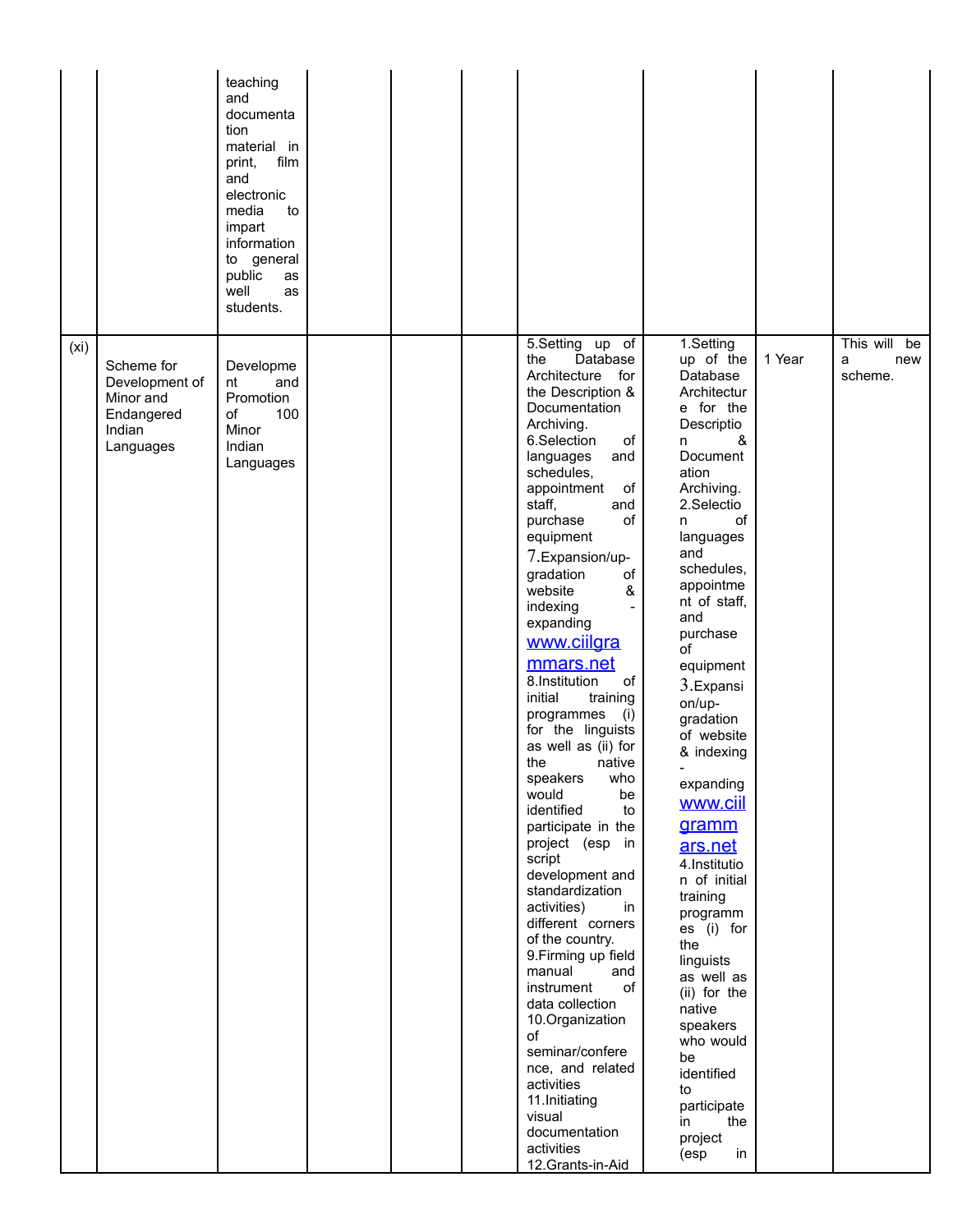|      |                                                                                | teaching<br>and<br>documenta<br>tion<br>material in<br>film<br>print,<br>and<br>electronic<br>media<br>to<br>impart<br>information<br>to general<br>public<br>as<br>well<br>as<br>students. |  |                                                                                                                                                                                                                                                                                                                                                                                                                                                                                                                                                                                                                                                                                                                                                                                                                                                                                                                                           |                                                                                                                                                                                                                                                                                                                                                                                                                                                                                                                                                                                                                 |        |                                     |
|------|--------------------------------------------------------------------------------|---------------------------------------------------------------------------------------------------------------------------------------------------------------------------------------------|--|-------------------------------------------------------------------------------------------------------------------------------------------------------------------------------------------------------------------------------------------------------------------------------------------------------------------------------------------------------------------------------------------------------------------------------------------------------------------------------------------------------------------------------------------------------------------------------------------------------------------------------------------------------------------------------------------------------------------------------------------------------------------------------------------------------------------------------------------------------------------------------------------------------------------------------------------|-----------------------------------------------------------------------------------------------------------------------------------------------------------------------------------------------------------------------------------------------------------------------------------------------------------------------------------------------------------------------------------------------------------------------------------------------------------------------------------------------------------------------------------------------------------------------------------------------------------------|--------|-------------------------------------|
| (xi) | Scheme for<br>Development of<br>Minor and<br>Endangered<br>Indian<br>Languages | Developme<br>nt<br>and<br>Promotion<br>100<br>of<br>Minor<br>Indian<br>Languages                                                                                                            |  | 5.Setting up of<br>Database<br>the<br>Architecture for<br>the Description &<br>Documentation<br>Archiving.<br>6.Selection<br>of<br>languages<br>and<br>schedules,<br>appointment<br>of<br>staff,<br>and<br>purchase<br>of<br>equipment<br>7. Expansion/up-<br>gradation<br>οf<br>website<br>&<br>indexing<br>expanding<br>www.ciilgra<br>mmars.net<br>8.Institution<br>of<br>initial<br>training<br>programmes<br>(i)<br>for the linguists<br>as well as (ii) for<br>the<br>native<br>who<br>speakers<br>would<br>be<br>identified<br>to<br>participate in the<br>project (esp in<br>script<br>development and<br>standardization<br>activities)<br>in<br>different corners<br>of the country.<br>9. Firming up field<br>manual<br>and<br>of<br>instrument<br>data collection<br>10.Organization<br>of<br>seminar/confere<br>nce, and related<br>activities<br>11.Initiating<br>visual<br>documentation<br>activities<br>12.Grants-in-Aid | 1.Setting<br>up of the<br>Database<br>Architectur<br>e for the<br>Descriptio<br>&<br>n<br>Document<br>ation<br>Archiving.<br>2.Selectio<br>of<br>n.<br>languages<br>and<br>schedules,<br>appointme<br>nt of staff,<br>and<br>purchase<br>of<br>equipment<br>3.Expansi<br>on/up-<br>gradation<br>of website<br>& indexing<br>expanding<br>www.ciil<br>gramm<br>ars.net<br>4.Institutio<br>n of initial<br>training<br>programm<br>es (i) for<br>the<br>linguists<br>as well as<br>(ii) for the<br>native<br>speakers<br>who would<br>be<br>identified<br>to<br>participate<br>the<br>in<br>project<br>(esp<br>in | 1 Year | This will be<br>a<br>new<br>scheme. |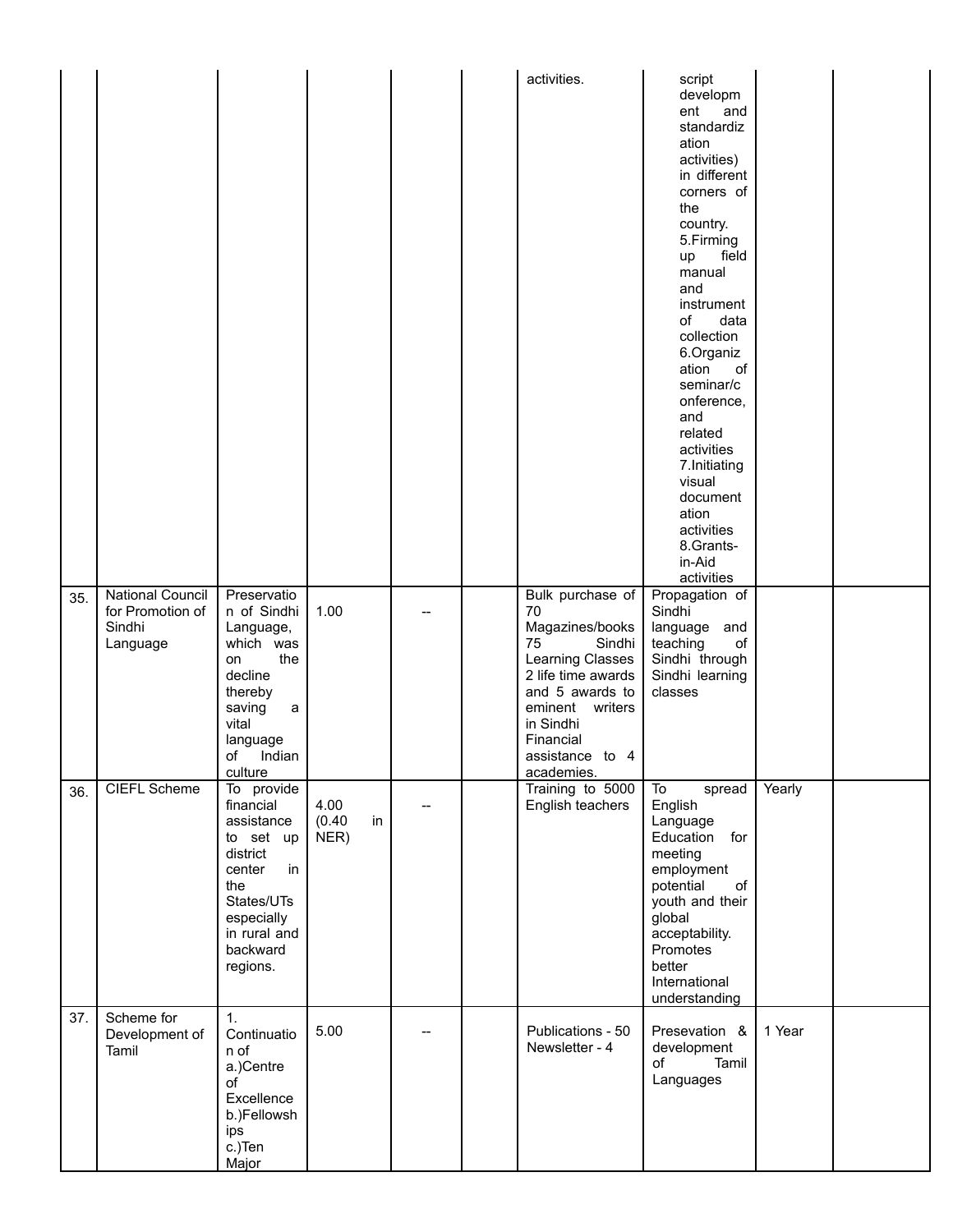|     |                                                                   |                                                                                                                                                           |                              |    | activities.                                                                                                                                                                                          | script<br>developm<br>ent<br>and<br>standardiz<br>ation<br>activities)<br>in different<br>corners of<br>the<br>country.<br>5.Firming<br>field<br>up<br>manual<br>and<br>instrument<br>data<br>of<br>collection<br>6.Organiz<br>ation<br>of<br>seminar/c<br>onference,<br>and<br>related<br>activities<br>7. Initiating<br>visual<br>document<br>ation<br>activities<br>8.Grants-<br>in-Aid<br>activities |        |  |
|-----|-------------------------------------------------------------------|-----------------------------------------------------------------------------------------------------------------------------------------------------------|------------------------------|----|------------------------------------------------------------------------------------------------------------------------------------------------------------------------------------------------------|----------------------------------------------------------------------------------------------------------------------------------------------------------------------------------------------------------------------------------------------------------------------------------------------------------------------------------------------------------------------------------------------------------|--------|--|
| 35. | <b>National Council</b><br>for Promotion of<br>Sindhi<br>Language | Preservatio<br>n of Sindhi<br>Language,<br>which was<br>the<br>on<br>decline<br>thereby<br>saving<br>a<br>vital<br>language<br>of<br>Indian<br>culture    | 1.00                         | -- | Bulk purchase of<br>70<br>Magazines/books<br>75<br>Sindhi<br>Learning Classes<br>2 life time awards<br>and 5 awards to<br>eminent writers<br>in Sindhi<br>Financial<br>assistance to 4<br>academies. | Propagation of<br>Sindhi<br>language and<br>of<br>teaching<br>Sindhi through<br>Sindhi learning<br>classes                                                                                                                                                                                                                                                                                               |        |  |
| 36. | <b>CIEFL Scheme</b>                                               | To provide<br>financial<br>assistance<br>to set up<br>district<br>center<br>in<br>the<br>States/UTs<br>especially<br>in rural and<br>backward<br>regions. | 4.00<br>(0.40)<br>in<br>NER) |    | Training to 5000<br>English teachers                                                                                                                                                                 | spread<br>To<br>English<br>Language<br>Education for<br>meeting<br>employment<br>potential<br>of<br>youth and their<br>global<br>acceptability.<br>Promotes<br>better<br>International<br>understanding                                                                                                                                                                                                  | Yearly |  |
| 37. | Scheme for<br>Development of<br>Tamil                             | 1.<br>Continuatio<br>n of<br>a.)Centre<br>of<br>Excellence<br>b.)Fellowsh<br>ips<br>c.)Ten<br>Major                                                       | 5.00                         |    | Publications - 50<br>Newsletter - 4                                                                                                                                                                  | Presevation &<br>development<br>Tamil<br>of<br>Languages                                                                                                                                                                                                                                                                                                                                                 | 1 Year |  |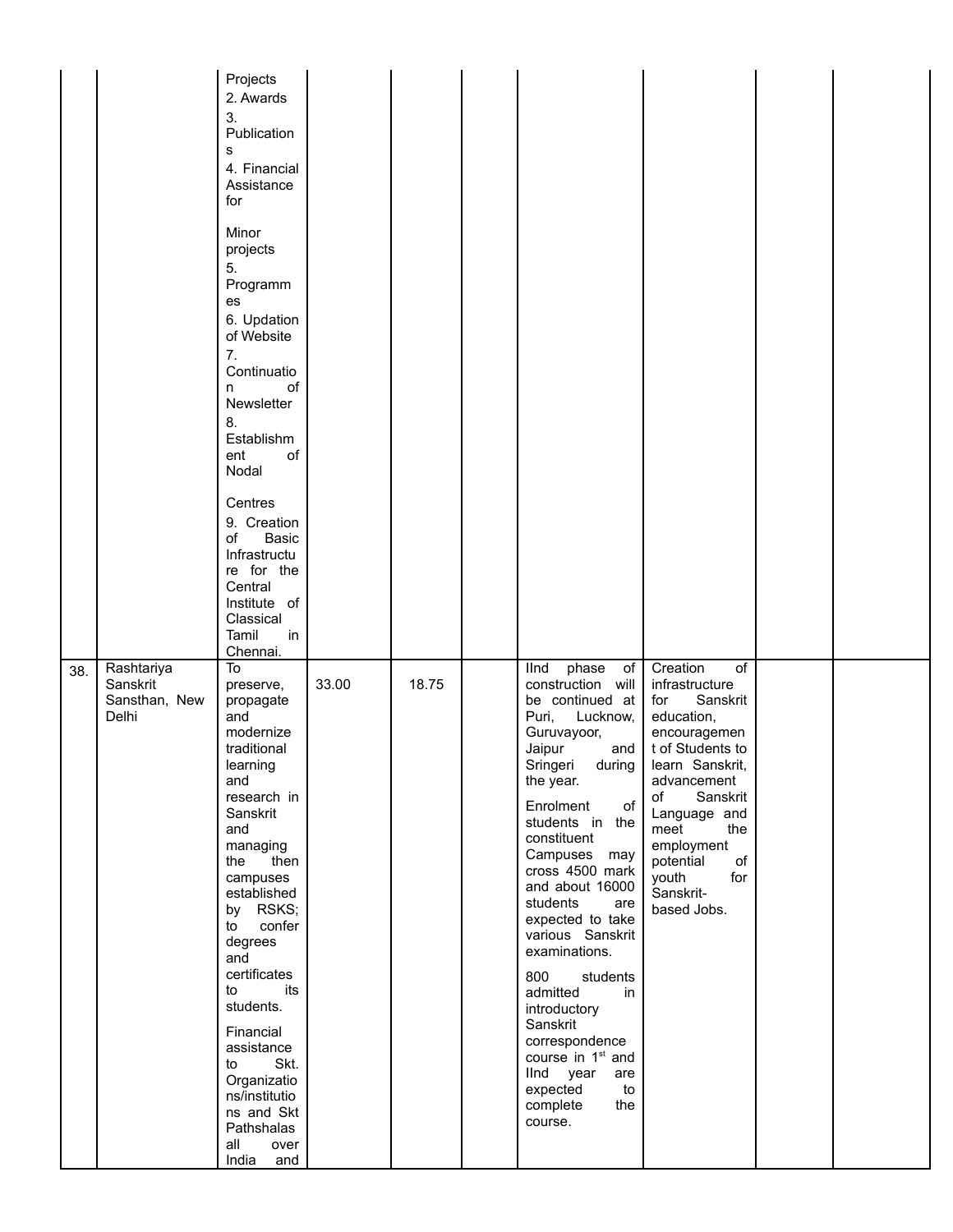|     |                                                  | Projects<br>2. Awards<br>3.<br>Publication<br>s<br>4. Financial<br>Assistance<br>for<br>Minor<br>projects<br>5.<br>Programm<br>es<br>6. Updation<br>of Website<br>7.<br>Continuatio<br>οf<br>n<br>Newsletter<br>8.<br>Establishm<br>ent<br>of<br>Nodal<br>Centres<br>9. Creation<br>of<br><b>Basic</b><br>Infrastructu<br>re for the<br>Central<br>Institute of<br>Classical<br>Tamil<br>in<br>Chennai. |       |       |                                                                                                                                                                                                                                                                                                                                                                                                                                                                                                                                 |                                                                                                                                                                                                                                                                                    |  |
|-----|--------------------------------------------------|---------------------------------------------------------------------------------------------------------------------------------------------------------------------------------------------------------------------------------------------------------------------------------------------------------------------------------------------------------------------------------------------------------|-------|-------|---------------------------------------------------------------------------------------------------------------------------------------------------------------------------------------------------------------------------------------------------------------------------------------------------------------------------------------------------------------------------------------------------------------------------------------------------------------------------------------------------------------------------------|------------------------------------------------------------------------------------------------------------------------------------------------------------------------------------------------------------------------------------------------------------------------------------|--|
| 38. | Rashtariya<br>Sanskrit<br>Sansthan, New<br>Delhi | To<br>preserve,<br>propagate<br>and<br>modernize<br>traditional<br>learning<br>and<br>research in<br>Sanskrit<br>and<br>managing<br>then<br>the<br>campuses<br>established<br>by RSKS;<br>confer<br>to<br>degrees<br>and<br>certificates<br>its<br>to<br>students.<br>Financial<br>assistance<br>Skt.<br>to<br>Organizatio<br>ns/institutio<br>ns and Skt<br>Pathshalas<br>all<br>over<br>India and     | 33.00 | 18.75 | phase<br>llnd<br>of<br>construction will<br>be continued at<br>Puri,<br>Lucknow,<br>Guruvayoor,<br>Jaipur<br>and<br>Sringeri during<br>the year.<br>Enrolment<br>of<br>students in the<br>constituent<br>Campuses may<br>cross 4500 mark<br>and about 16000<br>students<br>are<br>expected to take<br>various Sanskrit<br>examinations.<br>800<br>students<br>admitted<br>in<br>introductory<br>Sanskrit<br>correspondence<br>course in 1 <sup>st</sup> and<br>lind year<br>are<br>expected<br>to<br>complete<br>the<br>course. | $\overline{of}$<br>Creation<br>infrastructure<br>Sanskrit<br>for<br>education,<br>encouragemen<br>t of Students to<br>learn Sanskrit,<br>advancement<br>of<br>Sanskrit<br>Language and<br>meet<br>the<br>employment<br>of<br>potential<br>for<br>youth<br>Sanskrit-<br>based Jobs. |  |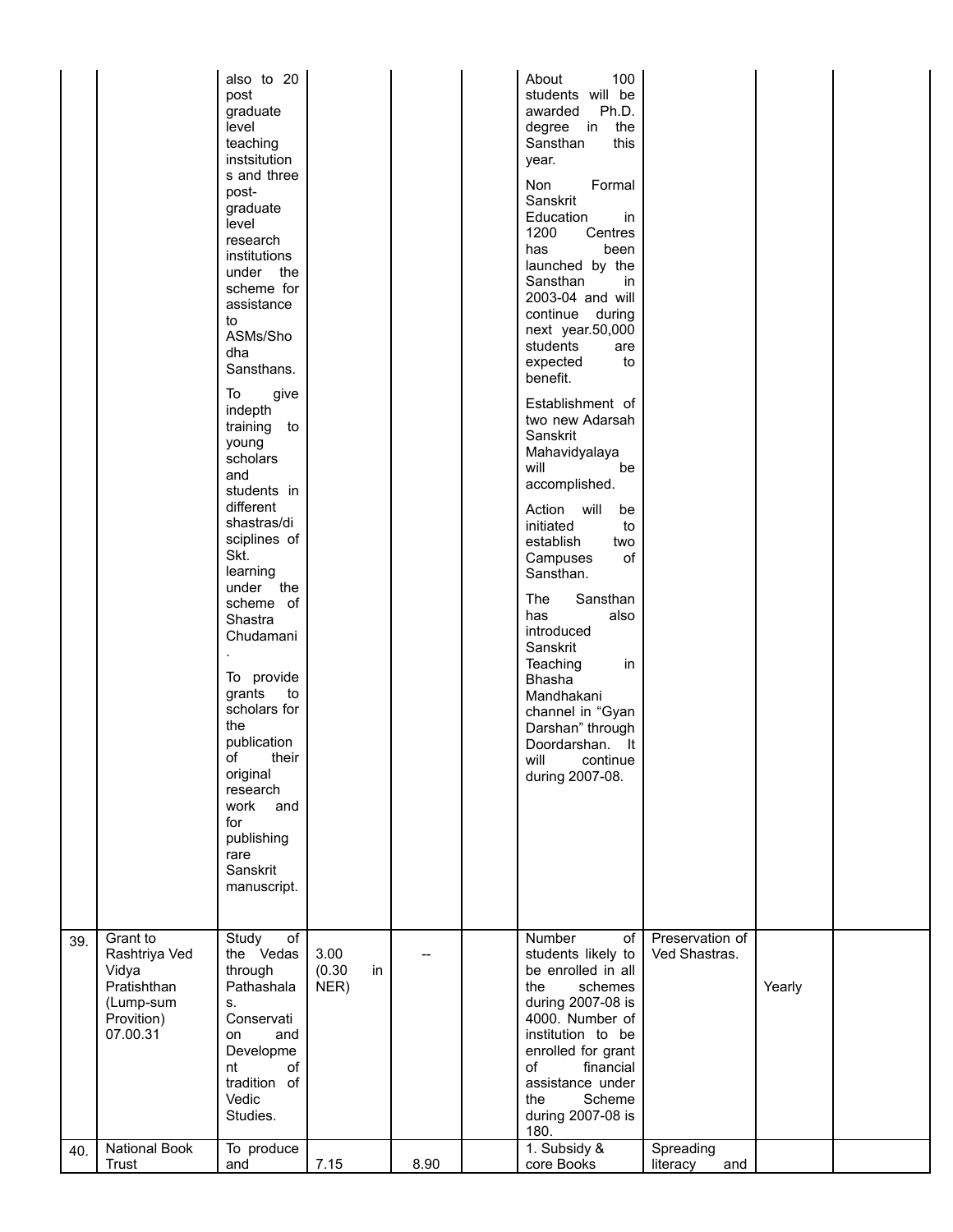|     |                                                                                          | also to 20<br>post<br>graduate<br>level<br>teaching<br>instsitution<br>s and three<br>post-<br>graduate<br>level<br>research<br>institutions<br>under the<br>scheme for<br>assistance<br>to<br>ASMs/Sho<br>dha<br>Sansthans.<br>To<br>give<br>indepth<br>training to<br>young<br>scholars<br>and<br>students in<br>different<br>shastras/di<br>sciplines of<br>Skt.<br>learning<br>under the<br>scheme of<br>Shastra<br>Chudamani<br>To provide<br>grants<br>to<br>scholars for<br>the<br>publication<br>of<br>their<br>original<br>research<br>work<br>and<br>for<br>publishing<br>rare<br>Sanskrit<br>manuscript. |                              |      | About<br>100<br>students will be<br>Ph.D.<br>awarded<br>degree in the<br>Sansthan<br>this<br>year.<br>Formal<br>Non<br>Sanskrit<br>Education<br>in<br>1200<br>Centres<br>been<br>has<br>launched by the<br>Sansthan<br>in<br>2003-04 and will<br>continue during<br>next year.50,000<br>students<br>are<br>expected<br>to<br>benefit.<br>Establishment of<br>two new Adarsah<br>Sanskrit<br>Mahavidyalaya<br>will<br>be<br>accomplished.<br>Action will<br>be<br>initiated<br>to<br>establish<br>two<br>Campuses<br>οf<br>Sansthan.<br>The<br>Sansthan<br>has<br>also<br>introduced<br>Sanskrit<br>Teaching<br>in<br><b>Bhasha</b><br>Mandhakani<br>channel in "Gyan<br>Darshan" through<br>Doordarshan.<br>- It<br>will<br>continue<br>during 2007-08. |                                  |        |  |
|-----|------------------------------------------------------------------------------------------|---------------------------------------------------------------------------------------------------------------------------------------------------------------------------------------------------------------------------------------------------------------------------------------------------------------------------------------------------------------------------------------------------------------------------------------------------------------------------------------------------------------------------------------------------------------------------------------------------------------------|------------------------------|------|---------------------------------------------------------------------------------------------------------------------------------------------------------------------------------------------------------------------------------------------------------------------------------------------------------------------------------------------------------------------------------------------------------------------------------------------------------------------------------------------------------------------------------------------------------------------------------------------------------------------------------------------------------------------------------------------------------------------------------------------------------|----------------------------------|--------|--|
| 39. | Grant to<br>Rashtriya Ved<br>Vidya<br>Pratishthan<br>(Lump-sum<br>Provition)<br>07.00.31 | Study<br>of<br>the Vedas<br>through<br>Pathashala<br>S.<br>Conservati<br>and<br>on<br>Developme<br>of<br>nt<br>tradition of<br>Vedic<br>Studies.                                                                                                                                                                                                                                                                                                                                                                                                                                                                    | 3.00<br>(0.30)<br>in<br>NER) |      | Number<br>of<br>students likely to<br>be enrolled in all<br>the<br>schemes<br>during 2007-08 is<br>4000. Number of<br>institution to be<br>enrolled for grant<br>of<br>financial<br>assistance under<br>Scheme<br>the<br>during 2007-08 is<br>180.                                                                                                                                                                                                                                                                                                                                                                                                                                                                                                      | Preservation of<br>Ved Shastras. | Yearly |  |
| 40. | National Book<br>Trust                                                                   | To produce<br>and                                                                                                                                                                                                                                                                                                                                                                                                                                                                                                                                                                                                   | 7.15                         | 8.90 | 1. Subsidy &<br>core Books                                                                                                                                                                                                                                                                                                                                                                                                                                                                                                                                                                                                                                                                                                                              | Spreading<br>literacy<br>and     |        |  |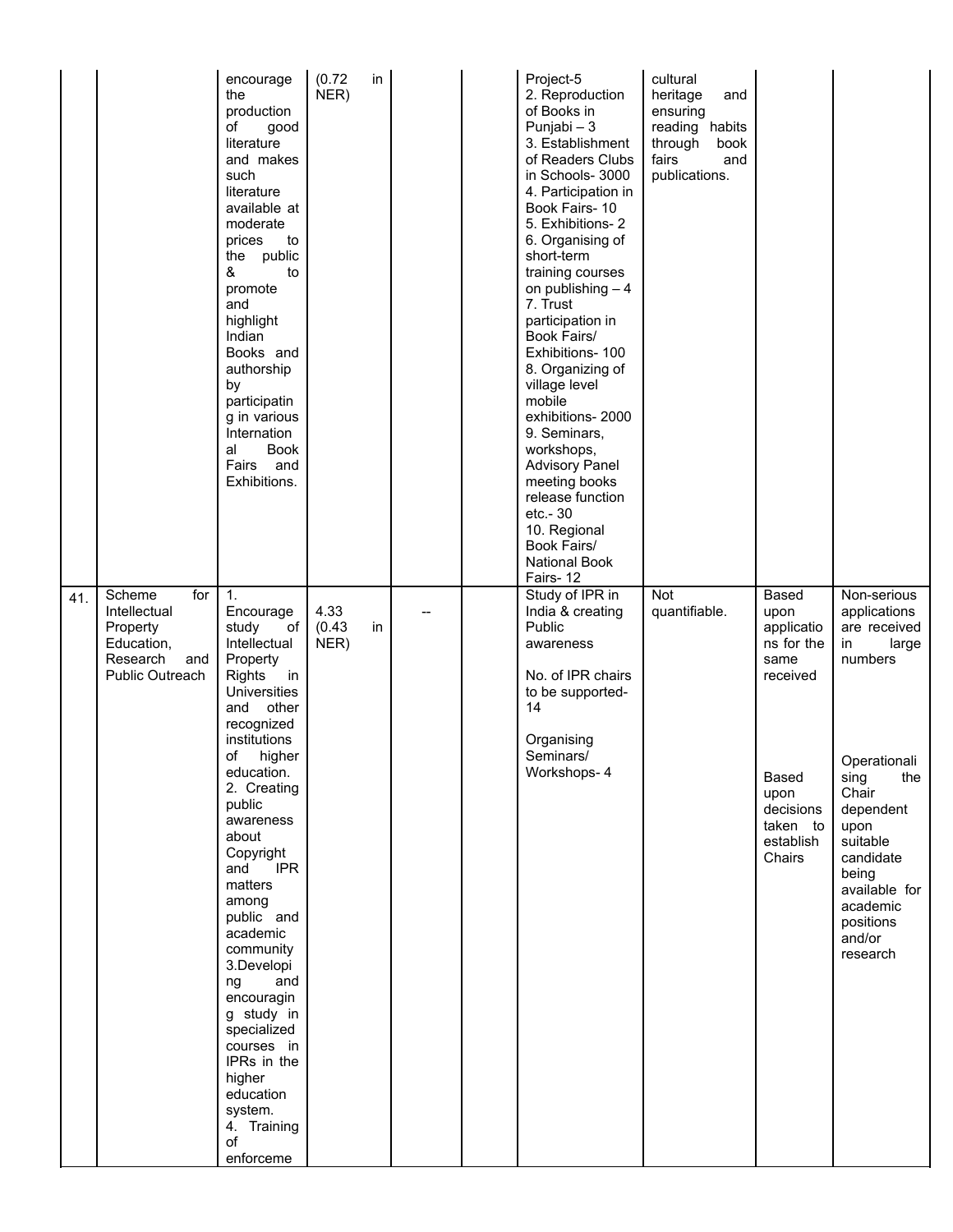|     |                                                                                               | encourage<br>the<br>production<br>of<br>good<br>literature<br>and makes<br>such<br>literature<br>available at<br>moderate<br>prices<br>to<br>the public<br>&<br>to<br>promote<br>and<br>highlight<br>Indian<br>Books and<br>authorship<br>by<br>participatin<br>g in various<br>Internation<br><b>Book</b><br>al<br>Fairs<br>and<br>Exhibitions.                                                                                                                                                     | (0.72)<br>in<br>NER)         |  | Project-5<br>2. Reproduction<br>of Books in<br>Punjabi - 3<br>3. Establishment<br>of Readers Clubs<br>in Schools- 3000<br>4. Participation in<br>Book Fairs-10<br>5. Exhibitions-2<br>6. Organising of<br>short-term<br>training courses<br>on publishing $-4$<br>7. Trust<br>participation in<br>Book Fairs/<br>Exhibitions- 100<br>8. Organizing of<br>village level<br>mobile<br>exhibitions-2000<br>9. Seminars,<br>workshops,<br><b>Advisory Panel</b><br>meeting books<br>release function<br>etc.- 30<br>10. Regional<br>Book Fairs/<br><b>National Book</b><br>Fairs-12 | cultural<br>heritage<br>and<br>ensuring<br>reading habits<br>through<br>book<br>fairs<br>and<br>publications. |                                                                                                                                |                                                                                                                                                                                                                                      |
|-----|-----------------------------------------------------------------------------------------------|------------------------------------------------------------------------------------------------------------------------------------------------------------------------------------------------------------------------------------------------------------------------------------------------------------------------------------------------------------------------------------------------------------------------------------------------------------------------------------------------------|------------------------------|--|---------------------------------------------------------------------------------------------------------------------------------------------------------------------------------------------------------------------------------------------------------------------------------------------------------------------------------------------------------------------------------------------------------------------------------------------------------------------------------------------------------------------------------------------------------------------------------|---------------------------------------------------------------------------------------------------------------|--------------------------------------------------------------------------------------------------------------------------------|--------------------------------------------------------------------------------------------------------------------------------------------------------------------------------------------------------------------------------------|
| 41. | for<br>Scheme<br>Intellectual<br>Property<br>Education,<br>Research<br>and<br>Public Outreach | 1.<br>Encourage<br>study<br>of<br>Intellectual<br>Property<br><b>Rights</b><br>in<br><b>Universities</b><br>and other<br>recognized<br>institutions<br>οf<br>higher<br>education.<br>2. Creating<br>public<br>awareness<br>about<br>Copyright<br><b>IPR</b><br>and<br>matters<br>among<br>public and<br>academic<br>community<br>3.Developi<br>ng<br>and<br>encouragin<br>g study in<br>specialized<br>courses in<br>IPRs in the<br>higher<br>education<br>system.<br>4. Training<br>of<br>enforceme | 4.33<br>(0.43)<br>in<br>NER) |  | Study of IPR in<br>India & creating<br>Public<br>awareness<br>No. of IPR chairs<br>to be supported-<br>14<br>Organising<br>Seminars/<br>Workshops- 4                                                                                                                                                                                                                                                                                                                                                                                                                            | Not<br>quantifiable.                                                                                          | Based<br>upon<br>applicatio<br>ns for the<br>same<br>received<br>Based<br>upon<br>decisions<br>taken to<br>establish<br>Chairs | Non-serious<br>applications<br>are received<br>in<br>large<br>numbers<br>Operationali<br>sing<br>the<br>Chair<br>dependent<br>upon<br>suitable<br>candidate<br>being<br>available for<br>academic<br>positions<br>and/or<br>research |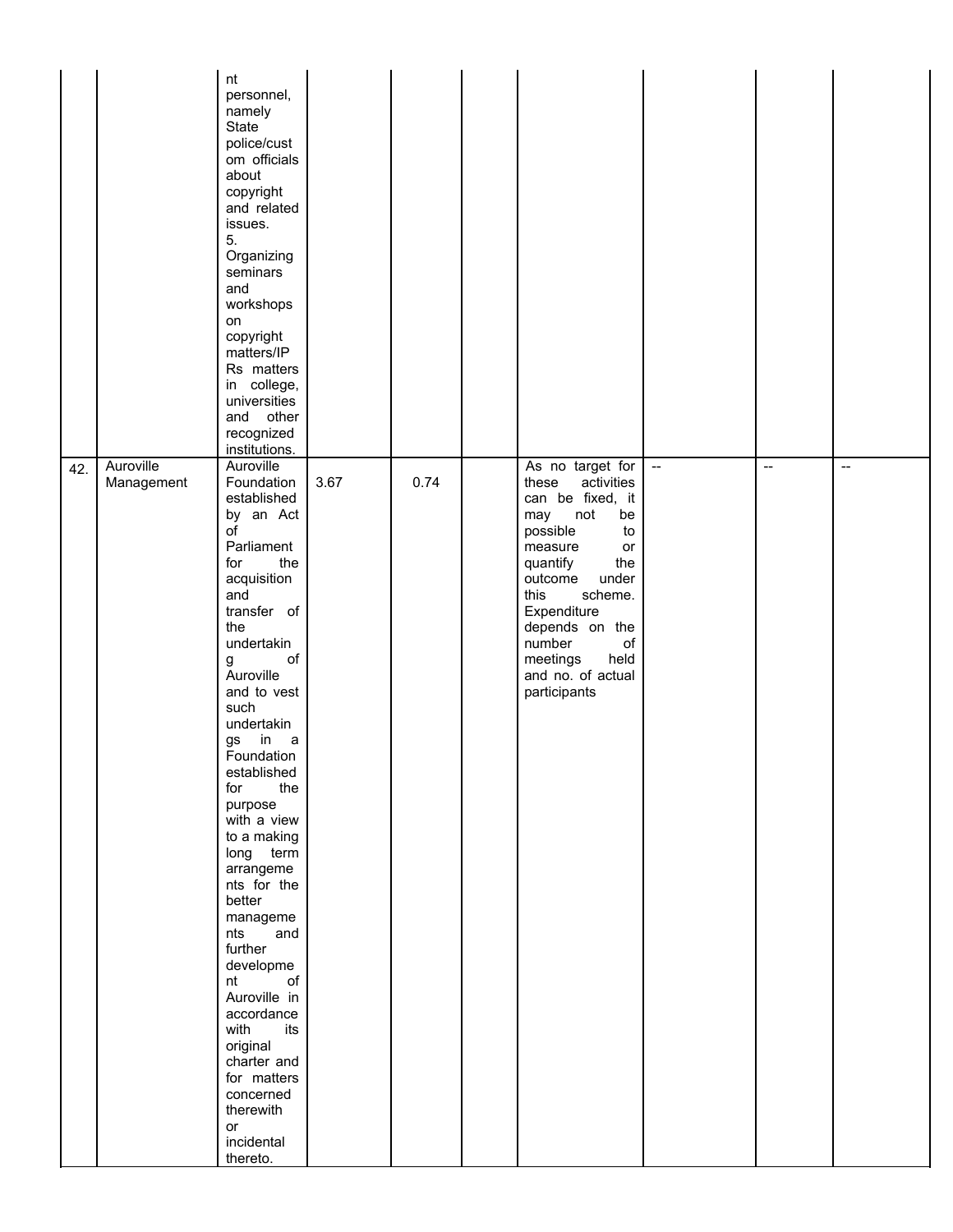|     |                         | nt<br>personnel,<br>namely<br>State<br>police/cust<br>om officials<br>about<br>copyright<br>and related<br>issues.<br>5.<br>Organizing<br>seminars<br>and<br>workshops<br>on<br>copyright<br>matters/IP<br>Rs matters<br>in college,<br>universities<br>and other<br>recognized<br>institutions.                                                                                                                                                                                                                                                                                                             |      |      |                                                                                                                                                                                                                                                                                        |                                                     |                          |                          |
|-----|-------------------------|--------------------------------------------------------------------------------------------------------------------------------------------------------------------------------------------------------------------------------------------------------------------------------------------------------------------------------------------------------------------------------------------------------------------------------------------------------------------------------------------------------------------------------------------------------------------------------------------------------------|------|------|----------------------------------------------------------------------------------------------------------------------------------------------------------------------------------------------------------------------------------------------------------------------------------------|-----------------------------------------------------|--------------------------|--------------------------|
| 42. | Auroville<br>Management | Auroville<br>Foundation<br>established<br>by an Act<br>o <sub>f</sub><br>Parliament<br>for<br>the<br>acquisition<br>and<br>transfer of<br>the<br>undertakin<br>of<br>g<br>Auroville<br>and to vest<br>such<br>undertakin<br>in<br>gs<br>a a<br>Foundation<br>established<br>for<br>the<br>purpose<br>with a view<br>to a making<br>long term<br>arrangeme<br>nts for the<br>better<br>manageme<br>nts<br>and<br>further<br>developme<br>$\mathsf{of}$<br>nt<br>Auroville in<br>accordance<br>with<br>its<br>original<br>charter and<br>for matters<br>concerned<br>therewith<br>or<br>incidental<br>thereto. | 3.67 | 0.74 | As no target for<br>activities<br>these<br>can be fixed, it<br>may<br>not<br>be<br>possible<br>to<br>measure<br>or<br>quantify<br>the<br>under<br>outcome<br>this<br>scheme.<br>Expenditure<br>depends on the<br>number<br>of<br>meetings<br>held<br>and no. of actual<br>participants | $\hspace{0.05cm} -\hspace{0.05cm} -\hspace{0.05cm}$ | $\overline{\phantom{a}}$ | $\overline{\phantom{a}}$ |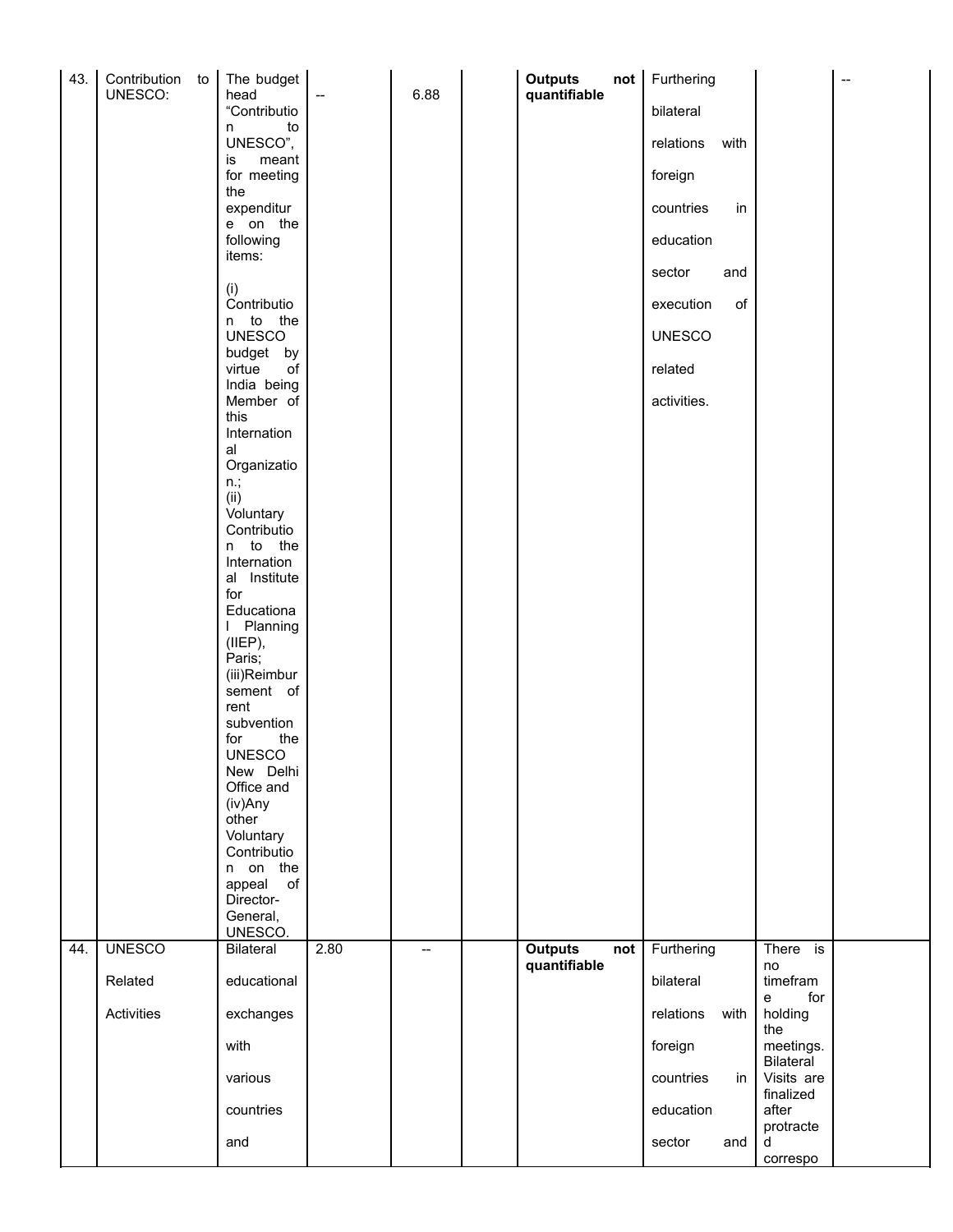| 43. | Contribution to<br>UNESCO: | The budget<br>head          |                          | 6.88                     | <b>Outputs</b><br>quantifiable | not | Furthering    |      |                         | $\overline{\phantom{a}}$ |
|-----|----------------------------|-----------------------------|--------------------------|--------------------------|--------------------------------|-----|---------------|------|-------------------------|--------------------------|
|     |                            | "Contributio                | $\overline{\phantom{a}}$ |                          |                                |     | bilateral     |      |                         |                          |
|     |                            | to<br>n<br>UNESCO",         |                          |                          |                                |     | relations     | with |                         |                          |
|     |                            | meant<br>is<br>for meeting  |                          |                          |                                |     | foreign       |      |                         |                          |
|     |                            | the<br>expenditur           |                          |                          |                                |     | countries     | in   |                         |                          |
|     |                            | e on the<br>following       |                          |                          |                                |     | education     |      |                         |                          |
|     |                            | items:                      |                          |                          |                                |     | sector        | and  |                         |                          |
|     |                            | (i)<br>Contributio          |                          |                          |                                |     | execution     | of   |                         |                          |
|     |                            | n to the<br><b>UNESCO</b>   |                          |                          |                                |     | <b>UNESCO</b> |      |                         |                          |
|     |                            | budget by                   |                          |                          |                                |     |               |      |                         |                          |
|     |                            | virtue<br>of<br>India being |                          |                          |                                |     | related       |      |                         |                          |
|     |                            | Member of<br>this           |                          |                          |                                |     | activities.   |      |                         |                          |
|     |                            | Internation<br>al           |                          |                          |                                |     |               |      |                         |                          |
|     |                            | Organizatio<br>$n$ .;       |                          |                          |                                |     |               |      |                         |                          |
|     |                            | (ii)<br>Voluntary           |                          |                          |                                |     |               |      |                         |                          |
|     |                            | Contributio<br>n to the     |                          |                          |                                |     |               |      |                         |                          |
|     |                            | Internation                 |                          |                          |                                |     |               |      |                         |                          |
|     |                            | al Institute<br>for         |                          |                          |                                |     |               |      |                         |                          |
|     |                            | Educationa<br>I Planning    |                          |                          |                                |     |               |      |                         |                          |
|     |                            | (IIEP),<br>Paris;           |                          |                          |                                |     |               |      |                         |                          |
|     |                            | (iii)Reimbur<br>sement of   |                          |                          |                                |     |               |      |                         |                          |
|     |                            | rent<br>subvention          |                          |                          |                                |     |               |      |                         |                          |
|     |                            | for<br>the<br><b>UNESCO</b> |                          |                          |                                |     |               |      |                         |                          |
|     |                            | New Delhi                   |                          |                          |                                |     |               |      |                         |                          |
|     |                            | Office and<br>(iv)Any       |                          |                          |                                |     |               |      |                         |                          |
|     |                            | other<br>Voluntary          |                          |                          |                                |     |               |      |                         |                          |
|     |                            | Contributio<br>n on the     |                          |                          |                                |     |               |      |                         |                          |
|     |                            | appeal<br>of<br>Director-   |                          |                          |                                |     |               |      |                         |                          |
|     |                            | General,<br>UNESCO.         |                          |                          |                                |     |               |      |                         |                          |
| 44. | <b>UNESCO</b>              | Bilateral                   | 2.80                     | $\overline{\phantom{a}}$ | <b>Outputs</b>                 | not | Furthering    |      | There is                |                          |
|     | Related                    | educational                 |                          |                          | quantifiable                   |     | bilateral     |      | no<br>timefram          |                          |
|     | Activities                 | exchanges                   |                          |                          |                                |     | relations     | with | for<br>e<br>holding     |                          |
|     |                            | with                        |                          |                          |                                |     | foreign       |      | the<br>meetings.        |                          |
|     |                            | various                     |                          |                          |                                |     | countries     | in   | Bilateral<br>Visits are |                          |
|     |                            | countries                   |                          |                          |                                |     | education     |      | finalized<br>after      |                          |
|     |                            | and                         |                          |                          |                                |     | sector        | and  | protracte<br>d          |                          |
|     |                            |                             |                          |                          |                                |     |               |      | correspo                |                          |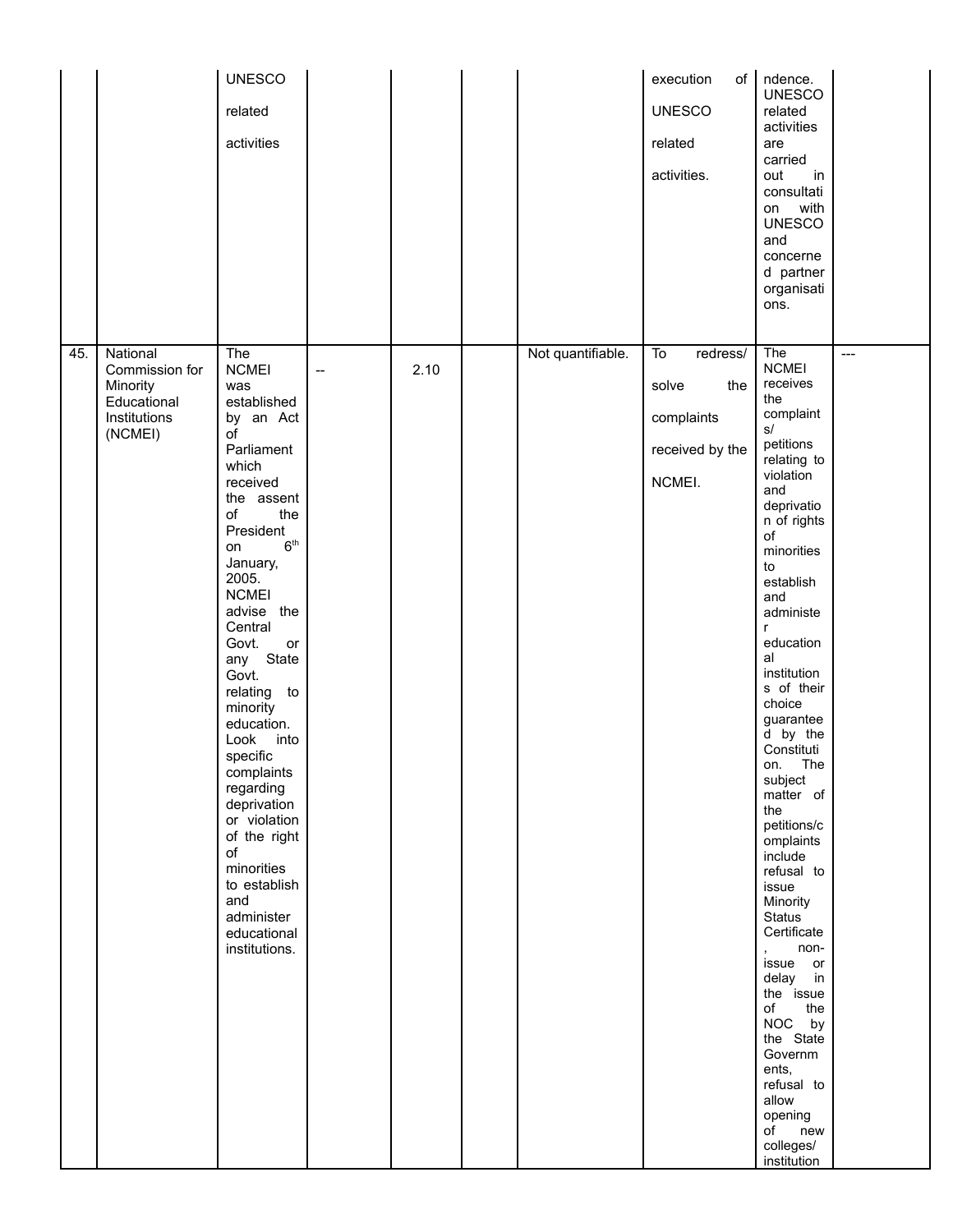| 45. | National                                                             | <b>UNESCO</b><br>related<br>activities<br>The                                                                                                                                                                                                                                                                                                                                                                                                                                                        |    |      | Not quantifiable. | of <sub>1</sub><br>execution<br><b>UNESCO</b><br>related<br>activities.<br>To<br>redress/ | ndence.<br><b>UNESCO</b><br>related<br>activities<br>are<br>carried<br>out<br>in<br>consultati<br>with<br>on<br><b>UNESCO</b><br>and<br>concerne<br>d partner<br>organisati<br>ons.<br>The                                                                                                                                                                                                                                                                                                                                                                                                                                                                   | $---$ |
|-----|----------------------------------------------------------------------|------------------------------------------------------------------------------------------------------------------------------------------------------------------------------------------------------------------------------------------------------------------------------------------------------------------------------------------------------------------------------------------------------------------------------------------------------------------------------------------------------|----|------|-------------------|-------------------------------------------------------------------------------------------|--------------------------------------------------------------------------------------------------------------------------------------------------------------------------------------------------------------------------------------------------------------------------------------------------------------------------------------------------------------------------------------------------------------------------------------------------------------------------------------------------------------------------------------------------------------------------------------------------------------------------------------------------------------|-------|
|     | Commission for<br>Minority<br>Educational<br>Institutions<br>(NCMEI) | <b>NCMEI</b><br>was<br>established<br>by an Act<br>οf<br>Parliament<br>which<br>received<br>the assent<br>of<br>the<br>President<br>6 <sup>th</sup><br>on<br>January,<br>2005.<br><b>NCMEI</b><br>advise the<br>Central<br>Govt.<br>or<br>any State<br>Govt.<br>relating to<br>minority<br>education.<br>Look<br>into<br>specific<br>complaints<br>regarding<br>deprivation<br>or violation<br>of the right<br>of<br>minorities<br>to establish<br>and<br>administer<br>educational<br>institutions. | -- | 2.10 |                   | solve<br>the<br>complaints<br>received by the<br>NCMEI.                                   | <b>NCMEI</b><br>receives<br>the<br>complaint<br>$\mathsf{s}/$<br>petitions<br>relating to<br>violation<br>and<br>deprivatio<br>n of rights<br>of<br>minorities<br>to<br>establish<br>and<br>administe<br>r<br>education<br>al<br>institution<br>s of their<br>choice<br>guarantee<br>d by the<br>Constituti<br>on. The<br>subject<br>matter of<br>the<br>petitions/c<br>omplaints<br>include<br>refusal to<br>issue<br>Minority<br><b>Status</b><br>Certificate<br>non-<br>$\mathbf{r}$<br>issue or<br>delay in<br>the issue<br>of<br>the<br>NOC by<br>the State<br>Governm<br>ents,<br>refusal to<br>allow<br>opening<br>of new<br>colleges/<br>institution |       |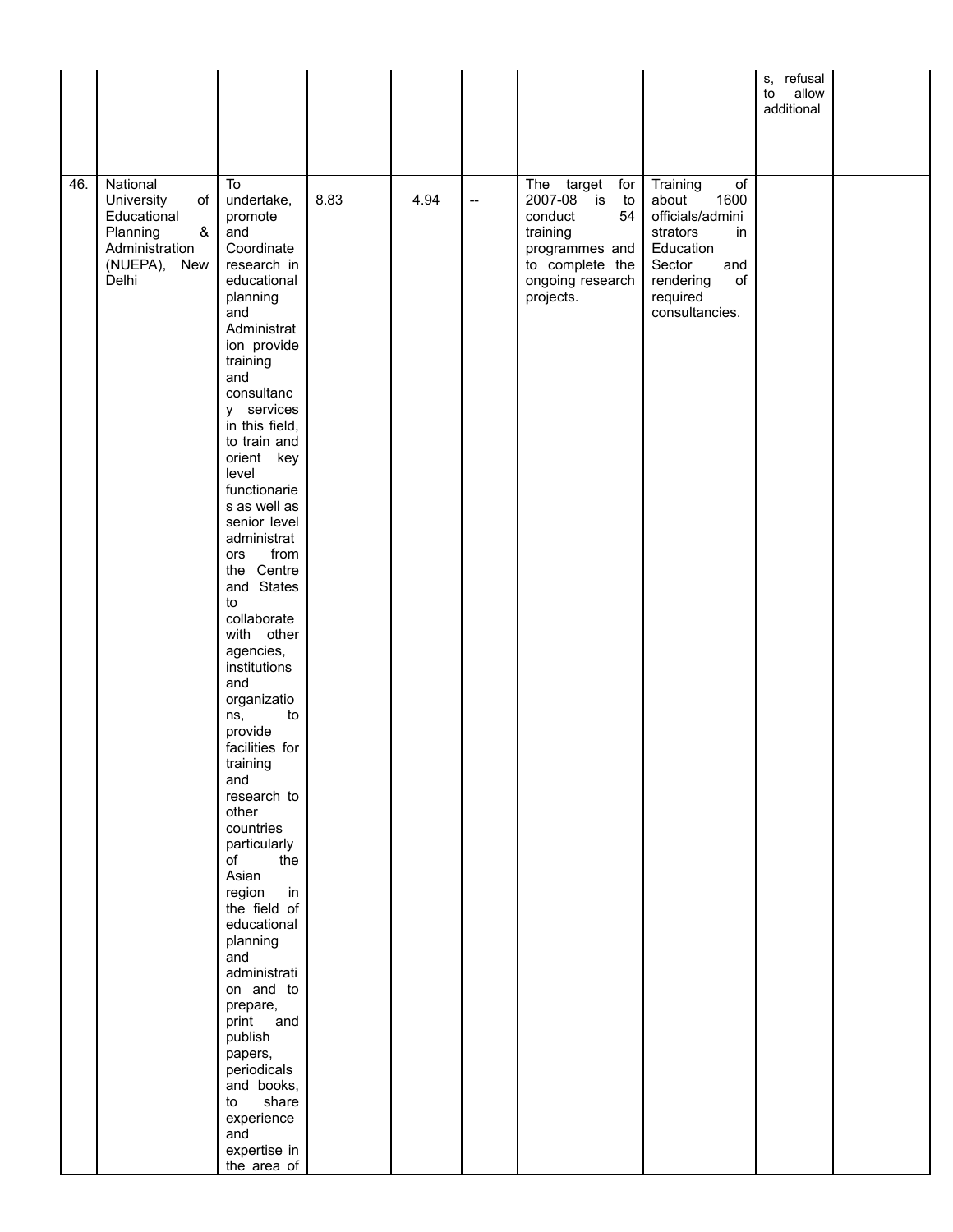|     |                                                                                                         |                                                                                                                                                                                                                                                                                                                                                                                                                                                                                                                                                                                                                                                                                                                                                                                                                               |      |      |                          |                                                                                                                                          |                                                                                                                                                      | s, refusal<br>to<br>allow<br>additional |  |
|-----|---------------------------------------------------------------------------------------------------------|-------------------------------------------------------------------------------------------------------------------------------------------------------------------------------------------------------------------------------------------------------------------------------------------------------------------------------------------------------------------------------------------------------------------------------------------------------------------------------------------------------------------------------------------------------------------------------------------------------------------------------------------------------------------------------------------------------------------------------------------------------------------------------------------------------------------------------|------|------|--------------------------|------------------------------------------------------------------------------------------------------------------------------------------|------------------------------------------------------------------------------------------------------------------------------------------------------|-----------------------------------------|--|
| 46. | National<br>University<br>of<br>Educational<br>Planning<br>&<br>Administration<br>(NUEPA), New<br>Delhi | To<br>undertake,<br>promote<br>and<br>Coordinate<br>research in<br>educational<br>planning<br>and<br>Administrat<br>ion provide<br>training<br>and<br>consultanc<br>y services<br>in this field,<br>to train and<br>orient key<br>level<br>functionarie<br>s as well as<br>senior level<br>administrat<br>from<br>ors<br>the Centre<br>and States<br>to<br>collaborate<br>with other<br>agencies,<br>institutions<br>and<br>organizatio<br>to<br>ns,<br>provide<br>facilities for<br>training<br>and<br>research to<br>other<br>countries<br>particularly<br>the<br>of<br>Asian<br>region<br>in<br>the field of<br>educational<br>planning<br>and<br>administrati<br>on and to<br>prepare,<br>print and<br>publish<br>papers,<br>periodicals<br>and books,<br>share<br>to<br>experience<br>and<br>expertise in<br>the area of | 8.83 | 4.94 | $\overline{\phantom{a}}$ | The target<br>for<br>2007-08 is<br>to<br>conduct<br>54<br>training<br>programmes and<br>to complete the<br>ongoing research<br>projects. | Training<br>of<br>about<br>1600<br>officials/admini<br>strators<br>in<br>Education<br>Sector<br>and<br>rendering<br>of<br>required<br>consultancies. |                                         |  |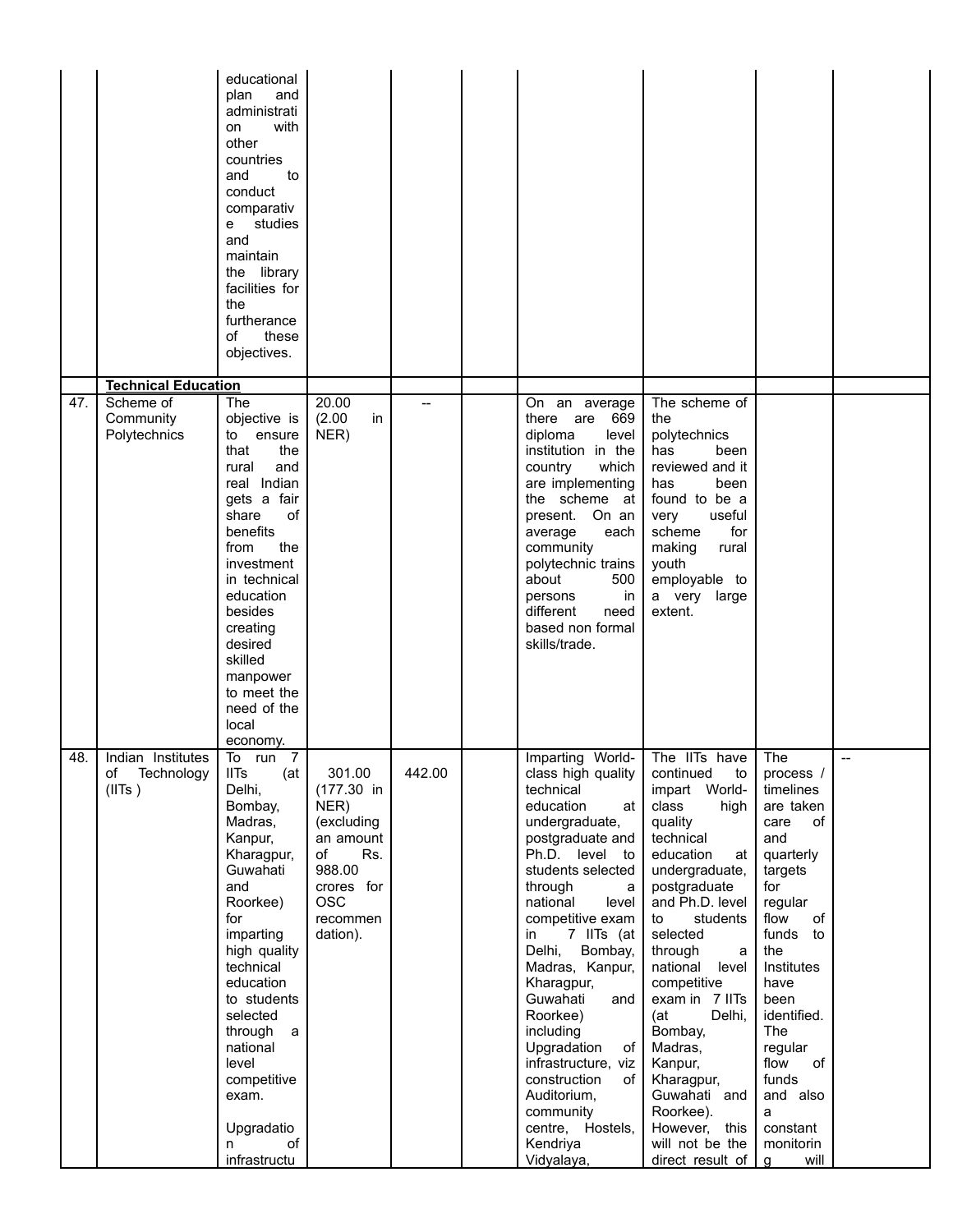|     |                                                 | educational<br>plan<br>and<br>administrati<br>with<br>on<br>other<br>countries<br>and<br>to<br>conduct<br>comparativ<br>studies<br>e –<br>and<br>maintain<br>the library<br>facilities for<br>the<br>furtherance<br>these<br>οf<br>objectives.                                                                                        |                                                                                                                                       |                |                                                                                                                                                                                                                                                                                                                                                                                                                                                                                |                                                                                                                                                                                                                                                                                                                                                                                                                                   |                                                                                                                                                                                                                                                                                         |                          |
|-----|-------------------------------------------------|---------------------------------------------------------------------------------------------------------------------------------------------------------------------------------------------------------------------------------------------------------------------------------------------------------------------------------------|---------------------------------------------------------------------------------------------------------------------------------------|----------------|--------------------------------------------------------------------------------------------------------------------------------------------------------------------------------------------------------------------------------------------------------------------------------------------------------------------------------------------------------------------------------------------------------------------------------------------------------------------------------|-----------------------------------------------------------------------------------------------------------------------------------------------------------------------------------------------------------------------------------------------------------------------------------------------------------------------------------------------------------------------------------------------------------------------------------|-----------------------------------------------------------------------------------------------------------------------------------------------------------------------------------------------------------------------------------------------------------------------------------------|--------------------------|
|     | <b>Technical Education</b>                      |                                                                                                                                                                                                                                                                                                                                       |                                                                                                                                       |                |                                                                                                                                                                                                                                                                                                                                                                                                                                                                                |                                                                                                                                                                                                                                                                                                                                                                                                                                   |                                                                                                                                                                                                                                                                                         |                          |
| 47. | Scheme of<br>Community<br>Polytechnics          | The<br>objective is<br>to ensure<br>that<br>the<br>rural<br>and<br>real Indian<br>gets a fair<br>share<br>οf<br>benefits<br>the<br>from<br>investment<br>in technical<br>education<br>besides<br>creating<br>desired<br>skilled<br>manpower<br>to meet the<br>need of the<br>local<br>economy.                                        | 20.00<br>(2.00)<br>in<br>NER)                                                                                                         | $\overline{a}$ | On an average<br>there are 669<br>diploma<br>level<br>institution in the<br>which<br>country<br>are implementing<br>the scheme at<br>present. On an<br>average<br>each<br>community<br>polytechnic trains<br>500<br>about<br>in<br>persons<br>different<br>need<br>based non formal<br>skills/trade.                                                                                                                                                                           | The scheme of<br>the<br>polytechnics<br>has<br>been<br>reviewed and it<br>has<br>been<br>found to be a<br>useful<br>very<br>for<br>scheme<br>making<br>rural<br>youth<br>employable to<br>a very large<br>extent.                                                                                                                                                                                                                 |                                                                                                                                                                                                                                                                                         |                          |
| 48. | Indian Institutes<br>of<br>Technology<br>(IIIs) | $\overline{7}$<br>To<br>run<br><b>IITs</b><br>(at<br>Delhi,<br>Bombay,<br>Madras,<br>Kanpur,<br>Kharagpur,<br>Guwahati<br>and<br>Roorkee)<br>for<br>imparting<br>high quality<br>technical<br>education<br>to students<br>selected<br>through a<br>national<br>level<br>competitive<br>exam.<br>Upgradatio<br>of<br>n<br>infrastructu | 301.00<br>$(177.30)$ in<br>NER)<br>(excluding<br>an amount<br>of<br>Rs.<br>988.00<br>crores for<br><b>OSC</b><br>recommen<br>dation). | 442.00         | Imparting World-<br>class high quality<br>technical<br>education<br>at<br>undergraduate,<br>postgraduate and<br>Ph.D. level to<br>students selected<br>through<br>a<br>national<br>level<br>competitive exam<br>7 IITs (at<br>in<br>Delhi,<br>Bombay,<br>Madras, Kanpur,<br>Kharagpur,<br>Guwahati<br>and<br>Roorkee)<br>including<br>Upgradation<br>of<br>infrastructure, viz<br>construction<br>of<br>Auditorium,<br>community<br>centre, Hostels,<br>Kendriya<br>Vidyalaya, | The IITs have<br>continued<br>to<br>impart World-<br>class<br>high<br>quality<br>technical<br>education<br>at<br>undergraduate,<br>postgraduate<br>and Ph.D. level<br>students<br>to<br>selected<br>through<br>a<br>national level<br>competitive<br>exam in 7 IITs<br>(at)<br>Delhi,<br>Bombay,<br>Madras,<br>Kanpur,<br>Kharagpur,<br>Guwahati and<br>Roorkee).<br>However, this<br>will not be the<br>direct result of $\vert$ | The<br>process /<br>timelines<br>are taken<br>care<br>οf<br>and<br>quarterly<br>targets<br>for<br>regular<br>flow<br>of<br>funds to<br>the<br>Institutes<br>have<br>been<br>identified.<br>The<br>regular<br>flow<br>of<br>funds<br>and also<br>a<br>constant<br>monitorin<br>will<br>g | $\overline{\phantom{0}}$ |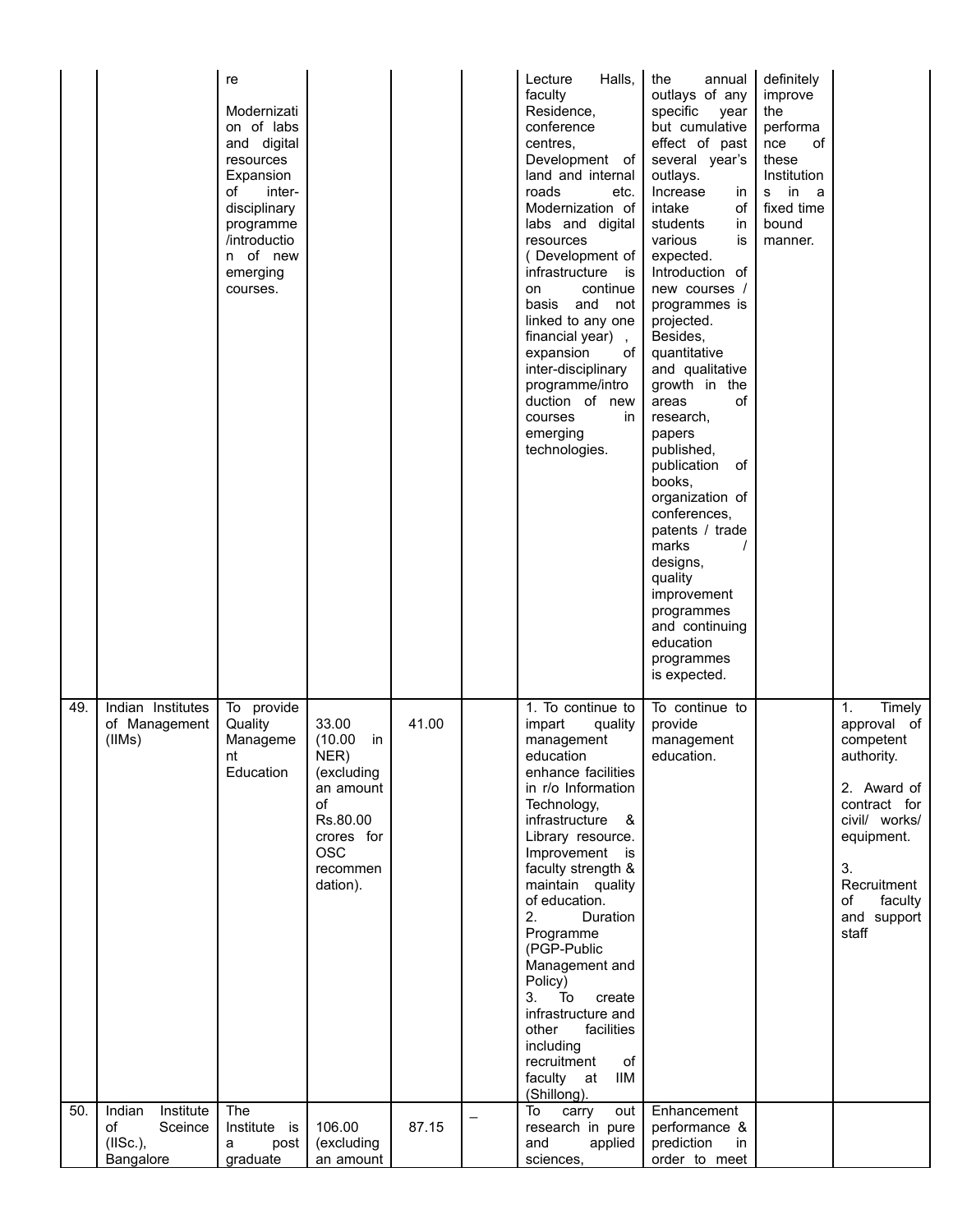|     |                                                               | re<br>Modernizati<br>on of labs<br>and digital<br>resources<br>Expansion<br>οf<br>inter-<br>disciplinary<br>programme<br>/introductio<br>n of new<br>emerging<br>courses. |                                                                                                                                 |       | Halls,<br>Lecture<br>faculty<br>Residence,<br>conference<br>centres,<br>Development of<br>land and internal<br>roads<br>etc.<br>Modernization of<br>labs and digital<br>resources<br>(Development of<br>infrastructure<br>is<br>continue<br>on<br>and<br>basis<br>not<br>linked to any one<br>financial year),<br>expansion<br>of l<br>inter-disciplinary<br>programme/intro<br>duction of new<br>courses<br>in.<br>emerging<br>technologies.                          | the<br>annual<br>outlays of any<br>specific<br>year<br>but cumulative<br>effect of past<br>several year's<br>outlays.<br>Increase<br>in<br>intake<br>of<br>students<br>in<br>various<br>is<br>expected.<br>Introduction of<br>new courses /<br>programmes is<br>projected.<br>Besides,<br>quantitative<br>and qualitative<br>growth in the<br>οf<br>areas<br>research,<br>papers<br>published,<br>publication<br>0f<br>books.<br>organization of<br>conferences,<br>patents / trade<br>marks<br>designs,<br>quality<br>improvement<br>programmes<br>and continuing<br>education<br>programmes<br>is expected. | definitely<br>improve<br>the<br>performa<br>of<br>nce<br>these<br>Institution<br>in<br>s<br>- a<br>fixed time<br>bound<br>manner. |                                                                                                                                                                                    |
|-----|---------------------------------------------------------------|---------------------------------------------------------------------------------------------------------------------------------------------------------------------------|---------------------------------------------------------------------------------------------------------------------------------|-------|------------------------------------------------------------------------------------------------------------------------------------------------------------------------------------------------------------------------------------------------------------------------------------------------------------------------------------------------------------------------------------------------------------------------------------------------------------------------|---------------------------------------------------------------------------------------------------------------------------------------------------------------------------------------------------------------------------------------------------------------------------------------------------------------------------------------------------------------------------------------------------------------------------------------------------------------------------------------------------------------------------------------------------------------------------------------------------------------|-----------------------------------------------------------------------------------------------------------------------------------|------------------------------------------------------------------------------------------------------------------------------------------------------------------------------------|
| 49. | Indian Institutes<br>of Management<br>(IIMs)                  | To provide<br>Quality<br>Manageme<br>nt<br>Education                                                                                                                      | 33.00<br>(10.00)<br>in<br>NER)<br>(excluding<br>an amount<br>of<br>Rs.80.00<br>crores for<br><b>OSC</b><br>recommen<br>dation). | 41.00 | 1. To continue to<br>impart<br>quality<br>management<br>education<br>enhance facilities<br>in r/o Information<br>Technology,<br>infrastructure &<br>Library resource.<br>Improvement is<br>faculty strength &<br>maintain quality<br>of education.<br>2.<br>Duration<br>Programme<br>(PGP-Public<br>Management and<br>Policy)<br>3.<br>To<br>create<br>infrastructure and<br>facilities<br>other<br>including<br>recruitment<br>of<br>faculty at<br>IIM<br>(Shillong). | To continue to<br>provide<br>management<br>education.                                                                                                                                                                                                                                                                                                                                                                                                                                                                                                                                                         |                                                                                                                                   | 1.<br>Timely<br>approval of<br>competent<br>authority.<br>2. Award of<br>contract for<br>civil/ works/<br>equipment.<br>3.<br>Recruitment<br>faculty<br>οf<br>and support<br>staff |
| 50. | Indian<br>Institute<br>of<br>Sceince<br>(IISc.),<br>Bangalore | The<br>Institute is<br>post<br>а<br>graduate                                                                                                                              | 106.00<br>(excluding<br>an amount                                                                                               | 87.15 | To<br>carry<br>out  <br>research in pure<br>applied<br>and<br>sciences,                                                                                                                                                                                                                                                                                                                                                                                                | Enhancement<br>performance &<br>prediction<br>in<br>order to meet                                                                                                                                                                                                                                                                                                                                                                                                                                                                                                                                             |                                                                                                                                   |                                                                                                                                                                                    |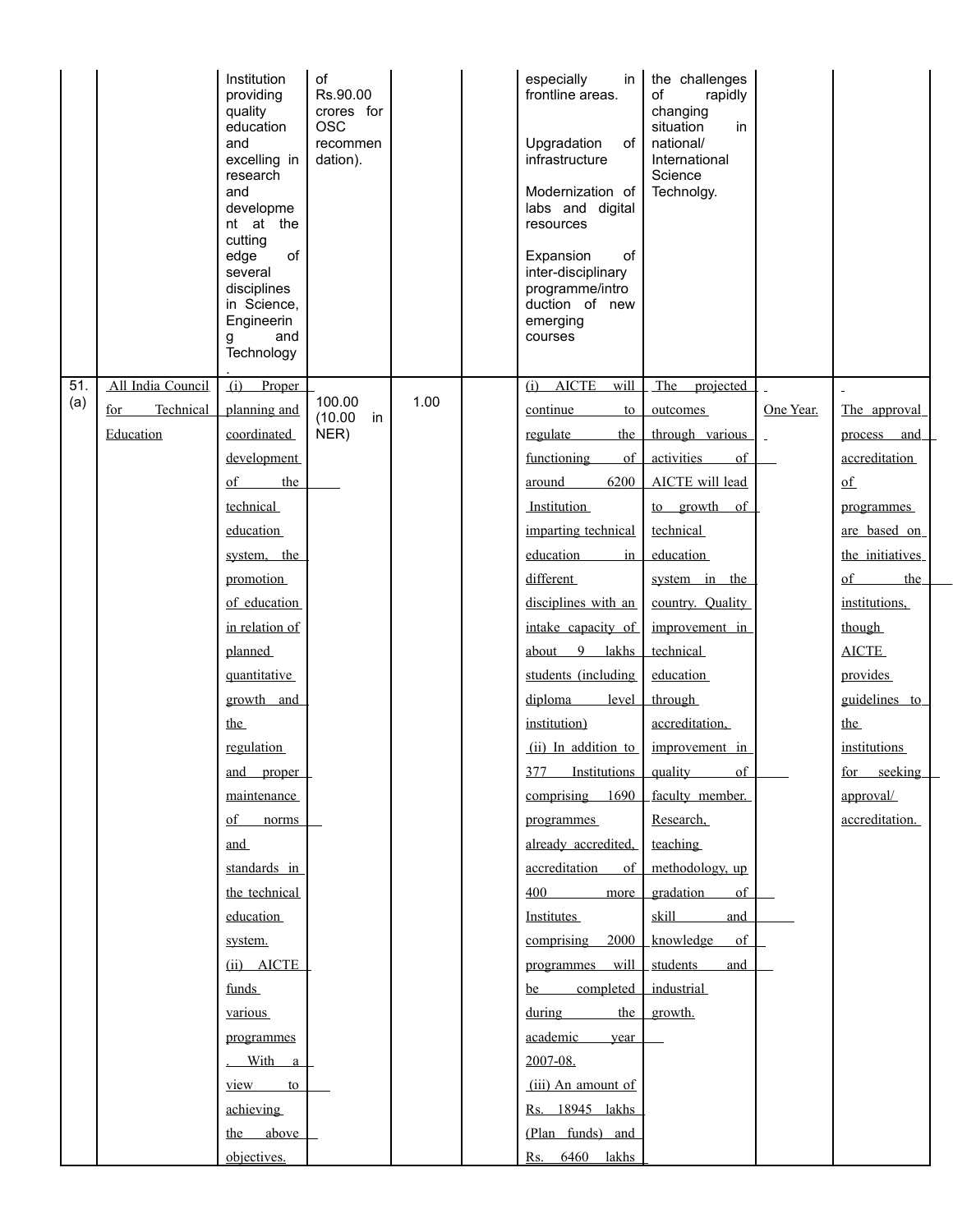|     |                   | Institution<br>providing<br>quality<br>education<br>and<br>excelling in<br>research<br>and<br>developme<br>nt at the<br>cutting<br>of<br>edge<br>several<br>disciplines<br>in Science,<br>Engineerin<br>and<br>g<br>Technology | of<br>Rs.90.00<br>crores for<br><b>OSC</b><br>recommen<br>dation). |      | especially<br>$\mathsf{in}$<br>frontline areas.<br>Upgradation<br>of<br>infrastructure<br>Modernization of<br>labs and digital<br>resources<br>Expansion<br>of<br>inter-disciplinary<br>programme/intro<br>duction of new<br>emerging<br>courses | the challenges<br>of<br>rapidly<br>changing<br>situation<br>in<br>national/<br>International<br>Science<br>Technolgy. |                |                  |
|-----|-------------------|--------------------------------------------------------------------------------------------------------------------------------------------------------------------------------------------------------------------------------|--------------------------------------------------------------------|------|--------------------------------------------------------------------------------------------------------------------------------------------------------------------------------------------------------------------------------------------------|-----------------------------------------------------------------------------------------------------------------------|----------------|------------------|
| 51. | All India Council | (i)<br>Proper                                                                                                                                                                                                                  |                                                                    |      | $(i)$ AICTE<br>will                                                                                                                                                                                                                              | The projected                                                                                                         |                |                  |
| (a) | Technical<br>for  | planning and                                                                                                                                                                                                                   | 100.00<br>(10.00)<br>in                                            | 1.00 | continue<br>to                                                                                                                                                                                                                                   | outcomes                                                                                                              | One Year.      | The approval     |
|     | Education         | coordinated                                                                                                                                                                                                                    | NER)                                                               |      | regulate<br>the                                                                                                                                                                                                                                  | through various                                                                                                       | $\overline{a}$ | process and      |
|     |                   | development                                                                                                                                                                                                                    |                                                                    |      | of<br>functioning                                                                                                                                                                                                                                | activities<br>$\sigma$ f                                                                                              |                | accreditation    |
|     |                   | $\sigma$<br>the                                                                                                                                                                                                                |                                                                    |      | 6200<br>around                                                                                                                                                                                                                                   | AICTE will lead                                                                                                       |                | $\underline{of}$ |
|     |                   | technical                                                                                                                                                                                                                      |                                                                    |      | <b>Institution</b>                                                                                                                                                                                                                               | to growth of                                                                                                          |                | programmes       |
|     |                   | education                                                                                                                                                                                                                      |                                                                    |      | imparting technical                                                                                                                                                                                                                              | technical                                                                                                             |                | are based on     |
|     |                   | system, the                                                                                                                                                                                                                    |                                                                    |      | education<br>$\frac{1}{2}$                                                                                                                                                                                                                       | education                                                                                                             |                | the initiatives  |
|     |                   | promotion                                                                                                                                                                                                                      |                                                                    |      | different                                                                                                                                                                                                                                        | system in the                                                                                                         |                | $\sigma$<br>the  |
|     |                   | of education                                                                                                                                                                                                                   |                                                                    |      | disciplines with an                                                                                                                                                                                                                              | country. Quality                                                                                                      |                | institutions,    |
|     |                   | in relation of                                                                                                                                                                                                                 |                                                                    |      | intake capacity of                                                                                                                                                                                                                               | improvement in                                                                                                        |                | though           |
|     |                   | planned                                                                                                                                                                                                                        |                                                                    |      | about $9$<br>lakhs                                                                                                                                                                                                                               | technical                                                                                                             |                | <b>AICTE</b>     |
|     |                   | quantitative                                                                                                                                                                                                                   |                                                                    |      | students (including                                                                                                                                                                                                                              | education                                                                                                             |                | provides         |
|     |                   | growth and                                                                                                                                                                                                                     |                                                                    |      | diploma<br>level                                                                                                                                                                                                                                 | through                                                                                                               |                | guidelines to    |
|     |                   | the                                                                                                                                                                                                                            |                                                                    |      | institution)                                                                                                                                                                                                                                     | accreditation,                                                                                                        |                | the              |
|     |                   | regulation                                                                                                                                                                                                                     |                                                                    |      | (ii) In addition to                                                                                                                                                                                                                              | improvement in                                                                                                        |                | institutions     |
|     |                   | and proper                                                                                                                                                                                                                     |                                                                    |      | 377<br><b>Institutions</b>                                                                                                                                                                                                                       | of<br>quality                                                                                                         |                | for seeking      |
|     |                   | maintenance                                                                                                                                                                                                                    |                                                                    |      | comprising 1690                                                                                                                                                                                                                                  | faculty member.                                                                                                       |                | approval/        |
|     |                   | of norms                                                                                                                                                                                                                       |                                                                    |      | programmes                                                                                                                                                                                                                                       | Research,                                                                                                             |                | accreditation.   |
|     |                   | and                                                                                                                                                                                                                            |                                                                    |      | already accredited,                                                                                                                                                                                                                              | teaching                                                                                                              |                |                  |
|     |                   | standards in                                                                                                                                                                                                                   |                                                                    |      | accreditation<br>of 1                                                                                                                                                                                                                            | methodology, up                                                                                                       |                |                  |
|     |                   | the technical                                                                                                                                                                                                                  |                                                                    |      | more<br>400                                                                                                                                                                                                                                      | gradation<br>$\sigma$                                                                                                 |                |                  |
|     |                   | education                                                                                                                                                                                                                      |                                                                    |      | <b>Institutes</b>                                                                                                                                                                                                                                | skill<br>and                                                                                                          |                |                  |
|     |                   | system.                                                                                                                                                                                                                        |                                                                    |      | comprising<br>2000                                                                                                                                                                                                                               | knowledge of                                                                                                          |                |                  |
|     |                   | (ii) AICTE                                                                                                                                                                                                                     |                                                                    |      | programmes will                                                                                                                                                                                                                                  | students<br>and                                                                                                       |                |                  |
|     |                   | funds                                                                                                                                                                                                                          |                                                                    |      | completed<br>be                                                                                                                                                                                                                                  | industrial                                                                                                            |                |                  |
|     |                   | various                                                                                                                                                                                                                        |                                                                    |      | the<br>during                                                                                                                                                                                                                                    | growth.                                                                                                               |                |                  |
|     |                   | programmes                                                                                                                                                                                                                     |                                                                    |      | academic<br>vear                                                                                                                                                                                                                                 |                                                                                                                       |                |                  |
|     |                   | . With a                                                                                                                                                                                                                       |                                                                    |      | 2007-08.                                                                                                                                                                                                                                         |                                                                                                                       |                |                  |
|     |                   | view<br>to                                                                                                                                                                                                                     |                                                                    |      | (iii) An amount of                                                                                                                                                                                                                               |                                                                                                                       |                |                  |
|     |                   | achieving                                                                                                                                                                                                                      |                                                                    |      | Rs. 18945 lakhs                                                                                                                                                                                                                                  |                                                                                                                       |                |                  |
|     |                   | the above                                                                                                                                                                                                                      |                                                                    |      | (Plan funds) and                                                                                                                                                                                                                                 |                                                                                                                       |                |                  |
|     |                   | objectives.                                                                                                                                                                                                                    |                                                                    |      | Rs. 6460 lakhs                                                                                                                                                                                                                                   |                                                                                                                       |                |                  |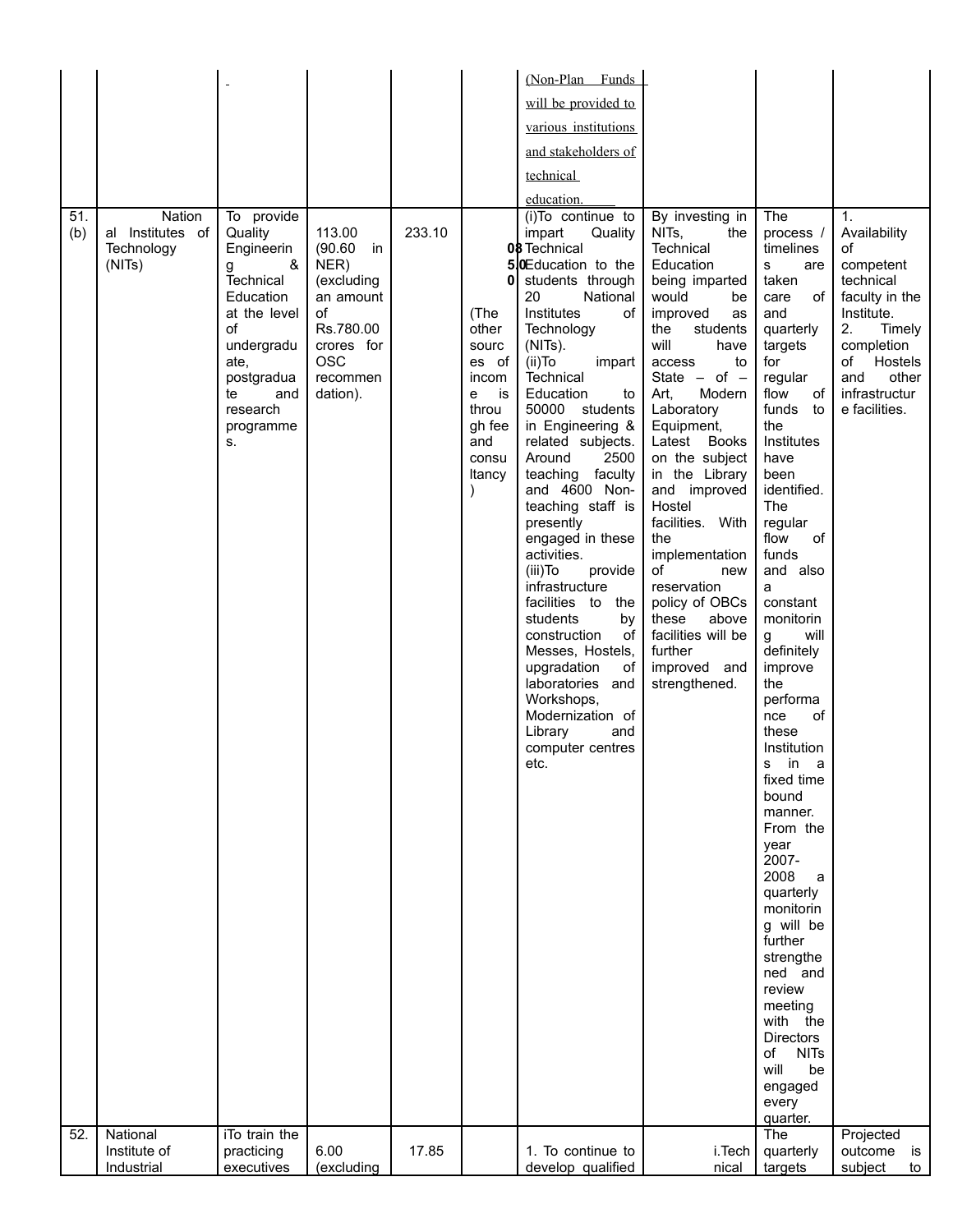|            |                                                    |                                                                                                                                                                                      |                                                                                                                                  |        |                                                                                                       | (Non-Plan Funds                                                                                                                                                                                                                                                                                                                                                                                                                                                                                                                                                                                                                                                                                                    |                                                                                                                                                                                                                                                                                                                                                                                                                                                                                                |                                                                                                                                                                                                                                                                                                                                                                                                                                                                                                                                                                 |                                                                                                                                                                                                 |
|------------|----------------------------------------------------|--------------------------------------------------------------------------------------------------------------------------------------------------------------------------------------|----------------------------------------------------------------------------------------------------------------------------------|--------|-------------------------------------------------------------------------------------------------------|--------------------------------------------------------------------------------------------------------------------------------------------------------------------------------------------------------------------------------------------------------------------------------------------------------------------------------------------------------------------------------------------------------------------------------------------------------------------------------------------------------------------------------------------------------------------------------------------------------------------------------------------------------------------------------------------------------------------|------------------------------------------------------------------------------------------------------------------------------------------------------------------------------------------------------------------------------------------------------------------------------------------------------------------------------------------------------------------------------------------------------------------------------------------------------------------------------------------------|-----------------------------------------------------------------------------------------------------------------------------------------------------------------------------------------------------------------------------------------------------------------------------------------------------------------------------------------------------------------------------------------------------------------------------------------------------------------------------------------------------------------------------------------------------------------|-------------------------------------------------------------------------------------------------------------------------------------------------------------------------------------------------|
|            |                                                    |                                                                                                                                                                                      |                                                                                                                                  |        |                                                                                                       | will be provided to                                                                                                                                                                                                                                                                                                                                                                                                                                                                                                                                                                                                                                                                                                |                                                                                                                                                                                                                                                                                                                                                                                                                                                                                                |                                                                                                                                                                                                                                                                                                                                                                                                                                                                                                                                                                 |                                                                                                                                                                                                 |
|            |                                                    |                                                                                                                                                                                      |                                                                                                                                  |        |                                                                                                       | various institutions                                                                                                                                                                                                                                                                                                                                                                                                                                                                                                                                                                                                                                                                                               |                                                                                                                                                                                                                                                                                                                                                                                                                                                                                                |                                                                                                                                                                                                                                                                                                                                                                                                                                                                                                                                                                 |                                                                                                                                                                                                 |
|            |                                                    |                                                                                                                                                                                      |                                                                                                                                  |        |                                                                                                       |                                                                                                                                                                                                                                                                                                                                                                                                                                                                                                                                                                                                                                                                                                                    |                                                                                                                                                                                                                                                                                                                                                                                                                                                                                                |                                                                                                                                                                                                                                                                                                                                                                                                                                                                                                                                                                 |                                                                                                                                                                                                 |
|            |                                                    |                                                                                                                                                                                      |                                                                                                                                  |        |                                                                                                       |                                                                                                                                                                                                                                                                                                                                                                                                                                                                                                                                                                                                                                                                                                                    |                                                                                                                                                                                                                                                                                                                                                                                                                                                                                                |                                                                                                                                                                                                                                                                                                                                                                                                                                                                                                                                                                 |                                                                                                                                                                                                 |
|            |                                                    |                                                                                                                                                                                      |                                                                                                                                  |        |                                                                                                       |                                                                                                                                                                                                                                                                                                                                                                                                                                                                                                                                                                                                                                                                                                                    |                                                                                                                                                                                                                                                                                                                                                                                                                                                                                                |                                                                                                                                                                                                                                                                                                                                                                                                                                                                                                                                                                 |                                                                                                                                                                                                 |
| 51.<br>(b) | Nation<br>al Institutes of<br>Technology<br>(NITs) | To provide<br>Quality<br>Engineerin<br>&<br>g<br><b>Technical</b><br>Education<br>at the level<br>of<br>undergradu<br>ate,<br>postgradua<br>te<br>and<br>research<br>programme<br>S. | 113.00<br>$(90.60)$ in<br>NER)<br>(excluding<br>an amount<br>of<br>Rs.780.00<br>crores for<br><b>OSC</b><br>recommen<br>dation). | 233.10 | 0<br>(The<br>other<br>sourc<br>es of<br>incom<br>is<br>е<br>throu<br>gh fee<br>and<br>consu<br>Itancy | and stakeholders of<br>technical<br>education.<br>(i)To continue to<br>impart<br>Quality<br>08 Technical<br>50Education to the<br>students through<br>20<br>National<br>Institutes<br>οf<br>Technology<br>(NITs).<br>$(ii)$ To<br>impart<br>Technical<br>Education<br>to<br>50000 students<br>in Engineering &<br>related subjects.<br>Around<br>2500<br>teaching faculty<br>and 4600 Non-<br>teaching staff is<br>presently<br>engaged in these<br>activities.<br>(iii) To<br>provide<br>infrastructure<br>facilities to the<br>students<br>by<br>construction<br>of<br>Messes, Hostels,<br>of<br>upgradation<br>laboratories and<br>Workshops,<br>Modernization of<br>Library<br>and<br>computer centres<br>etc. | By investing in<br>NITs,<br>the<br>Technical<br>Education<br>being imparted<br>would<br>be<br>improved<br>as<br>the<br>students<br>will<br>have<br>access<br>to<br>State $-$ of $-$<br>Modern<br>Art,<br>Laboratory<br>Equipment,<br>Latest Books<br>on the subject<br>in the Library<br>and improved<br>Hostel<br>facilities. With<br>the<br>implementation<br>of<br>new<br>reservation<br>policy of OBCs<br>these<br>above<br>facilities will be<br>further<br>improved and<br>strengthened. | The<br>process /<br>timelines<br>s<br>are<br>taken<br>of<br>care<br>and<br>quarterly<br>targets<br>for<br>regular<br>flow<br>of<br>funds to<br>the<br>Institutes<br>have<br>been<br>identified.<br>The<br>regular<br>flow<br>of<br>funds<br>and also<br>a<br>constant<br>monitorin<br>will<br>g<br>definitely<br>improve<br>the<br>performa<br>nce<br>οf<br>these<br>Institution<br>s in<br>- a<br>fixed time<br>bound<br>manner.<br>From the<br>year<br>2007-<br>2008<br>a<br>quarterly<br>monitorin<br>g will be<br>further<br>strengthe<br>ned and<br>review | $\mathbf{1}$ .<br>Availability<br>οf<br>competent<br>technical<br>faculty in the<br>Institute.<br>2.<br>Timely<br>completion<br>of<br>Hostels<br>and<br>other<br>infrastructur<br>e facilities. |
|            |                                                    |                                                                                                                                                                                      |                                                                                                                                  |        |                                                                                                       |                                                                                                                                                                                                                                                                                                                                                                                                                                                                                                                                                                                                                                                                                                                    |                                                                                                                                                                                                                                                                                                                                                                                                                                                                                                | meeting<br>with the<br><b>Directors</b><br>of<br><b>NITs</b><br>will<br>be<br>engaged<br>every                                                                                                                                                                                                                                                                                                                                                                                                                                                                  |                                                                                                                                                                                                 |
|            |                                                    |                                                                                                                                                                                      |                                                                                                                                  |        |                                                                                                       |                                                                                                                                                                                                                                                                                                                                                                                                                                                                                                                                                                                                                                                                                                                    |                                                                                                                                                                                                                                                                                                                                                                                                                                                                                                | quarter.                                                                                                                                                                                                                                                                                                                                                                                                                                                                                                                                                        |                                                                                                                                                                                                 |
| 52.        | National                                           | iTo train the                                                                                                                                                                        |                                                                                                                                  |        |                                                                                                       |                                                                                                                                                                                                                                                                                                                                                                                                                                                                                                                                                                                                                                                                                                                    |                                                                                                                                                                                                                                                                                                                                                                                                                                                                                                | The                                                                                                                                                                                                                                                                                                                                                                                                                                                                                                                                                             | Projected                                                                                                                                                                                       |
|            | Institute of<br>Industrial                         | practicing<br>executives                                                                                                                                                             | 6.00<br>(excluding                                                                                                               | 17.85  |                                                                                                       | 1. To continue to<br>develop qualified                                                                                                                                                                                                                                                                                                                                                                                                                                                                                                                                                                                                                                                                             | i.Tech<br>nical                                                                                                                                                                                                                                                                                                                                                                                                                                                                                | quarterly<br>targets                                                                                                                                                                                                                                                                                                                                                                                                                                                                                                                                            | outcome<br>is<br>subject<br>to                                                                                                                                                                  |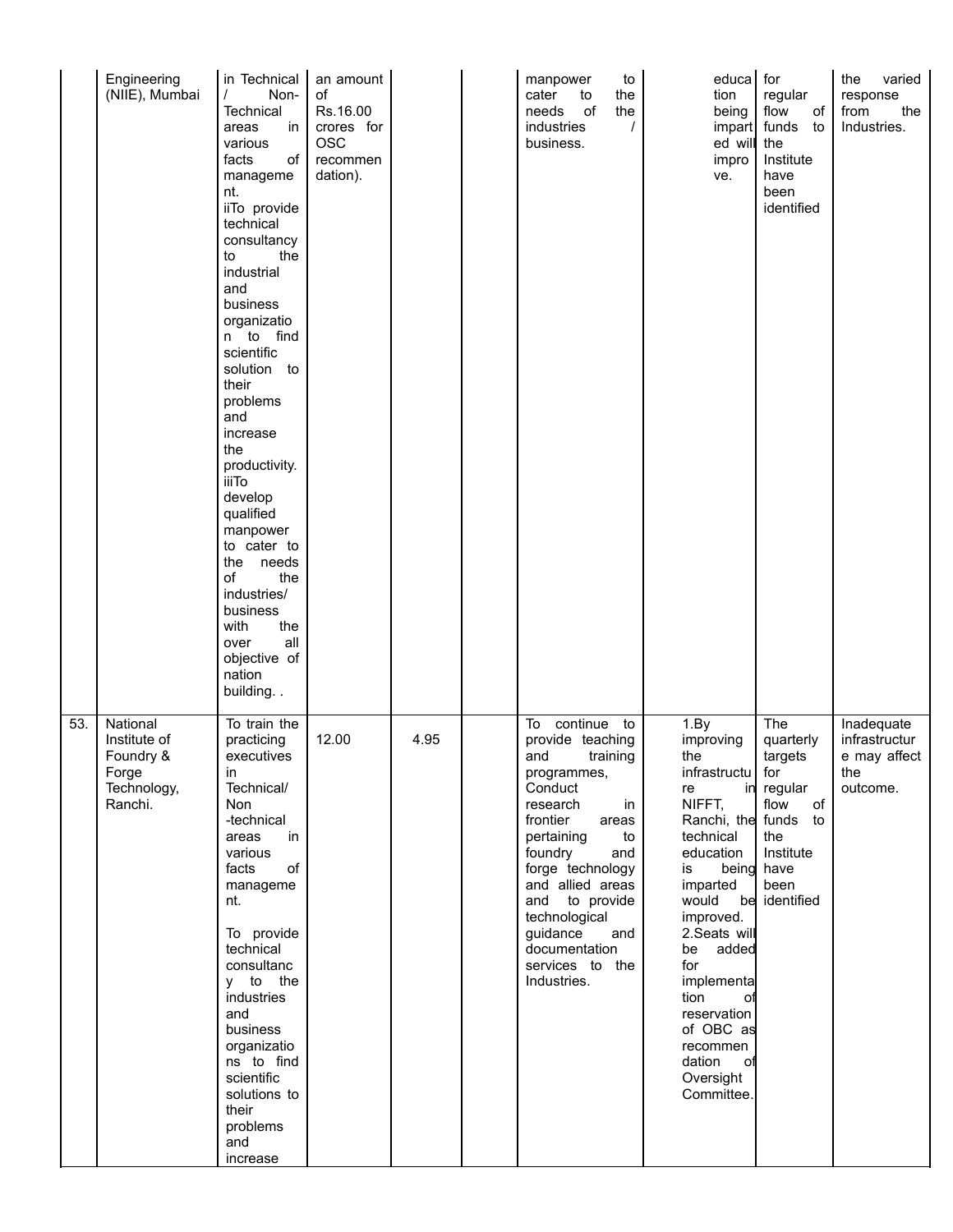|     | Engineering<br>(NIIE), Mumbai                                            | in Technical<br>$\prime$<br>Non-<br>Technical<br>in<br>areas<br>various<br>facts<br>of<br>manageme<br>nt.<br>iiTo provide<br>technical<br>consultancy<br>the<br>to<br>industrial<br>and<br>business<br>organizatio<br>n to find<br>scientific<br>solution to<br>their<br>problems<br>and<br>increase<br>the<br>productivity.<br><b>iiiTo</b><br>develop<br>qualified<br>manpower<br>to cater to<br>the needs<br>of<br>the<br>industries/<br>business<br>with<br>the<br>all<br>over<br>objective of<br>nation<br>building | an amount<br>of<br>Rs.16.00<br>crores for<br><b>OSC</b><br>recommen<br>dation). |      | manpower<br>to<br>the<br>cater<br>to<br>of<br>the<br>needs<br>industries<br>$\prime$<br>business.                                                                                                                                                                                                                | educa<br>tion<br>being<br>impart<br>ed will<br>impro<br>ve.                                                                                                                                                                                                                                                 | for<br>regular<br>flow<br>of<br>funds<br>to<br>the<br>Institute<br>have<br>been<br>identified                      | the<br>varied<br>response<br>from<br>the<br>Industries.        |
|-----|--------------------------------------------------------------------------|--------------------------------------------------------------------------------------------------------------------------------------------------------------------------------------------------------------------------------------------------------------------------------------------------------------------------------------------------------------------------------------------------------------------------------------------------------------------------------------------------------------------------|---------------------------------------------------------------------------------|------|------------------------------------------------------------------------------------------------------------------------------------------------------------------------------------------------------------------------------------------------------------------------------------------------------------------|-------------------------------------------------------------------------------------------------------------------------------------------------------------------------------------------------------------------------------------------------------------------------------------------------------------|--------------------------------------------------------------------------------------------------------------------|----------------------------------------------------------------|
| 53. | National<br>Institute of<br>Foundry &<br>Forge<br>Technology,<br>Ranchi. | To train the<br>practicing<br>executives<br>in<br>Technical/<br>Non<br>-technical<br>in<br>areas<br>various<br>of<br>facts<br>manageme<br>nt.<br>To provide<br>technical<br>consultanc<br>y to the<br>industries<br>and<br>business<br>organizatio<br>ns to find<br>scientific<br>solutions to<br>their<br>problems<br>and<br>increase                                                                                                                                                                                   | 12.00                                                                           | 4.95 | continue to<br>To<br>provide teaching<br>and<br>training<br>programmes,<br>Conduct<br>research<br>in<br>frontier<br>areas<br>pertaining<br>to<br>foundry<br>and<br>forge technology<br>and allied areas<br>and to provide<br>technological<br>guidance<br>and<br>documentation<br>services to the<br>Industries. | 1. By<br>improving<br>the<br>infrastructu   for<br>re<br>NIFFT,<br>Ranchi, the funds to<br>technical<br>education<br>is<br>imparted<br>would<br>improved.<br>2.Seats will<br>be added<br>for<br>implementa<br>tion<br>οf<br>reservation<br>of OBC as<br>recommen<br>dation<br>оf<br>Oversight<br>Committee. | The<br>quarterly<br>targets<br>in regular<br>of<br>flow<br>the<br>Institute<br>being have<br>been<br>be identified | Inadequate<br>infrastructur<br>e may affect<br>the<br>outcome. |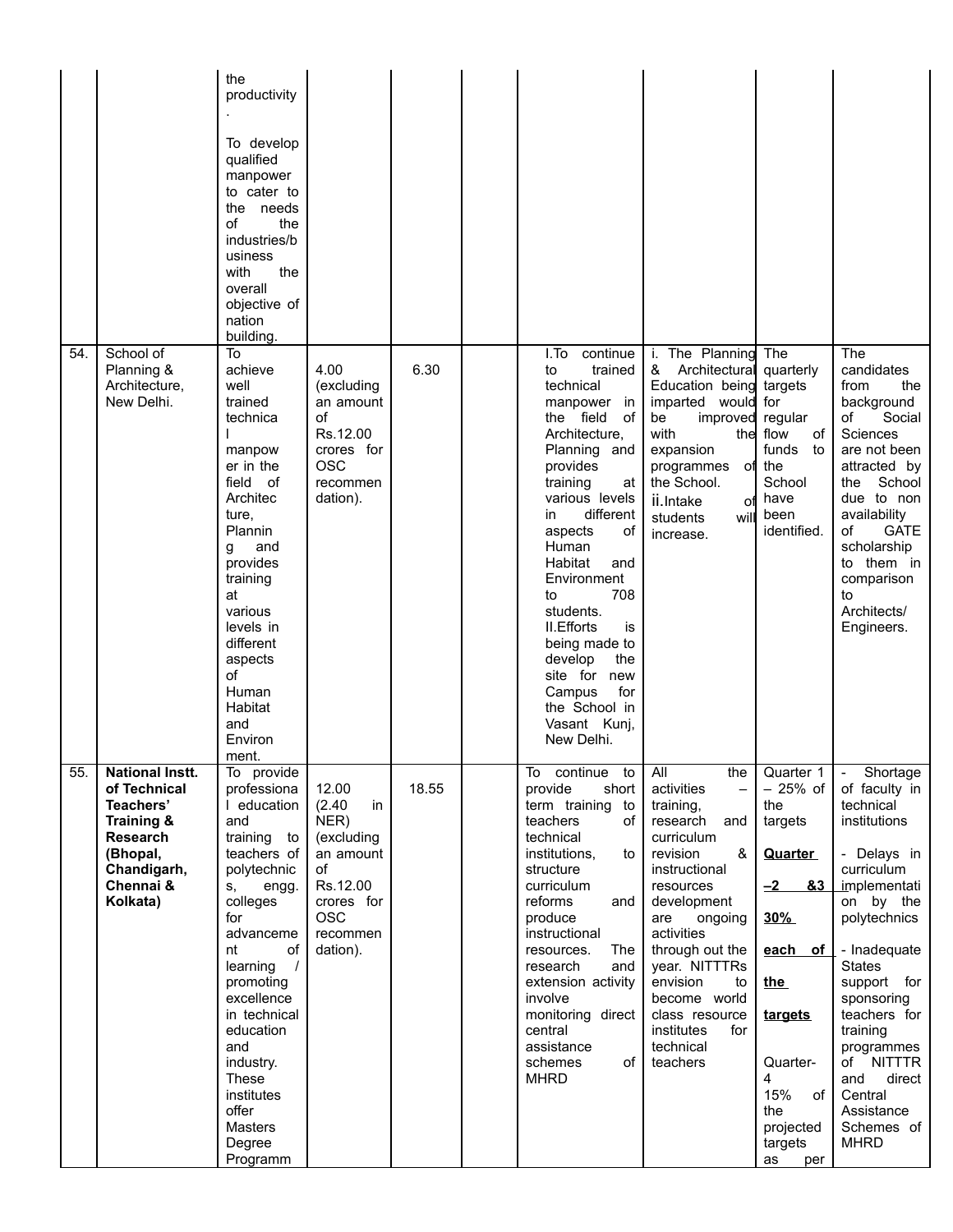|     |                                                                                                                                          | the<br>productivity<br>To develop<br>qualified<br>manpower<br>to cater to<br>the needs<br>of<br>the<br>industries/b<br>usiness<br>with<br>the<br>overall<br>objective of<br>nation<br>building.                                                                                                                                 |                                                                                                                                |       |                                                                                                                                                                                                                                                                                                                                                                                                                   |                                                                                                                                                                                                                                                                                                                                 |                                                                                                                                                                                                             |                                                                                                                                                                                                                                                                                                                                                          |
|-----|------------------------------------------------------------------------------------------------------------------------------------------|---------------------------------------------------------------------------------------------------------------------------------------------------------------------------------------------------------------------------------------------------------------------------------------------------------------------------------|--------------------------------------------------------------------------------------------------------------------------------|-------|-------------------------------------------------------------------------------------------------------------------------------------------------------------------------------------------------------------------------------------------------------------------------------------------------------------------------------------------------------------------------------------------------------------------|---------------------------------------------------------------------------------------------------------------------------------------------------------------------------------------------------------------------------------------------------------------------------------------------------------------------------------|-------------------------------------------------------------------------------------------------------------------------------------------------------------------------------------------------------------|----------------------------------------------------------------------------------------------------------------------------------------------------------------------------------------------------------------------------------------------------------------------------------------------------------------------------------------------------------|
| 54. | School of<br>Planning &<br>Architecture,<br>New Delhi.                                                                                   | To<br>achieve<br>well<br>trained<br>technica<br>manpow<br>er in the<br>field of<br>Architec<br>ture,<br>Plannin<br>and<br>g<br>provides<br>training<br>at<br>various<br>levels in<br>different<br>aspects<br>of<br>Human<br>Habitat<br>and<br>Environ<br>ment.                                                                  | 4.00<br>(excluding<br>an amount<br>of<br>Rs.12.00<br>crores for<br><b>OSC</b><br>recommen<br>dation).                          | 6.30  | continue<br>I.To<br>trained<br>to<br>technical<br>manpower in<br>the field<br>of<br>Architecture,<br>Planning and<br>provides<br>training<br>at<br>various levels<br>different<br>in<br>οf<br>aspects<br>Human<br>Habitat<br>and<br>Environment<br>708<br>to<br>students.<br>II. Efforts<br>is<br>being made to<br>develop<br>the<br>site for new<br>Campus<br>for<br>the School in<br>Vasant Kunj,<br>New Delhi. | i. The Planning<br>&<br>Architectural quarterly<br>Education being targets<br>imparted would for<br>be<br>improved<br>with<br>expansion<br>programmes<br>the School.<br>ii.Intake<br>оf<br>will<br>students<br>increase.                                                                                                        | The<br>regular<br>the flow<br>of<br>funds<br>to<br>of the<br>School<br>have<br>been<br>identified.                                                                                                          | The<br>candidates<br>from<br>the<br>background<br>of<br>Social<br>Sciences<br>are not been<br>attracted by<br>the<br>School<br>due to non<br>availability<br>of<br><b>GATE</b><br>scholarship<br>to them in<br>comparison<br>to<br>Architects/<br>Engineers.                                                                                             |
| 55. | <b>National Instt.</b><br>of Technical<br>Teachers'<br>Training &<br><b>Research</b><br>(Bhopal,<br>Chandigarh,<br>Chennai &<br>Kolkata) | To provide<br>professiona<br>I education<br>and<br>training<br>to<br>teachers of<br>polytechnic<br>engg.<br>S,<br>colleges<br>for<br>advanceme<br>of<br>nt<br>learning<br>$\prime$<br>promoting<br>excellence<br>in technical<br>education<br>and<br>industry.<br>These<br>institutes<br>offer<br>Masters<br>Degree<br>Programm | 12.00<br>(2.40)<br>in<br>NER)<br>(excluding<br>an amount<br>of<br>Rs.12.00<br>crores for<br><b>OSC</b><br>recommen<br>dation). | 18.55 | continue to<br>To<br>provide<br>short<br>term training to<br>of<br>teachers<br>technical<br>institutions,<br>to<br>structure<br>curriculum<br>reforms<br>and<br>produce<br>instructional<br>The<br>resources.<br>research<br>and<br>extension activity<br>involve<br>monitoring direct<br>central<br>assistance<br>of<br>schemes<br><b>MHRD</b>                                                                   | All<br>the<br>activities<br>$\qquad \qquad -$<br>training,<br>research<br>and<br>curriculum<br>&<br>revision<br>instructional<br>resources<br>development<br>are<br>ongoing<br>activities<br>through out the<br>year. NITTTRs<br>envision<br>to<br>become world<br>class resource<br>institutes<br>for<br>technical<br>teachers | Quarter 1<br>$-25%$ of<br>the<br>targets<br><b>Quarter</b><br>83<br><u>–2  </u><br>30%<br>each of<br><u>the</u><br><u>targets</u><br>Quarter-<br>4<br>15%<br>of<br>the<br>projected<br>targets<br>as<br>per | Shortage<br>$\overline{\phantom{a}}$<br>of faculty in<br>technical<br>institutions<br>- Delays in<br>curriculum<br>implementati<br>on by the<br>polytechnics<br>- Inadequate<br><b>States</b><br>support for<br>sponsoring<br>teachers for<br>training<br>programmes<br>of NITTTR<br>and<br>direct<br>Central<br>Assistance<br>Schemes of<br><b>MHRD</b> |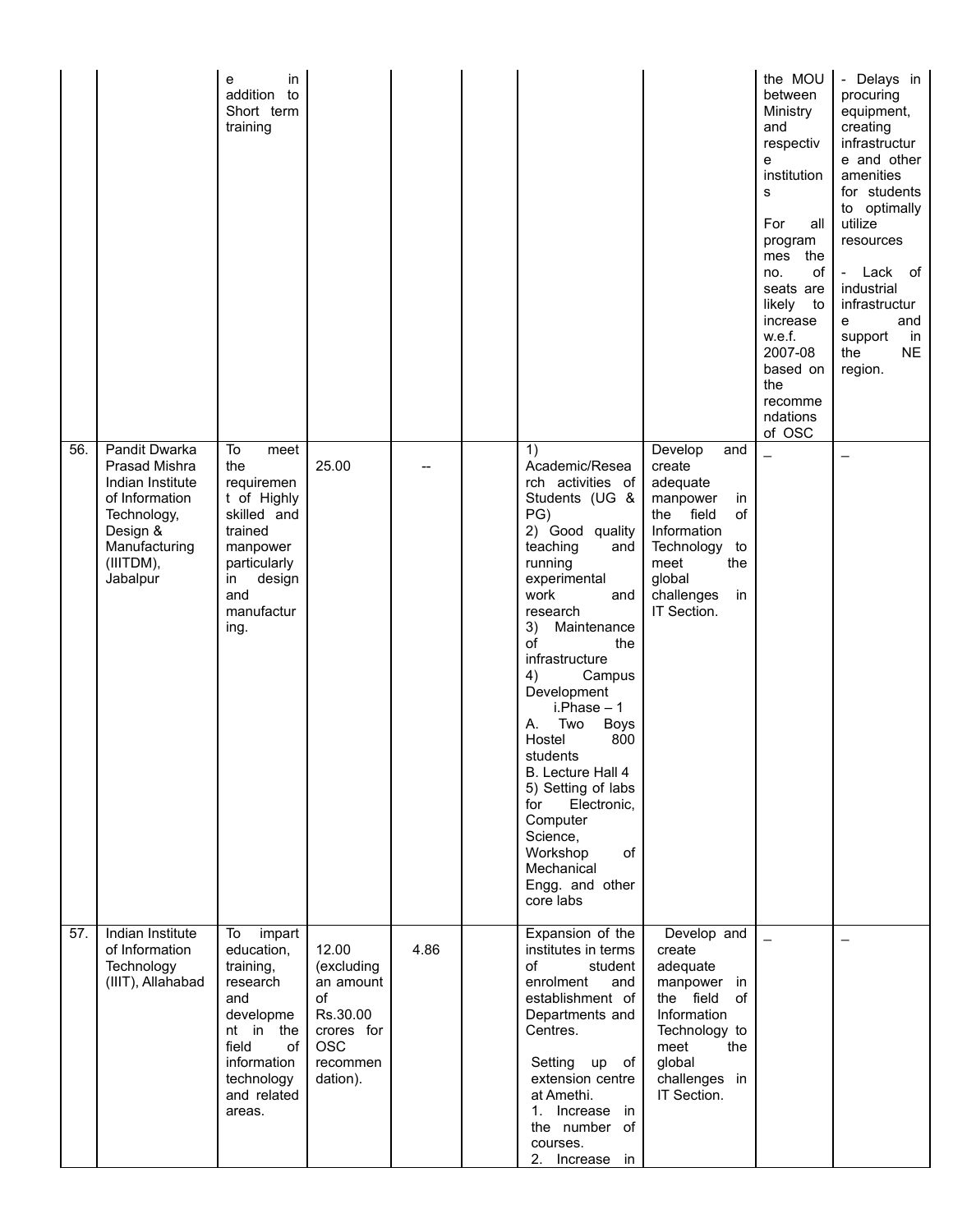|     |                                                                                                                                           | in<br>е<br>addition<br>to<br>Short term<br>training                                                                                                       |                                                                                                        |      |                                                                                                                                                                                                                                                                                                                                                                                                                                                                                   |                                                                                                                                                                          | the MOU<br>between<br>Ministry<br>and<br>respectiv<br>$\mathbf{e}$<br>institution<br>s<br>For<br>all<br>program<br>mes the<br>of<br>no.<br>seats are<br>likely to<br>increase<br>w.e.f.<br>2007-08<br>based on<br>the<br>recomme<br>ndations<br>of OSC | - Delays in<br>procuring<br>equipment,<br>creating<br>infrastructur<br>e and other<br>amenities<br>for students<br>to optimally<br>utilize<br>resources<br>$\overline{\phantom{a}}$<br>Lack of<br>industrial<br>infrastructur<br>and<br>е<br>support<br>in<br>the<br><b>NE</b><br>region. |
|-----|-------------------------------------------------------------------------------------------------------------------------------------------|-----------------------------------------------------------------------------------------------------------------------------------------------------------|--------------------------------------------------------------------------------------------------------|------|-----------------------------------------------------------------------------------------------------------------------------------------------------------------------------------------------------------------------------------------------------------------------------------------------------------------------------------------------------------------------------------------------------------------------------------------------------------------------------------|--------------------------------------------------------------------------------------------------------------------------------------------------------------------------|--------------------------------------------------------------------------------------------------------------------------------------------------------------------------------------------------------------------------------------------------------|-------------------------------------------------------------------------------------------------------------------------------------------------------------------------------------------------------------------------------------------------------------------------------------------|
| 56. | Pandit Dwarka<br>Prasad Mishra<br>Indian Institute<br>of Information<br>Technology,<br>Design &<br>Manufacturing<br>(IIITDM),<br>Jabalpur | To<br>meet<br>the<br>requiremen<br>t of Highly<br>skilled and<br>trained<br>manpower<br>particularly<br>design<br>in<br>and<br>manufactur<br>ing.         | 25.00                                                                                                  |      | 1)<br>Academic/Resea<br>rch activities of<br>Students (UG &<br>PG)<br>2) Good quality<br>teaching<br>and<br>running<br>experimental<br>work<br>and<br>research<br>3) Maintenance<br>of<br>the<br>infrastructure<br>4)<br>Campus<br>Development<br>$i.Phase - 1$<br>Α.<br>Two<br><b>Boys</b><br>Hostel<br>800<br>students<br>B. Lecture Hall 4<br>5) Setting of labs<br>Electronic,<br>for<br>Computer<br>Science,<br>of<br>Workshop<br>Mechanical<br>Engg. and other<br>core labs | Develop<br>and<br>create<br>adequate<br>manpower<br>in<br>the field<br>οf<br>Information<br>Technology<br>to<br>meet<br>the<br>global<br>challenges<br>in<br>IT Section. |                                                                                                                                                                                                                                                        | $\qquad \qquad \qquad$                                                                                                                                                                                                                                                                    |
| 57. | Indian Institute<br>of Information<br>Technology<br>(IIIT), Allahabad                                                                     | To<br>impart<br>education,<br>training,<br>research<br>and<br>developme<br>nt in the<br>field<br>of<br>information<br>technology<br>and related<br>areas. | 12.00<br>(excluding<br>an amount<br>of<br>Rs.30.00<br>crores for<br><b>OSC</b><br>recommen<br>dation). | 4.86 | Expansion of the<br>institutes in terms<br>of<br>student<br>enrolment<br>and<br>establishment of<br>Departments and<br>Centres.<br>Setting<br>up of<br>extension centre<br>at Amethi.<br>1. Increase in<br>the number of<br>courses.<br>2. Increase in                                                                                                                                                                                                                            | Develop and<br>create<br>adequate<br>manpower in<br>the field<br>of<br>Information<br>Technology to<br>the<br>meet<br>global<br>challenges in<br>IT Section.             | $\overline{a}$                                                                                                                                                                                                                                         | $\overline{\phantom{0}}$                                                                                                                                                                                                                                                                  |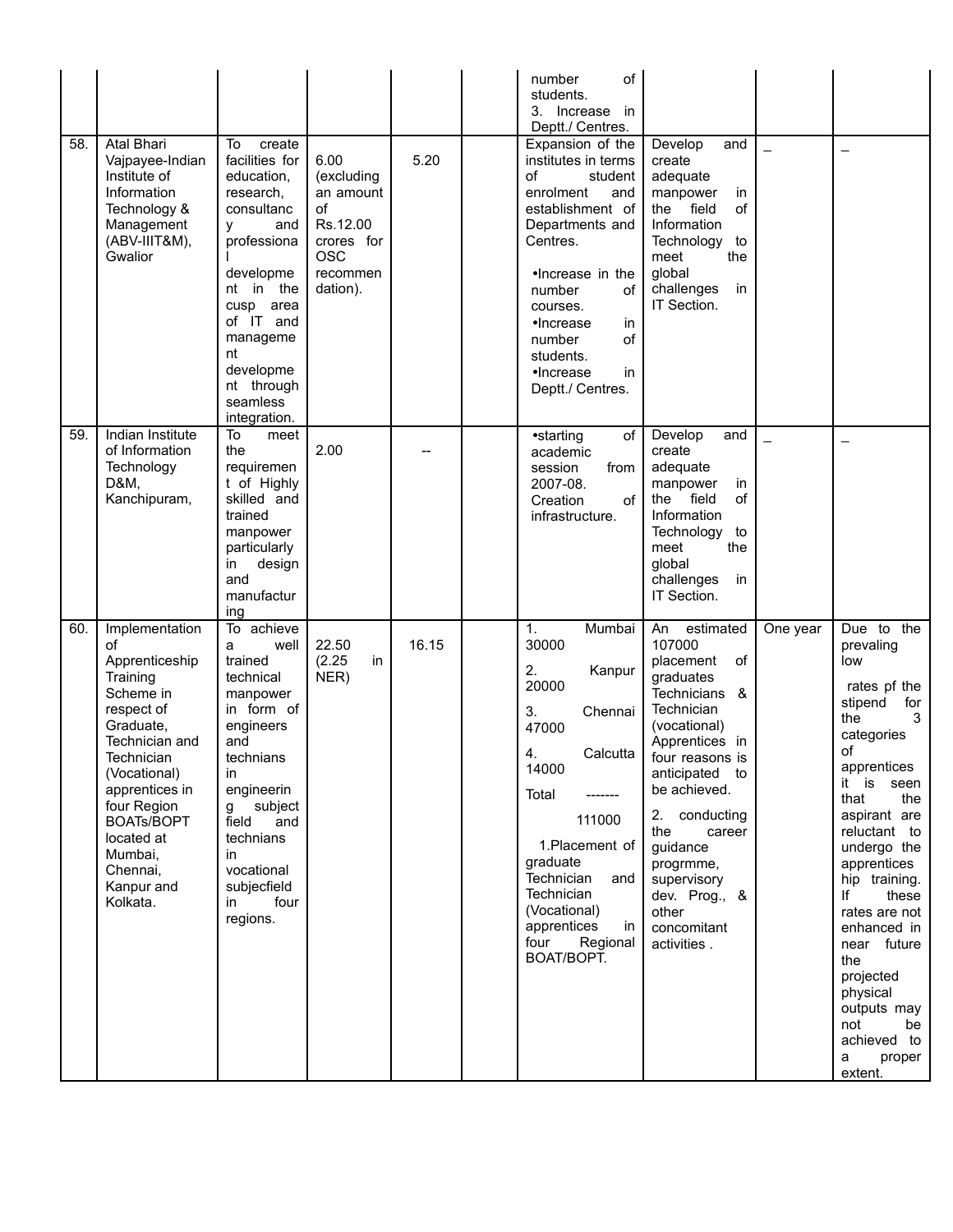| 58. | Atal Bhari<br>Vajpayee-Indian<br>Institute of<br>Information<br>Technology &<br>Management<br>(ABV-IIIT&M),<br>Gwalior                                                                                                                                          | To<br>create<br>facilities for<br>education,<br>research,<br>consultanc<br>and<br>v<br>professiona<br>developme<br>nt in the<br>cusp<br>area<br>of IT and<br>manageme<br>nt<br>developme<br>nt through                                              | 6.00<br>(excluding<br>an amount<br>of<br>Rs.12.00<br>crores for<br><b>OSC</b><br>recommen<br>dation). | 5.20  | number<br>of<br>students.<br>3. Increase in<br>Deptt./ Centres.<br>Expansion of the<br>institutes in terms<br>οf<br>student<br>enrolment<br>and<br>establishment of<br>Departments and<br>Centres.<br>•Increase in the<br>of<br>number<br>courses.<br>•Increase<br>in<br>of<br>number<br>students.<br>$\bullet$ Increase<br>in<br>Deptt./ Centres. | Develop<br>and<br>create<br>adequate<br>manpower<br>in<br>the field<br>of<br>Information<br>Technology<br>to<br>the<br>meet<br>global<br>challenges<br>in<br>IT Section.                                                                                                                                                    |          | $\overline{\phantom{0}}$                                                                                                                                                                                                                                                                                                                                                                       |
|-----|-----------------------------------------------------------------------------------------------------------------------------------------------------------------------------------------------------------------------------------------------------------------|-----------------------------------------------------------------------------------------------------------------------------------------------------------------------------------------------------------------------------------------------------|-------------------------------------------------------------------------------------------------------|-------|----------------------------------------------------------------------------------------------------------------------------------------------------------------------------------------------------------------------------------------------------------------------------------------------------------------------------------------------------|-----------------------------------------------------------------------------------------------------------------------------------------------------------------------------------------------------------------------------------------------------------------------------------------------------------------------------|----------|------------------------------------------------------------------------------------------------------------------------------------------------------------------------------------------------------------------------------------------------------------------------------------------------------------------------------------------------------------------------------------------------|
| 59. | Indian Institute<br>of Information<br>Technology<br>D&M,<br>Kanchipuram,                                                                                                                                                                                        | seamless<br>integration.<br>To<br>meet<br>the<br>requiremen<br>t of Highly<br>skilled and<br>trained<br>manpower<br>particularly<br>design<br>in<br>and<br>manufactur<br>ing                                                                        | 2.00                                                                                                  |       | of<br>•starting<br>academic<br>session<br>from<br>2007-08.<br>of<br>Creation<br>infrastructure.                                                                                                                                                                                                                                                    | Develop<br>and<br>create<br>adequate<br>manpower<br>in<br>field<br>of<br>the<br>Information<br>Technology<br>to<br>meet<br>the<br>global<br>challenges<br>in<br>IT Section.                                                                                                                                                 |          |                                                                                                                                                                                                                                                                                                                                                                                                |
| 60. | Implementation<br>of<br>Apprenticeship<br>Training<br>Scheme in<br>respect of<br>Graduate,<br>Technician and<br>Technician<br>(Vocational)<br>apprentices in<br>four Region<br><b>BOATs/BOPT</b><br>located at<br>Mumbai,<br>Chennai,<br>Kanpur and<br>Kolkata. | To achieve<br>well<br>a<br>trained<br>technical<br>manpower<br>in form of<br>engineers<br>and<br>technians<br>ın<br>engineerin<br>subject<br>$\mathbf{g}$<br>and<br>field<br>technians<br>in<br>vocational<br>subjecfield<br>four<br>in<br>regions. | 22.50<br>(2.25)<br>in.<br>NER)                                                                        | 16.15 | 1.<br>Mumbai<br>30000<br>2.<br>Kanpur<br>20000<br>3.<br>Chennai<br>47000<br>Calcutta<br>4.<br>14000<br>Total<br>111000<br>1. Placement of<br>graduate<br>Technician<br>and<br>Technician<br>(Vocational)<br>apprentices<br>in<br>four<br>Regional<br>BOAT/BOPT.                                                                                    | An<br>estimated<br>107000<br>placement<br><b>of</b><br>graduates<br>Technicians &<br>Technician<br>(vocational)<br>Apprentices in<br>four reasons is<br>anticipated to<br>be achieved.<br>conducting<br>2.<br>the<br>career<br>guidance<br>progrmme,<br>supervisory<br>dev. Prog., &<br>other<br>concomitant<br>activities. | One year | Due to the<br>prevaling<br>low<br>rates pf the<br>stipend<br>for<br>the<br>3<br>categories<br>of<br>apprentices<br>it is seen<br>that<br>the<br>aspirant are<br>reluctant to<br>undergo the<br>apprentices<br>hip training.<br>lf<br>these<br>rates are not<br>enhanced in<br>near future<br>the<br>projected<br>physical<br>outputs may<br>not<br>be<br>achieved to<br>proper<br>a<br>extent. |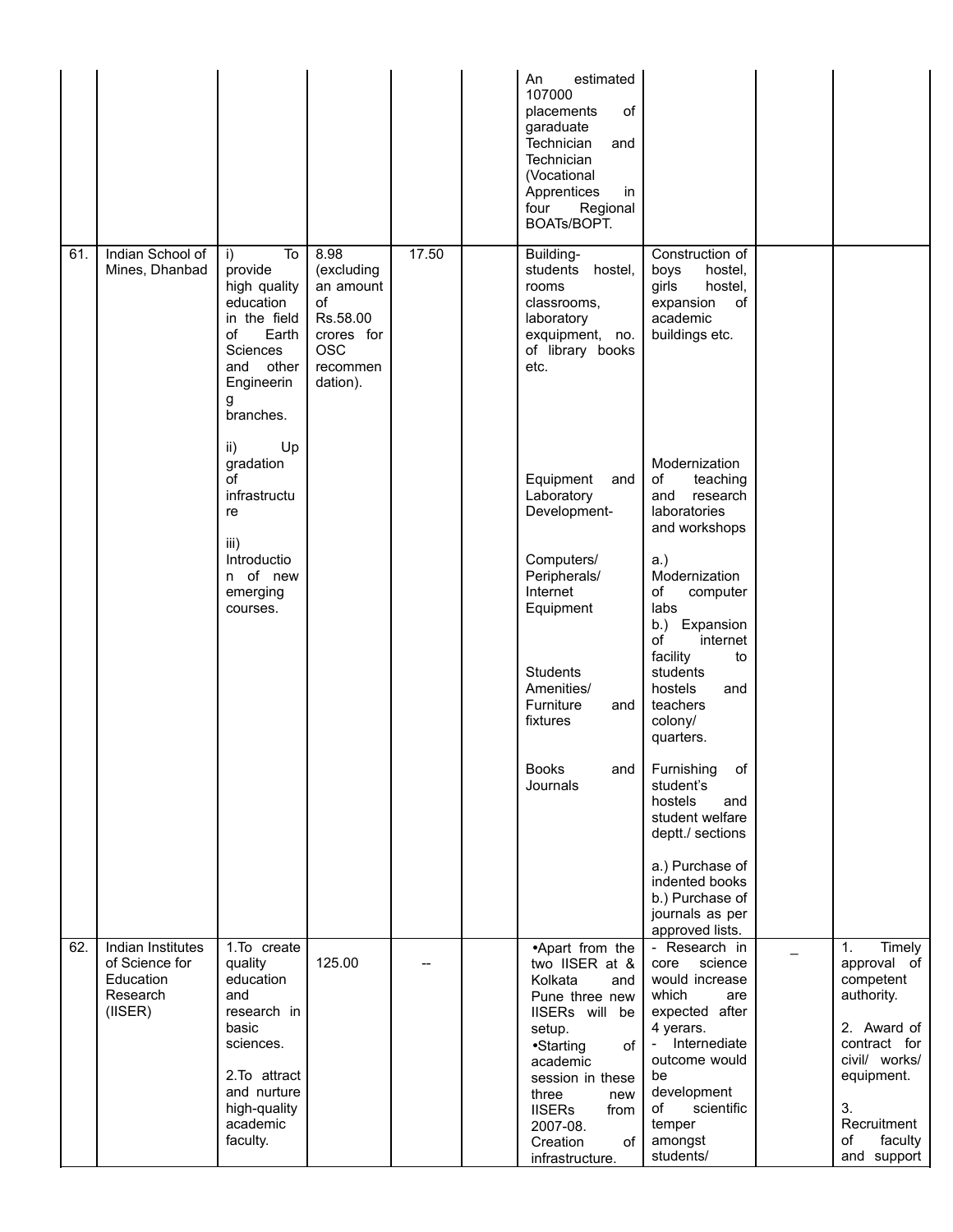|     |                                                                               |                                                                                                                                                         |                                                                                                       |       | An<br>estimated<br>107000<br>placements<br>οf<br>garaduate<br>Technician<br>and<br>Technician<br>(Vocational<br>Apprentices<br>in<br>Regional<br>four<br>BOATs/BOPT.                                                                           |                                                                                                                                                                                                                 |                                                                                                                                                                                       |
|-----|-------------------------------------------------------------------------------|---------------------------------------------------------------------------------------------------------------------------------------------------------|-------------------------------------------------------------------------------------------------------|-------|------------------------------------------------------------------------------------------------------------------------------------------------------------------------------------------------------------------------------------------------|-----------------------------------------------------------------------------------------------------------------------------------------------------------------------------------------------------------------|---------------------------------------------------------------------------------------------------------------------------------------------------------------------------------------|
| 61. | Indian School of<br>Mines, Dhanbad                                            | To<br>i)<br>provide<br>high quality<br>education<br>in the field<br>of<br>Earth<br>Sciences<br>and<br>other<br>Engineerin<br>g<br>branches.             | 8.98<br>(excluding<br>an amount<br>of<br>Rs.58.00<br>crores for<br><b>OSC</b><br>recommen<br>dation). | 17.50 | Building-<br>students<br>hostel,<br>rooms<br>classrooms,<br>laboratory<br>exquipment, no.<br>of library books<br>etc.                                                                                                                          | Construction of<br>boys<br>hostel,<br>hostel,<br>girls<br>expansion<br>of<br>academic<br>buildings etc.                                                                                                         |                                                                                                                                                                                       |
|     |                                                                               | Up<br>ii)<br>gradation<br>of<br>infrastructu<br>re<br>iii)                                                                                              |                                                                                                       |       | Equipment<br>and<br>Laboratory<br>Development-                                                                                                                                                                                                 | Modernization<br>of<br>teaching<br>research<br>and<br>laboratories<br>and workshops                                                                                                                             |                                                                                                                                                                                       |
|     |                                                                               | Introductio<br>n of new<br>emerging<br>courses.                                                                                                         |                                                                                                       |       | Computers/<br>Peripherals/<br>Internet<br>Equipment<br><b>Students</b><br>Amenities/<br>Furniture<br>and<br>fixtures                                                                                                                           | $a.$ )<br>Modernization<br>of<br>computer<br>labs<br>b.)<br>Expansion<br>of<br>internet<br>facility<br>to<br>students<br>hostels<br>and<br>teachers<br>colony/                                                  |                                                                                                                                                                                       |
|     |                                                                               |                                                                                                                                                         |                                                                                                       |       | Books<br>and<br>Journals                                                                                                                                                                                                                       | quarters.<br>Furnishing<br>of<br>student's<br>hostels<br>and<br>student welfare<br>deptt./ sections<br>a.) Purchase of<br>indented books                                                                        |                                                                                                                                                                                       |
|     |                                                                               |                                                                                                                                                         |                                                                                                       |       |                                                                                                                                                                                                                                                | b.) Purchase of<br>journals as per<br>approved lists.                                                                                                                                                           |                                                                                                                                                                                       |
| 62. | Indian Institutes<br>of Science for<br>Education<br>Research<br>$($ IISER $)$ | 1.To create<br>quality<br>education<br>and<br>research in<br>basic<br>sciences.<br>2. To attract<br>and nurture<br>high-quality<br>academic<br>faculty. | 125.00                                                                                                |       | •Apart from the<br>two IISER at &<br>Kolkata<br>and<br>Pune three new<br>IISERs will be<br>setup.<br>•Starting<br>οf<br>academic<br>session in these<br>three<br>new<br><b>IISERs</b><br>from<br>2007-08.<br>of<br>Creation<br>infrastructure. | - Research in<br>core<br>science<br>would increase<br>which<br>are<br>expected after<br>4 yerars.<br>- Internediate<br>outcome would<br>be<br>development<br>οf<br>scientific<br>temper<br>amongst<br>students/ | Timely<br>$\mathbf{1}$ .<br>approval of<br>competent<br>authority.<br>2. Award of<br>contract for<br>civil/ works/<br>equipment.<br>3.<br>Recruitment<br>faculty<br>οf<br>and support |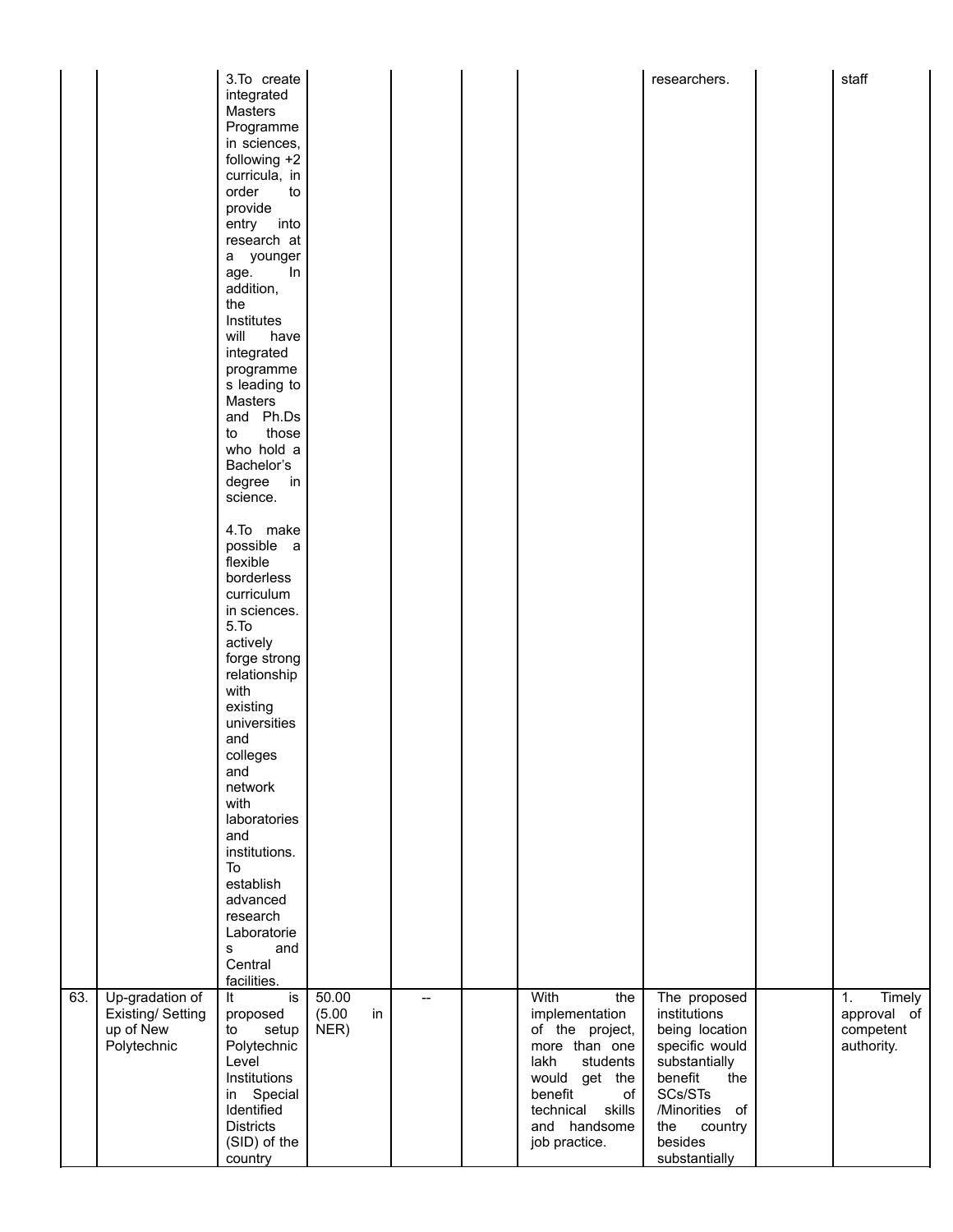|     |                                                                  | 3.To create<br>integrated<br>Masters<br>Programme<br>in sciences,<br>following +2<br>curricula, in<br>order<br>to<br>provide<br>entry into<br>research at<br>a younger<br>ln<br>age.<br>addition,<br>the<br>Institutes<br>will<br>have<br>integrated<br>programme<br>s leading to<br>Masters<br>and Ph.Ds<br>those<br>to<br>who hold a<br>Bachelor's<br>degree<br>in<br>science.<br>4.To make<br>possible a<br>flexible<br>borderless<br>curriculum<br>in sciences. |                               |                          |                                                                                                                                                                                 | researchers.                                                                                                                                                                   | staff                                                  |
|-----|------------------------------------------------------------------|---------------------------------------------------------------------------------------------------------------------------------------------------------------------------------------------------------------------------------------------------------------------------------------------------------------------------------------------------------------------------------------------------------------------------------------------------------------------|-------------------------------|--------------------------|---------------------------------------------------------------------------------------------------------------------------------------------------------------------------------|--------------------------------------------------------------------------------------------------------------------------------------------------------------------------------|--------------------------------------------------------|
| 63. | Up-gradation of<br>Existing/ Setting<br>up of New<br>Polytechnic | 5.To<br>actively<br>forge strong<br>relationship<br>with<br>existing<br>universities<br>and<br>colleges<br>and<br>network<br>with<br>laboratories<br>and<br>institutions.<br>To<br>establish<br>advanced<br>research<br>Laboratorie<br>and<br>s<br>Central<br>facilities.<br>is<br>It<br>proposed<br>setup<br>to<br>Polytechnic<br>Level<br>Institutions<br>in Special<br>Identified<br><b>Districts</b><br>(SID) of the<br>country                                 | 50.00<br>(5.00)<br>in<br>NER) | $\overline{\phantom{0}}$ | With<br>the<br>implementation<br>of the project,<br>more than one<br>lakh<br>students<br>would get the<br>benefit<br>of<br>skills<br>technical<br>and handsome<br>job practice. | The proposed<br>institutions<br>being location<br>specific would<br>substantially<br>benefit<br>the<br>SCs/STs<br>/Minorities of<br>the<br>country<br>besides<br>substantially | Timely<br>1.<br>approval of<br>competent<br>authority. |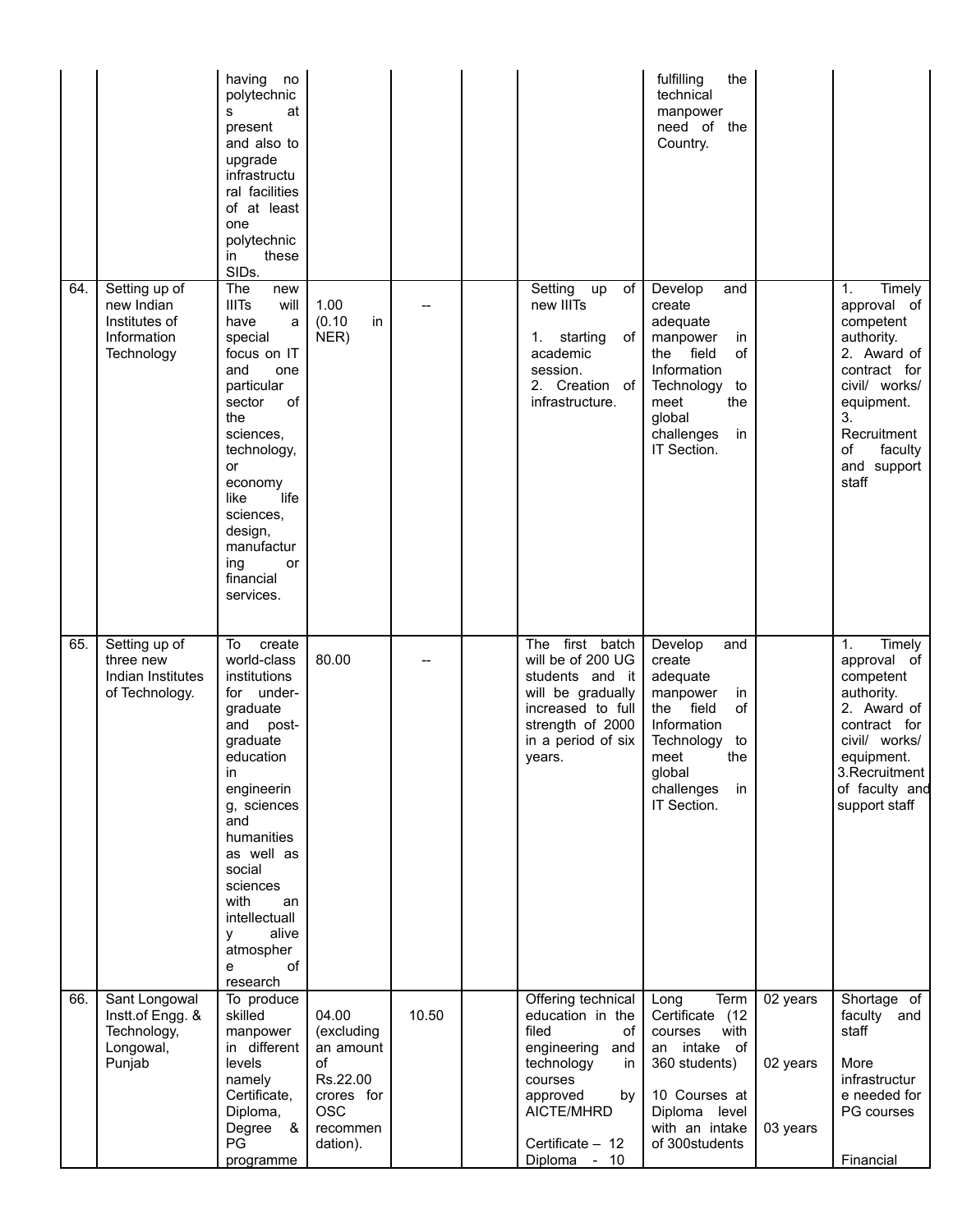|     |                                                                           | having<br>no<br>polytechnic<br>at<br>s<br>present<br>and also to<br>upgrade<br>infrastructu<br>ral facilities<br>of at least<br>one<br>polytechnic<br>these<br>in<br>SIDs.                                                                                                               |                                                                                                        |       |                                                                                                                                                                                | fulfilling<br>the<br>technical<br>manpower<br>need of the<br>Country.                                                                                                    |                                  |                                                                                                                                                                                    |
|-----|---------------------------------------------------------------------------|------------------------------------------------------------------------------------------------------------------------------------------------------------------------------------------------------------------------------------------------------------------------------------------|--------------------------------------------------------------------------------------------------------|-------|--------------------------------------------------------------------------------------------------------------------------------------------------------------------------------|--------------------------------------------------------------------------------------------------------------------------------------------------------------------------|----------------------------------|------------------------------------------------------------------------------------------------------------------------------------------------------------------------------------|
| 64. | Setting up of<br>new Indian<br>Institutes of<br>Information<br>Technology | The<br>new<br><b>IIITs</b><br>will<br>have<br>a<br>special<br>focus on IT<br>and<br>one<br>particular<br>sector<br>of<br>the<br>sciences.<br>technology,<br>or<br>economy<br>life<br>like<br>sciences,<br>design,<br>manufactur<br>ing<br>or<br>financial<br>services.                   | 1.00<br>(0.10)<br>in<br>NER)                                                                           |       | Setting up<br>of<br>new IIITs<br>1. starting<br>of<br>academic<br>session.<br>2. Creation of<br>infrastructure.                                                                | Develop<br>and<br>create<br>adequate<br>manpower<br>in<br>the field<br>of<br>Information<br>Technology<br>to<br>the<br>meet<br>global<br>challenges<br>in<br>IT Section. |                                  | Timely<br>1.<br>approval of<br>competent<br>authority.<br>2. Award of<br>contract for<br>civil/ works/<br>equipment.<br>3.<br>Recruitment<br>οf<br>faculty<br>and support<br>staff |
| 65. | Setting up of<br>three new<br>Indian Institutes<br>of Technology.         | To<br>create<br>world-class<br>institutions<br>for under-<br>graduate<br>and post-<br>graduate<br>education<br>in<br>engineerin<br>g, sciences<br>and<br>humanities<br>as well as<br>social<br>sciences<br>with<br>an<br>intellectuall<br>alive<br>у<br>atmospher<br>of<br>e<br>research | 80.00                                                                                                  |       | The first batch<br>will be of 200 UG<br>students and it<br>will be gradually<br>increased to full<br>strength of 2000<br>in a period of six<br>years.                          | Develop<br>and<br>create<br>adequate<br>manpower<br>in<br>the field<br>of<br>Information<br>Technology<br>to<br>the<br>meet<br>global<br>challenges<br>in<br>IT Section. |                                  | 1.<br>Timely<br>approval of<br>competent<br>authority.<br>2. Award of<br>contract for<br>civil/ works/<br>equipment.<br>3. Recruitment<br>of faculty and<br>support staff          |
| 66. | Sant Longowal<br>Instt.of Engg. &<br>Technology,<br>Longowal,<br>Punjab   | To produce<br>skilled<br>manpower<br>in different<br>levels<br>namely<br>Certificate,<br>Diploma,<br>Degree<br>- &<br>PG<br>programme                                                                                                                                                    | 04.00<br>(excluding<br>an amount<br>οf<br>Rs.22.00<br>crores for<br><b>OSC</b><br>recommen<br>dation). | 10.50 | Offering technical<br>education in the<br>filed<br>οf<br>engineering<br>and<br>technology<br>in<br>courses<br>approved<br>by<br>AICTE/MHRD<br>Certificate - 12<br>Diploma - 10 | Term<br>Long<br>Certificate (12<br>courses<br>with<br>intake of<br>an<br>360 students)<br>10 Courses at<br>Diploma level<br>with an intake<br>of 300students             | 02 years<br>02 years<br>03 years | Shortage of<br>faculty and<br>staff<br>More<br>infrastructur<br>e needed for<br>PG courses<br>Financial                                                                            |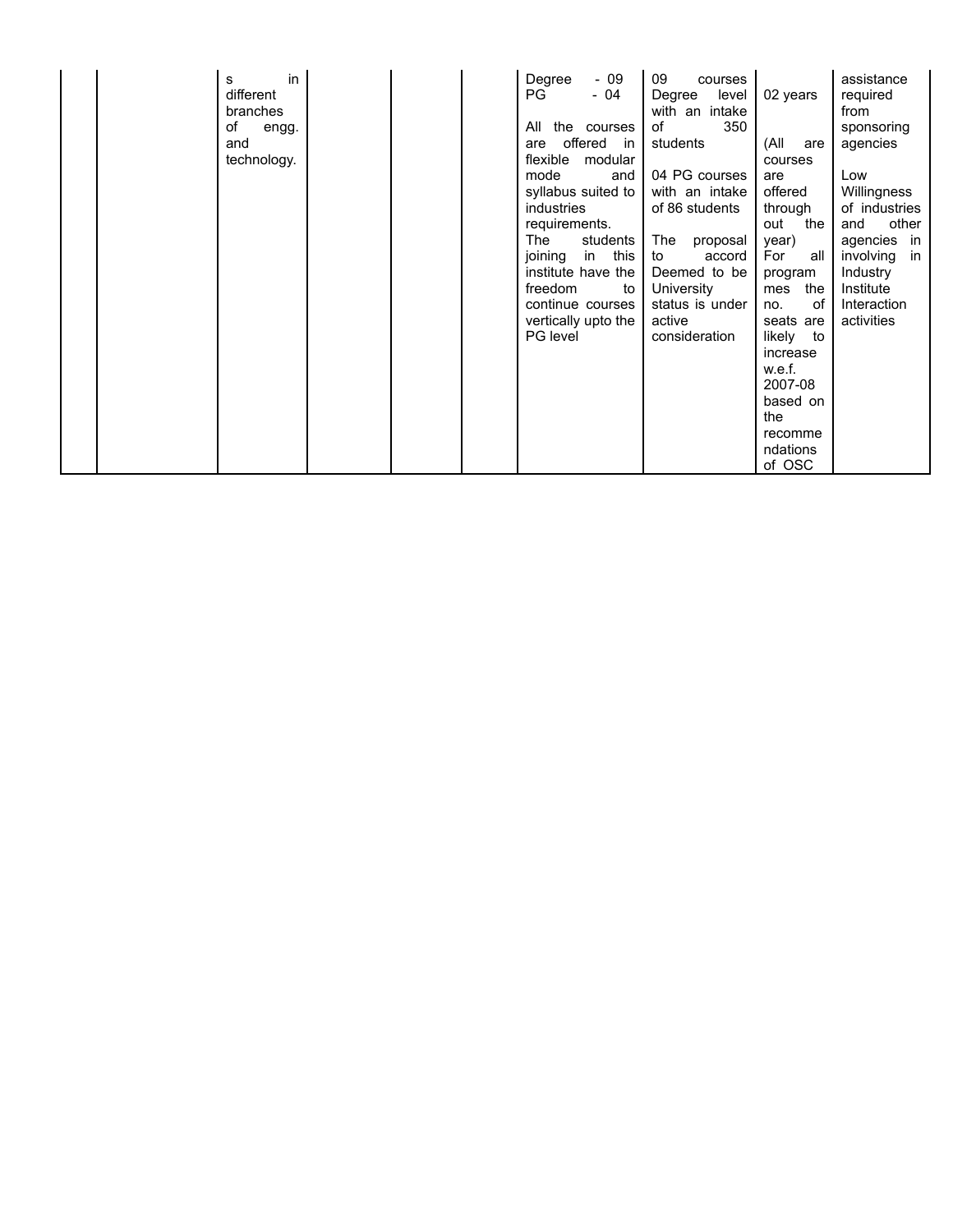| in<br>s<br>different<br>branches<br>of<br>engg.<br>and | Degree<br>$-09$<br><b>PG</b><br>- 04<br>All<br>the courses<br>offered in<br>are                                                                                                                                             | 09<br>courses<br>level<br>Degree<br>with an intake<br>of<br>350<br>students                                                                                      | 02 years<br>(All<br>are                                                                                                                                                       | assistance<br>required<br>from<br>sponsoring<br>agencies                                                                                    |
|--------------------------------------------------------|-----------------------------------------------------------------------------------------------------------------------------------------------------------------------------------------------------------------------------|------------------------------------------------------------------------------------------------------------------------------------------------------------------|-------------------------------------------------------------------------------------------------------------------------------------------------------------------------------|---------------------------------------------------------------------------------------------------------------------------------------------|
| technology.                                            | flexible modular<br>mode<br>and<br>syllabus suited to<br>industries<br>requirements.<br>students<br>The<br>in this<br>joining<br>institute have the<br>freedom<br>to<br>continue courses<br>vertically upto the<br>PG level | 04 PG courses<br>with an intake<br>of 86 students<br>The<br>proposal<br>accord<br>to<br>Deemed to be<br>University<br>status is under<br>active<br>consideration | courses<br>are<br>offered<br>through<br>out<br>the<br>year)<br>For<br>all<br>program<br>mes<br>the<br>0f<br>no.<br>seats are<br>likely<br>to<br>increase<br>w.e.f.<br>2007-08 | Low<br>Willingness<br>of industries<br>other<br>and<br>agencies in<br>involving<br>in<br>Industry<br>Institute<br>Interaction<br>activities |
|                                                        |                                                                                                                                                                                                                             |                                                                                                                                                                  | based on<br>the<br>recomme<br>ndations<br>of OSC                                                                                                                              |                                                                                                                                             |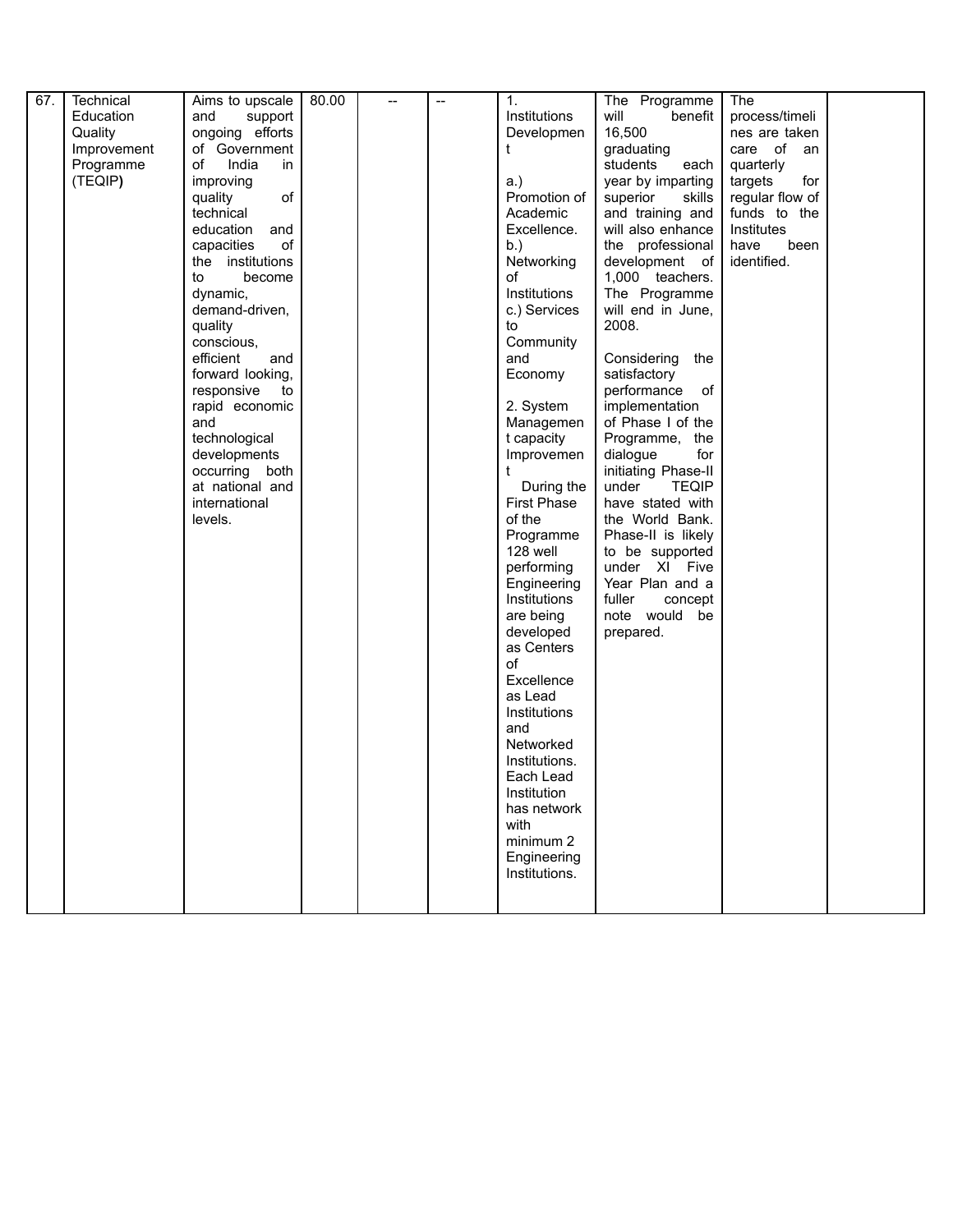| 67. | Technical   | Aims to upscale   | 80.00 | $\overline{\phantom{a}}$ | $\overline{\phantom{a}}$ | 1.                 | The Programme         | The             |  |
|-----|-------------|-------------------|-------|--------------------------|--------------------------|--------------------|-----------------------|-----------------|--|
|     | Education   | and<br>support    |       |                          |                          | Institutions       | will<br>benefit       | process/timeli  |  |
|     | Quality     | ongoing efforts   |       |                          |                          | Developmen         | 16,500                | nes are taken   |  |
|     | Improvement | of Government     |       |                          |                          | t                  | graduating            | care of an      |  |
|     | Programme   | of<br>India<br>in |       |                          |                          |                    | students<br>each      | quarterly       |  |
|     | (TEQIP)     | improving         |       |                          |                          | a.)                | year by imparting     | targets<br>for  |  |
|     |             | of<br>quality     |       |                          |                          | Promotion of       | superior<br>skills    | regular flow of |  |
|     |             | technical         |       |                          |                          | Academic           | and training and      | funds to the    |  |
|     |             | education<br>and  |       |                          |                          | Excellence.        | will also enhance     | Institutes      |  |
|     |             | of<br>capacities  |       |                          |                          | b.)                | the professional      | have<br>been    |  |
|     |             | the institutions  |       |                          |                          | Networking         | development of        | identified.     |  |
|     |             | become<br>to      |       |                          |                          | of                 | 1,000 teachers.       |                 |  |
|     |             | dynamic,          |       |                          |                          | Institutions       | The Programme         |                 |  |
|     |             | demand-driven,    |       |                          |                          | c.) Services       | will end in June,     |                 |  |
|     |             | quality           |       |                          |                          | to                 | 2008.                 |                 |  |
|     |             | conscious,        |       |                          |                          | Community          |                       |                 |  |
|     |             | efficient<br>and  |       |                          |                          | and                | Considering<br>the    |                 |  |
|     |             | forward looking,  |       |                          |                          | Economy            | satisfactory          |                 |  |
|     |             | responsive<br>to  |       |                          |                          |                    | performance<br>of     |                 |  |
|     |             | rapid economic    |       |                          |                          | 2. System          | implementation        |                 |  |
|     |             | and               |       |                          |                          | Managemen          | of Phase I of the     |                 |  |
|     |             | technological     |       |                          |                          | t capacity         | Programme, the        |                 |  |
|     |             | developments      |       |                          |                          | Improvemen         | for<br>dialogue       |                 |  |
|     |             | occurring both    |       |                          |                          | t                  | initiating Phase-II   |                 |  |
|     |             | at national and   |       |                          |                          | During the         | under<br><b>TEQIP</b> |                 |  |
|     |             | international     |       |                          |                          | <b>First Phase</b> | have stated with      |                 |  |
|     |             | levels.           |       |                          |                          | of the             | the World Bank.       |                 |  |
|     |             |                   |       |                          |                          | Programme          | Phase-II is likely    |                 |  |
|     |             |                   |       |                          |                          | 128 well           | to be supported       |                 |  |
|     |             |                   |       |                          |                          | performing         | under XI Five         |                 |  |
|     |             |                   |       |                          |                          | Engineering        | Year Plan and a       |                 |  |
|     |             |                   |       |                          |                          | Institutions       | fuller<br>concept     |                 |  |
|     |             |                   |       |                          |                          | are being          | note would be         |                 |  |
|     |             |                   |       |                          |                          | developed          | prepared.             |                 |  |
|     |             |                   |       |                          |                          | as Centers         |                       |                 |  |
|     |             |                   |       |                          |                          | of                 |                       |                 |  |
|     |             |                   |       |                          |                          | Excellence         |                       |                 |  |
|     |             |                   |       |                          |                          | as Lead            |                       |                 |  |
|     |             |                   |       |                          |                          | Institutions       |                       |                 |  |
|     |             |                   |       |                          |                          | and                |                       |                 |  |
|     |             |                   |       |                          |                          | Networked          |                       |                 |  |
|     |             |                   |       |                          |                          | Institutions.      |                       |                 |  |
|     |             |                   |       |                          |                          | Each Lead          |                       |                 |  |
|     |             |                   |       |                          |                          | Institution        |                       |                 |  |
|     |             |                   |       |                          |                          | has network        |                       |                 |  |
|     |             |                   |       |                          |                          | with               |                       |                 |  |
|     |             |                   |       |                          |                          | minimum 2          |                       |                 |  |
|     |             |                   |       |                          |                          | Engineering        |                       |                 |  |
|     |             |                   |       |                          |                          | Institutions.      |                       |                 |  |
|     |             |                   |       |                          |                          |                    |                       |                 |  |
|     |             |                   |       |                          |                          |                    |                       |                 |  |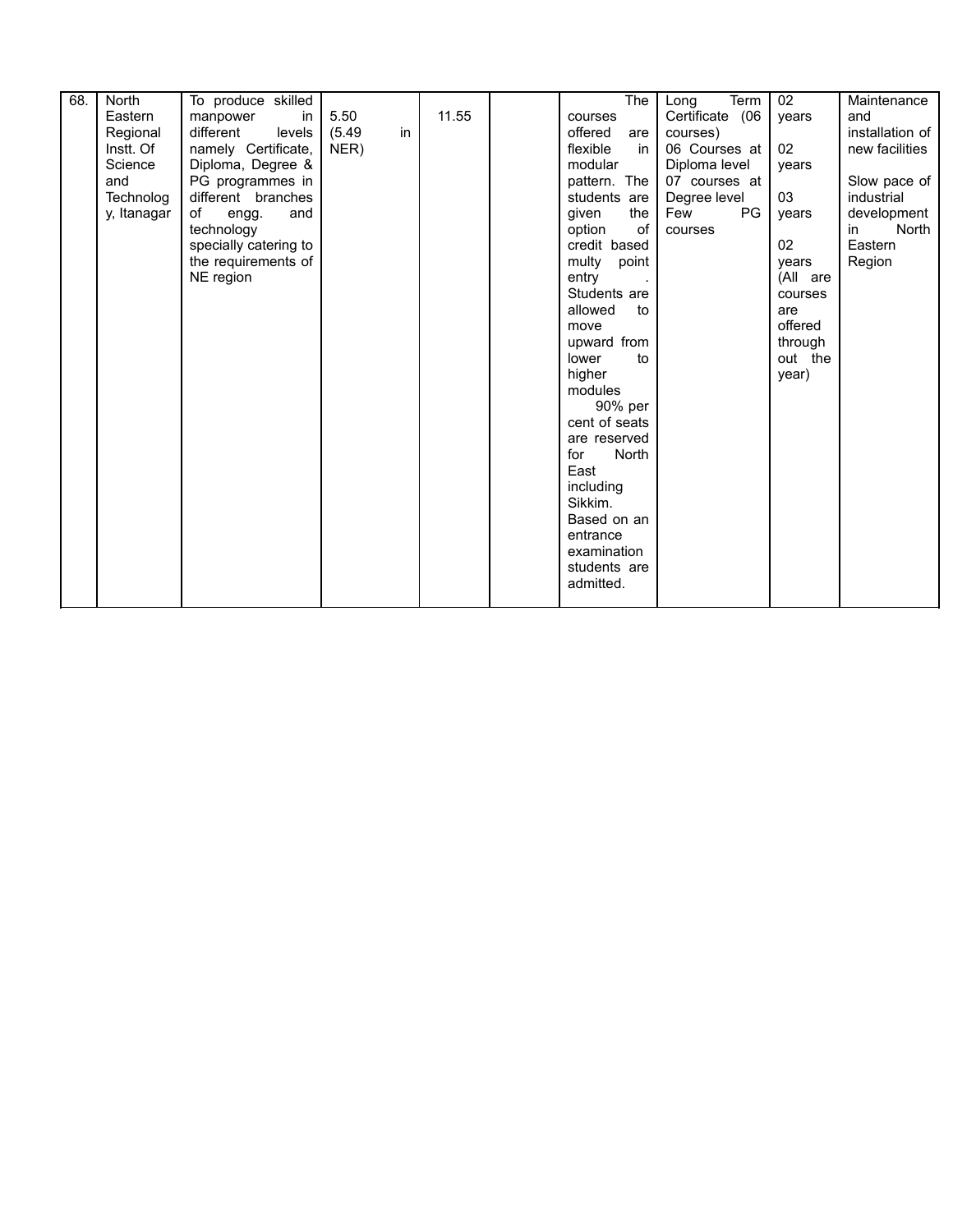| 68. | North       | To produce skilled    |              |       | The $ $        | Term<br>Long     | 02       | Maintenance        |
|-----|-------------|-----------------------|--------------|-------|----------------|------------------|----------|--------------------|
|     | Eastern     | manpower<br>in        | 5.50         | 11.55 | courses        | Certificate (06  | years    | and                |
|     | Regional    | different<br>levels   | in<br>(5.49) |       | offered<br>are | courses)         |          | installation of    |
|     | Instt. Of   | namely Certificate,   | NER)         |       | flexible<br>in | 06 Courses at    | 02       | new facilities     |
|     | Science     | Diploma, Degree &     |              |       | modular        | Diploma level    | years    |                    |
|     | and         | PG programmes in      |              |       | pattern. The   | 07 courses at    |          | Slow pace of       |
|     | Technolog   | different branches    |              |       | students are   | Degree level     | 03       | industrial         |
|     | y, Itanagar | of<br>and<br>engg.    |              |       | given<br>the   | <b>PG</b><br>Few | years    | development        |
|     |             | technology            |              |       | of<br>option   | courses          |          | <b>North</b><br>in |
|     |             | specially catering to |              |       | credit based   |                  | 02       | Eastern            |
|     |             | the requirements of   |              |       | multy<br>point |                  | years    | Region             |
|     |             | NE region             |              |       | entry          |                  | (All are |                    |
|     |             |                       |              |       | Students are   |                  | courses  |                    |
|     |             |                       |              |       | allowed<br>to  |                  | are      |                    |
|     |             |                       |              |       |                |                  | offered  |                    |
|     |             |                       |              |       | move           |                  |          |                    |
|     |             |                       |              |       | upward from    |                  | through  |                    |
|     |             |                       |              |       | lower<br>to    |                  | out the  |                    |
|     |             |                       |              |       | higher         |                  | year)    |                    |
|     |             |                       |              |       | modules        |                  |          |                    |
|     |             |                       |              |       | 90% per        |                  |          |                    |
|     |             |                       |              |       | cent of seats  |                  |          |                    |
|     |             |                       |              |       | are reserved   |                  |          |                    |
|     |             |                       |              |       | North<br>for   |                  |          |                    |
|     |             |                       |              |       | East           |                  |          |                    |
|     |             |                       |              |       | including      |                  |          |                    |
|     |             |                       |              |       | Sikkim.        |                  |          |                    |
|     |             |                       |              |       | Based on an    |                  |          |                    |
|     |             |                       |              |       | entrance       |                  |          |                    |
|     |             |                       |              |       | examination    |                  |          |                    |
|     |             |                       |              |       | students are   |                  |          |                    |
|     |             |                       |              |       |                |                  |          |                    |
|     |             |                       |              |       | admitted.      |                  |          |                    |
|     |             |                       |              |       |                |                  |          |                    |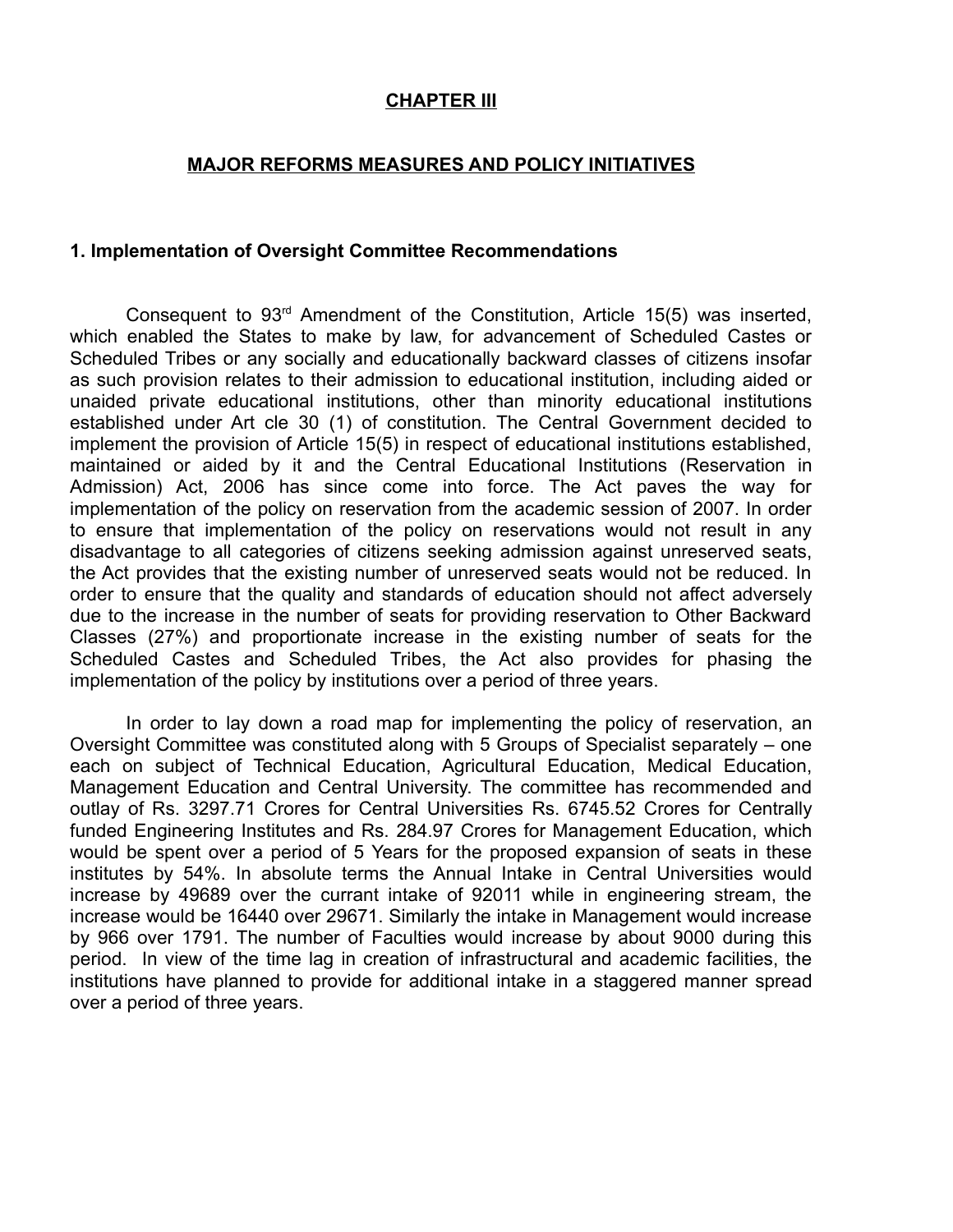#### **CHAPTER III**

#### **MAJOR REFORMS MEASURES AND POLICY INITIATIVES**

#### **1. Implementation of Oversight Committee Recommendations**

Consequent to  $93<sup>rd</sup>$  Amendment of the Constitution, Article 15(5) was inserted, which enabled the States to make by law, for advancement of Scheduled Castes or Scheduled Tribes or any socially and educationally backward classes of citizens insofar as such provision relates to their admission to educational institution, including aided or unaided private educational institutions, other than minority educational institutions established under Art cle 30 (1) of constitution. The Central Government decided to implement the provision of Article 15(5) in respect of educational institutions established, maintained or aided by it and the Central Educational Institutions (Reservation in Admission) Act, 2006 has since come into force. The Act paves the way for implementation of the policy on reservation from the academic session of 2007. In order to ensure that implementation of the policy on reservations would not result in any disadvantage to all categories of citizens seeking admission against unreserved seats, the Act provides that the existing number of unreserved seats would not be reduced. In order to ensure that the quality and standards of education should not affect adversely due to the increase in the number of seats for providing reservation to Other Backward Classes (27%) and proportionate increase in the existing number of seats for the Scheduled Castes and Scheduled Tribes, the Act also provides for phasing the implementation of the policy by institutions over a period of three years.

In order to lay down a road map for implementing the policy of reservation, an Oversight Committee was constituted along with 5 Groups of Specialist separately – one each on subject of Technical Education, Agricultural Education, Medical Education, Management Education and Central University. The committee has recommended and outlay of Rs. 3297.71 Crores for Central Universities Rs. 6745.52 Crores for Centrally funded Engineering Institutes and Rs. 284.97 Crores for Management Education, which would be spent over a period of 5 Years for the proposed expansion of seats in these institutes by 54%. In absolute terms the Annual Intake in Central Universities would increase by 49689 over the currant intake of 92011 while in engineering stream, the increase would be 16440 over 29671. Similarly the intake in Management would increase by 966 over 1791. The number of Faculties would increase by about 9000 during this period. In view of the time lag in creation of infrastructural and academic facilities, the institutions have planned to provide for additional intake in a staggered manner spread over a period of three years.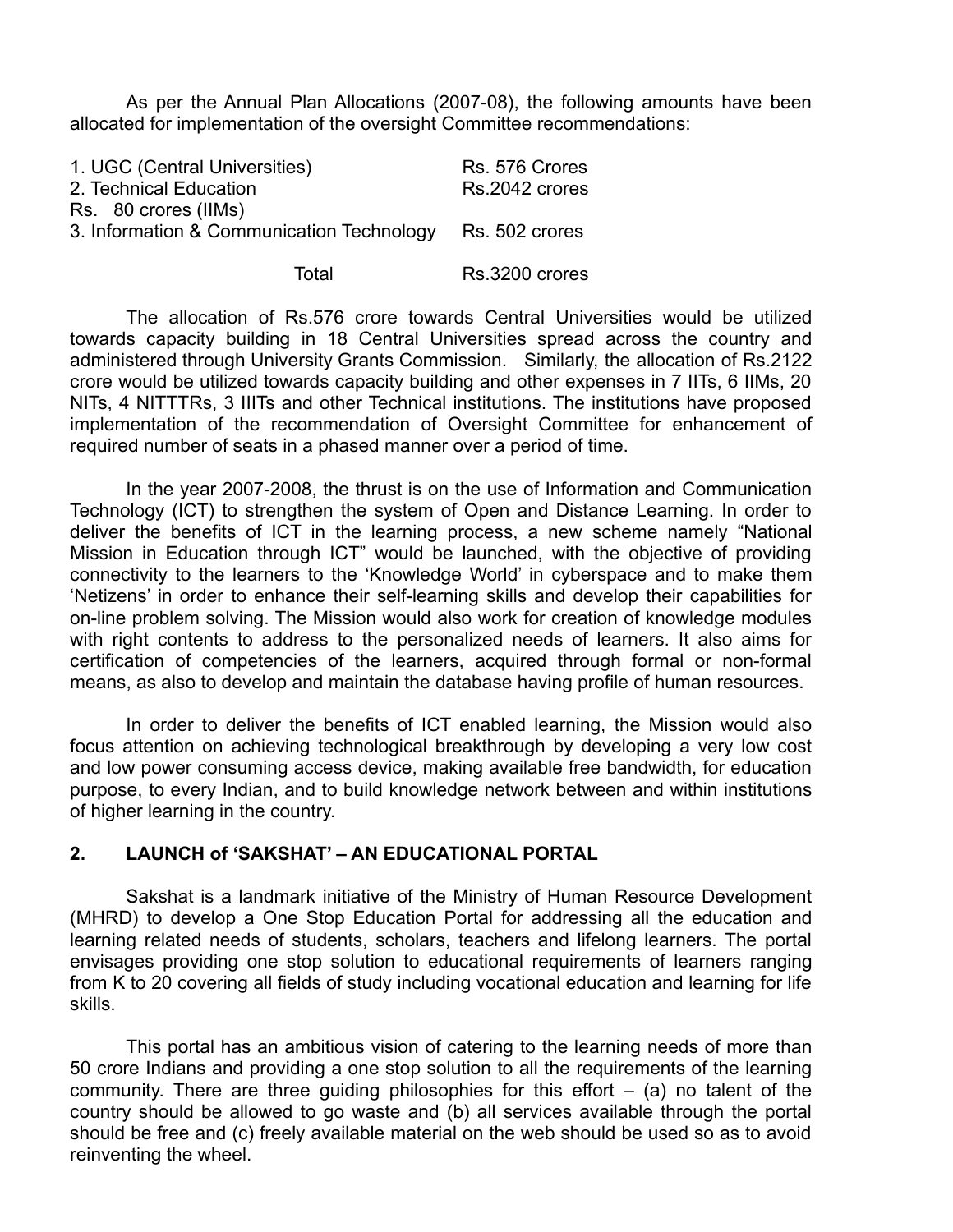As per the Annual Plan Allocations (2007-08), the following amounts have been allocated for implementation of the oversight Committee recommendations:

| 1. UGC (Central Universities)<br>2. Technical Education  | Rs. 576 Crores<br>Rs.2042 crores |
|----------------------------------------------------------|----------------------------------|
| Rs. 80 crores (IIMs)                                     |                                  |
| 3. Information & Communication Technology Rs. 502 crores |                                  |
| Total                                                    | Rs.3200 crores                   |

The allocation of Rs.576 crore towards Central Universities would be utilized towards capacity building in 18 Central Universities spread across the country and administered through University Grants Commission. Similarly, the allocation of Rs.2122 crore would be utilized towards capacity building and other expenses in 7 IITs, 6 IIMs, 20 NITs, 4 NITTTRs, 3 IIITs and other Technical institutions. The institutions have proposed implementation of the recommendation of Oversight Committee for enhancement of required number of seats in a phased manner over a period of time.

In the year 2007-2008, the thrust is on the use of Information and Communication Technology (ICT) to strengthen the system of Open and Distance Learning. In order to deliver the benefits of ICT in the learning process, a new scheme namely "National Mission in Education through ICT" would be launched, with the objective of providing connectivity to the learners to the 'Knowledge World' in cyberspace and to make them 'Netizens' in order to enhance their self-learning skills and develop their capabilities for on-line problem solving. The Mission would also work for creation of knowledge modules with right contents to address to the personalized needs of learners. It also aims for certification of competencies of the learners, acquired through formal or non-formal means, as also to develop and maintain the database having profile of human resources.

In order to deliver the benefits of ICT enabled learning, the Mission would also focus attention on achieving technological breakthrough by developing a very low cost and low power consuming access device, making available free bandwidth, for education purpose, to every Indian, and to build knowledge network between and within institutions of higher learning in the country.

#### **2. LAUNCH of 'SAKSHAT' – AN EDUCATIONAL PORTAL**

Sakshat is a landmark initiative of the Ministry of Human Resource Development (MHRD) to develop a One Stop Education Portal for addressing all the education and learning related needs of students, scholars, teachers and lifelong learners. The portal envisages providing one stop solution to educational requirements of learners ranging from K to 20 covering all fields of study including vocational education and learning for life skills.

This portal has an ambitious vision of catering to the learning needs of more than 50 crore Indians and providing a one stop solution to all the requirements of the learning community. There are three quiding philosophies for this effort  $-$  (a) no talent of the country should be allowed to go waste and (b) all services available through the portal should be free and (c) freely available material on the web should be used so as to avoid reinventing the wheel.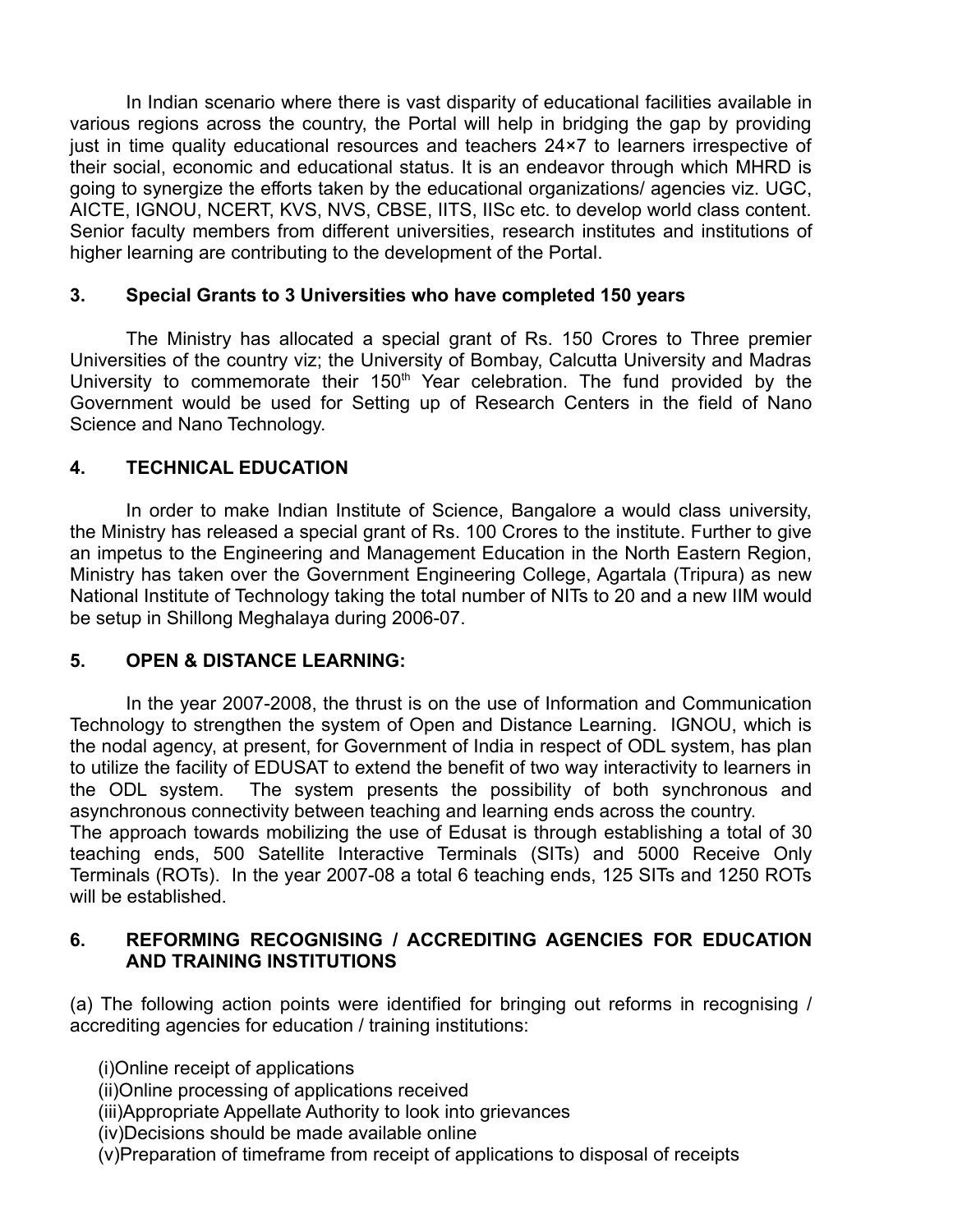In Indian scenario where there is vast disparity of educational facilities available in various regions across the country, the Portal will help in bridging the gap by providing just in time quality educational resources and teachers 24×7 to learners irrespective of their social, economic and educational status. It is an endeavor through which MHRD is going to synergize the efforts taken by the educational organizations/ agencies viz. UGC, AICTE, IGNOU, NCERT, KVS, NVS, CBSE, IITS, IISc etc. to develop world class content. Senior faculty members from different universities, research institutes and institutions of higher learning are contributing to the development of the Portal.

#### **3. Special Grants to 3 Universities who have completed 150 years**

The Ministry has allocated a special grant of Rs. 150 Crores to Three premier Universities of the country viz; the University of Bombay, Calcutta University and Madras University to commemorate their 150<sup>th</sup> Year celebration. The fund provided by the Government would be used for Setting up of Research Centers in the field of Nano Science and Nano Technology.

### **4. TECHNICAL EDUCATION**

In order to make Indian Institute of Science, Bangalore a would class university, the Ministry has released a special grant of Rs. 100 Crores to the institute. Further to give an impetus to the Engineering and Management Education in the North Eastern Region, Ministry has taken over the Government Engineering College, Agartala (Tripura) as new National Institute of Technology taking the total number of NITs to 20 and a new IIM would be setup in Shillong Meghalaya during 2006-07.

## **5. OPEN & DISTANCE LEARNING:**

In the year 2007-2008, the thrust is on the use of Information and Communication Technology to strengthen the system of Open and Distance Learning. IGNOU, which is the nodal agency, at present, for Government of India in respect of ODL system, has plan to utilize the facility of EDUSAT to extend the benefit of two way interactivity to learners in the ODL system. The system presents the possibility of both synchronous and asynchronous connectivity between teaching and learning ends across the country.

The approach towards mobilizing the use of Edusat is through establishing a total of 30 teaching ends, 500 Satellite Interactive Terminals (SITs) and 5000 Receive Only Terminals (ROTs). In the year 2007-08 a total 6 teaching ends, 125 SITs and 1250 ROTs will be established.

### **6. REFORMING RECOGNISING / ACCREDITING AGENCIES FOR EDUCATION AND TRAINING INSTITUTIONS**

(a) The following action points were identified for bringing out reforms in recognising / accrediting agencies for education / training institutions:

(i)Online receipt of applications

(ii)Online processing of applications received

(iii)Appropriate Appellate Authority to look into grievances

(iv)Decisions should be made available online

(v)Preparation of timeframe from receipt of applications to disposal of receipts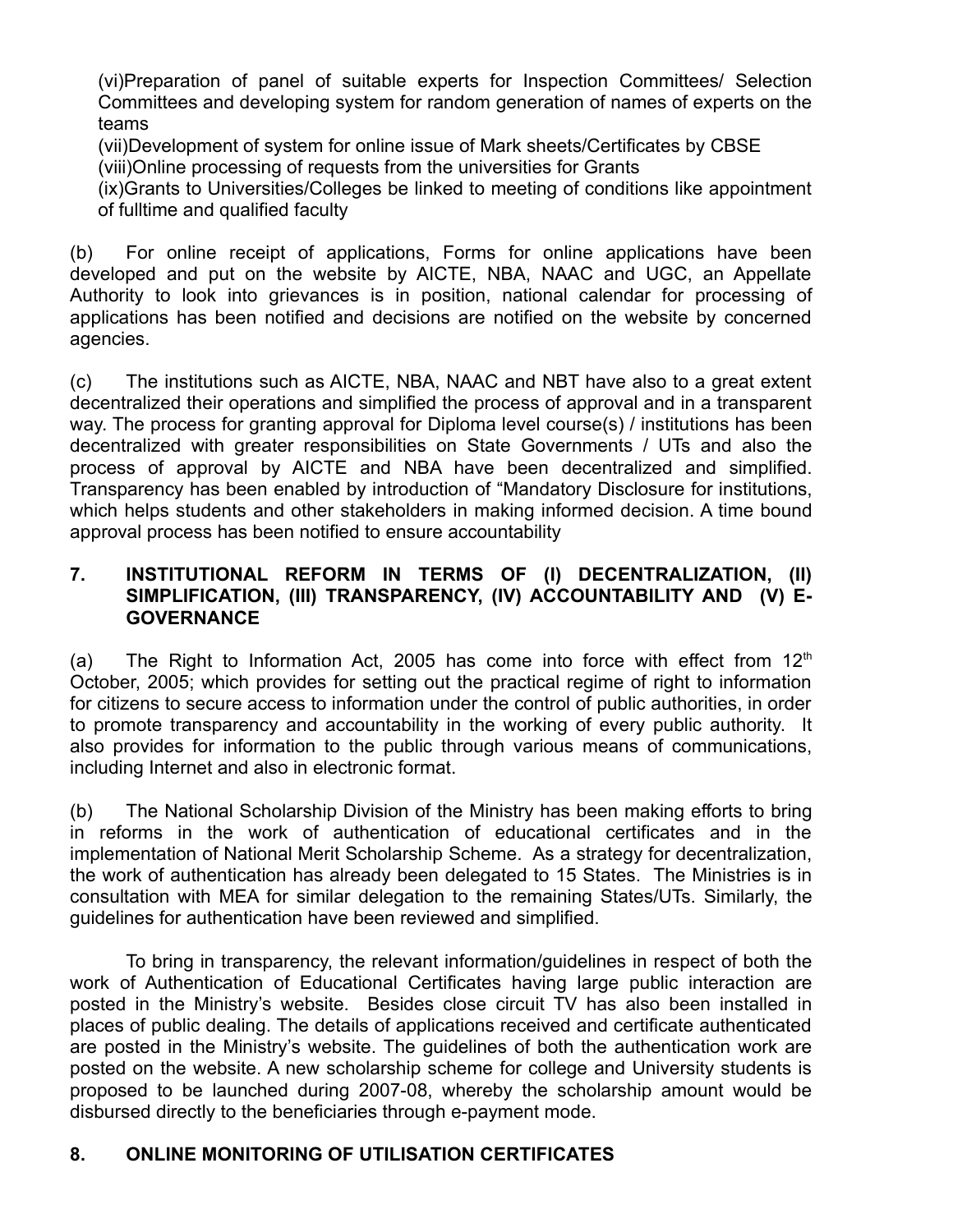(vi)Preparation of panel of suitable experts for Inspection Committees/ Selection Committees and developing system for random generation of names of experts on the teams

(vii)Development of system for online issue of Mark sheets/Certificates by CBSE (viii)Online processing of requests from the universities for Grants

(ix)Grants to Universities/Colleges be linked to meeting of conditions like appointment of fulltime and qualified faculty

(b) For online receipt of applications, Forms for online applications have been developed and put on the website by AICTE, NBA, NAAC and UGC, an Appellate Authority to look into grievances is in position, national calendar for processing of applications has been notified and decisions are notified on the website by concerned agencies.

(c) The institutions such as AICTE, NBA, NAAC and NBT have also to a great extent decentralized their operations and simplified the process of approval and in a transparent way. The process for granting approval for Diploma level course(s) / institutions has been decentralized with greater responsibilities on State Governments / UTs and also the process of approval by AICTE and NBA have been decentralized and simplified. Transparency has been enabled by introduction of "Mandatory Disclosure for institutions, which helps students and other stakeholders in making informed decision. A time bound approval process has been notified to ensure accountability

### **7. INSTITUTIONAL REFORM IN TERMS OF (I) DECENTRALIZATION, (II) SIMPLIFICATION, (III) TRANSPARENCY, (IV) ACCOUNTABILITY AND (V) E-GOVERNANCE**

(a) The Right to Information Act, 2005 has come into force with effect from  $12<sup>th</sup>$ October, 2005; which provides for setting out the practical regime of right to information for citizens to secure access to information under the control of public authorities, in order to promote transparency and accountability in the working of every public authority. It also provides for information to the public through various means of communications, including Internet and also in electronic format.

(b) The National Scholarship Division of the Ministry has been making efforts to bring in reforms in the work of authentication of educational certificates and in the implementation of National Merit Scholarship Scheme. As a strategy for decentralization, the work of authentication has already been delegated to 15 States. The Ministries is in consultation with MEA for similar delegation to the remaining States/UTs. Similarly, the guidelines for authentication have been reviewed and simplified.

To bring in transparency, the relevant information/guidelines in respect of both the work of Authentication of Educational Certificates having large public interaction are posted in the Ministry's website. Besides close circuit TV has also been installed in places of public dealing. The details of applications received and certificate authenticated are posted in the Ministry's website. The guidelines of both the authentication work are posted on the website. A new scholarship scheme for college and University students is proposed to be launched during 2007-08, whereby the scholarship amount would be disbursed directly to the beneficiaries through e-payment mode.

## **8. ONLINE MONITORING OF UTILISATION CERTIFICATES**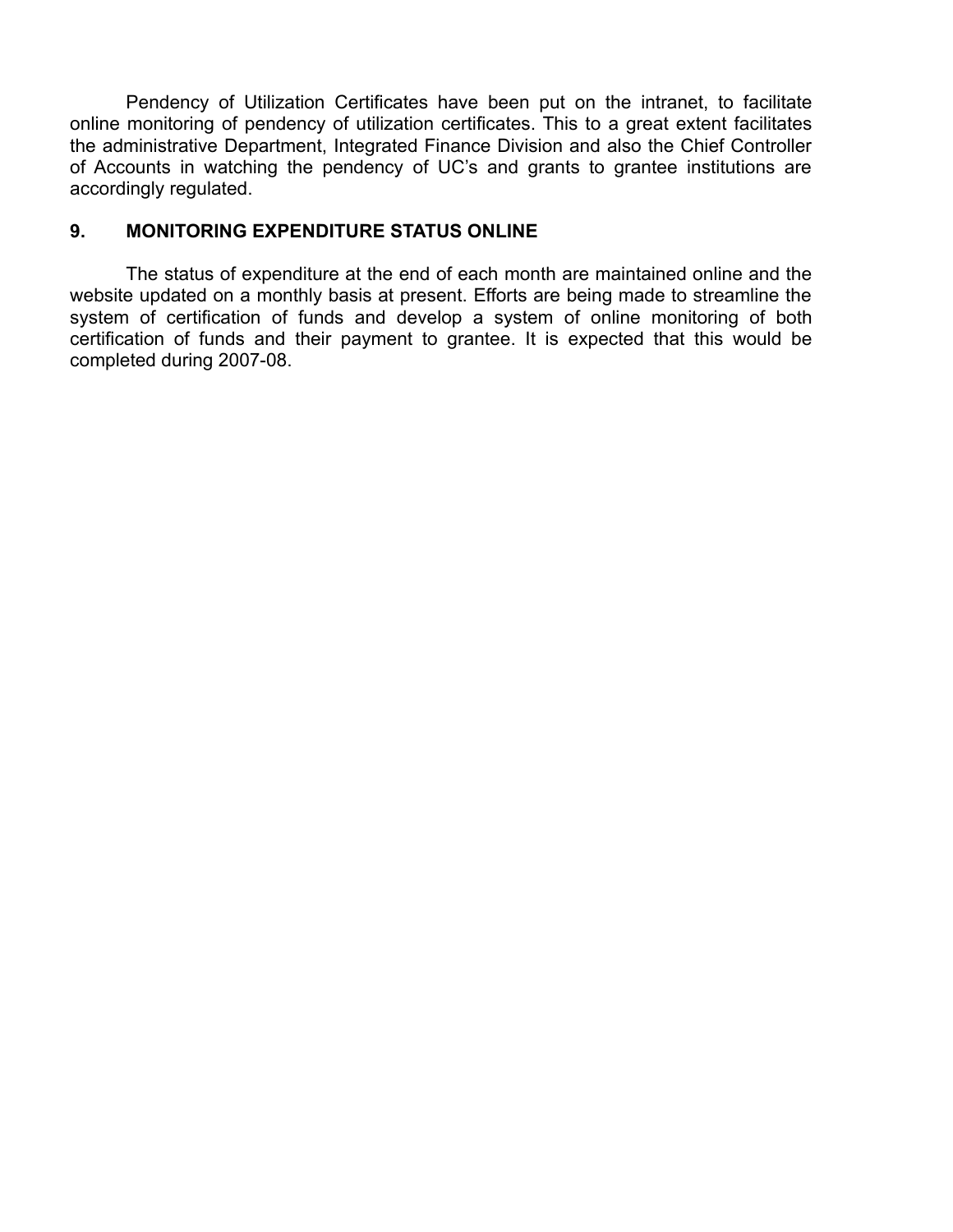Pendency of Utilization Certificates have been put on the intranet, to facilitate online monitoring of pendency of utilization certificates. This to a great extent facilitates the administrative Department, Integrated Finance Division and also the Chief Controller of Accounts in watching the pendency of UC's and grants to grantee institutions are accordingly regulated.

#### **9. MONITORING EXPENDITURE STATUS ONLINE**

The status of expenditure at the end of each month are maintained online and the website updated on a monthly basis at present. Efforts are being made to streamline the system of certification of funds and develop a system of online monitoring of both certification of funds and their payment to grantee. It is expected that this would be completed during 2007-08.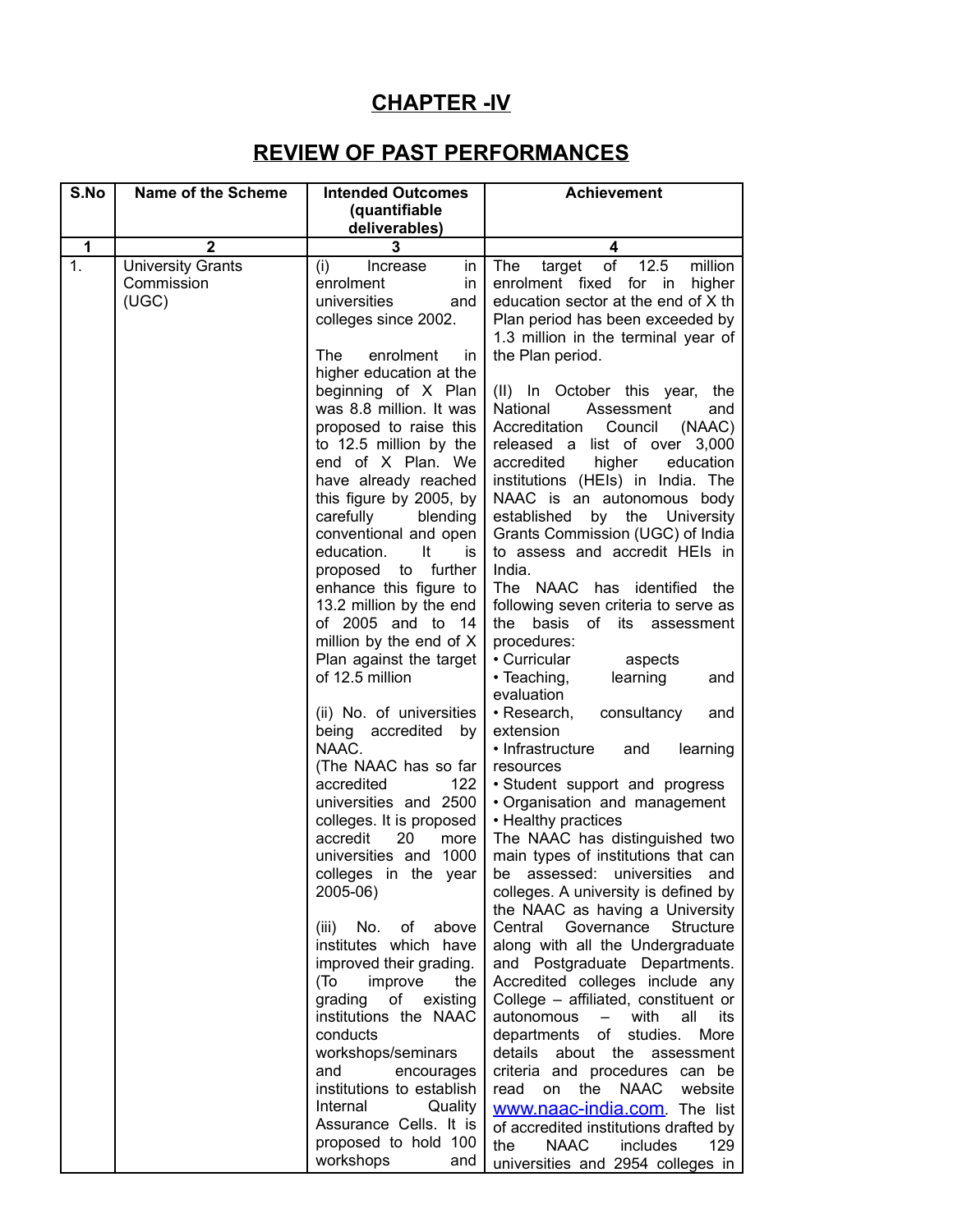# **CHAPTER -IV**

# **REVIEW OF PAST PERFORMANCES**

| S.No         | <b>Name of the Scheme</b> | <b>Intended Outcomes</b>                       | <b>Achievement</b>                                                 |
|--------------|---------------------------|------------------------------------------------|--------------------------------------------------------------------|
|              |                           | (quantifiable                                  |                                                                    |
|              |                           | deliverables)                                  |                                                                    |
| $\mathbf{1}$ | $\mathbf{2}$              | 3                                              | 4                                                                  |
| 1.           | <b>University Grants</b>  | Increase<br>(i)<br>in                          | of 12.5<br>million<br>The<br>target                                |
|              | Commission                | enrolment<br>in                                | enrolment fixed for in<br>higher                                   |
|              | (UGC)                     | universities<br>and                            | education sector at the end of X th                                |
|              |                           | colleges since 2002.                           | Plan period has been exceeded by                                   |
|              |                           |                                                | 1.3 million in the terminal year of                                |
|              |                           | enrolment<br>The<br>in.                        | the Plan period.                                                   |
|              |                           | higher education at the                        |                                                                    |
|              |                           | beginning of X Plan<br>was 8.8 million. It was | (II) In October this year,<br>the<br>National<br>Assessment<br>and |
|              |                           | proposed to raise this                         | Accreditation<br>Council<br>(NAAC)                                 |
|              |                           | to 12.5 million by the                         | released a list of over 3,000                                      |
|              |                           | end of X Plan. We                              | accredited<br>higher<br>education                                  |
|              |                           | have already reached                           | institutions (HEIs) in India. The                                  |
|              |                           | this figure by 2005, by                        | NAAC is an autonomous body                                         |
|              |                           | carefully<br>blending                          | by the University<br>established                                   |
|              |                           | conventional and open                          | Grants Commission (UGC) of India                                   |
|              |                           | education. It<br>is                            | to assess and accredit HEIs in                                     |
|              |                           | proposed to further                            | India.                                                             |
|              |                           | enhance this figure to                         | The NAAC has identified the                                        |
|              |                           | 13.2 million by the end                        | following seven criteria to serve as                               |
|              |                           | of 2005 and to 14                              | basis of its assessment<br>the                                     |
|              |                           | million by the end of X                        | procedures:                                                        |
|              |                           | Plan against the target<br>of 12.5 million     | • Curricular<br>aspects<br>learning<br>• Teaching,                 |
|              |                           |                                                | and<br>evaluation                                                  |
|              |                           | (ii) No. of universities                       | • Research,<br>consultancy<br>and                                  |
|              |                           | being accredited by                            | extension                                                          |
|              |                           | NAAC.                                          | • Infrastructure<br>learning<br>and                                |
|              |                           | (The NAAC has so far                           | resources                                                          |
|              |                           | accredited<br>122                              | · Student support and progress                                     |
|              |                           | universities and 2500                          | • Organisation and management                                      |
|              |                           | colleges. It is proposed                       | • Healthy practices                                                |
|              |                           | accredit<br>20<br>more                         | The NAAC has distinguished two                                     |
|              |                           | universities and 1000                          | main types of institutions that can                                |
|              |                           | colleges in the year                           | be assessed: universities and                                      |
|              |                           | 2005-06)                                       | colleges. A university is defined by                               |
|              |                           | No. of<br>above<br>(iii)                       | the NAAC as having a University<br>Central Governance<br>Structure |
|              |                           | institutes which have                          | along with all the Undergraduate                                   |
|              |                           | improved their grading.                        | and Postgraduate Departments.                                      |
|              |                           | (T <sub>O</sub> )<br>improve<br>the            | Accredited colleges include any                                    |
|              |                           | of<br>grading<br>existing                      | College - affiliated, constituent or                               |
|              |                           | institutions the NAAC                          | autonomous<br>with<br>all<br>its<br>$\frac{1}{2}$                  |
|              |                           | conducts                                       | of<br>studies.<br>departments<br>More                              |
|              |                           | workshops/seminars                             | details<br>the<br>about<br>assessment                              |
|              |                           | and<br>encourages                              | criteria and procedures can be                                     |
|              |                           | institutions to establish                      | read<br>the<br><b>NAAC</b><br>website<br>on                        |
|              |                           | Internal<br>Quality                            | www.naac-india.com. The list                                       |
|              |                           | Assurance Cells. It is                         | of accredited institutions drafted by                              |
|              |                           | proposed to hold 100                           | <b>NAAC</b><br>the<br>includes<br>129                              |
|              |                           | workshops<br>and                               | universities and 2954 colleges in                                  |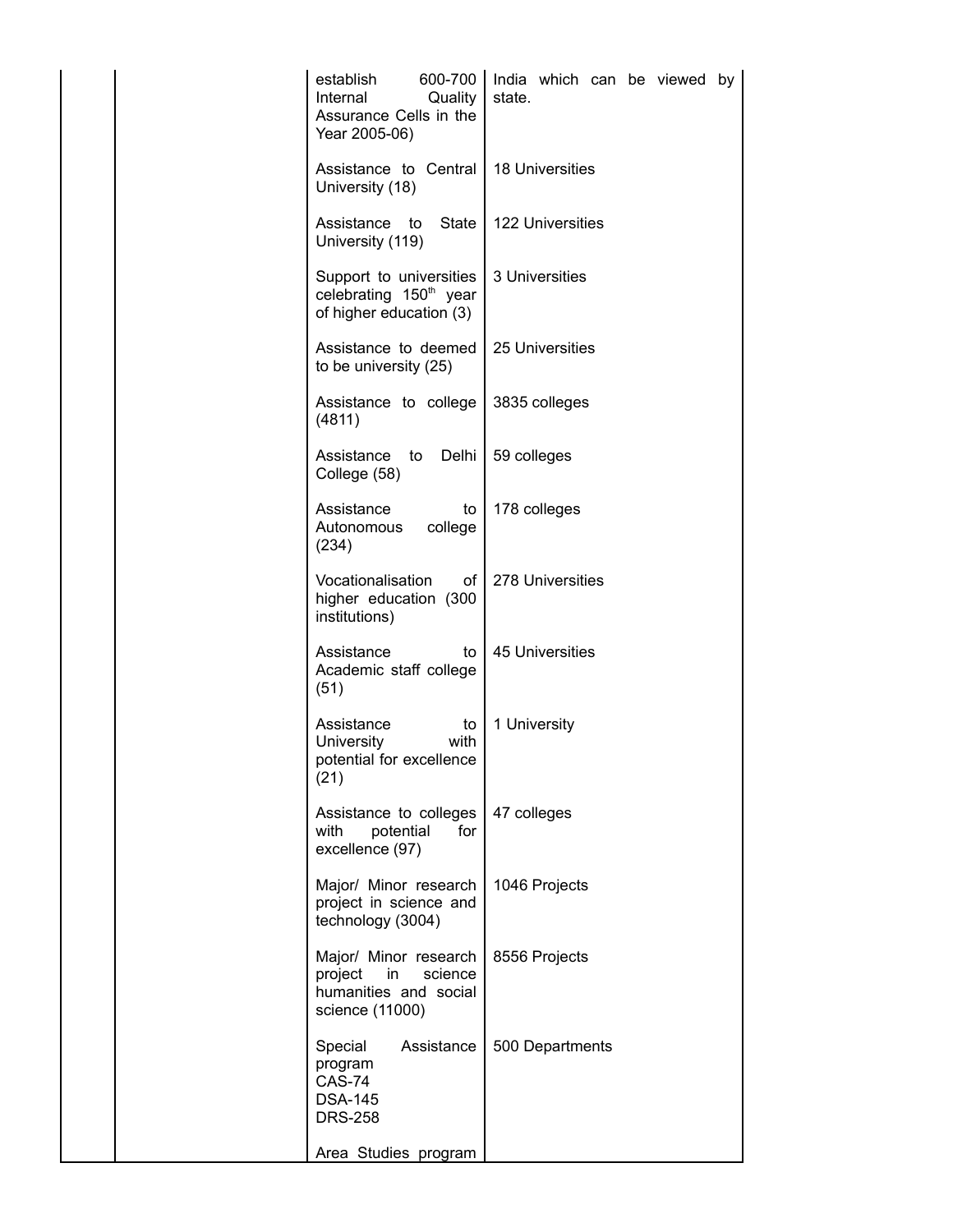| 600-700<br>establish<br>Internal<br>Quality<br>Assurance Cells in the<br>Year 2005-06)        | India which can be viewed by<br>state. |
|-----------------------------------------------------------------------------------------------|----------------------------------------|
| Assistance to Central<br>University (18)                                                      | <b>18 Universities</b>                 |
| Assistance to<br>State<br>University (119)                                                    | <b>122 Universities</b>                |
| Support to universities<br>celebrating 150 <sup>th</sup> year<br>of higher education (3)      | 3 Universities                         |
| Assistance to deemed<br>to be university (25)                                                 | 25 Universities                        |
| Assistance to college<br>(4811)                                                               | 3835 colleges                          |
| Assistance to<br>Delhi<br>College (58)                                                        | 59 colleges                            |
| Assistance<br>to<br>Autonomous college<br>(234)                                               | 178 colleges                           |
| Vocationalisation<br>of l<br>higher education (300<br>institutions)                           | 278 Universities                       |
| Assistance<br>to<br>Academic staff college<br>(51)                                            | <b>45 Universities</b>                 |
| Assistance<br>to<br>University<br>with<br>potential for excellence<br>(21)                    | 1 University                           |
| Assistance to colleges<br>with<br>potential<br>for<br>excellence (97)                         | 47 colleges                            |
| Major/ Minor research<br>project in science and<br>technology (3004)                          | 1046 Projects                          |
| Major/ Minor research<br>project<br>science<br>in<br>humanities and social<br>science (11000) | 8556 Projects                          |
| Special Assistance<br>program<br><b>CAS-74</b><br><b>DSA-145</b><br><b>DRS-258</b>            | 500 Departments                        |
| Area Studies program                                                                          |                                        |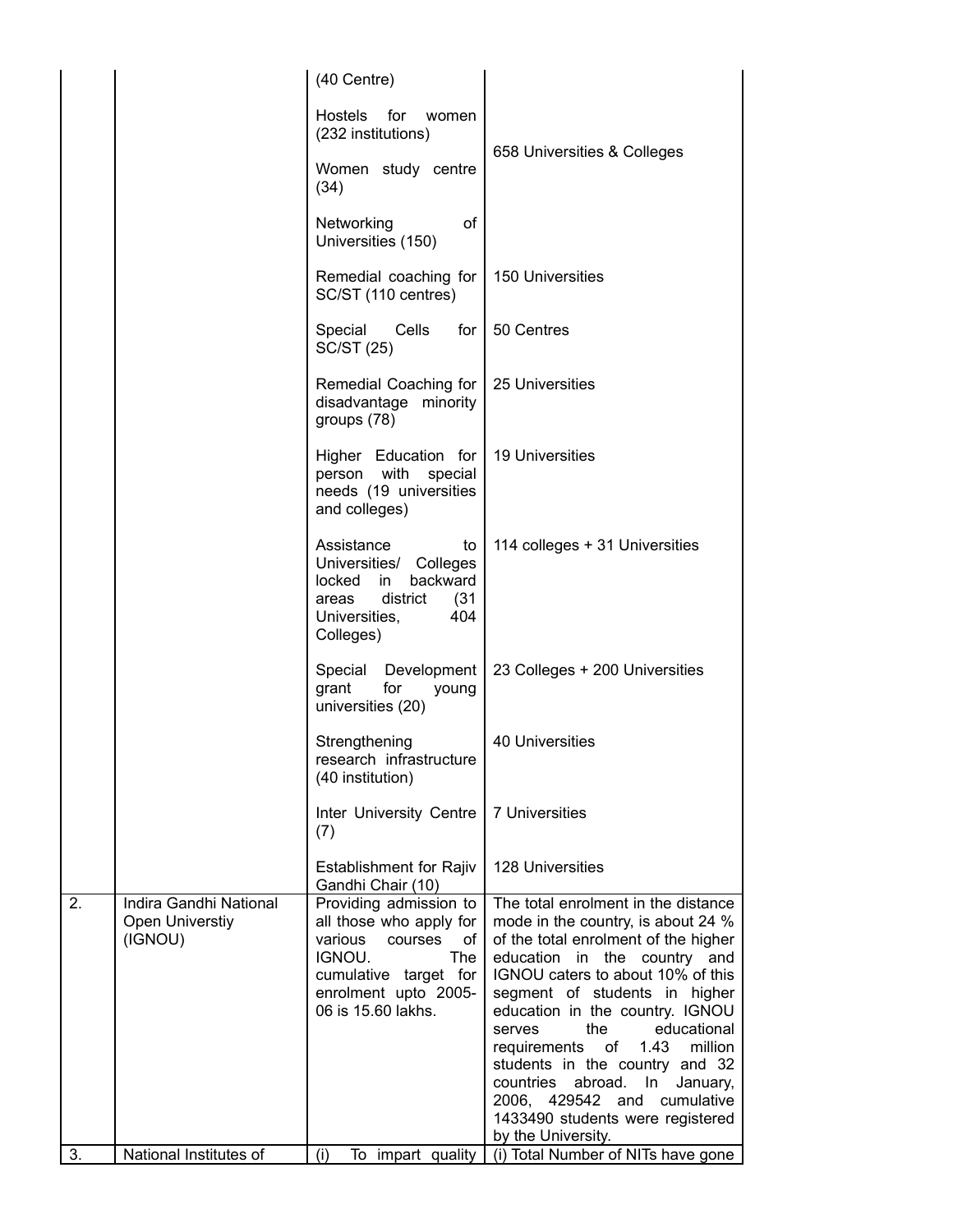|    |                                                      | (40 Centre)                                                                                                                                                                  |                                                                                                                                                                                                                                                                                                                                                                                                                                                                                                             |
|----|------------------------------------------------------|------------------------------------------------------------------------------------------------------------------------------------------------------------------------------|-------------------------------------------------------------------------------------------------------------------------------------------------------------------------------------------------------------------------------------------------------------------------------------------------------------------------------------------------------------------------------------------------------------------------------------------------------------------------------------------------------------|
|    |                                                      | <b>Hostels</b><br>for<br>women<br>(232 institutions)                                                                                                                         |                                                                                                                                                                                                                                                                                                                                                                                                                                                                                                             |
|    |                                                      | Women study centre<br>(34)                                                                                                                                                   | 658 Universities & Colleges                                                                                                                                                                                                                                                                                                                                                                                                                                                                                 |
|    |                                                      | of<br>Networking<br>Universities (150)                                                                                                                                       |                                                                                                                                                                                                                                                                                                                                                                                                                                                                                                             |
|    |                                                      | Remedial coaching for  <br>SC/ST (110 centres)                                                                                                                               | 150 Universities                                                                                                                                                                                                                                                                                                                                                                                                                                                                                            |
|    |                                                      | Special<br>Cells<br>for I<br><b>SC/ST (25)</b>                                                                                                                               | 50 Centres                                                                                                                                                                                                                                                                                                                                                                                                                                                                                                  |
|    |                                                      | Remedial Coaching for<br>disadvantage minority<br>groups (78)                                                                                                                | 25 Universities                                                                                                                                                                                                                                                                                                                                                                                                                                                                                             |
|    |                                                      | Higher Education for<br>person with special<br>needs (19 universities<br>and colleges)                                                                                       | <b>19 Universities</b>                                                                                                                                                                                                                                                                                                                                                                                                                                                                                      |
|    |                                                      | Assistance<br>to<br>Universities/ Colleges<br>backward<br>locked<br>in.<br>district<br>(31)<br>areas<br>Universities,<br>404<br>Colleges)                                    | 114 colleges + 31 Universities                                                                                                                                                                                                                                                                                                                                                                                                                                                                              |
|    |                                                      | Special<br>Development<br>for<br>grant<br>young<br>universities (20)                                                                                                         | 23 Colleges + 200 Universities                                                                                                                                                                                                                                                                                                                                                                                                                                                                              |
|    |                                                      | Strengthening<br>research infrastructure<br>(40 institution)                                                                                                                 | 40 Universities                                                                                                                                                                                                                                                                                                                                                                                                                                                                                             |
|    |                                                      | Inter University Centre<br>(7)                                                                                                                                               | 7 Universities                                                                                                                                                                                                                                                                                                                                                                                                                                                                                              |
|    |                                                      | <b>Establishment for Rajiv</b><br>Gandhi Chair (10)                                                                                                                          | <b>128 Universities</b>                                                                                                                                                                                                                                                                                                                                                                                                                                                                                     |
| 2. | Indira Gandhi National<br>Open Universtiy<br>(IGNOU) | Providing admission to<br>all those who apply for<br>various<br>courses<br>of<br>IGNOU.<br><b>The</b><br>cumulative target for<br>enrolment upto 2005-<br>06 is 15.60 lakhs. | The total enrolment in the distance<br>mode in the country, is about 24 %<br>of the total enrolment of the higher<br>education in the country and<br>IGNOU caters to about 10% of this<br>segment of students in higher<br>education in the country. IGNOU<br>the<br>educational<br>serves<br>million<br>requirements<br>of<br>1.43<br>students in the country and 32<br>abroad.<br>countries<br>In<br>January,<br>2006, 429542<br>and cumulative<br>1433490 students were registered<br>by the University. |
| 3. | National Institutes of                               | (i)<br>To impart quality                                                                                                                                                     | (i) Total Number of NITs have gone                                                                                                                                                                                                                                                                                                                                                                                                                                                                          |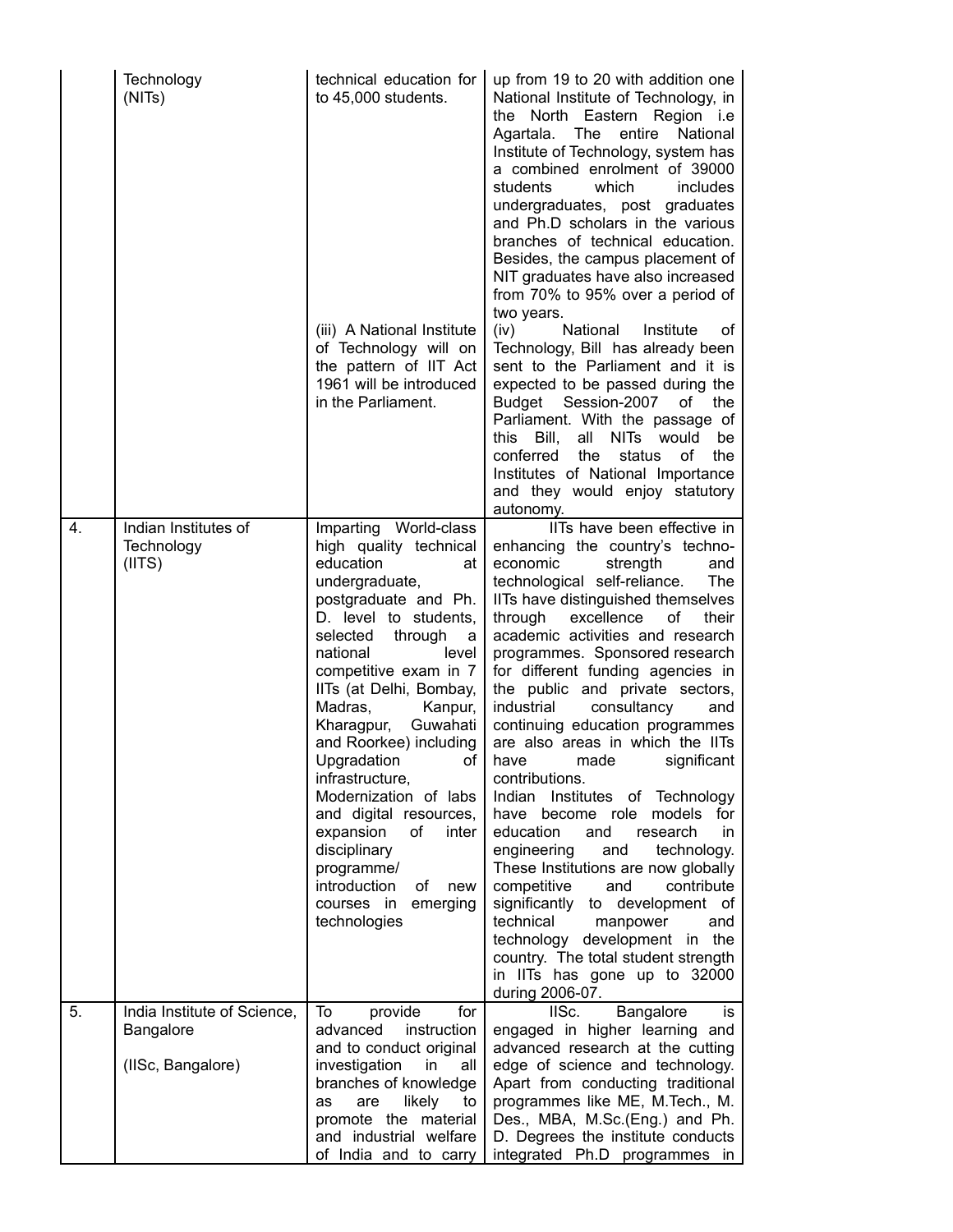|                  | Technology<br>(NITs)                                          | technical education for<br>to 45,000 students.                                                                                                                                                                                                                                                                                                                                                                                                                                                                                                | up from 19 to 20 with addition one<br>National Institute of Technology, in<br>the North Eastern Region <i>i.e</i><br>Agartala. The<br>entire<br>National<br>Institute of Technology, system has<br>a combined enrolment of 39000<br>students<br>which<br>includes<br>undergraduates, post graduates<br>and Ph.D scholars in the various<br>branches of technical education.<br>Besides, the campus placement of<br>NIT graduates have also increased<br>from 70% to 95% over a period of                                                                                                                                                                                                                                                                                                                                                                                                                                                                     |
|------------------|---------------------------------------------------------------|-----------------------------------------------------------------------------------------------------------------------------------------------------------------------------------------------------------------------------------------------------------------------------------------------------------------------------------------------------------------------------------------------------------------------------------------------------------------------------------------------------------------------------------------------|--------------------------------------------------------------------------------------------------------------------------------------------------------------------------------------------------------------------------------------------------------------------------------------------------------------------------------------------------------------------------------------------------------------------------------------------------------------------------------------------------------------------------------------------------------------------------------------------------------------------------------------------------------------------------------------------------------------------------------------------------------------------------------------------------------------------------------------------------------------------------------------------------------------------------------------------------------------|
|                  |                                                               | (iii) A National Institute<br>of Technology will on<br>the pattern of IIT Act<br>1961 will be introduced<br>in the Parliament.                                                                                                                                                                                                                                                                                                                                                                                                                | two years.<br>National<br>(iv)<br>Institute<br>οf<br>Technology, Bill has already been<br>sent to the Parliament and it is<br>expected to be passed during the<br>Budget Session-2007<br>of<br>the<br>Parliament. With the passage of<br>NITs would<br>this<br>all<br>Bill,<br>be<br>conferred<br>the<br>the<br>status<br>οf<br>Institutes of National Importance<br>and they would enjoy statutory<br>autonomy.                                                                                                                                                                                                                                                                                                                                                                                                                                                                                                                                             |
| $\overline{4}$ . | Indian Institutes of<br>Technology<br>(IIIS)                  | Imparting World-class<br>high quality technical<br>education<br>at<br>undergraduate,<br>postgraduate and Ph.<br>D. level to students,<br>selected<br>through<br>a<br>national<br>level<br>competitive exam in 7<br>IITs (at Delhi, Bombay,<br>Madras,<br>Kanpur,<br>Kharagpur,<br>Guwahati<br>and Roorkee) including<br>οf<br>Upgradation<br>infrastructure,<br>Modernization of labs<br>and digital resources,<br>expansion<br>of<br>inter<br>disciplinary<br>programme/<br>introduction<br>of<br>new<br>courses in emerging<br>technologies | IITs have been effective in<br>enhancing the country's techno-<br>economic<br>strength<br>and<br>The<br>technological self-reliance.<br>IITs have distinguished themselves<br>through<br>excellence<br>οf<br>their<br>academic activities and research<br>programmes. Sponsored research<br>for different funding agencies in<br>the public and private sectors,<br>industrial<br>consultancy<br>and<br>continuing education programmes<br>are also areas in which the IITs<br>have<br>made<br>significant<br>contributions.<br>Indian<br>Institutes of Technology<br>have become role<br>models<br>for<br>education<br>and<br>research<br>in.<br>engineering<br>technology.<br>and<br>These Institutions are now globally<br>competitive<br>contribute<br>and<br>significantly to development of<br>technical<br>manpower<br>and<br>technology development in the<br>country. The total student strength<br>in IITs has gone up to 32000<br>during 2006-07. |
| 5.               | India Institute of Science,<br>Bangalore<br>(IISc, Bangalore) | To<br>provide<br>for<br>advanced<br>instruction<br>and to conduct original<br>investigation<br>in<br>all<br>branches of knowledge<br>are<br>likely<br>to<br>as<br>promote the material<br>and industrial welfare<br>of India and to carry                                                                                                                                                                                                                                                                                                     | Bangalore<br>IISc.<br>is<br>engaged in higher learning and<br>advanced research at the cutting<br>edge of science and technology.<br>Apart from conducting traditional<br>programmes like ME, M.Tech., M.<br>Des., MBA, M.Sc.(Eng.) and Ph.<br>D. Degrees the institute conducts<br>integrated Ph.D programmes in                                                                                                                                                                                                                                                                                                                                                                                                                                                                                                                                                                                                                                            |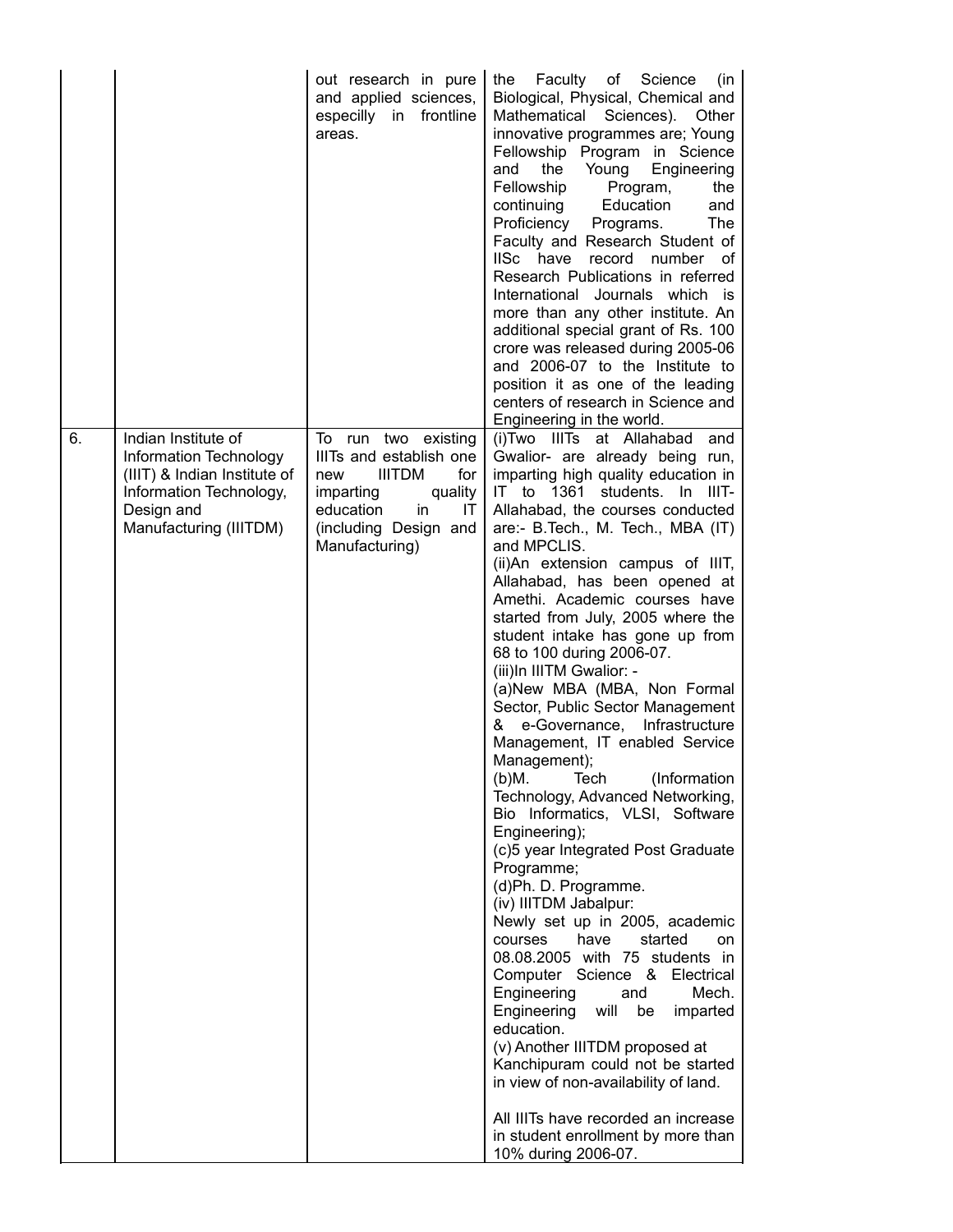|    |                                                                                                                                                  | out research in pure<br>and applied sciences,<br>especilly in frontline<br>areas.                                                                                         | Faculty<br>of<br>Science<br>(in<br>the<br>Biological, Physical, Chemical and<br>Mathematical Sciences). Other<br>innovative programmes are; Young<br>Fellowship Program in Science<br>Young<br>Engineering<br>and<br>the<br>Fellowship<br>Program,<br>the<br>Education<br>continuing<br>and<br>Proficiency<br>The<br>Programs.<br>Faculty and Research Student of<br>IISc have<br>number of<br>record<br>Research Publications in referred<br>International Journals which is<br>more than any other institute. An<br>additional special grant of Rs. 100<br>crore was released during 2005-06<br>and 2006-07 to the Institute to<br>position it as one of the leading<br>centers of research in Science and<br>Engineering in the world.                                                                                                                                                                                                                                                                                                                                                                                                                                                                                                                                                                                |
|----|--------------------------------------------------------------------------------------------------------------------------------------------------|---------------------------------------------------------------------------------------------------------------------------------------------------------------------------|--------------------------------------------------------------------------------------------------------------------------------------------------------------------------------------------------------------------------------------------------------------------------------------------------------------------------------------------------------------------------------------------------------------------------------------------------------------------------------------------------------------------------------------------------------------------------------------------------------------------------------------------------------------------------------------------------------------------------------------------------------------------------------------------------------------------------------------------------------------------------------------------------------------------------------------------------------------------------------------------------------------------------------------------------------------------------------------------------------------------------------------------------------------------------------------------------------------------------------------------------------------------------------------------------------------------------|
| 6. | Indian Institute of<br>Information Technology<br>(IIIT) & Indian Institute of<br>Information Technology,<br>Design and<br>Manufacturing (IIITDM) | To run two existing<br>IIITs and establish one<br><b>IIITDM</b><br>for<br>new<br>imparting<br>quality<br>education<br>in<br>IT<br>(including Design and<br>Manufacturing) | (i) Two III Ts at Allahabad<br>and<br>Gwalior- are already being run,<br>imparting high quality education in<br>IT to 1361 students. In IIIT-<br>Allahabad, the courses conducted<br>are:- B.Tech., M. Tech., MBA (IT)<br>and MPCLIS.<br>(ii)An extension campus of IIIT,<br>Allahabad, has been opened at<br>Amethi. Academic courses have<br>started from July, 2005 where the<br>student intake has gone up from<br>68 to 100 during 2006-07.<br>(iii)In IIITM Gwalior: -<br>(a)New MBA (MBA, Non Formal<br>Sector, Public Sector Management<br>e-Governance, Infrastructure<br>&<br>Management, IT enabled Service<br>Management);<br>Tech<br>(Information<br>$(b)$ M.<br>Technology, Advanced Networking,<br>Bio Informatics, VLSI, Software<br>Engineering);<br>(c)5 year Integrated Post Graduate<br>Programme;<br>(d)Ph. D. Programme.<br>(iv) IIITDM Jabalpur:<br>Newly set up in 2005, academic<br>have<br>started<br>courses<br>on<br>08.08.2005 with 75 students in<br>Computer Science & Electrical<br>Engineering<br>Mech.<br>and<br>Engineering<br>will<br>be<br>imparted<br>education.<br>(v) Another IIITDM proposed at<br>Kanchipuram could not be started<br>in view of non-availability of land.<br>All IIITs have recorded an increase<br>in student enrollment by more than<br>10% during 2006-07. |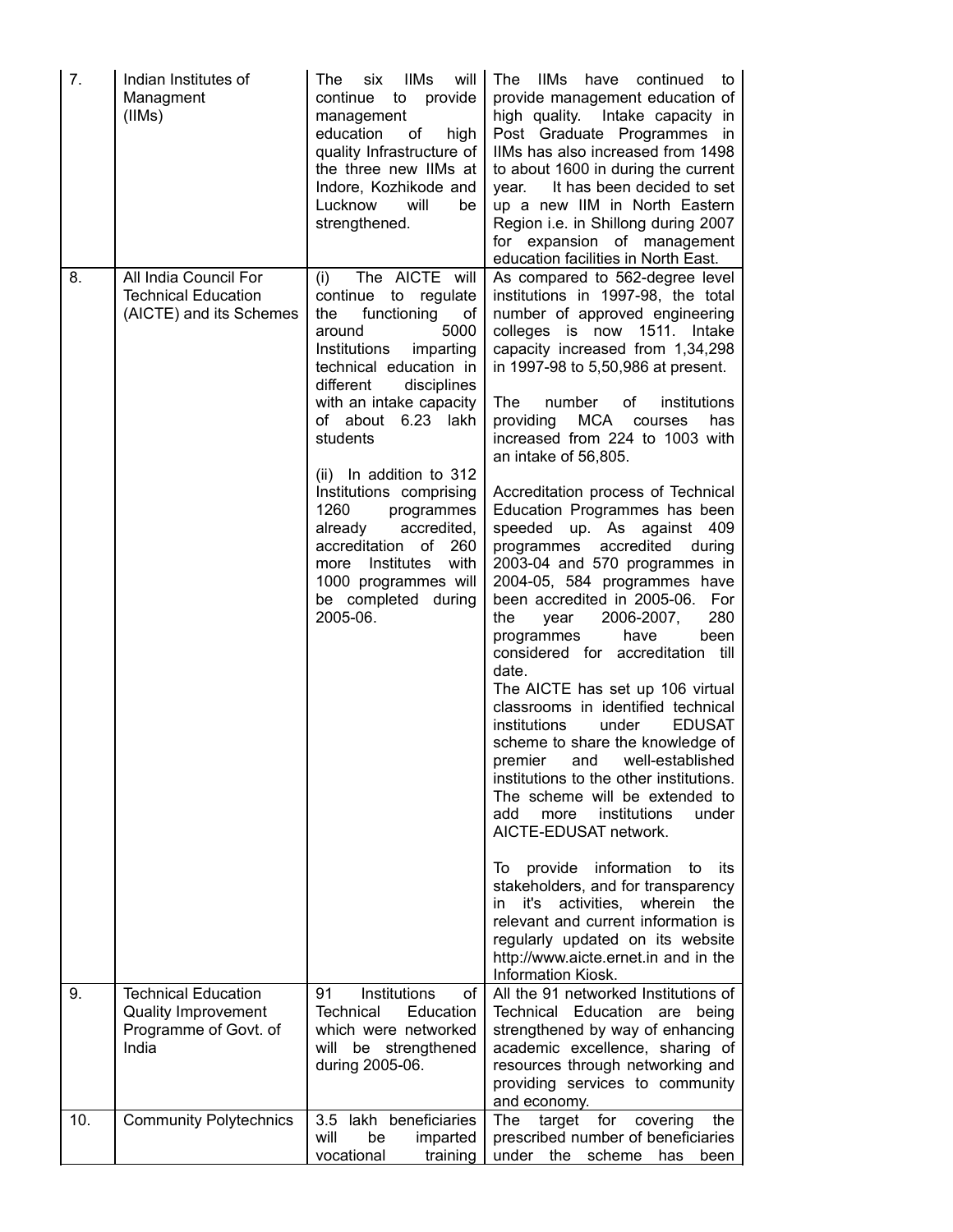| 7.  | Indian Institutes of<br>Managment<br>(IIMs)                                                | <b>IIMs</b><br>will<br>The<br>six<br>continue<br>to<br>provide<br>management<br>education<br>of<br>high<br>quality Infrastructure of<br>the three new IIMs at<br>Indore, Kozhikode and<br>Lucknow<br>will<br>be<br>strengthened.                                                                                                                                                                                                                                         | <b>IIMs</b><br>The<br>have<br>continued<br>to<br>provide management education of<br>high quality. Intake capacity in<br>Post Graduate Programmes in<br>IIMs has also increased from 1498<br>to about 1600 in during the current<br>It has been decided to set<br>year.<br>up a new IIM in North Eastern<br>Region i.e. in Shillong during 2007<br>for expansion of management<br>education facilities in North East.                                                                                                                                                                                                                                                                                                                                                                                                                                                                                                                                                                                                                                                                                                                                                                                                                                                                                                          |
|-----|--------------------------------------------------------------------------------------------|--------------------------------------------------------------------------------------------------------------------------------------------------------------------------------------------------------------------------------------------------------------------------------------------------------------------------------------------------------------------------------------------------------------------------------------------------------------------------|-------------------------------------------------------------------------------------------------------------------------------------------------------------------------------------------------------------------------------------------------------------------------------------------------------------------------------------------------------------------------------------------------------------------------------------------------------------------------------------------------------------------------------------------------------------------------------------------------------------------------------------------------------------------------------------------------------------------------------------------------------------------------------------------------------------------------------------------------------------------------------------------------------------------------------------------------------------------------------------------------------------------------------------------------------------------------------------------------------------------------------------------------------------------------------------------------------------------------------------------------------------------------------------------------------------------------------|
| 8.  | All India Council For<br><b>Technical Education</b><br>(AICTE) and its Schemes             | The AICTE will<br>(i)<br>continue<br>to regulate<br>functioning<br>the<br>of<br>5000<br>around<br>Institutions<br>imparting<br>technical education in<br>disciplines<br>different<br>with an intake capacity<br>of about 6.23 lakh<br>students<br>(ii) In addition to 312<br>Institutions comprising<br>1260<br>programmes<br>already<br>accredited,<br>accreditation of<br>260<br>with<br>Institutes<br>more<br>1000 programmes will<br>be completed during<br>2005-06. | As compared to 562-degree level<br>institutions in 1997-98, the total<br>number of approved engineering<br>colleges is now 1511. Intake<br>capacity increased from 1,34,298<br>in 1997-98 to 5,50,986 at present.<br>The<br>of<br>number<br>institutions<br>MCA<br>providing<br>courses<br>has<br>increased from 224 to 1003 with<br>an intake of 56,805.<br>Accreditation process of Technical<br>Education Programmes has been<br>speeded up. As against<br>- 409<br>accredited<br>programmes<br>during<br>2003-04 and 570 programmes in<br>2004-05, 584 programmes have<br>been accredited in 2005-06. For<br>280<br>the<br>2006-2007,<br>year<br>have<br>been<br>programmes<br>considered for accreditation till<br>date.<br>The AICTE has set up 106 virtual<br>classrooms in identified technical<br>institutions<br>under<br><b>EDUSAT</b><br>scheme to share the knowledge of<br>premier<br>and<br>well-established<br>institutions to the other institutions.<br>The scheme will be extended to<br>institutions<br>under<br>add<br>more<br>AICTE-EDUSAT network.<br>provide information<br>its<br>to<br>lo.<br>stakeholders, and for transparency<br>activities,<br>wherein<br>the<br>it's<br>in.<br>relevant and current information is<br>regularly updated on its website<br>http://www.aicte.ernet.in and in the |
| 9.  | <b>Technical Education</b><br><b>Quality Improvement</b><br>Programme of Govt. of<br>India | Institutions<br>91<br>οf<br><b>Technical</b><br>Education<br>which were networked<br>will be strengthened<br>during 2005-06.                                                                                                                                                                                                                                                                                                                                             | Information Kiosk.<br>All the 91 networked Institutions of<br>Technical Education<br>are<br>being<br>strengthened by way of enhancing<br>academic excellence, sharing of<br>resources through networking and<br>providing services to community<br>and economy.                                                                                                                                                                                                                                                                                                                                                                                                                                                                                                                                                                                                                                                                                                                                                                                                                                                                                                                                                                                                                                                               |
| 10. | <b>Community Polytechnics</b>                                                              | lakh beneficiaries<br>3.5<br>will<br>be<br>imparted<br>vocational<br>training                                                                                                                                                                                                                                                                                                                                                                                            | target<br>for<br>covering<br>The<br>the<br>prescribed number of beneficiaries<br>under<br>the<br>scheme<br>has<br>been                                                                                                                                                                                                                                                                                                                                                                                                                                                                                                                                                                                                                                                                                                                                                                                                                                                                                                                                                                                                                                                                                                                                                                                                        |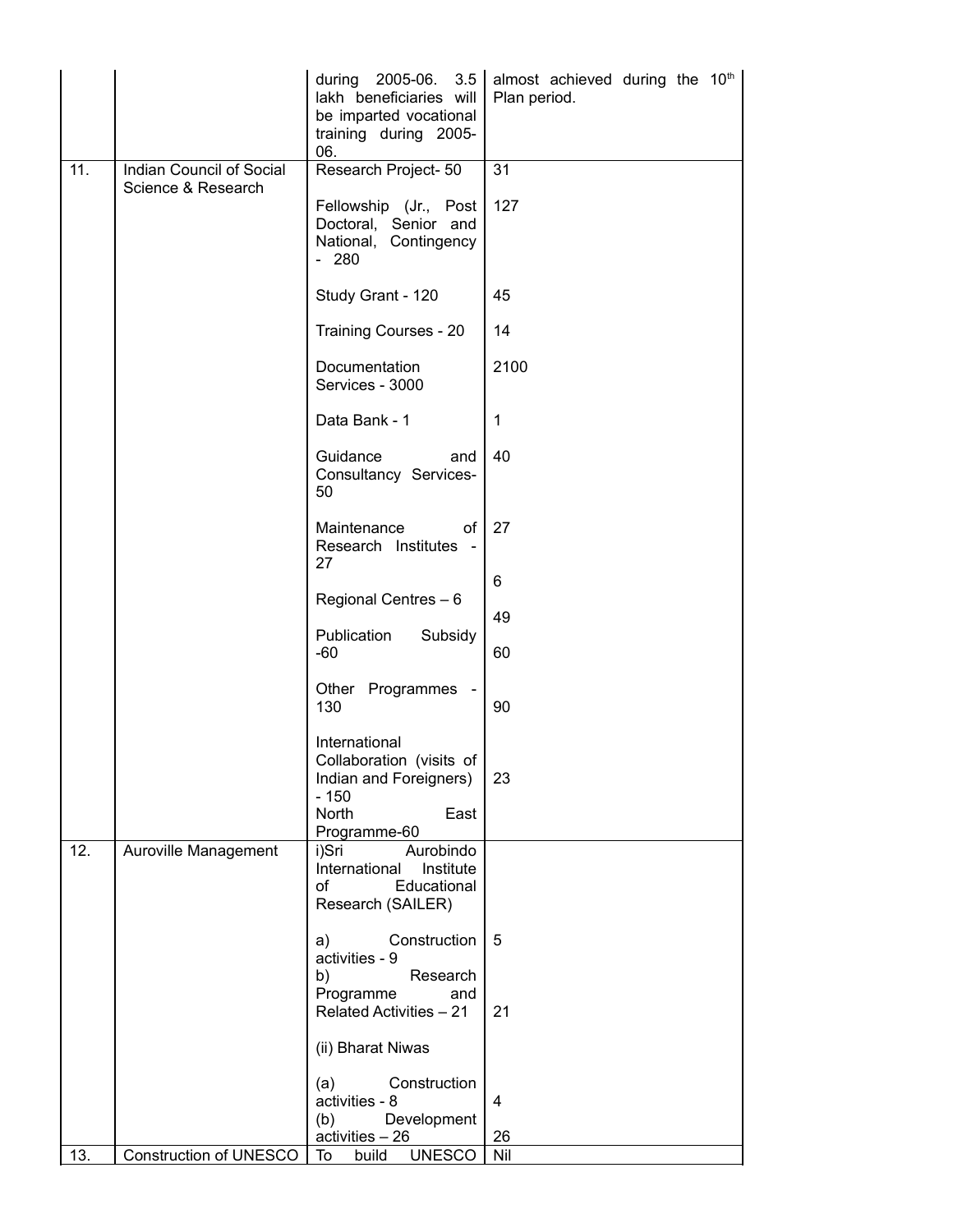|     |                          | 3.5<br>during<br>2005-06.<br>lakh beneficiaries will<br>be imparted vocational<br>training during 2005-<br>06. | almost achieved during the 10th<br>Plan period. |
|-----|--------------------------|----------------------------------------------------------------------------------------------------------------|-------------------------------------------------|
| 11. | Indian Council of Social | Research Project- 50                                                                                           | $\overline{31}$                                 |
|     | Science & Research       | Fellowship (Jr., Post<br>Doctoral, Senior and<br>National, Contingency<br>$-280$                               | 127                                             |
|     |                          | Study Grant - 120                                                                                              | 45                                              |
|     |                          | Training Courses - 20                                                                                          | 14                                              |
|     |                          | Documentation<br>Services - 3000                                                                               | 2100                                            |
|     |                          | Data Bank - 1                                                                                                  | $\mathbf{1}$                                    |
|     |                          | Guidance<br>and<br>Consultancy Services-<br>50                                                                 | 40                                              |
|     |                          | Maintenance<br>of<br>Research Institutes -<br>27                                                               | 27                                              |
|     |                          |                                                                                                                | 6                                               |
|     |                          | Regional Centres - 6                                                                                           | 49                                              |
|     |                          | Publication<br>Subsidy<br>$-60$                                                                                | 60                                              |
|     |                          | Other Programmes -<br>130                                                                                      | 90                                              |
|     |                          | International<br>Collaboration (visits of<br>Indian and Foreigners)<br>$-150$<br>North<br>East                 | 23                                              |
| 12. | Auroville Management     | Programme-60<br>Aurobindo<br>i)Sri<br>International Institute<br>of<br>Educational<br>Research (SAILER)        |                                                 |
|     |                          | Construction<br>a)<br>activities - 9<br>Research<br>b)                                                         | 5                                               |
|     |                          | Programme<br>and<br><b>Related Activities - 21</b>                                                             | 21                                              |
|     |                          | (ii) Bharat Niwas                                                                                              |                                                 |
|     |                          | (a)<br>Construction<br>activities - 8                                                                          | 4                                               |
|     |                          | Development<br>(b)<br>activities - 26                                                                          | 26                                              |
| 13. | Construction of UNESCO   | <b>UNESCO</b><br>To<br>build                                                                                   | Nil                                             |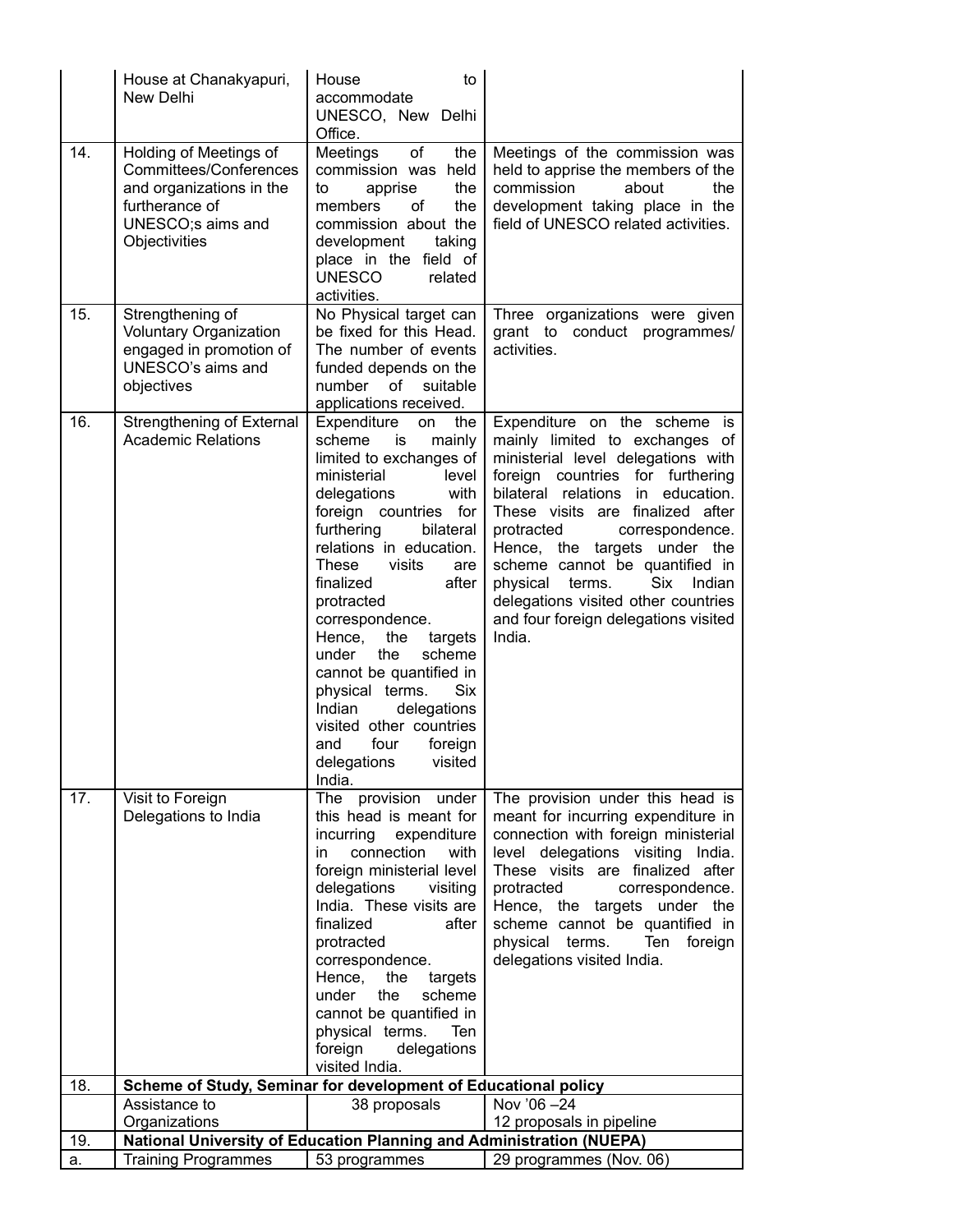| 14.<br>of<br>Holding of Meetings of<br>Meetings<br>the<br>Meetings of the commission was<br>Committees/Conferences<br>commission was held<br>held to apprise the members of the<br>commission<br>and organizations in the<br>the<br>about<br>to<br>apprise<br>the<br>furtherance of<br>of<br>members<br>the<br>development taking place in the<br>field of UNESCO related activities.<br>UNESCO;s aims and<br>commission about the<br>Objectivities<br>development<br>taking<br>place in the field of<br><b>UNESCO</b><br>related<br>activities.<br>No Physical target can<br>15.<br>Strengthening of<br>Three organizations were given<br>be fixed for this Head.<br><b>Voluntary Organization</b><br>grant to conduct programmes/<br>engaged in promotion of<br>activities.<br>The number of events<br>UNESCO's aims and<br>funded depends on the<br>objectives<br>number of<br>suitable<br>applications received.<br>16.<br>Strengthening of External<br>Expenditure<br>Expenditure on the scheme is<br>the<br>on<br><b>Academic Relations</b><br>mainly limited to exchanges of<br>scheme<br>is<br>mainly<br>ministerial level delegations with<br>limited to exchanges of<br>foreign countries for furthering<br>ministerial<br>level<br>with<br>bilateral relations in education.<br>delegations<br>foreign countries for<br>These visits are finalized after<br>furthering<br>bilateral<br>protracted<br>correspondence.<br>relations in education.<br>Hence, the targets under the<br><b>These</b><br>visits<br>scheme cannot be quantified in<br>are<br>after<br>finalized<br>physical<br>terms.<br>Six<br>Indian<br>delegations visited other countries<br>protracted<br>correspondence.<br>and four foreign delegations visited<br>India.<br>Hence,<br>the<br>targets<br>scheme<br>under<br>the<br>cannot be quantified in<br>physical terms.<br>Six<br>Indian<br>delegations<br>visited other countries<br>four<br>foreign<br>and<br>delegations visited<br>India.<br>17.<br>The provision under<br>Visit to Foreign<br>The provision under this head is<br>Delegations to India<br>this head is meant for<br>meant for incurring expenditure in<br>connection with foreign ministerial<br>expenditure<br>incurring<br>connection<br>with<br>level delegations visiting India.<br>in<br>These visits are finalized after<br>foreign ministerial level<br>delegations<br>protracted<br>visiting<br>correspondence.<br>India. These visits are<br>Hence, the targets under the<br>scheme cannot be quantified in<br>finalized<br>after<br>protracted<br>physical terms.<br>Ten<br>foreign<br>correspondence.<br>delegations visited India.<br>Hence,<br>the<br>targets<br>under<br>the<br>scheme<br>cannot be quantified in<br>physical terms.<br>Ten<br>foreign<br>delegations<br>visited India.<br>Scheme of Study, Seminar for development of Educational policy<br>18.<br>Nov '06-24<br>Assistance to<br>38 proposals<br>Organizations<br>12 proposals in pipeline<br>National University of Education Planning and Administration (NUEPA)<br>19. | House at Chanakyapuri,<br>New Delhi | to<br>House<br>accommodate<br>UNESCO, New Delhi<br>Office. |  |
|-----------------------------------------------------------------------------------------------------------------------------------------------------------------------------------------------------------------------------------------------------------------------------------------------------------------------------------------------------------------------------------------------------------------------------------------------------------------------------------------------------------------------------------------------------------------------------------------------------------------------------------------------------------------------------------------------------------------------------------------------------------------------------------------------------------------------------------------------------------------------------------------------------------------------------------------------------------------------------------------------------------------------------------------------------------------------------------------------------------------------------------------------------------------------------------------------------------------------------------------------------------------------------------------------------------------------------------------------------------------------------------------------------------------------------------------------------------------------------------------------------------------------------------------------------------------------------------------------------------------------------------------------------------------------------------------------------------------------------------------------------------------------------------------------------------------------------------------------------------------------------------------------------------------------------------------------------------------------------------------------------------------------------------------------------------------------------------------------------------------------------------------------------------------------------------------------------------------------------------------------------------------------------------------------------------------------------------------------------------------------------------------------------------------------------------------------------------------------------------------------------------------------------------------------------------------------------------------------------------------------------------------------------------------------------------------------------------------------------------------------------------------------------------------------------------------------------------------------------------------------------------------------------------------------------------------------------------------------------------------------------------------------------------------------------------------|-------------------------------------|------------------------------------------------------------|--|
|                                                                                                                                                                                                                                                                                                                                                                                                                                                                                                                                                                                                                                                                                                                                                                                                                                                                                                                                                                                                                                                                                                                                                                                                                                                                                                                                                                                                                                                                                                                                                                                                                                                                                                                                                                                                                                                                                                                                                                                                                                                                                                                                                                                                                                                                                                                                                                                                                                                                                                                                                                                                                                                                                                                                                                                                                                                                                                                                                                                                                                                                 |                                     |                                                            |  |
|                                                                                                                                                                                                                                                                                                                                                                                                                                                                                                                                                                                                                                                                                                                                                                                                                                                                                                                                                                                                                                                                                                                                                                                                                                                                                                                                                                                                                                                                                                                                                                                                                                                                                                                                                                                                                                                                                                                                                                                                                                                                                                                                                                                                                                                                                                                                                                                                                                                                                                                                                                                                                                                                                                                                                                                                                                                                                                                                                                                                                                                                 |                                     |                                                            |  |
|                                                                                                                                                                                                                                                                                                                                                                                                                                                                                                                                                                                                                                                                                                                                                                                                                                                                                                                                                                                                                                                                                                                                                                                                                                                                                                                                                                                                                                                                                                                                                                                                                                                                                                                                                                                                                                                                                                                                                                                                                                                                                                                                                                                                                                                                                                                                                                                                                                                                                                                                                                                                                                                                                                                                                                                                                                                                                                                                                                                                                                                                 |                                     |                                                            |  |
|                                                                                                                                                                                                                                                                                                                                                                                                                                                                                                                                                                                                                                                                                                                                                                                                                                                                                                                                                                                                                                                                                                                                                                                                                                                                                                                                                                                                                                                                                                                                                                                                                                                                                                                                                                                                                                                                                                                                                                                                                                                                                                                                                                                                                                                                                                                                                                                                                                                                                                                                                                                                                                                                                                                                                                                                                                                                                                                                                                                                                                                                 |                                     |                                                            |  |
|                                                                                                                                                                                                                                                                                                                                                                                                                                                                                                                                                                                                                                                                                                                                                                                                                                                                                                                                                                                                                                                                                                                                                                                                                                                                                                                                                                                                                                                                                                                                                                                                                                                                                                                                                                                                                                                                                                                                                                                                                                                                                                                                                                                                                                                                                                                                                                                                                                                                                                                                                                                                                                                                                                                                                                                                                                                                                                                                                                                                                                                                 |                                     |                                                            |  |
|                                                                                                                                                                                                                                                                                                                                                                                                                                                                                                                                                                                                                                                                                                                                                                                                                                                                                                                                                                                                                                                                                                                                                                                                                                                                                                                                                                                                                                                                                                                                                                                                                                                                                                                                                                                                                                                                                                                                                                                                                                                                                                                                                                                                                                                                                                                                                                                                                                                                                                                                                                                                                                                                                                                                                                                                                                                                                                                                                                                                                                                                 |                                     |                                                            |  |
|                                                                                                                                                                                                                                                                                                                                                                                                                                                                                                                                                                                                                                                                                                                                                                                                                                                                                                                                                                                                                                                                                                                                                                                                                                                                                                                                                                                                                                                                                                                                                                                                                                                                                                                                                                                                                                                                                                                                                                                                                                                                                                                                                                                                                                                                                                                                                                                                                                                                                                                                                                                                                                                                                                                                                                                                                                                                                                                                                                                                                                                                 |                                     |                                                            |  |
| <b>Training Programmes</b><br>29 programmes (Nov. 06)<br>53 programmes<br>a.                                                                                                                                                                                                                                                                                                                                                                                                                                                                                                                                                                                                                                                                                                                                                                                                                                                                                                                                                                                                                                                                                                                                                                                                                                                                                                                                                                                                                                                                                                                                                                                                                                                                                                                                                                                                                                                                                                                                                                                                                                                                                                                                                                                                                                                                                                                                                                                                                                                                                                                                                                                                                                                                                                                                                                                                                                                                                                                                                                                    |                                     |                                                            |  |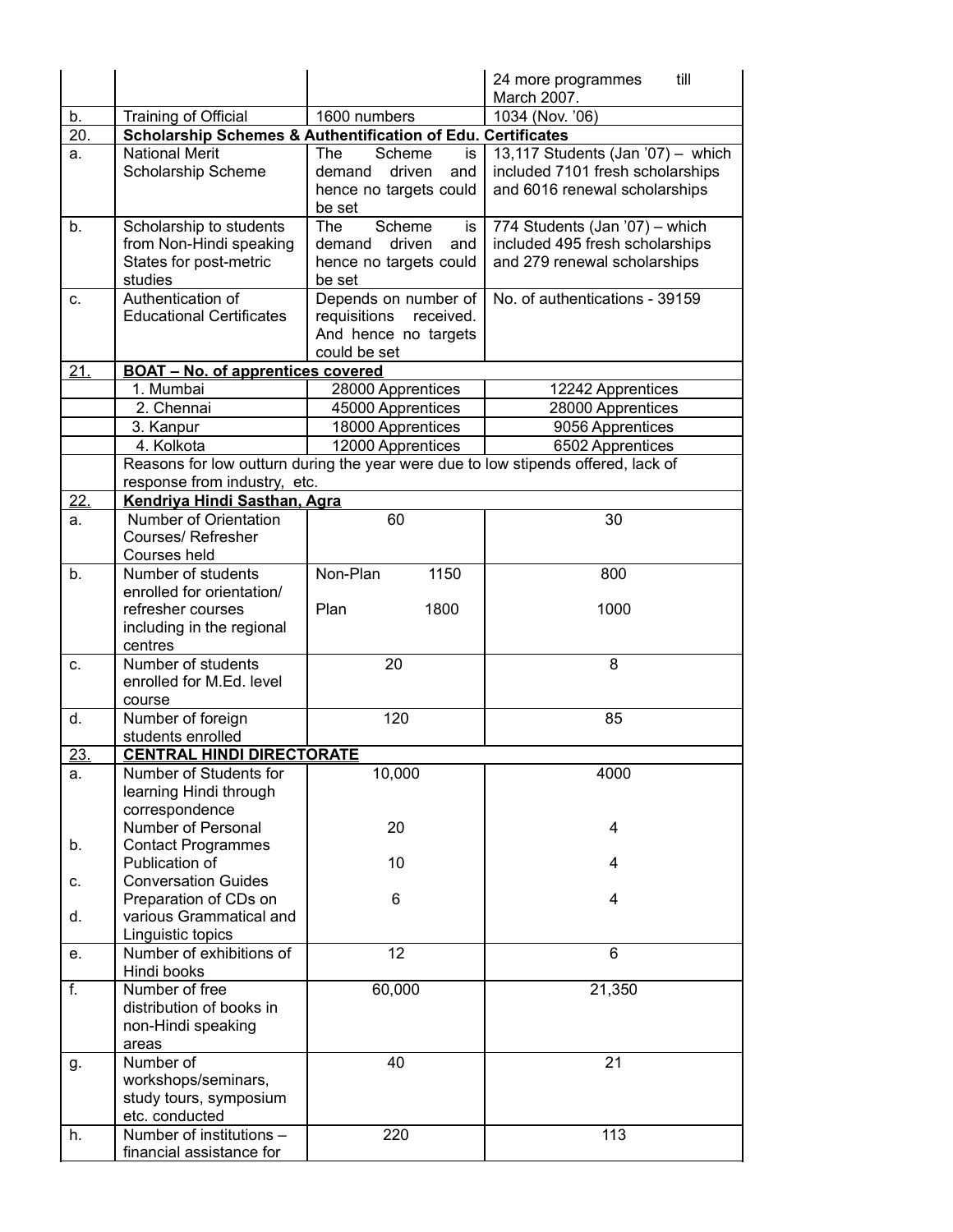|           |                                                                                     |                                                   | till<br>24 more programmes                                                        |  |  |  |  |
|-----------|-------------------------------------------------------------------------------------|---------------------------------------------------|-----------------------------------------------------------------------------------|--|--|--|--|
|           |                                                                                     |                                                   | March 2007.                                                                       |  |  |  |  |
| b.<br>20. | Training of Official<br>Scholarship Schemes & Authentification of Edu. Certificates | 1600 numbers                                      | 1034 (Nov. '06)                                                                   |  |  |  |  |
| a.        | <b>National Merit</b>                                                               | Scheme<br><b>The</b><br>is                        | 13,117 Students (Jan '07) - which                                                 |  |  |  |  |
|           | Scholarship Scheme                                                                  | driven<br>demand<br>and                           | included 7101 fresh scholarships                                                  |  |  |  |  |
|           |                                                                                     | hence no targets could                            | and 6016 renewal scholarships                                                     |  |  |  |  |
|           |                                                                                     | be set                                            |                                                                                   |  |  |  |  |
| b.        | Scholarship to students                                                             | Scheme<br><b>The</b><br>is                        | 774 Students (Jan '07) - which                                                    |  |  |  |  |
|           | from Non-Hindi speaking                                                             | demand driven<br>and                              | included 495 fresh scholarships                                                   |  |  |  |  |
|           | States for post-metric                                                              | hence no targets could                            | and 279 renewal scholarships                                                      |  |  |  |  |
|           | studies                                                                             | be set                                            |                                                                                   |  |  |  |  |
| c.        | Authentication of<br><b>Educational Certificates</b>                                | Depends on number of<br>requisitions<br>received. | No. of authentications - 39159                                                    |  |  |  |  |
|           |                                                                                     | And hence no targets                              |                                                                                   |  |  |  |  |
|           |                                                                                     | could be set                                      |                                                                                   |  |  |  |  |
| 21.       | <b>BOAT - No. of apprentices covered</b>                                            |                                                   |                                                                                   |  |  |  |  |
|           | 1. Mumbai                                                                           | 28000 Apprentices                                 | 12242 Apprentices                                                                 |  |  |  |  |
|           | 2. Chennai                                                                          | 45000 Apprentices                                 | 28000 Apprentices                                                                 |  |  |  |  |
|           | 3. Kanpur                                                                           | 18000 Apprentices                                 | 9056 Apprentices                                                                  |  |  |  |  |
|           | 4. Kolkota                                                                          | 12000 Apprentices                                 | 6502 Apprentices                                                                  |  |  |  |  |
|           |                                                                                     |                                                   | Reasons for low outturn during the year were due to low stipends offered, lack of |  |  |  |  |
|           | response from industry, etc.<br>Kendriya Hindi Sasthan, Agra                        |                                                   |                                                                                   |  |  |  |  |
| 22.<br>a. | Number of Orientation                                                               | 60                                                | 30                                                                                |  |  |  |  |
|           | Courses/Refresher                                                                   |                                                   |                                                                                   |  |  |  |  |
|           | Courses held                                                                        |                                                   |                                                                                   |  |  |  |  |
| b.        | Number of students                                                                  | Non-Plan<br>1150                                  | 800                                                                               |  |  |  |  |
|           | enrolled for orientation/                                                           |                                                   |                                                                                   |  |  |  |  |
|           | refresher courses                                                                   | Plan<br>1800                                      | 1000                                                                              |  |  |  |  |
|           | including in the regional                                                           |                                                   |                                                                                   |  |  |  |  |
| C.        | centres<br>Number of students                                                       | 20                                                | 8                                                                                 |  |  |  |  |
|           | enrolled for M.Ed. level                                                            |                                                   |                                                                                   |  |  |  |  |
|           | course                                                                              |                                                   |                                                                                   |  |  |  |  |
| d.        | Number of foreign                                                                   | 120                                               | 85                                                                                |  |  |  |  |
|           | students enrolled                                                                   |                                                   |                                                                                   |  |  |  |  |
| 23.       | <b>CENTRAL HINDI DIRECTORATE</b>                                                    |                                                   |                                                                                   |  |  |  |  |
| а.        | Number of Students for                                                              | 10,000                                            | 4000                                                                              |  |  |  |  |
|           | learning Hindi through<br>correspondence                                            |                                                   |                                                                                   |  |  |  |  |
|           | Number of Personal                                                                  | 20                                                | 4                                                                                 |  |  |  |  |
| b.        | <b>Contact Programmes</b>                                                           |                                                   |                                                                                   |  |  |  |  |
|           | Publication of                                                                      | 10                                                | 4                                                                                 |  |  |  |  |
| C.        | <b>Conversation Guides</b>                                                          |                                                   |                                                                                   |  |  |  |  |
|           | Preparation of CDs on                                                               | 6                                                 | 4                                                                                 |  |  |  |  |
| d.        | various Grammatical and<br>Linguistic topics                                        |                                                   |                                                                                   |  |  |  |  |
| e.        | Number of exhibitions of                                                            | 12                                                | $6\phantom{1}$                                                                    |  |  |  |  |
|           | Hindi books                                                                         |                                                   |                                                                                   |  |  |  |  |
| f.        | Number of free                                                                      | 60,000                                            | 21,350                                                                            |  |  |  |  |
|           | distribution of books in                                                            |                                                   |                                                                                   |  |  |  |  |
|           | non-Hindi speaking                                                                  |                                                   |                                                                                   |  |  |  |  |
|           | areas<br>Number of                                                                  |                                                   |                                                                                   |  |  |  |  |
| g.        | workshops/seminars,                                                                 | 40                                                | 21                                                                                |  |  |  |  |
|           | study tours, symposium                                                              |                                                   |                                                                                   |  |  |  |  |
|           | etc. conducted                                                                      |                                                   |                                                                                   |  |  |  |  |
| h.        | Number of institutions -                                                            | 220                                               | 113                                                                               |  |  |  |  |
|           | financial assistance for                                                            |                                                   |                                                                                   |  |  |  |  |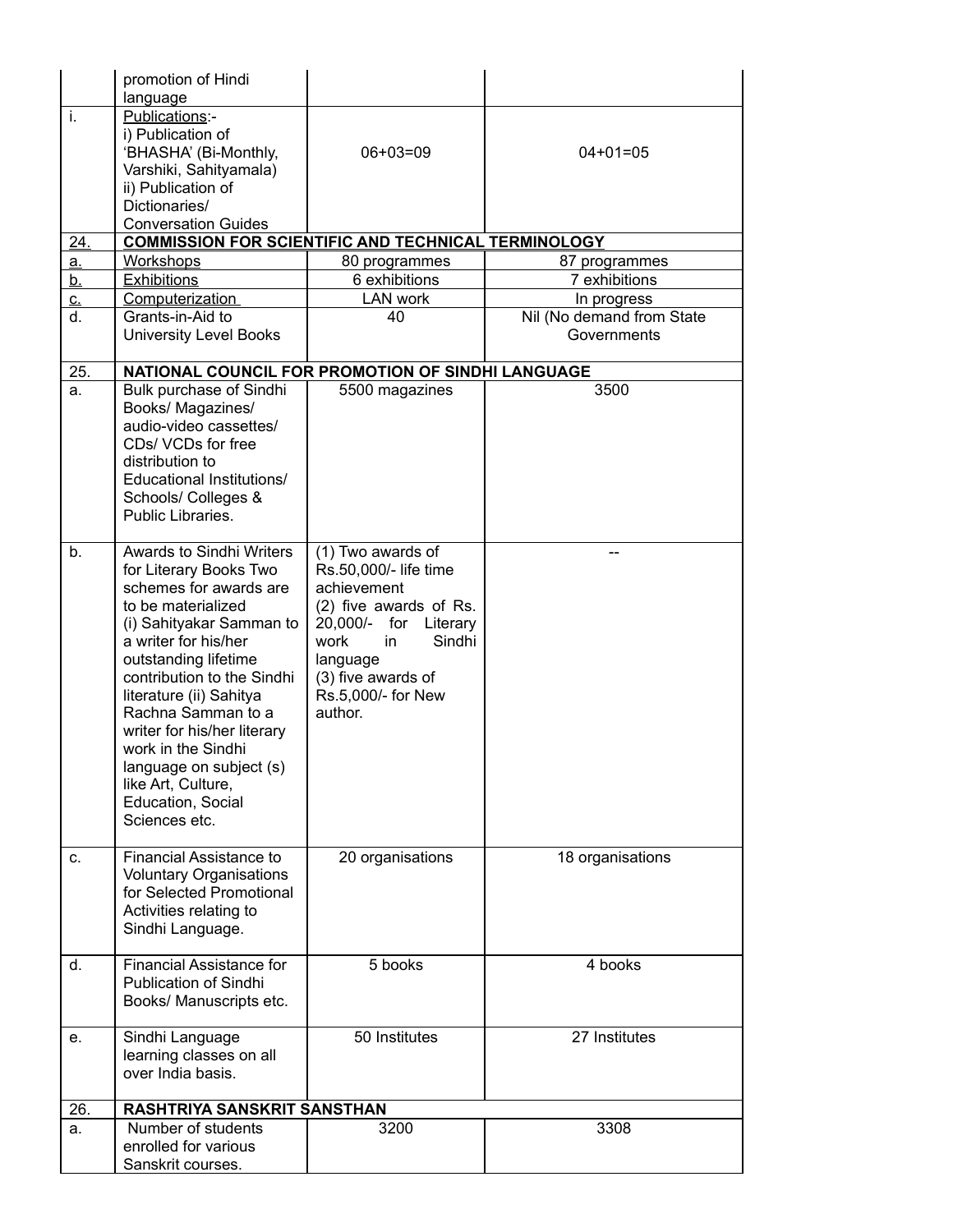|            | promotion of Hindi                                         |                                |                           |  |  |  |  |  |
|------------|------------------------------------------------------------|--------------------------------|---------------------------|--|--|--|--|--|
| i.         | language<br>Publications:-                                 |                                |                           |  |  |  |  |  |
|            | i) Publication of                                          |                                |                           |  |  |  |  |  |
|            | 'BHASHA' (Bi-Monthly,                                      | $06+03=09$                     | $04+01=05$                |  |  |  |  |  |
|            | Varshiki, Sahityamala)                                     |                                |                           |  |  |  |  |  |
|            | ii) Publication of<br>Dictionaries/                        |                                |                           |  |  |  |  |  |
|            | <b>Conversation Guides</b>                                 |                                |                           |  |  |  |  |  |
| <u>24.</u> | <b>COMMISSION FOR SCIENTIFIC AND TECHNICAL TERMINOLOGY</b> |                                |                           |  |  |  |  |  |
| <u>a.</u>  | Workshops                                                  | 80 programmes                  | 87 programmes             |  |  |  |  |  |
| <u>b.</u>  | <b>Exhibitions</b>                                         | 6 exhibitions                  | 7 exhibitions             |  |  |  |  |  |
| <u>c.</u>  | <b>Computerization</b>                                     | <b>LAN work</b>                | In progress               |  |  |  |  |  |
| d.         | Grants-in-Aid to                                           | 40                             | Nil (No demand from State |  |  |  |  |  |
|            | <b>University Level Books</b>                              |                                | Governments               |  |  |  |  |  |
| 25.        | NATIONAL COUNCIL FOR PROMOTION OF SINDHI LANGUAGE          |                                |                           |  |  |  |  |  |
| a.         | Bulk purchase of Sindhi                                    | 5500 magazines                 | 3500                      |  |  |  |  |  |
|            | Books/ Magazines/                                          |                                |                           |  |  |  |  |  |
|            | audio-video cassettes/<br>CDs/ VCDs for free               |                                |                           |  |  |  |  |  |
|            | distribution to                                            |                                |                           |  |  |  |  |  |
|            | Educational Institutions/                                  |                                |                           |  |  |  |  |  |
|            | Schools/ Colleges &                                        |                                |                           |  |  |  |  |  |
|            | Public Libraries.                                          |                                |                           |  |  |  |  |  |
| b.         | <b>Awards to Sindhi Writers</b>                            | (1) Two awards of              |                           |  |  |  |  |  |
|            | for Literary Books Two                                     | Rs.50,000/- life time          |                           |  |  |  |  |  |
|            | schemes for awards are                                     | achievement                    |                           |  |  |  |  |  |
|            | to be materialized                                         | (2) five awards of Rs.         |                           |  |  |  |  |  |
|            | (i) Sahityakar Samman to                                   | 20,000/- for Literary          |                           |  |  |  |  |  |
|            | a writer for his/her                                       | Sindhi<br>work<br>in           |                           |  |  |  |  |  |
|            | outstanding lifetime<br>contribution to the Sindhi         | language<br>(3) five awards of |                           |  |  |  |  |  |
|            | literature (ii) Sahitya                                    | Rs.5,000/- for New             |                           |  |  |  |  |  |
|            | Rachna Samman to a                                         | author.                        |                           |  |  |  |  |  |
|            | writer for his/her literary                                |                                |                           |  |  |  |  |  |
|            | work in the Sindhi                                         |                                |                           |  |  |  |  |  |
|            | language on subject (s)<br>like Art, Culture,              |                                |                           |  |  |  |  |  |
|            | Education, Social                                          |                                |                           |  |  |  |  |  |
|            | Sciences etc.                                              |                                |                           |  |  |  |  |  |
|            |                                                            |                                |                           |  |  |  |  |  |
| C.         | Financial Assistance to                                    | 20 organisations               | 18 organisations          |  |  |  |  |  |
|            | <b>Voluntary Organisations</b><br>for Selected Promotional |                                |                           |  |  |  |  |  |
|            | Activities relating to                                     |                                |                           |  |  |  |  |  |
|            | Sindhi Language.                                           |                                |                           |  |  |  |  |  |
| d.         | <b>Financial Assistance for</b>                            | 5 books                        | 4 books                   |  |  |  |  |  |
|            | Publication of Sindhi                                      |                                |                           |  |  |  |  |  |
|            | Books/ Manuscripts etc.                                    |                                |                           |  |  |  |  |  |
|            |                                                            |                                |                           |  |  |  |  |  |
| е.         | Sindhi Language                                            | 50 Institutes                  | 27 Institutes             |  |  |  |  |  |
|            | learning classes on all<br>over India basis.               |                                |                           |  |  |  |  |  |
|            |                                                            |                                |                           |  |  |  |  |  |
| 26.        | RASHTRIYA SANSKRIT SANSTHAN                                |                                |                           |  |  |  |  |  |
| a.         | Number of students                                         | 3200                           | 3308                      |  |  |  |  |  |
|            | enrolled for various<br>Sanskrit courses.                  |                                |                           |  |  |  |  |  |
|            |                                                            |                                |                           |  |  |  |  |  |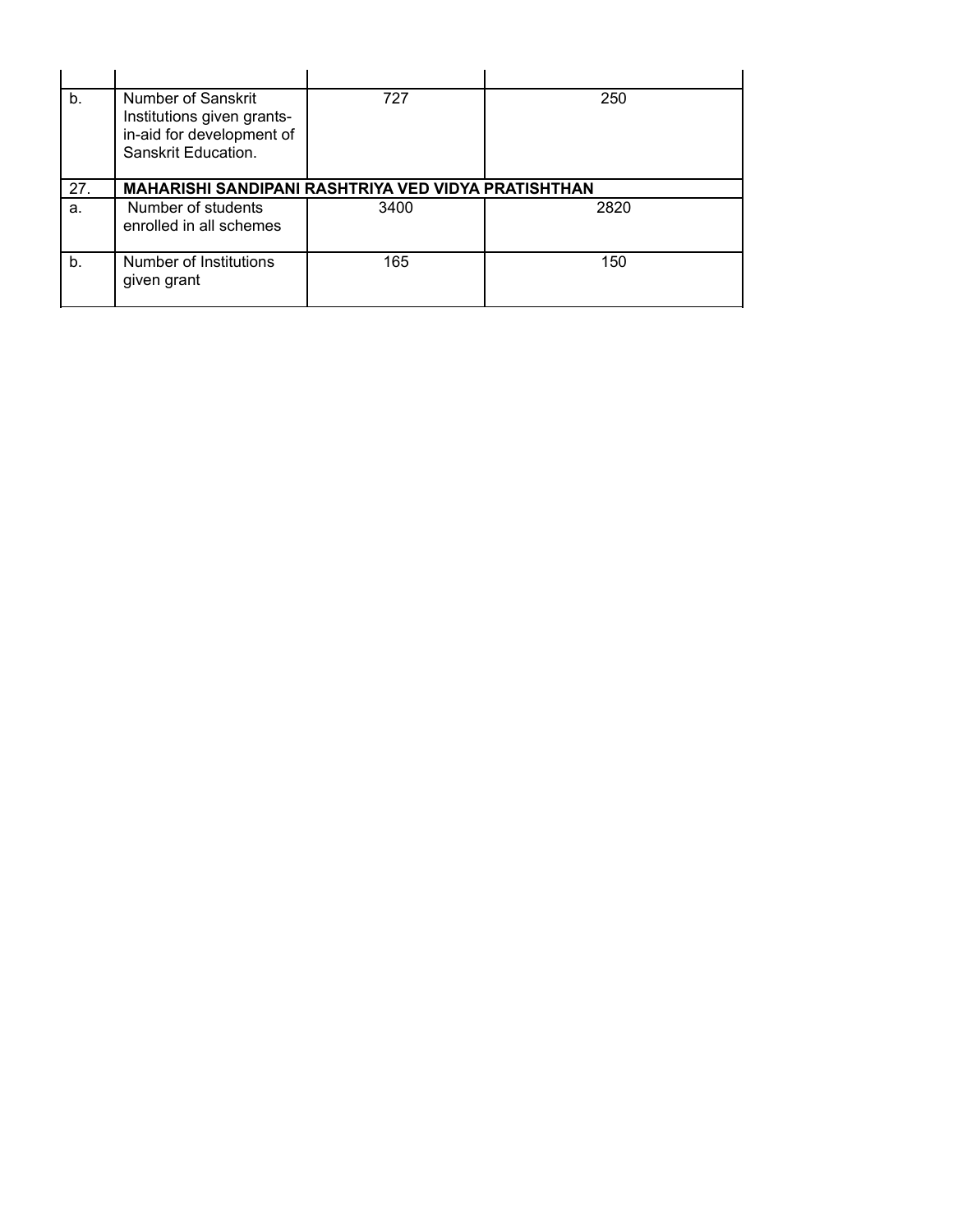| b.  | Number of Sanskrit<br>Institutions given grants-<br>in-aid for development of<br>Sanskrit Education. | 727  | 250  |  |  |  |  |  |  |  |
|-----|------------------------------------------------------------------------------------------------------|------|------|--|--|--|--|--|--|--|
| 27. | <b>MAHARISHI SANDIPANI RASHTRIYA VED VIDYA PRATISHTHAN</b>                                           |      |      |  |  |  |  |  |  |  |
| а.  | Number of students<br>enrolled in all schemes                                                        | 3400 | 2820 |  |  |  |  |  |  |  |
| b.  | Number of Institutions<br>given grant                                                                | 165  | 150  |  |  |  |  |  |  |  |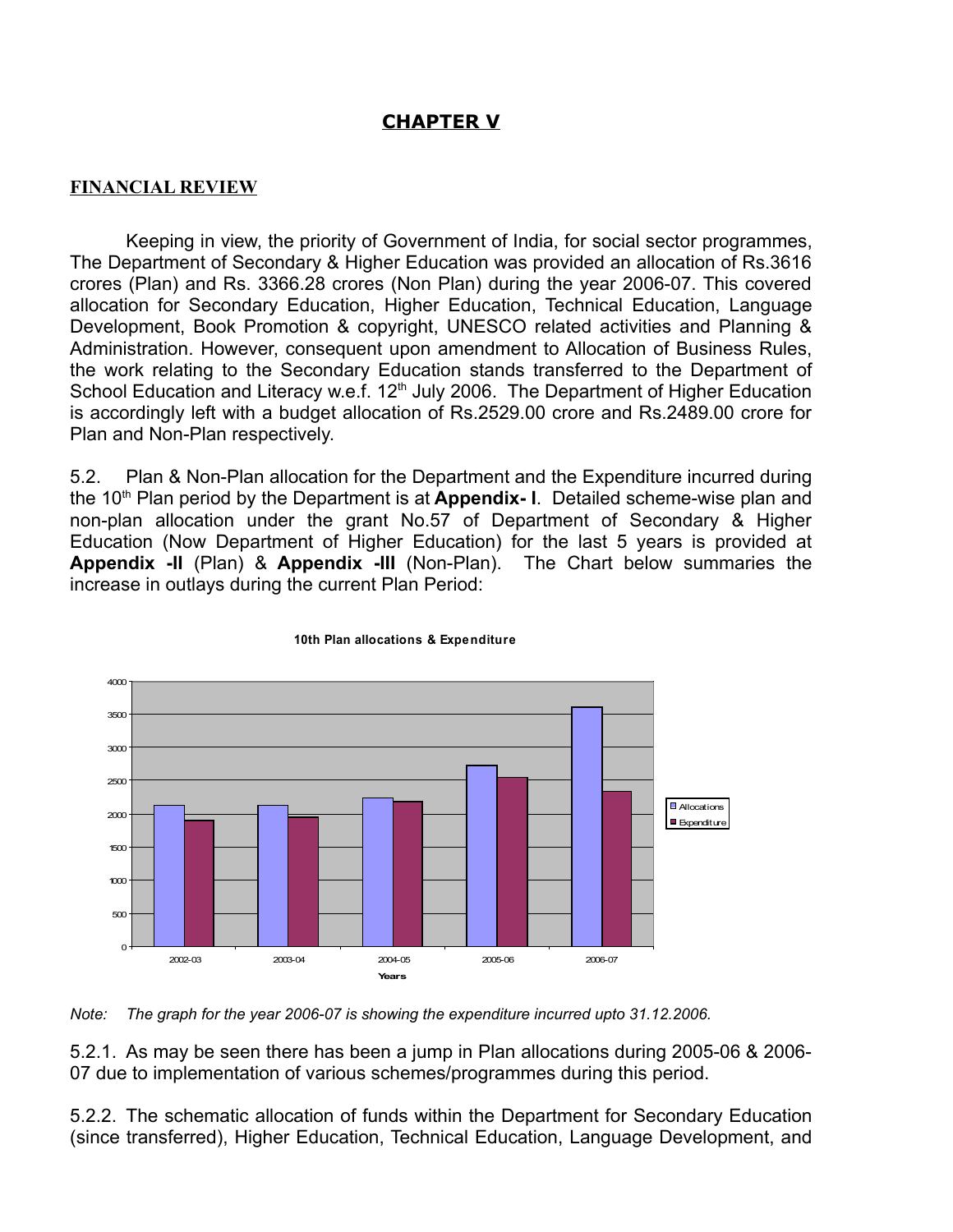# **CHAPTER V**

## **FINANCIAL REVIEW**

Keeping in view, the priority of Government of India, for social sector programmes, The Department of Secondary & Higher Education was provided an allocation of Rs.3616 crores (Plan) and Rs. 3366.28 crores (Non Plan) during the year 2006-07. This covered allocation for Secondary Education, Higher Education, Technical Education, Language Development, Book Promotion & copyright, UNESCO related activities and Planning & Administration. However, consequent upon amendment to Allocation of Business Rules, the work relating to the Secondary Education stands transferred to the Department of School Education and Literacy w.e.f. 12<sup>th</sup> July 2006. The Department of Higher Education is accordingly left with a budget allocation of Rs.2529.00 crore and Rs.2489.00 crore for Plan and Non-Plan respectively.

5.2. Plan & Non-Plan allocation for the Department and the Expenditure incurred during the 10<sup>th</sup> Plan period by the Department is at **Appendix- I**. Detailed scheme-wise plan and non-plan allocation under the grant No.57 of Department of Secondary & Higher Education (Now Department of Higher Education) for the last 5 years is provided at **Appendix -II** (Plan) & **Appendix -III** (Non-Plan). The Chart below summaries the increase in outlays during the current Plan Period:



#### **10th Plan allocations & Expenditure**

*Note: The graph for the year 2006-07 is showing the expenditure incurred upto 31.12.2006.*

5.2.1. As may be seen there has been a jump in Plan allocations during 2005-06 & 2006- 07 due to implementation of various schemes/programmes during this period.

5.2.2. The schematic allocation of funds within the Department for Secondary Education (since transferred), Higher Education, Technical Education, Language Development, and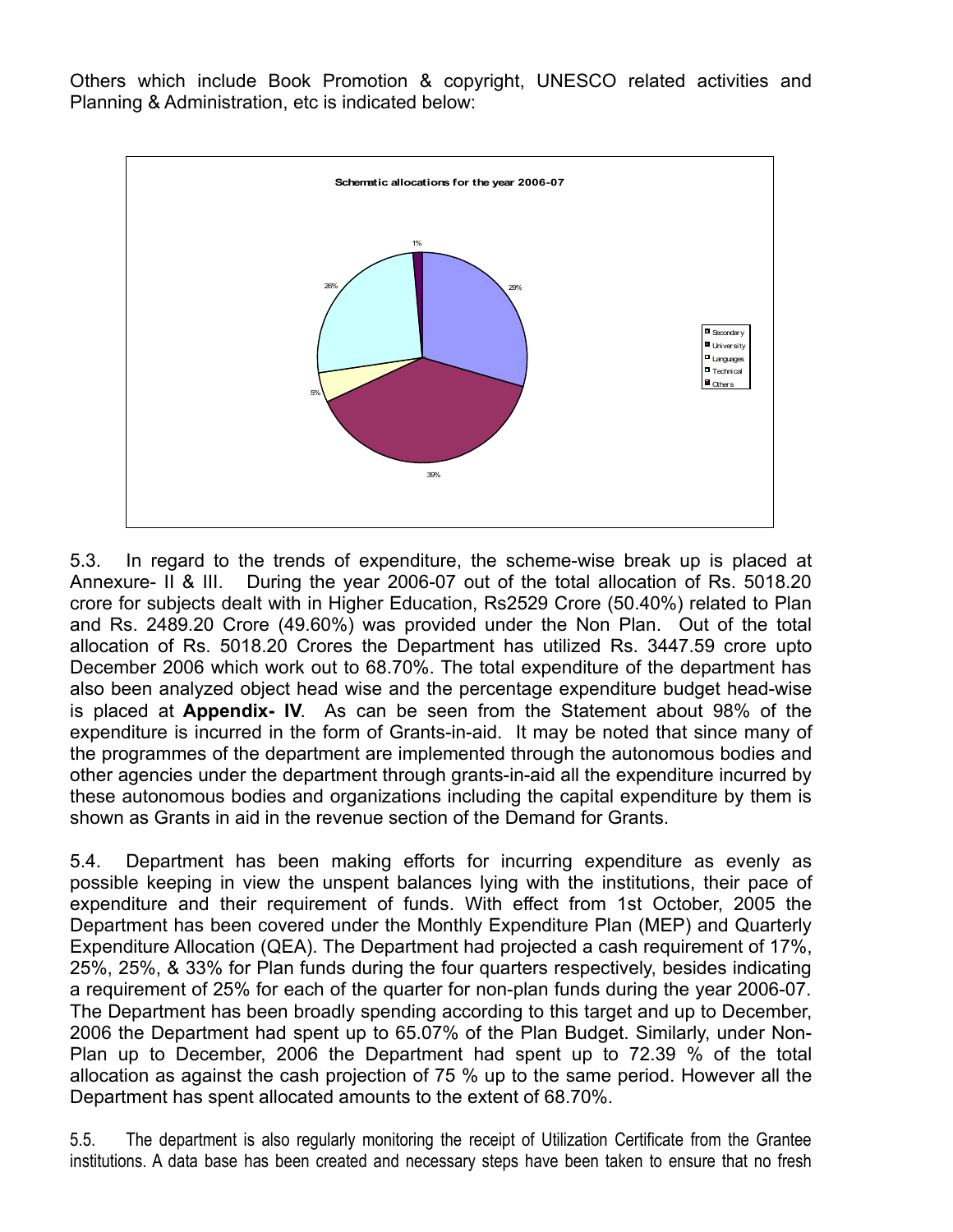Others which include Book Promotion & copyright, UNESCO related activities and Planning & Administration, etc is indicated below:



5.3. In regard to the trends of expenditure, the scheme-wise break up is placed at Annexure- II & III. During the year 2006-07 out of the total allocation of Rs. 5018.20 crore for subjects dealt with in Higher Education, Rs2529 Crore (50.40%) related to Plan and Rs. 2489.20 Crore (49.60%) was provided under the Non Plan. Out of the total allocation of Rs. 5018.20 Crores the Department has utilized Rs. 3447.59 crore upto December 2006 which work out to 68.70%. The total expenditure of the department has also been analyzed object head wise and the percentage expenditure budget head-wise is placed at **Appendix- IV**. As can be seen from the Statement about 98% of the expenditure is incurred in the form of Grants-in-aid. It may be noted that since many of the programmes of the department are implemented through the autonomous bodies and other agencies under the department through grants-in-aid all the expenditure incurred by these autonomous bodies and organizations including the capital expenditure by them is shown as Grants in aid in the revenue section of the Demand for Grants.

5.4. Department has been making efforts for incurring expenditure as evenly as possible keeping in view the unspent balances lying with the institutions, their pace of expenditure and their requirement of funds. With effect from 1st October, 2005 the Department has been covered under the Monthly Expenditure Plan (MEP) and Quarterly Expenditure Allocation (QEA). The Department had projected a cash requirement of 17%, 25%, 25%, & 33% for Plan funds during the four quarters respectively, besides indicating a requirement of 25% for each of the quarter for non-plan funds during the year 2006-07. The Department has been broadly spending according to this target and up to December, 2006 the Department had spent up to 65.07% of the Plan Budget. Similarly, under Non-Plan up to December, 2006 the Department had spent up to 72.39 % of the total allocation as against the cash projection of 75 % up to the same period. However all the Department has spent allocated amounts to the extent of 68.70%.

5.5. The department is also regularly monitoring the receipt of Utilization Certificate from the Grantee institutions. A data base has been created and necessary steps have been taken to ensure that no fresh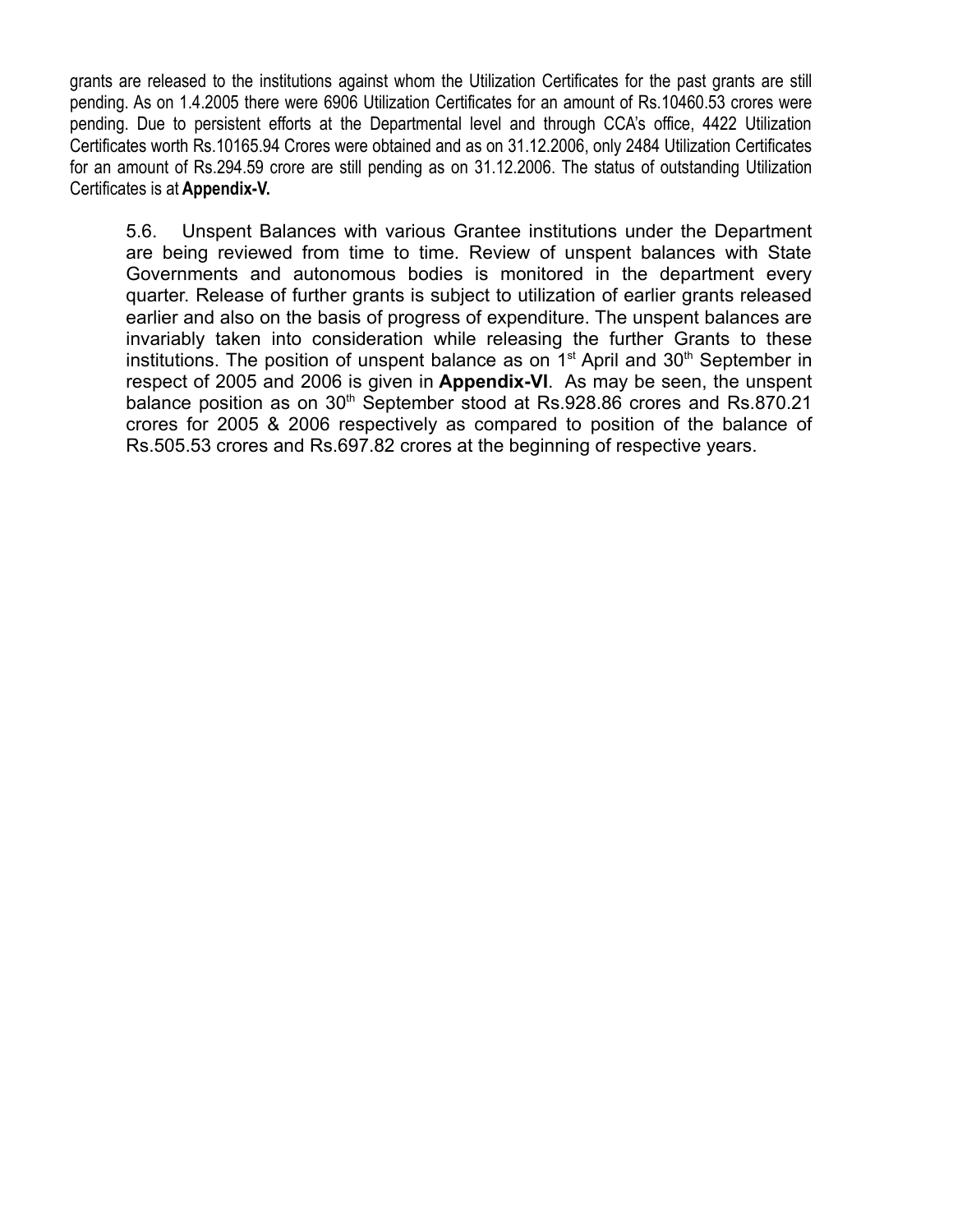grants are released to the institutions against whom the Utilization Certificates for the past grants are still pending. As on 1.4.2005 there were 6906 Utilization Certificates for an amount of Rs.10460.53 crores were pending. Due to persistent efforts at the Departmental level and through CCA's office, 4422 Utilization Certificates worth Rs.10165.94 Crores were obtained and as on 31.12.2006, only 2484 Utilization Certificates for an amount of Rs.294.59 crore are still pending as on 31.12.2006. The status of outstanding Utilization Certificates is at **Appendix-V.**

5.6. Unspent Balances with various Grantee institutions under the Department are being reviewed from time to time. Review of unspent balances with State Governments and autonomous bodies is monitored in the department every quarter. Release of further grants is subject to utilization of earlier grants released earlier and also on the basis of progress of expenditure. The unspent balances are invariably taken into consideration while releasing the further Grants to these institutions. The position of unspent balance as on  $1<sup>st</sup>$  April and  $30<sup>th</sup>$  September in respect of 2005 and 2006 is given in **Appendix-VI**. As may be seen, the unspent balance position as on 30<sup>th</sup> September stood at Rs.928.86 crores and Rs.870.21 crores for 2005 & 2006 respectively as compared to position of the balance of Rs.505.53 crores and Rs.697.82 crores at the beginning of respective years.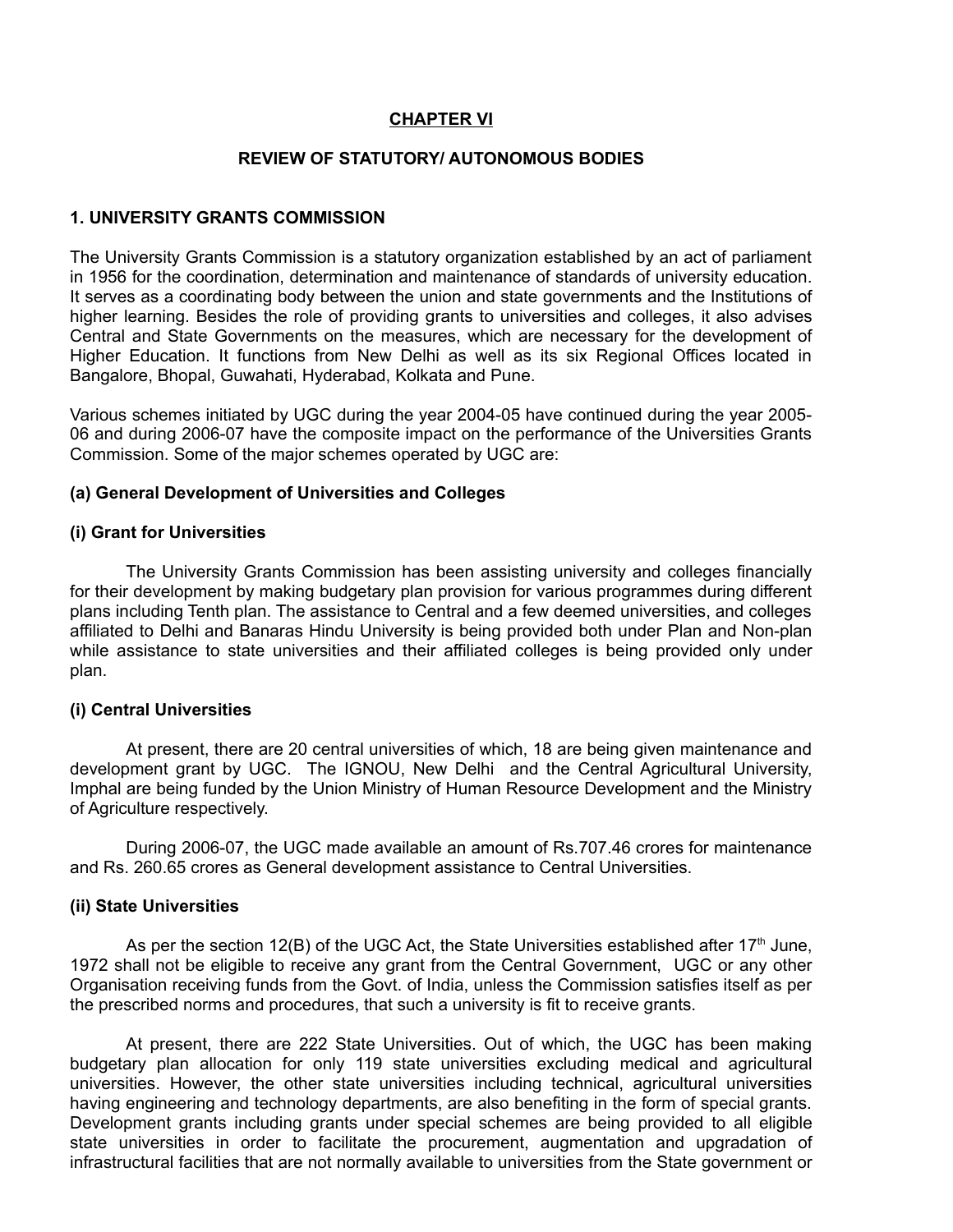## **CHAPTER VI**

#### **REVIEW OF STATUTORY/ AUTONOMOUS BODIES**

#### **1. UNIVERSITY GRANTS COMMISSION**

The University Grants Commission is a statutory organization established by an act of parliament in 1956 for the coordination, determination and maintenance of standards of university education. It serves as a coordinating body between the union and state governments and the Institutions of higher learning. Besides the role of providing grants to universities and colleges, it also advises Central and State Governments on the measures, which are necessary for the development of Higher Education. It functions from New Delhi as well as its six Regional Offices located in Bangalore, Bhopal, Guwahati, Hyderabad, Kolkata and Pune.

Various schemes initiated by UGC during the year 2004-05 have continued during the year 2005- 06 and during 2006-07 have the composite impact on the performance of the Universities Grants Commission. Some of the major schemes operated by UGC are:

#### **(a) General Development of Universities and Colleges**

#### **(i) Grant for Universities**

The University Grants Commission has been assisting university and colleges financially for their development by making budgetary plan provision for various programmes during different plans including Tenth plan. The assistance to Central and a few deemed universities, and colleges affiliated to Delhi and Banaras Hindu University is being provided both under Plan and Non-plan while assistance to state universities and their affiliated colleges is being provided only under plan.

#### **(i) Central Universities**

At present, there are 20 central universities of which, 18 are being given maintenance and development grant by UGC. The IGNOU, New Delhi and the Central Agricultural University, Imphal are being funded by the Union Ministry of Human Resource Development and the Ministry of Agriculture respectively.

During 2006-07, the UGC made available an amount of Rs.707.46 crores for maintenance and Rs. 260.65 crores as General development assistance to Central Universities.

#### **(ii) State Universities**

As per the section 12(B) of the UGC Act, the State Universities established after 17<sup>th</sup> June, 1972 shall not be eligible to receive any grant from the Central Government, UGC or any other Organisation receiving funds from the Govt. of India, unless the Commission satisfies itself as per the prescribed norms and procedures, that such a university is fit to receive grants.

At present, there are 222 State Universities. Out of which, the UGC has been making budgetary plan allocation for only 119 state universities excluding medical and agricultural universities. However, the other state universities including technical, agricultural universities having engineering and technology departments, are also benefiting in the form of special grants. Development grants including grants under special schemes are being provided to all eligible state universities in order to facilitate the procurement, augmentation and upgradation of infrastructural facilities that are not normally available to universities from the State government or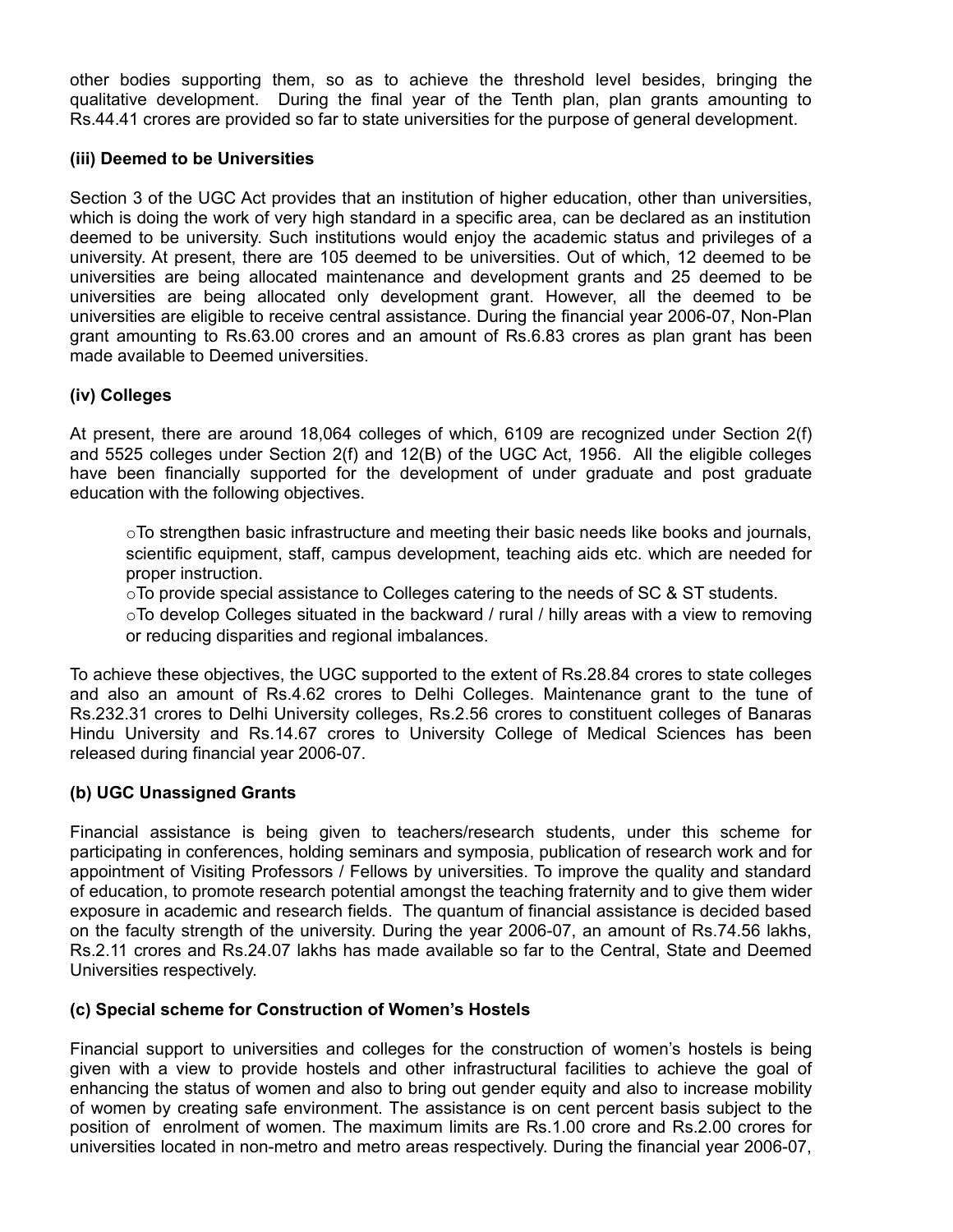other bodies supporting them, so as to achieve the threshold level besides, bringing the qualitative development. During the final year of the Tenth plan, plan grants amounting to Rs.44.41 crores are provided so far to state universities for the purpose of general development.

### **(iii) Deemed to be Universities**

Section 3 of the UGC Act provides that an institution of higher education, other than universities, which is doing the work of very high standard in a specific area, can be declared as an institution deemed to be university. Such institutions would enjoy the academic status and privileges of a university. At present, there are 105 deemed to be universities. Out of which, 12 deemed to be universities are being allocated maintenance and development grants and 25 deemed to be universities are being allocated only development grant. However, all the deemed to be universities are eligible to receive central assistance. During the financial year 2006-07, Non-Plan grant amounting to Rs.63.00 crores and an amount of Rs.6.83 crores as plan grant has been made available to Deemed universities.

## **(iv) Colleges**

At present, there are around 18,064 colleges of which, 6109 are recognized under Section 2(f) and 5525 colleges under Section 2(f) and 12(B) of the UGC Act, 1956. All the eligible colleges have been financially supported for the development of under graduate and post graduate education with the following objectives.

 $\circ$ To strengthen basic infrastructure and meeting their basic needs like books and journals, scientific equipment, staff, campus development, teaching aids etc. which are needed for proper instruction.

 $\circ$ To provide special assistance to Colleges catering to the needs of SC & ST students.

 $\circ$ To develop Colleges situated in the backward / rural / hilly areas with a view to removing or reducing disparities and regional imbalances.

To achieve these objectives, the UGC supported to the extent of Rs.28.84 crores to state colleges and also an amount of Rs.4.62 crores to Delhi Colleges. Maintenance grant to the tune of Rs.232.31 crores to Delhi University colleges, Rs.2.56 crores to constituent colleges of Banaras Hindu University and Rs.14.67 crores to University College of Medical Sciences has been released during financial year 2006-07.

## **(b) UGC Unassigned Grants**

Financial assistance is being given to teachers/research students, under this scheme for participating in conferences, holding seminars and symposia, publication of research work and for appointment of Visiting Professors / Fellows by universities. To improve the quality and standard of education, to promote research potential amongst the teaching fraternity and to give them wider exposure in academic and research fields. The quantum of financial assistance is decided based on the faculty strength of the university. During the year 2006-07, an amount of Rs.74.56 lakhs, Rs.2.11 crores and Rs.24.07 lakhs has made available so far to the Central, State and Deemed Universities respectively.

## **(c) Special scheme for Construction of Women's Hostels**

Financial support to universities and colleges for the construction of women's hostels is being given with a view to provide hostels and other infrastructural facilities to achieve the goal of enhancing the status of women and also to bring out gender equity and also to increase mobility of women by creating safe environment. The assistance is on cent percent basis subject to the position of enrolment of women. The maximum limits are Rs.1.00 crore and Rs.2.00 crores for universities located in non-metro and metro areas respectively. During the financial year 2006-07,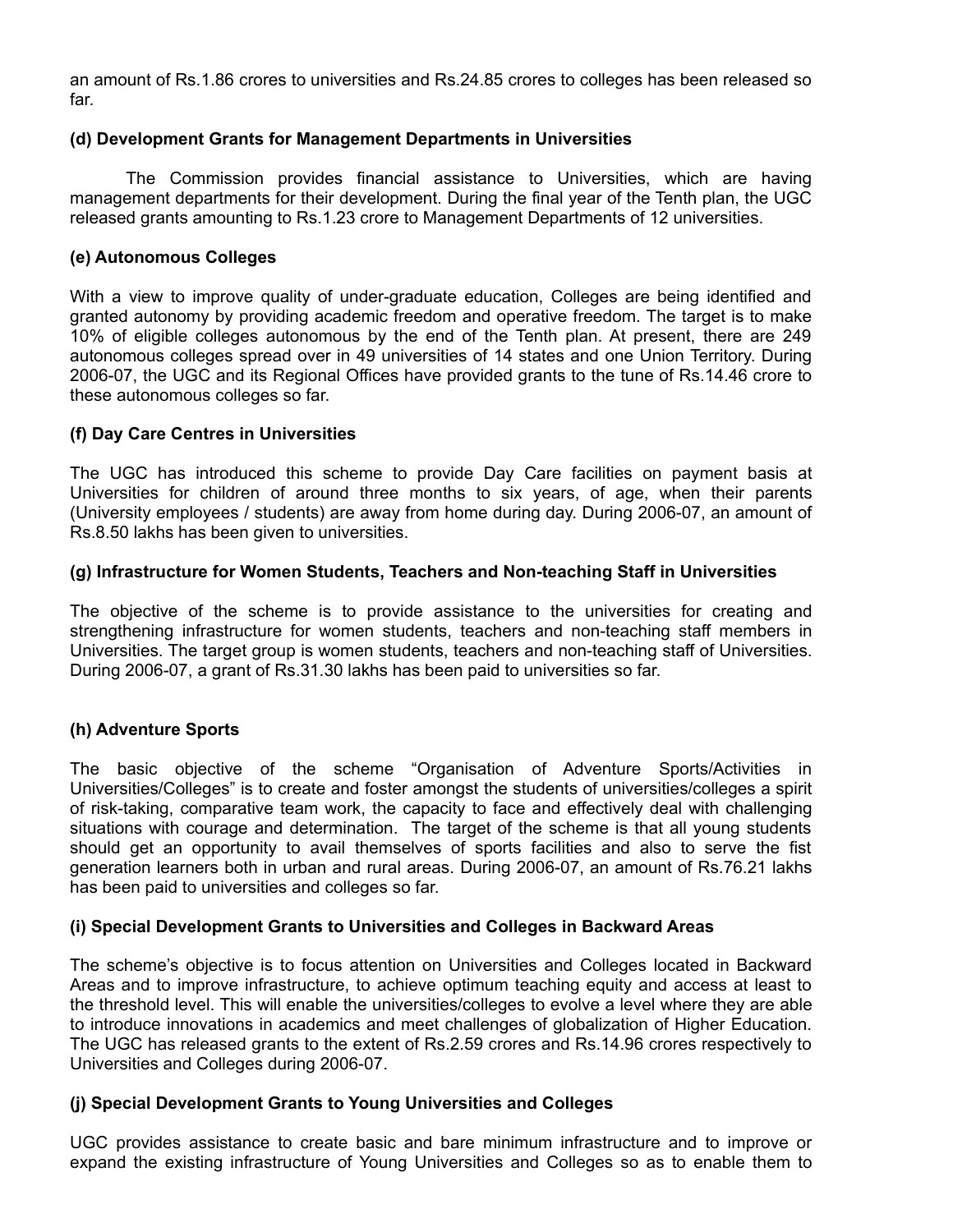an amount of Rs.1.86 crores to universities and Rs.24.85 crores to colleges has been released so far.

### **(d) Development Grants for Management Departments in Universities**

The Commission provides financial assistance to Universities, which are having management departments for their development. During the final year of the Tenth plan, the UGC released grants amounting to Rs.1.23 crore to Management Departments of 12 universities.

### **(e) Autonomous Colleges**

With a view to improve quality of under-graduate education, Colleges are being identified and granted autonomy by providing academic freedom and operative freedom. The target is to make 10% of eligible colleges autonomous by the end of the Tenth plan. At present, there are 249 autonomous colleges spread over in 49 universities of 14 states and one Union Territory. During 2006-07, the UGC and its Regional Offices have provided grants to the tune of Rs.14.46 crore to these autonomous colleges so far.

### **(f) Day Care Centres in Universities**

The UGC has introduced this scheme to provide Day Care facilities on payment basis at Universities for children of around three months to six years, of age, when their parents (University employees / students) are away from home during day. During 2006-07, an amount of Rs.8.50 lakhs has been given to universities.

### **(g) Infrastructure for Women Students, Teachers and Non-teaching Staff in Universities**

The objective of the scheme is to provide assistance to the universities for creating and strengthening infrastructure for women students, teachers and non-teaching staff members in Universities. The target group is women students, teachers and non-teaching staff of Universities. During 2006-07, a grant of Rs.31.30 lakhs has been paid to universities so far.

## **(h) Adventure Sports**

The basic objective of the scheme "Organisation of Adventure Sports/Activities in Universities/Colleges" is to create and foster amongst the students of universities/colleges a spirit of risk-taking, comparative team work, the capacity to face and effectively deal with challenging situations with courage and determination. The target of the scheme is that all young students should get an opportunity to avail themselves of sports facilities and also to serve the fist generation learners both in urban and rural areas. During 2006-07, an amount of Rs.76.21 lakhs has been paid to universities and colleges so far.

#### **(i) Special Development Grants to Universities and Colleges in Backward Areas**

The scheme's objective is to focus attention on Universities and Colleges located in Backward Areas and to improve infrastructure, to achieve optimum teaching equity and access at least to the threshold level. This will enable the universities/colleges to evolve a level where they are able to introduce innovations in academics and meet challenges of globalization of Higher Education. The UGC has released grants to the extent of Rs.2.59 crores and Rs.14.96 crores respectively to Universities and Colleges during 2006-07.

## **(j) Special Development Grants to Young Universities and Colleges**

UGC provides assistance to create basic and bare minimum infrastructure and to improve or expand the existing infrastructure of Young Universities and Colleges so as to enable them to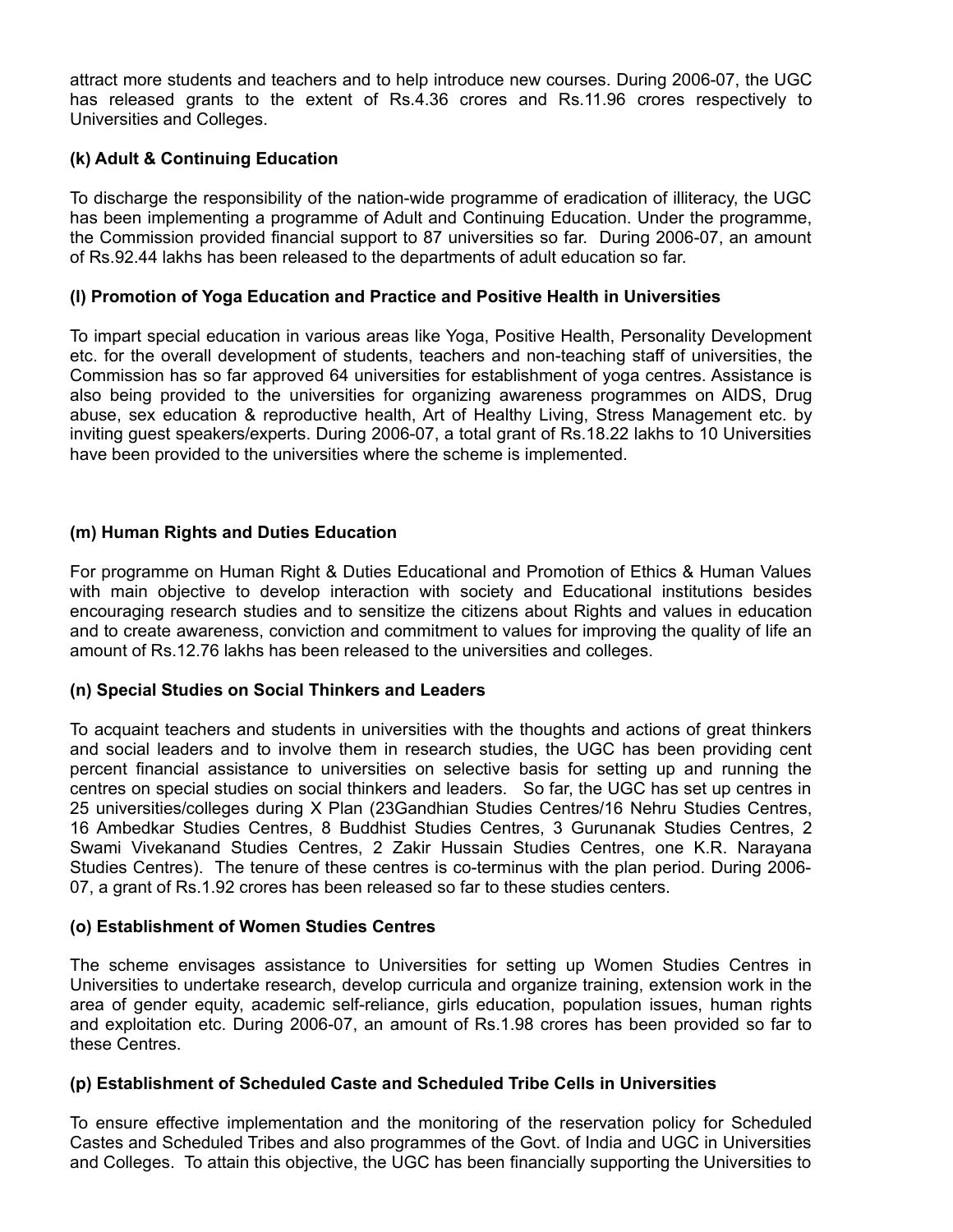attract more students and teachers and to help introduce new courses. During 2006-07, the UGC has released grants to the extent of Rs.4.36 crores and Rs.11.96 crores respectively to Universities and Colleges.

## **(k) Adult & Continuing Education**

To discharge the responsibility of the nation-wide programme of eradication of illiteracy, the UGC has been implementing a programme of Adult and Continuing Education. Under the programme, the Commission provided financial support to 87 universities so far. During 2006-07, an amount of Rs.92.44 lakhs has been released to the departments of adult education so far.

## **(l) Promotion of Yoga Education and Practice and Positive Health in Universities**

To impart special education in various areas like Yoga, Positive Health, Personality Development etc. for the overall development of students, teachers and non-teaching staff of universities, the Commission has so far approved 64 universities for establishment of yoga centres. Assistance is also being provided to the universities for organizing awareness programmes on AIDS, Drug abuse, sex education & reproductive health, Art of Healthy Living, Stress Management etc. by inviting guest speakers/experts. During 2006-07, a total grant of Rs.18.22 lakhs to 10 Universities have been provided to the universities where the scheme is implemented.

## **(m) Human Rights and Duties Education**

For programme on Human Right & Duties Educational and Promotion of Ethics & Human Values with main objective to develop interaction with society and Educational institutions besides encouraging research studies and to sensitize the citizens about Rights and values in education and to create awareness, conviction and commitment to values for improving the quality of life an amount of Rs.12.76 lakhs has been released to the universities and colleges.

## **(n) Special Studies on Social Thinkers and Leaders**

To acquaint teachers and students in universities with the thoughts and actions of great thinkers and social leaders and to involve them in research studies, the UGC has been providing cent percent financial assistance to universities on selective basis for setting up and running the centres on special studies on social thinkers and leaders. So far, the UGC has set up centres in 25 universities/colleges during X Plan (23Gandhian Studies Centres/16 Nehru Studies Centres, 16 Ambedkar Studies Centres, 8 Buddhist Studies Centres, 3 Gurunanak Studies Centres, 2 Swami Vivekanand Studies Centres, 2 Zakir Hussain Studies Centres, one K.R. Narayana Studies Centres). The tenure of these centres is co-terminus with the plan period. During 2006- 07, a grant of Rs.1.92 crores has been released so far to these studies centers.

## **(o) Establishment of Women Studies Centres**

The scheme envisages assistance to Universities for setting up Women Studies Centres in Universities to undertake research, develop curricula and organize training, extension work in the area of gender equity, academic self-reliance, girls education, population issues, human rights and exploitation etc. During 2006-07, an amount of Rs.1.98 crores has been provided so far to these Centres.

## **(p) Establishment of Scheduled Caste and Scheduled Tribe Cells in Universities**

To ensure effective implementation and the monitoring of the reservation policy for Scheduled Castes and Scheduled Tribes and also programmes of the Govt. of India and UGC in Universities and Colleges. To attain this objective, the UGC has been financially supporting the Universities to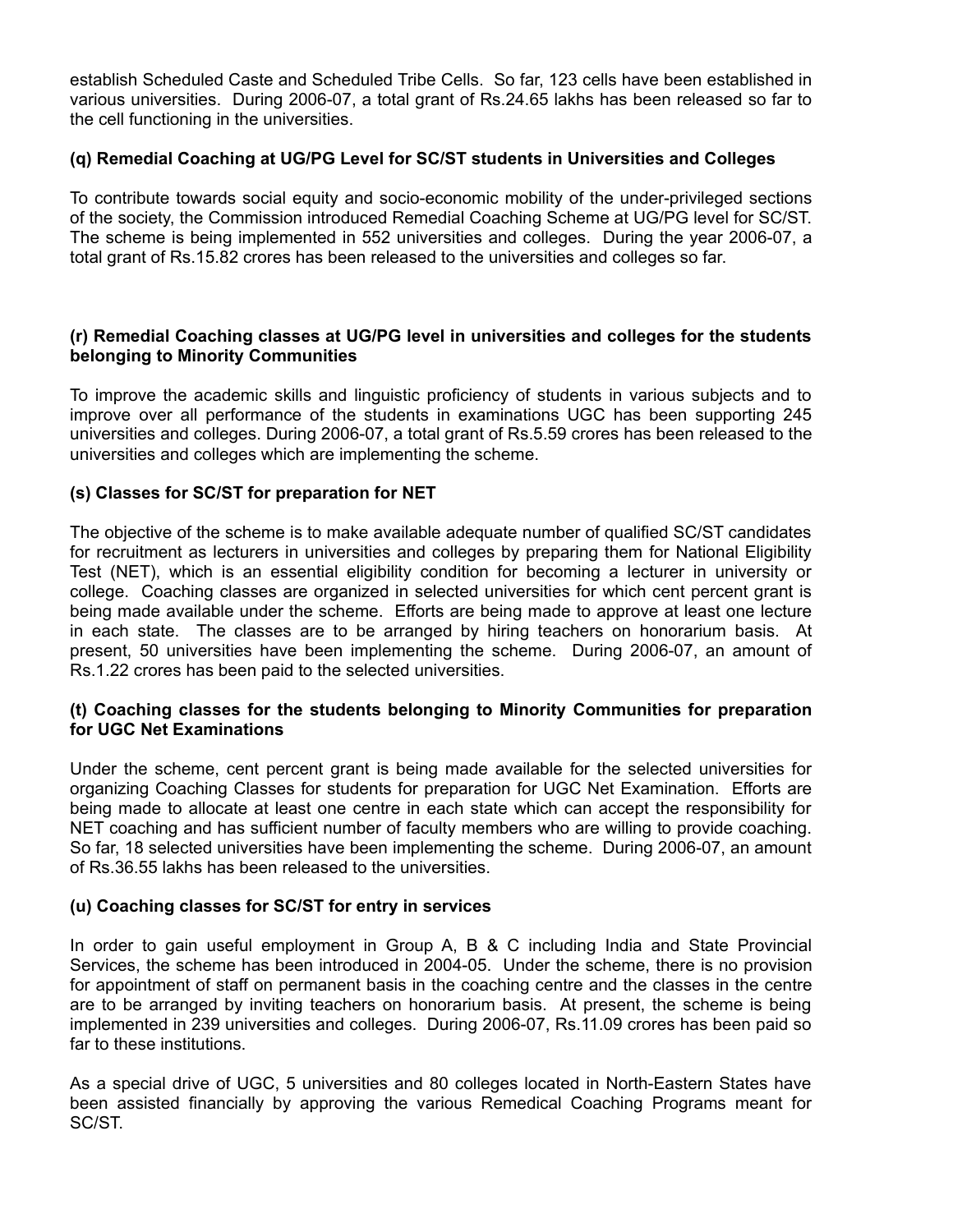establish Scheduled Caste and Scheduled Tribe Cells. So far, 123 cells have been established in various universities. During 2006-07, a total grant of Rs.24.65 lakhs has been released so far to the cell functioning in the universities.

## **(q) Remedial Coaching at UG/PG Level for SC/ST students in Universities and Colleges**

To contribute towards social equity and socio-economic mobility of the under-privileged sections of the society, the Commission introduced Remedial Coaching Scheme at UG/PG level for SC/ST. The scheme is being implemented in 552 universities and colleges. During the year 2006-07, a total grant of Rs.15.82 crores has been released to the universities and colleges so far.

### **(r) Remedial Coaching classes at UG/PG level in universities and colleges for the students belonging to Minority Communities**

To improve the academic skills and linguistic proficiency of students in various subjects and to improve over all performance of the students in examinations UGC has been supporting 245 universities and colleges. During 2006-07, a total grant of Rs.5.59 crores has been released to the universities and colleges which are implementing the scheme.

## **(s) Classes for SC/ST for preparation for NET**

The objective of the scheme is to make available adequate number of qualified SC/ST candidates for recruitment as lecturers in universities and colleges by preparing them for National Eligibility Test (NET), which is an essential eligibility condition for becoming a lecturer in university or college. Coaching classes are organized in selected universities for which cent percent grant is being made available under the scheme. Efforts are being made to approve at least one lecture in each state. The classes are to be arranged by hiring teachers on honorarium basis. At present, 50 universities have been implementing the scheme. During 2006-07, an amount of Rs.1.22 crores has been paid to the selected universities.

### **(t) Coaching classes for the students belonging to Minority Communities for preparation for UGC Net Examinations**

Under the scheme, cent percent grant is being made available for the selected universities for organizing Coaching Classes for students for preparation for UGC Net Examination. Efforts are being made to allocate at least one centre in each state which can accept the responsibility for NET coaching and has sufficient number of faculty members who are willing to provide coaching. So far, 18 selected universities have been implementing the scheme. During 2006-07, an amount of Rs.36.55 lakhs has been released to the universities.

## **(u) Coaching classes for SC/ST for entry in services**

In order to gain useful employment in Group A, B & C including India and State Provincial Services, the scheme has been introduced in 2004-05. Under the scheme, there is no provision for appointment of staff on permanent basis in the coaching centre and the classes in the centre are to be arranged by inviting teachers on honorarium basis. At present, the scheme is being implemented in 239 universities and colleges. During 2006-07, Rs.11.09 crores has been paid so far to these institutions.

As a special drive of UGC, 5 universities and 80 colleges located in North-Eastern States have been assisted financially by approving the various Remedical Coaching Programs meant for SC/ST.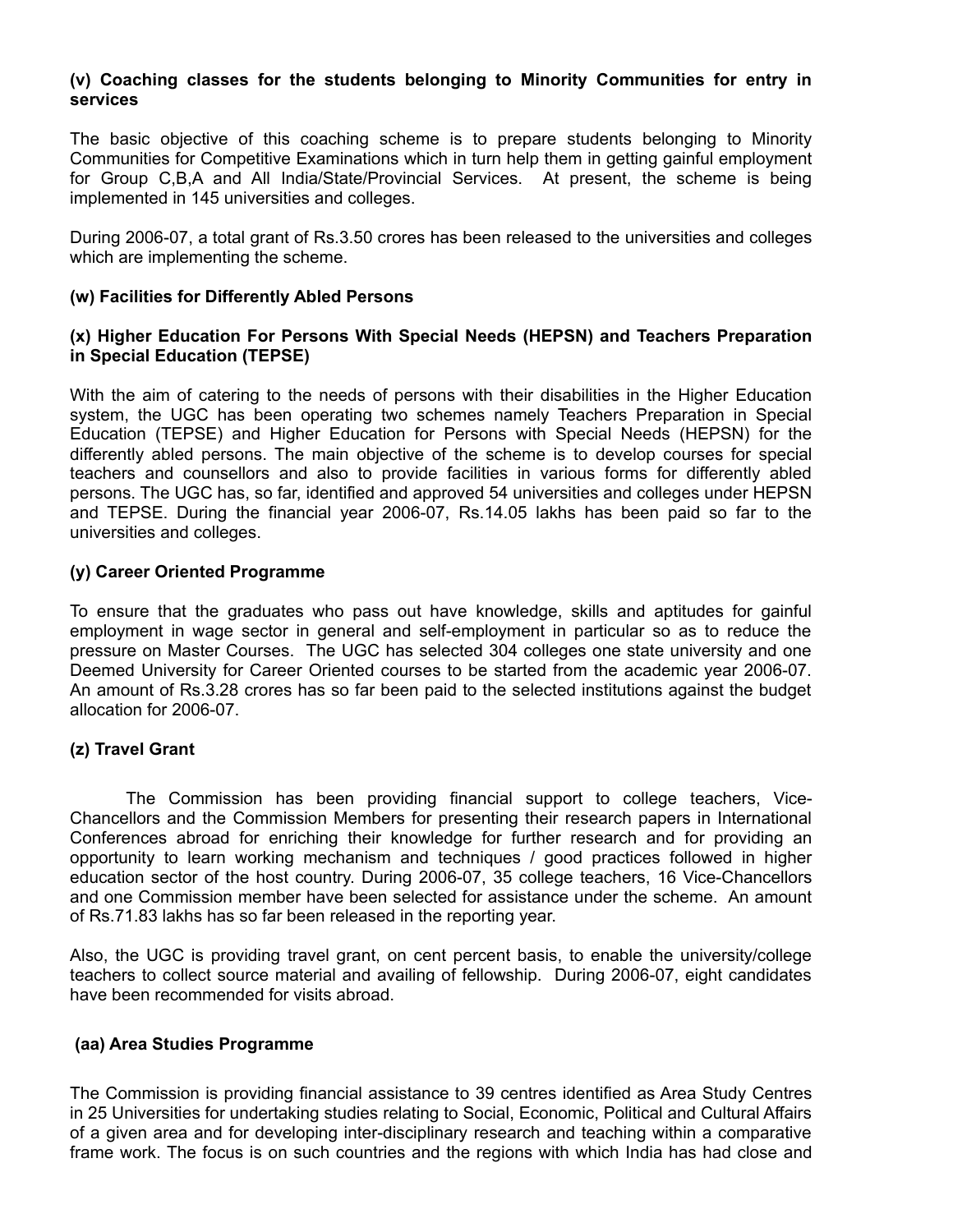## **(v) Coaching classes for the students belonging to Minority Communities for entry in services**

The basic objective of this coaching scheme is to prepare students belonging to Minority Communities for Competitive Examinations which in turn help them in getting gainful employment for Group C,B,A and All India/State/Provincial Services. At present, the scheme is being implemented in 145 universities and colleges.

During 2006-07, a total grant of Rs.3.50 crores has been released to the universities and colleges which are implementing the scheme.

### **(w) Facilities for Differently Abled Persons**

### **(x) Higher Education For Persons With Special Needs (HEPSN) and Teachers Preparation in Special Education (TEPSE)**

With the aim of catering to the needs of persons with their disabilities in the Higher Education system, the UGC has been operating two schemes namely Teachers Preparation in Special Education (TEPSE) and Higher Education for Persons with Special Needs (HEPSN) for the differently abled persons. The main objective of the scheme is to develop courses for special teachers and counsellors and also to provide facilities in various forms for differently abled persons. The UGC has, so far, identified and approved 54 universities and colleges under HEPSN and TEPSE. During the financial year 2006-07, Rs.14.05 lakhs has been paid so far to the universities and colleges.

### **(y) Career Oriented Programme**

To ensure that the graduates who pass out have knowledge, skills and aptitudes for gainful employment in wage sector in general and self-employment in particular so as to reduce the pressure on Master Courses. The UGC has selected 304 colleges one state university and one Deemed University for Career Oriented courses to be started from the academic year 2006-07. An amount of Rs.3.28 crores has so far been paid to the selected institutions against the budget allocation for 2006-07.

## **(z) Travel Grant**

The Commission has been providing financial support to college teachers, Vice-Chancellors and the Commission Members for presenting their research papers in International Conferences abroad for enriching their knowledge for further research and for providing an opportunity to learn working mechanism and techniques / good practices followed in higher education sector of the host country. During 2006-07, 35 college teachers, 16 Vice-Chancellors and one Commission member have been selected for assistance under the scheme. An amount of Rs.71.83 lakhs has so far been released in the reporting year.

Also, the UGC is providing travel grant, on cent percent basis, to enable the university/college teachers to collect source material and availing of fellowship. During 2006-07, eight candidates have been recommended for visits abroad.

## **(aa) Area Studies Programme**

The Commission is providing financial assistance to 39 centres identified as Area Study Centres in 25 Universities for undertaking studies relating to Social, Economic, Political and Cultural Affairs of a given area and for developing inter-disciplinary research and teaching within a comparative frame work. The focus is on such countries and the regions with which India has had close and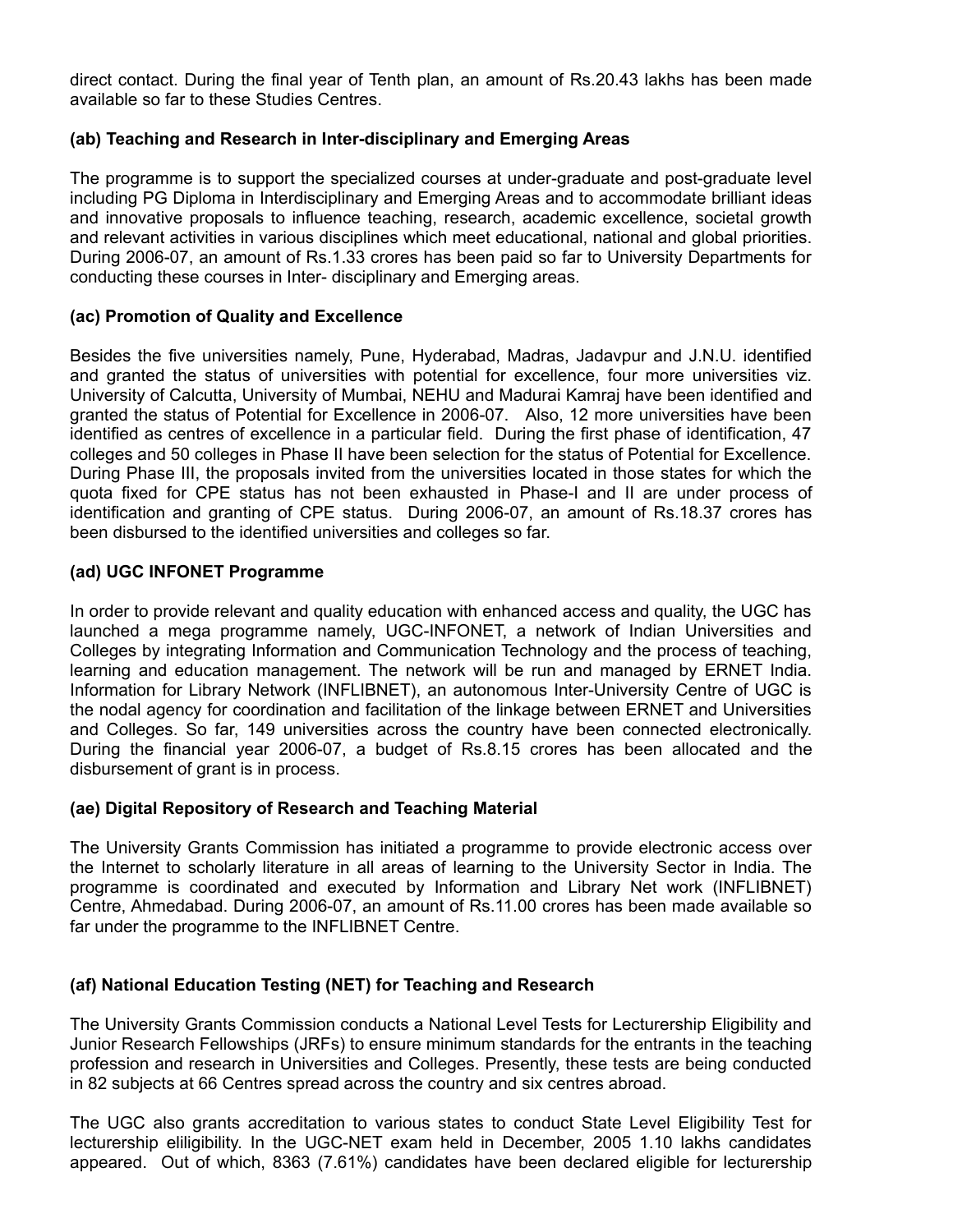direct contact. During the final year of Tenth plan, an amount of Rs.20.43 lakhs has been made available so far to these Studies Centres.

### **(ab) Teaching and Research in Inter-disciplinary and Emerging Areas**

The programme is to support the specialized courses at under-graduate and post-graduate level including PG Diploma in Interdisciplinary and Emerging Areas and to accommodate brilliant ideas and innovative proposals to influence teaching, research, academic excellence, societal growth and relevant activities in various disciplines which meet educational, national and global priorities. During 2006-07, an amount of Rs.1.33 crores has been paid so far to University Departments for conducting these courses in Inter- disciplinary and Emerging areas.

### **(ac) Promotion of Quality and Excellence**

Besides the five universities namely, Pune, Hyderabad, Madras, Jadavpur and J.N.U. identified and granted the status of universities with potential for excellence, four more universities viz. University of Calcutta, University of Mumbai, NEHU and Madurai Kamraj have been identified and granted the status of Potential for Excellence in 2006-07. Also, 12 more universities have been identified as centres of excellence in a particular field. During the first phase of identification, 47 colleges and 50 colleges in Phase II have been selection for the status of Potential for Excellence. During Phase III, the proposals invited from the universities located in those states for which the quota fixed for CPE status has not been exhausted in Phase-I and II are under process of identification and granting of CPE status. During 2006-07, an amount of Rs.18.37 crores has been disbursed to the identified universities and colleges so far.

## **(ad) UGC INFONET Programme**

In order to provide relevant and quality education with enhanced access and quality, the UGC has launched a mega programme namely, UGC-INFONET, a network of Indian Universities and Colleges by integrating Information and Communication Technology and the process of teaching, learning and education management. The network will be run and managed by ERNET India. Information for Library Network (INFLIBNET), an autonomous Inter-University Centre of UGC is the nodal agency for coordination and facilitation of the linkage between ERNET and Universities and Colleges. So far, 149 universities across the country have been connected electronically. During the financial year 2006-07, a budget of Rs.8.15 crores has been allocated and the disbursement of grant is in process.

#### **(ae) Digital Repository of Research and Teaching Material**

The University Grants Commission has initiated a programme to provide electronic access over the Internet to scholarly literature in all areas of learning to the University Sector in India. The programme is coordinated and executed by Information and Library Net work (INFLIBNET) Centre, Ahmedabad. During 2006-07, an amount of Rs.11.00 crores has been made available so far under the programme to the INFLIBNET Centre.

## **(af) National Education Testing (NET) for Teaching and Research**

The University Grants Commission conducts a National Level Tests for Lecturership Eligibility and Junior Research Fellowships (JRFs) to ensure minimum standards for the entrants in the teaching profession and research in Universities and Colleges. Presently, these tests are being conducted in 82 subjects at 66 Centres spread across the country and six centres abroad.

The UGC also grants accreditation to various states to conduct State Level Eligibility Test for lecturership eliligibility. In the UGC-NET exam held in December, 2005 1.10 lakhs candidates appeared. Out of which, 8363 (7.61%) candidates have been declared eligible for lecturership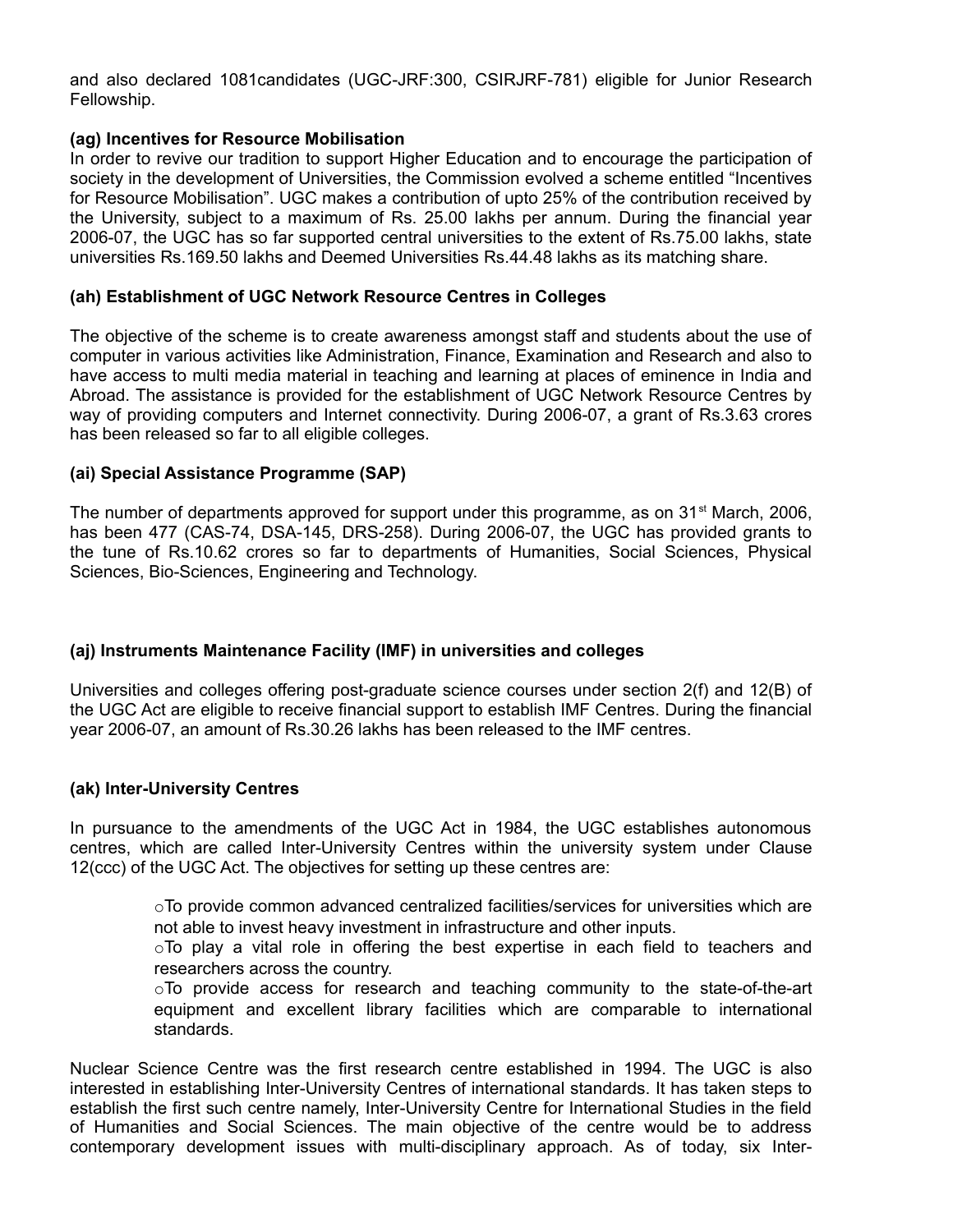and also declared 1081candidates (UGC-JRF:300, CSIRJRF-781) eligible for Junior Research Fellowship.

### **(ag) Incentives for Resource Mobilisation**

In order to revive our tradition to support Higher Education and to encourage the participation of society in the development of Universities, the Commission evolved a scheme entitled "Incentives for Resource Mobilisation". UGC makes a contribution of upto 25% of the contribution received by the University, subject to a maximum of Rs. 25.00 lakhs per annum. During the financial year 2006-07, the UGC has so far supported central universities to the extent of Rs.75.00 lakhs, state universities Rs.169.50 lakhs and Deemed Universities Rs.44.48 lakhs as its matching share.

### **(ah) Establishment of UGC Network Resource Centres in Colleges**

The objective of the scheme is to create awareness amongst staff and students about the use of computer in various activities like Administration, Finance, Examination and Research and also to have access to multi media material in teaching and learning at places of eminence in India and Abroad. The assistance is provided for the establishment of UGC Network Resource Centres by way of providing computers and Internet connectivity. During 2006-07, a grant of Rs.3.63 crores has been released so far to all eligible colleges.

### **(ai) Special Assistance Programme (SAP)**

The number of departments approved for support under this programme, as on 31<sup>st</sup> March, 2006, has been 477 (CAS-74, DSA-145, DRS-258). During 2006-07, the UGC has provided grants to the tune of Rs.10.62 crores so far to departments of Humanities, Social Sciences, Physical Sciences, Bio-Sciences, Engineering and Technology.

## **(aj) Instruments Maintenance Facility (IMF) in universities and colleges**

Universities and colleges offering post-graduate science courses under section 2(f) and 12(B) of the UGC Act are eligible to receive financial support to establish IMF Centres. During the financial year 2006-07, an amount of Rs.30.26 lakhs has been released to the IMF centres.

#### **(ak) Inter-University Centres**

In pursuance to the amendments of the UGC Act in 1984, the UGC establishes autonomous centres, which are called Inter-University Centres within the university system under Clause 12(ccc) of the UGC Act. The objectives for setting up these centres are:

> $\circ$ To provide common advanced centralized facilities/services for universities which are not able to invest heavy investment in infrastructure and other inputs.

> $\circ$ To play a vital role in offering the best expertise in each field to teachers and researchers across the country.

> oTo provide access for research and teaching community to the state-of-the-art equipment and excellent library facilities which are comparable to international standards.

Nuclear Science Centre was the first research centre established in 1994. The UGC is also interested in establishing Inter-University Centres of international standards. It has taken steps to establish the first such centre namely, Inter-University Centre for International Studies in the field of Humanities and Social Sciences. The main objective of the centre would be to address contemporary development issues with multi-disciplinary approach. As of today, six Inter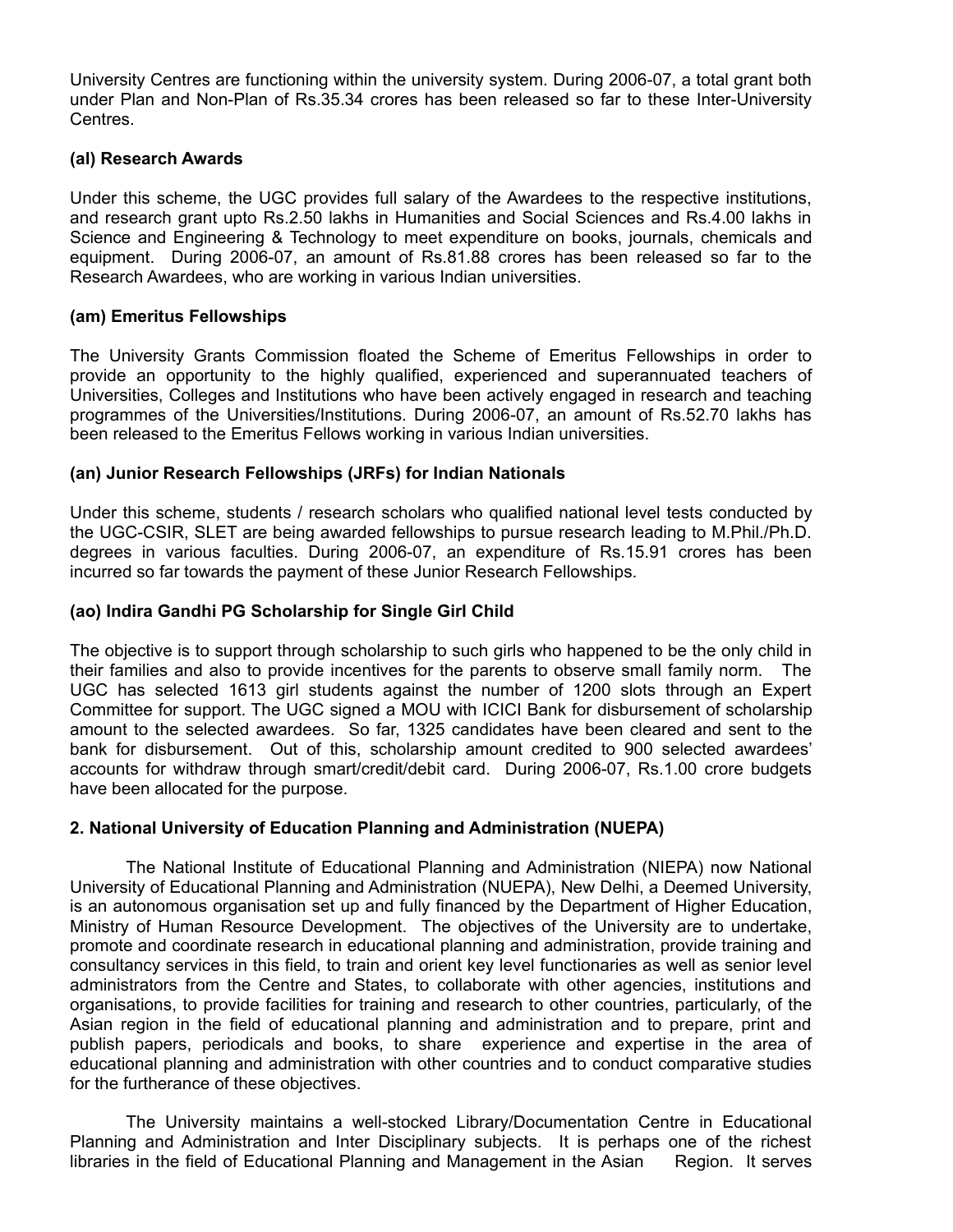University Centres are functioning within the university system. During 2006-07, a total grant both under Plan and Non-Plan of Rs.35.34 crores has been released so far to these Inter-University Centres.

### **(al) Research Awards**

Under this scheme, the UGC provides full salary of the Awardees to the respective institutions, and research grant upto Rs.2.50 lakhs in Humanities and Social Sciences and Rs.4.00 lakhs in Science and Engineering & Technology to meet expenditure on books, journals, chemicals and equipment. During 2006-07, an amount of Rs.81.88 crores has been released so far to the Research Awardees, who are working in various Indian universities.

#### **(am) Emeritus Fellowships**

The University Grants Commission floated the Scheme of Emeritus Fellowships in order to provide an opportunity to the highly qualified, experienced and superannuated teachers of Universities, Colleges and Institutions who have been actively engaged in research and teaching programmes of the Universities/Institutions. During 2006-07, an amount of Rs.52.70 lakhs has been released to the Emeritus Fellows working in various Indian universities.

### **(an) Junior Research Fellowships (JRFs) for Indian Nationals**

Under this scheme, students / research scholars who qualified national level tests conducted by the UGC-CSIR, SLET are being awarded fellowships to pursue research leading to M.Phil./Ph.D. degrees in various faculties. During 2006-07, an expenditure of Rs.15.91 crores has been incurred so far towards the payment of these Junior Research Fellowships.

### **(ao) Indira Gandhi PG Scholarship for Single Girl Child**

The objective is to support through scholarship to such girls who happened to be the only child in their families and also to provide incentives for the parents to observe small family norm. The UGC has selected 1613 girl students against the number of 1200 slots through an Expert Committee for support. The UGC signed a MOU with ICICI Bank for disbursement of scholarship amount to the selected awardees. So far, 1325 candidates have been cleared and sent to the bank for disbursement. Out of this, scholarship amount credited to 900 selected awardees' accounts for withdraw through smart/credit/debit card. During 2006-07, Rs.1.00 crore budgets have been allocated for the purpose.

### **2. National University of Education Planning and Administration (NUEPA)**

The National Institute of Educational Planning and Administration (NIEPA) now National University of Educational Planning and Administration (NUEPA), New Delhi, a Deemed University, is an autonomous organisation set up and fully financed by the Department of Higher Education, Ministry of Human Resource Development. The objectives of the University are to undertake, promote and coordinate research in educational planning and administration, provide training and consultancy services in this field, to train and orient key level functionaries as well as senior level administrators from the Centre and States, to collaborate with other agencies, institutions and organisations, to provide facilities for training and research to other countries, particularly, of the Asian region in the field of educational planning and administration and to prepare, print and publish papers, periodicals and books, to share experience and expertise in the area of educational planning and administration with other countries and to conduct comparative studies for the furtherance of these objectives.

The University maintains a well-stocked Library/Documentation Centre in Educational Planning and Administration and Inter Disciplinary subjects. It is perhaps one of the richest libraries in the field of Educational Planning and Management in the Asian Region. It serves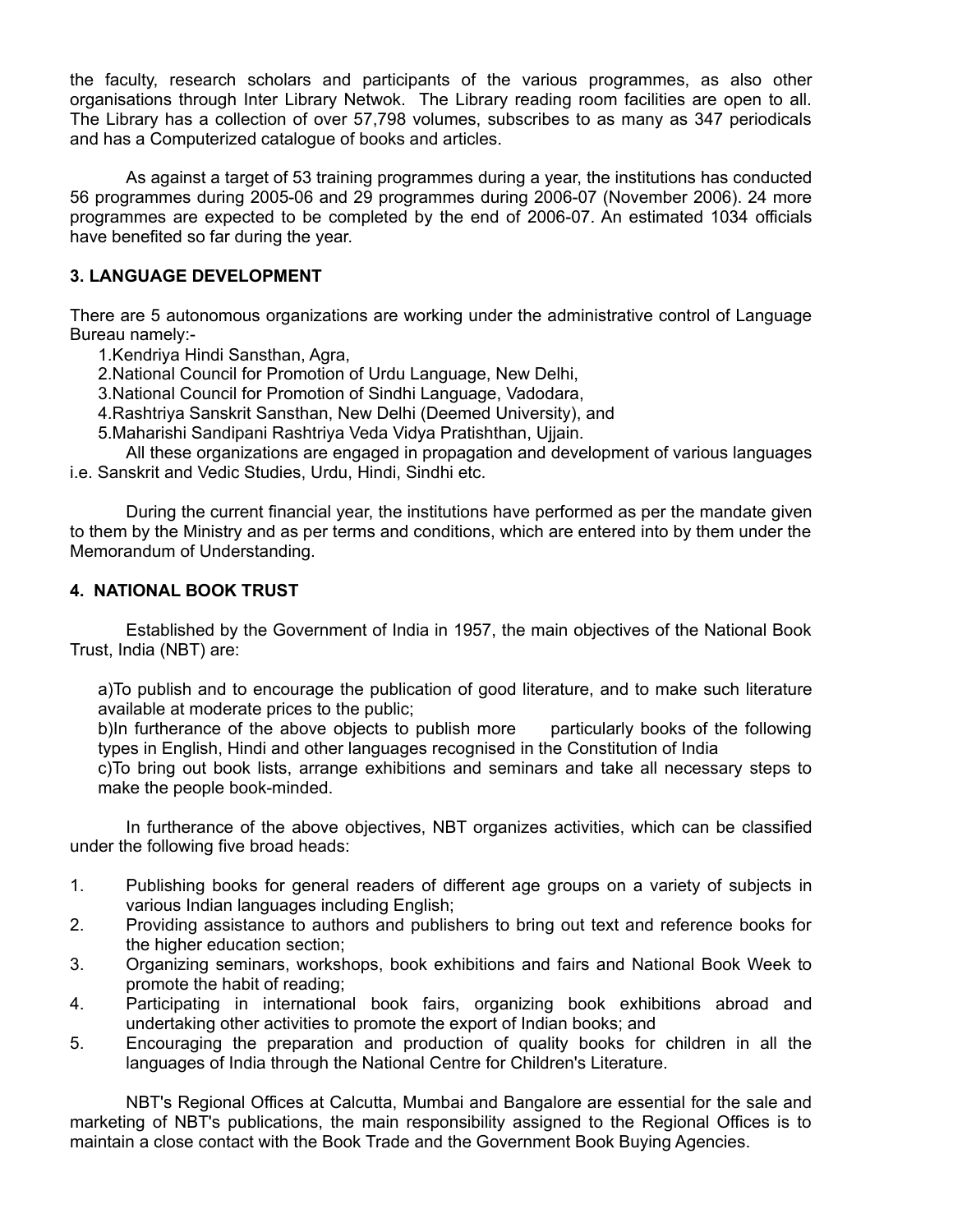the faculty, research scholars and participants of the various programmes, as also other organisations through Inter Library Netwok. The Library reading room facilities are open to all. The Library has a collection of over 57,798 volumes, subscribes to as many as 347 periodicals and has a Computerized catalogue of books and articles.

As against a target of 53 training programmes during a year, the institutions has conducted 56 programmes during 2005-06 and 29 programmes during 2006-07 (November 2006). 24 more programmes are expected to be completed by the end of 2006-07. An estimated 1034 officials have benefited so far during the year.

## **3. LANGUAGE DEVELOPMENT**

There are 5 autonomous organizations are working under the administrative control of Language Bureau namely:-

1.Kendriya Hindi Sansthan, Agra,

2.National Council for Promotion of Urdu Language, New Delhi,

3.National Council for Promotion of Sindhi Language, Vadodara,

4.Rashtriya Sanskrit Sansthan, New Delhi (Deemed University), and

5.Maharishi Sandipani Rashtriya Veda Vidya Pratishthan, Ujjain.

All these organizations are engaged in propagation and development of various languages i.e. Sanskrit and Vedic Studies, Urdu, Hindi, Sindhi etc.

During the current financial year, the institutions have performed as per the mandate given to them by the Ministry and as per terms and conditions, which are entered into by them under the Memorandum of Understanding.

### **4. NATIONAL BOOK TRUST**

Established by the Government of India in 1957, the main objectives of the National Book Trust, India (NBT) are:

a)To publish and to encourage the publication of good literature, and to make such literature available at moderate prices to the public;

b)In furtherance of the above objects to publish more particularly books of the following types in English, Hindi and other languages recognised in the Constitution of India

c)To bring out book lists, arrange exhibitions and seminars and take all necessary steps to make the people book-minded.

In furtherance of the above objectives, NBT organizes activities, which can be classified under the following five broad heads:

- 1. Publishing books for general readers of different age groups on a variety of subjects in various Indian languages including English;
- 2. Providing assistance to authors and publishers to bring out text and reference books for the higher education section;
- 3. Organizing seminars, workshops, book exhibitions and fairs and National Book Week to promote the habit of reading;
- 4. Participating in international book fairs, organizing book exhibitions abroad and undertaking other activities to promote the export of Indian books; and
- 5. Encouraging the preparation and production of quality books for children in all the languages of India through the National Centre for Children's Literature.

NBT's Regional Offices at Calcutta, Mumbai and Bangalore are essential for the sale and marketing of NBT's publications, the main responsibility assigned to the Regional Offices is to maintain a close contact with the Book Trade and the Government Book Buying Agencies.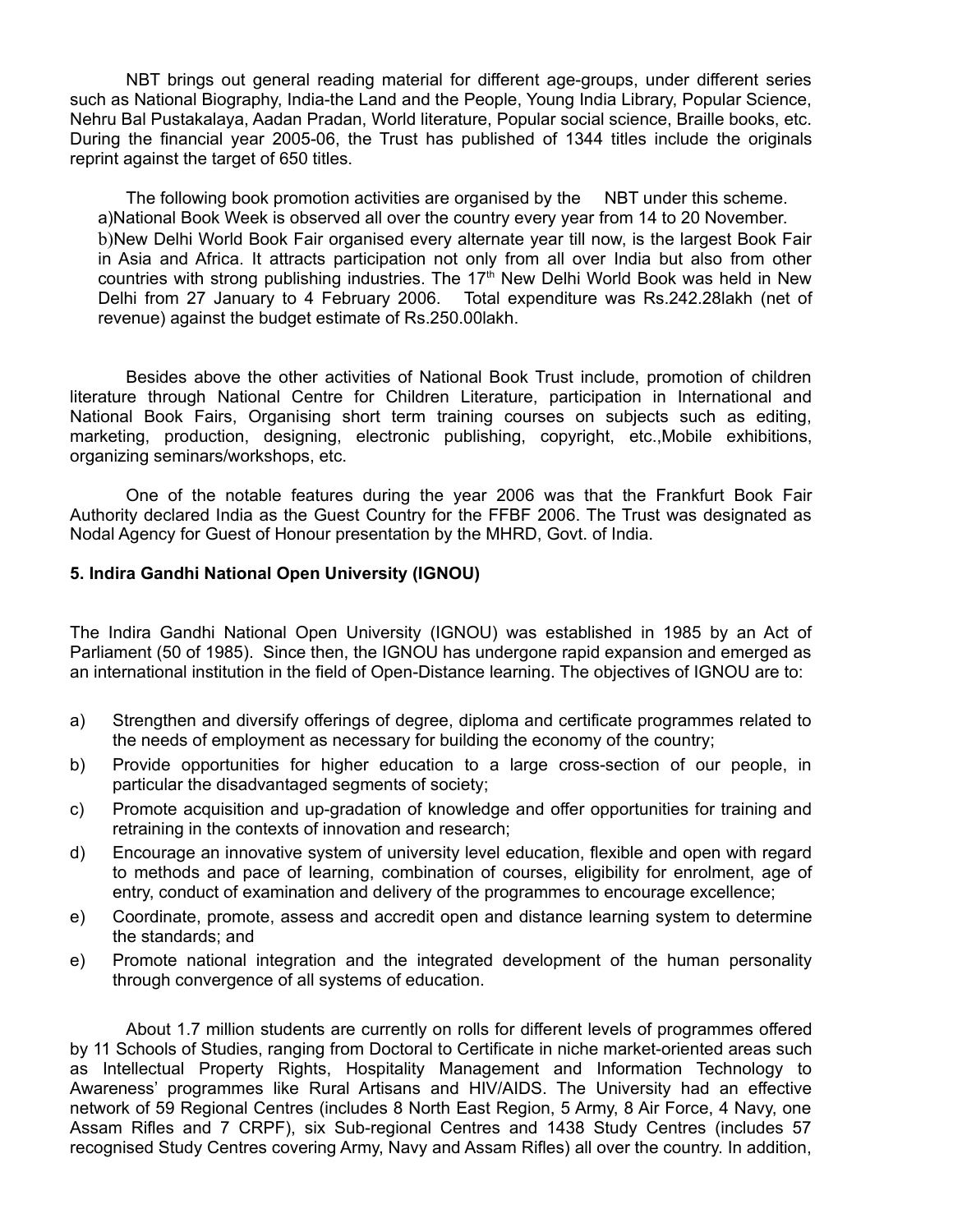NBT brings out general reading material for different age-groups, under different series such as National Biography, India-the Land and the People, Young India Library, Popular Science, Nehru Bal Pustakalaya, Aadan Pradan, World literature, Popular social science, Braille books, etc. During the financial year 2005-06, the Trust has published of 1344 titles include the originals reprint against the target of 650 titles.

The following book promotion activities are organised by the NBT under this scheme. a)National Book Week is observed all over the country every year from 14 to 20 November. b)New Delhi World Book Fair organised every alternate year till now, is the largest Book Fair in Asia and Africa. It attracts participation not only from all over India but also from other countries with strong publishing industries. The 17<sup>th</sup> New Delhi World Book was held in New Delhi from 27 January to 4 February 2006. Total expenditure was Rs.242.28lakh (net of revenue) against the budget estimate of Rs.250.00lakh.

Besides above the other activities of National Book Trust include, promotion of children literature through National Centre for Children Literature, participation in International and National Book Fairs, Organising short term training courses on subjects such as editing, marketing, production, designing, electronic publishing, copyright, etc.,Mobile exhibitions, organizing seminars/workshops, etc.

One of the notable features during the year 2006 was that the Frankfurt Book Fair Authority declared India as the Guest Country for the FFBF 2006. The Trust was designated as Nodal Agency for Guest of Honour presentation by the MHRD, Govt. of India.

#### **5. Indira Gandhi National Open University (IGNOU)**

The Indira Gandhi National Open University (IGNOU) was established in 1985 by an Act of Parliament (50 of 1985). Since then, the IGNOU has undergone rapid expansion and emerged as an international institution in the field of Open-Distance learning. The objectives of IGNOU are to:

- a) Strengthen and diversify offerings of degree, diploma and certificate programmes related to the needs of employment as necessary for building the economy of the country;
- b) Provide opportunities for higher education to a large cross-section of our people, in particular the disadvantaged segments of society;
- c) Promote acquisition and up-gradation of knowledge and offer opportunities for training and retraining in the contexts of innovation and research;
- d) Encourage an innovative system of university level education, flexible and open with regard to methods and pace of learning, combination of courses, eligibility for enrolment, age of entry, conduct of examination and delivery of the programmes to encourage excellence;
- e) Coordinate, promote, assess and accredit open and distance learning system to determine the standards; and
- e) Promote national integration and the integrated development of the human personality through convergence of all systems of education.

About 1.7 million students are currently on rolls for different levels of programmes offered by 11 Schools of Studies, ranging from Doctoral to Certificate in niche market-oriented areas such as Intellectual Property Rights, Hospitality Management and Information Technology to Awareness' programmes like Rural Artisans and HIV/AIDS. The University had an effective network of 59 Regional Centres (includes 8 North East Region, 5 Army, 8 Air Force, 4 Navy, one Assam Rifles and 7 CRPF), six Sub-regional Centres and 1438 Study Centres (includes 57 recognised Study Centres covering Army, Navy and Assam Rifles) all over the country. In addition,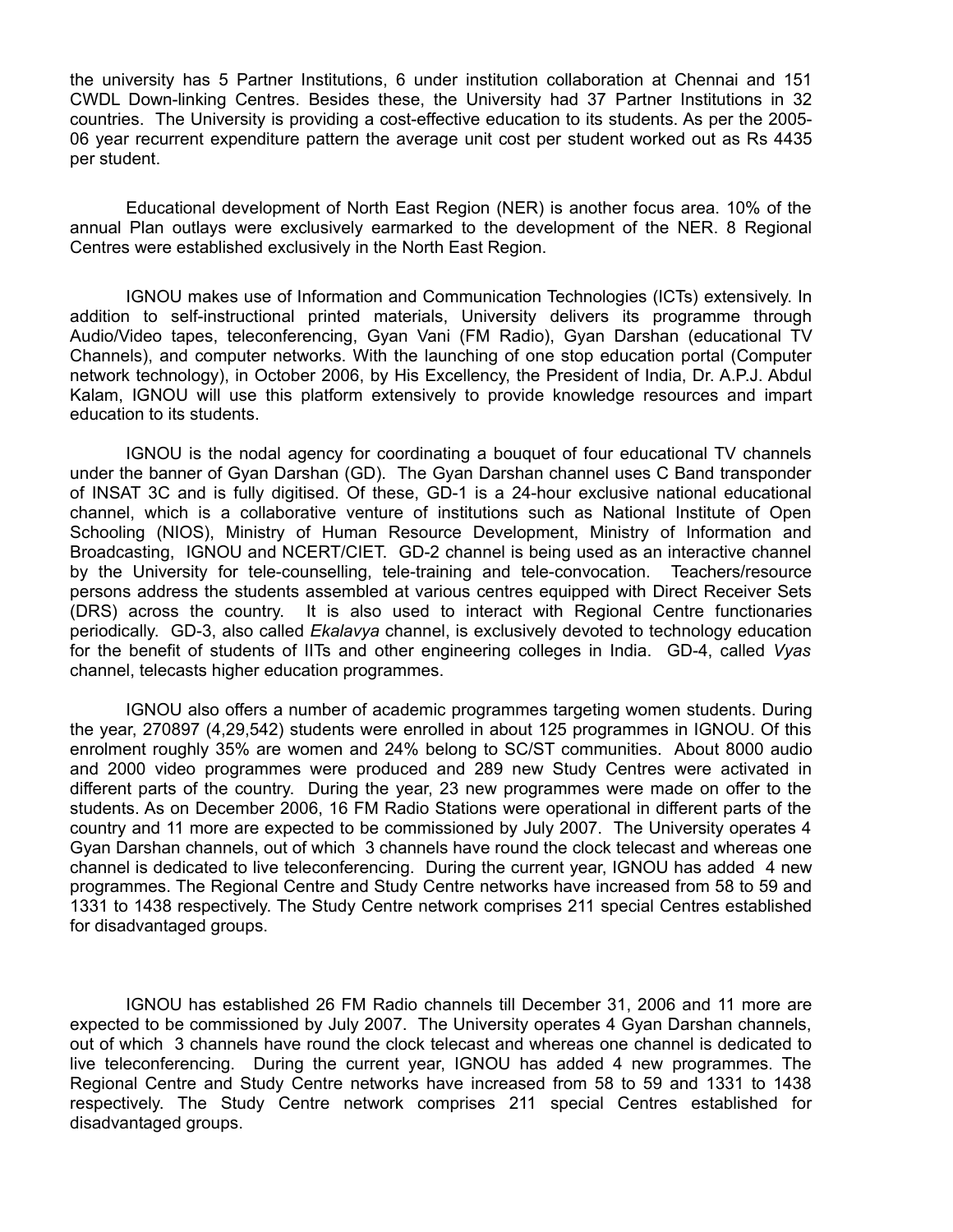the university has 5 Partner Institutions, 6 under institution collaboration at Chennai and 151 CWDL Down-linking Centres. Besides these, the University had 37 Partner Institutions in 32 countries. The University is providing a cost-effective education to its students. As per the 2005- 06 year recurrent expenditure pattern the average unit cost per student worked out as Rs 4435 per student.

Educational development of North East Region (NER) is another focus area. 10% of the annual Plan outlays were exclusively earmarked to the development of the NER. 8 Regional Centres were established exclusively in the North East Region.

IGNOU makes use of Information and Communication Technologies (ICTs) extensively. In addition to self-instructional printed materials, University delivers its programme through Audio/Video tapes, teleconferencing, Gyan Vani (FM Radio), Gyan Darshan (educational TV Channels), and computer networks. With the launching of one stop education portal (Computer network technology), in October 2006, by His Excellency, the President of India, Dr. A.P.J. Abdul Kalam, IGNOU will use this platform extensively to provide knowledge resources and impart education to its students.

IGNOU is the nodal agency for coordinating a bouquet of four educational TV channels under the banner of Gyan Darshan (GD). The Gyan Darshan channel uses C Band transponder of INSAT 3C and is fully digitised. Of these, GD-1 is a 24-hour exclusive national educational channel, which is a collaborative venture of institutions such as National Institute of Open Schooling (NIOS), Ministry of Human Resource Development, Ministry of Information and Broadcasting, IGNOU and NCERT/CIET. GD-2 channel is being used as an interactive channel by the University for tele-counselling, tele-training and tele-convocation. Teachers/resource persons address the students assembled at various centres equipped with Direct Receiver Sets (DRS) across the country. It is also used to interact with Regional Centre functionaries periodically. GD-3, also called *Ekalavya* channel, is exclusively devoted to technology education for the benefit of students of IITs and other engineering colleges in India. GD-4, called *Vyas* channel, telecasts higher education programmes.

IGNOU also offers a number of academic programmes targeting women students. During the year, 270897 (4,29,542) students were enrolled in about 125 programmes in IGNOU. Of this enrolment roughly 35% are women and 24% belong to SC/ST communities. About 8000 audio and 2000 video programmes were produced and 289 new Study Centres were activated in different parts of the country. During the year, 23 new programmes were made on offer to the students. As on December 2006, 16 FM Radio Stations were operational in different parts of the country and 11 more are expected to be commissioned by July 2007. The University operates 4 Gyan Darshan channels, out of which 3 channels have round the clock telecast and whereas one channel is dedicated to live teleconferencing. During the current year, IGNOU has added 4 new programmes. The Regional Centre and Study Centre networks have increased from 58 to 59 and 1331 to 1438 respectively. The Study Centre network comprises 211 special Centres established for disadvantaged groups.

IGNOU has established 26 FM Radio channels till December 31, 2006 and 11 more are expected to be commissioned by July 2007. The University operates 4 Gyan Darshan channels, out of which 3 channels have round the clock telecast and whereas one channel is dedicated to live teleconferencing. During the current year, IGNOU has added 4 new programmes. The Regional Centre and Study Centre networks have increased from 58 to 59 and 1331 to 1438 respectively. The Study Centre network comprises 211 special Centres established for disadvantaged groups.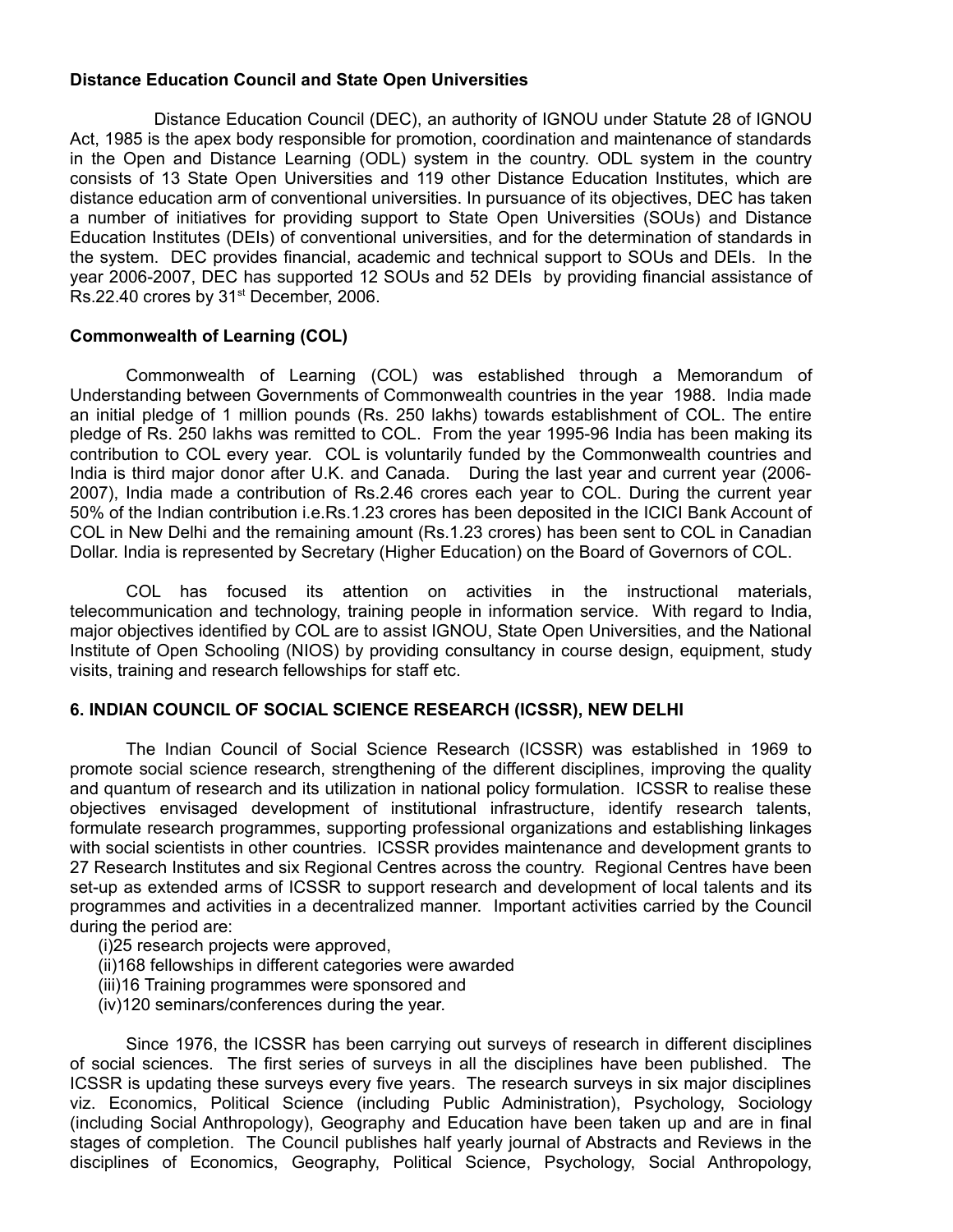### **Distance Education Council and State Open Universities**

Distance Education Council (DEC), an authority of IGNOU under Statute 28 of IGNOU Act, 1985 is the apex body responsible for promotion, coordination and maintenance of standards in the Open and Distance Learning (ODL) system in the country. ODL system in the country consists of 13 State Open Universities and 119 other Distance Education Institutes, which are distance education arm of conventional universities. In pursuance of its objectives, DEC has taken a number of initiatives for providing support to State Open Universities (SOUs) and Distance Education Institutes (DEIs) of conventional universities, and for the determination of standards in the system. DEC provides financial, academic and technical support to SOUs and DEIs. In the year 2006-2007, DEC has supported 12 SOUs and 52 DEIs by providing financial assistance of Rs.22.40 crores by 31<sup>st</sup> December, 2006.

### **Commonwealth of Learning (COL)**

Commonwealth of Learning (COL) was established through a Memorandum of Understanding between Governments of Commonwealth countries in the year 1988. India made an initial pledge of 1 million pounds (Rs. 250 lakhs) towards establishment of COL. The entire pledge of Rs. 250 lakhs was remitted to COL. From the year 1995-96 India has been making its contribution to COL every year. COL is voluntarily funded by the Commonwealth countries and India is third major donor after U.K. and Canada. During the last year and current year (2006- 2007), India made a contribution of Rs.2.46 crores each year to COL. During the current year 50% of the Indian contribution i.e.Rs.1.23 crores has been deposited in the ICICI Bank Account of COL in New Delhi and the remaining amount (Rs.1.23 crores) has been sent to COL in Canadian Dollar. India is represented by Secretary (Higher Education) on the Board of Governors of COL.

COL has focused its attention on activities in the instructional materials, telecommunication and technology, training people in information service. With regard to India, major objectives identified by COL are to assist IGNOU, State Open Universities, and the National Institute of Open Schooling (NIOS) by providing consultancy in course design, equipment, study visits, training and research fellowships for staff etc.

## **6. INDIAN COUNCIL OF SOCIAL SCIENCE RESEARCH (ICSSR), NEW DELHI**

The Indian Council of Social Science Research (ICSSR) was established in 1969 to promote social science research, strengthening of the different disciplines, improving the quality and quantum of research and its utilization in national policy formulation. ICSSR to realise these objectives envisaged development of institutional infrastructure, identify research talents, formulate research programmes, supporting professional organizations and establishing linkages with social scientists in other countries. ICSSR provides maintenance and development grants to 27 Research Institutes and six Regional Centres across the country. Regional Centres have been set-up as extended arms of ICSSR to support research and development of local talents and its programmes and activities in a decentralized manner. Important activities carried by the Council during the period are:

- (i)25 research projects were approved,
- (ii)168 fellowships in different categories were awarded
- (iii)16 Training programmes were sponsored and
- (iv)120 seminars/conferences during the year.

Since 1976, the ICSSR has been carrying out surveys of research in different disciplines of social sciences. The first series of surveys in all the disciplines have been published. The ICSSR is updating these surveys every five years. The research surveys in six major disciplines viz. Economics, Political Science (including Public Administration), Psychology, Sociology (including Social Anthropology), Geography and Education have been taken up and are in final stages of completion. The Council publishes half yearly journal of Abstracts and Reviews in the disciplines of Economics, Geography, Political Science, Psychology, Social Anthropology,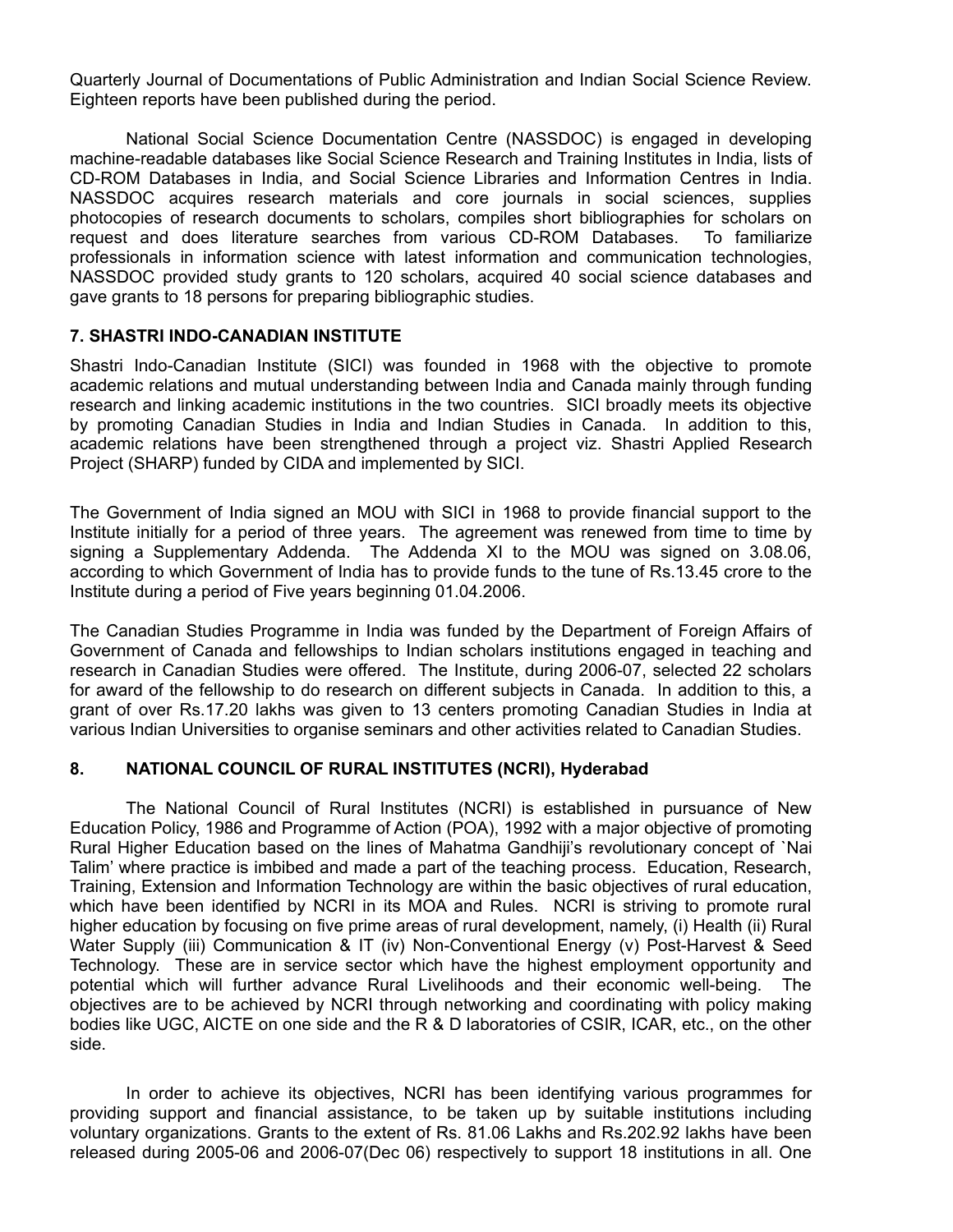Quarterly Journal of Documentations of Public Administration and Indian Social Science Review. Eighteen reports have been published during the period.

National Social Science Documentation Centre (NASSDOC) is engaged in developing machine-readable databases like Social Science Research and Training Institutes in India, lists of CD-ROM Databases in India, and Social Science Libraries and Information Centres in India. NASSDOC acquires research materials and core journals in social sciences, supplies photocopies of research documents to scholars, compiles short bibliographies for scholars on request and does literature searches from various CD-ROM Databases. To familiarize professionals in information science with latest information and communication technologies, NASSDOC provided study grants to 120 scholars, acquired 40 social science databases and gave grants to 18 persons for preparing bibliographic studies.

### **7. SHASTRI INDO-CANADIAN INSTITUTE**

Shastri Indo-Canadian Institute (SICI) was founded in 1968 with the objective to promote academic relations and mutual understanding between India and Canada mainly through funding research and linking academic institutions in the two countries. SICI broadly meets its objective by promoting Canadian Studies in India and Indian Studies in Canada. In addition to this, academic relations have been strengthened through a project viz. Shastri Applied Research Project (SHARP) funded by CIDA and implemented by SICI.

The Government of India signed an MOU with SICI in 1968 to provide financial support to the Institute initially for a period of three years. The agreement was renewed from time to time by signing a Supplementary Addenda. The Addenda XI to the MOU was signed on 3.08.06, according to which Government of India has to provide funds to the tune of Rs.13.45 crore to the Institute during a period of Five years beginning 01.04.2006.

The Canadian Studies Programme in India was funded by the Department of Foreign Affairs of Government of Canada and fellowships to Indian scholars institutions engaged in teaching and research in Canadian Studies were offered. The Institute, during 2006-07, selected 22 scholars for award of the fellowship to do research on different subjects in Canada. In addition to this, a grant of over Rs.17.20 lakhs was given to 13 centers promoting Canadian Studies in India at various Indian Universities to organise seminars and other activities related to Canadian Studies.

#### **8. NATIONAL COUNCIL OF RURAL INSTITUTES (NCRI), Hyderabad**

The National Council of Rural Institutes (NCRI) is established in pursuance of New Education Policy, 1986 and Programme of Action (POA), 1992 with a major objective of promoting Rural Higher Education based on the lines of Mahatma Gandhiji's revolutionary concept of `Nai Talim' where practice is imbibed and made a part of the teaching process. Education, Research, Training, Extension and Information Technology are within the basic objectives of rural education, which have been identified by NCRI in its MOA and Rules. NCRI is striving to promote rural higher education by focusing on five prime areas of rural development, namely, (i) Health (ii) Rural Water Supply (iii) Communication & IT (iv) Non-Conventional Energy (v) Post-Harvest & Seed Technology. These are in service sector which have the highest employment opportunity and potential which will further advance Rural Livelihoods and their economic well-being. The objectives are to be achieved by NCRI through networking and coordinating with policy making bodies like UGC, AICTE on one side and the R & D laboratories of CSIR, ICAR, etc., on the other side.

In order to achieve its objectives, NCRI has been identifying various programmes for providing support and financial assistance, to be taken up by suitable institutions including voluntary organizations. Grants to the extent of Rs. 81.06 Lakhs and Rs.202.92 lakhs have been released during 2005-06 and 2006-07(Dec 06) respectively to support 18 institutions in all. One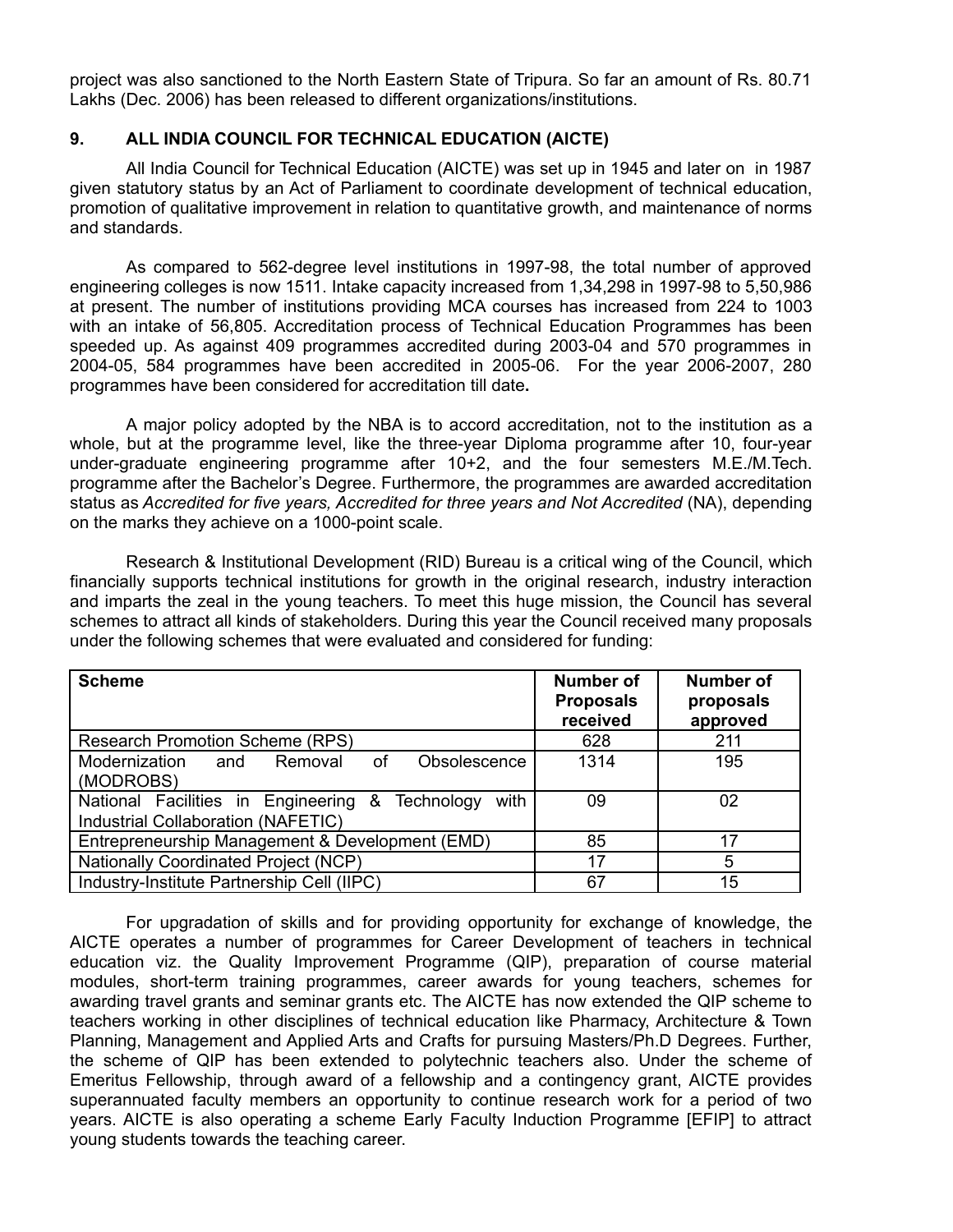project was also sanctioned to the North Eastern State of Tripura. So far an amount of Rs. 80.71 Lakhs (Dec. 2006) has been released to different organizations/institutions.

### **9. ALL INDIA COUNCIL FOR TECHNICAL EDUCATION (AICTE)**

All India Council for Technical Education (AICTE) was set up in 1945 and later on in 1987 given statutory status by an Act of Parliament to coordinate development of technical education, promotion of qualitative improvement in relation to quantitative growth, and maintenance of norms and standards.

As compared to 562-degree level institutions in 1997-98, the total number of approved engineering colleges is now 1511. Intake capacity increased from 1,34,298 in 1997-98 to 5,50,986 at present. The number of institutions providing MCA courses has increased from 224 to 1003 with an intake of 56,805. Accreditation process of Technical Education Programmes has been speeded up. As against 409 programmes accredited during 2003-04 and 570 programmes in 2004-05, 584 programmes have been accredited in 2005-06. For the year 2006-2007, 280 programmes have been considered for accreditation till date**.**

A major policy adopted by the NBA is to accord accreditation, not to the institution as a whole, but at the programme level, like the three-year Diploma programme after 10, four-year under-graduate engineering programme after 10+2, and the four semesters M.E./M.Tech. programme after the Bachelor's Degree. Furthermore, the programmes are awarded accreditation status as *Accredited for five years, Accredited for three years and Not Accredited* (NA), depending on the marks they achieve on a 1000-point scale.

Research & Institutional Development (RID) Bureau is a critical wing of the Council, which financially supports technical institutions for growth in the original research, industry interaction and imparts the zeal in the young teachers. To meet this huge mission, the Council has several schemes to attract all kinds of stakeholders. During this year the Council received many proposals under the following schemes that were evaluated and considered for funding:

| <b>Scheme</b>                                                                                    | Number of<br><b>Proposals</b><br>received | <b>Number of</b><br>proposals<br>approved |
|--------------------------------------------------------------------------------------------------|-------------------------------------------|-------------------------------------------|
| <b>Research Promotion Scheme (RPS)</b>                                                           | 628                                       | 211                                       |
| Modernization<br>Obsolescence<br>Removal<br>of<br>and<br>(MODROBS)                               | 1314                                      | 195                                       |
| National Facilities in Engineering &<br>Technology<br>with<br>Industrial Collaboration (NAFETIC) | 09                                        | 02                                        |
| Entrepreneurship Management & Development (EMD)                                                  | 85                                        | 17                                        |
| <b>Nationally Coordinated Project (NCP)</b>                                                      | 17                                        | 5                                         |
| Industry-Institute Partnership Cell (IIPC)                                                       | 67                                        | 15                                        |

For upgradation of skills and for providing opportunity for exchange of knowledge, the AICTE operates a number of programmes for Career Development of teachers in technical education viz. the Quality Improvement Programme (QIP), preparation of course material modules, short-term training programmes, career awards for young teachers, schemes for awarding travel grants and seminar grants etc. The AICTE has now extended the QIP scheme to teachers working in other disciplines of technical education like Pharmacy, Architecture & Town Planning, Management and Applied Arts and Crafts for pursuing Masters/Ph.D Degrees. Further, the scheme of QIP has been extended to polytechnic teachers also. Under the scheme of Emeritus Fellowship, through award of a fellowship and a contingency grant, AICTE provides superannuated faculty members an opportunity to continue research work for a period of two years. AICTE is also operating a scheme Early Faculty Induction Programme [EFIP] to attract young students towards the teaching career.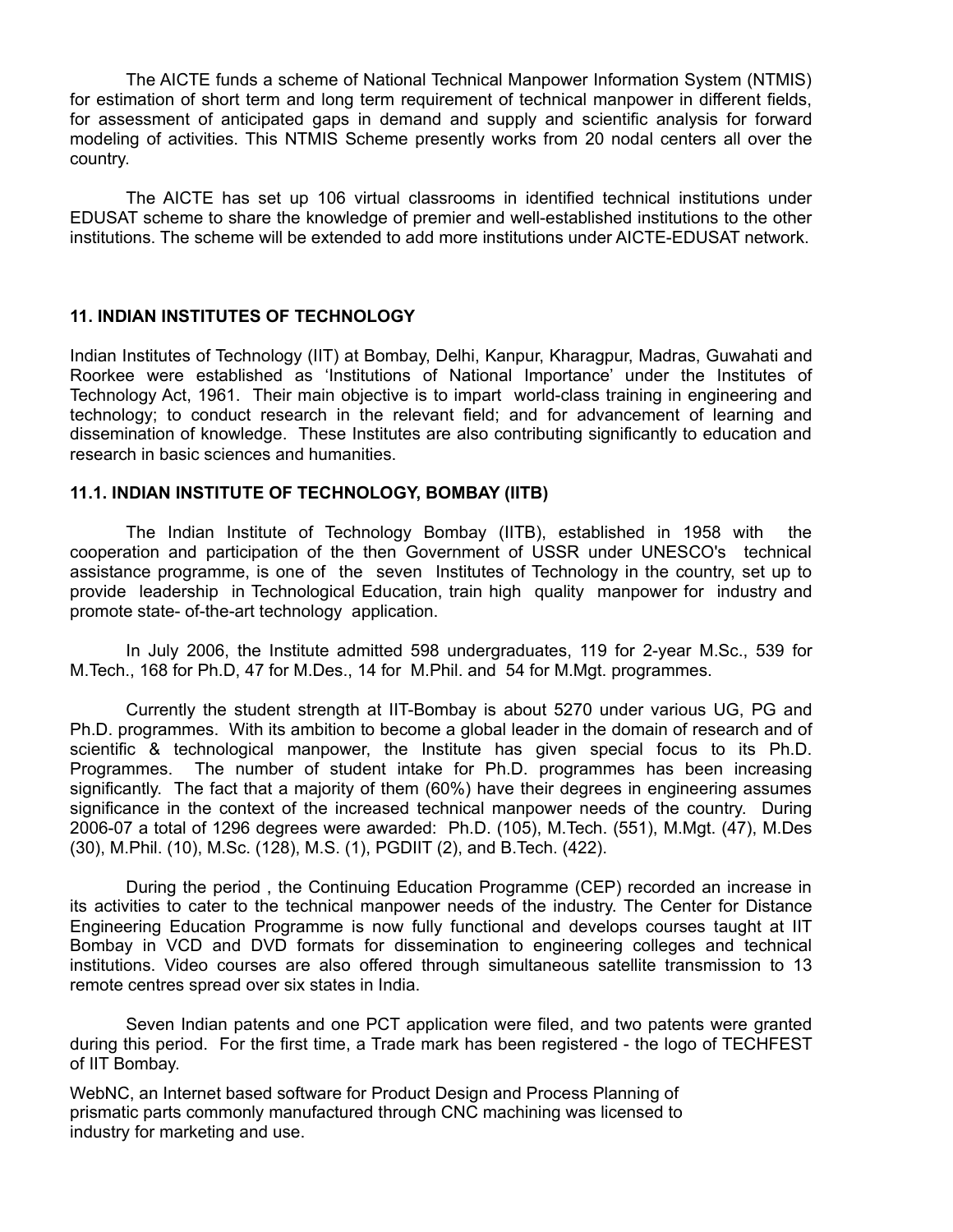The AICTE funds a scheme of National Technical Manpower Information System (NTMIS) for estimation of short term and long term requirement of technical manpower in different fields, for assessment of anticipated gaps in demand and supply and scientific analysis for forward modeling of activities. This NTMIS Scheme presently works from 20 nodal centers all over the country.

The AICTE has set up 106 virtual classrooms in identified technical institutions under EDUSAT scheme to share the knowledge of premier and well-established institutions to the other institutions. The scheme will be extended to add more institutions under AICTE-EDUSAT network.

### **11. INDIAN INSTITUTES OF TECHNOLOGY**

Indian Institutes of Technology (IIT) at Bombay, Delhi, Kanpur, Kharagpur, Madras, Guwahati and Roorkee were established as 'Institutions of National Importance' under the Institutes of Technology Act, 1961. Their main objective is to impart world-class training in engineering and technology; to conduct research in the relevant field; and for advancement of learning and dissemination of knowledge. These Institutes are also contributing significantly to education and research in basic sciences and humanities.

## **11.1. INDIAN INSTITUTE OF TECHNOLOGY, BOMBAY (IITB)**

The Indian Institute of Technology Bombay (IITB), established in 1958 with the cooperation and participation of the then Government of USSR under UNESCO's technical assistance programme, is one of the seven Institutes of Technology in the country, set up to provide leadership in Technological Education, train high quality manpower for industry and promote state- of-the-art technology application.

In July 2006, the Institute admitted 598 undergraduates, 119 for 2-year M.Sc., 539 for M.Tech., 168 for Ph.D, 47 for M.Des., 14 for M.Phil. and 54 for M.Mgt. programmes.

Currently the student strength at IIT-Bombay is about 5270 under various UG, PG and Ph.D. programmes. With its ambition to become a global leader in the domain of research and of scientific & technological manpower, the Institute has given special focus to its Ph.D. Programmes. The number of student intake for Ph.D. programmes has been increasing significantly. The fact that a majority of them (60%) have their degrees in engineering assumes significance in the context of the increased technical manpower needs of the country. During 2006-07 a total of 1296 degrees were awarded: Ph.D. (105), M.Tech. (551), M.Mgt. (47), M.Des (30), M.Phil. (10), M.Sc. (128), M.S. (1), PGDIIT (2), and B.Tech. (422).

During the period , the Continuing Education Programme (CEP) recorded an increase in its activities to cater to the technical manpower needs of the industry. The Center for Distance Engineering Education Programme is now fully functional and develops courses taught at IIT Bombay in VCD and DVD formats for dissemination to engineering colleges and technical institutions. Video courses are also offered through simultaneous satellite transmission to 13 remote centres spread over six states in India.

Seven Indian patents and one PCT application were filed, and two patents were granted during this period. For the first time, a Trade mark has been registered - the logo of TECHFEST of IIT Bombay.

WebNC, an Internet based software for Product Design and Process Planning of prismatic parts commonly manufactured through CNC machining was licensed to industry for marketing and use.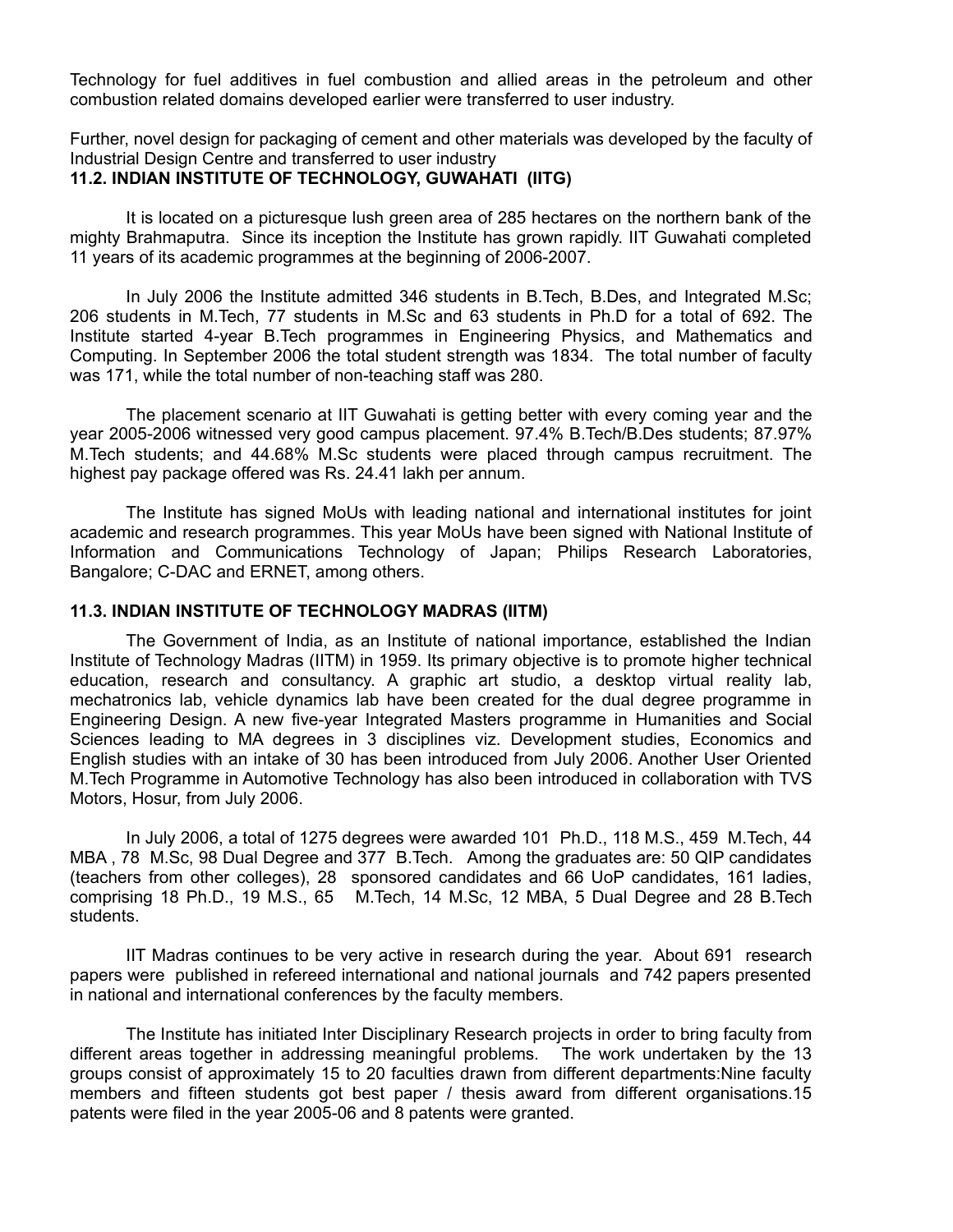Technology for fuel additives in fuel combustion and allied areas in the petroleum and other combustion related domains developed earlier were transferred to user industry.

Further, novel design for packaging of cement and other materials was developed by the faculty of Industrial Design Centre and transferred to user industry

## **11.2. INDIAN INSTITUTE OF TECHNOLOGY, GUWAHATI (IITG)**

It is located on a picturesque lush green area of 285 hectares on the northern bank of the mighty Brahmaputra. Since its inception the Institute has grown rapidly. IIT Guwahati completed 11 years of its academic programmes at the beginning of 2006-2007.

In July 2006 the Institute admitted 346 students in B.Tech, B.Des, and Integrated M.Sc; 206 students in M.Tech, 77 students in M.Sc and 63 students in Ph.D for a total of 692. The Institute started 4-year B.Tech programmes in Engineering Physics, and Mathematics and Computing. In September 2006 the total student strength was 1834. The total number of faculty was 171, while the total number of non-teaching staff was 280.

The placement scenario at IIT Guwahati is getting better with every coming year and the year 2005-2006 witnessed very good campus placement. 97.4% B.Tech/B.Des students; 87.97% M.Tech students; and 44.68% M.Sc students were placed through campus recruitment. The highest pay package offered was Rs. 24.41 lakh per annum.

The Institute has signed MoUs with leading national and international institutes for joint academic and research programmes. This year MoUs have been signed with National Institute of Information and Communications Technology of Japan; Philips Research Laboratories, Bangalore; C-DAC and ERNET, among others.

#### **11.3. INDIAN INSTITUTE OF TECHNOLOGY MADRAS (IITM)**

The Government of India, as an Institute of national importance, established the Indian Institute of Technology Madras (IITM) in 1959. Its primary objective is to promote higher technical education, research and consultancy. A graphic art studio, a desktop virtual reality lab, mechatronics lab, vehicle dynamics lab have been created for the dual degree programme in Engineering Design. A new five-year Integrated Masters programme in Humanities and Social Sciences leading to MA degrees in 3 disciplines viz. Development studies, Economics and English studies with an intake of 30 has been introduced from July 2006. Another User Oriented M.Tech Programme in Automotive Technology has also been introduced in collaboration with TVS Motors, Hosur, from July 2006.

In July 2006, a total of 1275 degrees were awarded 101 Ph.D., 118 M.S., 459 M.Tech, 44 MBA , 78 M.Sc, 98 Dual Degree and 377 B.Tech. Among the graduates are: 50 QIP candidates (teachers from other colleges), 28 sponsored candidates and 66 UoP candidates, 161 ladies, comprising 18 Ph.D., 19 M.S., 65 M.Tech, 14 M.Sc, 12 MBA, 5 Dual Degree and 28 B.Tech students.

IIT Madras continues to be very active in research during the year. About 691 research papers were published in refereed international and national journals and 742 papers presented in national and international conferences by the faculty members.

The Institute has initiated Inter Disciplinary Research projects in order to bring faculty from different areas together in addressing meaningful problems. The work undertaken by the 13 groups consist of approximately 15 to 20 faculties drawn from different departments:Nine faculty members and fifteen students got best paper / thesis award from different organisations.15 patents were filed in the year 2005-06 and 8 patents were granted.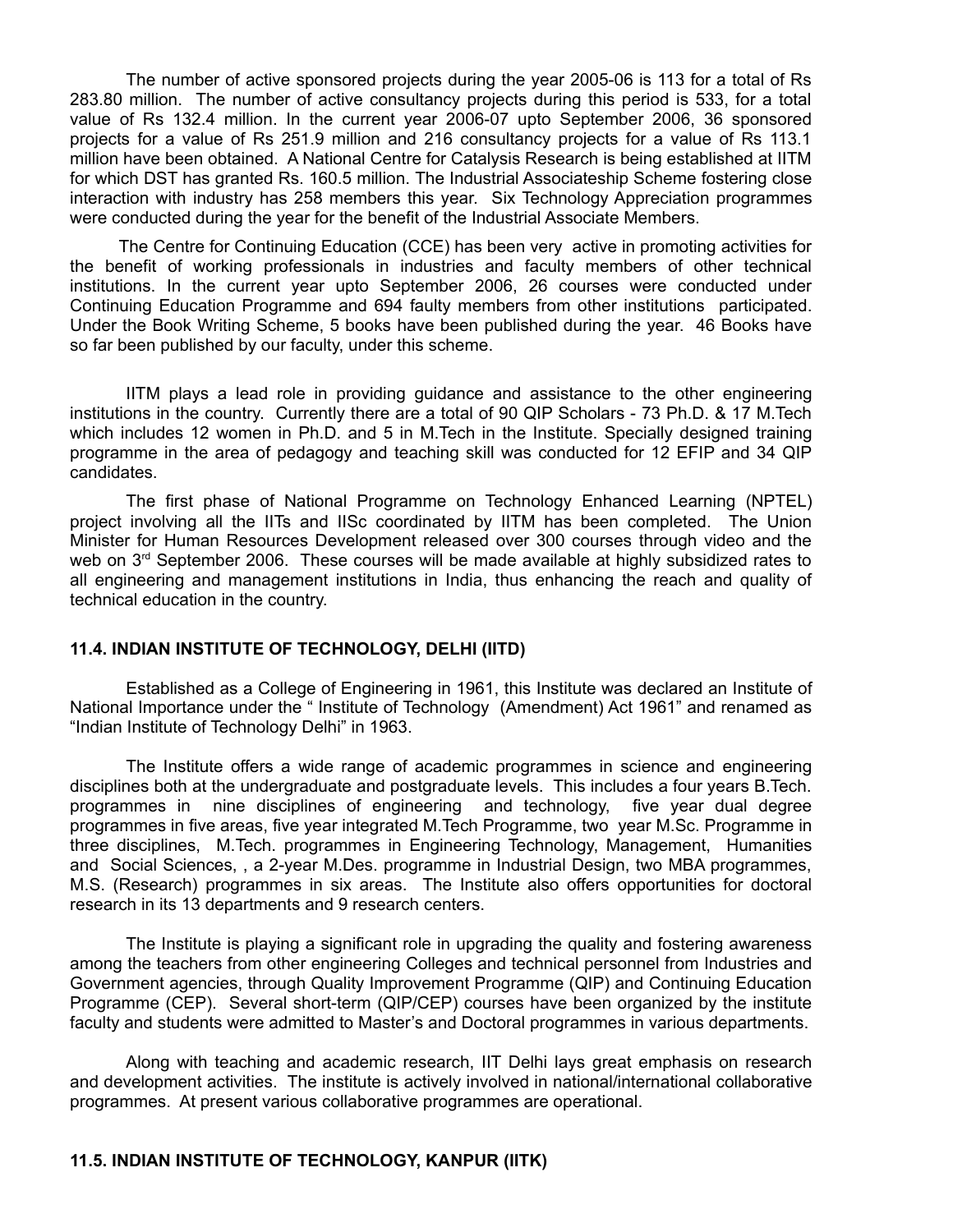The number of active sponsored projects during the year 2005-06 is 113 for a total of Rs 283.80 million. The number of active consultancy projects during this period is 533, for a total value of Rs 132.4 million. In the current year 2006-07 upto September 2006, 36 sponsored projects for a value of Rs 251.9 million and 216 consultancy projects for a value of Rs 113.1 million have been obtained. A National Centre for Catalysis Research is being established at IITM for which DST has granted Rs. 160.5 million. The Industrial Associateship Scheme fostering close interaction with industry has 258 members this year. Six Technology Appreciation programmes were conducted during the year for the benefit of the Industrial Associate Members.

The Centre for Continuing Education (CCE) has been very active in promoting activities for the benefit of working professionals in industries and faculty members of other technical institutions. In the current year upto September 2006, 26 courses were conducted under Continuing Education Programme and 694 faulty members from other institutions participated. Under the Book Writing Scheme, 5 books have been published during the year. 46 Books have so far been published by our faculty, under this scheme.

IITM plays a lead role in providing guidance and assistance to the other engineering institutions in the country. Currently there are a total of 90 QIP Scholars - 73 Ph.D. & 17 M.Tech which includes 12 women in Ph.D. and 5 in M.Tech in the Institute. Specially designed training programme in the area of pedagogy and teaching skill was conducted for 12 EFIP and 34 QIP candidates.

The first phase of National Programme on Technology Enhanced Learning (NPTEL) project involving all the IITs and IISc coordinated by IITM has been completed. The Union Minister for Human Resources Development released over 300 courses through video and the web on 3<sup>rd</sup> September 2006. These courses will be made available at highly subsidized rates to all engineering and management institutions in India, thus enhancing the reach and quality of technical education in the country.

#### **11.4. INDIAN INSTITUTE OF TECHNOLOGY, DELHI (IITD)**

Established as a College of Engineering in 1961, this Institute was declared an Institute of National Importance under the " Institute of Technology (Amendment) Act 1961" and renamed as "Indian Institute of Technology Delhi" in 1963.

The Institute offers a wide range of academic programmes in science and engineering disciplines both at the undergraduate and postgraduate levels. This includes a four years B.Tech. programmes in nine disciplines of engineering and technology, five year dual degree programmes in five areas, five year integrated M.Tech Programme, two year M.Sc. Programme in three disciplines, M.Tech. programmes in Engineering Technology, Management, Humanities and Social Sciences, , a 2-year M.Des. programme in Industrial Design, two MBA programmes, M.S. (Research) programmes in six areas. The Institute also offers opportunities for doctoral research in its 13 departments and 9 research centers.

The Institute is playing a significant role in upgrading the quality and fostering awareness among the teachers from other engineering Colleges and technical personnel from Industries and Government agencies, through Quality Improvement Programme (QIP) and Continuing Education Programme (CEP). Several short-term (QIP/CEP) courses have been organized by the institute faculty and students were admitted to Master's and Doctoral programmes in various departments.

Along with teaching and academic research, IIT Delhi lays great emphasis on research and development activities. The institute is actively involved in national/international collaborative programmes. At present various collaborative programmes are operational.

## **11.5. INDIAN INSTITUTE OF TECHNOLOGY, KANPUR (IITK)**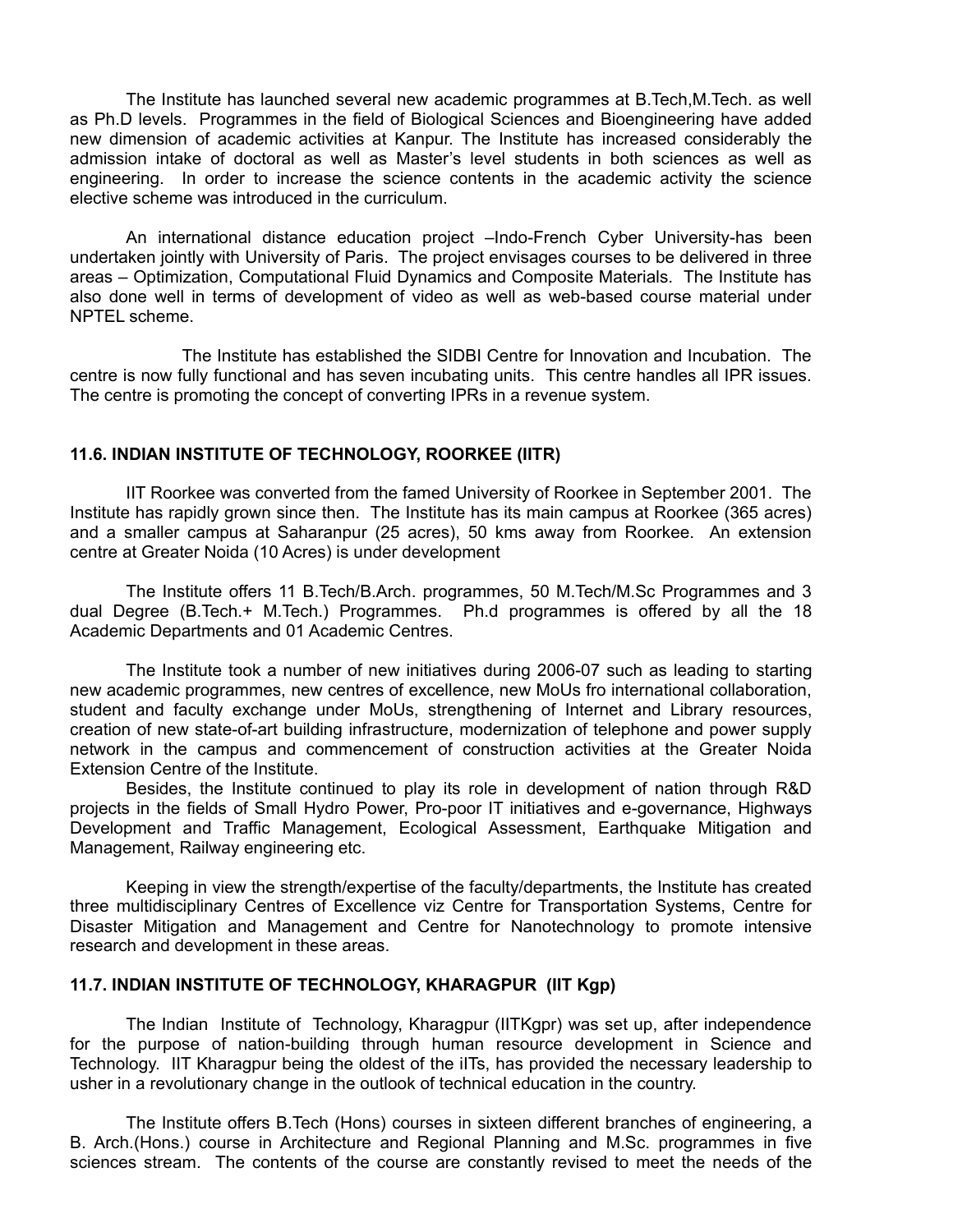The Institute has launched several new academic programmes at B.Tech,M.Tech. as well as Ph.D levels. Programmes in the field of Biological Sciences and Bioengineering have added new dimension of academic activities at Kanpur. The Institute has increased considerably the admission intake of doctoral as well as Master's level students in both sciences as well as engineering. In order to increase the science contents in the academic activity the science elective scheme was introduced in the curriculum.

An international distance education project –Indo-French Cyber University-has been undertaken jointly with University of Paris. The project envisages courses to be delivered in three areas – Optimization, Computational Fluid Dynamics and Composite Materials. The Institute has also done well in terms of development of video as well as web-based course material under NPTEL scheme.

The Institute has established the SIDBI Centre for Innovation and Incubation. The centre is now fully functional and has seven incubating units. This centre handles all IPR issues. The centre is promoting the concept of converting IPRs in a revenue system.

### **11.6. INDIAN INSTITUTE OF TECHNOLOGY, ROORKEE (IITR)**

IIT Roorkee was converted from the famed University of Roorkee in September 2001. The Institute has rapidly grown since then. The Institute has its main campus at Roorkee (365 acres) and a smaller campus at Saharanpur (25 acres), 50 kms away from Roorkee. An extension centre at Greater Noida (10 Acres) is under development

The Institute offers 11 B.Tech/B.Arch. programmes, 50 M.Tech/M.Sc Programmes and 3 dual Degree (B.Tech.+ M.Tech.) Programmes. Ph.d programmes is offered by all the 18 Academic Departments and 01 Academic Centres.

The Institute took a number of new initiatives during 2006-07 such as leading to starting new academic programmes, new centres of excellence, new MoUs fro international collaboration, student and faculty exchange under MoUs, strengthening of Internet and Library resources, creation of new state-of-art building infrastructure, modernization of telephone and power supply network in the campus and commencement of construction activities at the Greater Noida Extension Centre of the Institute.

Besides, the Institute continued to play its role in development of nation through R&D projects in the fields of Small Hydro Power, Pro-poor IT initiatives and e-governance, Highways Development and Traffic Management, Ecological Assessment, Earthquake Mitigation and Management, Railway engineering etc.

Keeping in view the strength/expertise of the faculty/departments, the Institute has created three multidisciplinary Centres of Excellence viz Centre for Transportation Systems, Centre for Disaster Mitigation and Management and Centre for Nanotechnology to promote intensive research and development in these areas.

#### **11.7. INDIAN INSTITUTE OF TECHNOLOGY, KHARAGPUR (IIT Kgp)**

The Indian Institute of Technology, Kharagpur (IITKgpr) was set up, after independence for the purpose of nation-building through human resource development in Science and Technology. IIT Kharagpur being the oldest of the iITs, has provided the necessary leadership to usher in a revolutionary change in the outlook of technical education in the country.

The Institute offers B.Tech (Hons) courses in sixteen different branches of engineering, a B. Arch.(Hons.) course in Architecture and Regional Planning and M.Sc. programmes in five sciences stream. The contents of the course are constantly revised to meet the needs of the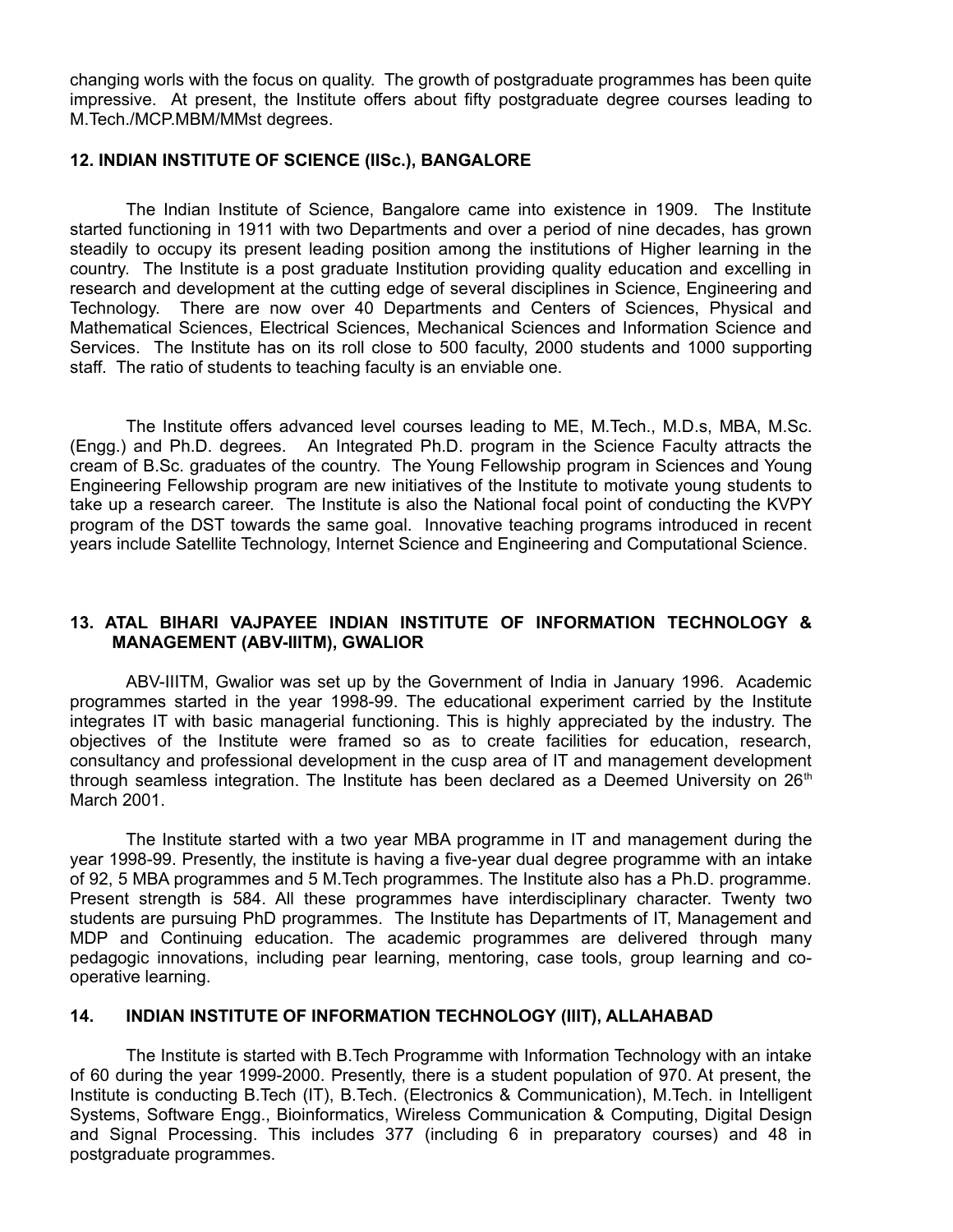changing worls with the focus on quality. The growth of postgraduate programmes has been quite impressive. At present, the Institute offers about fifty postgraduate degree courses leading to M.Tech./MCP.MBM/MMst degrees.

#### **12. INDIAN INSTITUTE OF SCIENCE (IISc.), BANGALORE**

The Indian Institute of Science, Bangalore came into existence in 1909. The Institute started functioning in 1911 with two Departments and over a period of nine decades, has grown steadily to occupy its present leading position among the institutions of Higher learning in the country. The Institute is a post graduate Institution providing quality education and excelling in research and development at the cutting edge of several disciplines in Science, Engineering and Technology. There are now over 40 Departments and Centers of Sciences, Physical and Mathematical Sciences, Electrical Sciences, Mechanical Sciences and Information Science and Services. The Institute has on its roll close to 500 faculty, 2000 students and 1000 supporting staff. The ratio of students to teaching faculty is an enviable one.

The Institute offers advanced level courses leading to ME, M.Tech., M.D.s, MBA, M.Sc. (Engg.) and Ph.D. degrees. An Integrated Ph.D. program in the Science Faculty attracts the cream of B.Sc. graduates of the country. The Young Fellowship program in Sciences and Young Engineering Fellowship program are new initiatives of the Institute to motivate young students to take up a research career. The Institute is also the National focal point of conducting the KVPY program of the DST towards the same goal. Innovative teaching programs introduced in recent years include Satellite Technology, Internet Science and Engineering and Computational Science.

### **13. ATAL BIHARI VAJPAYEE INDIAN INSTITUTE OF INFORMATION TECHNOLOGY & MANAGEMENT (ABV-IIITM), GWALIOR**

ABV-IIITM, Gwalior was set up by the Government of India in January 1996. Academic programmes started in the year 1998-99. The educational experiment carried by the Institute integrates IT with basic managerial functioning. This is highly appreciated by the industry. The objectives of the Institute were framed so as to create facilities for education, research, consultancy and professional development in the cusp area of IT and management development through seamless integration. The Institute has been declared as a Deemed University on 26<sup>th</sup> March 2001.

The Institute started with a two year MBA programme in IT and management during the year 1998-99. Presently, the institute is having a five-year dual degree programme with an intake of 92, 5 MBA programmes and 5 M.Tech programmes. The Institute also has a Ph.D. programme. Present strength is 584. All these programmes have interdisciplinary character. Twenty two students are pursuing PhD programmes. The Institute has Departments of IT, Management and MDP and Continuing education. The academic programmes are delivered through many pedagogic innovations, including pear learning, mentoring, case tools, group learning and cooperative learning.

#### **14. INDIAN INSTITUTE OF INFORMATION TECHNOLOGY (IIIT), ALLAHABAD**

The Institute is started with B.Tech Programme with Information Technology with an intake of 60 during the year 1999-2000. Presently, there is a student population of 970. At present, the Institute is conducting B.Tech (IT), B.Tech. (Electronics & Communication), M.Tech. in Intelligent Systems, Software Engg., Bioinformatics, Wireless Communication & Computing, Digital Design and Signal Processing. This includes 377 (including 6 in preparatory courses) and 48 in postgraduate programmes.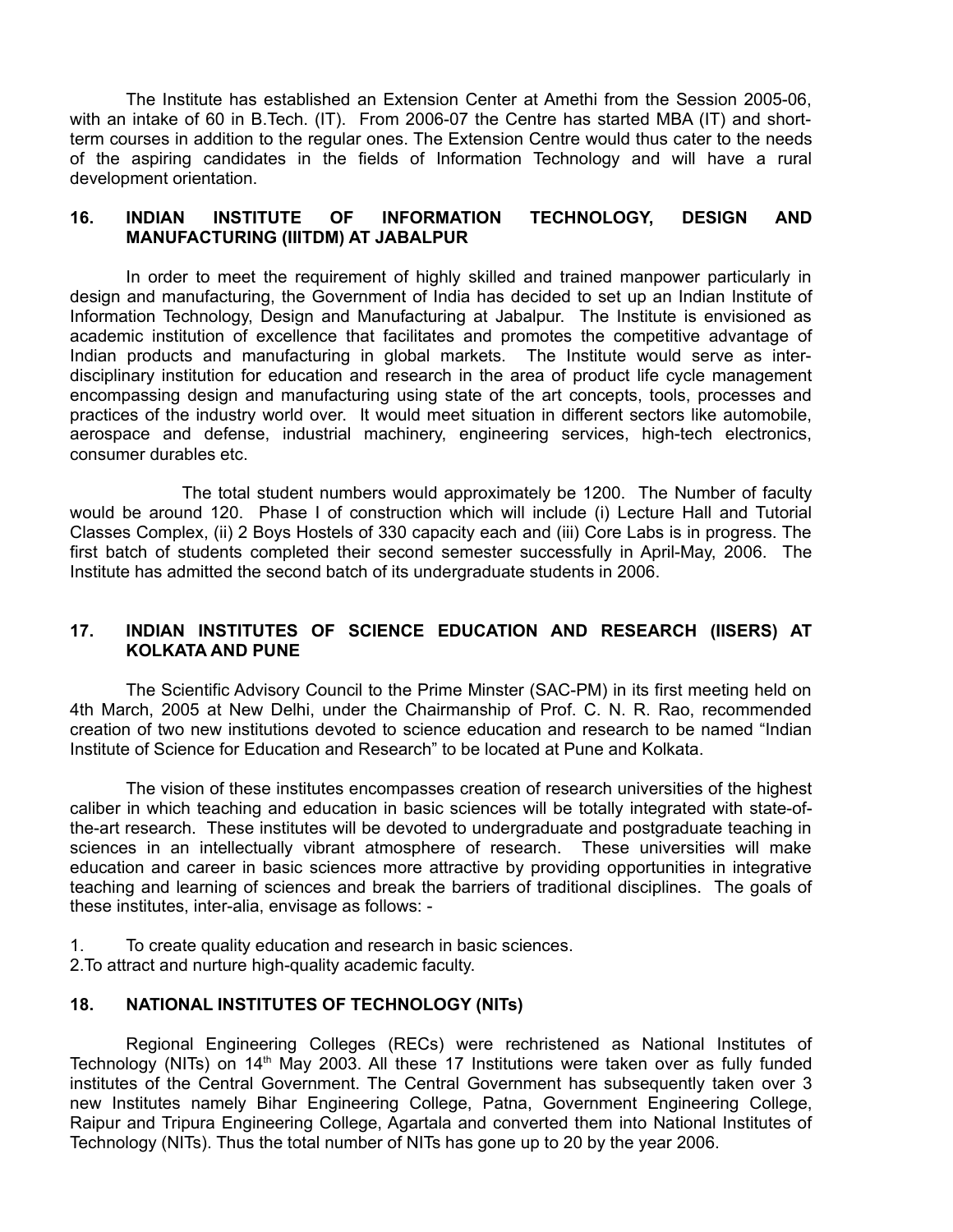The Institute has established an Extension Center at Amethi from the Session 2005-06, with an intake of 60 in B.Tech. (IT). From 2006-07 the Centre has started MBA (IT) and shortterm courses in addition to the regular ones. The Extension Centre would thus cater to the needs of the aspiring candidates in the fields of Information Technology and will have a rural development orientation.

#### **16. INDIAN INSTITUTE OF INFORMATION TECHNOLOGY, DESIGN AND MANUFACTURING (IIITDM) AT JABALPUR**

In order to meet the requirement of highly skilled and trained manpower particularly in design and manufacturing, the Government of India has decided to set up an Indian Institute of Information Technology, Design and Manufacturing at Jabalpur. The Institute is envisioned as academic institution of excellence that facilitates and promotes the competitive advantage of Indian products and manufacturing in global markets. The Institute would serve as interdisciplinary institution for education and research in the area of product life cycle management encompassing design and manufacturing using state of the art concepts, tools, processes and practices of the industry world over. It would meet situation in different sectors like automobile, aerospace and defense, industrial machinery, engineering services, high-tech electronics, consumer durables etc.

The total student numbers would approximately be 1200. The Number of faculty would be around 120. Phase I of construction which will include (i) Lecture Hall and Tutorial Classes Complex, (ii) 2 Boys Hostels of 330 capacity each and (iii) Core Labs is in progress. The first batch of students completed their second semester successfully in April-May, 2006. The Institute has admitted the second batch of its undergraduate students in 2006.

### **17. INDIAN INSTITUTES OF SCIENCE EDUCATION AND RESEARCH (IISERS) AT KOLKATA AND PUNE**

The Scientific Advisory Council to the Prime Minster (SAC-PM) in its first meeting held on 4th March, 2005 at New Delhi, under the Chairmanship of Prof. C. N. R. Rao, recommended creation of two new institutions devoted to science education and research to be named "Indian Institute of Science for Education and Research" to be located at Pune and Kolkata.

The vision of these institutes encompasses creation of research universities of the highest caliber in which teaching and education in basic sciences will be totally integrated with state-ofthe-art research. These institutes will be devoted to undergraduate and postgraduate teaching in sciences in an intellectually vibrant atmosphere of research. These universities will make education and career in basic sciences more attractive by providing opportunities in integrative teaching and learning of sciences and break the barriers of traditional disciplines. The goals of these institutes, inter-alia, envisage as follows: -

- 1. To create quality education and research in basic sciences. 2.To attract and nurture high-quality academic faculty.
- 

# **18. NATIONAL INSTITUTES OF TECHNOLOGY (NITs)**

Regional Engineering Colleges (RECs) were rechristened as National Institutes of Technology (NITs) on 14<sup>th</sup> May 2003. All these 17 Institutions were taken over as fully funded institutes of the Central Government. The Central Government has subsequently taken over 3 new Institutes namely Bihar Engineering College, Patna, Government Engineering College, Raipur and Tripura Engineering College, Agartala and converted them into National Institutes of Technology (NITs). Thus the total number of NITs has gone up to 20 by the year 2006.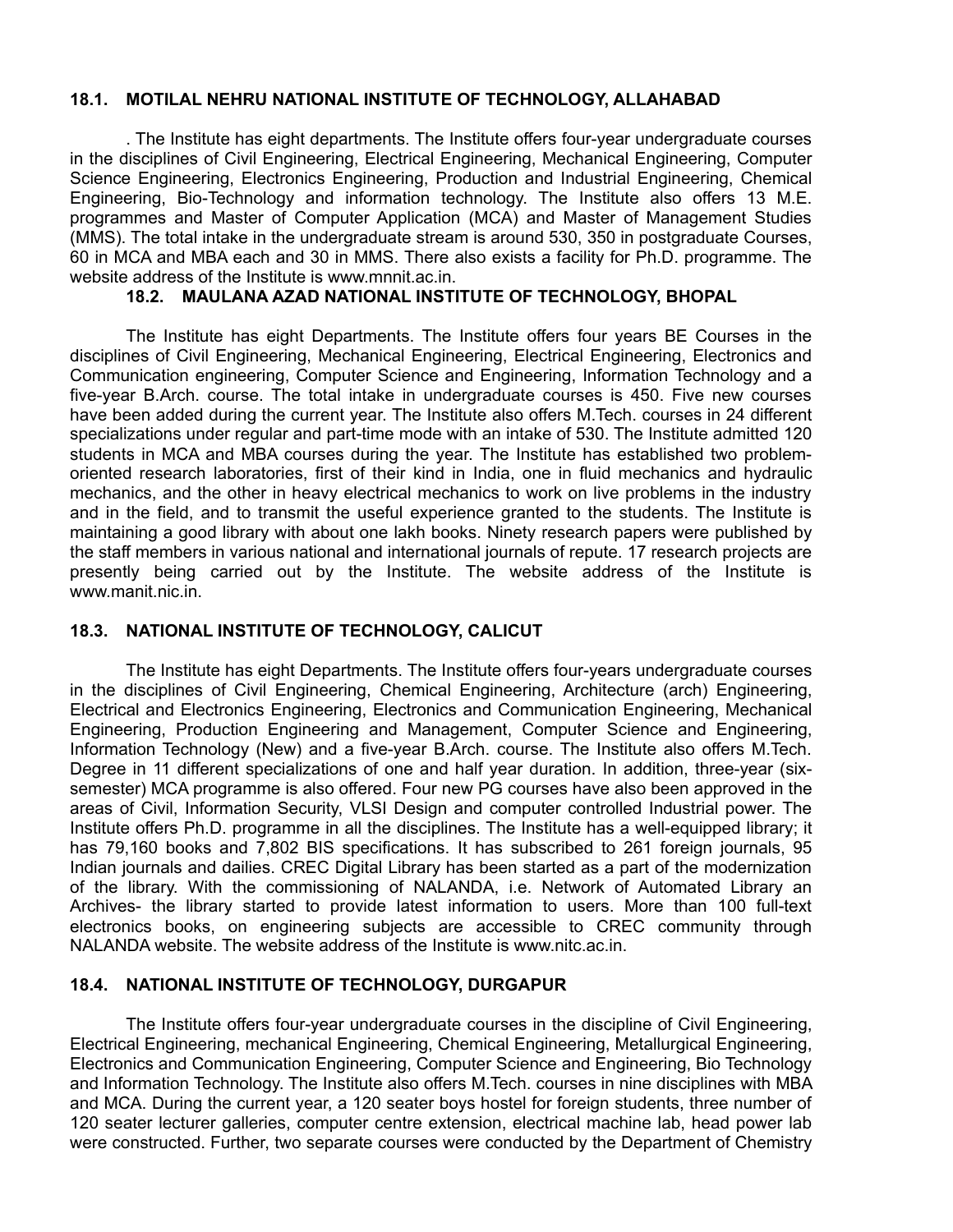#### **18.1. MOTILAL NEHRU NATIONAL INSTITUTE OF TECHNOLOGY, ALLAHABAD**

. The Institute has eight departments. The Institute offers four-year undergraduate courses in the disciplines of Civil Engineering, Electrical Engineering, Mechanical Engineering, Computer Science Engineering, Electronics Engineering, Production and Industrial Engineering, Chemical Engineering, Bio-Technology and information technology. The Institute also offers 13 M.E. programmes and Master of Computer Application (MCA) and Master of Management Studies (MMS). The total intake in the undergraduate stream is around 530, 350 in postgraduate Courses, 60 in MCA and MBA each and 30 in MMS. There also exists a facility for Ph.D. programme. The website address of the Institute is www.mnnit.ac.in.

### **18.2. MAULANA AZAD NATIONAL INSTITUTE OF TECHNOLOGY, BHOPAL**

The Institute has eight Departments. The Institute offers four years BE Courses in the disciplines of Civil Engineering, Mechanical Engineering, Electrical Engineering, Electronics and Communication engineering, Computer Science and Engineering, Information Technology and a five-year B.Arch. course. The total intake in undergraduate courses is 450. Five new courses have been added during the current year. The Institute also offers M.Tech. courses in 24 different specializations under regular and part-time mode with an intake of 530. The Institute admitted 120 students in MCA and MBA courses during the year. The Institute has established two problemoriented research laboratories, first of their kind in India, one in fluid mechanics and hydraulic mechanics, and the other in heavy electrical mechanics to work on live problems in the industry and in the field, and to transmit the useful experience granted to the students. The Institute is maintaining a good library with about one lakh books. Ninety research papers were published by the staff members in various national and international journals of repute. 17 research projects are presently being carried out by the Institute. The website address of the Institute is www.manit.nic.in.

## **18.3. NATIONAL INSTITUTE OF TECHNOLOGY, CALICUT**

The Institute has eight Departments. The Institute offers four-years undergraduate courses in the disciplines of Civil Engineering, Chemical Engineering, Architecture (arch) Engineering, Electrical and Electronics Engineering, Electronics and Communication Engineering, Mechanical Engineering, Production Engineering and Management, Computer Science and Engineering, Information Technology (New) and a five-year B.Arch. course. The Institute also offers M.Tech. Degree in 11 different specializations of one and half year duration. In addition, three-year (sixsemester) MCA programme is also offered. Four new PG courses have also been approved in the areas of Civil, Information Security, VLSI Design and computer controlled Industrial power. The Institute offers Ph.D. programme in all the disciplines. The Institute has a well-equipped library; it has 79,160 books and 7,802 BIS specifications. It has subscribed to 261 foreign journals, 95 Indian journals and dailies. CREC Digital Library has been started as a part of the modernization of the library. With the commissioning of NALANDA, i.e. Network of Automated Library an Archives- the library started to provide latest information to users. More than 100 full-text electronics books, on engineering subjects are accessible to CREC community through NALANDA website. The website address of the Institute is www.nitc.ac.in.

## **18.4. NATIONAL INSTITUTE OF TECHNOLOGY, DURGAPUR**

The Institute offers four-year undergraduate courses in the discipline of Civil Engineering, Electrical Engineering, mechanical Engineering, Chemical Engineering, Metallurgical Engineering, Electronics and Communication Engineering, Computer Science and Engineering, Bio Technology and Information Technology. The Institute also offers M.Tech. courses in nine disciplines with MBA and MCA. During the current year, a 120 seater boys hostel for foreign students, three number of 120 seater lecturer galleries, computer centre extension, electrical machine lab, head power lab were constructed. Further, two separate courses were conducted by the Department of Chemistry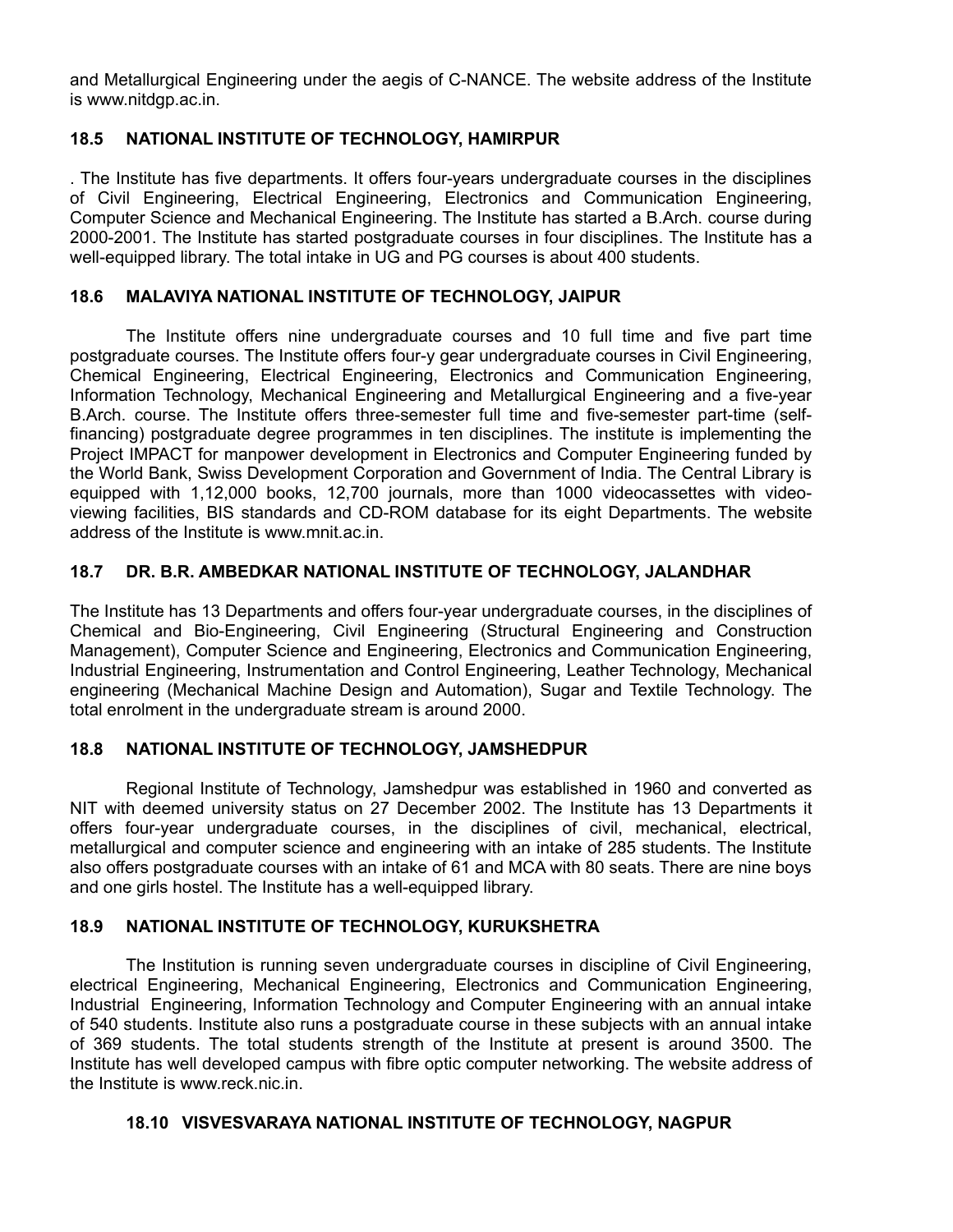and Metallurgical Engineering under the aegis of C-NANCE. The website address of the Institute is www.nitdgp.ac.in.

## **18.5 NATIONAL INSTITUTE OF TECHNOLOGY, HAMIRPUR**

. The Institute has five departments. It offers four-years undergraduate courses in the disciplines of Civil Engineering, Electrical Engineering, Electronics and Communication Engineering, Computer Science and Mechanical Engineering. The Institute has started a B.Arch. course during 2000-2001. The Institute has started postgraduate courses in four disciplines. The Institute has a well-equipped library. The total intake in UG and PG courses is about 400 students.

## **18.6 MALAVIYA NATIONAL INSTITUTE OF TECHNOLOGY, JAIPUR**

The Institute offers nine undergraduate courses and 10 full time and five part time postgraduate courses. The Institute offers four-y gear undergraduate courses in Civil Engineering, Chemical Engineering, Electrical Engineering, Electronics and Communication Engineering, Information Technology, Mechanical Engineering and Metallurgical Engineering and a five-year B.Arch. course. The Institute offers three-semester full time and five-semester part-time (selffinancing) postgraduate degree programmes in ten disciplines. The institute is implementing the Project IMPACT for manpower development in Electronics and Computer Engineering funded by the World Bank, Swiss Development Corporation and Government of India. The Central Library is equipped with 1,12,000 books, 12,700 journals, more than 1000 videocassettes with videoviewing facilities, BIS standards and CD-ROM database for its eight Departments. The website address of the Institute is www.mnit.ac.in.

## **18.7 DR. B.R. AMBEDKAR NATIONAL INSTITUTE OF TECHNOLOGY, JALANDHAR**

The Institute has 13 Departments and offers four-year undergraduate courses, in the disciplines of Chemical and Bio-Engineering, Civil Engineering (Structural Engineering and Construction Management), Computer Science and Engineering, Electronics and Communication Engineering, Industrial Engineering, Instrumentation and Control Engineering, Leather Technology, Mechanical engineering (Mechanical Machine Design and Automation), Sugar and Textile Technology. The total enrolment in the undergraduate stream is around 2000.

## **18.8 NATIONAL INSTITUTE OF TECHNOLOGY, JAMSHEDPUR**

Regional Institute of Technology, Jamshedpur was established in 1960 and converted as NIT with deemed university status on 27 December 2002. The Institute has 13 Departments it offers four-year undergraduate courses, in the disciplines of civil, mechanical, electrical, metallurgical and computer science and engineering with an intake of 285 students. The Institute also offers postgraduate courses with an intake of 61 and MCA with 80 seats. There are nine boys and one girls hostel. The Institute has a well-equipped library.

## **18.9 NATIONAL INSTITUTE OF TECHNOLOGY, KURUKSHETRA**

The Institution is running seven undergraduate courses in discipline of Civil Engineering, electrical Engineering, Mechanical Engineering, Electronics and Communication Engineering, Industrial Engineering, Information Technology and Computer Engineering with an annual intake of 540 students. Institute also runs a postgraduate course in these subjects with an annual intake of 369 students. The total students strength of the Institute at present is around 3500. The Institute has well developed campus with fibre optic computer networking. The website address of the Institute is www.reck.nic.in.

## **18.10 VISVESVARAYA NATIONAL INSTITUTE OF TECHNOLOGY, NAGPUR**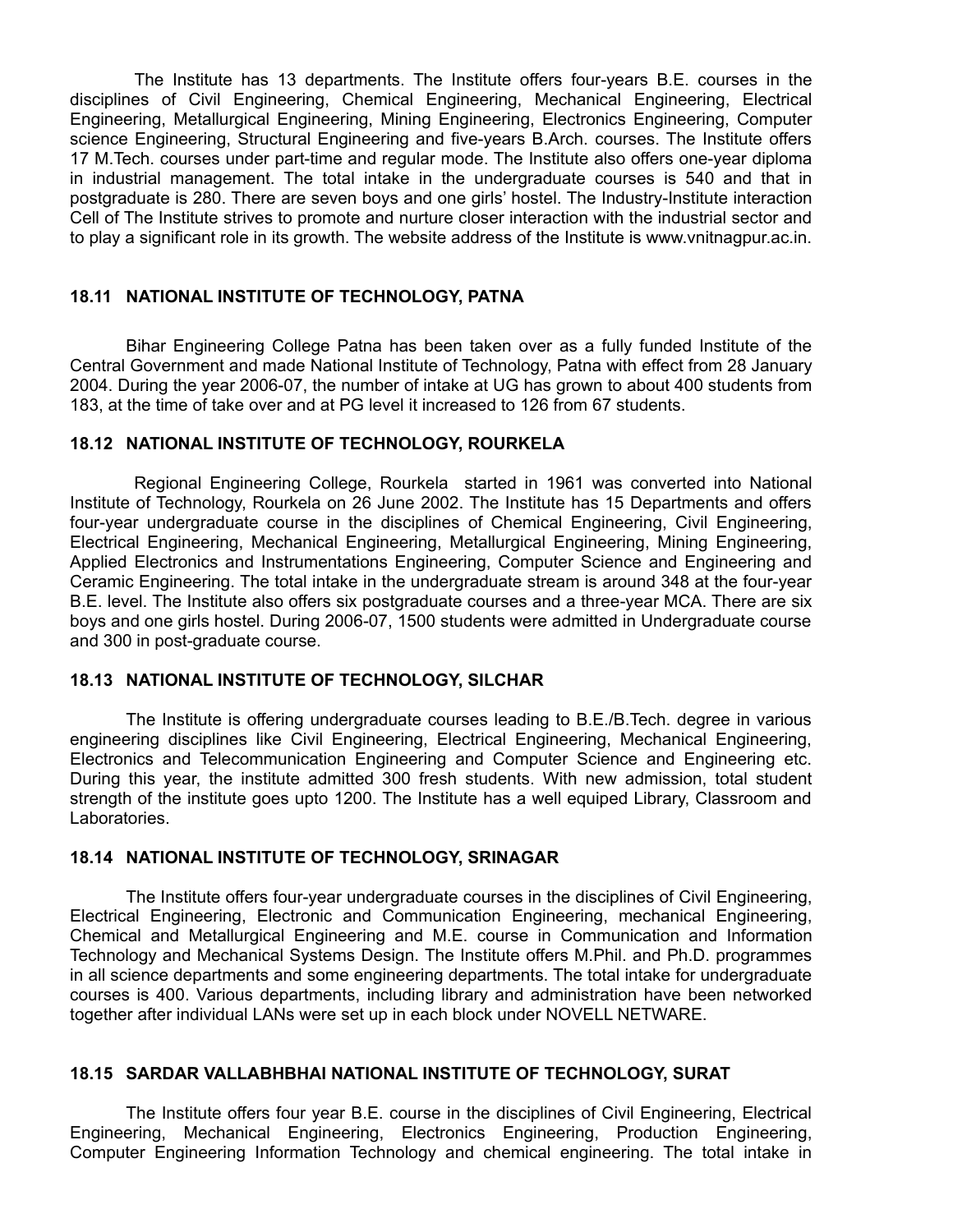The Institute has 13 departments. The Institute offers four-years B.E. courses in the disciplines of Civil Engineering, Chemical Engineering, Mechanical Engineering, Electrical Engineering, Metallurgical Engineering, Mining Engineering, Electronics Engineering, Computer science Engineering, Structural Engineering and five-years B.Arch. courses. The Institute offers 17 M.Tech. courses under part-time and regular mode. The Institute also offers one-year diploma in industrial management. The total intake in the undergraduate courses is 540 and that in postgraduate is 280. There are seven boys and one girls' hostel. The Industry-Institute interaction Cell of The Institute strives to promote and nurture closer interaction with the industrial sector and to play a significant role in its growth. The website address of the Institute is www.vnitnagpur.ac.in.

#### **18.11 NATIONAL INSTITUTE OF TECHNOLOGY, PATNA**

Bihar Engineering College Patna has been taken over as a fully funded Institute of the Central Government and made National Institute of Technology, Patna with effect from 28 January 2004. During the year 2006-07, the number of intake at UG has grown to about 400 students from 183, at the time of take over and at PG level it increased to 126 from 67 students.

#### **18.12 NATIONAL INSTITUTE OF TECHNOLOGY, ROURKELA**

Regional Engineering College, Rourkela started in 1961 was converted into National Institute of Technology, Rourkela on 26 June 2002. The Institute has 15 Departments and offers four-year undergraduate course in the disciplines of Chemical Engineering, Civil Engineering, Electrical Engineering, Mechanical Engineering, Metallurgical Engineering, Mining Engineering, Applied Electronics and Instrumentations Engineering, Computer Science and Engineering and Ceramic Engineering. The total intake in the undergraduate stream is around 348 at the four-year B.E. level. The Institute also offers six postgraduate courses and a three-year MCA. There are six boys and one girls hostel. During 2006-07, 1500 students were admitted in Undergraduate course and 300 in post-graduate course.

#### **18.13 NATIONAL INSTITUTE OF TECHNOLOGY, SILCHAR**

The Institute is offering undergraduate courses leading to B.E./B.Tech. degree in various engineering disciplines like Civil Engineering, Electrical Engineering, Mechanical Engineering, Electronics and Telecommunication Engineering and Computer Science and Engineering etc. During this year, the institute admitted 300 fresh students. With new admission, total student strength of the institute goes upto 1200. The Institute has a well equiped Library, Classroom and Laboratories.

### **18.14 NATIONAL INSTITUTE OF TECHNOLOGY, SRINAGAR**

The Institute offers four-year undergraduate courses in the disciplines of Civil Engineering, Electrical Engineering, Electronic and Communication Engineering, mechanical Engineering, Chemical and Metallurgical Engineering and M.E. course in Communication and Information Technology and Mechanical Systems Design. The Institute offers M.Phil. and Ph.D. programmes in all science departments and some engineering departments. The total intake for undergraduate courses is 400. Various departments, including library and administration have been networked together after individual LANs were set up in each block under NOVELL NETWARE.

#### **18.15 SARDAR VALLABHBHAI NATIONAL INSTITUTE OF TECHNOLOGY, SURAT**

The Institute offers four year B.E. course in the disciplines of Civil Engineering, Electrical Engineering, Mechanical Engineering, Electronics Engineering, Production Engineering, Computer Engineering Information Technology and chemical engineering. The total intake in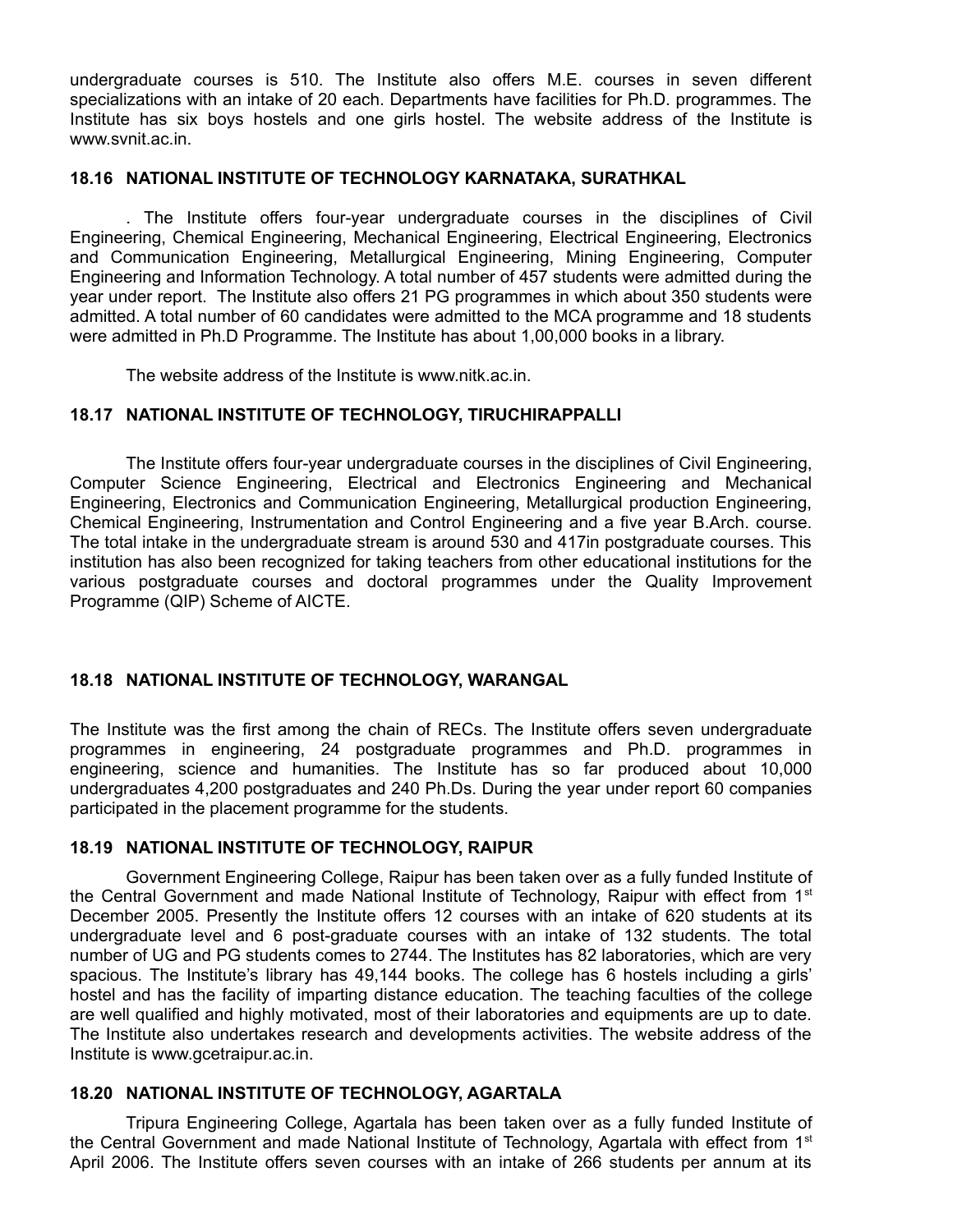undergraduate courses is 510. The Institute also offers M.E. courses in seven different specializations with an intake of 20 each. Departments have facilities for Ph.D. programmes. The Institute has six boys hostels and one girls hostel. The website address of the Institute is www.svnit.ac.in.

#### **18.16 NATIONAL INSTITUTE OF TECHNOLOGY KARNATAKA, SURATHKAL**

. The Institute offers four-year undergraduate courses in the disciplines of Civil Engineering, Chemical Engineering, Mechanical Engineering, Electrical Engineering, Electronics and Communication Engineering, Metallurgical Engineering, Mining Engineering, Computer Engineering and Information Technology. A total number of 457 students were admitted during the year under report. The Institute also offers 21 PG programmes in which about 350 students were admitted. A total number of 60 candidates were admitted to the MCA programme and 18 students were admitted in Ph.D Programme. The Institute has about 1,00,000 books in a library.

The website address of the Institute is www.nitk.ac.in.

## **18.17 NATIONAL INSTITUTE OF TECHNOLOGY, TIRUCHIRAPPALLI**

The Institute offers four-year undergraduate courses in the disciplines of Civil Engineering, Computer Science Engineering, Electrical and Electronics Engineering and Mechanical Engineering, Electronics and Communication Engineering, Metallurgical production Engineering, Chemical Engineering, Instrumentation and Control Engineering and a five year B.Arch. course. The total intake in the undergraduate stream is around 530 and 417in postgraduate courses. This institution has also been recognized for taking teachers from other educational institutions for the various postgraduate courses and doctoral programmes under the Quality Improvement Programme (QIP) Scheme of AICTE.

## **18.18 NATIONAL INSTITUTE OF TECHNOLOGY, WARANGAL**

The Institute was the first among the chain of RECs. The Institute offers seven undergraduate programmes in engineering, 24 postgraduate programmes and Ph.D. programmes in engineering, science and humanities. The Institute has so far produced about 10,000 undergraduates 4,200 postgraduates and 240 Ph.Ds. During the year under report 60 companies participated in the placement programme for the students.

## **18.19 NATIONAL INSTITUTE OF TECHNOLOGY, RAIPUR**

Government Engineering College, Raipur has been taken over as a fully funded Institute of the Central Government and made National Institute of Technology, Raipur with effect from 1<sup>st</sup> December 2005. Presently the Institute offers 12 courses with an intake of 620 students at its undergraduate level and 6 post-graduate courses with an intake of 132 students. The total number of UG and PG students comes to 2744. The Institutes has 82 laboratories, which are very spacious. The Institute's library has 49,144 books. The college has 6 hostels including a girls' hostel and has the facility of imparting distance education. The teaching faculties of the college are well qualified and highly motivated, most of their laboratories and equipments are up to date. The Institute also undertakes research and developments activities. The website address of the Institute is www.gcetraipur.ac.in.

## **18.20 NATIONAL INSTITUTE OF TECHNOLOGY, AGARTALA**

Tripura Engineering College, Agartala has been taken over as a fully funded Institute of the Central Government and made National Institute of Technology, Agartala with effect from 1<sup>st</sup> April 2006. The Institute offers seven courses with an intake of 266 students per annum at its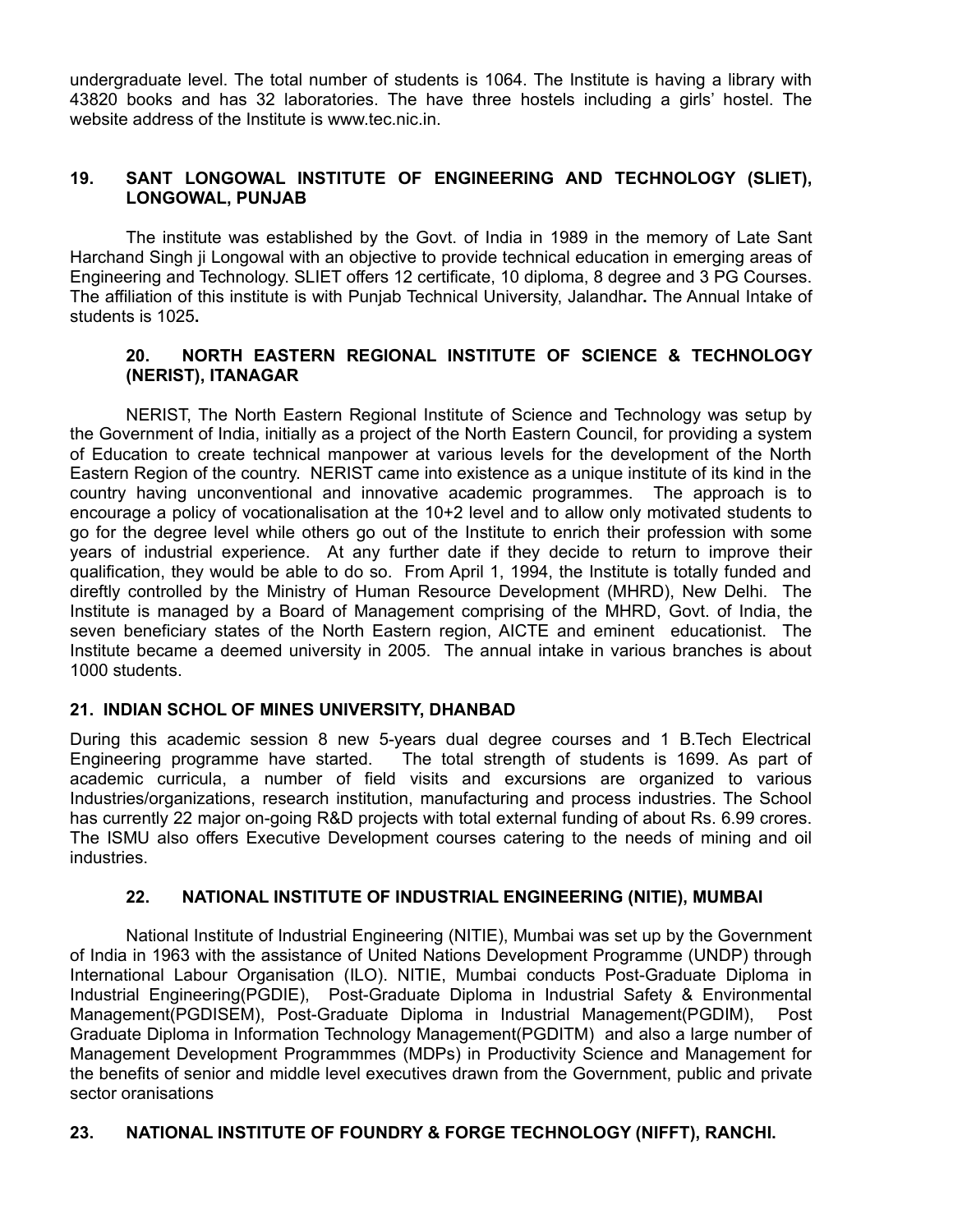undergraduate level. The total number of students is 1064. The Institute is having a library with 43820 books and has 32 laboratories. The have three hostels including a girls' hostel. The website address of the Institute is www.tec.nic.in.

## **19. SANT LONGOWAL INSTITUTE OF ENGINEERING AND TECHNOLOGY (SLIET), LONGOWAL, PUNJAB**

The institute was established by the Govt. of India in 1989 in the memory of Late Sant Harchand Singh ji Longowal with an objective to provide technical education in emerging areas of Engineering and Technology. SLIET offers 12 certificate, 10 diploma, 8 degree and 3 PG Courses. The affiliation of this institute is with Punjab Technical University, Jalandhar**.** The Annual Intake of students is 1025**.**

## **20. NORTH EASTERN REGIONAL INSTITUTE OF SCIENCE & TECHNOLOGY (NERIST), ITANAGAR**

NERIST, The North Eastern Regional Institute of Science and Technology was setup by the Government of India, initially as a project of the North Eastern Council, for providing a system of Education to create technical manpower at various levels for the development of the North Eastern Region of the country. NERIST came into existence as a unique institute of its kind in the country having unconventional and innovative academic programmes. The approach is to encourage a policy of vocationalisation at the 10+2 level and to allow only motivated students to go for the degree level while others go out of the Institute to enrich their profession with some years of industrial experience. At any further date if they decide to return to improve their qualification, they would be able to do so. From April 1, 1994, the Institute is totally funded and direftly controlled by the Ministry of Human Resource Development (MHRD), New Delhi. The Institute is managed by a Board of Management comprising of the MHRD, Govt. of India, the seven beneficiary states of the North Eastern region, AICTE and eminent educationist. The Institute became a deemed university in 2005. The annual intake in various branches is about 1000 students.

## **21. INDIAN SCHOL OF MINES UNIVERSITY, DHANBAD**

During this academic session 8 new 5-years dual degree courses and 1 B.Tech Electrical Engineering programme have started. The total strength of students is 1699. As part of academic curricula, a number of field visits and excursions are organized to various Industries/organizations, research institution, manufacturing and process industries. The School has currently 22 major on-going R&D projects with total external funding of about Rs. 6.99 crores. The ISMU also offers Executive Development courses catering to the needs of mining and oil industries.

#### **22. NATIONAL INSTITUTE OF INDUSTRIAL ENGINEERING (NITIE), MUMBAI**

National Institute of Industrial Engineering (NITIE), Mumbai was set up by the Government of India in 1963 with the assistance of United Nations Development Programme (UNDP) through International Labour Organisation (ILO). NITIE, Mumbai conducts Post-Graduate Diploma in Industrial Engineering(PGDIE), Post-Graduate Diploma in Industrial Safety & Environmental Management(PGDISEM), Post-Graduate Diploma in Industrial Management(PGDIM), Post Graduate Diploma in Information Technology Management(PGDITM) and also a large number of Management Development Programmmes (MDPs) in Productivity Science and Management for the benefits of senior and middle level executives drawn from the Government, public and private sector oranisations

#### **23. NATIONAL INSTITUTE OF FOUNDRY & FORGE TECHNOLOGY (NIFFT), RANCHI.**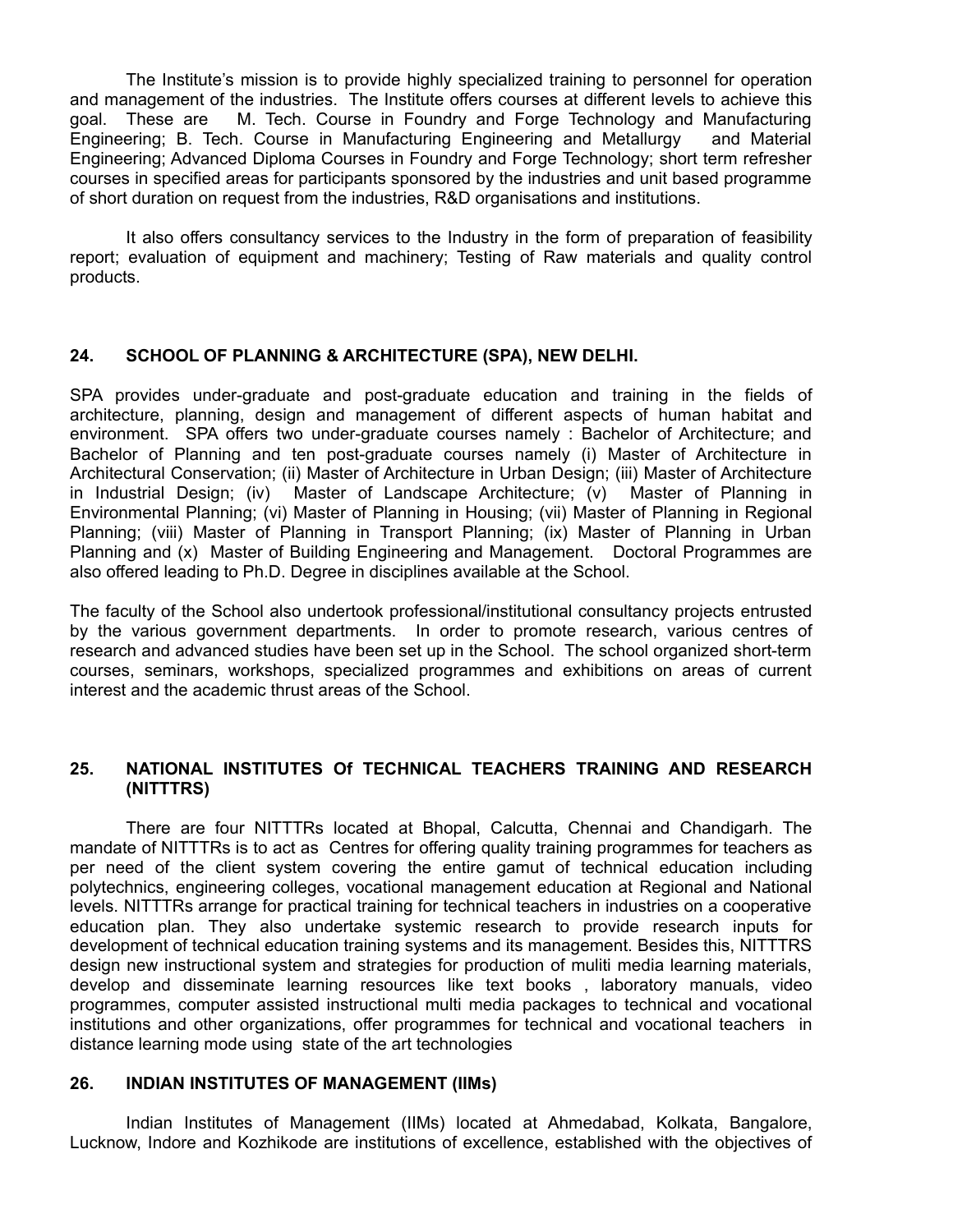The Institute's mission is to provide highly specialized training to personnel for operation and management of the industries. The Institute offers courses at different levels to achieve this goal. These are M. Tech. Course in Foundry and Forge Technology and Manufacturing Engineering; B. Tech. Course in Manufacturing Engineering and Metallurgy and Material Engineering; Advanced Diploma Courses in Foundry and Forge Technology; short term refresher courses in specified areas for participants sponsored by the industries and unit based programme of short duration on request from the industries, R&D organisations and institutions.

It also offers consultancy services to the Industry in the form of preparation of feasibility report; evaluation of equipment and machinery; Testing of Raw materials and quality control products.

### **24. SCHOOL OF PLANNING & ARCHITECTURE (SPA), NEW DELHI.**

SPA provides under-graduate and post-graduate education and training in the fields of architecture, planning, design and management of different aspects of human habitat and environment. SPA offers two under-graduate courses namely : Bachelor of Architecture; and Bachelor of Planning and ten post-graduate courses namely (i) Master of Architecture in Architectural Conservation; (ii) Master of Architecture in Urban Design; (iii) Master of Architecture in Industrial Design; (iv) Master of Landscape Architecture; (v) Master of Planning in Environmental Planning; (vi) Master of Planning in Housing; (vii) Master of Planning in Regional Planning; (viii) Master of Planning in Transport Planning; (ix) Master of Planning in Urban Planning and (x) Master of Building Engineering and Management. Doctoral Programmes are also offered leading to Ph.D. Degree in disciplines available at the School.

The faculty of the School also undertook professional/institutional consultancy projects entrusted by the various government departments. In order to promote research, various centres of research and advanced studies have been set up in the School. The school organized short-term courses, seminars, workshops, specialized programmes and exhibitions on areas of current interest and the academic thrust areas of the School.

### **25. NATIONAL INSTITUTES Of TECHNICAL TEACHERS TRAINING AND RESEARCH (NITTTRS)**

There are four NITTTRs located at Bhopal, Calcutta, Chennai and Chandigarh. The mandate of NITTTRs is to act as Centres for offering quality training programmes for teachers as per need of the client system covering the entire gamut of technical education including polytechnics, engineering colleges, vocational management education at Regional and National levels. NITTTRs arrange for practical training for technical teachers in industries on a cooperative education plan. They also undertake systemic research to provide research inputs for development of technical education training systems and its management. Besides this, NITTTRS design new instructional system and strategies for production of muliti media learning materials, develop and disseminate learning resources like text books , laboratory manuals, video programmes, computer assisted instructional multi media packages to technical and vocational institutions and other organizations, offer programmes for technical and vocational teachers in distance learning mode using state of the art technologies

#### **26. INDIAN INSTITUTES OF MANAGEMENT (IIMs)**

Indian Institutes of Management (IIMs) located at Ahmedabad, Kolkata, Bangalore, Lucknow, Indore and Kozhikode are institutions of excellence, established with the objectives of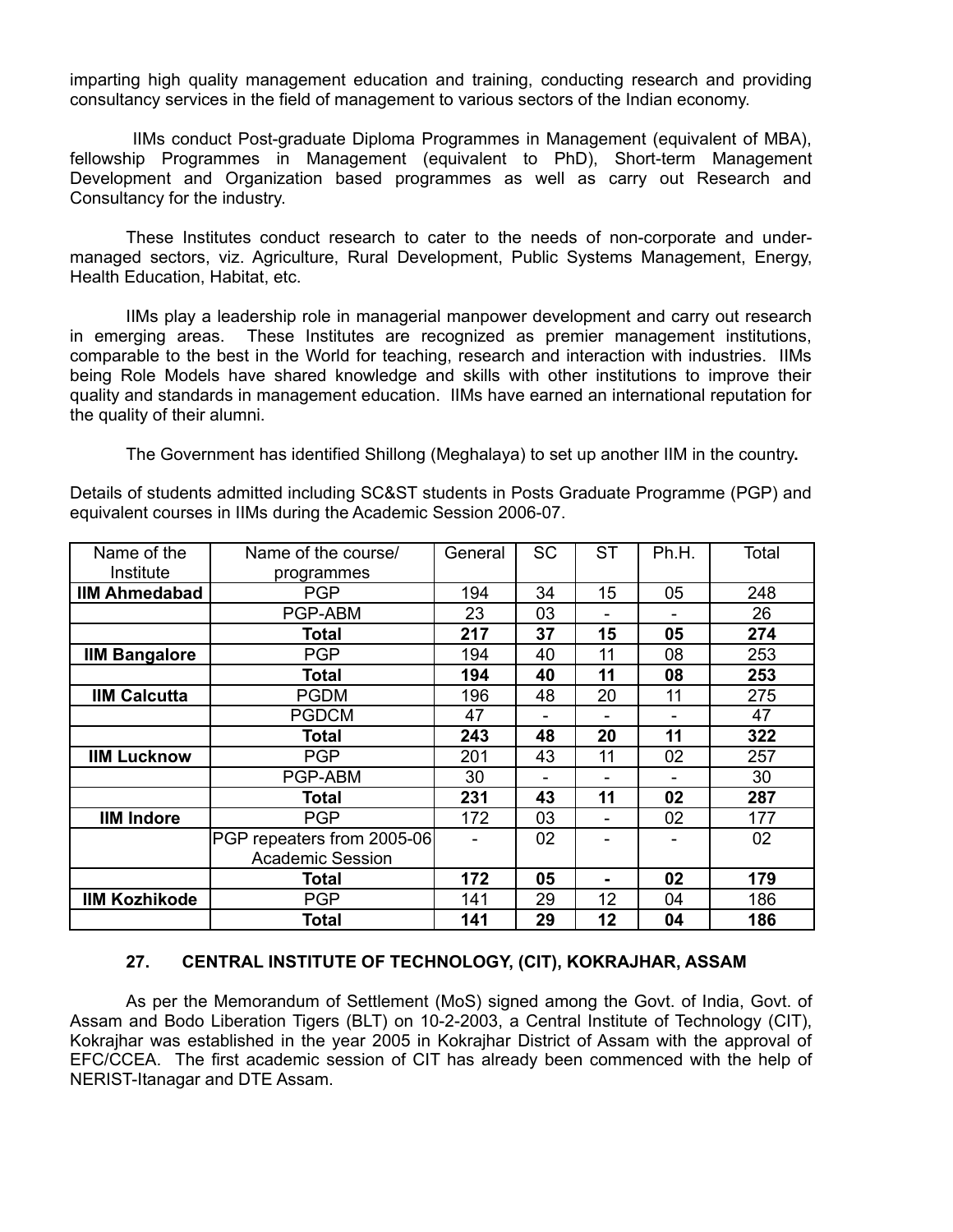imparting high quality management education and training, conducting research and providing consultancy services in the field of management to various sectors of the Indian economy.

IIMs conduct Post-graduate Diploma Programmes in Management (equivalent of MBA), fellowship Programmes in Management (equivalent to PhD), Short-term Management Development and Organization based programmes as well as carry out Research and Consultancy for the industry.

These Institutes conduct research to cater to the needs of non-corporate and undermanaged sectors, viz. Agriculture, Rural Development, Public Systems Management, Energy, Health Education, Habitat, etc.

IIMs play a leadership role in managerial manpower development and carry out research in emerging areas. These Institutes are recognized as premier management institutions, comparable to the best in the World for teaching, research and interaction with industries. IIMs being Role Models have shared knowledge and skills with other institutions to improve their quality and standards in management education. IIMs have earned an international reputation for the quality of their alumni.

The Government has identified Shillong (Meghalaya) to set up another IIM in the country**.**

Details of students admitted including SC&ST students in Posts Graduate Programme (PGP) and equivalent courses in IIMs during the Academic Session 2006-07.

| Name of the          | Name of the course/        | General | <b>SC</b> | <b>ST</b> | Ph.H. | Total |
|----------------------|----------------------------|---------|-----------|-----------|-------|-------|
| Institute            | programmes                 |         |           |           |       |       |
| <b>IIM Ahmedabad</b> | <b>PGP</b>                 | 194     | 34        | 15        | 05    | 248   |
|                      | PGP-ABM                    | 23      | 03        |           |       | 26    |
|                      | <b>Total</b>               | 217     | 37        | 15        | 05    | 274   |
| <b>IIM Bangalore</b> | <b>PGP</b>                 | 194     | 40        | 11        | 08    | 253   |
|                      | Total                      | 194     | 40        | 11        | 08    | 253   |
| <b>IIM Calcutta</b>  | <b>PGDM</b>                | 196     | 48        | 20        | 11    | 275   |
|                      | <b>PGDCM</b>               | 47      |           |           |       | 47    |
|                      | Total                      | 243     | 48        | 20        | 11    | 322   |
| <b>IIM Lucknow</b>   | <b>PGP</b>                 | 201     | 43        | 11        | 02    | 257   |
|                      | PGP-ABM                    | 30      |           |           |       | 30    |
|                      | <b>Total</b>               | 231     | 43        | 11        | 02    | 287   |
| <b>IIM Indore</b>    | <b>PGP</b>                 | 172     | 03        |           | 02    | 177   |
|                      | PGP repeaters from 2005-06 |         | 02        |           |       | 02    |
|                      | <b>Academic Session</b>    |         |           |           |       |       |
|                      | Total                      | 172     | 05        |           | 02    | 179   |
| <b>IIM Kozhikode</b> | <b>PGP</b>                 | 141     | 29        | 12        | 04    | 186   |
|                      | Total                      | 141     | 29        | 12        | 04    | 186   |

## **27. CENTRAL INSTITUTE OF TECHNOLOGY, (CIT), KOKRAJHAR, ASSAM**

As per the Memorandum of Settlement (MoS) signed among the Govt. of India, Govt. of Assam and Bodo Liberation Tigers (BLT) on 10-2-2003, a Central Institute of Technology (CIT), Kokrajhar was established in the year 2005 in Kokrajhar District of Assam with the approval of EFC/CCEA. The first academic session of CIT has already been commenced with the help of NERIST-Itanagar and DTE Assam.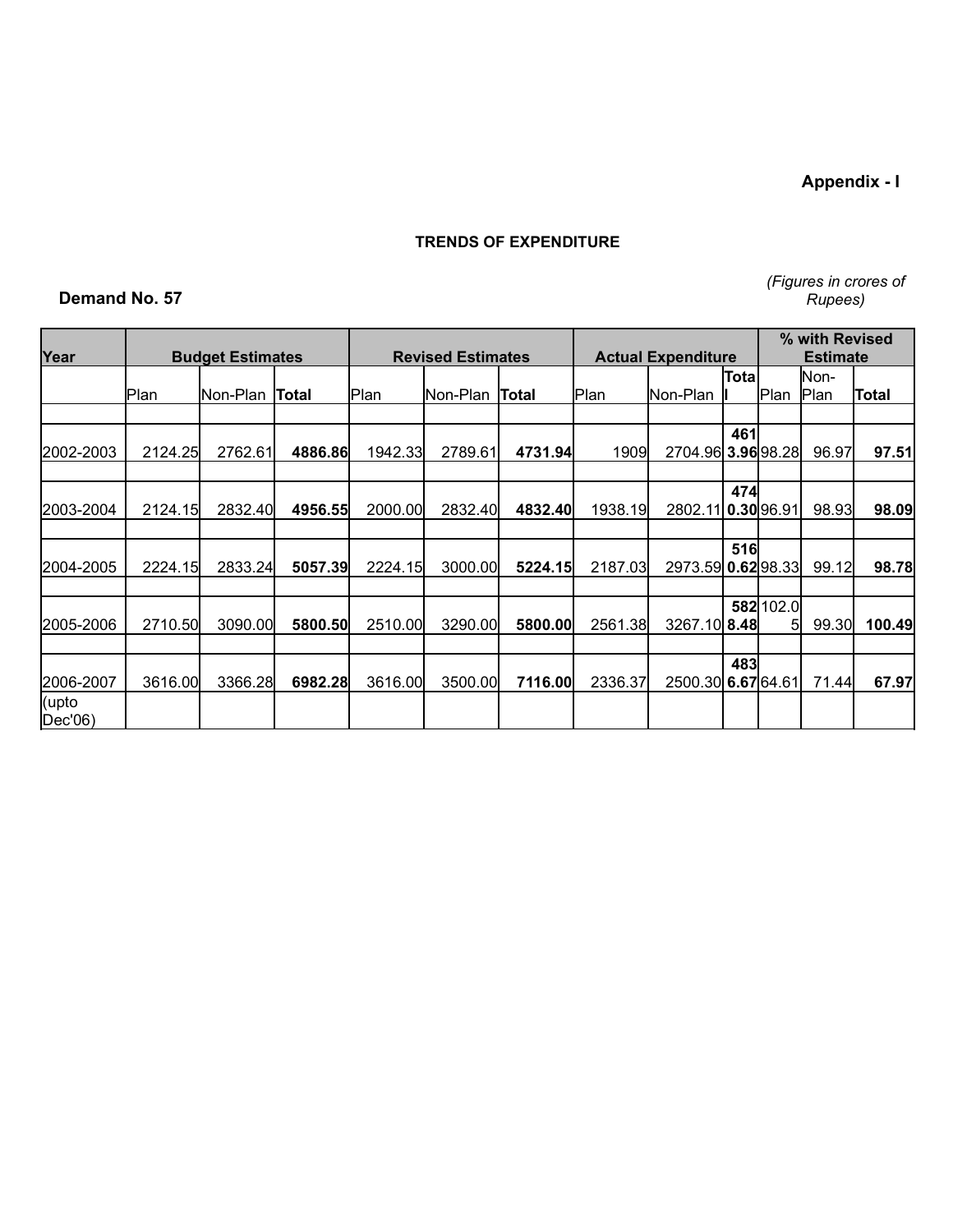**Appendix - I**

### **TRENDS OF EXPENDITURE**

## **Demand No. 57**

*(Figures in crores of Rupees)*

| Year             |         | <b>Budget Estimates</b> |         |         | <b>Revised Estimates</b> | <b>Actual Expenditure</b> | % with Revised<br><b>Estimate</b> |                    |       |                 |          |        |       |                     |       |
|------------------|---------|-------------------------|---------|---------|--------------------------|---------------------------|-----------------------------------|--------------------|-------|-----------------|----------|--------|-------|---------------------|-------|
|                  | lPlan   |                         |         |         | Non-Plan                 | Total                     | Plan                              | lNon-Plan          | Total | Plan            | Non-Plan | Tota   | lPlan | Non-<br><b>Plan</b> | Total |
|                  |         |                         |         |         |                          |                           |                                   |                    |       |                 |          |        |       |                     |       |
| 2002-2003        | 2124.25 | 2762.61                 | 4886.86 | 1942.33 | 2789.61                  | 4731.94                   | 1909                              | 2704.96 3.96 98.28 | 461   |                 | 96.97    | 97.51  |       |                     |       |
|                  |         |                         |         |         |                          |                           |                                   |                    |       |                 |          |        |       |                     |       |
| 2003-2004        | 2124.15 | 2832.40                 | 4956.55 | 2000.00 | 2832.40                  | 4832.40                   | 1938.19                           | 2802.11 0.30 96.91 | 474   |                 | 98.93    | 98.09  |       |                     |       |
|                  |         |                         |         |         |                          |                           |                                   |                    |       |                 |          |        |       |                     |       |
| 2004-2005        | 2224.15 | 2833.24                 | 5057.39 | 2224.15 | 3000.00                  | 5224.15                   | 2187.03                           | 2973.59 0.62 98.33 | 516   |                 | 99.12    | 98.78  |       |                     |       |
|                  |         |                         |         |         |                          |                           |                                   |                    |       |                 |          |        |       |                     |       |
| 2005-2006        | 2710.50 | 3090.00                 | 5800.50 | 2510.00 | 3290.00                  | 5800.00                   | 2561.38                           | 3267.10 8.48       |       | 582 102.0<br>51 | 99.30    | 100.49 |       |                     |       |
|                  |         |                         |         |         |                          |                           |                                   |                    |       |                 |          |        |       |                     |       |
| 2006-2007        | 3616.00 | 3366.28                 | 6982.28 | 3616.00 | 3500.00                  | 7116.00                   | 2336.37                           | 2500.30 6.67 64.61 | 483   |                 | 71.44    | 67.97  |       |                     |       |
| (upto<br>Dec'06) |         |                         |         |         |                          |                           |                                   |                    |       |                 |          |        |       |                     |       |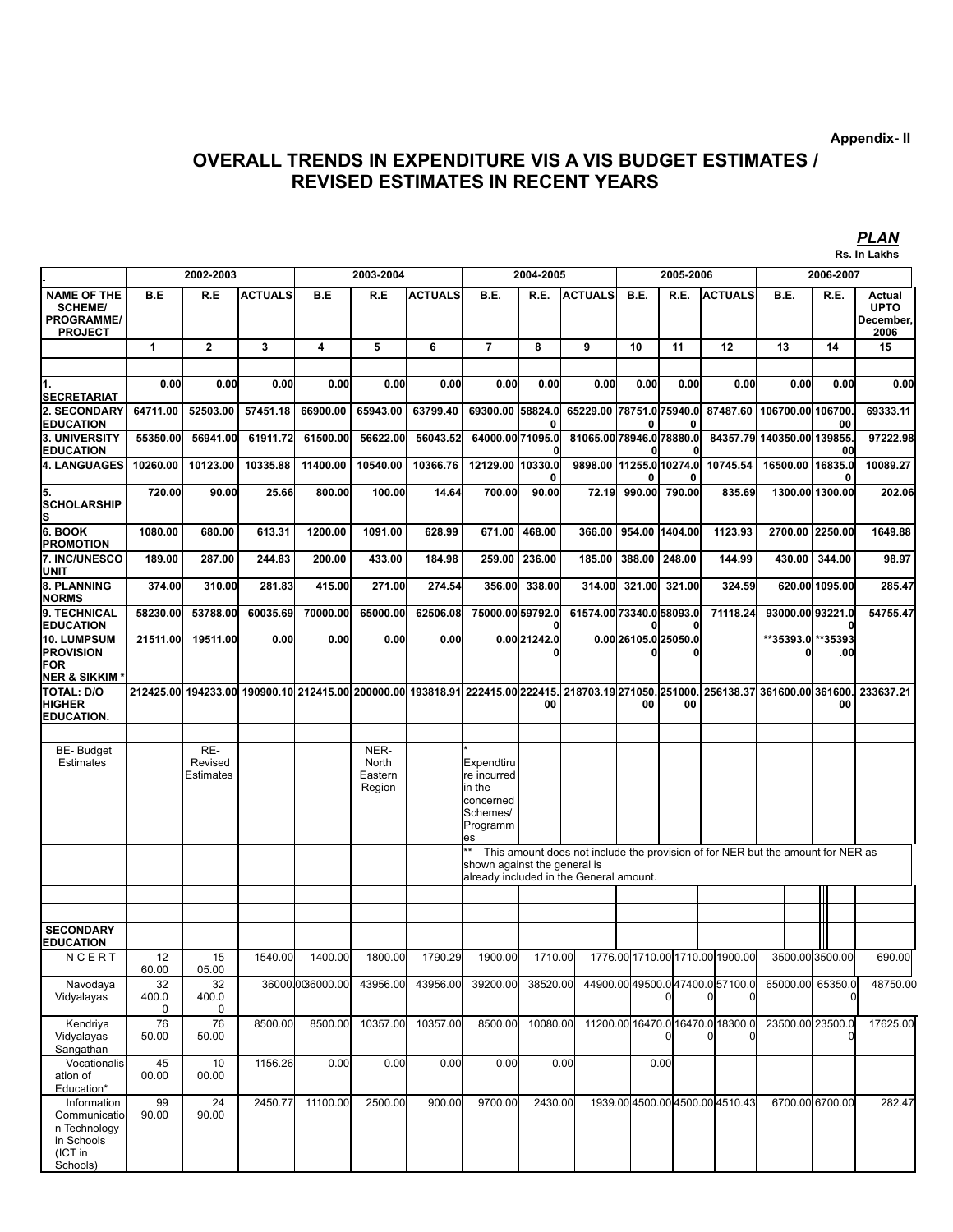*PLAN*

# **OVERALL TRENDS IN EXPENDITURE VIS A VIS BUDGET ESTIMATES / REVISED ESTIMATES IN RECENT YEARS**

|                                                                                  |                      |                             |                      |                      |                                    |                      |                                                                                |                                                                                                                                                            |                                                                                                                                               |                      |                          |                                  |                                                            |                | Rs. In Lakhs                               |  |
|----------------------------------------------------------------------------------|----------------------|-----------------------------|----------------------|----------------------|------------------------------------|----------------------|--------------------------------------------------------------------------------|------------------------------------------------------------------------------------------------------------------------------------------------------------|-----------------------------------------------------------------------------------------------------------------------------------------------|----------------------|--------------------------|----------------------------------|------------------------------------------------------------|----------------|--------------------------------------------|--|
|                                                                                  |                      | 2002-2003                   |                      |                      | 2003-2004                          |                      |                                                                                | 2004-2005                                                                                                                                                  |                                                                                                                                               | 2005-2006            |                          |                                  | 2006-2007                                                  |                |                                            |  |
| <b>NAME OF THE</b><br><b>SCHEME/</b><br><b>PROGRAMME/</b><br><b>PROJECT</b>      | B.E                  | R.E                         | <b>ACTUALS</b>       | B.E                  | R.E                                | <b>ACTUALS</b>       | B.E.                                                                           | R.E.                                                                                                                                                       | <b>ACTUALS</b>                                                                                                                                | B.E.                 | R.E.                     | <b>ACTUALS</b>                   | B.E.                                                       | R.E.           | Actual<br><b>UPTO</b><br>December,<br>2006 |  |
|                                                                                  | 1                    | $\overline{2}$              | 3                    | 4                    | 5                                  | 6                    | $\overline{7}$                                                                 | 8                                                                                                                                                          | 9                                                                                                                                             | 10                   | 11                       | 12                               | 13                                                         | 14             | 15                                         |  |
| 1.<br>SECRETARIAT                                                                | 0.00                 | 0.00                        | 0.00                 | 0.00                 | 0.00                               | 0.00                 | 0.00                                                                           | 0.00                                                                                                                                                       | 0.00                                                                                                                                          | 0.00                 | 0.00                     | 0.00                             | 0.00                                                       | 0.00           | 0.00                                       |  |
| <b>2. SECONDARY</b><br><b>EDUCATION</b><br><b>3. UNIVERSITY</b>                  | 64711.00<br>55350.00 | 52503.00<br>56941.00        | 57451.18<br>61911.72 | 66900.00<br>61500.00 | 65943.00<br>56622.00               | 63799.40<br>56043.52 | 69300.00 58824.0<br>64000.00 71095.0                                           |                                                                                                                                                            | 65229.00 78751.0 75940.0<br>81065.00 78946.0 78880.0                                                                                          |                      |                          |                                  | 87487.60   106700.00   106700<br>84357.79 140350.00 139855 | 00             | 69333.11<br>97222.98                       |  |
| <b>EDUCATION</b><br><b>4. LANGUAGES</b>                                          | 10260.00             | 10123.00                    | 10335.88             | 11400.00             | 10540.00                           | 10366.76             | 12129.00 10330.0                                                               |                                                                                                                                                            | 9898.00   11255.0   10274.0                                                                                                                   |                      |                          | 10745.54                         | 16500.00                                                   | 00<br>16835.0  | 10089.27                                   |  |
| 5.<br>SCHOLARSHIP                                                                | 720.00               | 90.00                       | 25.66                | 800.00               | 100.00                             | 14.64                | 700.00                                                                         | 0<br>90.00                                                                                                                                                 | 72.19                                                                                                                                         |                      | 990.00 790.00            | 835.69                           | 1300.00 1300.00                                            | 0              | 202.06                                     |  |
| s                                                                                |                      |                             |                      |                      |                                    |                      |                                                                                |                                                                                                                                                            |                                                                                                                                               |                      |                          |                                  |                                                            |                |                                            |  |
| 6. BOOK<br>PROMOTION<br><b>7. INC/UNESCO</b>                                     | 1080.00<br>189.00    | 680.00<br>287.00            | 613.31<br>244.83     | 1200.00<br>200.00    | 1091.00<br>433.00                  | 628.99<br>184.98     | 671.00<br>259.00                                                               | 468.00<br>236.00                                                                                                                                           | 366.00<br>185.00                                                                                                                              | 388.00               | 954.00 1404.00<br>248.00 | 1123.93<br>144.99                | 2700.00 2250.00<br>430.00                                  | 344.00         | 1649.88<br>98.97                           |  |
| UNIT<br>8. PLANNING                                                              | 374.00               | 310.00                      | 281.83               | 415.00               | 271.00                             | 274.54               | 356.00                                                                         | 338.00                                                                                                                                                     | 314.00                                                                                                                                        | 321.00               | 321.00                   | 324.59                           |                                                            | 620.00 1095.00 | 285.47                                     |  |
| NORMS<br>9. TECHNICAL<br>EDUCATION                                               | 58230.00             | 53788.00                    | 60035.69             | 70000.00             | 65000.00                           | 62506.08             | 75000.00 59792.0                                                               |                                                                                                                                                            | 61574.00 73340.0 58093.0                                                                                                                      |                      |                          | 71118.24                         | 93000.00 93221.0                                           | 0              | 54755.47                                   |  |
| <b>10. LUMPSUM</b><br>PROVISION<br>FOR<br>NER & SIKKIM <sup>:</sup>              | 21511.00             | 19511.00                    | 0.00                 | 0.00                 | 0.00                               | 0.00                 |                                                                                | 0.00 21242.0                                                                                                                                               |                                                                                                                                               | 0.00 26105.0 25050.0 |                          |                                  | **35393.0                                                  | **35393<br>.00 |                                            |  |
| TOTAL: D/O<br>HIGHER<br><b>EDUCATION.</b>                                        |                      |                             |                      |                      |                                    |                      |                                                                                | 00                                                                                                                                                         | 212425.00  194233.00  190900.10  212415.00  200000.00  193818.91  222415.00 222415.  218703.19 271050. 251000.  256138.37  361600.00  361600. | 00                   | 00                       |                                  |                                                            | 00             | 233637.21                                  |  |
| <b>BE-Budget</b><br><b>Estimates</b>                                             |                      | RE-<br>Revised<br>Estimates |                      |                      | NER-<br>North<br>Eastern<br>Region |                      | Expendtiru<br>re incurred<br>in the<br>concerned<br>Schemes/<br>Programm<br>es |                                                                                                                                                            |                                                                                                                                               |                      |                          |                                  |                                                            |                |                                            |  |
|                                                                                  |                      |                             |                      |                      |                                    |                      |                                                                                | This amount does not include the provision of for NER but the amount for NER as<br>shown against the general is<br>already included in the General amount. |                                                                                                                                               |                      |                          |                                  |                                                            |                |                                            |  |
|                                                                                  |                      |                             |                      |                      |                                    |                      |                                                                                |                                                                                                                                                            |                                                                                                                                               |                      |                          |                                  |                                                            |                |                                            |  |
| <b>SECONDARY</b><br><b>EDUCATION</b>                                             |                      |                             |                      |                      |                                    |                      |                                                                                |                                                                                                                                                            |                                                                                                                                               |                      |                          |                                  |                                                            |                |                                            |  |
| NCERT                                                                            | 12<br>60.00          | 15<br>05.00                 | 1540.00              | 1400.00              | 1800.00                            | 1790.29              | 1900.00                                                                        | 1710.00                                                                                                                                                    |                                                                                                                                               |                      |                          | 1776.00 1710.00 1710.00 1900.00  | 3500.00 3500.00                                            |                | 690.00                                     |  |
| Navodaya<br>Vidyalayas                                                           | 32<br>400.0<br>0     | 32<br>400.0<br>0            |                      | 360000006000.00      | 43956.00                           | 43956.00             | 39200.00                                                                       | 38520.00                                                                                                                                                   |                                                                                                                                               |                      |                          | 44900.0049500.047400.057100.0    | 65000.00 65350.0                                           |                | 48750.00                                   |  |
| Kendriya<br>Vidyalayas<br>Sangathan                                              | 76<br>50.00          | 76<br>50.00                 | 8500.00              | 8500.00              | 10357.00                           | 10357.00             | 8500.00                                                                        | 10080.00                                                                                                                                                   |                                                                                                                                               |                      |                          | 11200.00 16470.0 16470.0 18300.0 | 23500.00 23500.0                                           |                | 17625.00                                   |  |
| Vocationalis<br>ation of<br>Education*                                           | 45<br>00.00          | 10<br>00.00                 | 1156.26              | 0.00                 | 0.00                               | 0.00                 | 0.00                                                                           |                                                                                                                                                            | 0.00                                                                                                                                          |                      | 0.00                     |                                  |                                                            |                |                                            |  |
| Information<br>Communicatio<br>n Technology<br>in Schools<br>(ICT in<br>Schools) | 99<br>90.00          | 24<br>90.00                 | 2450.77              | 11100.00             | 2500.00                            | 900.00               | 9700.00                                                                        | 2430.00                                                                                                                                                    |                                                                                                                                               |                      |                          | 1939.00 4500.00 4500.00 4510.43  | 6700.00 6700.00                                            |                | 282.47                                     |  |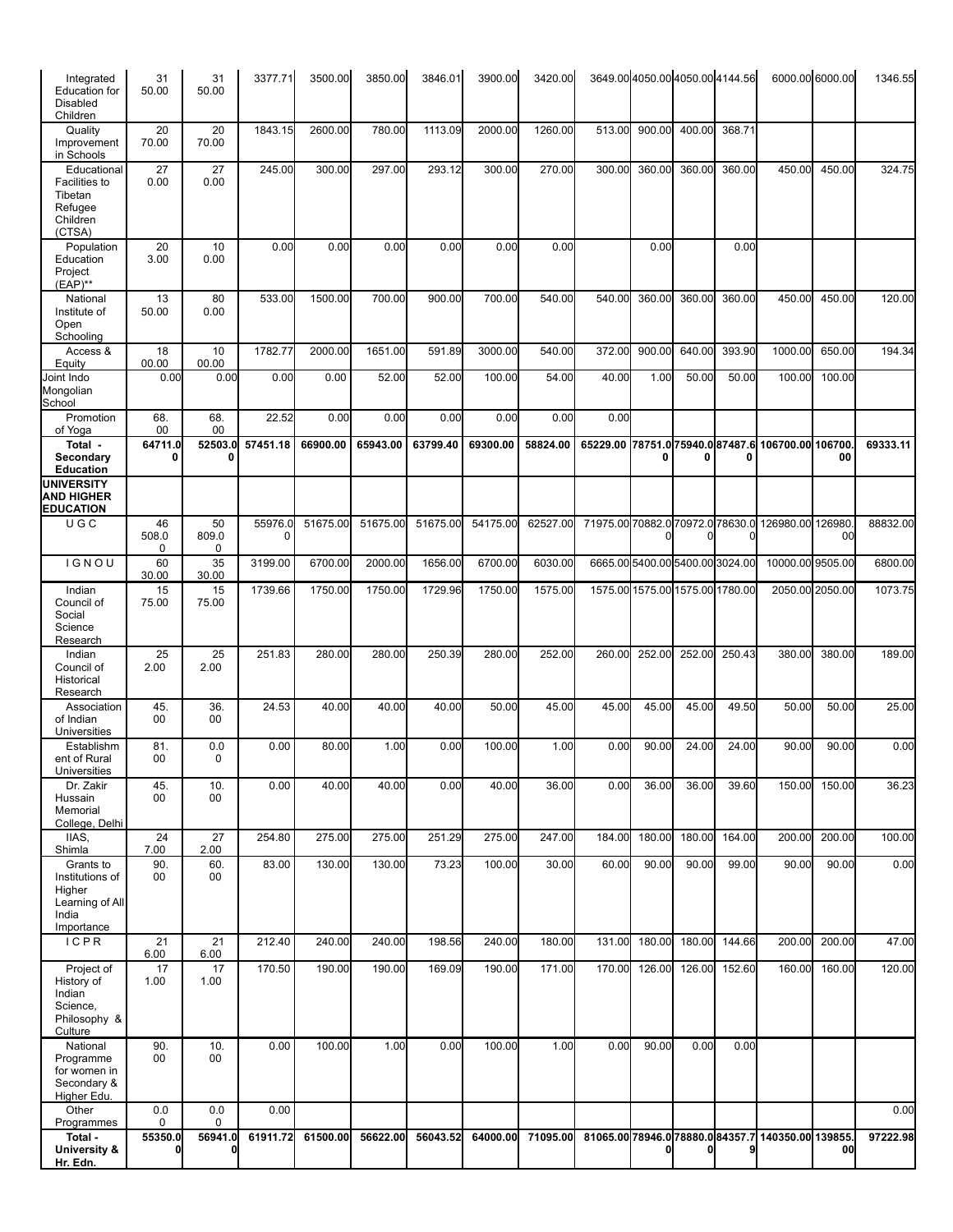| Integrated<br><b>Education</b> for<br>Disabled<br>Children                       | 31<br>50.00      | 31<br>50.00      | 3377.71      | 3500.00  | 3850.00  | 3846.01  | 3900.00  | 3420.00  |                                  |        |        | 3649.00 4050.00 4050.00 4144.56 |                   | 6000.00 6000.00 | 1346.55  |
|----------------------------------------------------------------------------------|------------------|------------------|--------------|----------|----------|----------|----------|----------|----------------------------------|--------|--------|---------------------------------|-------------------|-----------------|----------|
| Quality<br>Improvement<br>in Schools                                             | 20<br>70.00      | 20<br>70.00      | 1843.15      | 2600.00  | 780.00   | 1113.09  | 2000.00  | 1260.00  | 513.00                           | 900.00 | 400.00 | 368.71                          |                   |                 |          |
| Educational<br>Facilities to<br>Tibetan<br>Refugee<br>Children<br>(CTSA)         | 27<br>0.00       | 27<br>0.00       | 245.00       | 300.00   | 297.00   | 293.12   | 300.00   | 270.00   | 300.00                           | 360.00 | 360.00 | 360.00                          | 450.00            | 450.00          | 324.75   |
| Population<br>Education<br>Project<br>$(EAP)$ **                                 | 20<br>3.00       | 10<br>0.00       | 0.00         | 0.00     | 0.00     | 0.00     | 0.00     | 0.00     |                                  | 0.00   |        | 0.00                            |                   |                 |          |
| National<br>Institute of<br>Open<br>Schooling                                    | 13<br>50.00      | 80<br>0.00       | 533.00       | 1500.00  | 700.00   | 900.00   | 700.00   | 540.00   | 540.00                           | 360.00 | 360.00 | 360.00                          | 450.00            | 450.00          | 120.00   |
| Access &<br>Equity                                                               | 18<br>00.00      | 10<br>00.00      | 1782.77      | 2000.00  | 1651.00  | 591.89   | 3000.00  | 540.00   | 372.00                           | 900.00 | 640.00 | 393.90                          | 1000.00           | 650.00          | 194.34   |
| Joint Indo<br>Mongolian<br>School                                                | 0.00             | 0.00             | 0.00         | 0.00     | 52.00    | 52.00    | 100.00   | 54.00    | 40.00                            | 1.00   | 50.00  | 50.00                           | 100.00            | 100.00          |          |
| Promotion<br>of Yoga                                                             | 68.<br>00        | 68.<br>00        | 22.52        | 0.00     | 0.00     | 0.00     | 0.00     | 0.00     | 0.00                             |        |        |                                 |                   |                 |          |
| Total -<br>Secondary<br><b>Education</b>                                         | 64711.0<br>0     | 52503.0<br>0     | 57451.18     | 66900.00 | 65943.00 | 63799.40 | 69300.00 | 58824.00 | 65229.00                         | 0      | ŋ      | 78751.075940.087487.6<br>0      | 106700.00 106700  | 00              | 69333.11 |
| <b>UNIVERSITY</b><br><b>AND HIGHER</b><br><b>EDUCATION</b>                       |                  |                  |              |          |          |          |          |          |                                  |        |        |                                 |                   |                 |          |
| UGC                                                                              | 46<br>508.0<br>0 | 50<br>809.0<br>0 | 55976.0<br>0 | 51675.00 | 51675.00 | 51675.00 | 54175.00 | 62527.00 | 71975.00 70882.0 70972.0 78630.0 |        |        |                                 | 126980.00 126980  | 00              | 88832.00 |
| IGNOU                                                                            | 60<br>30.00      | 35<br>30.00      | 3199.00      | 6700.00  | 2000.00  | 1656.00  | 6700.00  | 6030.00  |                                  |        |        | 6665.005400.005400.003024.00    | 10000.00 9505.00  |                 | 6800.00  |
| Indian<br>Council of<br>Social<br>Science<br>Research                            | 15<br>75.00      | 15<br>75.00      | 1739.66      | 1750.00  | 1750.00  | 1729.96  | 1750.00  | 1575.00  |                                  |        |        | 1575.00 1575.00 1575.00 1780.00 | 2050.00 2050.00   |                 | 1073.75  |
| Indian<br>Council of<br>Historical<br>Research                                   | 25<br>2.00       | 25<br>2.00       | 251.83       | 280.00   | 280.00   | 250.39   | 280.00   | 252.00   | 260.00                           | 252.00 | 252.00 | 250.43                          | 380.00            | 380.00          | 189.00   |
| Association<br>of Indian<br><b>Universities</b>                                  | 45.<br>00        | 36.<br>00        | 24.53        | 40.00    | 40.00    | 40.00    | 50.00    | 45.00    | 45.00                            | 45.00  | 45.00  | 49.50                           | 50.00             | 50.00           | 25.00    |
| Establishm<br>ent of Rural<br><b>Universities</b>                                | 81.<br>00        | 0.0<br>0         | 0.00         | 80.00    | 1.00     | 0.00     | 100.00   | 1.00     | 0.00                             | 90.00  | 24.00  | 24.00                           | 90.00             | 90.00           | 0.00     |
| Dr. Zakir<br>Hussain<br>Memorial<br>College, Delhi                               | 45.<br>00        | 10.<br>00        | 0.00         | 40.00    | 40.00    | 0.00     | 40.00    | 36.00    | 0.00                             | 36.00  | 36.00  | 39.60                           | 150.00            | 150.00          | 36.23    |
| IIAS,<br>Shimla                                                                  | 24<br>7.00       | 27<br>2.00       | 254.80       | 275.00   | 275.00   | 251.29   | 275.00   | 247.00   | 184.00                           | 180.00 | 180.00 | 164.00                          | 200.00            | 200.00          | 100.00   |
| Grants to<br>Institutions of<br>Higher<br>Learning of All<br>India<br>Importance | 90.<br>00        | 60.<br>00        | 83.00        | 130.00   | 130.00   | 73.23    | 100.00   | 30.00    | 60.00                            | 90.00  | 90.00  | 99.00                           | 90.00             | 90.00           | 0.00     |
| ICPR                                                                             | 21<br>6.00       | 21<br>6.00       | 212.40       | 240.00   | 240.00   | 198.56   | 240.00   | 180.00   | 131.00                           | 180.00 | 180.00 | 144.66                          | 200.00            | 200.00          | 47.00    |
| Project of<br>History of<br>Indian<br>Science,<br>Philosophy &<br>Culture        | 17<br>1.00       | 17<br>1.00       | 170.50       | 190.00   | 190.00   | 169.09   | 190.00   | 171.00   | 170.00                           | 126.00 | 126.00 | 152.60                          | 160.00            | 160.00          | 120.00   |
| National<br>Programme<br>for women in<br>Secondary &<br>Higher Edu.              | 90.<br>00        | 10.<br>00        | 0.00         | 100.00   | 1.00     | 0.00     | 100.00   | 1.00     | 0.00                             | 90.00  | 0.00   | 0.00                            |                   |                 |          |
| Other<br>Programmes                                                              | 0.0<br>0         | 0.0<br>0         | 0.00         |          |          |          |          |          |                                  |        |        |                                 |                   |                 | 0.00     |
| Total -<br>University &<br>Hr. Edn.                                              | 55350.0<br>0     | 56941.0          | 61911.72     | 61500.00 | 56622.00 | 56043.52 | 64000.00 | 71095.00 | 81065.00 78946.0 78880.0 84357.7 |        |        | 9                               | 140350.00 139855. | 00              | 97222.98 |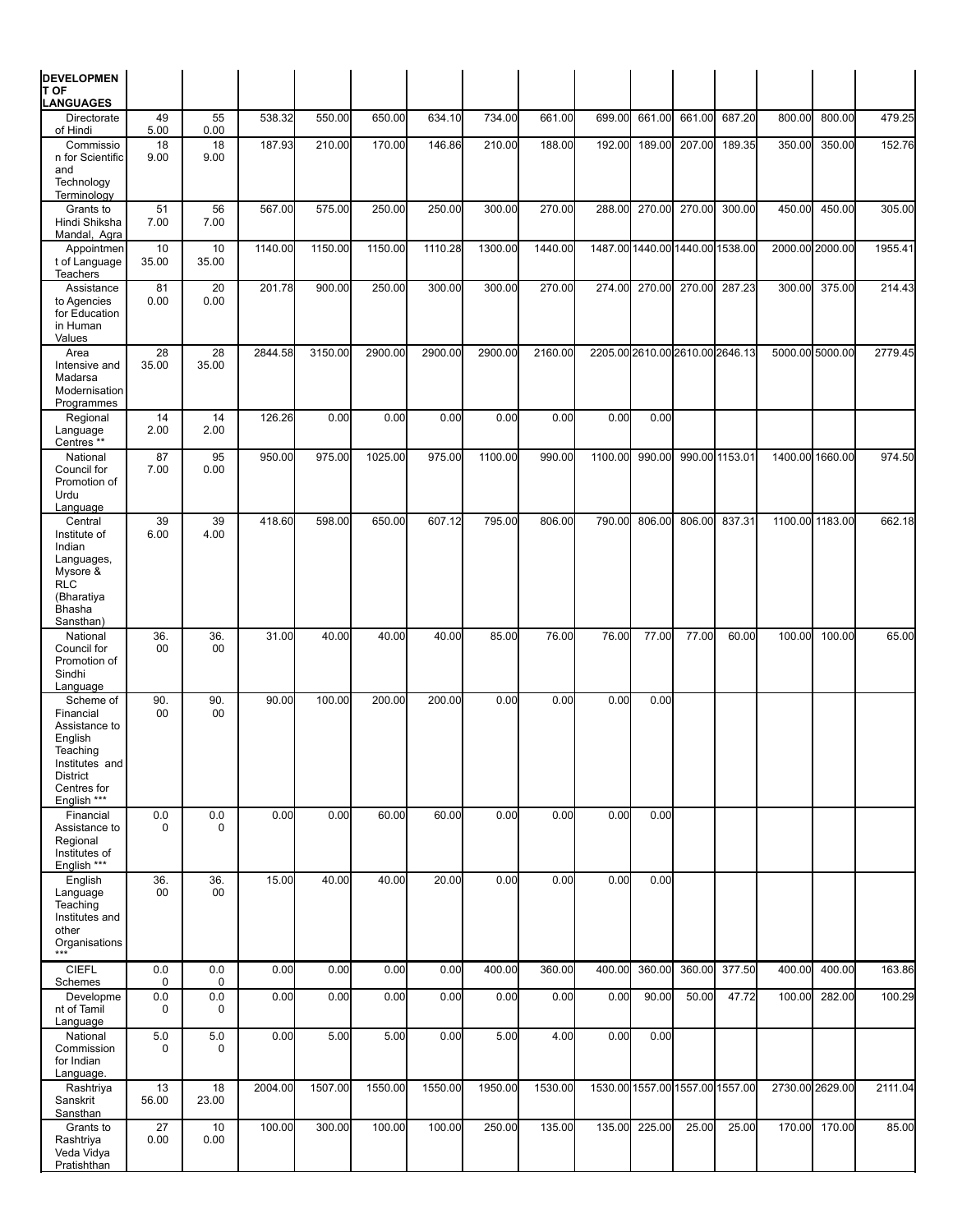| <b>DEVELOPMEN</b><br>T OF                                                                                                         |                    |                    |         |         |         |         |         |         |         |                                 |        |                |        |                 |         |
|-----------------------------------------------------------------------------------------------------------------------------------|--------------------|--------------------|---------|---------|---------|---------|---------|---------|---------|---------------------------------|--------|----------------|--------|-----------------|---------|
| <b>LANGUAGES</b><br>Directorate                                                                                                   | 49                 | 55                 | 538.32  | 550.00  | 650.00  | 634.10  | 734.00  | 661.00  | 699.00  | 661.00                          | 661.00 | 687.20         | 800.00 | 800.00          | 479.25  |
| of Hindi<br>Commissio<br>n for Scientific<br>and<br>Technology<br>Terminology                                                     | 5.00<br>18<br>9.00 | 0.00<br>18<br>9.00 | 187.93  | 210.00  | 170.00  | 146.86  | 210.00  | 188.00  | 192.00  | 189.00                          | 207.00 | 189.35         | 350.00 | 350.00          | 152.76  |
| Grants to<br>Hindi Shiksha<br>Mandal, Agra                                                                                        | 51<br>7.00         | 56<br>7.00         | 567.00  | 575.00  | 250.00  | 250.00  | 300.00  | 270.00  | 288.00  | 270.00                          | 270.00 | 300.00         | 450.00 | 450.00          | 305.00  |
| Appointmen<br>t of Language<br>Teachers                                                                                           | 10<br>35.00        | 10<br>35.00        | 1140.00 | 1150.00 | 1150.00 | 1110.28 | 1300.00 | 1440.00 |         | 1487.00 1440.00 1440.00 1538.00 |        |                |        | 2000.00 2000.00 | 1955.41 |
| Assistance<br>to Agencies<br>for Education<br>in Human<br>Values                                                                  | 81<br>0.00         | 20<br>0.00         | 201.78  | 900.00  | 250.00  | 300.00  | 300.00  | 270.00  | 274.00  | 270.00                          | 270.00 | 287.23         | 300.00 | 375.00          | 214.43  |
| Area<br>Intensive and<br>Madarsa<br>Modernisation<br>Programmes                                                                   | 28<br>35.00        | 28<br>35.00        | 2844.58 | 3150.00 | 2900.00 | 2900.00 | 2900.00 | 2160.00 |         | 2205.00 2610.00 2610.00 2646.13 |        |                |        | 5000.00 5000.00 | 2779.45 |
| Regional<br>Language<br>Centres <sup>**</sup>                                                                                     | 14<br>2.00         | 14<br>2.00         | 126.26  | 0.00    | 0.00    | 0.00    | 0.00    | 0.00    | 0.00    | 0.00                            |        |                |        |                 |         |
| National<br>Council for<br>Promotion of<br>Urdu<br>Language                                                                       | 87<br>7.00         | 95<br>0.00         | 950.00  | 975.00  | 1025.00 | 975.00  | 1100.00 | 990.00  | 1100.00 | 990.00                          |        | 990.00 1153.01 |        | 1400.00 1660.00 | 974.50  |
| Central<br>Institute of<br>Indian<br>Languages,<br>Mysore &<br><b>RLC</b><br>(Bharatiya<br>Bhasha                                 | 39<br>6.00         | 39<br>4.00         | 418.60  | 598.00  | 650.00  | 607.12  | 795.00  | 806.00  | 790.00  | 806.00                          | 806.00 | 837.31         |        | 1100.00 1183.00 | 662.18  |
| Sansthan)<br>National<br>Council for<br>Promotion of<br>Sindhi<br>Language                                                        | 36.<br>00          | 36.<br>00          | 31.00   | 40.00   | 40.00   | 40.00   | 85.00   | 76.00   | 76.00   | 77.00                           | 77.00  | 60.00          | 100.00 | 100.00          | 65.00   |
| Scheme of<br>Financial<br>Assistance to<br>English<br>Teaching<br>Institutes and<br><b>District</b><br>Centres for<br>English *** | 90.<br>00          | 90.<br>00          | 90.00   | 100.00  | 200.00  | 200.00  | 0.00    | 0.00    | 0.00    | 0.00                            |        |                |        |                 |         |
| Financial<br>Assistance to<br>Regional<br>Institutes of<br>English ***                                                            | 0.0<br>0           | $0.0\,$<br>0       | 0.00    | 0.00    | 60.00   | 60.00   | 0.00    | 0.00    | 0.00    | 0.00                            |        |                |        |                 |         |
| English<br>Language<br>Teaching<br>Institutes and<br>other<br>Organisations                                                       | 36.<br>00          | 36.<br>00          | 15.00   | 40.00   | 40.00   | 20.00   | 0.00    | 0.00    | 0.00    | 0.00                            |        |                |        |                 |         |
| <b>CIEFL</b><br>Schemes                                                                                                           | 0.0<br>0           | 0.0<br>0           | 0.00    | 0.00    | 0.00    | 0.00    | 400.00  | 360.00  | 400.00  | 360.00                          | 360.00 | 377.50         | 400.00 | 400.00          | 163.86  |
| Developme<br>nt of Tamil<br>Language                                                                                              | 0.0<br>0           | 0.0<br>0           | 0.00    | 0.00    | 0.00    | 0.00    | 0.00    | 0.00    | 0.00    | 90.00                           | 50.00  | 47.72          | 100.00 | 282.00          | 100.29  |
| National<br>Commission<br>for Indian<br>Language.                                                                                 | 5.0<br>0           | 5.0<br>$\mathbf 0$ | 0.00    | 5.00    | 5.00    | 0.00    | 5.00    | 4.00    | 0.00    | 0.00                            |        |                |        |                 |         |
| Rashtriya<br>Sanskrit<br>Sansthan                                                                                                 | 13<br>56.00        | 18<br>23.00        | 2004.00 | 1507.00 | 1550.00 | 1550.00 | 1950.00 | 1530.00 |         | 1530.00 1557.00 1557.00 1557.00 |        |                |        | 2730.00 2629.00 | 2111.04 |
| Grants to<br>Rashtriya<br>Veda Vidya<br>Pratishthan                                                                               | 27<br>0.00         | 10<br>0.00         | 100.00  | 300.00  | 100.00  | 100.00  | 250.00  | 135.00  | 135.00  | 225.00                          | 25.00  | 25.00          | 170.00 | 170.00          | 85.00   |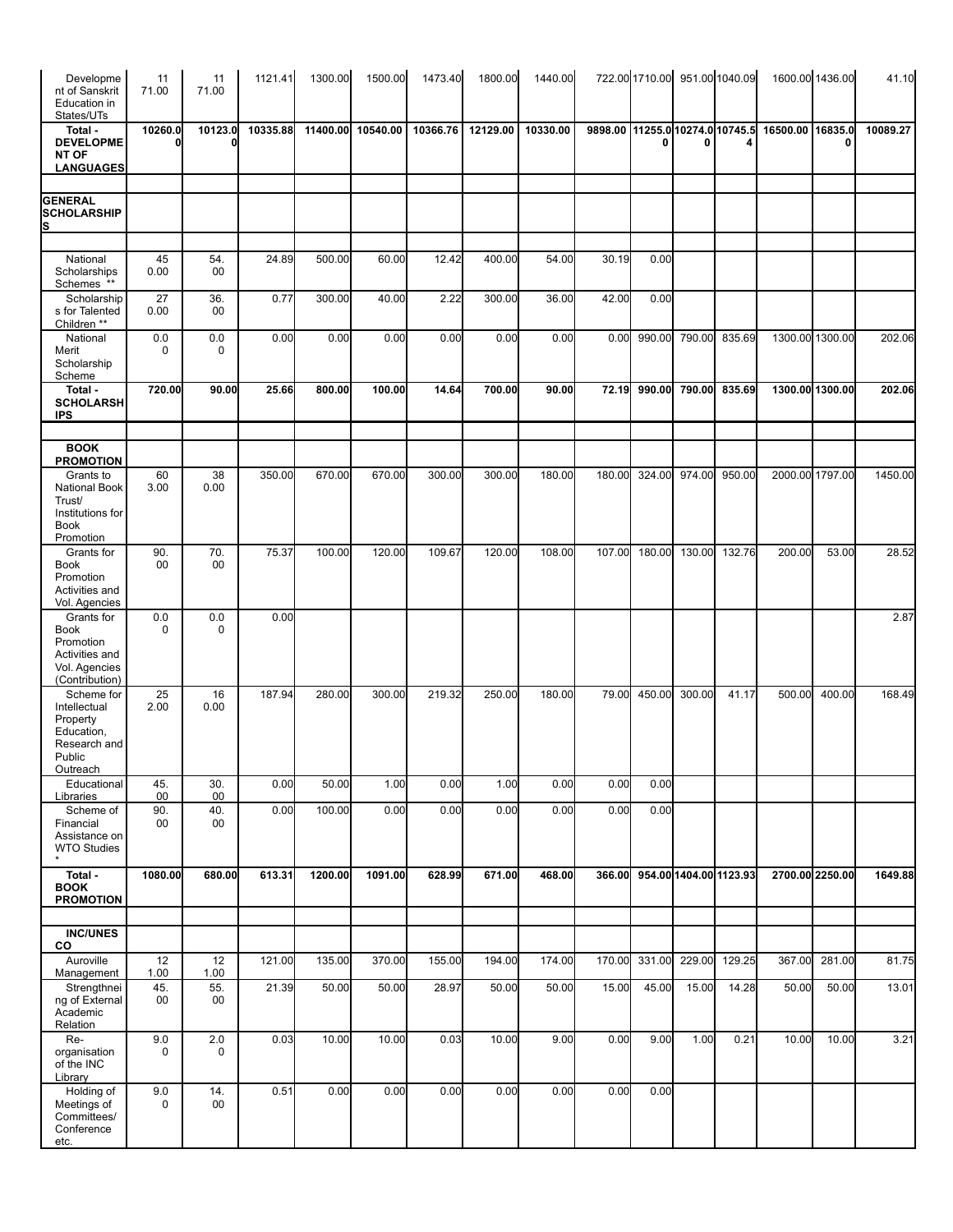| Developme<br>nt of Sanskrit<br>Education in<br>States/UTs                                   | 11<br>71.00       | 11<br>71.00       | 1121.41  | 1300.00  | 1500.00  | 1473.40  | 1800.00  | 1440.00  |                                 |        |        | 722.00 1710.00 951.00 1040.09 |                  | 1600.00 1436.00 | 41.10    |
|---------------------------------------------------------------------------------------------|-------------------|-------------------|----------|----------|----------|----------|----------|----------|---------------------------------|--------|--------|-------------------------------|------------------|-----------------|----------|
| Total -<br><b>DEVELOPME</b><br><b>NT OF</b><br><b>LANGUAGES</b>                             | 10260.0           | 10123.0           | 10335.88 | 11400.00 | 10540.00 | 10366.76 | 12129.00 | 10330.00 | 9898.00 11255.0 10274.0 10745.5 |        |        | 4                             | 16500.00 16835.0 |                 | 10089.27 |
| <b>GENERAL</b><br><b>SCHOLARSHIP</b><br>s                                                   |                   |                   |          |          |          |          |          |          |                                 |        |        |                               |                  |                 |          |
| National                                                                                    | 45                | 54.               | 24.89    | 500.00   | 60.00    | 12.42    | 400.00   | 54.00    | 30.19                           | 0.00   |        |                               |                  |                 |          |
| Scholarships<br>Schemes **                                                                  | 0.00              | 00                |          |          |          |          |          |          |                                 |        |        |                               |                  |                 |          |
| Scholarship<br>s for Talented<br>Children <sup>**</sup>                                     | 27<br>0.00        | 36.<br>00         | 0.77     | 300.00   | 40.00    | 2.22     | 300.00   | 36.00    | 42.00                           | 0.00   |        |                               |                  |                 |          |
| National<br>Merit<br>Scholarship<br>Scheme                                                  | 0.0<br>0          | 0.0<br>0          | 0.00     | 0.00     | 0.00     | 0.00     | 0.00     | 0.00     | 0.00                            | 990.00 | 790.00 | 835.69                        | 1300.00 1300.00  |                 | 202.06   |
| Total -<br><b>SCHOLARSH</b><br><b>IPS</b>                                                   | 720.00            | 90.00             | 25.66    | 800.00   | 100.00   | 14.64    | 700.00   | 90.00    | 72.19                           | 990.00 | 790.00 | 835.69                        | 1300.00 1300.00  |                 | 202.06   |
| <b>BOOK</b><br><b>PROMOTION</b>                                                             |                   |                   |          |          |          |          |          |          |                                 |        |        |                               |                  |                 |          |
| Grants to<br><b>National Book</b><br>Trust/<br>Institutions for<br><b>Book</b><br>Promotion | 60<br>3.00        | 38<br>0.00        | 350.00   | 670.00   | 670.00   | 300.00   | 300.00   | 180.00   | 180.00                          | 324.00 | 974.00 | 950.00                        | 2000.00 1797.00  |                 | 1450.00  |
| Grants for<br><b>Book</b><br>Promotion<br>Activities and<br>Vol. Agencies                   | 90.<br>00         | 70.<br>00         | 75.37    | 100.00   | 120.00   | 109.67   | 120.00   | 108.00   | 107.00                          | 180.00 | 130.00 | 132.76                        | 200.00           | 53.00           | 28.52    |
| Grants for<br><b>Book</b><br>Promotion<br>Activities and<br>Vol. Agencies<br>(Contribution) | 0.0<br>0          | 0.0<br>0          | 0.00     |          |          |          |          |          |                                 |        |        |                               |                  |                 | 2.87     |
| Scheme for<br>Intellectual<br>Property<br>Education,<br>Research and<br>Public<br>Outreach  | 25<br>2.00        | 16<br>0.00        | 187.94   | 280.00   | 300.00   | 219.32   | 250.00   | 180.00   | 79.00                           | 450.00 | 300.00 | 41.17                         | 500.00           | 400.00          | 168.49   |
| Educational<br>Libraries                                                                    | 45.<br>00         | 30.<br>00         | 0.00     | 50.00    | 1.00     | 0.00     | 1.00     | 0.00     | 0.00                            | 0.00   |        |                               |                  |                 |          |
| Scheme of<br>Financial<br>Assistance on<br><b>WTO Studies</b>                               | 90.<br>00         | 40.<br>00         | 0.00     | 100.00   | 0.00     | 0.00     | 0.00     | 0.00     | 0.00                            | 0.00   |        |                               |                  |                 |          |
| $\overline{\text{Total}}$ -<br><b>BOOK</b><br><b>PROMOTION</b>                              | 1080.00           | 680.00            | 613.31   | 1200.00  | 1091.00  | 628.99   | 671.00   | 468.00   | 366.00                          |        |        | 954.00 1404.00 1123.93        | 2700.00 2250.00  |                 | 1649.88  |
| <b>INC/UNES</b>                                                                             |                   |                   |          |          |          |          |          |          |                                 |        |        |                               |                  |                 |          |
| CO<br>Auroville                                                                             | 12                | 12                | 121.00   | 135.00   | 370.00   | 155.00   | 194.00   | 174.00   | 170.00                          | 331.00 | 229.00 | 129.25                        | 367.00           | 281.00          | 81.75    |
| Management<br>Strengthnei<br>ng of External<br>Academic<br>Relation                         | 1.00<br>45.<br>00 | 1.00<br>55.<br>00 | 21.39    | 50.00    | 50.00    | 28.97    | 50.00    | 50.00    | 15.00                           | 45.00  | 15.00  | 14.28                         | 50.00            | 50.00           | 13.01    |
| Re-<br>organisation<br>of the INC<br>Library                                                | 9.0<br>0          | $2.0\,$<br>0      | 0.03     | 10.00    | 10.00    | 0.03     | 10.00    | 9.00     | 0.00                            | 9.00   | 1.00   | 0.21                          | 10.00            | 10.00           | 3.21     |
| Holding of<br>Meetings of<br>Committees/<br>Conference<br>etc.                              | 9.0<br>0          | 14.<br>00         | 0.51     | 0.00     | 0.00     | 0.00     | 0.00     | 0.00     | 0.00                            | 0.00   |        |                               |                  |                 |          |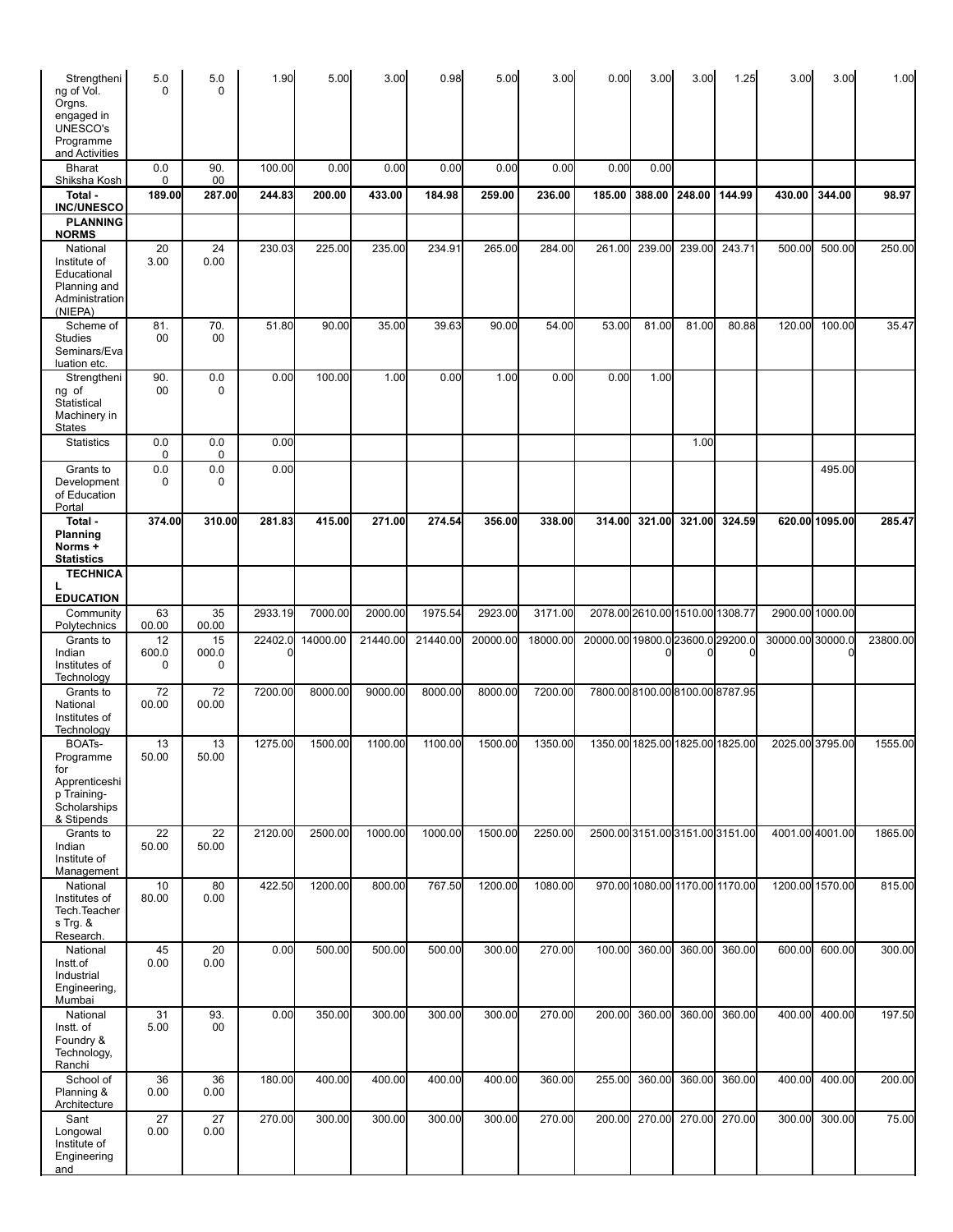| Strengtheni<br>ng of Vol.<br>Orgns.<br>engaged in<br><b>UNESCO's</b><br>Programme<br>and Activities | 5.0<br>0         | 5.0<br>$\Omega$        | 1.90    | 5.00     | 3.00     | 0.98     | 5.00     | 3.00     | 0.00                             | 3.00                            | 3.00   | 1.25                         | 3.00             | 3.00            | 1.00     |
|-----------------------------------------------------------------------------------------------------|------------------|------------------------|---------|----------|----------|----------|----------|----------|----------------------------------|---------------------------------|--------|------------------------------|------------------|-----------------|----------|
| <b>Bharat</b><br>Shiksha Kosh                                                                       | 0.0<br>0         | 90.<br>00              | 100.00  | 0.00     | 0.00     | 0.00     | 0.00     | 0.00     | 0.00                             | 0.00                            |        |                              |                  |                 |          |
| Total -<br><b>INC/UNESCO</b>                                                                        | 189.00           | 287.00                 | 244.83  | 200.00   | 433.00   | 184.98   | 259.00   | 236.00   | 185.00                           | 388.00                          | 248.00 | 144.99                       | 430.00           | 344.00          | 98.97    |
| <b>PLANNING</b><br><b>NORMS</b>                                                                     |                  |                        |         |          |          |          |          |          |                                  |                                 |        |                              |                  |                 |          |
| National<br>Institute of<br>Educational<br>Planning and<br>Administration<br>(NIEPA)                | 20<br>3.00       | 24<br>0.00             | 230.03  | 225.00   | 235.00   | 234.91   | 265.00   | 284.00   | 261.00                           | 239.00                          | 239.00 | 243.71                       | 500.00           | 500.00          | 250.00   |
| Scheme of<br><b>Studies</b><br>Seminars/Eva<br>luation etc.                                         | 81.<br>00        | 70.<br>00              | 51.80   | 90.00    | 35.00    | 39.63    | 90.00    | 54.00    | 53.00                            | 81.00                           | 81.00  | 80.88                        | 120.00           | 100.00          | 35.47    |
| Strengtheni<br>ng of<br>Statistical<br>Machinery in<br><b>States</b>                                | 90.<br>00        | $0.0\,$<br>$\mathbf 0$ | 0.00    | 100.00   | 1.00     | 0.00     | 1.00     | 0.00     | 0.00                             | 1.00                            |        |                              |                  |                 |          |
| <b>Statistics</b>                                                                                   | 0.0<br>0         | 0.0<br>0               | 0.00    |          |          |          |          |          |                                  |                                 | 1.00   |                              |                  |                 |          |
| Grants to<br>Development<br>of Education<br>Portal                                                  | 0.0<br>0         | 0.0<br>0               | 0.00    |          |          |          |          |          |                                  |                                 |        |                              |                  | 495.00          |          |
| Total -<br>Planning<br>Norms +<br><b>Statistics</b>                                                 | 374.00           | 310.00                 | 281.83  | 415.00   | 271.00   | 274.54   | 356.00   | 338.00   | 314.00                           | 321.00                          | 321.00 | 324.59                       |                  | 620.00 1095.00  | 285.47   |
| <b>TECHNICA</b><br>L                                                                                |                  |                        |         |          |          |          |          |          |                                  |                                 |        |                              |                  |                 |          |
| <b>EDUCATION</b><br>Community                                                                       | 63               | 35                     | 2933.19 | 7000.00  | 2000.00  | 1975.54  | 2923.00  | 3171.00  |                                  | 2078.00 2610.00 1510.00 1308.77 |        |                              |                  | 2900.00 1000.00 |          |
| Polytechnics                                                                                        | 00.00            | 00.00                  |         |          |          |          |          |          |                                  |                                 |        |                              |                  |                 |          |
| Grants to<br>Indian<br>Institutes of<br>Technology                                                  | 12<br>600.0<br>0 | 15<br>000.0<br>0       | 22402.0 | 14000.00 | 21440.00 | 21440.00 | 20000.00 | 18000.00 | 20000.00 19800.0 23600.0 29200.0 |                                 | ŋ      | 0                            | 30000.00 30000.0 |                 | 23800.00 |
| Grants to<br>National<br>Institutes of<br>Technology                                                | 72<br>00.00      | 72<br>00.00            | 7200.00 | 8000.00  | 9000.00  | 8000.00  | 8000.00  | 7200.00  |                                  |                                 |        | 7800.008100.008100.008787.95 |                  |                 |          |
| BOAT <sub>s</sub> -<br>Programme<br>тоr                                                             | 13<br>50.00      | 13<br>50.00            | 1275.00 | 1500.00  | 1100.00  | 1100.00  | 1500.00  | 1350.00  |                                  | 1350.00 1825.00 1825.00 1825.00 |        |                              | 2025.00 3795.00  |                 | 1555.00  |
| Apprenticeshi<br>p Training-<br>Scholarships<br>& Stipends                                          |                  |                        |         |          |          |          |          |          |                                  |                                 |        |                              |                  |                 |          |
| Grants to<br>Indian<br>Institute of<br>Management                                                   | 22<br>50.00      | 22<br>50.00            | 2120.00 | 2500.00  | 1000.00  | 1000.00  | 1500.00  | 2250.00  | 2500.003151.003151.003151.00     |                                 |        |                              | 4001.00 4001.00  |                 | 1865.00  |
| National<br>Institutes of<br>Tech. Teacher<br>s Trg. &<br>Research.                                 | 10<br>80.00      | 80<br>0.00             | 422.50  | 1200.00  | 800.00   | 767.50   | 1200.00  | 1080.00  |                                  | 970.00 1080.00 1170.00 1170.00  |        |                              |                  | 1200.00 1570.00 | 815.00   |
| National<br>Instt.of<br>Industrial<br>Engineering,<br>Mumbai                                        | 45<br>0.00       | 20<br>0.00             | 0.00    | 500.00   | 500.00   | 500.00   | 300.00   | 270.00   | 100.00                           | 360.00                          | 360.00 | 360.00                       | 600.00           | 600.00          | 300.00   |
| National<br>Instt. of<br>Foundry &<br>Technology,<br>Ranchi                                         | 31<br>5.00       | 93.<br>00              | 0.00    | 350.00   | 300.00   | 300.00   | 300.00   | 270.00   | 200.00                           | 360.00                          | 360.00 | 360.00                       | 400.00           | 400.00          | 197.50   |
| School of<br>Planning &<br>Architecture                                                             | 36<br>0.00       | 36<br>0.00             | 180.00  | 400.00   | 400.00   | 400.00   | 400.00   | 360.00   | 255.00                           | 360.00                          | 360.00 | 360.00                       | 400.00           | 400.00          | 200.00   |
| Sant<br>Longowal<br>Institute of<br>Engineering<br>and                                              | 27<br>0.00       | 27<br>0.00             | 270.00  | 300.00   | 300.00   | 300.00   | 300.00   | 270.00   | 200.00                           | 270.00                          | 270.00 | 270.00                       | 300.00           | 300.00          | 75.00    |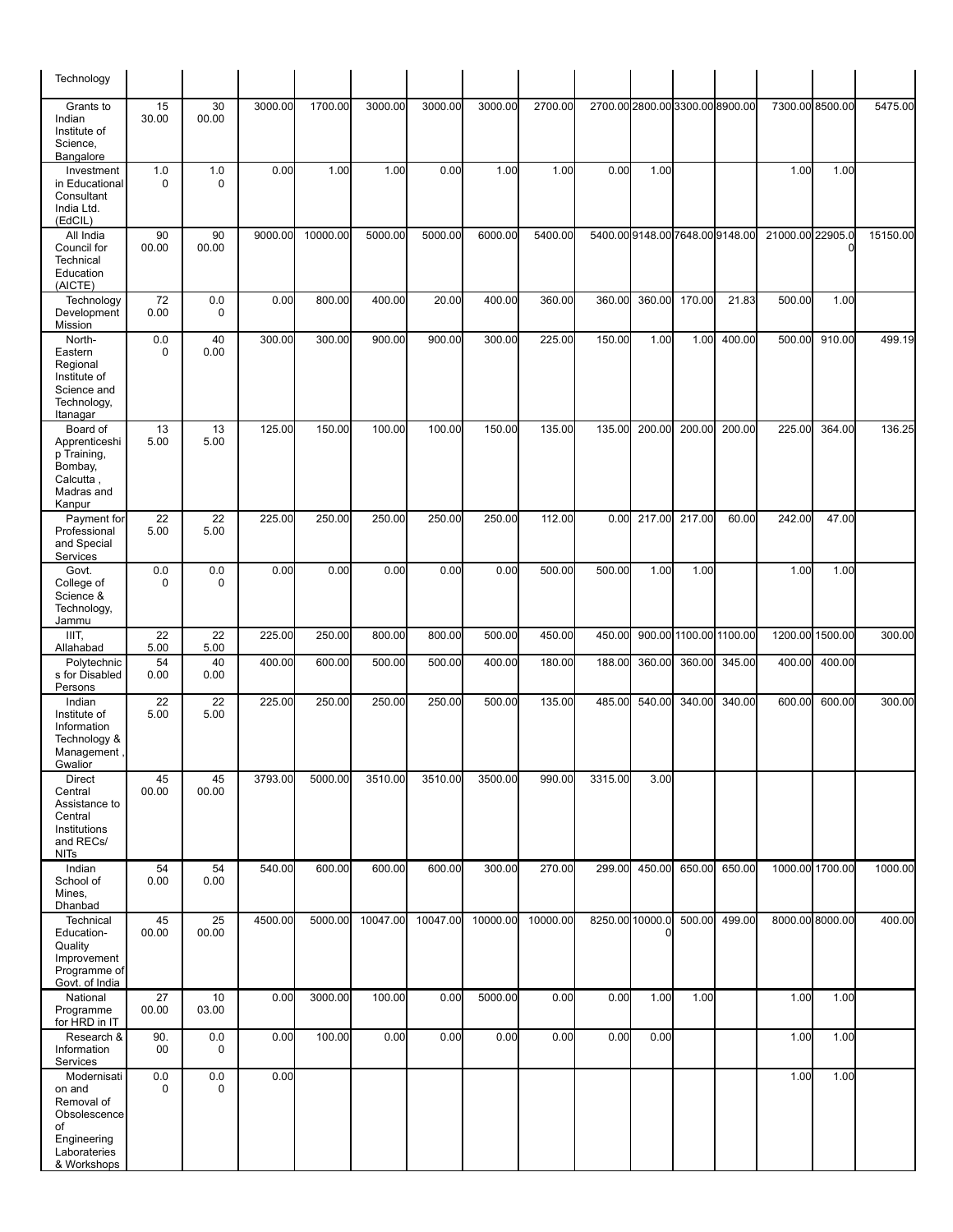| Technology                                                                                              |                 |                    |         |          |          |          |          |          |         |                                 |                        |        |                  |                 |          |
|---------------------------------------------------------------------------------------------------------|-----------------|--------------------|---------|----------|----------|----------|----------|----------|---------|---------------------------------|------------------------|--------|------------------|-----------------|----------|
| Grants to<br>Indian<br>Institute of<br>Science,<br>Bangalore                                            | 15<br>30.00     | 30<br>00.00        | 3000.00 | 1700.00  | 3000.00  | 3000.00  | 3000.00  | 2700.00  |         | 2700.00 2800.00 3300.00 8900.00 |                        |        |                  | 7300.00 8500.00 | 5475.00  |
| Investment<br>in Educational<br>Consultant<br>India Ltd.<br>(EdCIL)                                     | 1.0<br>0        | 1.0<br>$\mathbf 0$ | 0.00    | 1.00     | 1.00     | 0.00     | 1.00     | 1.00     | 0.00    | 1.00                            |                        |        | 1.00             | 1.00            |          |
| All India<br>Council for<br>Technical<br>Education<br>(AICTE)                                           | 90<br>00.00     | 90<br>00.00        | 9000.00 | 10000.00 | 5000.00  | 5000.00  | 6000.00  | 5400.00  |         | 5400.009148.007648.009148.00    |                        |        | 21000.00 22905.0 | $\mathbf 0$     | 15150.00 |
| Technology<br>Development<br>Mission                                                                    | 72<br>0.00      | 0.0<br>$\mathbf 0$ | 0.00    | 800.00   | 400.00   | 20.00    | 400.00   | 360.00   | 360.00  | 360.00                          | 170.00                 | 21.83  | 500.00           | 1.00            |          |
| North-<br>Eastern<br>Regional<br>Institute of<br>Science and<br>Technology,<br>Itanagar                 | 0.0<br>0        | 40<br>0.00         | 300.00  | 300.00   | 900.00   | 900.00   | 300.00   | 225.00   | 150.00  | 1.00                            | 1.00                   | 400.00 | 500.00           | 910.00          | 499.19   |
| Board of<br>Apprenticeshi<br>p Training,<br>Bombay,<br>Calcutta,<br>Madras and<br>Kanpur                | 13<br>5.00      | 13<br>5.00         | 125.00  | 150.00   | 100.00   | 100.00   | 150.00   | 135.00   | 135.00  | 200.00                          | 200.00                 | 200.00 | 225.00           | 364.00          | 136.25   |
| Payment for<br>Professional<br>and Special<br>Services                                                  | 22<br>5.00      | 22<br>5.00         | 225.00  | 250.00   | 250.00   | 250.00   | 250.00   | 112.00   | 0.00    | 217.00                          | 217.00                 | 60.00  | 242.00           | 47.00           |          |
| Govt.<br>College of<br>Science &<br>Technology,<br>Jammu                                                | 0.0<br>$\Omega$ | 0.0<br>$\mathbf 0$ | 0.00    | 0.00     | 0.00     | 0.00     | 0.00     | 500.00   | 500.00  | 1.00                            | 1.00                   |        | 1.00             | 1.00            |          |
| IIIT,<br>Allahabad                                                                                      | 22<br>5.00      | 22<br>5.00         | 225.00  | 250.00   | 800.00   | 800.00   | 500.00   | 450.00   | 450.00  |                                 | 900.00 1100.00 1100.00 |        |                  | 1200.00 1500.00 | 300.00   |
| Polytechnic<br>s for Disabled<br>Persons                                                                | 54<br>0.00      | 40<br>0.00         | 400.00  | 600.00   | 500.00   | 500.00   | 400.00   | 180.00   | 188.00  | 360.00                          | 360.00                 | 345.00 | 400.00           | 400.00          |          |
| Indian<br>Institute of<br>Information<br>Technology &<br>Management<br>Gwalior                          | 22<br>5.00      | 22<br>5.00         | 225.00  | 250.00   | 250.00   | 250.00   | 500.00   | 135.00   | 485.00  | 540.00                          | 340.00                 | 340.00 | 600.00           | 600.00          | 300.00   |
| Direct<br>Central<br>Assistance to<br>Central<br>Institutions<br>and RECs/<br><b>NITs</b>               | 45<br>00.00     | 45<br>00.00        | 3793.00 | 5000.00  | 3510.00  | 3510.00  | 3500.00  | 990.00   | 3315.00 | 3.00                            |                        |        |                  |                 |          |
| Indian<br>School of<br>Mines,<br>Dhanbad                                                                | 54<br>0.00      | 54<br>0.00         | 540.00  | 600.00   | 600.00   | 600.00   | 300.00   | 270.00   | 299.00  | 450.00                          | 650.00                 | 650.00 |                  | 1000.00 1700.00 | 1000.00  |
| Technical<br>Education-<br>Quality<br>Improvement<br>Programme of<br>Govt. of India                     | 45<br>00.00     | 25<br>00.00        | 4500.00 | 5000.00  | 10047.00 | 10047.00 | 10000.00 | 10000.00 |         | 8250.00 10000.0                 | 500.00                 | 499.00 |                  | 8000.00 8000.00 | 400.00   |
| National<br>Programme<br>for HRD in IT                                                                  | 27<br>00.00     | 10<br>03.00        | 0.00    | 3000.00  | 100.00   | 0.00     | 5000.00  | 0.00     | 0.00    | 1.00                            | 1.00                   |        | 1.00             | 1.00            |          |
| Research &<br>Information<br>Services                                                                   | 90.<br>00       | 0.0<br>$\mathbf 0$ | 0.00    | 100.00   | 0.00     | 0.00     | 0.00     | 0.00     | 0.00    | 0.00                            |                        |        | 1.00             | 1.00            |          |
| Modernisati<br>on and<br>Removal of<br>Obsolescence<br>of<br>Engineering<br>Laborateries<br>& Workshops | 0.0<br>0        | 0.0<br>$\mathbf 0$ | 0.00    |          |          |          |          |          |         |                                 |                        |        | 1.00             | 1.00            |          |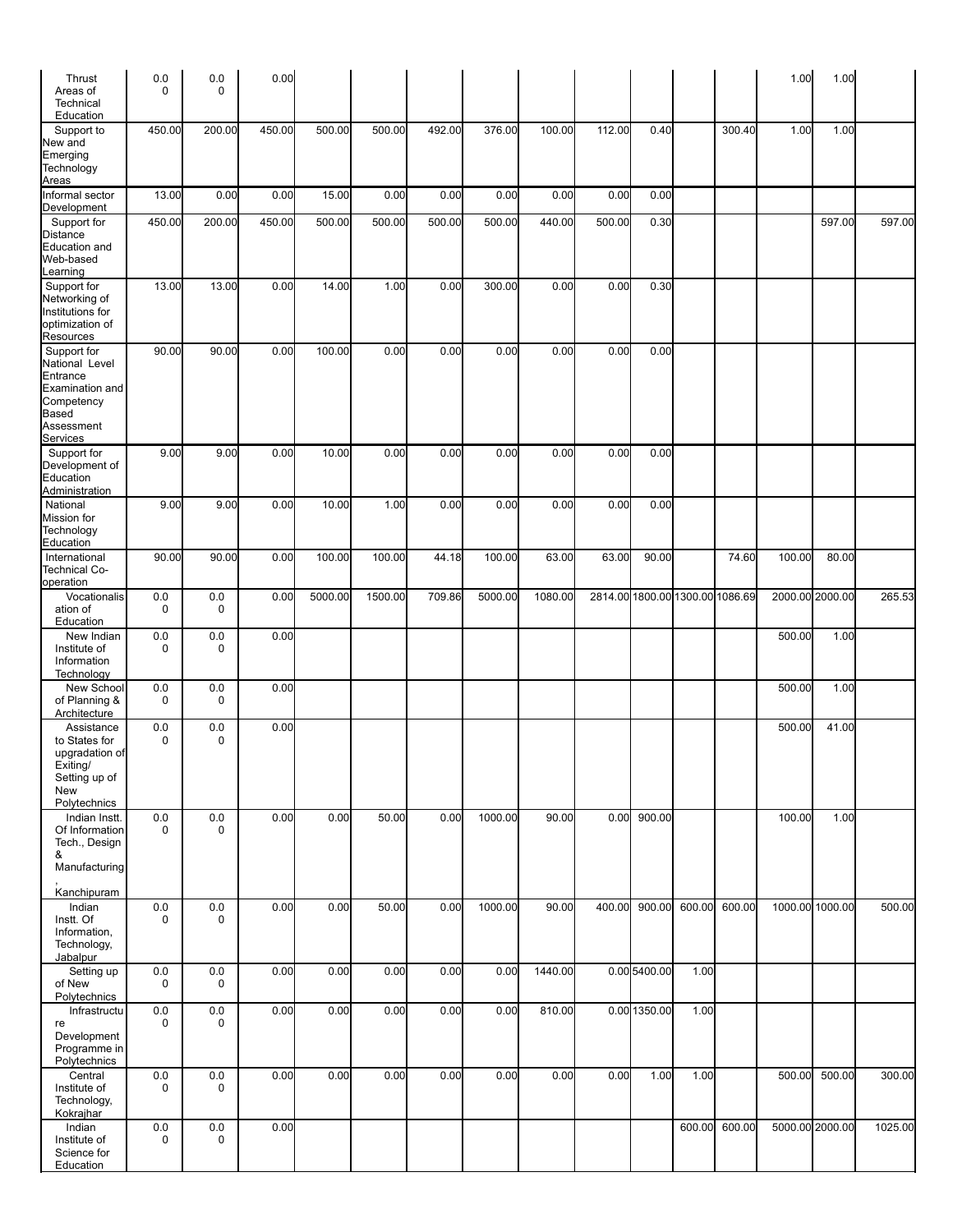| Thrust<br>Areas of<br>Technical                                                                   | 0.0<br>$\mathbf 0$     | 0.0<br>$\mathbf 0$     | 0.00   |         |         |        |         |         |        |                                 |        |        | 1.00   | 1.00            |         |
|---------------------------------------------------------------------------------------------------|------------------------|------------------------|--------|---------|---------|--------|---------|---------|--------|---------------------------------|--------|--------|--------|-----------------|---------|
| Education                                                                                         |                        |                        |        |         |         |        |         |         |        |                                 |        |        |        |                 |         |
| Support to<br>New and<br>Emerging<br>Technology<br>Areas                                          | 450.00                 | 200.00                 | 450.00 | 500.00  | 500.00  | 492.00 | 376.00  | 100.00  | 112.00 | 0.40                            |        | 300.40 | 1.00   | 1.00            |         |
| Informal sector<br>Development                                                                    | 13.00                  | 0.00                   | 0.00   | 15.00   | 0.00    | 0.00   | 0.00    | 0.00    | 0.00   | 0.00                            |        |        |        |                 |         |
| Support for<br>Distance<br>Education and<br>Web-based<br>earning                                  | 450.00                 | 200.00                 | 450.00 | 500.00  | 500.00  | 500.00 | 500.00  | 440.00  | 500.00 | 0.30                            |        |        |        | 597.00          | 597.00  |
| Support for<br>Networking of<br>Institutions for<br>optimization of<br>Resources                  | 13.00                  | 13.00                  | 0.00   | 14.00   | 1.00    | 0.00   | 300.00  | 0.00    | 0.00   | 0.30                            |        |        |        |                 |         |
| Support for<br>National Level<br>Entrance<br>Examination and<br>Competency<br>Based<br>Assessment | 90.00                  | 90.00                  | 0.00   | 100.00  | 0.00    | 0.00   | 0.00    | 0.00    | 0.00   | 0.00                            |        |        |        |                 |         |
| Services<br>Support for                                                                           | 9.00                   | 9.00                   | 0.00   | 10.00   | 0.00    | 0.00   | 0.00    | 0.00    | 0.00   | 0.00                            |        |        |        |                 |         |
| Development of<br>Education<br>Administration                                                     |                        |                        |        |         |         |        |         |         |        |                                 |        |        |        |                 |         |
| National<br>Mission for<br>Technology<br>Education                                                | 9.00                   | 9.00                   | 0.00   | 10.00   | 1.00    | 0.00   | 0.00    | 0.00    | 0.00   | 0.00                            |        |        |        |                 |         |
| International<br><b>Technical Co-</b><br>operation                                                | 90.00                  | 90.00                  | 0.00   | 100.00  | 100.00  | 44.18  | 100.00  | 63.00   | 63.00  | 90.00                           |        | 74.60  | 100.00 | 80.00           |         |
| Vocationalis<br>ation of<br>Education                                                             | 0.0<br>$\Omega$        | 0.0<br>$\mathbf 0$     | 0.00   | 5000.00 | 1500.00 | 709.86 | 5000.00 | 1080.00 |        | 2814.00 1800.00 1300.00 1086.69 |        |        |        | 2000.00 2000.00 | 265.53  |
| New Indian<br>Institute of<br>Information<br>Technology                                           | 0.0<br>$\mathbf 0$     | 0.0<br>0               | 0.00   |         |         |        |         |         |        |                                 |        |        | 500.00 | 1.00            |         |
| New School<br>of Planning &<br>Architecture                                                       | 0.0<br>0               | 0.0<br>0               | 0.00   |         |         |        |         |         |        |                                 |        |        | 500.00 | 1.00            |         |
| Assistance<br>to States for<br>upgradation of<br>Exiting/<br>Setting up of<br>New<br>Polytechnics | $0.0\,$<br>$\mathbf 0$ | 0.0<br>0               | 0.00   |         |         |        |         |         |        |                                 |        |        | 500.00 | 41.00           |         |
| Indian Instt.<br>Of Information<br>Tech., Design<br>&<br>Manufacturing                            | $0.0\,$<br>$\mathbf 0$ | $0.0\,$<br>0           | 0.00   | 0.00    | 50.00   | 0.00   | 1000.00 | 90.00   | 0.00   | 900.00                          |        |        | 100.00 | 1.00            |         |
| Kanchipuram<br>Indian<br>Instt. Of<br>Information,<br>Technology,<br>Jabalpur                     | $0.0\,$<br>$\mathbf 0$ | $0.0\,$<br>$\mathbf 0$ | 0.00   | 0.00    | 50.00   | 0.00   | 1000.00 | 90.00   | 400.00 | 900.00                          | 600.00 | 600.00 |        | 1000.00 1000.00 | 500.00  |
| Setting up<br>of New<br>Polytechnics                                                              | $0.0\,$<br>$\mathbf 0$ | 0.0<br>0               | 0.00   | 0.00    | 0.00    | 0.00   | 0.00    | 1440.00 |        | 0.00 5400.00                    | 1.00   |        |        |                 |         |
| Infrastructu<br>re<br>Development<br>Programme in<br>Polytechnics                                 | $0.0\,$<br>$\mathbf 0$ | $0.0\,$<br>$\mathbf 0$ | 0.00   | 0.00    | 0.00    | 0.00   | 0.00    | 810.00  |        | 0.00 1350.00                    | 1.00   |        |        |                 |         |
| Central<br>Institute of<br>Technology,<br>Kokrajhar                                               | $0.0\,$<br>0           | 0.0<br>0               | 0.00   | 0.00    | 0.00    | 0.00   | 0.00    | 0.00    | 0.00   | 1.00                            | 1.00   |        | 500.00 | 500.00          | 300.00  |
| Indian<br>Institute of<br>Science for<br>Education                                                | $0.0\,$<br>0           | 0.0<br>0               | 0.00   |         |         |        |         |         |        |                                 | 600.00 | 600.00 |        | 5000.00 2000.00 | 1025.00 |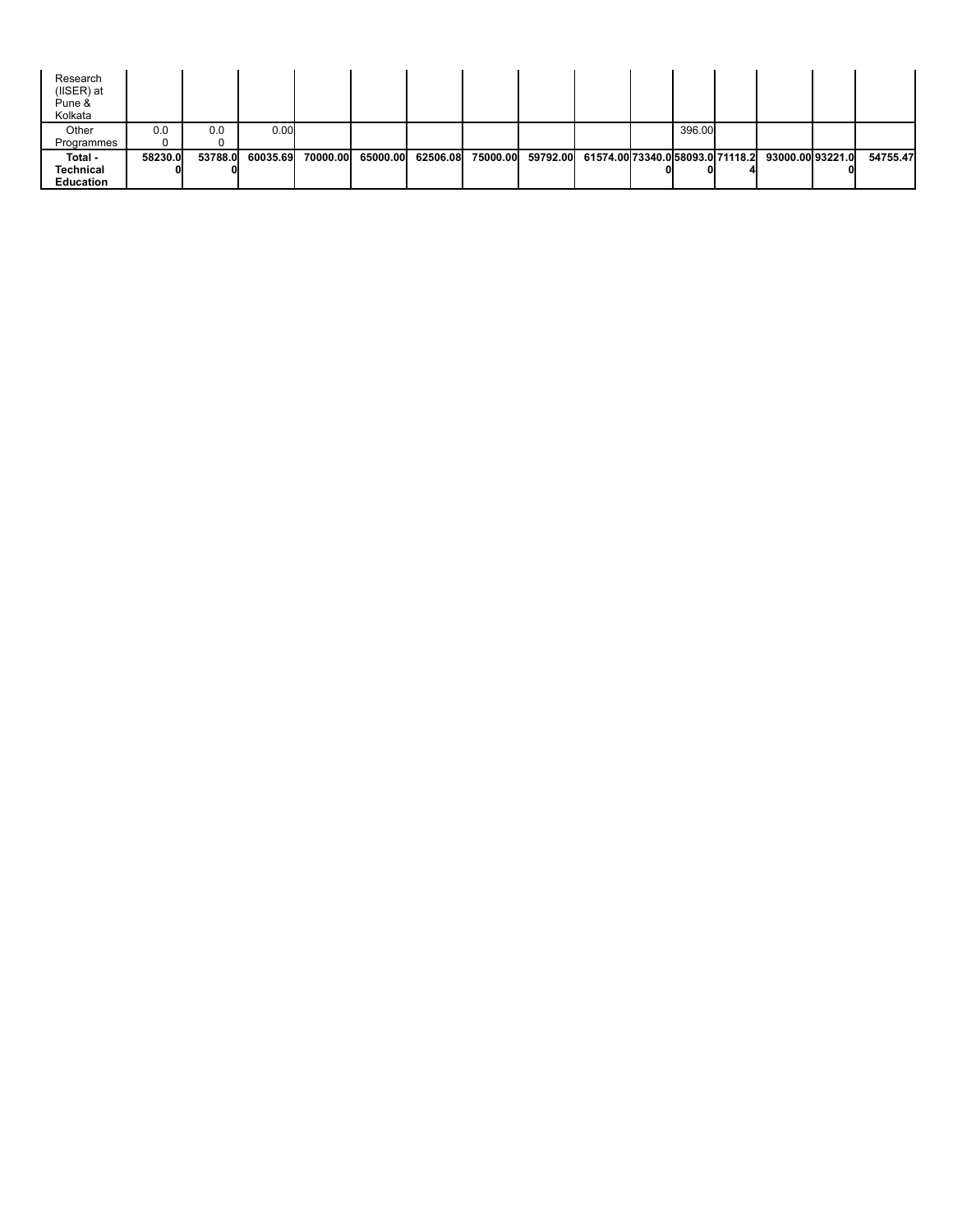| Research<br>$($ IISER $)$ at<br>Pune &<br>Kolkata |         |         |          |          |          |          |          |          |                                  |        |                  |          |
|---------------------------------------------------|---------|---------|----------|----------|----------|----------|----------|----------|----------------------------------|--------|------------------|----------|
| Other                                             | 0.0     | 0.0     | 0.00     |          |          |          |          |          |                                  | 396.00 |                  |          |
| Programmes                                        |         |         |          |          |          |          |          |          |                                  |        |                  |          |
| Total -                                           | 58230.0 | 53788.0 | 60035.69 | 70000.00 | 65000.00 | 62506.08 | 75000.00 | 59792.00 | 61574.00 73340.0 58093.0 71118.2 |        | 93000.00 93221.0 | 54755.47 |
| Technical                                         |         |         |          |          |          |          |          |          |                                  |        |                  |          |
| <b>Education</b>                                  |         |         |          |          |          |          |          |          |                                  |        |                  |          |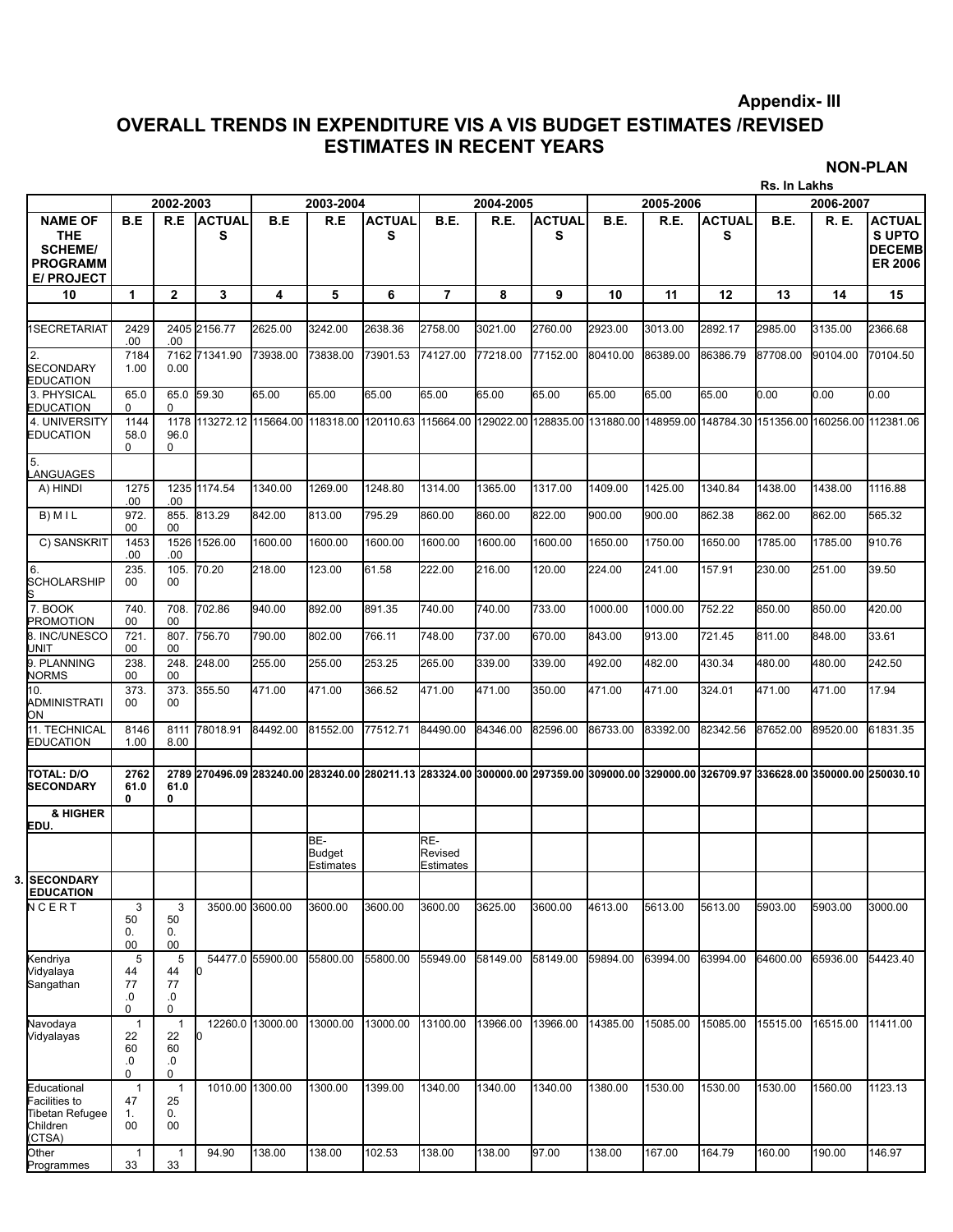### **Appendix- III**

### **OVERALL TRENDS IN EXPENDITURE VIS A VIS BUDGET ESTIMATES /REVISED ESTIMATES IN RECENT YEARS**

**NON-PLAN**

|                                                                                        |                                       |                                     |                                                                                                                                        |                  |                                          |                    |                             |           |                    |          |           |                    | Rs. In Lakhs                            |           |                                                                  |
|----------------------------------------------------------------------------------------|---------------------------------------|-------------------------------------|----------------------------------------------------------------------------------------------------------------------------------------|------------------|------------------------------------------|--------------------|-----------------------------|-----------|--------------------|----------|-----------|--------------------|-----------------------------------------|-----------|------------------------------------------------------------------|
|                                                                                        |                                       | 2002-2003                           |                                                                                                                                        |                  | 2003-2004                                |                    |                             | 2004-2005 |                    |          | 2005-2006 |                    |                                         | 2006-2007 |                                                                  |
| <b>NAME OF</b><br><b>THE</b><br><b>SCHEME/</b><br><b>PROGRAMM</b><br><b>E/ PROJECT</b> | B.E                                   | R.E                                 | <b>ACTUAL</b><br>s                                                                                                                     | B.E              | R.E                                      | <b>ACTUAL</b><br>s | B.E.                        | R.E.      | <b>ACTUAL</b><br>s | B.E.     | R.E.      | <b>ACTUAL</b><br>s | <b>B.E.</b>                             | R. E.     | <b>ACTUAL</b><br><b>SUPTO</b><br><b>DECEMB</b><br><b>ER 2006</b> |
| 10                                                                                     | 1                                     | $\mathbf{2}$                        | 3                                                                                                                                      | 4                | 5                                        | 6                  | $\overline{7}$              | 8         | 9                  | 10       | 11        | 12                 | 13                                      | 14        | 15                                                               |
| <b>SECRETARIAT</b>                                                                     | 2429<br>.00                           | .00                                 | 2405 2156.77                                                                                                                           | 2625.00          | 3242.00                                  | 2638.36            | 2758.00                     | 3021.00   | 2760.00            | 2923.00  | 3013.00   | 2892.17            | 2985.00                                 | 3135.00   | 2366.68                                                          |
| 2.<br><b>SECONDARY</b><br>EDUCATION                                                    | 7184<br>1.00                          | 0.00                                | 7162 71341.90                                                                                                                          | 73938.00         | 73838.00                                 | 73901.53           | 74127.00                    | 77218.00  | 77152.00           | 80410.00 | 86389.00  | 86386.79           | 87708.00                                | 90104.00  | 70104.50                                                         |
| 3. PHYSICAL<br>EDUCATION                                                               | 65.0<br>$\Omega$                      | 0                                   | 65.0 59.30                                                                                                                             | 65.00            | 65.00                                    | 65.00              | 65.00                       | 65.00     | 65.00              | 65.00    | 65.00     | 65.00              | 0.00                                    | 0.00      | 0.00                                                             |
| 4. UNIVERSITY<br>EDUCATION                                                             | 1144<br>58.0<br>0                     | 96.0<br>0                           | 1178 113272.12 115664.00 118318.00 120110.63 115664.00 129022.00 128835.00 131880.00 148959.00                                         |                  |                                          |                    |                             |           |                    |          |           |                    | 148784.30 151356.00 160256.00 112381.06 |           |                                                                  |
| 5.<br>ANGUAGES.                                                                        |                                       |                                     |                                                                                                                                        |                  |                                          |                    |                             |           |                    |          |           |                    |                                         |           |                                                                  |
| A) HINDI                                                                               | 1275<br>.00                           | .00                                 | 1235 1174.54                                                                                                                           | 1340.00          | 1269.00                                  | 1248.80            | 1314.00                     | 1365.00   | 1317.00            | 1409.00  | 1425.00   | 1340.84            | 1438.00                                 | 1438.00   | 1116.88                                                          |
| B) M I L                                                                               | 972.<br>00                            | 855.<br>00                          | 813.29                                                                                                                                 | 842.00           | 813.00                                   | 795.29             | 860.00                      | 860.00    | 822.00             | 900.00   | 900.00    | 862.38             | 862.00                                  | 862.00    | 565.32                                                           |
| C) SANSKRIT                                                                            | 1453<br>.00                           | .00                                 | 1526 1526.00                                                                                                                           | 1600.00          | 1600.00                                  | 1600.00            | 1600.00                     | 1600.00   | 1600.00            | 1650.00  | 1750.00   | 1650.00            | 1785.00                                 | 1785.00   | 910.76                                                           |
| 6.<br>SCHOLARSHIP                                                                      | 235.<br>00                            | 105.<br>00                          | 70.20                                                                                                                                  | 218.00           | 123.00                                   | 61.58              | 222.00                      | 216.00    | 120.00             | 224.00   | 241.00    | 157.91             | 230.00                                  | 251.00    | 39.50                                                            |
| 7. BOOK<br><b>PROMOTION</b>                                                            | 740.<br>00                            | 708.<br>00                          | 702.86                                                                                                                                 | 940.00           | 892.00                                   | 891.35             | 740.00                      | 740.00    | 733.00             | 1000.00  | 1000.00   | 752.22             | 850.00                                  | 850.00    | 420.00                                                           |
| 8. INC/UNESCO<br>TINL                                                                  | 721.<br>00                            | 807.<br>00                          | 756.70                                                                                                                                 | 790.00           | 802.00                                   | 766.11             | 748.00                      | 737.00    | 670.00             | 843.00   | 913.00    | 721.45             | 811.00                                  | 848.00    | 33.61                                                            |
| 9. PLANNING<br>NORMS                                                                   | 238.<br>00                            | 248.<br>00                          | 248.00                                                                                                                                 | 255.00           | 255.00                                   | 253.25             | 265.00                      | 339.00    | 339.00             | 492.00   | 482.00    | 430.34             | 480.00                                  | 480.00    | 242.50                                                           |
| 10.<br>ADMINISTRATI<br>ON                                                              | 373.<br>00                            | 373.<br>00                          | 355.50                                                                                                                                 | 471.00           | 471.00                                   | 366.52             | 471.00                      | 471.00    | 350.00             | 471.00   | 471.00    | 324.01             | 471.00                                  | 471.00    | 17.94                                                            |
| 11. TECHNICAL<br>EDUCATION                                                             | 8146<br>1.00                          | 8.00                                | 8111 78018.91                                                                                                                          | 84492.00         | 81552.00                                 | 77512.71           | 84490.00                    | 84346.00  | 82596.00           | 86733.00 | 83392.00  | 82342.56           | 87652.00                                | 89520.00  | 61831.35                                                         |
|                                                                                        |                                       |                                     |                                                                                                                                        |                  |                                          |                    |                             |           |                    |          |           |                    |                                         |           |                                                                  |
| TOTAL: D/O<br><b>SECONDARY</b>                                                         | 2762<br>61.0<br>0                     | 61.0<br>0                           | 2789 270496.09 283240.00 283240.00 280211.13 283324.00 300000.00 297359.00 309000.00 329000.00 326709.97 336628.00 350000.00 250030.10 |                  |                                          |                    |                             |           |                    |          |           |                    |                                         |           |                                                                  |
| & HIGHER<br>EDU.                                                                       |                                       |                                     |                                                                                                                                        |                  |                                          |                    |                             |           |                    |          |           |                    |                                         |           |                                                                  |
|                                                                                        |                                       |                                     |                                                                                                                                        |                  | BE-<br><b>Budget</b><br><b>Estimates</b> |                    | RE-<br>Revised<br>Estimates |           |                    |          |           |                    |                                         |           |                                                                  |
| 3. SECONDARY<br><b>EDUCATION</b>                                                       |                                       |                                     |                                                                                                                                        |                  |                                          |                    |                             |           |                    |          |           |                    |                                         |           |                                                                  |
| NCERT                                                                                  | 3<br>50<br>0.<br>00                   | 3<br>50<br>0.<br>00                 | 3500.00 3600.00                                                                                                                        |                  | 3600.00                                  | 3600.00            | 3600.00                     | 3625.00   | 3600.00            | 4613.00  | 5613.00   | 5613.00            | 5903.00                                 | 5903.00   | 3000.00                                                          |
| Kendriya<br>Vidyalaya<br>Sangathan                                                     | 5<br>44<br>77<br>.0<br>0              | 5<br>44<br>77<br>.0<br>0            | O.                                                                                                                                     | 54477.0 55900.00 | 55800.00                                 | 55800.00           | 55949.00                    | 58149.00  | 58149.00           | 59894.00 | 63994.00  | 63994.00           | 64600.00                                | 65936.00  | 54423.40                                                         |
| Navodaya<br>Vidyalayas                                                                 | $\overline{1}$<br>22<br>60<br>.0<br>0 | $\mathbf{1}$<br>22<br>60<br>.0<br>0 | 10                                                                                                                                     | 12260.0 13000.00 | 13000.00                                 | 13000.00           | 13100.00                    | 13966.00  | 13966.00           | 14385.00 | 15085.00  | 15085.00           | 15515.00                                | 16515.00  | 11411.00                                                         |
| Educational<br>Facilities to<br>Tibetan Refugee<br>Children<br>(CTSA)                  | $\mathbf{1}$<br>47<br>1.<br>00        | $\mathbf 1$<br>25<br>0.<br>00       | 1010.00 1300.00                                                                                                                        |                  | 1300.00                                  | 1399.00            | 1340.00                     | 1340.00   | 1340.00            | 1380.00  | 1530.00   | 1530.00            | 1530.00                                 | 1560.00   | 1123.13                                                          |
| Other<br>Programmes                                                                    | $\mathbf{1}$<br>33                    | $\mathbf{1}$<br>33                  | 94.90                                                                                                                                  | 138.00           | 138.00                                   | 102.53             | 138.00                      | 138.00    | 97.00              | 138.00   | 167.00    | 164.79             | 160.00                                  | 190.00    | 146.97                                                           |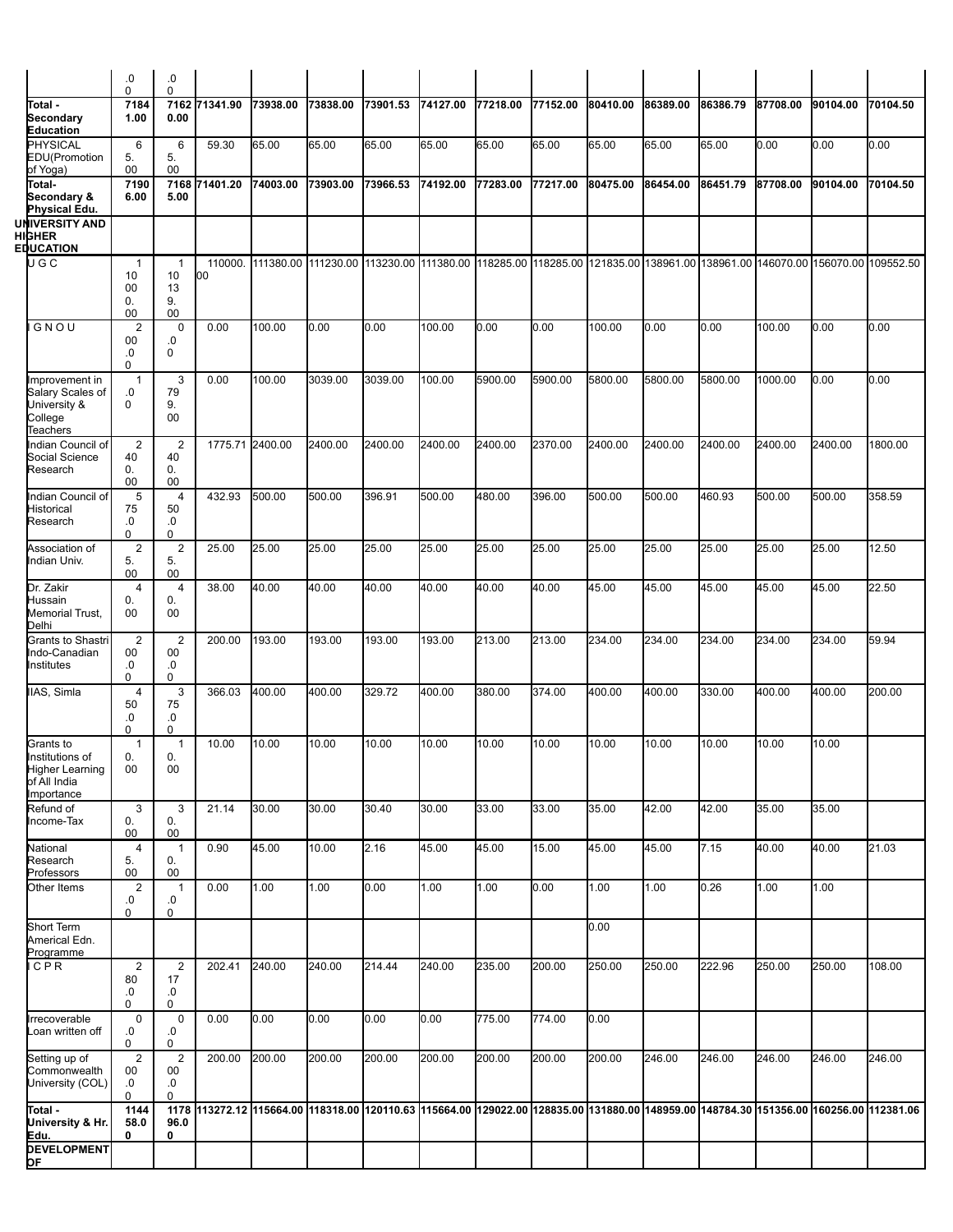|                                                                  | 0.<br>$\mathbf 0$                      | 0.<br>0                         |                                                                                                                                        |          |          |          |          |          |          |          |          |          |          |          |                                                                                                                         |
|------------------------------------------------------------------|----------------------------------------|---------------------------------|----------------------------------------------------------------------------------------------------------------------------------------|----------|----------|----------|----------|----------|----------|----------|----------|----------|----------|----------|-------------------------------------------------------------------------------------------------------------------------|
| Total -<br>Secondary                                             | 7184<br>1.00                           | 7162<br>0.00                    | 71341.90                                                                                                                               | 73938.00 | 73838.00 | 73901.53 | 74127.00 | 77218.00 | 77152.00 | 80410.00 | 86389.00 | 86386.79 | 87708.00 | 90104.00 | 70104.50                                                                                                                |
| <b>Education</b><br>PHYSICAL                                     | 6                                      | 6                               | 59.30                                                                                                                                  | 65.00    | 65.00    | 65.00    | 65.00    | 65.00    | 65.00    | 65.00    | 65.00    | 65.00    | 0.00     | 0.00     | 0.00                                                                                                                    |
| EDU(Promotion<br>of Yoga)<br>Total-                              | 5.<br>00<br>7190                       | 5.<br>00<br>7168                | 71401.20                                                                                                                               | 74003.00 | 73903.00 | 73966.53 | 74192.00 | 77283.00 | 77217.00 | 80475.00 | 86454.00 | 86451.79 | 87708.00 | 90104.00 | 70104.50                                                                                                                |
| Secondary &<br>Physical Edu.                                     | 6.00                                   | 5.00                            |                                                                                                                                        |          |          |          |          |          |          |          |          |          |          |          |                                                                                                                         |
| UNIVERSITY AND<br>HIGHER<br>EDUCATION                            |                                        |                                 |                                                                                                                                        |          |          |          |          |          |          |          |          |          |          |          |                                                                                                                         |
| UGC                                                              | $\overline{1}$<br>10                   | $\overline{1}$<br>10            | 110000.<br>00                                                                                                                          |          |          |          |          |          |          |          |          |          |          |          | 111380.00 111230.00 113230.00 111380.00 118285.00 118285.00 121835.00 138961.00 138961.00 146070.00 156070.00 109552.50 |
|                                                                  | 00<br>0.<br>00                         | 13<br>9.<br>00                  |                                                                                                                                        |          |          |          |          |          |          |          |          |          |          |          |                                                                                                                         |
| GNOU                                                             | $\overline{2}$<br>00<br>.0             | 0<br>.0<br>0                    | 0.00                                                                                                                                   | 100.00   | 0.00     | 0.00     | 100.00   | 0.00     | 0.00     | 100.00   | 0.00     | 0.00     | 100.00   | 0.00     | 0.00                                                                                                                    |
| Improvement in                                                   | 0<br>$\overline{1}$                    | 3                               | 0.00                                                                                                                                   | 100.00   | 3039.00  | 3039.00  | 100.00   | 5900.00  | 5900.00  | 5800.00  | 5800.00  | 5800.00  | 1000.00  | 0.00     | 0.00                                                                                                                    |
| Salary Scales of<br>University &<br>College<br>Teachers          | .0<br>0                                | 79<br>9.<br>00                  |                                                                                                                                        |          |          |          |          |          |          |          |          |          |          |          |                                                                                                                         |
| Indian Council of<br>Social Science<br>Research                  | $\overline{2}$<br>40<br>0.             | $\overline{2}$<br>40<br>0.      | 1775.71 2400.00                                                                                                                        |          | 2400.00  | 2400.00  | 2400.00  | 2400.00  | 2370.00  | 2400.00  | 2400.00  | 2400.00  | 2400.00  | 2400.00  | 1800.00                                                                                                                 |
| Indian Council of                                                | 00<br>5                                | 00<br>$\overline{4}$            | 432.93                                                                                                                                 | 500.00   | 500.00   | 396.91   | 500.00   | 480.00   | 396.00   | 500.00   | 500.00   | 460.93   | 500.00   | 500.00   | 358.59                                                                                                                  |
| Historical<br>Research                                           | 75<br>.0<br>0                          | 50<br>.0<br>0                   |                                                                                                                                        |          |          |          |          |          |          |          |          |          |          |          |                                                                                                                         |
| Association of<br>Indian Univ.                                   | $\boldsymbol{2}$<br>5.<br>00           | $\overline{2}$<br>5.<br>$00\,$  | 25.00                                                                                                                                  | 25.00    | 25.00    | 25.00    | 25.00    | 25.00    | 25.00    | 25.00    | 25.00    | 25.00    | 25.00    | 25.00    | 12.50                                                                                                                   |
| Dr. Zakir<br>Hussain<br>Memorial Trust,<br>Delhi                 | $\overline{\mathbf{4}}$<br>0.<br>00    | $\overline{4}$<br>0.<br>00      | 38.00                                                                                                                                  | 40.00    | 40.00    | 40.00    | 40.00    | 40.00    | 40.00    | 45.00    | 45.00    | 45.00    | 45.00    | 45.00    | 22.50                                                                                                                   |
| Grants to Shastri<br>Indo-Canadian<br>Institutes                 | $\overline{2}$<br>$00\,$<br>.0<br>0    | $\overline{2}$<br>00<br>.0<br>0 | 200.00                                                                                                                                 | 193.00   | 193.00   | 193.00   | 193.00   | 213.00   | 213.00   | 234.00   | 234.00   | 234.00   | 234.00   | 234.00   | 59.94                                                                                                                   |
| IIAS, Simla                                                      | 4<br>50<br>.0                          | 3<br>75<br>0.                   | 366.03                                                                                                                                 | 400.00   | 400.00   | 329.72   | 400.00   | 380.00   | 374.00   | 400.00   | 400.00   | 330.00   | 400.00   | 400.00   | 200.00                                                                                                                  |
| Grants to                                                        | 0<br>$\mathbf{1}$                      | 0<br>$\mathbf{1}$               | 10.00                                                                                                                                  | 10.00    | 10.00    | 10.00    | 10.00    | 10.00    | 10.00    | 10.00    | 10.00    | 10.00    | 10.00    | 10.00    |                                                                                                                         |
| Institutions of<br>Higner Learning<br>of All India<br>Importance | 0.<br>00                               | 0.<br>00                        |                                                                                                                                        |          |          |          |          |          |          |          |          |          |          |          |                                                                                                                         |
| Refund of<br>Income-Tax                                          | 3<br>0.<br>$00\,$                      | 3<br>0.<br>$00\,$               | 21.14                                                                                                                                  | 30.00    | 30.00    | 30.40    | 30.00    | 33.00    | 33.00    | 35.00    | 42.00    | 42.00    | 35.00    | 35.00    |                                                                                                                         |
| National<br>Research                                             | 4<br>5.                                | 1<br>0.                         | 0.90                                                                                                                                   | 45.00    | 10.00    | 2.16     | 45.00    | 45.00    | 15.00    | 45.00    | 45.00    | 7.15     | 40.00    | 40.00    | 21.03                                                                                                                   |
| Professors<br>Other Items                                        | $00\,$<br>$\mathbf{2}$<br>0.           | $00\,$<br>1<br>.0               | 0.00                                                                                                                                   | 1.00     | 1.00     | 0.00     | 1.00     | 1.00     | 0.00     | 1.00     | 1.00     | 0.26     | 1.00     | 1.00     |                                                                                                                         |
| Short Term                                                       | $\mathbf 0$                            | 0                               |                                                                                                                                        |          |          |          |          |          |          | 0.00     |          |          |          |          |                                                                                                                         |
| Americal Edn.<br>Programme                                       |                                        |                                 |                                                                                                                                        |          |          |          |          |          |          |          |          |          |          |          |                                                                                                                         |
| CPR                                                              | $\overline{2}$<br>80<br>.0<br>$\Omega$ | $\overline{2}$<br>17<br>.0<br>0 | 202.41                                                                                                                                 | 240.00   | 240.00   | 214.44   | 240.00   | 235.00   | 200.00   | 250.00   | 250.00   | 222.96   | 250.00   | 250.00   | 108.00                                                                                                                  |
| Irrecoverable<br>Loan written off                                | $\mathbf 0$<br>0.<br>0                 | 0<br>.0<br>0                    | 0.00                                                                                                                                   | 0.00     | 0.00     | 0.00     | 0.00     | 775.00   | 774.00   | 0.00     |          |          |          |          |                                                                                                                         |
| Setting up of<br>Commonwealth                                    | 2<br>$00\,$                            | $\overline{2}$<br>00            | 200.00                                                                                                                                 | 200.00   | 200.00   | 200.00   | 200.00   | 200.00   | 200.00   | 200.00   | 246.00   | 246.00   | 246.00   | 246.00   | 246.00                                                                                                                  |
| University (COL)                                                 | .0<br>0                                | .0<br>0                         |                                                                                                                                        |          |          |          |          |          |          |          |          |          |          |          |                                                                                                                         |
| Total -<br>University & Hr.<br>Edu.                              | 1144<br>58.0<br>0                      | 96.0<br>0                       | 1178 148272.12 115664.00 118318.00 120110.63 115664.00 129022.00 128835.00 131880.00 148959.00 148784.30 151356.00 160256.00 112381.06 |          |          |          |          |          |          |          |          |          |          |          |                                                                                                                         |
| <b>DEVELOPMENT</b><br>þF                                         |                                        |                                 |                                                                                                                                        |          |          |          |          |          |          |          |          |          |          |          |                                                                                                                         |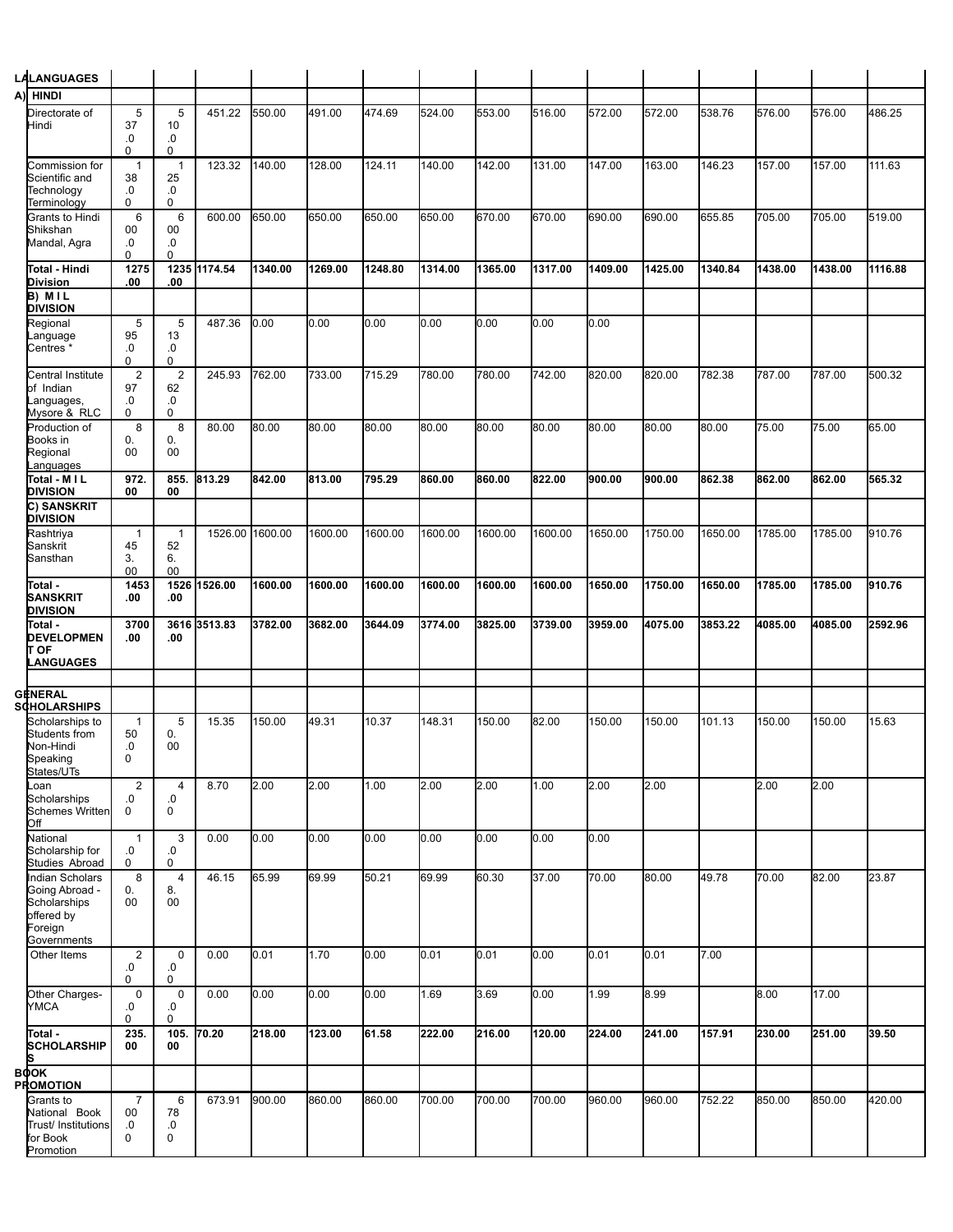| LALANGUAGES                                                                                      |                                     |                                        |                 |         |         |         |         |         |         |         |         |         |         |         |         |
|--------------------------------------------------------------------------------------------------|-------------------------------------|----------------------------------------|-----------------|---------|---------|---------|---------|---------|---------|---------|---------|---------|---------|---------|---------|
| A)<br><b>HINDI</b>                                                                               |                                     |                                        |                 |         |         |         |         |         |         |         |         |         |         |         |         |
| Directorate of<br>Hindi                                                                          | 5<br>37<br>.0                       | 5<br>10<br>.0                          | 451.22          | 550.00  | 491.00  | 474.69  | 524.00  | 553.00  | 516.00  | 572.00  | 572.00  | 538.76  | 576.00  | 576.00  | 486.25  |
| Commission for<br>Scientific and<br>Technology                                                   | 0<br>$\mathbf{1}$<br>38<br>.0       | 0<br>$\mathbf{1}$<br>25<br>.0          | 123.32          | 140.00  | 128.00  | 124.11  | 140.00  | 142.00  | 131.00  | 147.00  | 163.00  | 146.23  | 157.00  | 157.00  | 111.63  |
| Terminology<br>Grants to Hindi<br>Shikshan                                                       | 0<br>6<br>00                        | 0<br>6<br>00                           | 600.00          | 650.00  | 650.00  | 650.00  | 650.00  | 670.00  | 670.00  | 690.00  | 690.00  | 655.85  | 705.00  | 705.00  | 519.00  |
| Mandal, Agra                                                                                     | .0<br>$\Omega$                      | .0<br>$\Omega$                         |                 |         |         |         |         |         |         |         |         |         |         |         |         |
| Total - Hindi<br>Division<br>B) MIL                                                              | 1275<br>.00                         | 1235<br>.00                            | 1174.54         | 1340.00 | 1269.00 | 1248.80 | 1314.00 | 1365.00 | 1317.00 | 1409.00 | 1425.00 | 1340.84 | 1438.00 | 1438.00 | 1116.88 |
| <b>DIVISION</b>                                                                                  |                                     |                                        |                 |         |         |         |         |         |         |         |         |         |         |         |         |
| Regional<br>anguage<br>Centres *                                                                 | 5<br>95<br>.0<br>0                  | 5<br>13<br>.0<br>0                     | 487.36          | 0.00    | 0.00    | 0.00    | 0.00    | 0.00    | 0.00    | 0.00    |         |         |         |         |         |
| Central Institute<br>of Indian<br>Languages,<br>Mysore & RLC                                     | $\overline{2}$<br>97<br>.0<br>0     | $\overline{2}$<br>62<br>.0<br>$\Omega$ | 245.93          | 762.00  | 733.00  | 715.29  | 780.00  | 780.00  | 742.00  | 820.00  | 820.00  | 782.38  | 787.00  | 787.00  | 500.32  |
| Production of<br>Books in<br>Regional<br>Languages                                               | 8<br>0.<br>00                       | 8<br>0.<br>00                          | 80.00           | 80.00   | 80.00   | 80.00   | 80.00   | 80.00   | 80.00   | 80.00   | 80.00   | 80.00   | 75.00   | 75.00   | 65.00   |
| Total - M I L<br><b>DIVISION</b>                                                                 | 972.<br>00                          | 855.<br>00                             | 813.29          | 842.00  | 813.00  | 795.29  | 860.00  | 860.00  | 822.00  | 900.00  | 900.00  | 862.38  | 862.00  | 862.00  | 565.32  |
| C) SANSKRIT<br><b>DIVISION</b>                                                                   |                                     |                                        |                 |         |         |         |         |         |         |         |         |         |         |         |         |
| Rashtriya                                                                                        | $\mathbf{1}$                        | $\mathbf{1}$                           | 1526.00 1600.00 |         | 1600.00 | 1600.00 | 1600.00 | 1600.00 | 1600.00 | 1650.00 | 1750.00 | 1650.00 | 1785.00 | 1785.00 | 910.76  |
| Sanskrit                                                                                         | 45                                  | 52                                     |                 |         |         |         |         |         |         |         |         |         |         |         |         |
| Sansthan                                                                                         | 3.<br>00                            | 6.<br>00                               |                 |         |         |         |         |         |         |         |         |         |         |         |         |
| Total -<br>SANSKRIT<br><b>DIVISION</b>                                                           | 1453<br>.00                         | 1526<br>.00                            | 1526.00         | 1600.00 | 1600.00 | 1600.00 | 1600.00 | 1600.00 | 1600.00 | 1650.00 | 1750.00 | 1650.00 | 1785.00 | 1785.00 | 910.76  |
|                                                                                                  |                                     |                                        |                 |         |         |         |         |         |         |         |         |         |         |         |         |
| Total -<br><b>DEVELOPMEN</b><br>Т ОҒ                                                             | 3700<br>.00                         | 3616<br>.00                            | 3513.83         | 3782.00 | 3682.00 | 3644.09 | 3774.00 | 3825.00 | 3739.00 | 3959.00 | 4075.00 | 3853.22 | 4085.00 | 4085.00 | 2592.96 |
| <b>ANGUAGES</b>                                                                                  |                                     |                                        |                 |         |         |         |         |         |         |         |         |         |         |         |         |
|                                                                                                  |                                     |                                        |                 |         |         |         |         |         |         |         |         |         |         |         |         |
| <b>GENERAL</b>                                                                                   |                                     |                                        |                 |         |         |         |         |         |         |         |         |         |         |         |         |
| <b>SCHOLARSHIPS</b><br>Scholarships to<br>Students from<br>Non-Hindi<br>Speaking                 | $\mathbf{1}$<br>50<br>.0<br>0       | 5<br>0.<br>00                          | 15.35           | 150.00  | 49.31   | 10.37   | 148.31  | 150.00  | 82.00   | 150.00  | 150.00  | 101.13  | 150.00  | 150.00  | 15.63   |
| States/UTs<br>Loan<br><b>Scholarships</b><br>Schemes Written                                     | $\overline{2}$<br>0.<br>$\mathbf 0$ | 4<br>0.<br>0                           | 8.70            | 2.00    | 2.00    | 1.00    | 2.00    | 2.00    | 1.00    | 2.00    | 2.00    |         | 2.00    | 2.00    |         |
| Off<br>National<br>Scholarship for<br>Studies Abroad                                             | $\mathbf{1}$<br>.0<br>$\mathbf 0$   | 3<br>.0<br>0                           | 0.00            | 0.00    | 0.00    | 0.00    | 0.00    | 0.00    | 0.00    | 0.00    |         |         |         |         |         |
| <b>Indian Scholars</b><br>Going Abroad -<br>Scholarships<br>offered by<br>Foreign<br>Governments | 8<br>0.<br>00                       | 4<br>8.<br>00                          | 46.15           | 65.99   | 69.99   | 50.21   | 69.99   | 60.30   | 37.00   | 70.00   | 80.00   | 49.78   | 70.00   | 82.00   | 23.87   |
| Other Items                                                                                      | $\overline{2}$<br>.0<br>0           | $\mathbf 0$<br>.0<br>0                 | 0.00            | 0.01    | 1.70    | 0.00    | 0.01    | 0.01    | 0.00    | 0.01    | 0.01    | 7.00    |         |         |         |
| Other Charges-<br>YMCA                                                                           | $\mathsf 0$<br>.0<br>0              | $\mathbf 0$<br>.0<br>0                 | 0.00            | 0.00    | 0.00    | 0.00    | 1.69    | 3.69    | 0.00    | 1.99    | 8.99    |         | 8.00    | 17.00   |         |
| Total -<br>SCHOLARSHIP                                                                           | 235.<br>00                          | 105.<br>00                             | 70.20           | 218.00  | 123.00  | 61.58   | 222.00  | 216.00  | 120.00  | 224.00  | 241.00  | 157.91  | 230.00  | 251.00  | 39.50   |
| вфок                                                                                             |                                     |                                        |                 |         |         |         |         |         |         |         |         |         |         |         |         |
| <b>PROMOTION</b><br>Grants to                                                                    | $\overline{7}$                      | 6                                      | 673.91          | 900.00  | 860.00  | 860.00  | 700.00  | 700.00  | 700.00  | 960.00  | 960.00  | 752.22  | 850.00  | 850.00  | 420.00  |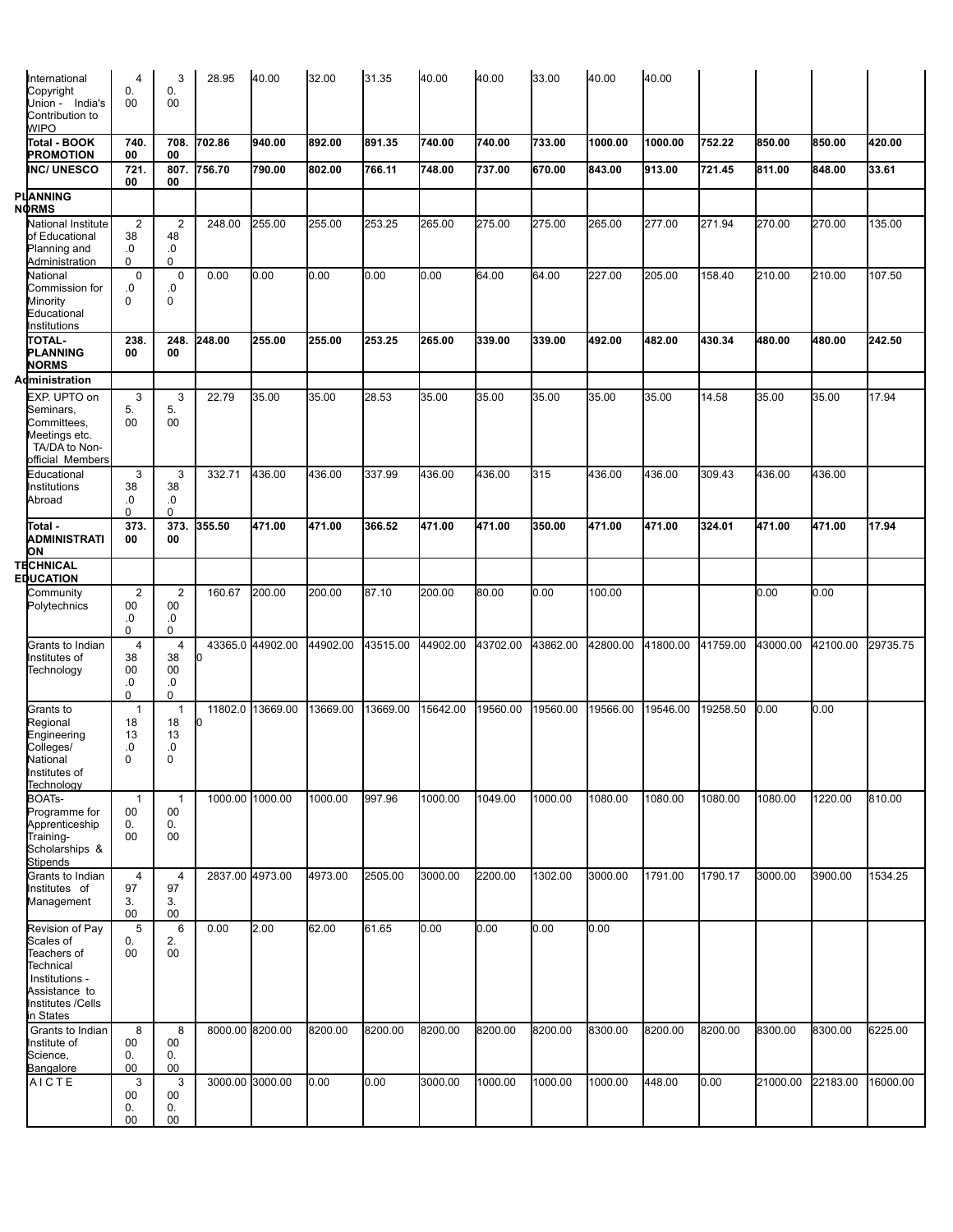| International                        | $\overline{4}$       | 3                    | 28.95           | 40.00            | 32.00    | 31.35    | 40.00    | 40.00    | 33.00    | 40.00    | 40.00    |          |          |          |          |
|--------------------------------------|----------------------|----------------------|-----------------|------------------|----------|----------|----------|----------|----------|----------|----------|----------|----------|----------|----------|
| Copyright                            | 0.                   | 0.                   |                 |                  |          |          |          |          |          |          |          |          |          |          |          |
| Union - India's<br>Contribution to   | 00                   | 00                   |                 |                  |          |          |          |          |          |          |          |          |          |          |          |
| <b>WIPO</b>                          |                      |                      |                 |                  |          |          |          |          |          |          |          |          |          |          |          |
| Total - BOOK                         | 740.                 | 708.                 | 702.86          | 940.00           | 892.00   | 891.35   | 740.00   | 740.00   | 733.00   | 1000.00  | 1000.00  | 752.22   | 850.00   | 850.00   | 420.00   |
| <b>PROMOTION</b>                     | 00                   | 00                   |                 |                  |          |          |          |          |          |          |          |          |          |          |          |
| <b>INC/ UNESCO</b>                   | 721.<br>00           | 807.<br>00           | 756.70          | 790.00           | 802.00   | 766.11   | 748.00   | 737.00   | 670.00   | 843.00   | 913.00   | 721.45   | 811.00   | 848.00   | 33.61    |
| PLAANNING                            |                      |                      |                 |                  |          |          |          |          |          |          |          |          |          |          |          |
| <b>NORMS</b>                         |                      |                      |                 |                  |          |          |          |          |          |          |          |          |          |          |          |
| National Institute<br>of Educational | $\overline{2}$<br>38 | $\overline{2}$<br>48 | 248.00          | 255.00           | 255.00   | 253.25   | 265.00   | 275.00   | 275.00   | 265.00   | 277.00   | 271.94   | 270.00   | 270.00   | 135.00   |
| Planning and                         | .0                   | .0                   |                 |                  |          |          |          |          |          |          |          |          |          |          |          |
| Administration                       | $\Omega$             | 0                    |                 |                  |          |          |          |          |          |          |          |          |          |          |          |
| National                             | $\mathbf 0$          | $\mathbf 0$<br>.0    | 0.00            | 0.00             | 0.00     | 0.00     | 0.00     | 64.00    | 64.00    | 227.00   | 205.00   | 158.40   | 210.00   | 210.00   | 107.50   |
| Commission for<br>Minority           | .0<br>$\Omega$       | $\mathbf 0$          |                 |                  |          |          |          |          |          |          |          |          |          |          |          |
| Educational                          |                      |                      |                 |                  |          |          |          |          |          |          |          |          |          |          |          |
| Institutions                         |                      |                      |                 |                  |          |          |          |          |          |          |          |          |          |          |          |
| <b>TOTAL-</b><br><b>PLANNING</b>     | 238<br>00            | 248.<br>00           | 248.00          | 255.00           | 255.00   | 253.25   | 265.00   | 339.00   | 339.00   | 492.00   | 482.00   | 430.34   | 480.00   | 480.00   | 242.50   |
| <b>NORMS</b>                         |                      |                      |                 |                  |          |          |          |          |          |          |          |          |          |          |          |
| Administration                       |                      |                      |                 |                  |          |          |          |          |          |          |          |          |          |          |          |
| EXP. UPTO on                         | 3                    | 3                    | 22.79           | 35.00            | 35.00    | 28.53    | 35.00    | 35.00    | 35.00    | 35.00    | 35.00    | 14.58    | 35.00    | 35.00    | 17.94    |
| Seminars,<br>Committees,             | 5.<br>$00\,$         | 5.<br>00             |                 |                  |          |          |          |          |          |          |          |          |          |          |          |
| Meetings etc.                        |                      |                      |                 |                  |          |          |          |          |          |          |          |          |          |          |          |
| TA/DA to Non-                        |                      |                      |                 |                  |          |          |          |          |          |          |          |          |          |          |          |
| official Members<br>Educational      | 3                    | 3                    | 332.71          | 436.00           | 436.00   | 337.99   | 436.00   | 436.00   | 315      | 436.00   | 436.00   | 309.43   | 436.00   | 436.00   |          |
| Institutions                         | 38                   | 38                   |                 |                  |          |          |          |          |          |          |          |          |          |          |          |
| Abroad                               | .0                   | .0                   |                 |                  |          |          |          |          |          |          |          |          |          |          |          |
| Total -                              | 0<br>373             | $\Omega$<br>373      | 355.50          | 471.00           | 471.00   | 366.52   | 471.00   | 471.00   | 350.00   | 471.00   | 471.00   | 324.01   | 471.00   | 471.00   | 17.94    |
| ADMINISTRATI                         | 00                   | 00                   |                 |                  |          |          |          |          |          |          |          |          |          |          |          |
| ЮN                                   |                      |                      |                 |                  |          |          |          |          |          |          |          |          |          |          |          |
| TECHNICAL<br><b>EDUCATION</b>        |                      |                      |                 |                  |          |          |          |          |          |          |          |          |          |          |          |
| Community                            | $\overline{2}$       | 2                    | 160.67          | 200.00           | 200.00   | 87.10    | 200.00   | 80.00    | 0.00     | 100.00   |          |          | 0.00     | 0.00     |          |
| Polytechnics                         | 00                   | 00                   |                 |                  |          |          |          |          |          |          |          |          |          |          |          |
|                                      | .0<br>$\Omega$       | .0<br>$\Omega$       |                 |                  |          |          |          |          |          |          |          |          |          |          |          |
| Grants to Indian                     | $\overline{4}$       | 4                    |                 | 43365.0 44902.00 | 44902.00 | 43515.00 | 44902.00 | 43702.00 | 43862.00 | 42800.00 | 41800.00 | 41759.00 | 43000.00 | 42100.00 | 29735.75 |
| Institutes of                        | 38                   | 38                   | ю               |                  |          |          |          |          |          |          |          |          |          |          |          |
| Technology                           | 00<br>.0             | 00<br>.0             |                 |                  |          |          |          |          |          |          |          |          |          |          |          |
|                                      | 0                    | 0                    |                 |                  |          |          |          |          |          |          |          |          |          |          |          |
| Grants to                            | $\mathbf{1}$         | $\mathbf{1}$         | 11802.0         | 13669.00         | 13669.00 | 13669.00 | 15642.00 | 19560.00 | 19560.00 | 19566.00 | 19546.00 | 19258.50 | 0.00     | 0.00     |          |
| Regional<br>Engineering              | 18<br>13             | 18<br>13             | 10              |                  |          |          |          |          |          |          |          |          |          |          |          |
| Colleges/                            | 0.                   | .0                   |                 |                  |          |          |          |          |          |          |          |          |          |          |          |
| National                             | 0                    | 0                    |                 |                  |          |          |          |          |          |          |          |          |          |          |          |
| Institutes of<br>Technology          |                      |                      |                 |                  |          |          |          |          |          |          |          |          |          |          |          |
| BOAT <sub>S</sub> -                  | $\mathbf{1}$         | $\mathbf{1}$         |                 | 1000.00 1000.00  | 1000.00  | 997.96   | 1000.00  | 1049.00  | 1000.00  | 1080.00  | 1080.00  | 1080.00  | 1080.00  | 1220.00  | 810.00   |
| Programme for                        | $00\,$               | 00                   |                 |                  |          |          |          |          |          |          |          |          |          |          |          |
| Apprenticeship<br>Training-          | 0.<br>00             | 0.<br>00             |                 |                  |          |          |          |          |          |          |          |          |          |          |          |
| Scholarships &                       |                      |                      |                 |                  |          |          |          |          |          |          |          |          |          |          |          |
| Stipends                             |                      |                      |                 |                  |          |          |          |          |          |          |          |          |          |          |          |
| Grants to Indian<br>Institutes of    | $\overline{4}$<br>97 | 4<br>97              | 2837.00 4973.00 |                  | 4973.00  | 2505.00  | 3000.00  | 2200.00  | 1302.00  | 3000.00  | 1791.00  | 1790.17  | 3000.00  | 3900.00  | 1534.25  |
| Management                           | 3.                   | 3.                   |                 |                  |          |          |          |          |          |          |          |          |          |          |          |
|                                      | 00                   | 00                   |                 |                  |          |          |          |          |          |          |          |          |          |          |          |
| Revision of Pay<br>Scales of         | 5<br>0.              | 6<br>2.              | 0.00            | 2.00             | 62.00    | 61.65    | 0.00     | 0.00     | 0.00     | 0.00     |          |          |          |          |          |
| Teachers of                          | 00                   | 00                   |                 |                  |          |          |          |          |          |          |          |          |          |          |          |
| Technical                            |                      |                      |                 |                  |          |          |          |          |          |          |          |          |          |          |          |
| Institutions -<br>Assistance to      |                      |                      |                 |                  |          |          |          |          |          |          |          |          |          |          |          |
| Institutes /Cells                    |                      |                      |                 |                  |          |          |          |          |          |          |          |          |          |          |          |
| in States                            |                      |                      |                 |                  |          |          |          |          |          |          |          |          |          |          |          |
| Grants to Indian<br>Institute of     | 8<br>00              | 8<br>00              |                 | 8000.00 8200.00  | 8200.00  | 8200.00  | 8200.00  | 8200.00  | 8200.00  | 8300.00  | 8200.00  | 8200.00  | 8300.00  | 8300.00  | 6225.00  |
| Science,                             | 0.                   | 0.                   |                 |                  |          |          |          |          |          |          |          |          |          |          |          |
| Bangalore                            | 00                   | 00                   |                 |                  |          |          |          |          |          |          |          |          |          |          |          |
| AICTE                                | 3<br>00              | 3<br>00              |                 | 3000.00 3000.00  | 0.00     | 0.00     | 3000.00  | 1000.00  | 1000.00  | 1000.00  | 448.00   | 0.00     | 21000.00 | 22183.00 | 16000.00 |
|                                      | 0.                   | 0.                   |                 |                  |          |          |          |          |          |          |          |          |          |          |          |
|                                      | 00                   | $00\,$               |                 |                  |          |          |          |          |          |          |          |          |          |          |          |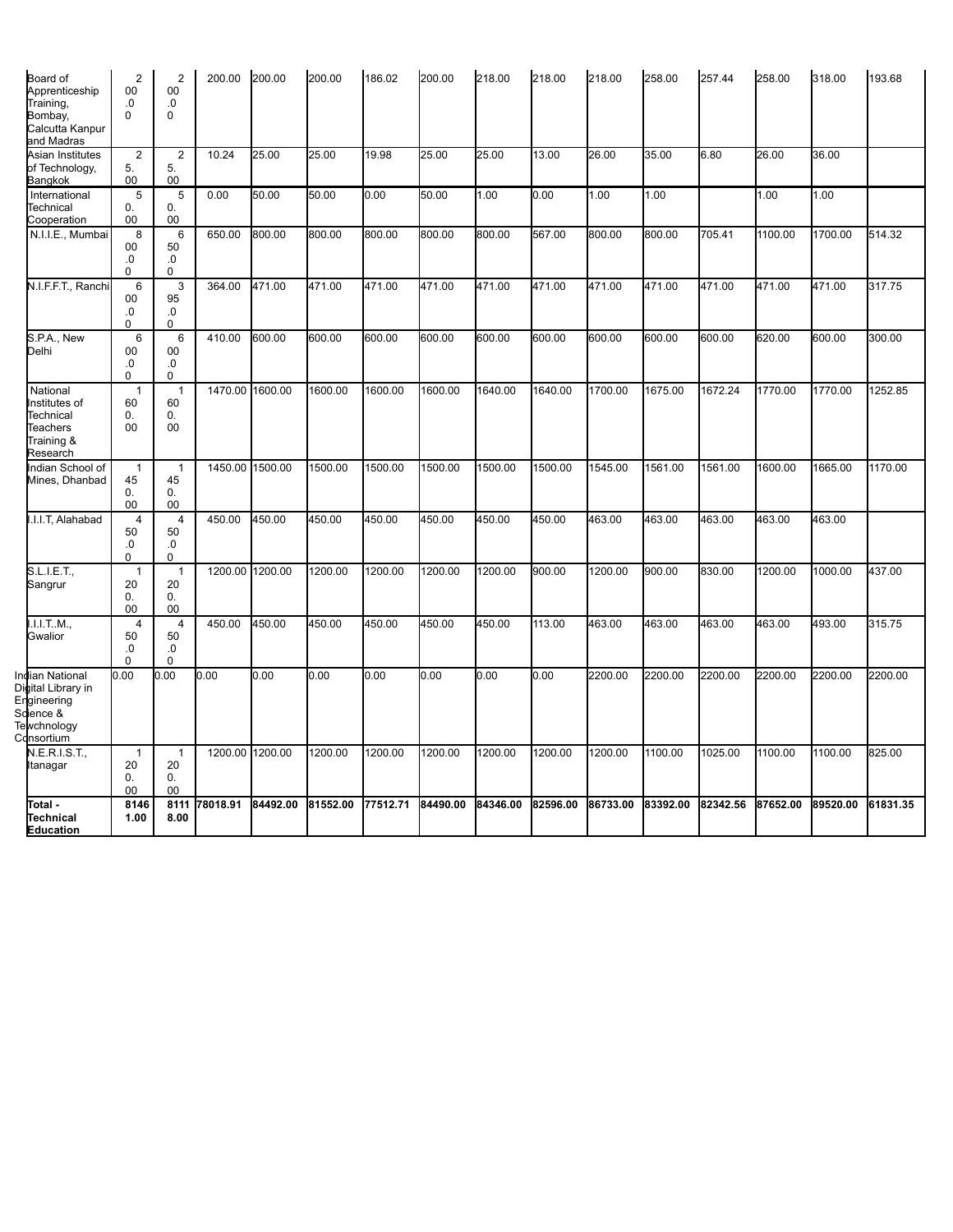| Board of<br>Apprenticeship<br>Training,<br>Bombay,<br>Calcutta Kanpur<br>and Madras            | $\overline{2}$<br>00<br>.0<br>$\mathbf 0$ | $\overline{2}$<br>00<br>.0<br>0       | 200.00          | 200.00   | 200.00   | 186.02   | 200.00   | 218.00   | 218.00   | 218.00   | 258.00   | 257.44   | 258.00   | 318.00   | 193.68   |
|------------------------------------------------------------------------------------------------|-------------------------------------------|---------------------------------------|-----------------|----------|----------|----------|----------|----------|----------|----------|----------|----------|----------|----------|----------|
| Asian Institutes<br>of Technology,<br>Bangkok                                                  | $\overline{2}$<br>5.<br>00                | $\overline{2}$<br>5.<br>$00\,$        | 10.24           | 25.00    | 25.00    | 19.98    | 25.00    | 25.00    | 13.00    | 26.00    | 35.00    | 6.80     | 26.00    | 36.00    |          |
| International<br>Technical<br>Cooperation                                                      | 5<br>0.<br>00                             | 5<br>0.<br>00                         | 0.00            | 50.00    | 50.00    | 0.00     | 50.00    | 1.00     | 0.00     | 1.00     | 1.00     |          | 1.00     | 1.00     |          |
| N.I.I.E., Mumbai                                                                               | 8<br>00<br>.0<br>$\Omega$                 | 6<br>50<br>.0<br>0                    | 650.00          | 800.00   | 800.00   | 800.00   | 800.00   | 800.00   | 567.00   | 800.00   | 800.00   | 705.41   | 1100.00  | 1700.00  | 514.32   |
| N.I.F.F.T., Ranchi                                                                             | 6<br>00<br>0.<br>0                        | 3<br>95<br>.0<br>0                    | 364.00          | 471.00   | 471.00   | 471.00   | 471.00   | 471.00   | 471.00   | 471.00   | 471.00   | 471.00   | 471.00   | 471.00   | 317.75   |
| S.P.A., New<br>Delhi                                                                           | 6<br>00<br>.0<br>0                        | 6<br>$00\,$<br>.0<br>0                | 410.00          | 600.00   | 600.00   | 600.00   | 600.00   | 600.00   | 600.00   | 600.00   | 600.00   | 600.00   | 620.00   | 600.00   | 300.00   |
| National<br>Institutes of<br>Technical<br>Teachers<br>Training &<br>Research                   | $\mathbf{1}$<br>60<br>0.<br>00            | 1<br>60<br>0.<br>00                   | 1470.00         | 1600.00  | 1600.00  | 1600.00  | 1600.00  | 1640.00  | 1640.00  | 1700.00  | 1675.00  | 1672.24  | 1770.00  | 1770.00  | 1252.85  |
| Indian School of<br>Mines, Dhanbad                                                             | $\mathbf{1}$<br>45<br>0.<br>00            | $\mathbf{1}$<br>45<br>0.<br>00        | 1450.00 1500.00 |          | 1500.00  | 1500.00  | 1500.00  | 1500.00  | 1500.00  | 1545.00  | 1561.00  | 1561.00  | 1600.00  | 1665.00  | 1170.00  |
| I.I.I.T, Alahabad                                                                              | $\overline{4}$<br>50<br>0.<br>$\mathbf 0$ | $\overline{4}$<br>50<br>$\Omega$<br>0 | 450.00          | 450.00   | 450.00   | 450.00   | 450.00   | 450.00   | 450.00   | 463.00   | 463.00   | 463.00   | 463.00   | 463.00   |          |
| S.L.I.E.T.,<br>Sangrur                                                                         | $\mathbf{1}$<br>20<br>0.<br>00            | $\mathbf{1}$<br>20<br>0.<br>00        | 1200.00 1200.00 |          | 1200.00  | 1200.00  | 1200.00  | 1200.00  | 900.00   | 1200.00  | 900.00   | 830.00   | 1200.00  | 1000.00  | 437.00   |
| I.I.I.TM.,<br>Gwalior                                                                          | $\overline{4}$<br>50<br>.0<br>$\Omega$    | $\overline{4}$<br>50<br>.0<br>0       | 450.00          | 450.00   | 450.00   | 450.00   | 450.00   | 450.00   | 113.00   | 463.00   | 463.00   | 463.00   | 463.00   | 493.00   | 315.75   |
| Indian National<br>Digital Library in<br>Engineering<br>Sdience &<br>Tewchnology<br>Cdnsortium | 0.00                                      | 0.00                                  | 0.00            | 0.00     | 0.00     | 0.00     | 0.00     | 0.00     | 0.00     | 2200.00  | 2200.00  | 2200.00  | 2200.00  | 2200.00  | 2200.00  |
| N.E.R.I.S.T.,<br>Itanagar                                                                      | $\mathbf{1}$<br>20<br>0.<br>00            | $\mathbf{1}$<br>20<br>0.<br>00        | 1200.00 1200.00 |          | 1200.00  | 1200.00  | 1200.00  | 1200.00  | 1200.00  | 1200.00  | 1100.00  | 1025.00  | 1100.00  | 1100.00  | 825.00   |
| Total -<br>Technical<br><b>Education</b>                                                       | 8146<br>1.00                              | 8111<br>8.00                          | 78018.91        | 84492.00 | 81552.00 | 77512.71 | 84490.00 | 84346.00 | 82596.00 | 86733.00 | 83392.00 | 82342.56 | 87652.00 | 89520.00 | 61831.35 |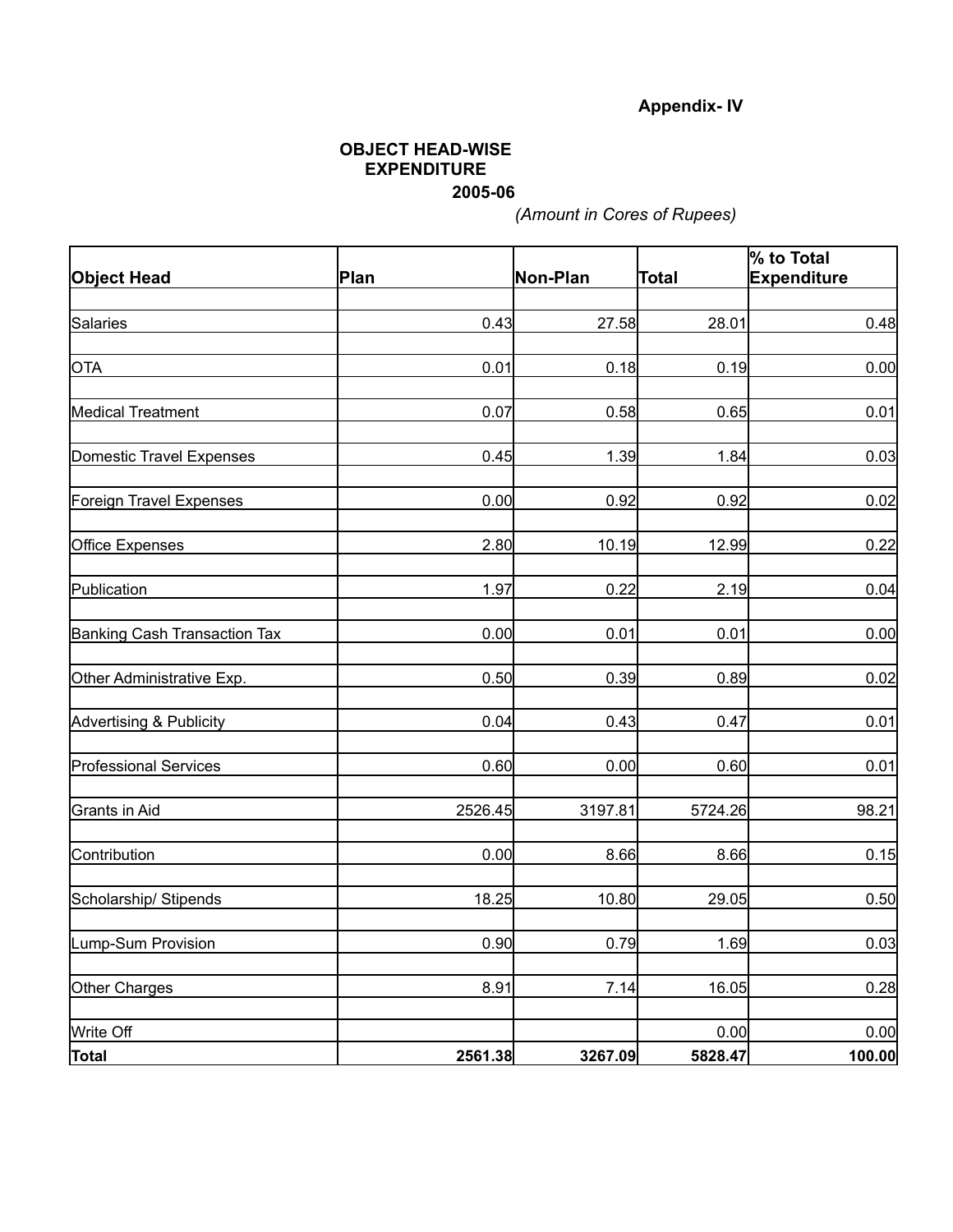# **Appendix- IV**

#### **OBJECT HEAD-WISE EXPENDITURE 2005-06**

*(Amount in Cores of Rupees)*

| <b>Object Head</b>           | Plan    | Non-Plan | Total   | % to Total<br>Expenditure |  |
|------------------------------|---------|----------|---------|---------------------------|--|
|                              |         |          |         |                           |  |
| Salaries                     | 0.43    | 27.58    | 28.01   | 0.48                      |  |
| <b>OTA</b>                   | 0.01    | 0.18     | 0.19    | 0.00                      |  |
| Medical Treatment            | 0.07    | 0.58     | 0.65    | 0.01                      |  |
| Domestic Travel Expenses     | 0.45    | 1.39     | 1.84    | 0.03                      |  |
| Foreign Travel Expenses      | 0.00    | 0.92     | 0.92    | 0.02                      |  |
| <b>Office Expenses</b>       | 2.80    | 10.19    | 12.99   | 0.22                      |  |
| Publication                  | 1.97    | 0.22     | 2.19    | 0.04                      |  |
| Banking Cash Transaction Tax | 0.00    | 0.01     | 0.01    | 0.00                      |  |
| Other Administrative Exp.    | 0.50    | 0.39     | 0.89    | 0.02                      |  |
| Advertising & Publicity      | 0.04    | 0.43     | 0.47    | 0.01                      |  |
| <b>Professional Services</b> | 0.60    | 0.00     | 0.60    | 0.01                      |  |
| Grants in Aid                | 2526.45 | 3197.81  | 5724.26 | 98.21                     |  |
| Contribution                 | 0.00    | 8.66     | 8.66    | 0.15                      |  |
| Scholarship/ Stipends        | 18.25   | 10.80    | 29.05   | 0.50                      |  |
| Lump-Sum Provision           | 0.90    | 0.79     | 1.69    | 0.03                      |  |
| Other Charges                | 8.91    | 7.14     | 16.05   | 0.28                      |  |
| Write Off                    |         |          | 0.00    | 0.00                      |  |
| <b>Total</b>                 | 2561.38 | 3267.09  | 5828.47 | 100.00                    |  |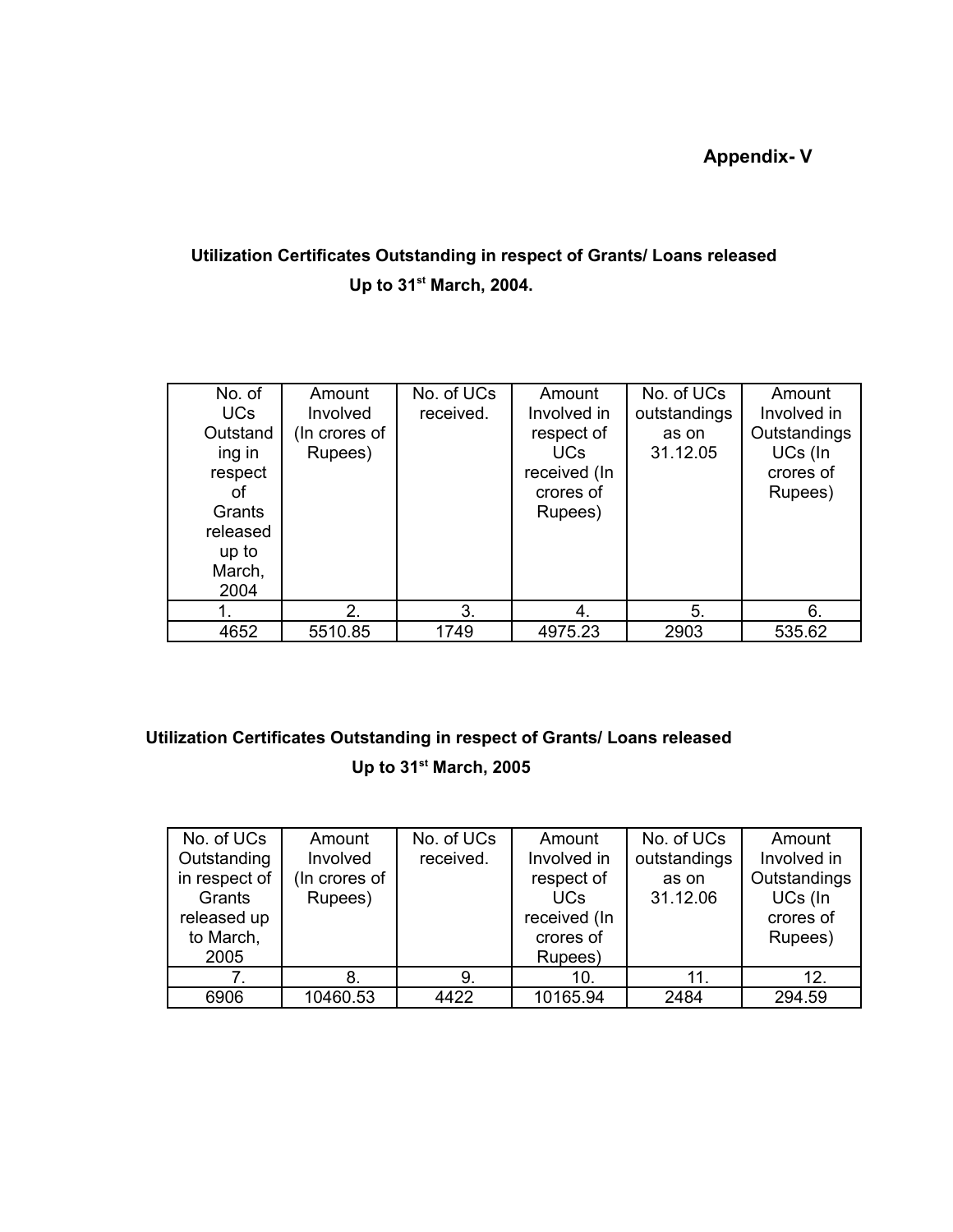**Appendix- V**

# **Utilization Certificates Outstanding in respect of Grants/ Loans released Up to 31 st March, 2004.**

| No. of<br><b>UCs</b><br>Outstand<br>ing in<br>respect<br>Ωt<br>Grants<br>released<br>up to<br>March,<br>2004 | Amount<br>Involved<br>(In crores of<br>Rupees) | No. of UCs<br>received. | Amount<br>Involved in<br>respect of<br><b>UCs</b><br>received (In<br>crores of<br>Rupees) | No. of UCs<br>outstandings<br>as on<br>31.12.05 | Amount<br>Involved in<br>Outstandings<br>UCs (In<br>crores of<br>Rupees) |
|--------------------------------------------------------------------------------------------------------------|------------------------------------------------|-------------------------|-------------------------------------------------------------------------------------------|-------------------------------------------------|--------------------------------------------------------------------------|
|                                                                                                              | 2.                                             | 3.                      | 4.                                                                                        | 5.                                              | 6.                                                                       |
| 4652                                                                                                         | 5510.85                                        | 1749                    | 4975.23                                                                                   | 2903                                            | 535.62                                                                   |

# **Utilization Certificates Outstanding in respect of Grants/ Loans released Up to 31 st March, 2005**

| No. of UCs    | Amount        | No. of UCs | Amount       | No. of UCs   | Amount       |
|---------------|---------------|------------|--------------|--------------|--------------|
| Outstanding   | Involved      | received.  | Involved in  | outstandings | Involved in  |
| in respect of | (In crores of |            | respect of   | as on        | Outstandings |
| Grants        | Rupees)       |            | <b>UCs</b>   | 31.12.06     | UCs (In      |
| released up   |               |            | received (In |              | crores of    |
| to March,     |               |            | crores of    |              | Rupees)      |
| 2005          |               |            | Rupees)      |              |              |
|               | 8.            | 9.         | 10.          | 11.          | 12.          |
| 6906          | 10460.53      | 4422       | 10165.94     | 2484         | 294.59       |